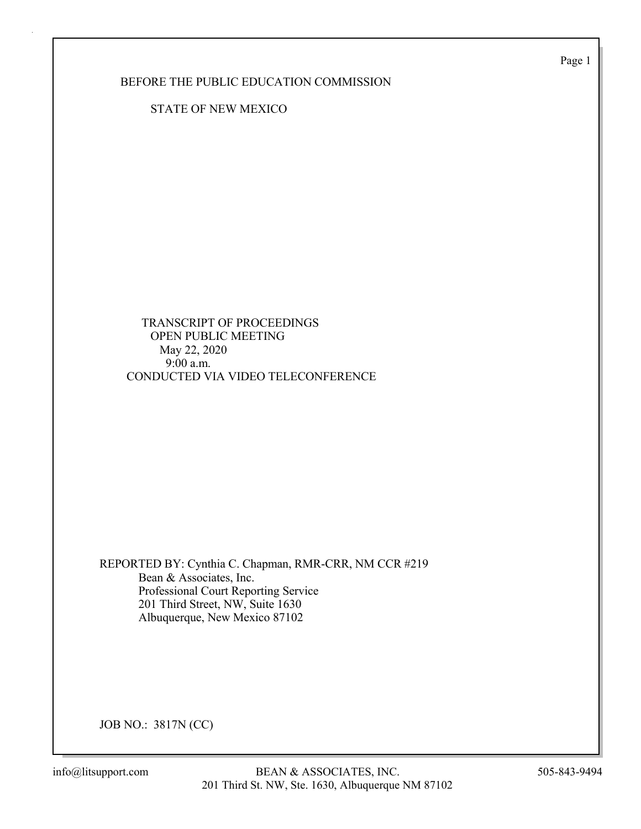Page 1

BEFORE THE PUBLIC EDUCATION COMMISSION

STATE OF NEW MEXICO

 TRANSCRIPT OF PROCEEDINGS OPEN PUBLIC MEETING May 22, 2020 9:00 a.m. CONDUCTED VIA VIDEO TELECONFERENCE

REPORTED BY: Cynthia C. Chapman, RMR-CRR, NM CCR #219 Bean & Associates, Inc. Professional Court Reporting Service 201 Third Street, NW, Suite 1630 Albuquerque, New Mexico 87102

JOB NO.: 3817N (CC)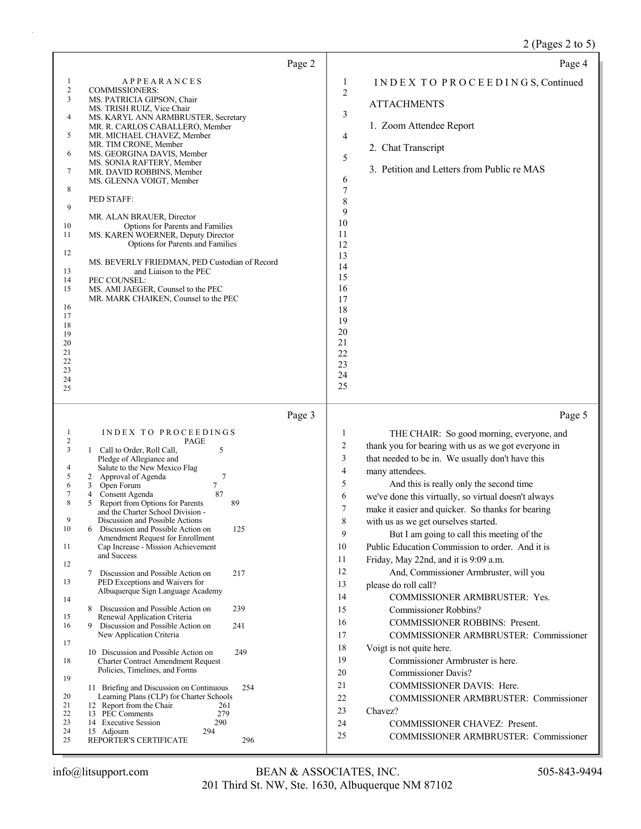## 2 (Pages 2 to 5)

| Page 4                                                                                                                                                                                                                                                                                                                                                                                                                                                                                                                                                                                                                                                                                                                                                                                                                                                                                                                                                                                                                                                                                                                                                                                               |
|------------------------------------------------------------------------------------------------------------------------------------------------------------------------------------------------------------------------------------------------------------------------------------------------------------------------------------------------------------------------------------------------------------------------------------------------------------------------------------------------------------------------------------------------------------------------------------------------------------------------------------------------------------------------------------------------------------------------------------------------------------------------------------------------------------------------------------------------------------------------------------------------------------------------------------------------------------------------------------------------------------------------------------------------------------------------------------------------------------------------------------------------------------------------------------------------------|
| INDEX TO PROCEEDINGS, Continued<br>1<br>$\overline{2}$<br><b>ATTACHMENTS</b><br>3<br>1. Zoom Attendee Report<br>4<br>2. Chat Transcript<br>5<br>3. Petition and Letters from Public re MAS<br>6<br>7<br>8<br>9<br>10<br>11<br>12<br>13<br>14<br>15<br>16<br>17<br>18<br>19<br>20<br>21<br>22<br>23<br>24<br>25                                                                                                                                                                                                                                                                                                                                                                                                                                                                                                                                                                                                                                                                                                                                                                                                                                                                                       |
| Page 5                                                                                                                                                                                                                                                                                                                                                                                                                                                                                                                                                                                                                                                                                                                                                                                                                                                                                                                                                                                                                                                                                                                                                                                               |
| THE CHAIR: So good morning, everyone, and<br>$\mathbf{1}$<br>thank you for bearing with us as we got everyone in<br>$\overline{c}$<br>3<br>that needed to be in. We usually don't have this<br>$\overline{4}$<br>many attendees.<br>5<br>And this is really only the second time<br>6<br>we've done this virtually, so virtual doesn't always<br>$\tau$<br>make it easier and quicker. So thanks for bearing<br>8<br>with us as we get ourselves started.<br>9<br>But I am going to call this meeting of the<br>Public Education Commission to order. And it is<br>10<br>11<br>Friday, May 22nd, and it is 9:09 a.m.<br>12<br>And, Commissioner Armbruster, will you<br>13<br>please do roll call?<br>14<br>COMMISSIONER ARMBRUSTER: Yes.<br>15<br><b>Commissioner Robbins?</b><br>16<br><b>COMMISSIONER ROBBINS: Present.</b><br>17<br><b>COMMISSIONER ARMBRUSTER: Commissioner</b><br>18<br>Voigt is not quite here.<br>19<br>Commissioner Armbruster is here.<br><b>Commissioner Davis?</b><br>20<br>21<br>COMMISSIONER DAVIS: Here.<br>22<br><b>COMMISSIONER ARMBRUSTER: Commissioner</b><br>23<br>Chavez?<br>24<br>COMMISSIONER CHAVEZ: Present.<br>25<br>COMMISSIONER ARMBRUSTER: Commissioner |
|                                                                                                                                                                                                                                                                                                                                                                                                                                                                                                                                                                                                                                                                                                                                                                                                                                                                                                                                                                                                                                                                                                                                                                                                      |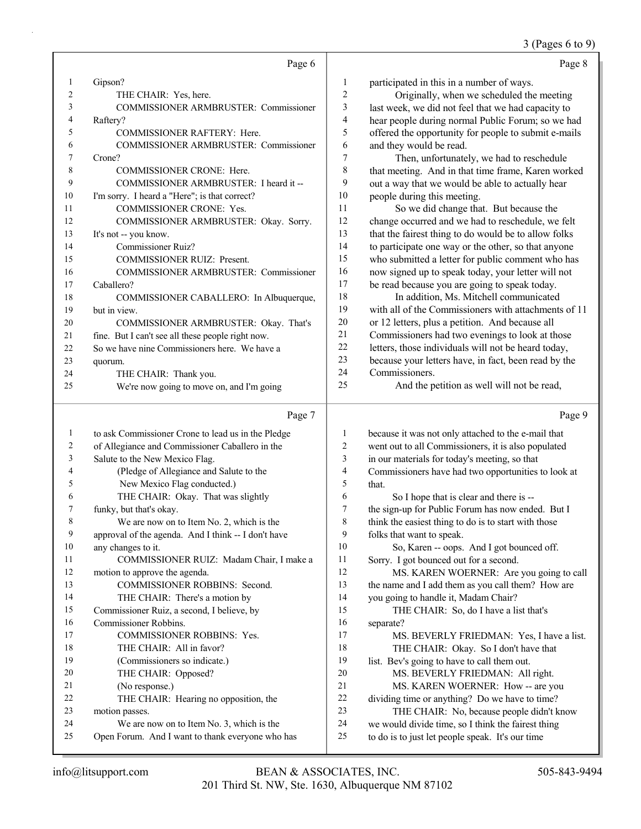### 3 (Pages 6 to 9)

|    | Page 6                                            |                | Page 8                                               |
|----|---------------------------------------------------|----------------|------------------------------------------------------|
| 1  | Gipson?                                           | 1              | participated in this in a number of ways.            |
| 2  | THE CHAIR: Yes, here.                             | $\overline{c}$ | Originally, when we scheduled the meeting            |
| 3  | <b>COMMISSIONER ARMBRUSTER: Commissioner</b>      | 3              | last week, we did not feel that we had capacity to   |
| 4  | Raftery?                                          | 4              | hear people during normal Public Forum; so we had    |
| 5  | <b>COMMISSIONER RAFTERY: Here.</b>                | 5              | offered the opportunity for people to submit e-mails |
| 6  | <b>COMMISSIONER ARMBRUSTER: Commissioner</b>      | 6              | and they would be read.                              |
| 7  | Crone?                                            | 7              | Then, unfortunately, we had to reschedule            |
| 8  | <b>COMMISSIONER CRONE: Here.</b>                  | 8              | that meeting. And in that time frame, Karen worked   |
| 9  | COMMISSIONER ARMBRUSTER: I heard it --            | 9              | out a way that we would be able to actually hear     |
| 10 | I'm sorry. I heard a "Here"; is that correct?     | 10             | people during this meeting.                          |
| 11 | COMMISSIONER CRONE: Yes.                          | 11             | So we did change that. But because the               |
| 12 | COMMISSIONER ARMBRUSTER: Okay. Sorry.             | 12             | change occurred and we had to reschedule, we felt    |
| 13 | It's not -- you know.                             | 13             | that the fairest thing to do would be to allow folks |
| 14 | Commissioner Ruiz?                                | 14             | to participate one way or the other, so that anyone  |
| 15 | <b>COMMISSIONER RUIZ: Present.</b>                | 15             | who submitted a letter for public comment who has    |
| 16 | COMMISSIONER ARMBRUSTER: Commissioner             | 16             | now signed up to speak today, your letter will not   |
| 17 | Caballero?                                        | 17             | be read because you are going to speak today.        |
| 18 | COMMISSIONER CABALLERO: In Albuquerque,           | 18             | In addition, Ms. Mitchell communicated               |
| 19 | but in view.                                      | 19             | with all of the Commissioners with attachments of 11 |
| 20 | COMMISSIONER ARMBRUSTER: Okay. That's             | 20             | or 12 letters, plus a petition. And because all      |
| 21 | fine. But I can't see all these people right now. | 21             | Commissioners had two evenings to look at those      |
| 22 | So we have nine Commissioners here. We have a     | 22             | letters, those individuals will not be heard today,  |
| 23 | quorum.                                           | 23             | because your letters have, in fact, been read by the |
| 24 | THE CHAIR: Thank you.                             | 24             | Commissioners.                                       |
| 25 | We're now going to move on, and I'm going         | 25             | And the petition as well will not be read,           |
|    | Page 7                                            |                | Page 9                                               |

### Page 7

| 1  | to ask Commissioner Crone to lead us in the Pledge  | 1              | because it was not only attached to the e-mail that  |
|----|-----------------------------------------------------|----------------|------------------------------------------------------|
| 2  | of Allegiance and Commissioner Caballero in the     | $\overline{c}$ | went out to all Commissioners, it is also populated  |
| 3  | Salute to the New Mexico Flag.                      | 3              | in our materials for today's meeting, so that        |
| 4  | (Pledge of Allegiance and Salute to the             | 4              | Commissioners have had two opportunities to look at  |
| 5  | New Mexico Flag conducted.)                         | 5              | that.                                                |
| 6  | THE CHAIR: Okay. That was slightly                  | 6              | So I hope that is clear and there is --              |
| 7  | funky, but that's okay.                             | 7              | the sign-up for Public Forum has now ended. But I    |
| 8  | We are now on to Item No. 2, which is the           | 8              | think the easiest thing to do is to start with those |
| 9  | approval of the agenda. And I think -- I don't have | 9              | folks that want to speak.                            |
| 10 | any changes to it.                                  | 10             | So, Karen -- oops. And I got bounced off.            |
| 11 | COMMISSIONER RUIZ: Madam Chair, I make a            | 11             | Sorry. I got bounced out for a second.               |
| 12 | motion to approve the agenda.                       | 12             | MS. KAREN WOERNER: Are you going to call             |
| 13 | COMMISSIONER ROBBINS: Second.                       | 13             | the name and I add them as you call them? How are    |
| 14 | THE CHAIR: There's a motion by                      | 14             | you going to handle it, Madam Chair?                 |
| 15 | Commissioner Ruiz, a second, I believe, by          | 15             | THE CHAIR: So, do I have a list that's               |
| 16 | Commissioner Robbins.                               | 16             | separate?                                            |
| 17 | <b>COMMISSIONER ROBBINS: Yes.</b>                   | 17             | MS. BEVERLY FRIEDMAN: Yes, I have a list.            |
| 18 | THE CHAIR: All in favor?                            | 18             | THE CHAIR: Okay. So I don't have that                |
| 19 | (Commissioners so indicate.)                        | 19             | list. Bev's going to have to call them out.          |
| 20 | THE CHAIR: Opposed?                                 | 20             | MS. BEVERLY FRIEDMAN: All right.                     |
| 21 | (No response.)                                      | 21             | MS. KAREN WOERNER: How -- are you                    |
| 22 | THE CHAIR: Hearing no opposition, the               | 22             | dividing time or anything? Do we have to time?       |
| 23 | motion passes.                                      | 23             | THE CHAIR: No, because people didn't know            |
| 24 | We are now on to Item No. 3, which is the           | 24             | we would divide time, so I think the fairest thing   |
| 25 | Open Forum. And I want to thank everyone who has    | 25             | to do is to just let people speak. It's our time     |
|    |                                                     |                |                                                      |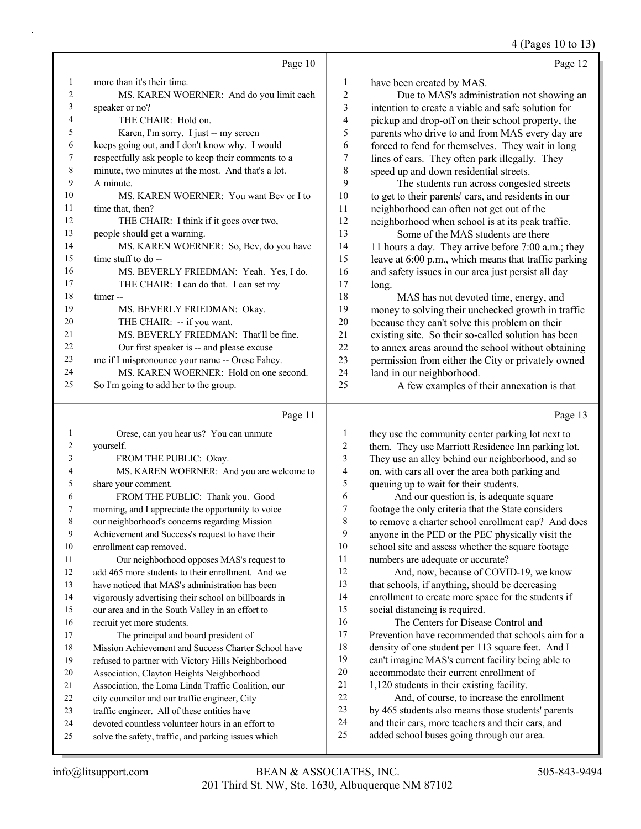4 (Pages 10 to 13)

|                  |                                                     |                | 4 (Pages 10 to 15)                                   |
|------------------|-----------------------------------------------------|----------------|------------------------------------------------------|
|                  | Page 10                                             |                | Page 12                                              |
| $\mathbf{1}$     | more than it's their time.                          | $\mathbf{1}$   | have been created by MAS.                            |
| $\sqrt{2}$       | MS. KAREN WOERNER: And do you limit each            | $\sqrt{2}$     | Due to MAS's administration not showing an           |
| 3                | speaker or no?                                      | $\mathfrak{Z}$ | intention to create a viable and safe solution for   |
| 4                | THE CHAIR: Hold on.                                 | $\overline{4}$ | pickup and drop-off on their school property, the    |
| 5                | Karen, I'm sorry. I just -- my screen               | 5              | parents who drive to and from MAS every day are      |
| 6                | keeps going out, and I don't know why. I would      | 6              | forced to fend for themselves. They wait in long     |
| $\boldsymbol{7}$ | respectfully ask people to keep their comments to a | 7              | lines of cars. They often park illegally. They       |
| $\,$ $\,$        | minute, two minutes at the most. And that's a lot.  | $\,$ 8 $\,$    | speed up and down residential streets.               |
| 9                | A minute.                                           | 9              | The students run across congested streets            |
| 10               | MS. KAREN WOERNER: You want Bev or I to             | 10             | to get to their parents' cars, and residents in our  |
| 11               | time that, then?                                    | 11             | neighborhood can often not get out of the            |
| 12               | THE CHAIR: I think if it goes over two,             | 12             | neighborhood when school is at its peak traffic.     |
| 13               | people should get a warning.                        | 13             | Some of the MAS students are there                   |
| 14               | MS. KAREN WOERNER: So, Bev, do you have             | 14             | 11 hours a day. They arrive before 7:00 a.m.; they   |
| 15               | time stuff to do --                                 | 15             | leave at 6:00 p.m., which means that traffic parking |
| 16               | MS. BEVERLY FRIEDMAN: Yeah. Yes, I do.              | 16             | and safety issues in our area just persist all day   |
| 17               | THE CHAIR: I can do that. I can set my              | 17             | long.                                                |
| 18               | timer-                                              | 18             | MAS has not devoted time, energy, and                |
| 19               | MS. BEVERLY FRIEDMAN: Okay.                         | 19             | money to solving their unchecked growth in traffic   |
| 20               | THE CHAIR: -- if you want.                          | 20             | because they can't solve this problem on their       |
| 21               | MS. BEVERLY FRIEDMAN: That'll be fine.              | 21             | existing site. So their so-called solution has been  |
| 22               | Our first speaker is -- and please excuse           | 22             | to annex areas around the school without obtaining   |
| 23               | me if I mispronounce your name -- Orese Fahey.      | 23             | permission from either the City or privately owned   |
| 24               | MS. KAREN WOERNER: Hold on one second.              | 24             | land in our neighborhood.                            |
| 25               | So I'm going to add her to the group.               | 25             | A few examples of their annexation is that           |
|                  |                                                     |                |                                                      |
|                  | Page 11                                             |                | Page 13                                              |
| $\mathbf{1}$     | Orese, can you hear us? You can unmute              | $\mathbf{1}$   | they use the community center parking lot next to    |
| $\sqrt{2}$       | yourself.                                           | $\overline{c}$ | them. They use Marriott Residence Inn parking lot.   |
| 3                | FROM THE PUBLIC: Okay.                              | 3              | They use an alley behind our neighborhood, and so    |
| 4                | MS. KAREN WOERNER: And you are welcome to           | $\overline{4}$ | on, with cars all over the area both parking and     |
| 5                | share your comment.                                 | 5              | queuing up to wait for their students.               |
| 6                | FROM THE PUBLIC: Thank you. Good                    | 6              | And our question is, is adequate square              |
| $\overline{7}$   | morning, and I appreciate the opportunity to voice  | 7              | footage the only criteria that the State considers   |
| $\,$ $\,$        | our neighborhood's concerns regarding Mission       | 8              | to remove a charter school enrollment cap? And does  |
| 9                | Achievement and Success's request to have their     | 9              | anyone in the PED or the PEC physically visit the    |
| 10               | enrollment cap removed.                             | 10             | school site and assess whether the square footage    |
| 11               | Our neighborhood opposes MAS's request to           | 11             | numbers are adequate or accurate?                    |
| 12               | add 465 more students to their enrollment. And we   | 12             | And, now, because of COVID-19, we know               |

12 And, now, because of COVID-19, we know that schools, if anything, should be decreasing enrollment to create more space for the students if social distancing is required.

16 The Centers for Disease Control and Prevention have recommended that schools aim for a density of one student per 113 square feet. And I can't imagine MAS's current facility being able to accommodate their current enrollment of 21 1,120 students in their existing facility. 22 And, of course, to increase the enrollment

 by 465 students also means those students' parents and their cars, more teachers and their cars, and added school buses going through our area.

 have noticed that MAS's administration has been vigorously advertising their school on billboards in our area and in the South Valley in an effort to

 Mission Achievement and Success Charter School have refused to partner with Victory Hills Neighborhood Association, Clayton Heights Neighborhood Association, the Loma Linda Traffic Coalition, our city councilor and our traffic engineer, City traffic engineer. All of these entities have devoted countless volunteer hours in an effort to solve the safety, traffic, and parking issues which

17 The principal and board president of

recruit yet more students.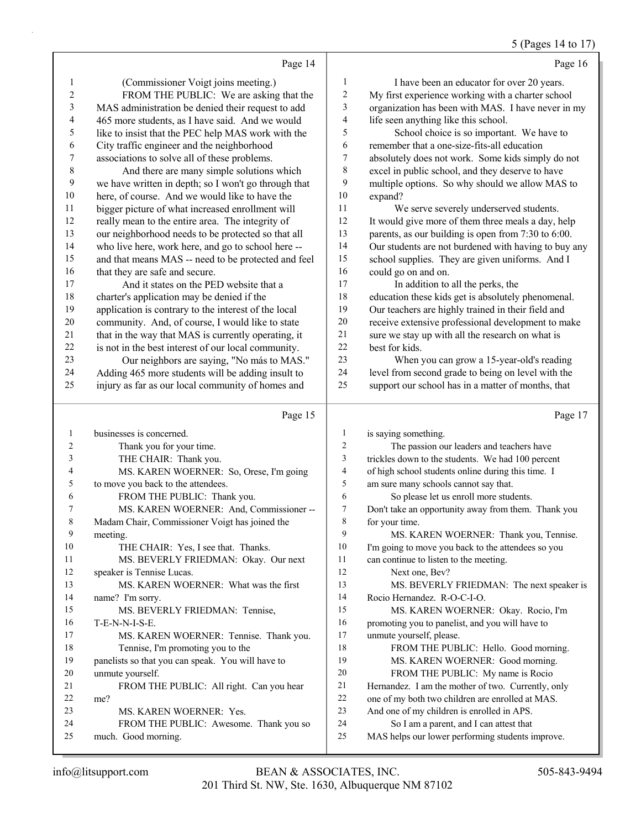### 5 (Pages 14 to 17)

|           | Page 14                                                       |                          | Page 16                                                                                     |
|-----------|---------------------------------------------------------------|--------------------------|---------------------------------------------------------------------------------------------|
| 1         | (Commissioner Voigt joins meeting.)                           | 1                        | I have been an educator for over 20 years.                                                  |
| 2         | FROM THE PUBLIC: We are asking that the                       | $\sqrt{2}$               | My first experience working with a charter school                                           |
| 3         | MAS administration be denied their request to add             | 3                        | organization has been with MAS. I have never in my                                          |
| 4         | 465 more students, as I have said. And we would               | 4                        | life seen anything like this school.                                                        |
| 5         | like to insist that the PEC help MAS work with the            | 5                        | School choice is so important. We have to                                                   |
| 6         | City traffic engineer and the neighborhood                    | 6                        | remember that a one-size-fits-all education                                                 |
| 7         | associations to solve all of these problems.                  | 7                        | absolutely does not work. Some kids simply do not                                           |
| 8         | And there are many simple solutions which                     | $\,$ $\,$                | excel in public school, and they deserve to have                                            |
| 9         | we have written in depth; so I won't go through that          | 9                        | multiple options. So why should we allow MAS to                                             |
| 10        | here, of course. And we would like to have the                | $10\,$                   | expand?                                                                                     |
| 11        | bigger picture of what increased enrollment will              | 11                       | We serve severely underserved students.                                                     |
| 12        | really mean to the entire area. The integrity of              | 12                       | It would give more of them three meals a day, help                                          |
| 13        | our neighborhood needs to be protected so that all            | 13                       | parents, as our building is open from 7:30 to 6:00.                                         |
| 14        | who live here, work here, and go to school here --            | 14                       | Our students are not burdened with having to buy any                                        |
| 15        | and that means MAS -- need to be protected and feel           | 15                       | school supplies. They are given uniforms. And I                                             |
| 16        | that they are safe and secure.                                | 16                       | could go on and on.                                                                         |
| 17        | And it states on the PED website that a                       | 17                       | In addition to all the perks, the                                                           |
| 18        | charter's application may be denied if the                    | 18                       | education these kids get is absolutely phenomenal.                                          |
| 19        | application is contrary to the interest of the local          | 19                       | Our teachers are highly trained in their field and                                          |
| $20\,$    | community. And, of course, I would like to state              | $20\,$                   | receive extensive professional development to make                                          |
| 21        | that in the way that MAS is currently operating, it           | 21                       | sure we stay up with all the research on what is                                            |
| $22\,$    | is not in the best interest of our local community.           | $22\,$                   | best for kids.                                                                              |
| 23        | Our neighbors are saying, "No más to MAS."                    | 23                       | When you can grow a 15-year-old's reading                                                   |
| 24        | Adding 465 more students will be adding insult to             | 24                       | level from second grade to being on level with the                                          |
| 25        | injury as far as our local community of homes and             | 25                       | support our school has in a matter of months, that                                          |
|           |                                                               |                          |                                                                                             |
|           |                                                               |                          |                                                                                             |
|           | Page 15                                                       |                          | Page 17                                                                                     |
| 1         | businesses is concerned.                                      | $\mathbf{1}$             | is saying something.                                                                        |
| 2         | Thank you for your time.                                      | 2                        | The passion our leaders and teachers have                                                   |
| 3         | THE CHAIR: Thank you.                                         | 3                        | trickles down to the students. We had 100 percent                                           |
| 4         | MS. KAREN WOERNER: So, Orese, I'm going                       | $\overline{\mathcal{L}}$ | of high school students online during this time. I                                          |
| 5         | to move you back to the attendees.                            | 5                        | am sure many schools cannot say that.                                                       |
| 6         | FROM THE PUBLIC: Thank you.                                   | 6                        | So please let us enroll more students.                                                      |
| 7         | MS. KAREN WOERNER: And, Commissioner --                       | $\boldsymbol{7}$         | Don't take an opportunity away from them. Thank you                                         |
| $\,$ $\,$ | Madam Chair, Commissioner Voigt has joined the                | 8                        | for your time.                                                                              |
| 9         | meeting.                                                      | 9                        | MS. KAREN WOERNER: Thank you, Tennise.                                                      |
| 10        | THE CHAIR: Yes, I see that. Thanks.                           | 10                       | I'm going to move you back to the attendees so you                                          |
| 11        | MS. BEVERLY FRIEDMAN: Okay. Our next                          | 11                       | can continue to listen to the meeting.                                                      |
| 12        | speaker is Tennise Lucas.                                     | 12                       | Next one, Bev?                                                                              |
| 13        | MS. KAREN WOERNER: What was the first                         | 13                       | MS. BEVERLY FRIEDMAN: The next speaker is                                                   |
| 14        | name? I'm sorry.                                              | 14                       | Rocio Hernandez. R-O-C-I-O.                                                                 |
| 15        | MS. BEVERLY FRIEDMAN: Tennise,                                | 15                       | MS. KAREN WOERNER: Okay. Rocio, I'm                                                         |
| 16        | T-E-N-N-I-S-E.                                                | 16                       | promoting you to panelist, and you will have to                                             |
| 17        | MS. KAREN WOERNER: Tennise. Thank you.                        | 17                       | unmute yourself, please.                                                                    |
| 18        | Tennise, I'm promoting you to the                             | 18                       | FROM THE PUBLIC: Hello. Good morning.                                                       |
| 19        | panelists so that you can speak. You will have to             | 19                       | MS. KAREN WOERNER: Good morning.                                                            |
| 20        | unmute yourself.                                              | 20                       | FROM THE PUBLIC: My name is Rocio                                                           |
| 21        | FROM THE PUBLIC: All right. Can you hear                      | 21                       | Hernandez. I am the mother of two. Currently, only                                          |
| 22        | me?                                                           | 22                       | one of my both two children are enrolled at MAS.                                            |
| 23        | MS. KAREN WOERNER: Yes.                                       | 23                       | And one of my children is enrolled in APS.                                                  |
| 24        | FROM THE PUBLIC: Awesome. Thank you so<br>much. Good morning. | 24<br>25                 | So I am a parent, and I can attest that<br>MAS helps our lower performing students improve. |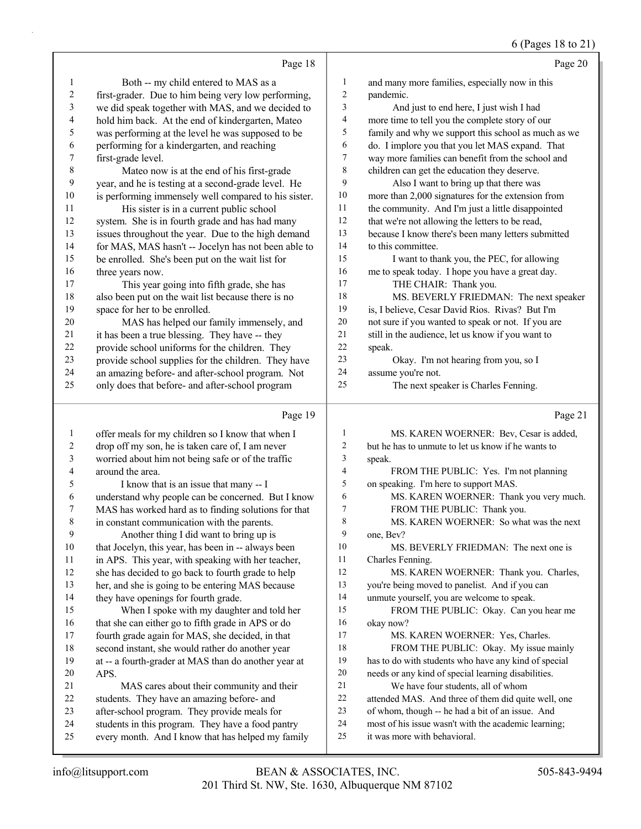|              |                                                      |                          | 6 (Pages 18 to 21)                                   |
|--------------|------------------------------------------------------|--------------------------|------------------------------------------------------|
|              | Page 18                                              |                          | Page 20                                              |
| 1            | Both -- my child entered to MAS as a                 | $\mathbf{1}$             | and many more families, especially now in this       |
| 2            | first-grader. Due to him being very low performing,  | $\mathbf{2}$             | pandemic.                                            |
| 3            | we did speak together with MAS, and we decided to    | 3                        | And just to end here, I just wish I had              |
| 4            | hold him back. At the end of kindergarten, Mateo     | 4                        | more time to tell you the complete story of our      |
| 5            | was performing at the level he was supposed to be    | 5                        | family and why we support this school as much as we  |
| 6            | performing for a kindergarten, and reaching          | 6                        | do. I implore you that you let MAS expand. That      |
| 7            | first-grade level.                                   | $\tau$                   | way more families can benefit from the school and    |
| 8            | Mateo now is at the end of his first-grade           | $\,8\,$                  | children can get the education they deserve.         |
| 9            | year, and he is testing at a second-grade level. He  | 9                        | Also I want to bring up that there was               |
| 10           | is performing immensely well compared to his sister. | $10\,$                   | more than 2,000 signatures for the extension from    |
| 11           | His sister is in a current public school             | $11\,$                   | the community. And I'm just a little disappointed    |
| 12           | system. She is in fourth grade and has had many      | $12\,$                   | that we're not allowing the letters to be read,      |
| 13           | issues throughout the year. Due to the high demand   | 13                       | because I know there's been many letters submitted   |
| 14           | for MAS, MAS hasn't -- Jocelyn has not been able to  | 14                       | to this committee.                                   |
| 15           | be enrolled. She's been put on the wait list for     | 15                       | I want to thank you, the PEC, for allowing           |
| 16           | three years now.                                     | 16                       | me to speak today. I hope you have a great day.      |
| 17           | This year going into fifth grade, she has            | 17                       | THE CHAIR: Thank you.                                |
| 18           | also been put on the wait list because there is no   | 18                       | MS. BEVERLY FRIEDMAN: The next speaker               |
| 19           | space for her to be enrolled.                        | 19                       | is, I believe, Cesar David Rios. Rivas? But I'm      |
| $20\,$       | MAS has helped our family immensely, and             | $20\,$                   | not sure if you wanted to speak or not. If you are   |
| 21           | it has been a true blessing. They have -- they       | 21                       | still in the audience, let us know if you want to    |
| 22           | provide school uniforms for the children. They       | $22\,$                   | speak.                                               |
| 23           | provide school supplies for the children. They have  | 23                       | Okay. I'm not hearing from you, so I                 |
| 24           | an amazing before- and after-school program. Not     | 24                       | assume you're not.                                   |
| 25           | only does that before- and after-school program      | 25                       | The next speaker is Charles Fenning.                 |
|              | Page 19                                              |                          | Page 21                                              |
| $\mathbf{1}$ | offer meals for my children so I know that when I    | 1                        | MS. KAREN WOERNER: Bev, Cesar is added,              |
| 2            | drop off my son, he is taken care of, I am never     | 2                        | but he has to unmute to let us know if he wants to   |
| 3            | worried about him not being safe or of the traffic   | $\mathfrak{Z}$           | speak.                                               |
| 4            | around the area.                                     | $\overline{\mathcal{L}}$ | FROM THE PUBLIC: Yes. I'm not planning               |
| 5            | I know that is an issue that many -- I               | 5                        | on speaking. I'm here to support MAS.                |
| 6            | understand why people can be concerned. But I know   | 6                        | MS. KAREN WOERNER: Thank you very much.              |
|              | MAS has worked hard as to finding solutions for that | 7                        | FROM THE PUBLIC: Thank you.                          |
| 8            | in constant communication with the parents.          | 8                        | MS. KAREN WOERNER: So what was the next              |
| 9            | Another thing I did want to bring up is              | 9                        | one, Bev?                                            |
| 10           | that Jocelyn, this year, has been in -- always been  | 10                       | MS. BEVERLY FRIEDMAN: The next one is                |
| 11           | in APS. This year, with speaking with her teacher,   | 11                       | Charles Fenning.                                     |
| 12           | she has decided to go back to fourth grade to help   | 12                       | MS. KAREN WOERNER: Thank you. Charles,               |
| 13           | her, and she is going to be entering MAS because     | 13                       | you're being moved to panelist. And if you can       |
| 14           | they have openings for fourth grade.                 | 14                       | unmute yourself, you are welcome to speak.           |
| 15           | When I spoke with my daughter and told her           | 15                       | FROM THE PUBLIC: Okay. Can you hear me               |
| 16           | that she can either go to fifth grade in APS or do   | 16                       | okay now?                                            |
| 17           | fourth grade again for MAS, she decided, in that     | 17                       | MS. KAREN WOERNER: Yes, Charles.                     |
| $18\,$       | second instant, she would rather do another year     | 18                       | FROM THE PUBLIC: Okay. My issue mainly               |
| 19           | at -- a fourth-grader at MAS than do another year at | 19                       | has to do with students who have any kind of special |
| 20           | APS.                                                 | 20                       | needs or any kind of special learning disabilities.  |
| 21           | MAS cares about their community and their            | 21                       | We have four students, all of whom                   |
| 22           | students. They have an amazing before- and           | 22                       | attended MAS. And three of them did quite well, one  |
| 23           | after-school program. They provide meals for         | 23                       | of whom, though -- he had a bit of an issue. And     |
| 24           | students in this program. They have a food pantry    | 24                       | most of his issue wasn't with the academic learning; |

every month. And I know that has helped my family

it was more with behavioral.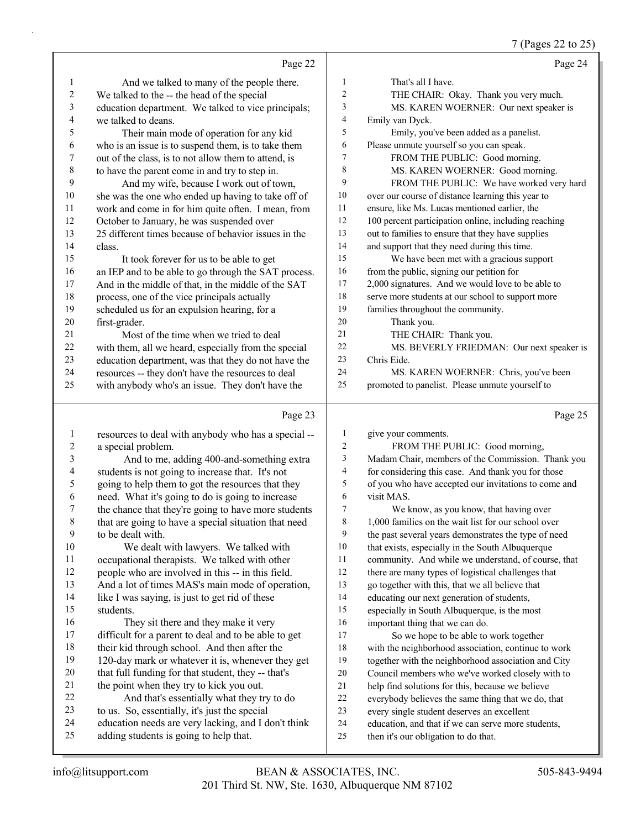7 (Pages 22 to 25)

|                          |                                                      |                          | $\frac{7}{2}$ (Pages 22 to 25)                       |
|--------------------------|------------------------------------------------------|--------------------------|------------------------------------------------------|
|                          | Page 22                                              |                          | Page 24                                              |
| 1                        | And we talked to many of the people there.           | $\mathbf{1}$             | That's all I have.                                   |
| $\boldsymbol{2}$         | We talked to the -- the head of the special          | $\mathfrak{2}$           | THE CHAIR: Okay. Thank you very much.                |
| 3                        | education department. We talked to vice principals;  | $\overline{\mathbf{3}}$  | MS. KAREN WOERNER: Our next speaker is               |
| $\overline{\mathcal{L}}$ | we talked to deans.                                  | $\overline{\mathcal{A}}$ | Emily van Dyck.                                      |
| 5                        | Their main mode of operation for any kid             | 5                        | Emily, you've been added as a panelist.              |
| 6                        | who is an issue is to suspend them, is to take them  | 6                        | Please unmute yourself so you can speak.             |
| $\boldsymbol{7}$         | out of the class, is to not allow them to attend, is | $\overline{7}$           | FROM THE PUBLIC: Good morning.                       |
| $\,$ $\,$                | to have the parent come in and try to step in.       | $\,$ 8 $\,$              | MS. KAREN WOERNER: Good morning.                     |
| 9                        | And my wife, because I work out of town,             | 9                        | FROM THE PUBLIC: We have worked very hard            |
| $10\,$                   | she was the one who ended up having to take off of   | 10                       | over our course of distance learning this year to    |
| 11                       | work and come in for him quite often. I mean, from   | 11                       | ensure, like Ms. Lucas mentioned earlier, the        |
| $12\,$                   | October to January, he was suspended over            | 12                       | 100 percent participation online, including reaching |
| 13                       | 25 different times because of behavior issues in the | 13                       | out to families to ensure that they have supplies    |
| 14                       | class.                                               | 14                       | and support that they need during this time.         |
| 15                       | It took forever for us to be able to get             | 15                       | We have been met with a gracious support             |
| 16                       | an IEP and to be able to go through the SAT process. | 16                       | from the public, signing our petition for            |
| $17$                     | And in the middle of that, in the middle of the SAT  | $17\,$                   | 2,000 signatures. And we would love to be able to    |
| 18                       | process, one of the vice principals actually         | 18                       | serve more students at our school to support more    |
| 19                       | scheduled us for an expulsion hearing, for a         | 19                       | families throughout the community.                   |
| $20\,$                   | first-grader.                                        | 20                       | Thank you.                                           |
| 21                       | Most of the time when we tried to deal               | 21                       | THE CHAIR: Thank you.                                |
| 22                       | with them, all we heard, especially from the special | 22                       | MS. BEVERLY FRIEDMAN: Our next speaker is            |
| 23                       | education department, was that they do not have the  | 23                       | Chris Eide.                                          |
| 24                       | resources -- they don't have the resources to deal   | 24                       | MS. KAREN WOERNER: Chris, you've been                |
| 25                       | with anybody who's an issue. They don't have the     | 25                       | promoted to panelist. Please unmute yourself to      |
|                          |                                                      |                          |                                                      |
|                          | Page 23                                              |                          | Page 25                                              |
| $\mathbf{1}$             | resources to deal with anybody who has a special --  | $\mathbf{1}$             | give your comments.                                  |
| $\overline{c}$           | a special problem.                                   | $\overline{2}$           | FROM THE PUBLIC: Good morning,                       |
| 3                        | And to me, adding 400-and-something extra            | $\mathfrak{Z}$           | Madam Chair, members of the Commission. Thank you    |
| $\overline{\mathcal{L}}$ | students is not going to increase that. It's not     | $\overline{\mathbf{4}}$  | for considering this case. And thank you for those   |
| 5                        | going to help them to got the resources that they    | 5                        | of you who have accepted our invitations to come and |
| 6                        | need. What it's going to do is going to increase     | 6                        | visit MAS.                                           |
| $\boldsymbol{7}$         | the chance that they're going to have more students  | $\tau$                   | We know, as you know, that having over               |
| $\,8\,$                  | that are going to have a special situation that need | $\,8\,$                  | 1,000 families on the wait list for our school over  |
| 9                        | to be dealt with.                                    | 9                        | the past several years demonstrates the type of need |
| 10                       | We dealt with lawyers. We talked with                | 10                       | that exists, especially in the South Albuquerque     |
| 11                       | occupational therapists. We talked with other        | 11                       | community. And while we understand, of course, that  |
| 12                       | people who are involved in this -- in this field.    | 12                       | there are many types of logistical challenges that   |

14 like I was saying, is just to get rid of these students.

And a lot of times MAS's main mode of operation,

- 16 They sit there and they make it very difficult for a parent to deal and to be able to get their kid through school. And then after the 120-day mark or whatever it is, whenever they get that full funding for that student, they -- that's 21 the point when they try to kick you out.<br>22 And that's essentially what they tr And that's essentially what they try to do
- to us. So, essentially, it's just the special
- education needs are very lacking, and I don't think
- adding students is going to help that.

 educating our next generation of students, especially in South Albuquerque, is the most important thing that we can do.

go together with this, that we all believe that

- 17 So we hope to be able to work together with the neighborhood association, continue to work
- together with the neighborhood association and City
- Council members who we've worked closely with to
- help find solutions for this, because we believe everybody believes the same thing that we do, that
- every single student deserves an excellent
- education, and that if we can serve more students,
- then it's our obligation to do that.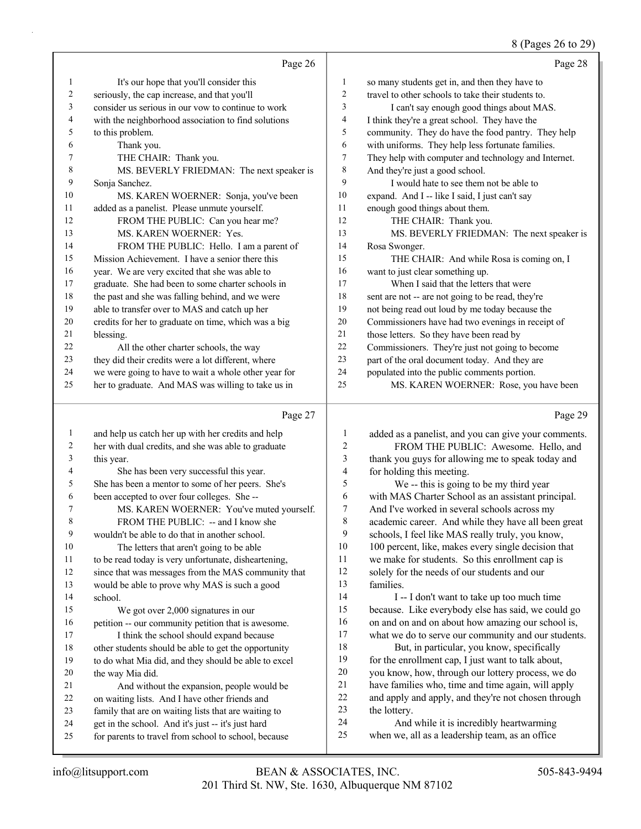#### 8 (Pages 26 to 29)

|    | Page 26                                              |                | Page 28                                              |
|----|------------------------------------------------------|----------------|------------------------------------------------------|
| 1  | It's our hope that you'll consider this              | 1              | so many students get in, and then they have to       |
| 2  | seriously, the cap increase, and that you'll         | $\overline{2}$ | travel to other schools to take their students to.   |
| 3  | consider us serious in our vow to continue to work   | 3              | I can't say enough good things about MAS.            |
| 4  | with the neighborhood association to find solutions  | $\overline{4}$ | I think they're a great school. They have the        |
| 5  | to this problem.                                     | 5              | community. They do have the food pantry. They help   |
| 6  | Thank you.                                           | 6              | with uniforms. They help less fortunate families.    |
| 7  | THE CHAIR: Thank you.                                | $\overline{7}$ | They help with computer and technology and Internet. |
| 8  | MS. BEVERLY FRIEDMAN: The next speaker is            | 8              | And they're just a good school.                      |
| 9  | Sonja Sanchez.                                       | 9              | I would hate to see them not be able to              |
| 10 | MS. KAREN WOERNER: Sonja, you've been                | 10             | expand. And I -- like I said, I just can't say       |
| 11 | added as a panelist. Please unmute yourself.         | 11             | enough good things about them.                       |
| 12 | FROM THE PUBLIC: Can you hear me?                    | 12             | THE CHAIR: Thank you.                                |
| 13 | MS. KAREN WOERNER: Yes.                              | 13             | MS. BEVERLY FRIEDMAN: The next speaker is            |
| 14 | FROM THE PUBLIC: Hello. I am a parent of             | 14             | Rosa Swonger.                                        |
| 15 | Mission Achievement. I have a senior there this      | 15             | THE CHAIR: And while Rosa is coming on, I            |
| 16 | year. We are very excited that she was able to       | 16             | want to just clear something up.                     |
| 17 | graduate. She had been to some charter schools in    | 17             | When I said that the letters that were               |
| 18 | the past and she was falling behind, and we were     | 18             | sent are not -- are not going to be read, they're    |
| 19 | able to transfer over to MAS and catch up her        | 19             | not being read out loud by me today because the      |
| 20 | credits for her to graduate on time, which was a big | 20             | Commissioners have had two evenings in receipt of    |
| 21 | blessing.                                            | 21             | those letters. So they have been read by             |
| 22 | All the other charter schools, the way               | 22             | Commissioners. They're just not going to become      |
| 23 | they did their credits were a lot different, where   | 23             | part of the oral document today. And they are        |
| 24 | we were going to have to wait a whole other year for | 24             | populated into the public comments portion.          |
| 25 | her to graduate. And MAS was willing to take us in   | 25             | MS. KAREN WOERNER: Rose, you have been               |
|    | Page 27                                              |                | Page 29                                              |
| 1  | and help us catch her up with her credits and help   | 1              | added as a panelist, and you can give your comments. |

#### her with dual credits, and she was able to graduate this year. 4 She has been very successful this year. She has been a mentor to some of her peers. She's been accepted to over four colleges. She -- 7 MS. KAREN WOERNER: You've muted yourself. 8 FROM THE PUBLIC: -- and I know she wouldn't be able to do that in another school. 10 The letters that aren't going to be able to be read today is very unfortunate, disheartening, since that was messages from the MAS community that would be able to prove why MAS is such a good school. 15 We got over 2,000 signatures in our petition -- our community petition that is awesome. 17 I think the school should expand because other students should be able to get the opportunity to do what Mia did, and they should be able to excel the way Mia did. 21 And without the expansion, people would be on waiting lists. And I have other friends and family that are on waiting lists that are waiting to get in the school. And it's just -- it's just hard for parents to travel from school to school, because 2 FROM THE PUBLIC: Awesome. Hello, and thank you guys for allowing me to speak today and for holding this meeting. 5 We -- this is going to be my third year with MAS Charter School as an assistant principal. And I've worked in several schools across my academic career. And while they have all been great schools, I feel like MAS really truly, you know, 10 100 percent, like, makes every single decision that we make for students. So this enrollment cap is solely for the needs of our students and our families. 14 I -- I don't want to take up too much time because. Like everybody else has said, we could go 16 on and on and on about how amazing our school is, what we do to serve our community and our students. 18 But, in particular, you know, specifically for the enrollment cap, I just want to talk about, you know, how, through our lottery process, we do have families who, time and time again, will apply and apply and apply, and they're not chosen through the lottery. 24 And while it is incredibly heartwarming when we, all as a leadership team, as an office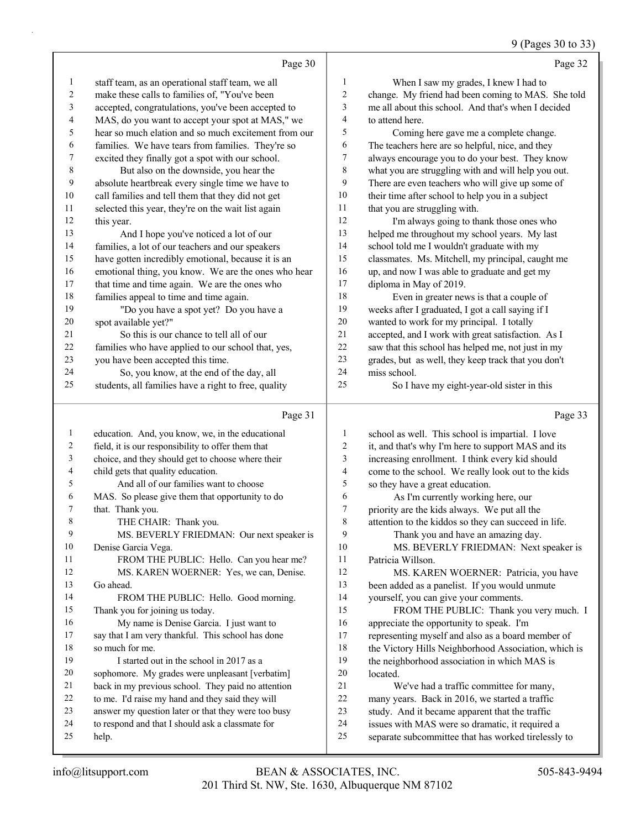#### 9 (Pages 30 to 33)

|              | Page 30                                              |                  | Page 32                                              |
|--------------|------------------------------------------------------|------------------|------------------------------------------------------|
| $\mathbf{1}$ | staff team, as an operational staff team, we all     | 1                | When I saw my grades, I knew I had to                |
| 2            | make these calls to families of, "You've been        | $\overline{c}$   | change. My friend had been coming to MAS. She told   |
| 3            | accepted, congratulations, you've been accepted to   | $\mathfrak{Z}$   | me all about this school. And that's when I decided  |
| 4            | MAS, do you want to accept your spot at MAS," we     | $\overline{4}$   | to attend here.                                      |
| 5            | hear so much elation and so much excitement from our | 5                | Coming here gave me a complete change.               |
| 6            | families. We have tears from families. They're so    | 6                | The teachers here are so helpful, nice, and they     |
| 7            | excited they finally got a spot with our school.     | $\boldsymbol{7}$ | always encourage you to do your best. They know      |
| 8            | But also on the downside, you hear the               | 8                | what you are struggling with and will help you out.  |
| 9            | absolute heartbreak every single time we have to     | 9                | There are even teachers who will give up some of     |
| 10           | call families and tell them that they did not get    | 10               | their time after school to help you in a subject     |
| 11           | selected this year, they're on the wait list again   | 11               | that you are struggling with.                        |
| 12           | this year.                                           | 12               | I'm always going to thank those ones who             |
| 13           | And I hope you've noticed a lot of our               | 13               | helped me throughout my school years. My last        |
| 14           | families, a lot of our teachers and our speakers     | 14               | school told me I wouldn't graduate with my           |
| 15           | have gotten incredibly emotional, because it is an   | 15               | classmates. Ms. Mitchell, my principal, caught me    |
| 16           | emotional thing, you know. We are the ones who hear  | 16               | up, and now I was able to graduate and get my        |
| 17           | that time and time again. We are the ones who        | 17               | diploma in May of 2019.                              |
| 18           | families appeal to time and time again.              | 18               | Even in greater news is that a couple of             |
| 19           | "Do you have a spot yet? Do you have a               | 19               | weeks after I graduated, I got a call saying if I    |
| 20           | spot available yet?"                                 | 20               | wanted to work for my principal. I totally           |
| 21           | So this is our chance to tell all of our             | 21               | accepted, and I work with great satisfaction. As I   |
| 22           | families who have applied to our school that, yes,   | 22               | saw that this school has helped me, not just in my   |
| 23           | you have been accepted this time.                    | 23               | grades, but as well, they keep track that you don't  |
| 24           | So, you know, at the end of the day, all             | 24               | miss school.                                         |
| 25           | students, all families have a right to free, quality | 25               | So I have my eight-year-old sister in this           |
|              |                                                      |                  |                                                      |
|              | Page 31                                              |                  | Page 33                                              |
| 1            | education. And, you know, we, in the educational     | 1                | school as well. This school is impartial. I love     |
| 2            | field, it is our responsibility to offer them that   | $\overline{c}$   | it, and that's why I'm here to support MAS and its   |
| 3            | choice, and they should get to choose where their    | $\mathfrak{Z}$   | increasing enrollment. I think every kid should      |
| 4            | child gets that quality education.                   | $\overline{4}$   | come to the school. We really look out to the kids   |
| 5            | And all of our families want to choose               | 5                | so they have a great education.                      |
| 6            | MAS. So please give them that opportunity to do      | 6                | As I'm currently working here, our                   |
| 7            | that. Thank you.                                     | $\boldsymbol{7}$ | priority are the kids always. We put all the         |
| 8            | THE CHAIR: Thank you.                                | 8                | attention to the kiddos so they can succeed in life. |
| 9            | MS. BEVERLY FRIEDMAN: Our next speaker is            | 9                | Thank you and have an amazing day.                   |
| 10           | Denise Garcia Vega.                                  | 10               | MS. BEVERLY FRIEDMAN: Next speaker is                |
| 11           | FROM THE PUBLIC: Hello. Can you hear me?             | 11               | Patricia Willson.                                    |
| 12           | MS. KAREN WOERNER: Yes, we can, Denise.              | 12               | MS. KAREN WOERNER: Patricia, you have                |
| 13           | Go ahead.                                            | 13               | been added as a panelist. If you would unmute        |
| 14           | FROM THE PUBLIC: Hello. Good morning.                | 14               | yourself, you can give your comments.                |

 Thank you for joining us today. 16 My name is Denise Garcia. I just want to say that I am very thankful. This school has done

- so much for me. 19 I started out in the school in 2017 as a
- sophomore. My grades were unpleasant [verbatim]
- back in my previous school. They paid no attention
- to me. I'd raise my hand and they said they will
- answer my question later or that they were too busy
- to respond and that I should ask a classmate for help.
- 15 FROM THE PUBLIC: Thank you very much. I appreciate the opportunity to speak. I'm
- representing myself and also as a board member of 18 the Victory Hills Neighborhood Association, which is
- the neighborhood association in which MAS is
- located. 21 We've had a traffic committee for many,
- many years. Back in 2016, we started a traffic
- study. And it became apparent that the traffic
- issues with MAS were so dramatic, it required a
- separate subcommittee that has worked tirelessly to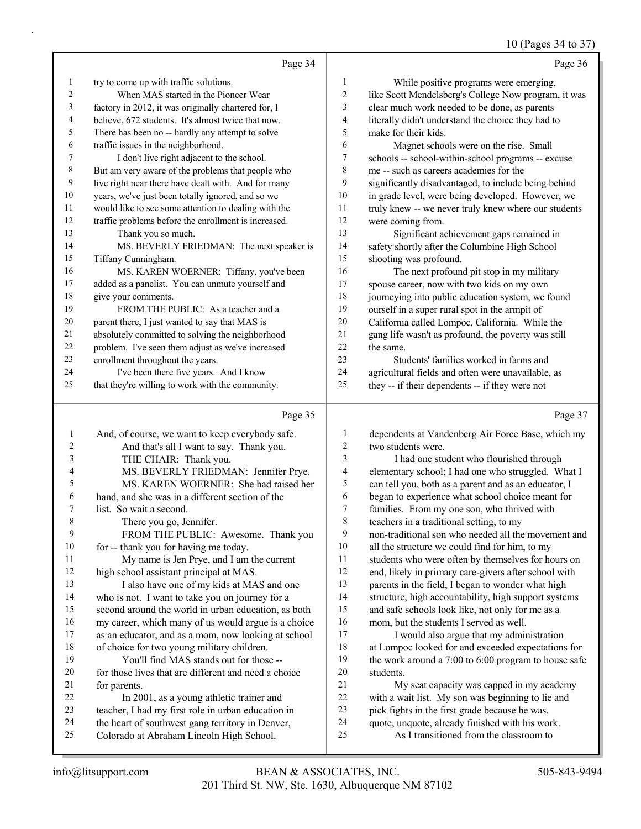#### 10 (Pages 34 to 37)

|                | Page 34                                              |                | Page 36                                              |
|----------------|------------------------------------------------------|----------------|------------------------------------------------------|
| 1              | try to come up with traffic solutions.               | 1              | While positive programs were emerging,               |
| $\overline{2}$ | When MAS started in the Pioneer Wear                 | $\overline{2}$ | like Scott Mendelsberg's College Now program, it was |
| 3              | factory in 2012, it was originally chartered for, I  | 3              | clear much work needed to be done, as parents        |
| 4              | believe, 672 students. It's almost twice that now.   | 4              | literally didn't understand the choice they had to   |
| 5              | There has been no -- hardly any attempt to solve     | 5              | make for their kids.                                 |
| 6              | traffic issues in the neighborhood.                  | 6              | Magnet schools were on the rise. Small               |
| 7              | I don't live right adjacent to the school.           | 7              | schools -- school-within-school programs -- excuse   |
| 8              | But am very aware of the problems that people who    | 8              | me -- such as careers academies for the              |
| 9              | live right near there have dealt with. And for many  | 9              | significantly disadvantaged, to include being behind |
| 10             | years, we've just been totally ignored, and so we    | 10             | in grade level, were being developed. However, we    |
| 11             | would like to see some attention to dealing with the | 11             | truly knew -- we never truly knew where our students |
| 12             | traffic problems before the enrollment is increased. | 12             | were coming from.                                    |
| 13             | Thank you so much.                                   | 13             | Significant achievement gaps remained in             |
| 14             | MS. BEVERLY FRIEDMAN: The next speaker is            | 14             | safety shortly after the Columbine High School       |
| 15             | Tiffany Cunningham.                                  | 15             | shooting was profound.                               |
| 16             | MS. KAREN WOERNER: Tiffany, you've been              | 16             | The next profound pit stop in my military            |
| 17             | added as a panelist. You can unmute yourself and     | 17             | spouse career, now with two kids on my own           |
| 18             | give your comments.                                  | 18             | journeying into public education system, we found    |
| 19             | FROM THE PUBLIC: As a teacher and a                  | 19             | ourself in a super rural spot in the armpit of       |
| 20             | parent there, I just wanted to say that MAS is       | 20             | California called Lompoc, California. While the      |
| 21             | absolutely committed to solving the neighborhood     | 21             | gang life wasn't as profound, the poverty was still  |
| 22             | problem. I've seen them adjust as we've increased    | 22             | the same.                                            |
| 23             | enrollment throughout the years.                     | 23             | Students' families worked in farms and               |
| 24             | I've been there five years. And I know               | 24             | agricultural fields and often were unavailable, as   |
| 25             | that they're willing to work with the community.     | 25             | they -- if their dependents -- if they were not      |
|                | Page 35                                              |                | Page 37                                              |

#### Page

|                | And, of course, we want to keep everybody safe.      | 1      | dependents at Vandenberg Air Force Base, which my    |
|----------------|------------------------------------------------------|--------|------------------------------------------------------|
| $\overline{2}$ | And that's all I want to say. Thank you.             | 2      | two students were.                                   |
| 3              | THE CHAIR: Thank you.                                | 3      | I had one student who flourished through             |
| 4              | MS. BEVERLY FRIEDMAN: Jennifer Prye.                 | 4      | elementary school; I had one who struggled. What I   |
| 5              | MS. KAREN WOERNER: She had raised her                | 5      | can tell you, both as a parent and as an educator, I |
| 6              | hand, and she was in a different section of the      | 6      | began to experience what school choice meant for     |
| 7              | list. So wait a second.                              | $\tau$ | families. From my one son, who thrived with          |
| 8              | There you go, Jennifer.                              | 8      | teachers in a traditional setting, to my             |
| 9              | FROM THE PUBLIC: Awesome. Thank you                  | 9      | non-traditional son who needed all the movement and  |
| 10             | for -- thank you for having me today.                | 10     | all the structure we could find for him, to my       |
| 11             | My name is Jen Prye, and I am the current            | 11     | students who were often by themselves for hours on   |
| 12             | high school assistant principal at MAS.              | 12     | end, likely in primary care-givers after school with |
| 13             | I also have one of my kids at MAS and one            | 13     | parents in the field, I began to wonder what high    |
| 14             | who is not. I want to take you on journey for a      | 14     | structure, high accountability, high support systems |
| 15             | second around the world in urban education, as both  | 15     | and safe schools look like, not only for me as a     |
| 16             | my career, which many of us would argue is a choice  | 16     | mom, but the students I served as well.              |
| 17             | as an educator, and as a mom, now looking at school  | 17     | I would also argue that my administration            |
| 18             | of choice for two young military children.           | 18     | at Lompoc looked for and exceeded expectations for   |
| 19             | You'll find MAS stands out for those --              | 19     | the work around a 7:00 to 6:00 program to house safe |
| 20             | for those lives that are different and need a choice | 20     | students.                                            |
| 21             | for parents.                                         | 21     | My seat capacity was capped in my academy            |
| 22             | In 2001, as a young athletic trainer and             | 22     | with a wait list. My son was beginning to lie and    |
| 23             | teacher, I had my first role in urban education in   | 23     | pick fights in the first grade because he was,       |
| 24             | the heart of southwest gang territory in Denver,     | 24     | quote, unquote, already finished with his work.      |
| 25             | Colorado at Abraham Lincoln High School.             | 25     | As I transitioned from the classroom to              |
|                |                                                      |        |                                                      |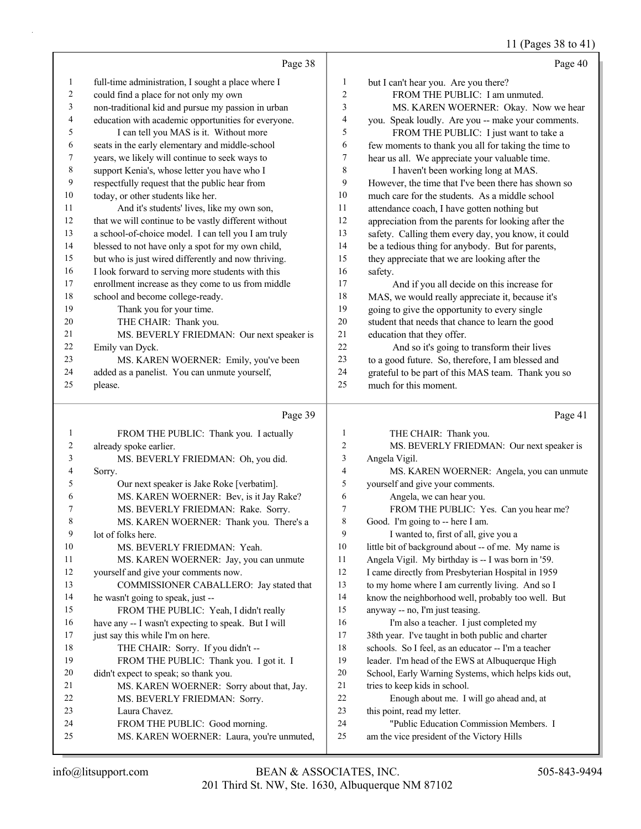### 11 (Pages 38 to 41)

|                | Page 38                                                                     |              | Page 40                                                                               |
|----------------|-----------------------------------------------------------------------------|--------------|---------------------------------------------------------------------------------------|
| $\mathbf{1}$   | full-time administration, I sought a place where I                          | $\mathbf{1}$ | but I can't hear you. Are you there?                                                  |
| $\overline{c}$ | could find a place for not only my own                                      | 2            | FROM THE PUBLIC: I am unmuted.                                                        |
| 3              | non-traditional kid and pursue my passion in urban                          | 3            | MS. KAREN WOERNER: Okay. Now we hear                                                  |
| 4              | education with academic opportunities for everyone.                         | 4            | you. Speak loudly. Are you -- make your comments.                                     |
| 5              | I can tell you MAS is it. Without more                                      | 5            | FROM THE PUBLIC: I just want to take a                                                |
| 6              | seats in the early elementary and middle-school                             | 6            | few moments to thank you all for taking the time to                                   |
| 7              | years, we likely will continue to seek ways to                              | 7            | hear us all. We appreciate your valuable time.                                        |
| $\,$ 8 $\,$    | support Kenia's, whose letter you have who I                                | 8            | I haven't been working long at MAS.                                                   |
| 9              | respectfully request that the public hear from                              | 9            | However, the time that I've been there has shown so                                   |
| 10             | today, or other students like her.                                          | 10           | much care for the students. As a middle school                                        |
| 11             | And it's students' lives, like my own son,                                  | 11           | attendance coach, I have gotten nothing but                                           |
| 12             | that we will continue to be vastly different without                        | 12           | appreciation from the parents for looking after the                                   |
| 13             | a school-of-choice model. I can tell you I am truly                         | 13           | safety. Calling them every day, you know, it could                                    |
| 14             | blessed to not have only a spot for my own child,                           | 14           | be a tedious thing for anybody. But for parents,                                      |
| 15             | but who is just wired differently and now thriving.                         | 15           | they appreciate that we are looking after the                                         |
| 16             | I look forward to serving more students with this                           | 16           | safety.                                                                               |
| 17             | enrollment increase as they come to us from middle                          | 17           | And if you all decide on this increase for                                            |
| 18             | school and become college-ready.                                            | 18           | MAS, we would really appreciate it, because it's                                      |
| 19             | Thank you for your time.                                                    | 19           | going to give the opportunity to every single                                         |
| 20             | THE CHAIR: Thank you.                                                       | $20\,$       | student that needs that chance to learn the good                                      |
| 21             | MS. BEVERLY FRIEDMAN: Our next speaker is                                   | $21\,$       | education that they offer.                                                            |
| 22             | Emily van Dyck.                                                             | $22\,$       | And so it's going to transform their lives                                            |
| 23             | MS. KAREN WOERNER: Emily, you've been                                       | 23           | to a good future. So, therefore, I am blessed and                                     |
| 24             | added as a panelist. You can unmute yourself,                               | 24           | grateful to be part of this MAS team. Thank you so                                    |
| 25             | please.                                                                     | 25           | much for this moment.                                                                 |
|                |                                                                             |              |                                                                                       |
|                | Page 39                                                                     |              | Page 41                                                                               |
| $\mathbf{1}$   | FROM THE PUBLIC: Thank you. I actually                                      | 1            | THE CHAIR: Thank you.                                                                 |
| 2              | already spoke earlier.                                                      | 2            | MS. BEVERLY FRIEDMAN: Our next speaker is                                             |
| 3              | MS. BEVERLY FRIEDMAN: Oh, you did.                                          | 3            | Angela Vigil.                                                                         |
| 4              | Sorry.                                                                      | 4            | MS. KAREN WOERNER: Angela, you can unmute                                             |
| 5              | Our next speaker is Jake Roke [verbatim].                                   | 5            | yourself and give your comments.                                                      |
| 6              | MS. KAREN WOERNER: Bev, is it Jay Rake?                                     | 6            | Angela, we can hear you.                                                              |
| 7              | MS. BEVERLY FRIEDMAN: Rake. Sorry.                                          | 7            | FROM THE PUBLIC: Yes. Can you hear me?                                                |
| 8              | MS. KAREN WOERNER: Thank you. There's a                                     | 8            | Good. I'm going to -- here I am.                                                      |
| 9              | lot of folks here.                                                          | 9            | I wanted to, first of all, give you a                                                 |
| 10             | MS. BEVERLY FRIEDMAN: Yeah.                                                 | 10           | little bit of background about -- of me. My name is                                   |
| 11             | MS. KAREN WOERNER: Jay, you can unmute                                      | 11           | Angela Vigil. My birthday is -- I was born in '59.                                    |
| 12             | yourself and give your comments now.                                        | 12           | I came directly from Presbyterian Hospital in 1959                                    |
| 13             | COMMISSIONER CABALLERO: Jay stated that                                     | 13           | to my home where I am currently living. And so I                                      |
| 14             | he wasn't going to speak, just --                                           | 14           | know the neighborhood well, probably too well. But                                    |
| 15             | FROM THE PUBLIC: Yeah, I didn't really                                      | 15           | anyway -- no, I'm just teasing.                                                       |
| 16             | have any -- I wasn't expecting to speak. But I will                         | 16           | I'm also a teacher. I just completed my                                               |
| 17             | just say this while I'm on here.                                            | 17           | 38th year. I've taught in both public and charter                                     |
| 18             | THE CHAIR: Sorry. If you didn't --                                          | 18           | schools. So I feel, as an educator -- I'm a teacher                                   |
| 19             | FROM THE PUBLIC: Thank you. I got it. I                                     | 19           | leader. I'm head of the EWS at Albuquerque High                                       |
| 20             | didn't expect to speak; so thank you.                                       | 20           | School, Early Warning Systems, which helps kids out,                                  |
| 21             | MS. KAREN WOERNER: Sorry about that, Jay.                                   | 21           | tries to keep kids in school.                                                         |
| 22             | MS. BEVERLY FRIEDMAN: Sorry.                                                | 22           | Enough about me. I will go ahead and, at                                              |
| 23             | Laura Chavez.                                                               | 23           | this point, read my letter.                                                           |
| 24<br>25       | FROM THE PUBLIC: Good morning.<br>MS. KAREN WOERNER: Laura, you're unmuted, | 24<br>25     | "Public Education Commission Members. I<br>am the vice president of the Victory Hills |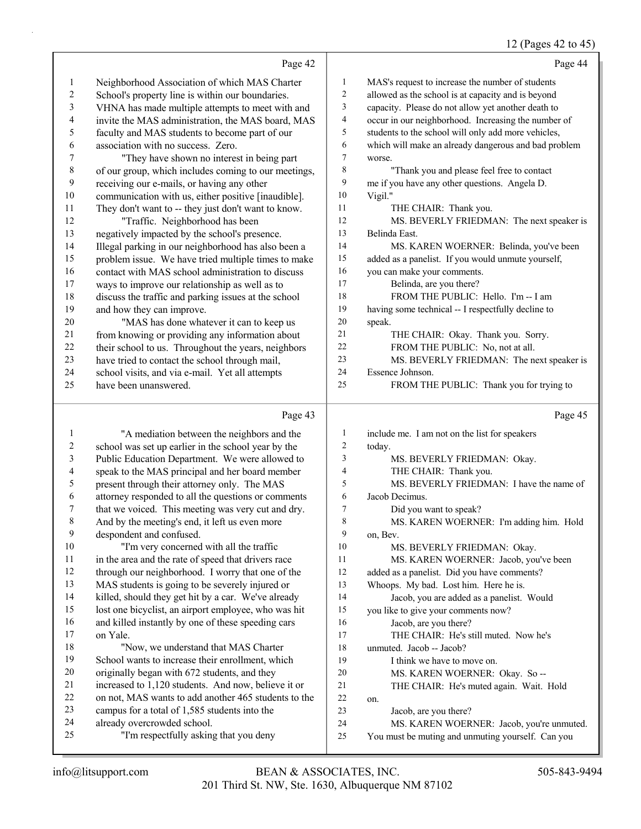#### 12 (Pages 42 to 45)

|           | Page 42                                              |                  | Page 44                                              |
|-----------|------------------------------------------------------|------------------|------------------------------------------------------|
| 1         | Neighborhood Association of which MAS Charter        | $\mathbf{1}$     | MAS's request to increase the number of students     |
| 2         | School's property line is within our boundaries.     | $\boldsymbol{2}$ | allowed as the school is at capacity and is beyond   |
| 3         | VHNA has made multiple attempts to meet with and     | 3                | capacity. Please do not allow yet another death to   |
| 4         | invite the MAS administration, the MAS board, MAS    | $\overline{4}$   | occur in our neighborhood. Increasing the number of  |
| 5         | faculty and MAS students to become part of our       | 5                | students to the school will only add more vehicles,  |
| 6         | association with no success. Zero.                   | 6                | which will make an already dangerous and bad problem |
| 7         | "They have shown no interest in being part           | $\tau$           | worse.                                               |
| $\,$ $\,$ | of our group, which includes coming to our meetings, | 8                | "Thank you and please feel free to contact           |
| 9         | receiving our e-mails, or having any other           | 9                | me if you have any other questions. Angela D.        |
| 10        | communication with us, either positive [inaudible].  | 10               | Vigil."                                              |
| 11        | They don't want to -- they just don't want to know.  | 11               | THE CHAIR: Thank you.                                |
| 12        | "Traffic. Neighborhood has been                      | 12               | MS. BEVERLY FRIEDMAN: The next speaker is            |
| 13        | negatively impacted by the school's presence.        | 13               | Belinda East.                                        |
| 14        | Illegal parking in our neighborhood has also been a  | 14               | MS. KAREN WOERNER: Belinda, you've been              |
| 15        | problem issue. We have tried multiple times to make  | 15               | added as a panelist. If you would unmute yourself,   |
| 16        | contact with MAS school administration to discuss    | 16               | you can make your comments.                          |
| 17        | ways to improve our relationship as well as to       | 17               | Belinda, are you there?                              |
| 18        | discuss the traffic and parking issues at the school | 18               | FROM THE PUBLIC: Hello. I'm -- I am                  |
| 19        | and how they can improve.                            | 19               | having some technical -- I respectfully decline to   |
| 20        | "MAS has done whatever it can to keep us             | 20               | speak.                                               |
| 21        | from knowing or providing any information about      | 21               | THE CHAIR: Okay. Thank you. Sorry.                   |
| 22        | their school to us. Throughout the years, neighbors  | 22               | FROM THE PUBLIC: No, not at all.                     |
| 23        | have tried to contact the school through mail,       | 23               | MS. BEVERLY FRIEDMAN: The next speaker is            |
| 24        | school visits, and via e-mail. Yet all attempts      | 24               | Essence Johnson.                                     |
| 25        | have been unanswered.                                | 25               | FROM THE PUBLIC: Thank you for trying to             |
|           |                                                      |                  |                                                      |
|           | Page 43                                              |                  | Page 45                                              |
| 1         | "A mediation between the neighbors and the           | 1                | include me. I am not on the list for speakers        |
| 2         | school was set up earlier in the school year by the  | $\overline{2}$   | today.                                               |
| 3         | Public Education Department. We were allowed to      | 3                | MS. BEVERLY FRIEDMAN: Okay.                          |
| 4         | speak to the MAS principal and her board member      | 4                | THE CHAIR: Thank you.                                |
| 5         | present through their attorney only. The MAS         | 5                | MS. BEVERLY FRIEDMAN: I have the name of             |
| 6         | attorney responded to all the questions or comments  | 6                | Jacob Decimus.                                       |
| 7         | that we voiced. This meeting was very cut and dry.   | $\overline{7}$   | Did you want to speak?                               |
| $\,8\,$   | And by the meeting's end, it left us even more       | 8                | MS. KAREN WOERNER: I'm adding him. Hold              |
| 9         | despondent and confused.                             | 9                | on, Bev.                                             |
| $10\,$    | "I'm very concerned with all the traffic             | 10               | MS. BEVERLY FRIEDMAN: Okay.                          |
| 11        | in the area and the rate of speed that drivers race  | 11               | MS. KAREN WOERNER: Jacob, you've been                |
| 12        | through our neighborhood. I worry that one of the    | 12               | added as a panelist. Did you have comments?          |
| 13        | MAS students is going to be severely injured or      | 13               | Whoops. My bad. Lost him. Here he is.                |
| 14        | killed, should they get hit by a car. We've already  | 14               | Jacob, you are added as a panelist. Would            |
| 15        | lost one bicyclist, an airport employee, who was hit | 15               | you like to give your comments now?                  |

on Yale.

and killed instantly by one of these speeding cars

18 "Now, we understand that MAS Charter School wants to increase their enrollment, which originally began with 672 students, and they increased to 1,120 students. And now, believe it or on not, MAS wants to add another 465 students to the

campus for a total of 1,585 students into the

25 "I'm respectfully asking that you deny

already overcrowded school.

on.

16 Jacob, are you there?

 unmuted. Jacob -- Jacob? 19 I think we have to move on.

23 Jacob, are you there?

17 THE CHAIR: He's still muted. Now he's

20 MS. KAREN WOERNER: Okay. So -- 21 THE CHAIR: He's muted again. Wait. Hold

24 MS. KAREN WOERNER: Jacob, you're unmuted. You must be muting and unmuting yourself. Can you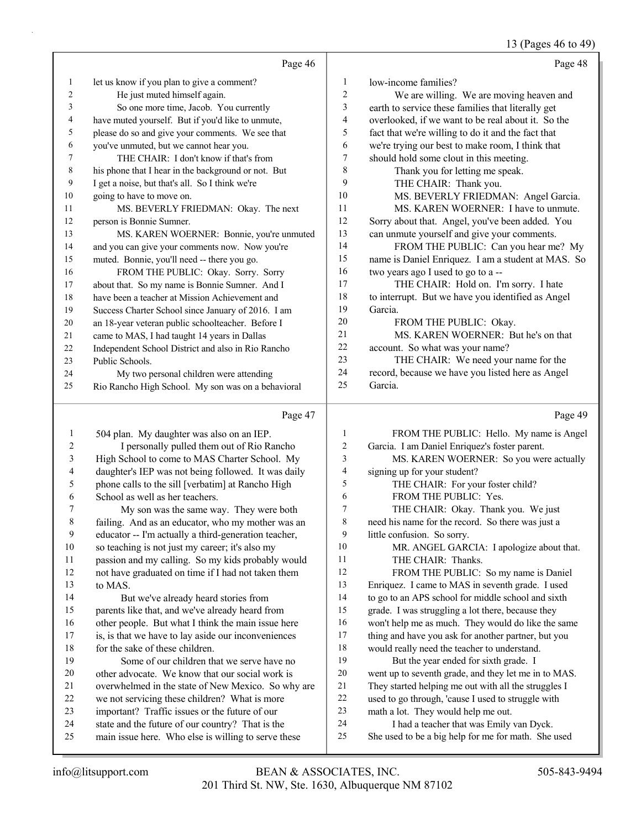#### 13 (Pages 46 to 49)

|                | Page 46                                             |        | Page 48                                            |
|----------------|-----------------------------------------------------|--------|----------------------------------------------------|
| 1              | let us know if you plan to give a comment?          | 1      | low-income families?                               |
| $\overline{c}$ | He just muted himself again.                        | 2      | We are willing. We are moving heaven and           |
| 3              | So one more time, Jacob. You currently              | 3      | earth to service these families that literally get |
| 4              | have muted yourself. But if you'd like to unmute,   | 4      | overlooked, if we want to be real about it. So the |
| 5              | please do so and give your comments. We see that    | 5      | fact that we're willing to do it and the fact that |
| 6              | you've unmuted, but we cannot hear you.             | 6      | we're trying our best to make room, I think that   |
| 7              | THE CHAIR: I don't know if that's from              | 7      | should hold some clout in this meeting.            |
| 8              | his phone that I hear in the background or not. But | 8      | Thank you for letting me speak.                    |
| 9              | I get a noise, but that's all. So I think we're     | 9      | THE CHAIR: Thank you.                              |
| 10             | going to have to move on.                           | 10     | MS. BEVERLY FRIEDMAN: Angel Garcia.                |
| 11             | MS. BEVERLY FRIEDMAN: Okay. The next                | 11     | MS. KAREN WOERNER: I have to unmute.               |
| 12             | person is Bonnie Sumner.                            | 12     | Sorry about that. Angel, you've been added. You    |
| 13             | MS. KAREN WOERNER: Bonnie, you're unmuted           | 13     | can unmute yourself and give your comments.        |
| 14             | and you can give your comments now. Now you're      | 14     | FROM THE PUBLIC: Can you hear me? My               |
| 15             | muted. Bonnie, you'll need -- there you go.         | 15     | name is Daniel Enriquez. I am a student at MAS. So |
| 16             | FROM THE PUBLIC: Okay. Sorry. Sorry                 | 16     | two years ago I used to go to a --                 |
| 17             | about that. So my name is Bonnie Sumner. And I      | 17     | THE CHAIR: Hold on. I'm sorry. I hate              |
| 18             | have been a teacher at Mission Achievement and      | 18     | to interrupt. But we have you identified as Angel  |
| 19             | Success Charter School since January of 2016. I am  | 19     | Garcia.                                            |
| 20             | an 18-year veteran public schoolteacher. Before I   | 20     | FROM THE PUBLIC: Okay.                             |
| 21             | came to MAS, I had taught 14 years in Dallas        | 21     | MS. KAREN WOERNER: But he's on that                |
| 22             | Independent School District and also in Rio Rancho  | $22\,$ | account. So what was your name?                    |
| 23             | Public Schools.                                     | 23     | THE CHAIR: We need your name for the               |
| 24             | My two personal children were attending             | 24     | record, because we have you listed here as Angel   |
| 25             | Rio Rancho High School. My son was on a behavioral  | 25     | Garcia.                                            |
|                | Page 47                                             |        | Page 49                                            |
| $\mathbf{1}$   | 504 plan. My daughter was also on an IEP.           | 1      | FROM THE PUBLIC: Hello. My name is Angel           |
| 2              | I personally pulled them out of Rio Rancho          | 2      | Garcia. I am Daniel Enriquez's foster parent.      |
| 3              | High School to come to MAS Charter School. My       | 3      | MS. KAREN WOERNER: So you were actually            |
| 4              | daughter's IEP was not being followed. It was daily | 4      | signing up for your student?                       |
| 5              | phone calls to the sill [verbatim] at Rancho High   | 5      | THE CHAIR: For your foster child?                  |
|                |                                                     |        |                                                    |

- 6 FROM THE PUBLIC: Yes.
- 7 THE CHAIR: Okay. Thank you. We just
- need his name for the record. So there was just a little confusion. So sorry.
- 10 MR. ANGEL GARCIA: I apologize about that.
- 11 THE CHAIR: Thanks.
- 12 FROM THE PUBLIC: So my name is Daniel Enriquez. I came to MAS in seventh grade. I used to go to an APS school for middle school and sixth grade. I was struggling a lot there, because they won't help me as much. They would do like the same thing and have you ask for another partner, but you would really need the teacher to understand.
- 19 But the year ended for sixth grade. I went up to seventh grade, and they let me in to MAS. They started helping me out with all the struggles I used to go through, 'cause I used to struggle with math a lot. They would help me out.
- 24 I had a teacher that was Emily van Dyck.
- She used to be a big help for me for math. She used

to MAS.

School as well as her teachers.

for the sake of these children.

7 My son was the same way. They were both failing. And as an educator, who my mother was an educator -- I'm actually a third-generation teacher, so teaching is not just my career; it's also my passion and my calling. So my kids probably would not have graduated on time if I had not taken them

14 But we've already heard stories from parents like that, and we've already heard from other people. But what I think the main issue here is, is that we have to lay aside our inconveniences

19 Some of our children that we serve have no other advocate. We know that our social work is overwhelmed in the state of New Mexico. So why are we not servicing these children? What is more important? Traffic issues or the future of our state and the future of our country? That is the main issue here. Who else is willing to serve these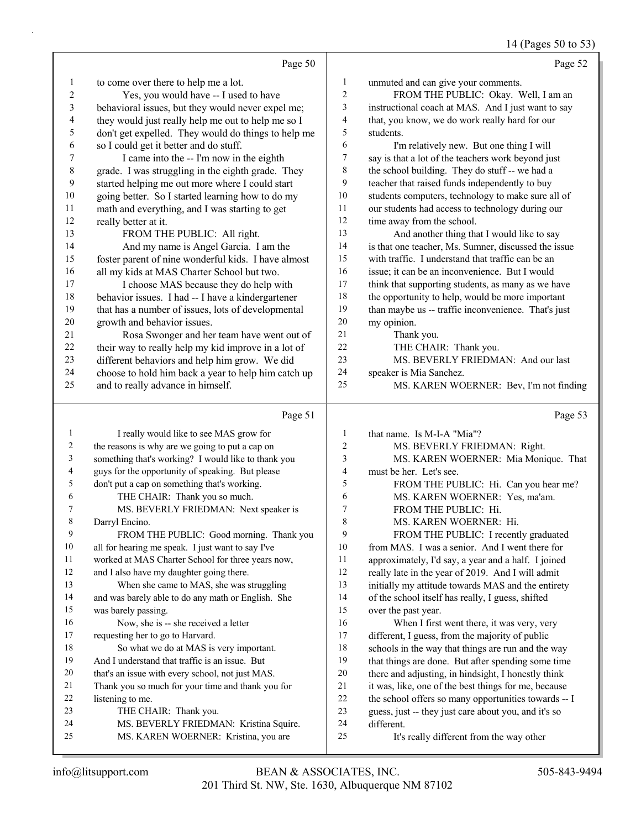### 14 (Pages 50 to 53)

|                | Page 50                                                                                    |          | Page 52                                                    |
|----------------|--------------------------------------------------------------------------------------------|----------|------------------------------------------------------------|
| $\mathbf{1}$   | to come over there to help me a lot.                                                       | 1        | unmuted and can give your comments.                        |
| $\mathbf{2}$   | Yes, you would have -- I used to have                                                      | 2        | FROM THE PUBLIC: Okay. Well, I am an                       |
| 3              | behavioral issues, but they would never expel me;                                          | 3        | instructional coach at MAS. And I just want to say         |
| 4              | they would just really help me out to help me so I                                         | 4        | that, you know, we do work really hard for our             |
| 5              | don't get expelled. They would do things to help me                                        | 5        | students.                                                  |
| 6              | so I could get it better and do stuff.                                                     | 6        | I'm relatively new. But one thing I will                   |
| 7              | I came into the -- I'm now in the eighth                                                   | 7        | say is that a lot of the teachers work beyond just         |
| $\,$ $\,$      | grade. I was struggling in the eighth grade. They                                          | 8        | the school building. They do stuff -- we had a             |
| 9              | started helping me out more where I could start                                            | 9        | teacher that raised funds independently to buy             |
| $10\,$         | going better. So I started learning how to do my                                           | $10\,$   | students computers, technology to make sure all of         |
| 11             | math and everything, and I was starting to get                                             | 11       | our students had access to technology during our           |
| 12             | really better at it.                                                                       | 12       | time away from the school.                                 |
| 13             | FROM THE PUBLIC: All right.                                                                | 13       | And another thing that I would like to say                 |
| 14             | And my name is Angel Garcia. I am the                                                      | 14       | is that one teacher, Ms. Sumner, discussed the issue       |
| 15             | foster parent of nine wonderful kids. I have almost                                        | 15       | with traffic. I understand that traffic can be an          |
| 16             | all my kids at MAS Charter School but two.                                                 | 16       | issue; it can be an inconvenience. But I would             |
| 17             | I choose MAS because they do help with                                                     | 17       | think that supporting students, as many as we have         |
| $18\,$         | behavior issues. I had -- I have a kindergartener                                          | 18       | the opportunity to help, would be more important           |
| 19             | that has a number of issues, lots of developmental                                         | 19       | than maybe us -- traffic inconvenience. That's just        |
| $20\,$         | growth and behavior issues.                                                                | $20\,$   | my opinion.                                                |
| 21             | Rosa Swonger and her team have went out of                                                 | 21       | Thank you.                                                 |
| 22             | their way to really help my kid improve in a lot of                                        | $22\,$   | THE CHAIR: Thank you.                                      |
| 23             | different behaviors and help him grow. We did                                              | 23       | MS. BEVERLY FRIEDMAN: And our last                         |
| 24             | choose to hold him back a year to help him catch up                                        | 24       | speaker is Mia Sanchez.                                    |
| 25             | and to really advance in himself.                                                          | 25       | MS. KAREN WOERNER: Bev, I'm not finding                    |
|                |                                                                                            |          |                                                            |
|                | Page 51                                                                                    |          | Page 53                                                    |
| 1              |                                                                                            | 1        |                                                            |
| $\overline{c}$ | I really would like to see MAS grow for<br>the reasons is why are we going to put a cap on | 2        | that name. Is M-I-A "Mia"?<br>MS. BEVERLY FRIEDMAN: Right. |
| 3              | something that's working? I would like to thank you                                        | 3        | MS. KAREN WOERNER: Mia Monique. That                       |
| 4              | guys for the opportunity of speaking. But please                                           | 4        | must be her. Let's see.                                    |
| 5              | don't put a cap on something that's working.                                               | 5        | FROM THE PUBLIC: Hi. Can you hear me?                      |
| 6              | THE CHAIR: Thank you so much.                                                              | 6        | MS. KAREN WOERNER: Yes, ma'am.                             |
| 7              | MS. BEVERLY FRIEDMAN: Next speaker is                                                      | 7        | FROM THE PUBLIC: Hi.                                       |
| 8              | Darryl Encino.                                                                             | 8        | MS. KAREN WOERNER: Hi.                                     |
| 9              | FROM THE PUBLIC: Good morning. Thank you                                                   | 9        | FROM THE PUBLIC: I recently graduated                      |
| 10             | all for hearing me speak. I just want to say I've                                          | 10       | from MAS. I was a senior. And I went there for             |
| 11             | worked at MAS Charter School for three years now,                                          | 11       | approximately, I'd say, a year and a half. I joined        |
| 12             | and I also have my daughter going there.                                                   | 12       | really late in the year of 2019. And I will admit          |
| 13             | When she came to MAS, she was struggling                                                   | 13       | initially my attitude towards MAS and the entirety         |
| 14             | and was barely able to do any math or English. She                                         | 14       | of the school itself has really, I guess, shifted          |
| 15             | was barely passing.                                                                        | 15       | over the past year.                                        |
| 16             | Now, she is -- she received a letter                                                       | 16       | When I first went there, it was very, very                 |
| 17             | requesting her to go to Harvard.                                                           | 17       | different, I guess, from the majority of public            |
| 18             | So what we do at MAS is very important.                                                    | 18       | schools in the way that things are run and the way         |
| 19             | And I understand that traffic is an issue. But                                             | 19       | that things are done. But after spending some time         |
| 20             | that's an issue with every school, not just MAS.                                           | $20\,$   | there and adjusting, in hindsight, I honestly think        |
| 21             | Thank you so much for your time and thank you for                                          | 21       | it was, like, one of the best things for me, because       |
| 22             | listening to me.                                                                           | $22\,$   | the school offers so many opportunities towards -- I       |
| 23             | THE CHAIR: Thank you.                                                                      | 23       | guess, just -- they just care about you, and it's so       |
| 24<br>25       | MS. BEVERLY FRIEDMAN: Kristina Squire.<br>MS. KAREN WOERNER: Kristina, you are             | 24<br>25 | different.<br>It's really different from the way other     |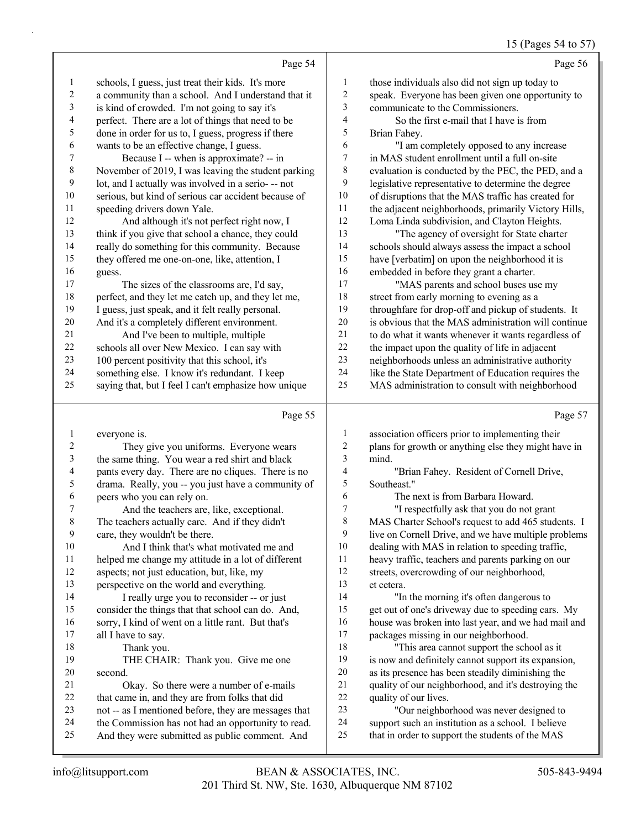#### 15 (Pages 54 to 57)

|                          |                                                      |                         | 15 (Pages $34$ to $3/$                               |
|--------------------------|------------------------------------------------------|-------------------------|------------------------------------------------------|
|                          | Page 54                                              |                         | Page 56                                              |
| $\mathbf{1}$             | schools, I guess, just treat their kids. It's more   | 1                       | those individuals also did not sign up today to      |
| $\boldsymbol{2}$         | a community than a school. And I understand that it  | $\sqrt{2}$              | speak. Everyone has been given one opportunity to    |
| $\mathfrak{Z}$           | is kind of crowded. I'm not going to say it's        | $\mathfrak{Z}$          | communicate to the Commissioners.                    |
| $\overline{\mathcal{L}}$ | perfect. There are a lot of things that need to be   | $\overline{\mathbf{4}}$ | So the first e-mail that I have is from              |
| 5                        | done in order for us to, I guess, progress if there  | 5                       | Brian Fahey.                                         |
| 6                        | wants to be an effective change, I guess.            | 6                       | "I am completely opposed to any increase             |
| 7                        | Because I -- when is approximate? -- in              | $\boldsymbol{7}$        | in MAS student enrollment until a full on-site       |
| $\,$ $\,$                | November of 2019, I was leaving the student parking  | $\,$ 8 $\,$             | evaluation is conducted by the PEC, the PED, and a   |
| 9                        | lot, and I actually was involved in a serio--- not   | 9                       | legislative representative to determine the degree   |
| 10                       | serious, but kind of serious car accident because of | $10\,$                  | of disruptions that the MAS traffic has created for  |
| 11                       | speeding drivers down Yale.                          | 11                      | the adjacent neighborhoods, primarily Victory Hills, |
| 12                       | And although it's not perfect right now, I           | 12                      | Loma Linda subdivision, and Clayton Heights.         |
| 13                       | think if you give that school a chance, they could   | 13                      | "The agency of oversight for State charter           |
| 14                       | really do something for this community. Because      | 14                      | schools should always assess the impact a school     |
| 15                       | they offered me one-on-one, like, attention, I       | 15                      | have [verbatim] on upon the neighborhood it is       |
| 16                       | guess.                                               | 16                      | embedded in before they grant a charter.             |
| 17                       | The sizes of the classrooms are, I'd say,            | 17                      | "MAS parents and school buses use my                 |
| 18                       | perfect, and they let me catch up, and they let me,  | 18                      | street from early morning to evening as a            |
| 19                       | I guess, just speak, and it felt really personal.    | 19                      | throughfare for drop-off and pickup of students. It  |
| $20\,$                   | And it's a completely different environment.         | 20                      | is obvious that the MAS administration will continue |
| 21                       | And I've been to multiple, multiple                  | 21                      | to do what it wants whenever it wants regardless of  |
| 22                       | schools all over New Mexico. I can say with          | 22                      | the impact upon the quality of life in adjacent      |
| 23                       | 100 percent positivity that this school, it's        | 23                      | neighborhoods unless an administrative authority     |
| 24                       | something else. I know it's redundant. I keep        | 24                      | like the State Department of Education requires the  |
| 25                       | saying that, but I feel I can't emphasize how unique | 25                      | MAS administration to consult with neighborhood      |
|                          | Page 55                                              |                         | Page 57                                              |
| $\mathbf{1}$             | everyone is.                                         | $\mathbf{1}$            | association officers prior to implementing their     |
| $\overline{c}$           | They give you uniforms. Everyone wears               | $\sqrt{2}$              | plans for growth or anything else they might have in |
| 3                        | the same thing. You wear a red shirt and black       | 3                       | mind.                                                |
| 4                        | pants every day. There are no cliques. There is no   | 4                       | "Brian Fahey. Resident of Cornell Drive,             |
| 5                        | drama. Really, you -- you just have a community of   | 5                       | Southeast."                                          |
| 6                        | peers who you can rely on.                           | $\epsilon$              | The next is from Barbara Howard.                     |
| $\overline{7}$           | And the teachers are, like, exceptional.             | $\overline{7}$          | "I respectfully ask that you do not grant            |
| 8                        | The teachers actually care. And if they didn't       | $\,$ 8 $\,$             | MAS Charter School's request to add 465 students. I  |
| 9                        | care, they wouldn't be there.                        | 9                       | live on Cornell Drive, and we have multiple problems |
| 10                       | And I think that's what motivated me and             | 10                      | dealing with MAS in relation to speeding traffic,    |
| 11                       | helped me change my attitude in a lot of different   | 11                      | heavy traffic, teachers and parents parking on our   |
| 12                       | aspects; not just education, but, like, my           | 12                      | streets, overcrowding of our neighborhood,           |
| 13                       | perspective on the world and everything.             | 13                      | et cetera.                                           |
| 14                       | I really urge you to reconsider -- or just           | 14                      | "In the morning it's often dangerous to              |
| 15                       | consider the things that that school can do. And,    | 15                      | get out of one's driveway due to speeding cars. My   |
| 16                       | sorry, I kind of went on a little rant. But that's   | 16                      | house was broken into last year, and we had mail and |

17 all I have to say. 18 Thank you.

19 THE CHAIR: Thank you. Give me one second.

- 21 Okay. So there were a number of e-mails that came in, and they are from folks that did not -- as I mentioned before, they are messages that
- the Commission has not had an opportunity to read.
- And they were submitted as public comment. And
- packages missing in our neighborhood. 18 "This area cannot support the school as it is now and definitely cannot support its expansion, as its presence has been steadily diminishing the quality of our neighborhood, and it's destroying the
- quality of our lives.

23 "Our neighborhood was never designed to support such an institution as a school. I believe that in order to support the students of the MAS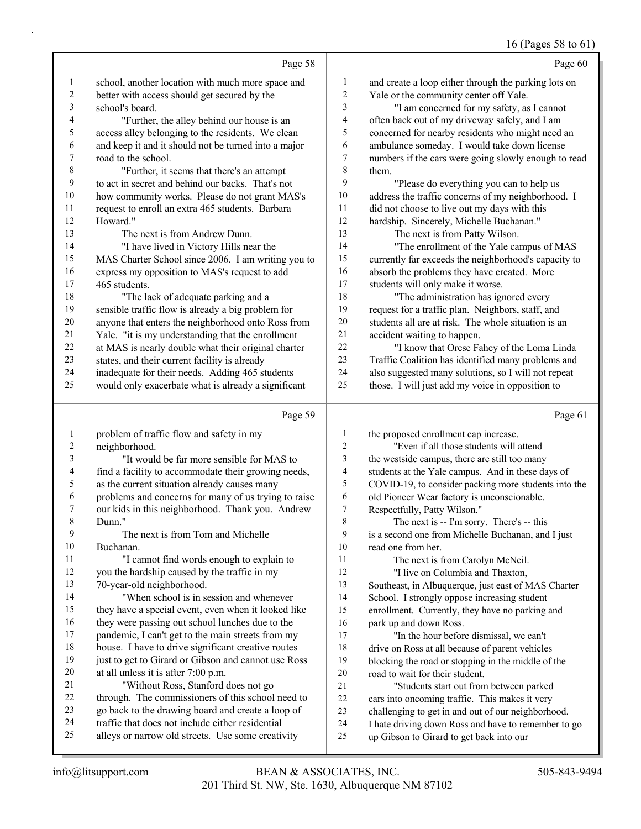#### 16 (Pages 58 to 61)

|                |                                                      |                         | 16 (Pages 58 to 61)                                  |
|----------------|------------------------------------------------------|-------------------------|------------------------------------------------------|
|                | Page 58                                              |                         | Page 60                                              |
| 1              | school, another location with much more space and    | 1                       | and create a loop either through the parking lots on |
| $\overline{c}$ | better with access should get secured by the         | $\overline{\mathbf{c}}$ | Yale or the community center off Yale.               |
| 3              | school's board.                                      | 3                       | "I am concerned for my safety, as I cannot           |
| 4              | "Further, the alley behind our house is an           | 4                       | often back out of my driveway safely, and I am       |
| 5              | access alley belonging to the residents. We clean    | 5                       | concerned for nearby residents who might need an     |
| 6              | and keep it and it should not be turned into a major | 6                       | ambulance someday. I would take down license         |
| 7              | road to the school.                                  | 7                       | numbers if the cars were going slowly enough to read |
| $\,$ 8 $\,$    | "Further, it seems that there's an attempt           | 8                       | them.                                                |
| 9              | to act in secret and behind our backs. That's not    | 9                       | "Please do everything you can to help us             |
| $10\,$         | how community works. Please do not grant MAS's       | 10                      | address the traffic concerns of my neighborhood. I   |
| $11\,$         | request to enroll an extra 465 students. Barbara     | 11                      | did not choose to live out my days with this         |
| $12\,$         | Howard."                                             | 12                      | hardship. Sincerely, Michelle Buchanan."             |
| 13             | The next is from Andrew Dunn.                        | 13                      | The next is from Patty Wilson.                       |
| 14             | "I have lived in Victory Hills near the              | 14                      | "The enrollment of the Yale campus of MAS            |
| 15             | MAS Charter School since 2006. I am writing you to   | 15                      | currently far exceeds the neighborhood's capacity to |
| 16             | express my opposition to MAS's request to add        | 16                      | absorb the problems they have created. More          |
| 17             | 465 students.                                        | $17$                    | students will only make it worse.                    |
| $18\,$         | "The lack of adequate parking and a                  | 18                      | "The administration has ignored every                |
| 19             | sensible traffic flow is already a big problem for   | 19                      | request for a traffic plan. Neighbors, staff, and    |
| $20\,$         | anyone that enters the neighborhood onto Ross from   | $20\,$                  | students all are at risk. The whole situation is an  |
| 21             | Yale. "it is my understanding that the enrollment    | $21\,$                  | accident waiting to happen.                          |
| $22\,$         | at MAS is nearly double what their original charter  | 22                      | "I know that Orese Fahey of the Loma Linda           |
| 23             | states, and their current facility is already        | 23                      | Traffic Coalition has identified many problems and   |
| 24             | inadequate for their needs. Adding 465 students      | 24                      | also suggested many solutions, so I will not repeat  |
| 25             | would only exacerbate what is already a significant  | 25                      | those. I will just add my voice in opposition to     |
|                |                                                      |                         |                                                      |
|                | Page 59                                              |                         | Page 61                                              |
| $\mathbf{1}$   | problem of traffic flow and safety in my             | 1                       | the proposed enrollment cap increase.                |
| $\overline{c}$ | neighborhood.                                        | 2                       | "Even if all those students will attend              |
| 3              | "It would be far more sensible for MAS to            | 3                       | the westside campus, there are still too many        |
| 4              | find a facility to accommodate their growing needs,  | 4                       | students at the Yale campus. And in these days of    |
| 5              | as the current situation already causes many         | 5                       | COVID-19, to consider packing more students into the |
| 6              | problems and concerns for many of us trying to raise | 6                       | old Pioneer Wear factory is unconscionable.          |
| 7              | our kids in this neighborhood. Thank you. Andrew     | $\boldsymbol{7}$        | Respectfully, Patty Wilson."                         |
| 8              | Dunn."                                               | 8                       | The next is -- I'm sorry. There's -- this            |
| 9              | The next is from Tom and Michelle                    | 9                       | is a second one from Michelle Buchanan, and I just   |
| 10             | Buchanan.                                            | 10                      | read one from her.                                   |
| 11             | "I cannot find words enough to explain to            | 11                      | The next is from Carolyn McNeil.                     |
| 12             | you the hardship caused by the traffic in my         | 12                      | "I live on Columbia and Thaxton,                     |
| 13             | 70-year-old neighborhood.                            | 13                      | Southeast, in Albuquerque, just east of MAS Charter  |
| 14             | "When school is in session and whenever              | 14                      | School. I strongly oppose increasing student         |
| 15             | they have a special event, even when it looked like  | 15                      | enrollment. Currently, they have no parking and      |
| 16             | they were passing out school lunches due to the      | 16                      | park up and down Ross.                               |
| 17             | pandemic, I can't get to the main streets from my    | 17                      | "In the hour before dismissal, we can't              |
| $18\,$         | house. I have to drive significant creative routes   | 18                      | drive on Ross at all because of parent vehicles      |
| 19             | just to get to Girard or Gibson and cannot use Ross  | 19                      | blocking the road or stopping in the middle of the   |
| $20\,$         | at all unless it is after 7:00 p.m.                  | $20\,$                  | road to wait for their student.                      |

- 21 "Without Ross, Stanford does not go through. The commissioners of this school need to 21 "Students start out from between parked cars into oncoming traffic. This makes it very
- go back to the drawing board and create a loop of
- traffic that does not include either residential
- alleys or narrow old streets. Use some creativity
- challenging to get in and out of our neighborhood.
- I hate driving down Ross and have to remember to go
- up Gibson to Girard to get back into our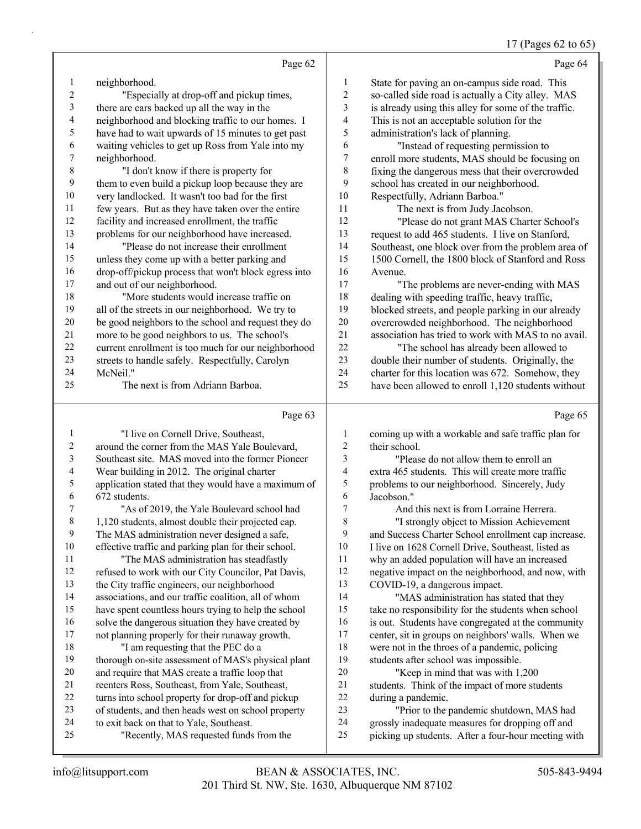### 17 (Pages 62 to 65)

|          | Page 62                                                                                         |                         | Page 64                                                                                      |
|----------|-------------------------------------------------------------------------------------------------|-------------------------|----------------------------------------------------------------------------------------------|
| 1        | neighborhood.                                                                                   | $\mathbf{1}$            | State for paving an on-campus side road. This                                                |
| 2        | "Especially at drop-off and pickup times,                                                       | $\overline{\mathbf{c}}$ | so-called side road is actually a City alley. MAS                                            |
| 3        | there are cars backed up all the way in the                                                     | 3                       | is already using this alley for some of the traffic.                                         |
| 4        | neighborhood and blocking traffic to our homes. I                                               | 4                       | This is not an acceptable solution for the                                                   |
| 5        | have had to wait upwards of 15 minutes to get past                                              | 5                       | administration's lack of planning.                                                           |
| 6        | waiting vehicles to get up Ross from Yale into my                                               | 6                       | "Instead of requesting permission to                                                         |
| 7        | neighborhood.                                                                                   | $\overline{7}$          | enroll more students, MAS should be focusing on                                              |
| 8        | "I don't know if there is property for                                                          | $\,$ $\,$               | fixing the dangerous mess that their overcrowded                                             |
| 9        | them to even build a pickup loop because they are                                               | 9                       | school has created in our neighborhood.                                                      |
| 10       | very landlocked. It wasn't too bad for the first                                                | 10                      | Respectfully, Adriann Barboa."                                                               |
| 11       | few years. But as they have taken over the entire                                               | 11                      | The next is from Judy Jacobson.                                                              |
| 12       | facility and increased enrollment, the traffic                                                  | 12                      | "Please do not grant MAS Charter School's                                                    |
| 13       | problems for our neighborhood have increased.                                                   | 13                      | request to add 465 students. I live on Stanford,                                             |
| 14       | "Please do not increase their enrollment                                                        | 14                      | Southeast, one block over from the problem area of                                           |
| 15       | unless they come up with a better parking and                                                   | 15                      | 1500 Cornell, the 1800 block of Stanford and Ross                                            |
| 16       | drop-off/pickup process that won't block egress into                                            | 16                      | Avenue.                                                                                      |
| 17       | and out of our neighborhood.                                                                    | 17                      | "The problems are never-ending with MAS                                                      |
| 18       | "More students would increase traffic on                                                        | 18                      | dealing with speeding traffic, heavy traffic,                                                |
| 19       | all of the streets in our neighborhood. We try to                                               | 19                      | blocked streets, and people parking in our already                                           |
| 20       | be good neighbors to the school and request they do                                             | $20\,$                  | overcrowded neighborhood. The neighborhood                                                   |
| $21\,$   | more to be good neighbors to us. The school's                                                   | 21                      | association has tried to work with MAS to no avail.                                          |
| $22\,$   | current enrollment is too much for our neighborhood                                             | $22\,$                  | "The school has already been allowed to                                                      |
| 23       | streets to handle safely. Respectfully, Carolyn                                                 | 23                      | double their number of students. Originally, the                                             |
| 24       | McNeil."                                                                                        | 24                      | charter for this location was 672. Somehow, they                                             |
| 25       | The next is from Adriann Barboa.                                                                | 25                      | have been allowed to enroll 1,120 students without                                           |
|          |                                                                                                 |                         |                                                                                              |
|          | Page 63                                                                                         |                         | Page 65                                                                                      |
| 1        |                                                                                                 | 1                       |                                                                                              |
| 2        | "I live on Cornell Drive, Southeast,<br>around the corner from the MAS Yale Boulevard,          | $\sqrt{2}$              | coming up with a workable and safe traffic plan for<br>their school.                         |
| 3        | Southeast site. MAS moved into the former Pioneer                                               | 3                       | "Please do not allow them to enroll an                                                       |
| 4        | Wear building in 2012. The original charter                                                     | 4                       | extra 465 students. This will create more traffic                                            |
| 5        | application stated that they would have a maximum of                                            | 5                       | problems to our neighborhood. Sincerely, Judy                                                |
| 6        | 672 students.                                                                                   | 6                       | Jacobson."                                                                                   |
| 7        | "As of 2019, the Yale Boulevard school had                                                      | $\boldsymbol{7}$        | And this next is from Lorraine Herrera.                                                      |
| 8        | 1,120 students, almost double their projected cap.                                              | 8                       | "I strongly object to Mission Achievement                                                    |
| 9        | The MAS administration never designed a safe,                                                   | 9                       | and Success Charter School enrollment cap increase.                                          |
| 10       | effective traffic and parking plan for their school.                                            | 10                      | I live on 1628 Cornell Drive, Southeast, listed as                                           |
| 11       | "The MAS administration has steadfastly                                                         | 11                      | why an added population will have an increased                                               |
| 12       | refused to work with our City Councilor, Pat Davis,                                             | 12                      | negative impact on the neighborhood, and now, with                                           |
| 13       | the City traffic engineers, our neighborhood                                                    | 13                      | COVID-19, a dangerous impact.                                                                |
| 14       | associations, and our traffic coalition, all of whom                                            | 14                      | "MAS administration has stated that they                                                     |
| 15       | have spent countless hours trying to help the school                                            | 15                      | take no responsibility for the students when school                                          |
| 16       | solve the dangerous situation they have created by                                              | 16                      | is out. Students have congregated at the community                                           |
| 17       | not planning properly for their runaway growth.                                                 | 17                      | center, sit in groups on neighbors' walls. When we                                           |
| 18       | "I am requesting that the PEC do a                                                              | 18                      | were not in the throes of a pandemic, policing                                               |
| 19       | thorough on-site assessment of MAS's physical plant                                             | 19                      | students after school was impossible.                                                        |
| 20       | and require that MAS create a traffic loop that                                                 | 20                      | "Keep in mind that was with 1,200                                                            |
| 21       | reenters Ross, Southeast, from Yale, Southeast,                                                 | 21                      | students. Think of the impact of more students                                               |
| 22<br>23 | turns into school property for drop-off and pickup                                              | 22<br>23                | during a pandemic.                                                                           |
| 24       | of students, and then heads west on school property<br>to exit back on that to Yale, Southeast. | 24                      | "Prior to the pandemic shutdown, MAS had<br>grossly inadequate measures for dropping off and |

25 "Recently, MAS requested funds from the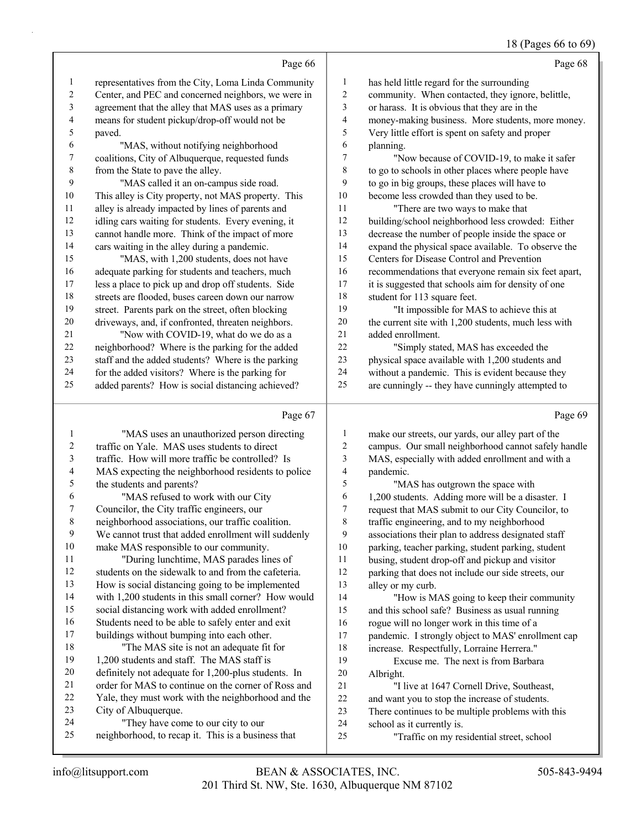### 18 (Pages 66 to 69)

|                | Page 66                                             |        | Page 68                                              |
|----------------|-----------------------------------------------------|--------|------------------------------------------------------|
| 1              | representatives from the City, Loma Linda Community | 1      | has held little regard for the surrounding           |
| 2              | Center, and PEC and concerned neighbors, we were in | 2      | community. When contacted, they ignore, belittle,    |
| 3              | agreement that the alley that MAS uses as a primary | 3      | or harass. It is obvious that they are in the        |
| 4              | means for student pickup/drop-off would not be      | 4      | money-making business. More students, more money.    |
| 5              | paved.                                              | 5      | Very little effort is spent on safety and proper     |
| 6              | "MAS, without notifying neighborhood                | 6      | planning.                                            |
| 7              | coalitions, City of Albuquerque, requested funds    | 7      | "Now because of COVID-19, to make it safer           |
| $8\phantom{1}$ | from the State to pave the alley.                   | 8      | to go to schools in other places where people have   |
| 9              | "MAS called it an on-campus side road.              | 9      | to go in big groups, these places will have to       |
| 10             | This alley is City property, not MAS property. This | 10     | become less crowded than they used to be.            |
| 11             | alley is already impacted by lines of parents and   | 11     | "There are two ways to make that                     |
| 12             | idling cars waiting for students. Every evening, it | 12     | building/school neighborhood less crowded: Either    |
| 13             | cannot handle more. Think of the impact of more     | 13     | decrease the number of people inside the space or    |
| 14             | cars waiting in the alley during a pandemic.        | 14     | expand the physical space available. To observe the  |
| 15             | "MAS, with 1,200 students, does not have            | 15     | Centers for Disease Control and Prevention           |
| 16             | adequate parking for students and teachers, much    | 16     | recommendations that everyone remain six feet apart, |
| 17             | less a place to pick up and drop off students. Side | 17     | it is suggested that schools aim for density of one  |
| 18             | streets are flooded, buses careen down our narrow   | $18\,$ | student for 113 square feet.                         |
| 19             | street. Parents park on the street, often blocking  | 19     | "It impossible for MAS to achieve this at            |
| $20\,$         | driveways, and, if confronted, threaten neighbors.  | $20\,$ | the current site with 1,200 students, much less with |
| 21             | "Now with COVID-19, what do we do as a              | 21     | added enrollment.                                    |
| 22             | neighborhood? Where is the parking for the added    | 22     | "Simply stated, MAS has exceeded the                 |
| 23             | staff and the added students? Where is the parking  | 23     | physical space available with 1,200 students and     |
| 24             | for the added visitors? Where is the parking for    | 24     | without a pandemic. This is evident because they     |
| 25             | added parents? How is social distancing achieved?   | 25     | are cunningly -- they have cunningly attempted to    |
|                | Page 67                                             |        | Page 69                                              |
| 1              | "MAS uses an unauthorized person directing          | 1      | make our streets, our yards, our alley part of the   |
| 2              | traffic on Yale. MAS uses students to direct        | 2      | campus. Our small neighborhood cannot safely handle  |
|                |                                                     |        |                                                      |

| 2  | traffic on Yale. MAS uses students to direct        | 2  | campus. Our small neighborhood cannot safely handle |
|----|-----------------------------------------------------|----|-----------------------------------------------------|
| 3  | traffic. How will more traffic be controlled? Is    | 3  | MAS, especially with added enrollment and with a    |
| 4  | MAS expecting the neighborhood residents to police  | 4  | pandemic.                                           |
| 5  | the students and parents?                           | 5  | "MAS has outgrown the space with                    |
| 6  | "MAS refused to work with our City                  | 6  | 1,200 students. Adding more will be a disaster. I   |
| 7  | Councilor, the City traffic engineers, our          | 7  | request that MAS submit to our City Councilor, to   |
| 8  | neighborhood associations, our traffic coalition.   | 8  | traffic engineering, and to my neighborhood         |
| 9  | We cannot trust that added enrollment will suddenly | 9  | associations their plan to address designated staff |
| 10 | make MAS responsible to our community.              | 10 | parking, teacher parking, student parking, student  |
| 11 | "During lunchtime, MAS parades lines of             | 11 | busing, student drop-off and pickup and visitor     |
| 12 | students on the sidewalk to and from the cafeteria. | 12 | parking that does not include our side streets, our |
| 13 | How is social distancing going to be implemented    | 13 | alley or my curb.                                   |
| 14 | with 1,200 students in this small corner? How would | 14 | "How is MAS going to keep their community           |
| 15 | social distancing work with added enrollment?       | 15 | and this school safe? Business as usual running     |
| 16 | Students need to be able to safely enter and exit   | 16 | rogue will no longer work in this time of a         |
| 17 | buildings without bumping into each other.          | 17 | pandemic. I strongly object to MAS' enrollment cap  |
| 18 | "The MAS site is not an adequate fit for            | 18 | increase. Respectfully, Lorraine Herrera."          |
| 19 | 1,200 students and staff. The MAS staff is          | 19 | Excuse me. The next is from Barbara                 |
| 20 | definitely not adequate for 1,200-plus students. In | 20 | Albright.                                           |
| 21 | order for MAS to continue on the corner of Ross and | 21 | "I live at 1647 Cornell Drive, Southeast,           |
| 22 | Yale, they must work with the neighborhood and the  | 22 | and want you to stop the increase of students.      |
| 23 | City of Albuquerque.                                | 23 | There continues to be multiple problems with this   |
| 24 | "They have come to our city to our                  | 24 | school as it currently is.                          |
| 25 | neighborhood, to recap it. This is a business that  | 25 | "Traffic on my residential street, school           |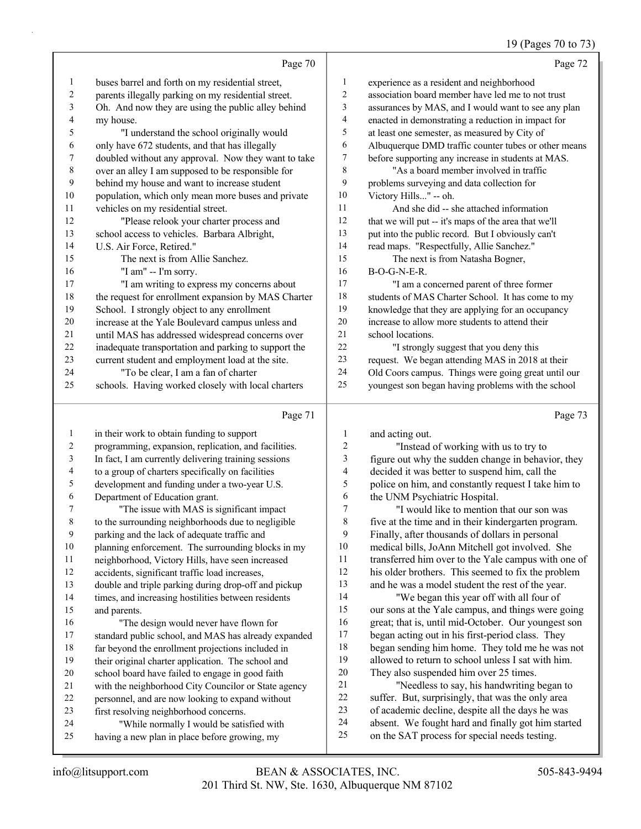### 19 (Pages 70 to 73)

|    | Page 70                                              |                | Page 72                                              |
|----|------------------------------------------------------|----------------|------------------------------------------------------|
| 1  | buses barrel and forth on my residential street,     | $\mathbf{1}$   | experience as a resident and neighborhood            |
| 2  | parents illegally parking on my residential street.  | $\overline{2}$ | association board member have led me to not trust    |
| 3  | Oh. And now they are using the public alley behind   | 3              | assurances by MAS, and I would want to see any plan  |
| 4  | my house.                                            | $\overline{4}$ | enacted in demonstrating a reduction in impact for   |
| 5  | "I understand the school originally would            | 5              | at least one semester, as measured by City of        |
| 6  | only have 672 students, and that has illegally       | 6              | Albuquerque DMD traffic counter tubes or other means |
| 7  | doubled without any approval. Now they want to take  | 7              | before supporting any increase in students at MAS.   |
| 8  | over an alley I am supposed to be responsible for    | 8              | "As a board member involved in traffic               |
| 9  | behind my house and want to increase student         | 9              | problems surveying and data collection for           |
| 10 | population, which only mean more buses and private   | 10             | Victory Hills" -- oh.                                |
| 11 | vehicles on my residential street.                   | 11             | And she did -- she attached information              |
| 12 | "Please relook your charter process and              | 12             | that we will put -- it's maps of the area that we'll |
| 13 | school access to vehicles. Barbara Albright,         | 13             | put into the public record. But I obviously can't    |
| 14 | U.S. Air Force, Retired."                            | 14             | read maps. "Respectfully, Allie Sanchez."            |
| 15 | The next is from Allie Sanchez.                      | 15             | The next is from Natasha Bogner,                     |
| 16 | "I am" -- I'm sorry.                                 | 16             | $B-O-G-N-E-R$ .                                      |
| 17 | "I am writing to express my concerns about           | 17             | "I am a concerned parent of three former             |
| 18 | the request for enrollment expansion by MAS Charter  | 18             | students of MAS Charter School. It has come to my    |
| 19 | School. I strongly object to any enrollment          | 19             | knowledge that they are applying for an occupancy    |
| 20 | increase at the Yale Boulevard campus unless and     | 20             | increase to allow more students to attend their      |
| 21 | until MAS has addressed widespread concerns over     | 21             | school locations.                                    |
| 22 | inadequate transportation and parking to support the | 22             | "I strongly suggest that you deny this               |
| 23 | current student and employment load at the site.     | 23             | request. We began attending MAS in 2018 at their     |
| 24 | "To be clear, I am a fan of charter                  | 24             | Old Coors campus. Things were going great until our  |
| 25 | schools. Having worked closely with local charters   | 25             | youngest son began having problems with the school   |
|    | Page 71                                              |                | Page 73                                              |

#### Page 71

 in their work to obtain funding to support programming, expansion, replication, and facilities. In fact, I am currently delivering training sessions to a group of charters specifically on facilities development and funding under a two-year U.S. Department of Education grant. 7 "The issue with MAS is significant impact to the surrounding neighborhoods due to negligible parking and the lack of adequate traffic and planning enforcement. The surrounding blocks in my neighborhood, Victory Hills, have seen increased accidents, significant traffic load increases, double and triple parking during drop-off and pickup times, and increasing hostilities between residents and parents. 16 "The design would never have flown for standard public school, and MAS has already expanded far beyond the enrollment projections included in their original charter application. The school and school board have failed to engage in good faith with the neighborhood City Councilor or State agency personnel, and are now looking to expand without first resolving neighborhood concerns. 24 "While normally I would be satisfied with having a new plan in place before growing, my and acting out. 2 "Instead of working with us to try to figure out why the sudden change in behavior, they decided it was better to suspend him, call the police on him, and constantly request I take him to the UNM Psychiatric Hospital. 7 "I would like to mention that our son was five at the time and in their kindergarten program. Finally, after thousands of dollars in personal medical bills, JoAnn Mitchell got involved. She transferred him over to the Yale campus with one of his older brothers. This seemed to fix the problem and he was a model student the rest of the year. 14 "We began this year off with all four of our sons at the Yale campus, and things were going great; that is, until mid-October. Our youngest son began acting out in his first-period class. They began sending him home. They told me he was not allowed to return to school unless I sat with him. They also suspended him over 25 times. 21 "Needless to say, his handwriting began to suffer. But, surprisingly, that was the only area of academic decline, despite all the days he was absent. We fought hard and finally got him started on the SAT process for special needs testing.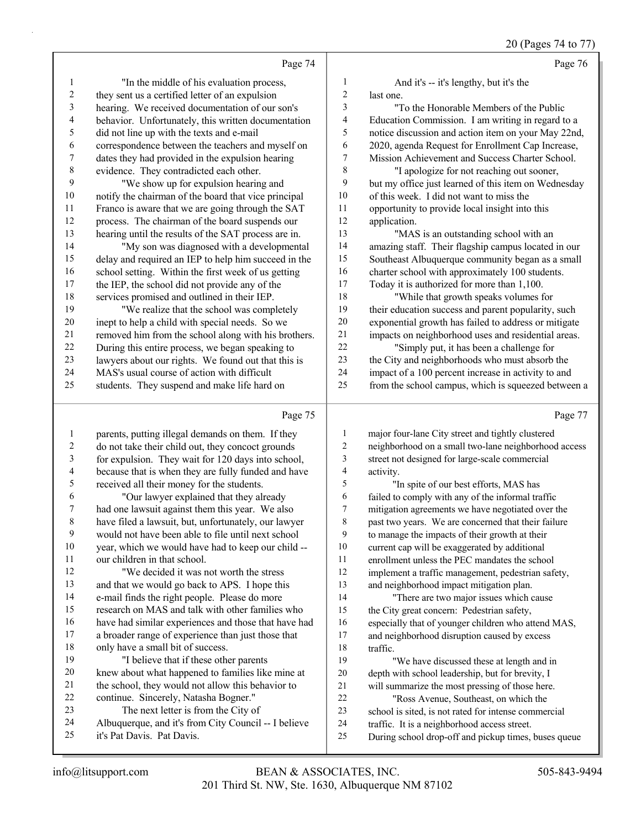20 (Pages 74 to 77)

|                  | Page 74                                              |                | Page 76                                              |
|------------------|------------------------------------------------------|----------------|------------------------------------------------------|
| 1                | "In the middle of his evaluation process,            | $\mathbf{1}$   | And it's -- it's lengthy, but it's the               |
| $\overline{c}$   | they sent us a certified letter of an expulsion      | $\overline{c}$ | last one.                                            |
| 3                | hearing. We received documentation of our son's      | 3              | "To the Honorable Members of the Public              |
| 4                | behavior. Unfortunately, this written documentation  | 4              | Education Commission. I am writing in regard to a    |
| 5                | did not line up with the texts and e-mail            | 5              | notice discussion and action item on your May 22nd,  |
| 6                | correspondence between the teachers and myself on    | 6              | 2020, agenda Request for Enrollment Cap Increase,    |
| $\boldsymbol{7}$ | dates they had provided in the expulsion hearing     | 7              | Mission Achievement and Success Charter School.      |
| $\,$ $\,$        | evidence. They contradicted each other.              | $\,$ $\,$      | "I apologize for not reaching out sooner,            |
| 9                | "We show up for expulsion hearing and                | 9              | but my office just learned of this item on Wednesday |
| $10\,$           | notify the chairman of the board that vice principal | 10             | of this week. I did not want to miss the             |
| 11               | Franco is aware that we are going through the SAT    | 11             | opportunity to provide local insight into this       |
| 12               | process. The chairman of the board suspends our      | 12             | application.                                         |
| 13               | hearing until the results of the SAT process are in. | 13             | "MAS is an outstanding school with an                |
| 14               | "My son was diagnosed with a developmental           | 14             | amazing staff. Their flagship campus located in our  |
| 15               | delay and required an IEP to help him succeed in the | 15             | Southeast Albuquerque community began as a small     |
| 16               | school setting. Within the first week of us getting  | 16             | charter school with approximately 100 students.      |
| $17\,$           | the IEP, the school did not provide any of the       | 17             | Today it is authorized for more than 1,100.          |
| 18               | services promised and outlined in their IEP.         | 18             | "While that growth speaks volumes for                |
| 19               | "We realize that the school was completely           | 19             | their education success and parent popularity, such  |
| 20               | inept to help a child with special needs. So we      | 20             | exponential growth has failed to address or mitigate |
| 21               | removed him from the school along with his brothers. | 21             | impacts on neighborhood uses and residential areas.  |
| 22               | During this entire process, we began speaking to     | 22             | "Simply put, it has been a challenge for             |
| 23               | lawyers about our rights. We found out that this is  | 23             | the City and neighborhoods who must absorb the       |
| 24               | MAS's usual course of action with difficult          | 24             | impact of a 100 percent increase in activity to and  |
| 25               | students. They suspend and make life hard on         | 25             | from the school campus, which is squeezed between a  |
|                  | Page 75                                              |                | Page 77                                              |
| 1                | parents, putting illegal demands on them. If they    | 1              | major four-lane City street and tightly clustered    |
| 2                | do not take their child out, they concoct grounds    | $\overline{2}$ | neighborhood on a small two-lane neighborhood access |
| $\mathfrak{Z}$   | for expulsion. They wait for 120 days into school,   | 3              | street not designed for large-scale commercial       |
| 4                | because that is when they are fully funded and have  | 4              | activity.                                            |
| 5                | received all their money for the students.           | 5              | "In spite of our best efforts, MAS has               |

6 "Our lawyer explained that they already had one lawsuit against them this year. We also have filed a lawsuit, but, unfortunately, our lawyer would not have been able to file until next school

 year, which we would have had to keep our child -- our children in that school.

12 "We decided it was not worth the stress and that we would go back to APS. I hope this e-mail finds the right people. Please do more research on MAS and talk with other families who have had similar experiences and those that have had

 a broader range of experience than just those that only have a small bit of success. 19 "I believe that if these other parents

- knew about what happened to families like mine at the school, they would not allow this behavior to
- continue. Sincerely, Natasha Bogner."
- 23 The next letter is from the City of
- Albuquerque, and it's from City Council -- I believe
- it's Pat Davis. Pat Davis.

 past two years. We are concerned that their failure to manage the impacts of their growth at their current cap will be exaggerated by additional enrollment unless the PEC mandates the school implement a traffic management, pedestrian safety, and neighborhood impact mitigation plan.

 failed to comply with any of the informal traffic mitigation agreements we have negotiated over the

14 "There are two major issues which cause the City great concern: Pedestrian safety, especially that of younger children who attend MAS, and neighborhood disruption caused by excess 18 traffic.

- 19 "We have discussed these at length and in depth with school leadership, but for brevity, I will summarize the most pressing of those here.
- 22 "Ross Avenue, Southeast, on which the
- school is sited, is not rated for intense commercial
- traffic. It is a neighborhood access street.
- During school drop-off and pickup times, buses queue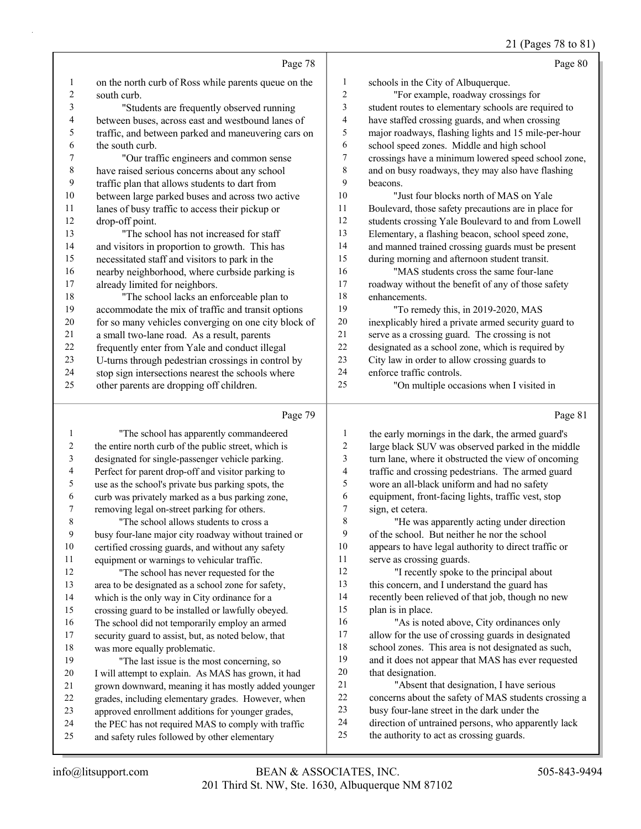#### 21 (Pages 78 to 81)

|                          | Page 78                                              |                | Page 80                                              |
|--------------------------|------------------------------------------------------|----------------|------------------------------------------------------|
| 1                        | on the north curb of Ross while parents queue on the | 1              | schools in the City of Albuquerque.                  |
| 2                        | south curb.                                          | $\overline{2}$ | "For example, roadway crossings for                  |
| 3                        | "Students are frequently observed running            | 3              | student routes to elementary schools are required to |
| $\overline{\mathcal{L}}$ | between buses, across east and westbound lanes of    | $\overline{4}$ | have staffed crossing guards, and when crossing      |
| 5                        | traffic, and between parked and maneuvering cars on  | 5              | major roadways, flashing lights and 15 mile-per-hour |
| 6                        | the south curb.                                      | 6              | school speed zones. Middle and high school           |
| 7                        | "Our traffic engineers and common sense              | 7              | crossings have a minimum lowered speed school zone,  |
| 8                        | have raised serious concerns about any school        | 8              | and on busy roadways, they may also have flashing    |
| 9                        | traffic plan that allows students to dart from       | 9              | beacons.                                             |
| 10                       | between large parked buses and across two active     | 10             | "Just four blocks north of MAS on Yale               |
| 11                       | lanes of busy traffic to access their pickup or      | 11             | Boulevard, those safety precautions are in place for |
| 12                       | drop-off point.                                      | 12             | students crossing Yale Boulevard to and from Lowell  |
| 13                       | "The school has not increased for staff              | 13             | Elementary, a flashing beacon, school speed zone,    |
| 14                       | and visitors in proportion to growth. This has       | 14             | and manned trained crossing guards must be present   |
| 15                       | necessitated staff and visitors to park in the       | 15             | during morning and afternoon student transit.        |
| 16                       | nearby neighborhood, where curbside parking is       | 16             | "MAS students cross the same four-lane               |
| 17                       | already limited for neighbors.                       | 17             | roadway without the benefit of any of those safety   |
| 18                       | "The school lacks an enforceable plan to             | 18             | enhancements.                                        |
| 19                       | accommodate the mix of traffic and transit options   | 19             | "To remedy this, in 2019-2020, MAS                   |
| 20                       | for so many vehicles converging on one city block of | $20\,$         | inexplicably hired a private armed security guard to |
| 21                       | a small two-lane road. As a result, parents          | 21             | serve as a crossing guard. The crossing is not       |
| 22                       | frequently enter from Yale and conduct illegal       | 22             | designated as a school zone, which is required by    |
| 23                       | U-turns through pedestrian crossings in control by   | 23             | City law in order to allow crossing guards to        |
| 24                       | stop sign intersections nearest the schools where    | 24             | enforce traffic controls.                            |
| 25                       | other parents are dropping off children.             | 25             | "On multiple occasions when I visited in             |
|                          | Page 79                                              |                | Page 81                                              |
| 1                        | "The school has apparently commandeered              | 1              | the early mornings in the dark, the armed guard's    |
| 2                        | the entire north curb of the public street, which is | 2              | large black SUV was observed parked in the middle    |
| 3                        | designated for single-passenger vehicle parking.     | 3              | turn lane, where it obstructed the view of oncoming  |
|                          |                                                      |                |                                                      |

- Perfect for parent drop-off and visitor parking to use as the school's private bus parking spots, the
- curb was privately marked as a bus parking zone, removing legal on-street parking for others. 8 "The school allows students to cross a
- busy four-lane major city roadway without trained or certified crossing guards, and without any safety equipment or warnings to vehicular traffic.
- 12 "The school has never requested for the area to be designated as a school zone for safety, which is the only way in City ordinance for a crossing guard to be installed or lawfully obeyed.
- The school did not temporarily employ an armed
- security guard to assist, but, as noted below, that was more equally problematic.
- 19 "The last issue is the most concerning, so I will attempt to explain. As MAS has grown, it had grown downward, meaning it has mostly added younger grades, including elementary grades. However, when
- approved enrollment additions for younger grades,
- 24 the PEC has not required MAS to comply with traffic
- and safety rules followed by other elementary

 traffic and crossing pedestrians. The armed guard wore an all-black uniform and had no safety equipment, front-facing lights, traffic vest, stop sign, et cetera.

8 "He was apparently acting under direction of the school. But neither he nor the school appears to have legal authority to direct traffic or serve as crossing guards.

- 12 "I recently spoke to the principal about this concern, and I understand the guard has recently been relieved of that job, though no new plan is in place.
- 16 "As is noted above, City ordinances only allow for the use of crossing guards in designated school zones. This area is not designated as such, and it does not appear that MAS has ever requested that designation.
- 21 "Absent that designation, I have serious concerns about the safety of MAS students crossing a
- busy four-lane street in the dark under the
- direction of untrained persons, who apparently lack
- the authority to act as crossing guards.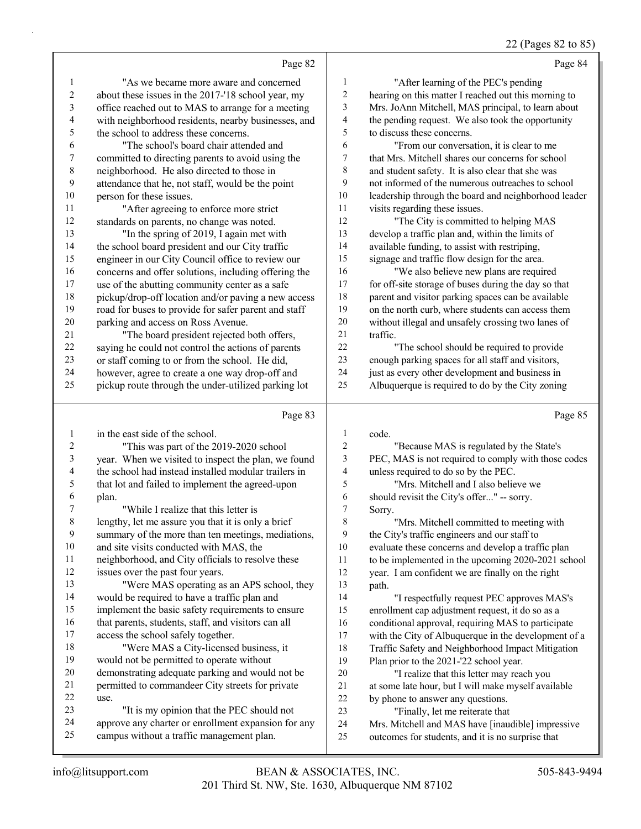### 22 (Pages 82 to 85)

|                          | Page 82                                                                                                     |                | Page 84                                                                                                |
|--------------------------|-------------------------------------------------------------------------------------------------------------|----------------|--------------------------------------------------------------------------------------------------------|
| 1                        | "As we became more aware and concerned                                                                      | $\mathbf{1}$   | "After learning of the PEC's pending                                                                   |
| $\sqrt{2}$               | about these issues in the 2017-'18 school year, my                                                          | $\overline{c}$ | hearing on this matter I reached out this morning to                                                   |
| $\mathfrak{Z}$           | office reached out to MAS to arrange for a meeting                                                          | 3              | Mrs. JoAnn Mitchell, MAS principal, to learn about                                                     |
| $\overline{\mathcal{A}}$ | with neighborhood residents, nearby businesses, and                                                         | 4              | the pending request. We also took the opportunity                                                      |
| 5                        | the school to address these concerns.                                                                       | 5              | to discuss these concerns.                                                                             |
| 6                        | "The school's board chair attended and                                                                      | 6              | "From our conversation, it is clear to me                                                              |
| 7                        | committed to directing parents to avoid using the                                                           | 7              | that Mrs. Mitchell shares our concerns for school                                                      |
| $\,$ $\,$                | neighborhood. He also directed to those in                                                                  | 8              | and student safety. It is also clear that she was                                                      |
| 9                        | attendance that he, not staff, would be the point                                                           | 9              | not informed of the numerous outreaches to school                                                      |
| 10                       | person for these issues.                                                                                    | 10             | leadership through the board and neighborhood leader                                                   |
| 11                       | "After agreeing to enforce more strict                                                                      | 11             | visits regarding these issues.                                                                         |
| 12                       | standards on parents, no change was noted.                                                                  | 12             | "The City is committed to helping MAS                                                                  |
| 13                       | "In the spring of 2019, I again met with                                                                    | 13             | develop a traffic plan and, within the limits of                                                       |
| 14                       | the school board president and our City traffic                                                             | 14             | available funding, to assist with restriping,                                                          |
| 15                       | engineer in our City Council office to review our                                                           | 15             | signage and traffic flow design for the area.                                                          |
| 16                       | concerns and offer solutions, including offering the                                                        | 16             | "We also believe new plans are required                                                                |
| 17                       | use of the abutting community center as a safe                                                              | 17             | for off-site storage of buses during the day so that                                                   |
| $18\,$                   | pickup/drop-off location and/or paving a new access                                                         | 18             | parent and visitor parking spaces can be available                                                     |
| 19                       | road for buses to provide for safer parent and staff                                                        | 19             | on the north curb, where students can access them                                                      |
| $20\,$                   | parking and access on Ross Avenue.                                                                          | 20             | without illegal and unsafely crossing two lanes of                                                     |
| 21                       | "The board president rejected both offers,                                                                  | 21             | traffic.                                                                                               |
| 22                       | saying he could not control the actions of parents                                                          | 22             | "The school should be required to provide                                                              |
| 23                       | or staff coming to or from the school. He did,                                                              | 23             | enough parking spaces for all staff and visitors,                                                      |
| 24                       | however, agree to create a one way drop-off and                                                             | 24             | just as every other development and business in                                                        |
| 25                       | pickup route through the under-utilized parking lot                                                         | 25             | Albuquerque is required to do by the City zoning                                                       |
|                          |                                                                                                             |                |                                                                                                        |
|                          | Page 83                                                                                                     |                | Page 85                                                                                                |
| $\mathbf{1}$             | in the east side of the school.                                                                             | $\mathbf{1}$   | code.                                                                                                  |
| 2                        |                                                                                                             | $\overline{c}$ | "Because MAS is regulated by the State's                                                               |
| 3                        | "This was part of the 2019-2020 school                                                                      | 3              | PEC, MAS is not required to comply with those codes                                                    |
| 4                        | year. When we visited to inspect the plan, we found<br>the school had instead installed modular trailers in | 4              | unless required to do so by the PEC.                                                                   |
| 5                        | that lot and failed to implement the agreed-upon                                                            | 5              | "Mrs. Mitchell and I also believe we                                                                   |
| 6                        | plan.                                                                                                       | 6              | should revisit the City's offer" -- sorry.                                                             |
| 7                        | "While I realize that this letter is                                                                        | 7              | Sorry.                                                                                                 |
| 8                        | lengthy, let me assure you that it is only a brief                                                          | 8              | "Mrs. Mitchell committed to meeting with                                                               |
| 9                        | summary of the more than ten meetings, mediations,                                                          | 9              | the City's traffic engineers and our staff to                                                          |
| 10                       | and site visits conducted with MAS, the                                                                     | 10             | evaluate these concerns and develop a traffic plan                                                     |
| 11                       | neighborhood, and City officials to resolve these                                                           | 11             | to be implemented in the upcoming 2020-2021 school                                                     |
| 12                       | issues over the past four years.                                                                            | 12             | year. I am confident we are finally on the right                                                       |
| 13                       | "Were MAS operating as an APS school, they                                                                  | 13             | path.                                                                                                  |
| 14                       | would be required to have a traffic plan and                                                                | 14             | "I respectfully request PEC approves MAS's                                                             |
| 15                       | implement the basic safety requirements to ensure                                                           | 15             | enrollment cap adjustment request, it do so as a                                                       |
| 16                       | that parents, students, staff, and visitors can all                                                         | 16             | conditional approval, requiring MAS to participate                                                     |
| 17                       | access the school safely together.                                                                          | 17             | with the City of Albuquerque in the development of a                                                   |
| 18                       | "Were MAS a City-licensed business, it                                                                      | 18             | Traffic Safety and Neighborhood Impact Mitigation                                                      |
| 19                       | would not be permitted to operate without                                                                   | 19             | Plan prior to the 2021-'22 school year.                                                                |
| $20\,$                   | demonstrating adequate parking and would not be                                                             | $20\,$         | "I realize that this letter may reach you                                                              |
| 21                       | permitted to commandeer City streets for private                                                            | 21             | at some late hour, but I will make myself available                                                    |
| 22                       | use.                                                                                                        | $22\,$         | by phone to answer any questions.                                                                      |
| 23                       | "It is my opinion that the PEC should not                                                                   | 23             | "Finally, let me reiterate that                                                                        |
| 24<br>25                 | approve any charter or enrollment expansion for any<br>campus without a traffic management plan.            | 24<br>25       | Mrs. Mitchell and MAS have [inaudible] impressive<br>outcomes for students, and it is no surprise that |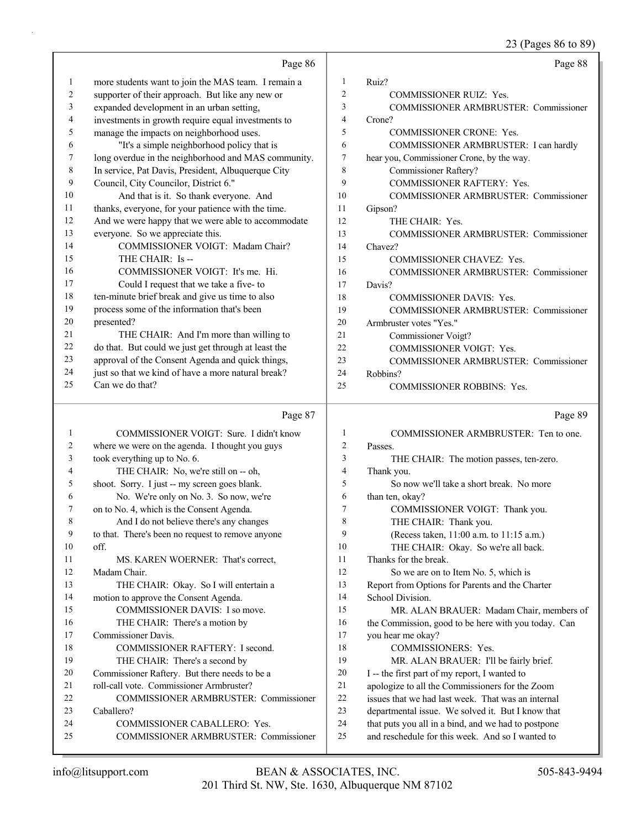|        |                                                     |              | 23 (Pages 86 to 89)                                 |
|--------|-----------------------------------------------------|--------------|-----------------------------------------------------|
|        | Page 86                                             |              | Page 88                                             |
| 1      | more students want to join the MAS team. I remain a | $\mathbf{1}$ | Ruiz?                                               |
| 2      | supporter of their approach. But like any new or    | 2            | COMMISSIONER RUIZ: Yes.                             |
| 3      | expanded development in an urban setting,           | 3            | COMMISSIONER ARMBRUSTER: Commissioner               |
| 4      | investments in growth require equal investments to  | 4            | Crone?                                              |
| 5      | manage the impacts on neighborhood uses.            | 5            | <b>COMMISSIONER CRONE: Yes.</b>                     |
| 6      | "It's a simple neighborhood policy that is          | 6            | COMMISSIONER ARMBRUSTER: I can hardly               |
| 7      | long overdue in the neighborhood and MAS community. | 7            | hear you, Commissioner Crone, by the way.           |
| 8      | In service, Pat Davis, President, Albuquerque City  | 8            | Commissioner Raftery?                               |
| 9      | Council, City Councilor, District 6."               | 9            | COMMISSIONER RAFTERY: Yes.                          |
| 10     | And that is it. So thank everyone. And              | 10           | COMMISSIONER ARMBRUSTER: Commissioner               |
| 11     | thanks, everyone, for your patience with the time.  | 11           | Gipson?                                             |
| 12     | And we were happy that we were able to accommodate  | 12           | THE CHAIR: Yes.                                     |
| 13     | everyone. So we appreciate this.                    | 13           | COMMISSIONER ARMBRUSTER: Commissioner               |
| 14     | COMMISSIONER VOIGT: Madam Chair?                    | 14           | Chavez?                                             |
| 15     | THE CHAIR: Is --                                    | 15           | COMMISSIONER CHAVEZ: Yes.                           |
| 16     | COMMISSIONER VOIGT: It's me. Hi.                    | 16           | <b>COMMISSIONER ARMBRUSTER: Commissioner</b>        |
| 17     | Could I request that we take a five- to             | 17           | Davis?                                              |
| 18     | ten-minute brief break and give us time to also     | 18           | <b>COMMISSIONER DAVIS: Yes.</b>                     |
| 19     | process some of the information that's been         | 19           | COMMISSIONER ARMBRUSTER: Commissioner               |
| $20\,$ | presented?                                          | 20           | Armbruster votes "Yes."                             |
| 21     | THE CHAIR: And I'm more than willing to             | 21           | Commissioner Voigt?                                 |
| 22     | do that. But could we just get through at least the | 22           | COMMISSIONER VOIGT: Yes.                            |
| 23     | approval of the Consent Agenda and quick things,    | 23           | COMMISSIONER ARMBRUSTER: Commissioner               |
| 24     | just so that we kind of have a more natural break?  | 24           | Robbins?                                            |
| 25     | Can we do that?                                     | 25           | COMMISSIONER ROBBINS: Yes.                          |
|        | Page 87                                             |              | Page 89                                             |
| 1      | COMMISSIONER VOIGT: Sure. I didn't know             | 1            | COMMISSIONER ARMBRUSTER: Ten to one.                |
| 2      | where we were on the agenda. I thought you guys     | 2            | Passes.                                             |
| 3      | took everything up to No. 6.                        | 3            | THE CHAIR: The motion passes, ten-zero.             |
| 4      | THE CHAIR: No, we're still on -- oh,                | 4            | Thank you.                                          |
| 5      | shoot. Sorry. I just -- my screen goes blank.       | 5            | So now we'll take a short break. No more            |
| 6      | No. We're only on No. 3. So now, we're              | 6            | than ten, okay?                                     |
| 7      | on to No. 4, which is the Consent Agenda.           | 7            | COMMISSIONER VOIGT: Thank you.                      |
| 8      | And I do not believe there's any changes            | 8            | THE CHAIR: Thank you.                               |
| 9      | to that. There's been no request to remove anyone   | 9            | (Recess taken, 11:00 a.m. to 11:15 a.m.)            |
| 10     | off.                                                | 10           | THE CHAIR: Okay. So we're all back.                 |
| 11     | MS. KAREN WOERNER: That's correct,                  | 11           | Thanks for the break.                               |
| 12     | Madam Chair.                                        | 12           | So we are on to Item No. 5, which is                |
| 13     | THE CHAIR: Okay. So I will entertain a              | 13           | Report from Options for Parents and the Charter     |
| 14     | motion to approve the Consent Agenda.               | 14           | School Division.                                    |
| 15     | COMMISSIONER DAVIS: I so move.                      | 15           | MR. ALAN BRAUER: Madam Chair, members of            |
| 16     | THE CHAIR: There's a motion by                      | 16           | the Commission, good to be here with you today. Can |
| 17     | Commissioner Davis.                                 | $17\,$       | you hear me okay?                                   |
| 18     | COMMISSIONER RAFTERY: I second.                     | 18           | COMMISSIONERS: Yes.                                 |
| 19     | THE CHAIR: There's a second by                      | 19           | MR. ALAN BRAUER: I'll be fairly brief.              |
| 20     | Commissioner Raftery. But there needs to be a       | $20\,$       | I -- the first part of my report, I wanted to       |
| 21     | roll-call vote. Commissioner Armbruster?            | 21           | apologize to all the Commissioners for the Zoom     |
| 22     | COMMISSIONER ARMBRUSTER: Commissioner               | $22\,$       | issues that we had last week. That was an internal  |
| 23     | Caballero?                                          | 23           | departmental issue. We solved it. But I know that   |
| 24     | COMMISSIONER CABALLERO: Yes.                        | 24           | that puts you all in a bind, and we had to postpone |

25 COMMISSIONER ARMBRUSTER: Commissioner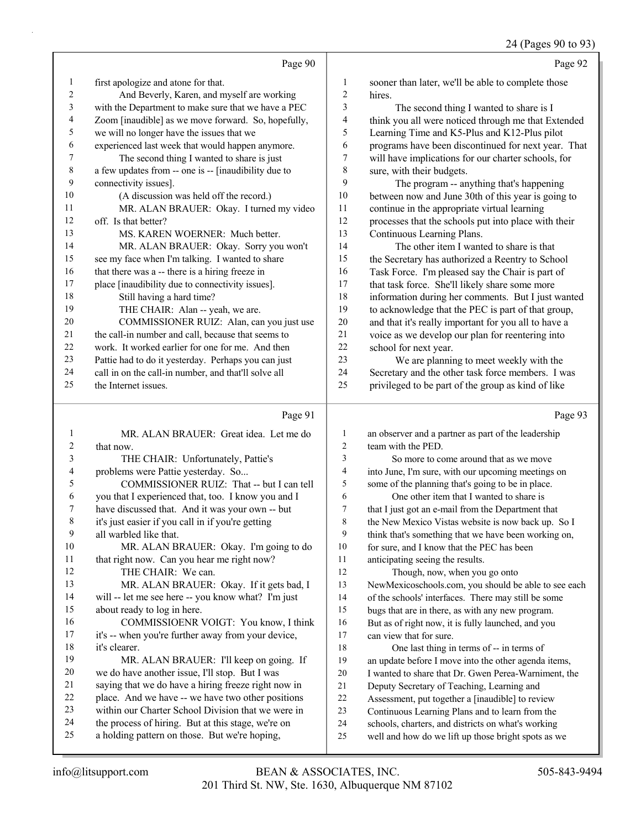Page 93

|                | Page 90                                              |    | Page 92                                              |
|----------------|------------------------------------------------------|----|------------------------------------------------------|
| $\mathbf{1}$   | first apologize and atone for that.                  | 1  | sooner than later, we'll be able to complete those   |
| $\overline{2}$ | And Beverly, Karen, and myself are working           | 2  | hires.                                               |
| 3              | with the Department to make sure that we have a PEC  | 3  | The second thing I wanted to share is I              |
| 4              | Zoom [inaudible] as we move forward. So, hopefully,  | 4  | think you all were noticed through me that Extended  |
| 5              | we will no longer have the issues that we            | 5  | Learning Time and K5-Plus and K12-Plus pilot         |
| 6              | experienced last week that would happen anymore.     | 6  | programs have been discontinued for next year. That  |
| 7              | The second thing I wanted to share is just           | 7  | will have implications for our charter schools, for  |
| 8              | a few updates from -- one is -- [inaudibility due to | 8  | sure, with their budgets.                            |
| 9              | connectivity issues].                                | 9  | The program -- anything that's happening             |
| 10             | (A discussion was held off the record.)              | 10 | between now and June 30th of this year is going to   |
| 11             | MR. ALAN BRAUER: Okay. I turned my video             | 11 | continue in the appropriate virtual learning         |
| 12             | off. Is that better?                                 | 12 | processes that the schools put into place with their |
| 13             | MS. KAREN WOERNER: Much better.                      | 13 | Continuous Learning Plans.                           |
| 14             | MR. ALAN BRAUER: Okay. Sorry you won't               | 14 | The other item I wanted to share is that             |
| 15             | see my face when I'm talking. I wanted to share      | 15 | the Secretary has authorized a Reentry to School     |
| 16             | that there was a -- there is a hiring freeze in      | 16 | Task Force. I'm pleased say the Chair is part of     |
| 17             | place [inaudibility due to connectivity issues].     | 17 | that task force. She'll likely share some more       |
| 18             | Still having a hard time?                            | 18 | information during her comments. But I just wanted   |
| 19             | THE CHAIR: Alan -- yeah, we are.                     | 19 | to acknowledge that the PEC is part of that group,   |
| 20             | COMMISSIONER RUIZ: Alan, can you just use            | 20 | and that it's really important for you all to have a |
| 21             | the call-in number and call, because that seems to   | 21 | voice as we develop our plan for reentering into     |
| 22             | work. It worked earlier for one for me. And then     | 22 | school for next year.                                |
| 23             | Pattie had to do it yesterday. Perhaps you can just  | 23 | We are planning to meet weekly with the              |
| 24             | call in on the call-in number, and that'll solve all | 24 | Secretary and the other task force members. I was    |
| 25             | the Internet issues.                                 | 25 | privileged to be part of the group as kind of like   |

# Page 91  $\vert$

|                | MR. ALAN BRAUER: Great idea. Let me do              | 1  | an observer and a partner as part of the leadership  |
|----------------|-----------------------------------------------------|----|------------------------------------------------------|
| $\overline{2}$ | that now.                                           | 2  | team with the PED.                                   |
| 3              | THE CHAIR: Unfortunately, Pattie's                  | 3  | So more to come around that as we move               |
| 4              | problems were Pattie yesterday. So                  | 4  | into June, I'm sure, with our upcoming meetings on   |
| 5              | COMMISSIONER RUIZ: That -- but I can tell           | 5  | some of the planning that's going to be in place.    |
| 6              | you that I experienced that, too. I know you and I  | 6  | One other item that I wanted to share is             |
| 7              | have discussed that. And it was your own -- but     | 7  | that I just got an e-mail from the Department that   |
| 8              | it's just easier if you call in if you're getting   | 8  | the New Mexico Vistas website is now back up. So I   |
| 9              | all warbled like that.                              | 9  | think that's something that we have been working on, |
| 10             | MR. ALAN BRAUER: Okay. I'm going to do              | 10 | for sure, and I know that the PEC has been           |
| 11             | that right now. Can you hear me right now?          | 11 | anticipating seeing the results.                     |
| 12             | THE CHAIR: We can.                                  | 12 | Though, now, when you go onto                        |
| 13             | MR. ALAN BRAUER: Okay. If it gets bad, I            | 13 | NewMexicoschools.com, you should be able to see each |
| 14             | will -- let me see here -- you know what? I'm just  | 14 | of the schools' interfaces. There may still be some  |
| 15             | about ready to log in here.                         | 15 | bugs that are in there, as with any new program.     |
| 16             | COMMISSIOENR VOIGT: You know, I think               | 16 | But as of right now, it is fully launched, and you   |
| 17             | it's -- when you're further away from your device,  | 17 | can view that for sure.                              |
| 18             | it's clearer.                                       | 18 | One last thing in terms of -- in terms of            |
| 19             | MR. ALAN BRAUER: I'll keep on going. If             | 19 | an update before I move into the other agenda items, |
| 20             | we do have another issue, I'll stop. But I was      | 20 | I wanted to share that Dr. Gwen Perea-Warniment, the |
| 21             | saying that we do have a hiring freeze right now in | 21 | Deputy Secretary of Teaching, Learning and           |
| 22             | place. And we have -- we have two other positions   | 22 | Assessment, put together a [inaudible] to review     |
| 23             | within our Charter School Division that we were in  | 23 | Continuous Learning Plans and to learn from the      |
| 24             | the process of hiring. But at this stage, we're on  | 24 | schools, charters, and districts on what's working   |
| 25             | a holding pattern on those. But we're hoping,       | 25 | well and how do we lift up those bright spots as we  |
|                |                                                     |    |                                                      |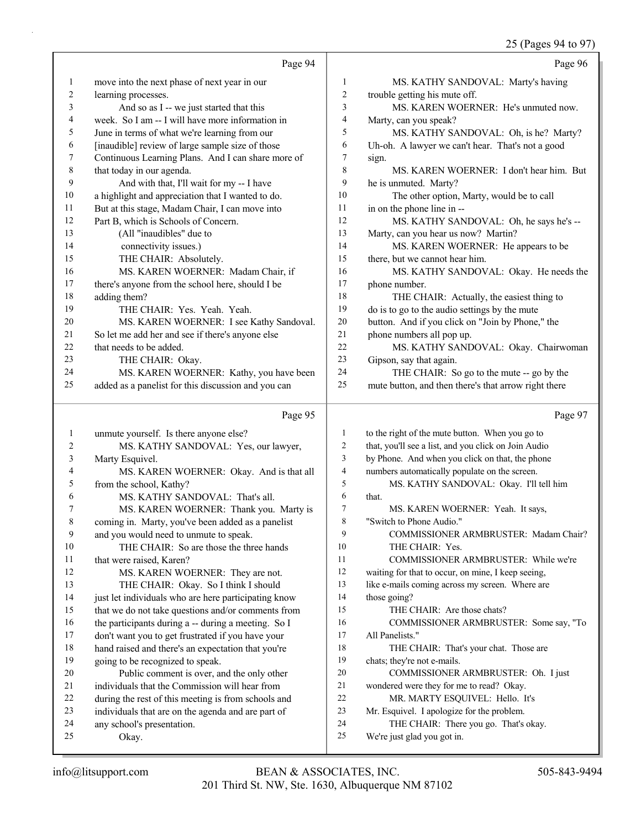#### 25 (Pages 94 to 97)

|              |                                                                                   |                              | 25 (Pages 94 to 97)                                                                      |
|--------------|-----------------------------------------------------------------------------------|------------------------------|------------------------------------------------------------------------------------------|
|              | Page 94                                                                           |                              | Page 96                                                                                  |
| 1            | move into the next phase of next year in our                                      | 1                            | MS. KATHY SANDOVAL: Marty's having                                                       |
| 2            | learning processes.                                                               | 2                            | trouble getting his mute off.                                                            |
| 3            | And so as I -- we just started that this                                          | 3                            | MS. KAREN WOERNER: He's unmuted now.                                                     |
| 4            | week. So I am -- I will have more information in                                  | $\overline{\mathcal{A}}$     | Marty, can you speak?                                                                    |
| 5            | June in terms of what we're learning from our                                     | 5                            | MS. KATHY SANDOVAL: Oh, is he? Marty?                                                    |
| 6            | [inaudible] review of large sample size of those                                  | 6                            | Uh-oh. A lawyer we can't hear. That's not a good                                         |
| 7            | Continuous Learning Plans. And I can share more of                                | 7                            | sign.                                                                                    |
| $\,8\,$      | that today in our agenda.                                                         | 8                            | MS. KAREN WOERNER: I don't hear him. But                                                 |
| 9            | And with that, I'll wait for my -- I have                                         | 9                            | he is unmuted. Marty?                                                                    |
| 10           | a highlight and appreciation that I wanted to do.                                 | 10                           | The other option, Marty, would be to call                                                |
| 11           | But at this stage, Madam Chair, I can move into                                   | 11                           | in on the phone line in --                                                               |
| 12           | Part B, which is Schools of Concern.                                              | 12                           | MS. KATHY SANDOVAL: Oh, he says he's --                                                  |
| 13           | (All "inaudibles" due to                                                          | 13                           | Marty, can you hear us now? Martin?                                                      |
| 14           | connectivity issues.)                                                             | 14                           | MS. KAREN WOERNER: He appears to be                                                      |
| 15           | THE CHAIR: Absolutely.                                                            | 15                           | there, but we cannot hear him.                                                           |
| 16           | MS. KAREN WOERNER: Madam Chair, if                                                | 16                           | MS. KATHY SANDOVAL: Okay. He needs the                                                   |
| 17           | there's anyone from the school here, should I be                                  | 17                           | phone number.                                                                            |
| 18           | adding them?                                                                      | 18                           | THE CHAIR: Actually, the easiest thing to                                                |
| 19           | THE CHAIR: Yes. Yeah. Yeah.                                                       | 19                           | do is to go to the audio settings by the mute                                            |
| 20           | MS. KAREN WOERNER: I see Kathy Sandoval.                                          | $20\,$                       | button. And if you click on "Join by Phone," the                                         |
| 21           | So let me add her and see if there's anyone else                                  | 21                           | phone numbers all pop up.                                                                |
| 22           | that needs to be added.                                                           | 22                           | MS. KATHY SANDOVAL: Okay. Chairwoman                                                     |
| 23           | THE CHAIR: Okay.                                                                  | 23                           | Gipson, say that again.                                                                  |
| 24           | MS. KAREN WOERNER: Kathy, you have been                                           | 24                           | THE CHAIR: So go to the mute -- go by the                                                |
| 25           | added as a panelist for this discussion and you can                               | 25                           | mute button, and then there's that arrow right there                                     |
|              | Page 95                                                                           |                              | Page 97                                                                                  |
|              |                                                                                   |                              |                                                                                          |
| $\mathbf{1}$ | unmute yourself. Is there anyone else?                                            | 1                            | to the right of the mute button. When you go to                                          |
| 2            | MS. KATHY SANDOVAL: Yes, our lawyer,                                              | 2                            | that, you'll see a list, and you click on Join Audio                                     |
| 3            | Marty Esquivel.                                                                   | 3                            | by Phone. And when you click on that, the phone                                          |
| 4            | MS. KAREN WOERNER: Okay. And is that all                                          | $\overline{\mathbf{4}}$<br>5 | numbers automatically populate on the screen.<br>MS. KATHY SANDOVAL: Okay. I'll tell him |
| 5<br>6       | from the school, Kathy?                                                           | 6                            | that.                                                                                    |
|              | MS. KATHY SANDOVAL: That's all.                                                   | 7                            | MS. KAREN WOERNER: Yeah. It says,                                                        |
| 8            | MS. KAREN WOERNER: Thank you. Marty is                                            | 8                            | "Switch to Phone Audio."                                                                 |
| 9            | coming in. Marty, you've been added as a panelist                                 | 9                            | COMMISSIONER ARMBRUSTER: Madam Chair?                                                    |
| 10           | and you would need to unmute to speak.<br>THE CHAIR: So are those the three hands | 10                           | THE CHAIR: Yes.                                                                          |
| 11           | that were raised, Karen?                                                          | 11                           | COMMISSIONER ARMBRUSTER: While we're                                                     |
| 12           | MS. KAREN WOERNER: They are not.                                                  | 12                           | waiting for that to occur, on mine, I keep seeing,                                       |
| 13           | THE CHAIR: Okay. So I think I should                                              | 13                           | like e-mails coming across my screen. Where are                                          |
| 14           | just let individuals who are here participating know                              | 14                           | those going?                                                                             |
| 15           | that we do not take questions and/or comments from                                | 15                           | THE CHAIR: Are those chats?                                                              |
| 16           | the participants during a -- during a meeting. So I                               | 16                           | COMMISSIONER ARMBRUSTER: Some say, "To                                                   |
| 17           | don't want you to get frustrated if you have your                                 | 17                           | All Panelists."                                                                          |
| 18           | hand raised and there's an expectation that you're                                | 18                           | THE CHAIR: That's your chat. Those are                                                   |
| 19           | going to be recognized to speak.                                                  | 19                           | chats; they're not e-mails.                                                              |
| 20           | Public comment is over, and the only other                                        | 20                           | COMMISSIONER ARMBRUSTER: Oh. I just                                                      |
| 21           | individuals that the Commission will hear from                                    | 21                           | wondered were they for me to read? Okay.                                                 |
|              | during the rest of this meeting is from schools and                               | 22                           | MR. MARTY ESQUIVEL: Hello. It's                                                          |
|              |                                                                                   |                              |                                                                                          |
| 22<br>23     | individuals that are on the agenda and are part of                                | 23                           | Mr. Esquivel. I apologize for the problem.                                               |

- 23 individuals that are on the agenda and are part of
- 24 any school's presentation.
- 25 Okay.
- 201 Third St. NW, Ste. 1630, Albuquerque NM 87102 info@litsupport.com BEAN & ASSOCIATES, INC. 505-843-9494

THE CHAIR: There you go. That's okay.

25 We're just glad you got in.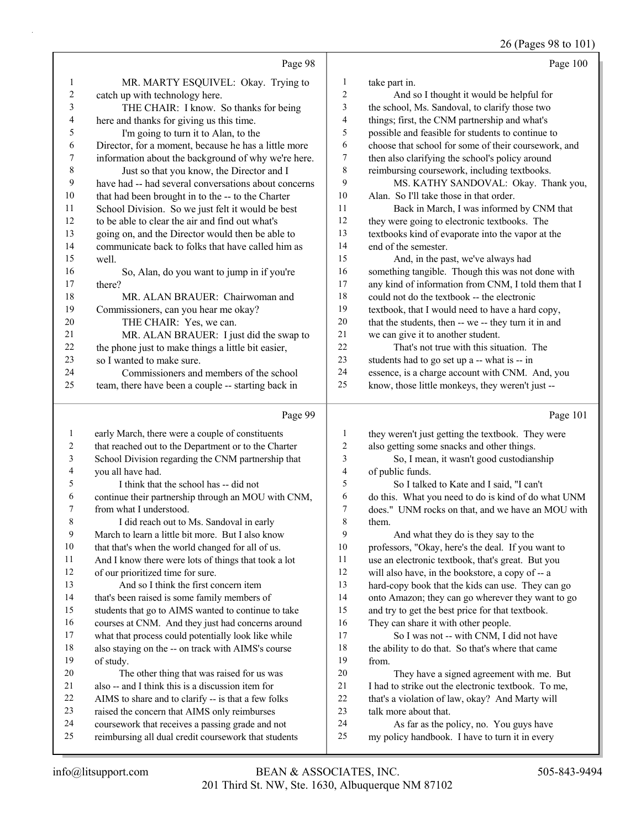26 (Pages 98 to 101)

|                          |                                                                                                        |                               | 20 (1 ages 70 to 101                                                                                    |
|--------------------------|--------------------------------------------------------------------------------------------------------|-------------------------------|---------------------------------------------------------------------------------------------------------|
|                          | Page 98                                                                                                |                               | Page 100                                                                                                |
| $\mathbf{1}$             | MR. MARTY ESQUIVEL: Okay. Trying to                                                                    | $\mathbf{1}$                  | take part in.                                                                                           |
| $\boldsymbol{2}$         | catch up with technology here.                                                                         | $\overline{c}$                | And so I thought it would be helpful for                                                                |
| 3                        | THE CHAIR: I know. So thanks for being                                                                 | 3                             | the school, Ms. Sandoval, to clarify those two                                                          |
| 4                        | here and thanks for giving us this time.                                                               | $\overline{4}$                | things; first, the CNM partnership and what's                                                           |
| 5                        | I'm going to turn it to Alan, to the                                                                   | 5                             | possible and feasible for students to continue to                                                       |
| 6                        | Director, for a moment, because he has a little more                                                   | 6                             | choose that school for some of their coursework, and                                                    |
| $\boldsymbol{7}$         | information about the background of why we're here.                                                    | 7                             | then also clarifying the school's policy around                                                         |
| $\,$ $\,$                | Just so that you know, the Director and I                                                              | 8                             | reimbursing coursework, including textbooks.                                                            |
| $\mathbf{9}$             | have had -- had several conversations about concerns                                                   | 9                             | MS. KATHY SANDOVAL: Okay. Thank you,                                                                    |
| $10\,$                   | that had been brought in to the -- to the Charter                                                      | $10\,$                        | Alan. So I'll take those in that order.                                                                 |
| 11                       | School Division. So we just felt it would be best                                                      | 11                            | Back in March, I was informed by CNM that                                                               |
| 12                       | to be able to clear the air and find out what's                                                        | 12                            | they were going to electronic textbooks. The                                                            |
| 13                       | going on, and the Director would then be able to                                                       | 13                            | textbooks kind of evaporate into the vapor at the                                                       |
| 14                       | communicate back to folks that have called him as                                                      | 14                            | end of the semester.                                                                                    |
| 15                       | well.                                                                                                  | 15                            | And, in the past, we've always had                                                                      |
| 16                       | So, Alan, do you want to jump in if you're                                                             | 16                            | something tangible. Though this was not done with                                                       |
| 17                       | there?                                                                                                 | $17$                          | any kind of information from CNM, I told them that I                                                    |
| 18                       | MR. ALAN BRAUER: Chairwoman and                                                                        | 18                            | could not do the textbook -- the electronic                                                             |
| 19                       | Commissioners, can you hear me okay?                                                                   | 19                            | textbook, that I would need to have a hard copy,                                                        |
| 20                       | THE CHAIR: Yes, we can.                                                                                | $20\,$                        | that the students, then -- we -- they turn it in and                                                    |
| 21                       | MR. ALAN BRAUER: I just did the swap to                                                                | $21\,$                        | we can give it to another student.                                                                      |
| 22                       | the phone just to make things a little bit easier,                                                     | 22                            | That's not true with this situation. The                                                                |
| 23                       | so I wanted to make sure.                                                                              | 23                            | students had to go set up a -- what is -- in                                                            |
| 24                       | Commissioners and members of the school                                                                | 24                            | essence, is a charge account with CNM. And, you                                                         |
| 25                       | team, there have been a couple -- starting back in                                                     | 25                            | know, those little monkeys, they weren't just --                                                        |
|                          |                                                                                                        |                               |                                                                                                         |
|                          |                                                                                                        |                               |                                                                                                         |
|                          | Page 99                                                                                                |                               | Page 101                                                                                                |
| $\mathbf{1}$             | early March, there were a couple of constituents                                                       | $\mathbf{1}$                  | they weren't just getting the textbook. They were                                                       |
| 2                        | that reached out to the Department or to the Charter                                                   | $\overline{c}$                | also getting some snacks and other things.                                                              |
| $\mathfrak{Z}$           | School Division regarding the CNM partnership that                                                     | $\mathfrak{Z}$                | So, I mean, it wasn't good custodianship                                                                |
| $\overline{\mathcal{A}}$ | you all have had.                                                                                      | $\overline{\mathcal{A}}$<br>5 | of public funds.                                                                                        |
| 5<br>6                   | I think that the school has -- did not                                                                 | 6                             | So I talked to Kate and I said, "I can't                                                                |
| 7                        | continue their partnership through an MOU with CNM,                                                    | $\tau$                        | do this. What you need to do is kind of do what UNM                                                     |
| 8                        | from what I understood.                                                                                | 8                             | does." UNM rocks on that, and we have an MOU with<br>them.                                              |
| 9                        | I did reach out to Ms. Sandoval in early                                                               | 9                             |                                                                                                         |
| $10\,$                   | March to learn a little bit more. But I also know<br>that that's when the world changed for all of us. | 10                            | And what they do is they say to the                                                                     |
| 11                       |                                                                                                        | 11                            | professors, "Okay, here's the deal. If you want to<br>use an electronic textbook, that's great. But you |
| 12                       | And I know there were lots of things that took a lot<br>of our prioritized time for sure.              | 12                            | will also have, in the bookstore, a copy of -- a                                                        |
| 13                       | And so I think the first concern item                                                                  | 13                            | hard-copy book that the kids can use. They can go                                                       |
| 14                       | that's been raised is some family members of                                                           | 14                            | onto Amazon; they can go wherever they want to go                                                       |
| 15                       | students that go to AIMS wanted to continue to take                                                    | 15                            | and try to get the best price for that textbook.                                                        |
| 16                       | courses at CNM. And they just had concerns around                                                      | 16                            | They can share it with other people.                                                                    |
| 17                       | what that process could potentially look like while                                                    | 17                            | So I was not -- with CNM, I did not have                                                                |
| 18                       | also staying on the -- on track with AIMS's course                                                     | 18                            | the ability to do that. So that's where that came                                                       |
| 19                       | of study.                                                                                              | 19                            | from.                                                                                                   |
| 20                       | The other thing that was raised for us was                                                             | 20                            | They have a signed agreement with me. But                                                               |
| 21                       | also -- and I think this is a discussion item for                                                      | $21\,$                        | I had to strike out the electronic textbook. To me,                                                     |
| 22                       | AIMS to share and to clarify -- is that a few folks                                                    | 22                            | that's a violation of law, okay? And Marty will                                                         |
| 23                       | raised the concern that AIMS only reimburses                                                           | 23                            | talk more about that.                                                                                   |
| 24                       | coursework that receives a passing grade and not                                                       | 24                            | As far as the policy, no. You guys have                                                                 |
| 25                       | reimbursing all dual credit coursework that students                                                   | 25                            | my policy handbook. I have to turn it in every                                                          |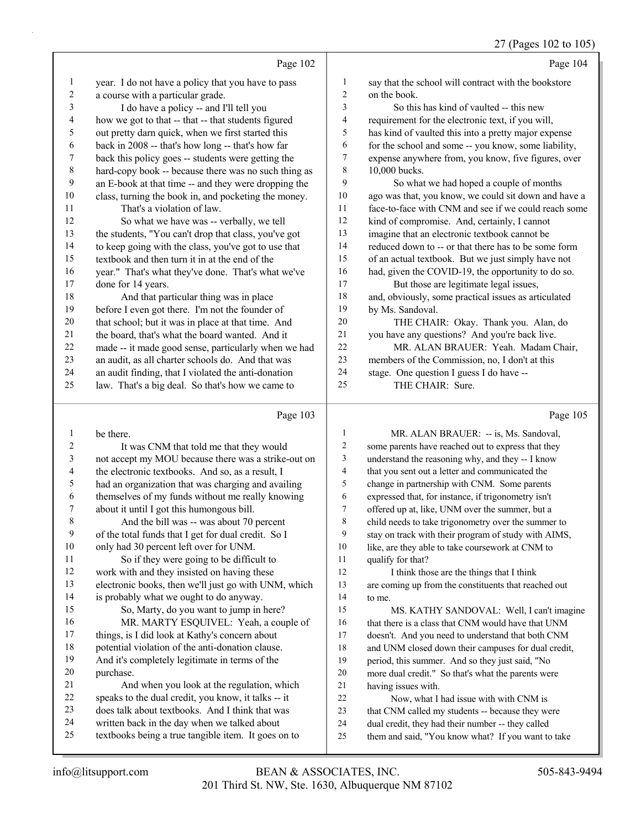|                |                                                      |                | $27$ (1 ages 102 to 109                              |
|----------------|------------------------------------------------------|----------------|------------------------------------------------------|
|                | Page 102                                             |                | Page 104                                             |
| 1              | year. I do not have a policy that you have to pass   | 1              | say that the school will contract with the bookstore |
| $\overline{c}$ | a course with a particular grade.                    | $\overline{c}$ | on the book.                                         |
| 3              | I do have a policy -- and I'll tell you              | 3              | So this has kind of vaulted -- this new              |
| 4              | how we got to that -- that -- that students figured  | 4              | requirement for the electronic text, if you will,    |
| 5              | out pretty darn quick, when we first started this    | 5              | has kind of vaulted this into a pretty major expense |
| 6              | back in 2008 -- that's how long -- that's how far    | 6              | for the school and some -- you know, some liability, |
| 7              | back this policy goes -- students were getting the   | 7              | expense anywhere from, you know, five figures, over  |
| $\,8\,$        | hard-copy book -- because there was no such thing as | 8              | 10,000 bucks.                                        |
| 9              | an E-book at that time -- and they were dropping the | 9              | So what we had hoped a couple of months              |
| 10             | class, turning the book in, and pocketing the money. | $10\,$         | ago was that, you know, we could sit down and have a |
| 11             | That's a violation of law.                           | 11             | face-to-face with CNM and see if we could reach some |
| 12             | So what we have was -- verbally, we tell             | 12             | kind of compromise. And, certainly, I cannot         |
| 13             | the students, "You can't drop that class, you've got | 13             | imagine that an electronic textbook cannot be        |
| 14             | to keep going with the class, you've got to use that | 14             | reduced down to -- or that there has to be some form |
| 15             | textbook and then turn it in at the end of the       | 15             | of an actual textbook. But we just simply have not   |
| 16             | year." That's what they've done. That's what we've   | 16             | had, given the COVID-19, the opportunity to do so.   |
| 17             | done for 14 years.                                   | 17             | But those are legitimate legal issues,               |
| 18             | And that particular thing was in place               | 18             | and, obviously, some practical issues as articulated |
| 19             | before I even got there. I'm not the founder of      | 19             | by Ms. Sandoval.                                     |
| $20\,$         | that school; but it was in place at that time. And   | 20             | THE CHAIR: Okay. Thank you. Alan, do                 |
| 21             | the board, that's what the board wanted. And it      | 21             | you have any questions? And you're back live.        |
| 22             | made -- it made good sense, particularly when we had | 22             | MR. ALAN BRAUER: Yeah. Madam Chair,                  |
| 23             | an audit, as all charter schools do. And that was    | 23             | members of the Commission, no, I don't at this       |
| 24             | an audit finding, that I violated the anti-donation  | 24             | stage. One question I guess I do have --             |
| 25             | law. That's a big deal. So that's how we came to     | 25             | THE CHAIR: Sure.                                     |
|                | Page 103                                             |                | Page 105                                             |
| 1              | be there.                                            | 1              | MR. ALAN BRAUER: -- is, Ms. Sandoval,                |
| $\overline{c}$ | It was CNM that told me that they would              | $\overline{2}$ | some parents have reached out to express that they   |
| 3              | not accept my MOU because there was a strike-out on  | 3              | understand the reasoning why, and they -- I know     |
|                |                                                      |                |                                                      |

 the electronic textbooks. And so, as a result, I had an organization that was charging and availing themselves of my funds without me really knowing

 about it until I got this humongous bill. 8 And the bill was -- was about 70 percent

 of the total funds that I get for dual credit. So I only had 30 percent left over for UNM.

- 11 So if they were going to be difficult to work with and they insisted on having these electronic books, then we'll just go with UNM, which is probably what we ought to do anyway. 15 So, Marty, do you want to jump in here? 16 MR. MARTY ESQUIVEL: Yeah, a couple of
- things, is I did look at Kathy's concern about potential violation of the anti-donation clause.
- And it's completely legitimate in terms of the purchase.
- 21 And when you look at the regulation, which speaks to the dual credit, you know, it talks -- it
- does talk about textbooks. And I think that was
- written back in the day when we talked about textbooks being a true tangible item. It goes on to
- having issues with. 22 Now, what I had issue with with CNM is 23 that CNM called my students -- because they were dual credit, they had their number -- they called them and said, "You know what? If you want to take

 that you sent out a letter and communicated the change in partnership with CNM. Some parents expressed that, for instance, if trigonometry isn't offered up at, like, UNM over the summer, but a child needs to take trigonometry over the summer to stay on track with their program of study with AIMS, like, are they able to take coursework at CNM to

12 I think those are the things that I think are coming up from the constituents that reached out

15 MS. KATHY SANDOVAL: Well, I can't imagine 16 that there is a class that CNM would have that UNM doesn't. And you need to understand that both CNM and UNM closed down their campuses for dual credit, period, this summer. And so they just said, "No more dual credit." So that's what the parents were

qualify for that?

to me.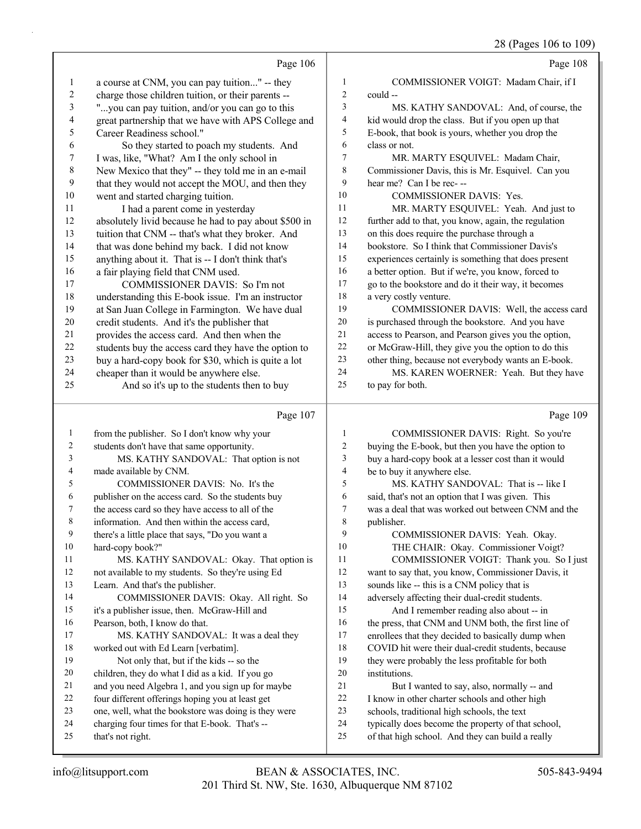28 (Pages 106 to 109)

|                | Page 106                                                            |                  | Page 108                                                                                               |
|----------------|---------------------------------------------------------------------|------------------|--------------------------------------------------------------------------------------------------------|
| 1              | a course at CNM, you can pay tuition" -- they                       | 1                | COMMISSIONER VOIGT: Madam Chair, if I                                                                  |
| 2              | charge those children tuition, or their parents --                  | $\boldsymbol{2}$ | could --                                                                                               |
| 3              | "you can pay tuition, and/or you can go to this                     | 3                | MS. KATHY SANDOVAL: And, of course, the                                                                |
| 4              | great partnership that we have with APS College and                 | $\overline{4}$   | kid would drop the class. But if you open up that                                                      |
| 5              | Career Readiness school."                                           | 5                | E-book, that book is yours, whether you drop the                                                       |
| 6              | So they started to poach my students. And                           | 6                | class or not.                                                                                          |
| 7              | I was, like, "What? Am I the only school in                         | $\tau$           | MR. MARTY ESQUIVEL: Madam Chair,                                                                       |
| 8              | New Mexico that they" -- they told me in an e-mail                  | 8                | Commissioner Davis, this is Mr. Esquivel. Can you                                                      |
| 9              | that they would not accept the MOU, and then they                   | 9                | hear me? Can I be rec---                                                                               |
| 10             | went and started charging tuition.                                  | 10               | COMMISSIONER DAVIS: Yes.                                                                               |
| 11             | I had a parent come in yesterday                                    | 11               | MR. MARTY ESQUIVEL: Yeah. And just to                                                                  |
| 12             | absolutely livid because he had to pay about \$500 in               | 12               | further add to that, you know, again, the regulation                                                   |
| 13             | tuition that CNM -- that's what they broker. And                    | 13               | on this does require the purchase through a                                                            |
| 14             | that was done behind my back. I did not know                        | 14               | bookstore. So I think that Commissioner Davis's                                                        |
| 15             | anything about it. That is -- I don't think that's                  | 15               | experiences certainly is something that does present                                                   |
| 16             | a fair playing field that CNM used.                                 | 16               | a better option. But if we're, you know, forced to                                                     |
| 17             | COMMISSIONER DAVIS: So I'm not                                      | 17               | go to the bookstore and do it their way, it becomes                                                    |
| 18             | understanding this E-book issue. I'm an instructor                  | 18               | a very costly venture.                                                                                 |
| 19             | at San Juan College in Farmington. We have dual                     | 19               | COMMISSIONER DAVIS: Well, the access card                                                              |
| $20\,$         | credit students. And it's the publisher that                        | $20\,$           | is purchased through the bookstore. And you have                                                       |
| 21             | provides the access card. And then when the                         | $21\,$           | access to Pearson, and Pearson gives you the option,                                                   |
| 22             | students buy the access card they have the option to                | $22\,$           | or McGraw-Hill, they give you the option to do this                                                    |
| 23             | buy a hard-copy book for \$30, which is quite a lot                 | 23               | other thing, because not everybody wants an E-book.                                                    |
| 24             | cheaper than it would be anywhere else.                             | 24               | MS. KAREN WOERNER: Yeah. But they have                                                                 |
| 25             | And so it's up to the students then to buy                          | 25               | to pay for both.                                                                                       |
|                |                                                                     |                  |                                                                                                        |
|                |                                                                     |                  |                                                                                                        |
|                | Page 107                                                            |                  | Page 109                                                                                               |
| $\mathbf{1}$   | from the publisher. So I don't know why your                        | 1                | COMMISSIONER DAVIS: Right. So you're                                                                   |
| $\overline{c}$ | students don't have that same opportunity.                          | $\overline{c}$   | buying the E-book, but then you have the option to                                                     |
| 3              | MS. KATHY SANDOVAL: That option is not                              | 3                | buy a hard-copy book at a lesser cost than it would                                                    |
| 4              | made available by CNM.                                              | $\overline{4}$   | be to buy it anywhere else.                                                                            |
| 5              | COMMISSIONER DAVIS: No. It's the                                    | 5                | MS. KATHY SANDOVAL: That is -- like I                                                                  |
| 6              | publisher on the access card. So the students buy                   | 6                | said, that's not an option that I was given. This                                                      |
| 7              | the access card so they have access to all of the                   | $\tau$           | was a deal that was worked out between CNM and the                                                     |
| 8              | information. And then within the access card,                       | 8                | publisher.                                                                                             |
| 9              | there's a little place that says, "Do you want a                    | 9                | COMMISSIONER DAVIS: Yeah. Okay.                                                                        |
| 10             | hard-copy book?"                                                    | 10               | THE CHAIR: Okay. Commissioner Voigt?                                                                   |
| 11             | MS. KATHY SANDOVAL: Okay. That option is                            | 11               | COMMISSIONER VOIGT: Thank you. So I just                                                               |
| 12             | not available to my students. So they're using Ed                   | 12               | want to say that, you know, Commissioner Davis, it                                                     |
| 13             | Learn. And that's the publisher.                                    | 13               | sounds like -- this is a CNM policy that is                                                            |
| 14             | COMMISSIONER DAVIS: Okay. All right. So                             | 14               | adversely affecting their dual-credit students.                                                        |
| 15             | it's a publisher issue, then. McGraw-Hill and                       | 15               | And I remember reading also about -- in                                                                |
| 16             | Pearson, both, I know do that.                                      | 16               | the press, that CNM and UNM both, the first line of                                                    |
| 17             | MS. KATHY SANDOVAL: It was a deal they                              | 17               | enrollees that they decided to basically dump when                                                     |
| 18             | worked out with Ed Learn [verbatim].                                | 18               | COVID hit were their dual-credit students, because                                                     |
| 19             | Not only that, but if the kids -- so the                            | 19               | they were probably the less profitable for both                                                        |
| 20             | children, they do what I did as a kid. If you go                    | 20               | institutions.                                                                                          |
| 21             | and you need Algebra 1, and you sign up for maybe                   | 21               | But I wanted to say, also, normally -- and                                                             |
| 22             | four different offerings hoping you at least get                    | $22\,$           | I know in other charter schools and other high                                                         |
| 23             | one, well, what the bookstore was doing is they were                | 23               | schools, traditional high schools, the text                                                            |
| 24<br>25       | charging four times for that E-book. That's --<br>that's not right. | 24<br>25         | typically does become the property of that school,<br>of that high school. And they can build a really |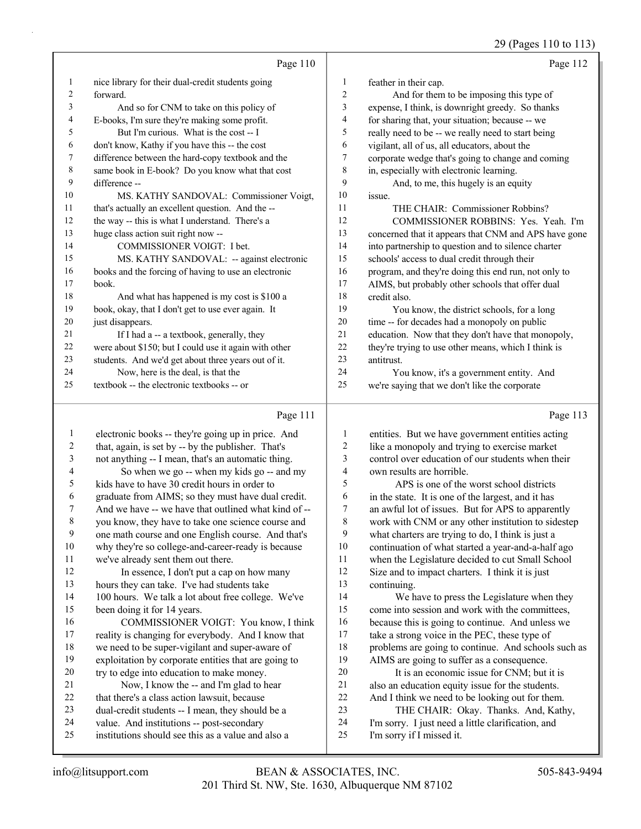29 (Pages 110 to 113)

|    | Page 110                                              |    | Page 112                                             |
|----|-------------------------------------------------------|----|------------------------------------------------------|
| 1  | nice library for their dual-credit students going     | 1  | feather in their cap.                                |
| 2  | forward.                                              | 2  | And for them to be imposing this type of             |
| 3  | And so for CNM to take on this policy of              | 3  | expense, I think, is downright greedy. So thanks     |
| 4  | E-books, I'm sure they're making some profit.         | 4  | for sharing that, your situation; because -- we      |
| 5  | But I'm curious. What is the cost -- I                | 5  | really need to be -- we really need to start being   |
| 6  | don't know, Kathy if you have this -- the cost        | 6  | vigilant, all of us, all educators, about the        |
| 7  | difference between the hard-copy textbook and the     | 7  | corporate wedge that's going to change and coming    |
| 8  | same book in E-book? Do you know what that cost       | 8  | in, especially with electronic learning.             |
| 9  | difference --                                         | 9  | And, to me, this hugely is an equity                 |
| 10 | MS. KATHY SANDOVAL: Commissioner Voigt,               | 10 | issue.                                               |
| 11 | that's actually an excellent question. And the --     | 11 | THE CHAIR: Commissioner Robbins?                     |
| 12 | the way -- this is what I understand. There's a       | 12 | COMMISSIONER ROBBINS: Yes. Yeah. I'm                 |
| 13 | huge class action suit right now --                   | 13 | concerned that it appears that CNM and APS have gone |
| 14 | <b>COMMISSIONER VOIGT: I bet.</b>                     | 14 | into partnership to question and to silence charter  |
| 15 | MS. KATHY SANDOVAL: -- against electronic             | 15 | schools' access to dual credit through their         |
| 16 | books and the forcing of having to use an electronic  | 16 | program, and they're doing this end run, not only to |
| 17 | book.                                                 | 17 | AIMS, but probably other schools that offer dual     |
| 18 | And what has happened is my cost is \$100 a           | 18 | credit also.                                         |
| 19 | book, okay, that I don't get to use ever again. It    | 19 | You know, the district schools, for a long           |
| 20 | just disappears.                                      | 20 | time -- for decades had a monopoly on public         |
| 21 | If I had a -- a textbook, generally, they             | 21 | education. Now that they don't have that monopoly,   |
| 22 | were about \$150; but I could use it again with other | 22 | they're trying to use other means, which I think is  |
| 23 | students. And we'd get about three years out of it.   | 23 | antitrust.                                           |
| 24 | Now, here is the deal, is that the                    | 24 | You know, it's a government entity. And              |
| 25 | textbook -- the electronic textbooks -- or            | 25 | we're saying that we don't like the corporate        |

### Page 111 |

|    | Page 111                                             |                | Page 113                                            |
|----|------------------------------------------------------|----------------|-----------------------------------------------------|
| 1  | electronic books -- they're going up in price. And   | 1              | entities. But we have government entities acting    |
| 2  | that, again, is set by -- by the publisher. That's   | 2              | like a monopoly and trying to exercise market       |
| 3  | not anything -- I mean, that's an automatic thing.   | 3              | control over education of our students when their   |
| 4  | So when we go -- when my kids go -- and my           | $\overline{4}$ | own results are horrible.                           |
| 5  | kids have to have 30 credit hours in order to        | 5              | APS is one of the worst school districts            |
| 6  | graduate from AIMS; so they must have dual credit.   | 6              | in the state. It is one of the largest, and it has  |
| 7  | And we have -- we have that outlined what kind of -- | 7              | an awful lot of issues. But for APS to apparently   |
| 8  | you know, they have to take one science course and   | 8              | work with CNM or any other institution to sidestep  |
| 9  | one math course and one English course. And that's   | 9              | what charters are trying to do, I think is just a   |
| 10 | why they're so college-and-career-ready is because   | 10             | continuation of what started a year-and-a-half ago  |
| 11 | we've already sent them out there.                   | 11             | when the Legislature decided to cut Small School    |
| 12 | In essence, I don't put a cap on how many            | 12             | Size and to impact charters. I think it is just     |
| 13 | hours they can take. I've had students take          | 13             | continuing.                                         |
| 14 | 100 hours. We talk a lot about free college. We've   | 14             | We have to press the Legislature when they          |
| 15 | been doing it for 14 years.                          | 15             | come into session and work with the committees,     |
| 16 | COMMISSIONER VOIGT: You know, I think                | 16             | because this is going to continue. And unless we    |
| 17 | reality is changing for everybody. And I know that   | 17             | take a strong voice in the PEC, these type of       |
| 18 | we need to be super-vigilant and super-aware of      | 18             | problems are going to continue. And schools such as |
| 19 | exploitation by corporate entities that are going to | 19             | AIMS are going to suffer as a consequence.          |
| 20 | try to edge into education to make money.            | 20             | It is an economic issue for CNM; but it is          |
| 21 | Now, I know the -- and I'm glad to hear              | 21             | also an education equity issue for the students.    |
| 22 | that there's a class action lawsuit, because         | 22             | And I think we need to be looking out for them.     |
| 23 | dual-credit students -- I mean, they should be a     | 23             | THE CHAIR: Okay. Thanks. And, Kathy,                |
| 24 | value. And institutions -- post-secondary            | 24             | I'm sorry. I just need a little clarification, and  |
| 25 | institutions should see this as a value and also a   | 25             | I'm sorry if I missed it.                           |
|    |                                                      |                |                                                     |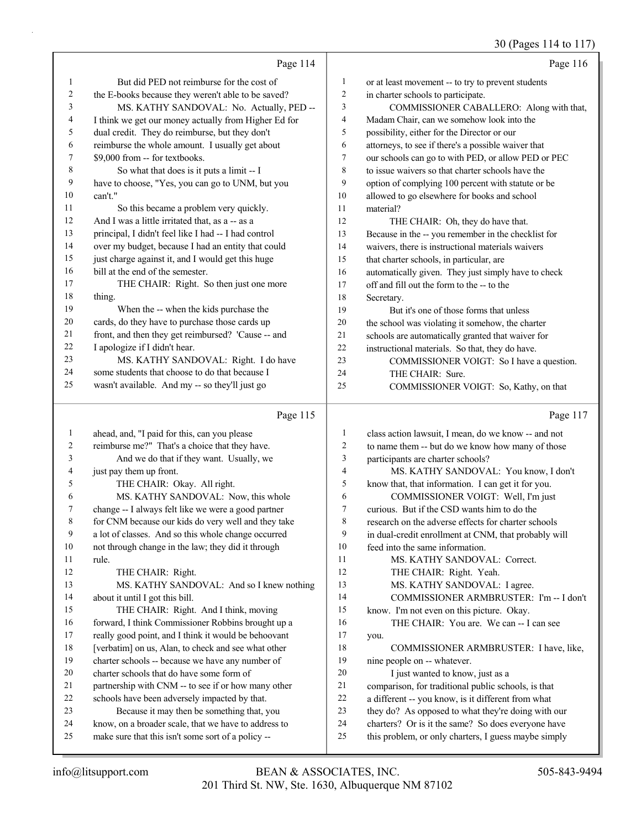### 30 (Pages 114 to 117)

|              |                                                      |                  | 30 (rages 114 to 117)                                |
|--------------|------------------------------------------------------|------------------|------------------------------------------------------|
|              | Page 114                                             |                  | Page 116                                             |
| 1            | But did PED not reimburse for the cost of            | 1                | or at least movement -- to try to prevent students   |
| 2            | the E-books because they weren't able to be saved?   | $\sqrt{2}$       | in charter schools to participate.                   |
| 3            | MS. KATHY SANDOVAL: No. Actually, PED --             | 3                | COMMISSIONER CABALLERO: Along with that,             |
| 4            | I think we get our money actually from Higher Ed for | 4                | Madam Chair, can we somehow look into the            |
| 5            | dual credit. They do reimburse, but they don't       | 5                | possibility, either for the Director or our          |
| 6            | reimburse the whole amount. I usually get about      | 6                | attorneys, to see if there's a possible waiver that  |
| 7            | \$9,000 from -- for textbooks.                       | $\boldsymbol{7}$ | our schools can go to with PED, or allow PED or PEC  |
| 8            | So what that does is it puts a limit -- I            | 8                | to issue waivers so that charter schools have the    |
| 9            | have to choose, "Yes, you can go to UNM, but you     | 9                | option of complying 100 percent with statute or be   |
| 10           | can't."                                              | 10               | allowed to go elsewhere for books and school         |
| 11           | So this became a problem very quickly.               | 11               | material?                                            |
| 12           | And I was a little irritated that, as a -- as a      | 12               | THE CHAIR: Oh, they do have that.                    |
| 13           | principal, I didn't feel like I had -- I had control | 13               | Because in the -- you remember in the checklist for  |
| 14           | over my budget, because I had an entity that could   | 14               | waivers, there is instructional materials waivers    |
| 15           | just charge against it, and I would get this huge    | 15               | that charter schools, in particular, are             |
| 16           | bill at the end of the semester.                     | 16               | automatically given. They just simply have to check  |
| 17           | THE CHAIR: Right. So then just one more              | 17               | off and fill out the form to the -- to the           |
| 18           | thing.                                               | 18               | Secretary.                                           |
| 19           | When the -- when the kids purchase the               | 19               | But it's one of those forms that unless              |
| 20           | cards, do they have to purchase those cards up       | 20               | the school was violating it somehow, the charter     |
| 21           | front, and then they get reimbursed? 'Cause -- and   | 21               | schools are automatically granted that waiver for    |
| 22           | I apologize if I didn't hear.                        | 22               | instructional materials. So that, they do have.      |
| 23           | MS. KATHY SANDOVAL: Right. I do have                 | 23               | COMMISSIONER VOIGT: So I have a question.            |
| 24           | some students that choose to do that because I       | 24               | THE CHAIR: Sure.                                     |
| 25           | wasn't available. And my -- so they'll just go       | 25               | COMMISSIONER VOIGT: So, Kathy, on that               |
|              | Page 115                                             |                  | Page 117                                             |
| $\mathbf{1}$ | ahead, and, "I paid for this, can you please         | 1                | class action lawsuit, I mean, do we know -- and not  |
| 2            | reimburse me?" That's a choice that they have.       | 2                | to name them -- but do we know how many of those     |
| 3            | And we do that if they want. Usually, we             | 3                | participants are charter schools?                    |
| 4            | just pay them up front.                              | 4                | MS. KATHY SANDOVAL: You know, I don't                |
| 5            | THE CHAIR: Okay. All right.                          | 5                | know that, that information. I can get it for you.   |
| 6            | MS. KATHY SANDOVAL: Now, this whole                  | 6                | COMMISSIONER VOIGT: Well, I'm just                   |
| 7            | change -- I always felt like we were a good partner  | 7                | curious. But if the CSD wants him to do the          |
| 8            | for CNM because our kids do very well and they take  | 8                | research on the adverse effects for charter schools  |
| 9            | a lot of classes. And so this whole change occurred  | 9                | in dual-credit enrollment at CNM, that probably will |
| 10           | not through change in the law; they did it through   | 10               | feed into the same information.                      |
| 11           | rule.                                                | 11               | MS. KATHY SANDOVAL: Correct.                         |
| 12           | THE CHAIR: Right.                                    | 12               | THE CHAIR: Right. Yeah.                              |
| 13           | MS. KATHY SANDOVAL: And so I knew nothing            | 13               | MS. KATHY SANDOVAL: I agree.                         |
| 14           | about it until I got this bill.                      | 14               | COMMISSIONER ARMBRUSTER: I'm -- I don't              |
| 15           | THE CHAIR: Right. And I think, moving                | 15               | know. I'm not even on this picture. Okay.            |
| 16           | forward, I think Commissioner Robbins brought up a   | 16               | THE CHAIR: You are. We can -- I can see              |
| 17           | really good point, and I think it would be behoovant | 17               | you.                                                 |
| 18           | [verbatim] on us, Alan, to check and see what other  | 18               | COMMISSIONER ARMBRUSTER: I have, like,               |
| 19           | charter schools -- because we have any number of     | 19               | nine people on -- whatever.                          |
| 20           | charter schools that do have some form of            | $20\,$           | I just wanted to know, just as a                     |
| 21           | partnership with CNM -- to see if or how many other  | 21               | comparison, for traditional public schools, is that  |
| 22           | schools have been adversely impacted by that.        | 22               | a different -- you know, is it different from what   |

- 23 Because it may then be something that, you
- know, on a broader scale, that we have to address to make sure that this isn't some sort of a policy --
- they do? As opposed to what they're doing with our charters? Or is it the same? So does everyone have
- this problem, or only charters, I guess maybe simply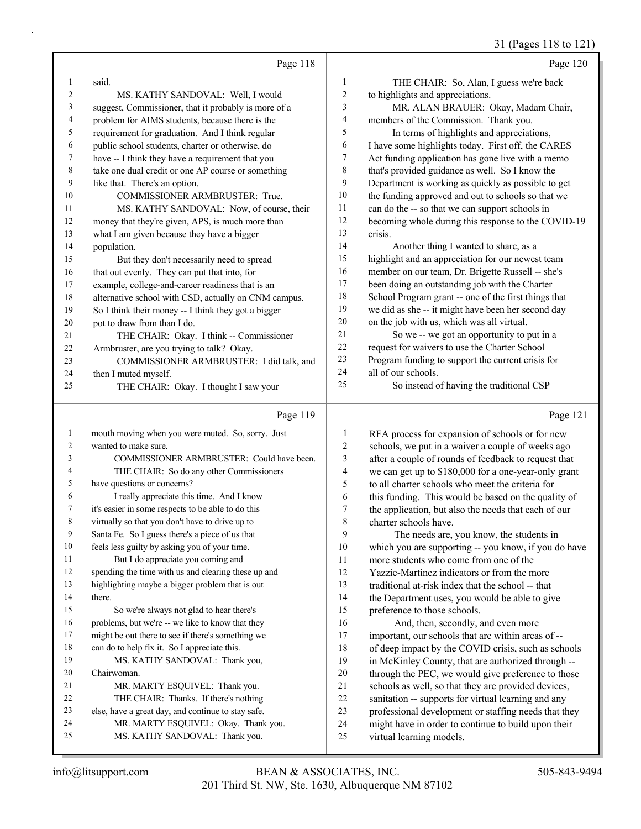### 31 (Pages 118 to 121)

|                |                                                                        |                         | 31 (Pages 118 to 121)                                                           |
|----------------|------------------------------------------------------------------------|-------------------------|---------------------------------------------------------------------------------|
|                | Page 118                                                               |                         | Page 120                                                                        |
| 1              | said.                                                                  | $\mathbf{1}$            | THE CHAIR: So, Alan, I guess we're back                                         |
| $\overline{c}$ | MS. KATHY SANDOVAL: Well, I would                                      | $\sqrt{2}$              | to highlights and appreciations.                                                |
| 3              | suggest, Commissioner, that it probably is more of a                   | $\mathfrak{Z}$          | MR. ALAN BRAUER: Okay, Madam Chair,                                             |
| 4              | problem for AIMS students, because there is the                        | $\overline{4}$          | members of the Commission. Thank you.                                           |
| 5              | requirement for graduation. And I think regular                        | 5                       | In terms of highlights and appreciations,                                       |
| 6              | public school students, charter or otherwise, do                       | 6                       | I have some highlights today. First off, the CARES                              |
| 7              | have -- I think they have a requirement that you                       | 7                       | Act funding application has gone live with a memo                               |
| $\,$ $\,$      | take one dual credit or one AP course or something                     | $\,$ $\,$               | that's provided guidance as well. So I know the                                 |
| 9              | like that. There's an option.                                          | 9                       | Department is working as quickly as possible to get                             |
| 10             | COMMISSIONER ARMBRUSTER: True.                                         | 10                      | the funding approved and out to schools so that we                              |
| 11             | MS. KATHY SANDOVAL: Now, of course, their                              | 11                      | can do the -- so that we can support schools in                                 |
| 12             | money that they're given, APS, is much more than                       | 12                      | becoming whole during this response to the COVID-19                             |
| 13             | what I am given because they have a bigger                             | 13                      | crisis.                                                                         |
| 14             | population.                                                            | 14                      | Another thing I wanted to share, as a                                           |
| 15             | But they don't necessarily need to spread                              | 15                      | highlight and an appreciation for our newest team                               |
| 16             | that out evenly. They can put that into, for                           | 16                      | member on our team, Dr. Brigette Russell -- she's                               |
| 17             | example, college-and-career readiness that is an                       | 17                      | been doing an outstanding job with the Charter                                  |
| 18             | alternative school with CSD, actually on CNM campus.                   | 18                      | School Program grant -- one of the first things that                            |
| 19             | So I think their money -- I think they got a bigger                    | 19                      | we did as she -- it might have been her second day                              |
| 20             | pot to draw from than I do.                                            | $20\,$                  | on the job with us, which was all virtual.                                      |
| 21             | THE CHAIR: Okay. I think -- Commissioner                               | 21                      | So we -- we got an opportunity to put in a                                      |
| 22             | Armbruster, are you trying to talk? Okay.                              | 22                      | request for waivers to use the Charter School                                   |
| 23             | COMMISSIONER ARMBRUSTER: I did talk, and                               | 23                      | Program funding to support the current crisis for                               |
| 24             | then I muted myself.                                                   | 24                      | all of our schools.                                                             |
| 25             | THE CHAIR: Okay. I thought I saw your                                  | 25                      | So instead of having the traditional CSP                                        |
|                |                                                                        |                         |                                                                                 |
|                | Page 119                                                               |                         | Page 121                                                                        |
| $\mathbf{1}$   | mouth moving when you were muted. So, sorry. Just                      |                         |                                                                                 |
| 2              |                                                                        | $\mathbf{1}$            | RFA process for expansion of schools or for new                                 |
| 3              | wanted to make sure.                                                   | $\overline{c}$          | schools, we put in a waiver a couple of weeks ago                               |
|                | COMMISSIONER ARMBRUSTER: Could have been.                              | 3                       | after a couple of rounds of feedback to request that                            |
| 4              | THE CHAIR: So do any other Commissioners                               | $\overline{\mathbf{4}}$ | we can get up to \$180,000 for a one-year-only grant                            |
| 5              | have questions or concerns?                                            | 5                       | to all charter schools who meet the criteria for                                |
| 6              | I really appreciate this time. And I know                              | 6                       | this funding. This would be based on the quality of                             |
| 7              | it's easier in some respects to be able to do this                     | 7                       | the application, but also the needs that each of our                            |
| 8              | virtually so that you don't have to drive up to                        | $\,$ $\,$               | charter schools have.                                                           |
| 9              | Santa Fe. So I guess there's a piece of us that                        | 9                       | The needs are, you know, the students in                                        |
| 10             | feels less guilty by asking you of your time.                          | $10\,$                  | which you are supporting -- you know, if you do have                            |
| 11             | But I do appreciate you coming and                                     | 11                      | more students who come from one of the                                          |
| 12             | spending the time with us and clearing these up and                    | 12                      | Yazzie-Martinez indicators or from the more                                     |
| 13             | highlighting maybe a bigger problem that is out                        | 13                      | traditional at-risk index that the school -- that                               |
| 14             | there.                                                                 | 14                      | the Department uses, you would be able to give                                  |
| 15             | So we're always not glad to hear there's                               | 15                      | preference to those schools.                                                    |
| 16             | problems, but we're -- we like to know that they                       | 16                      | And, then, secondly, and even more                                              |
| 17             | might be out there to see if there's something we                      | 17                      | important, our schools that are within areas of --                              |
| 18             | can do to help fix it. So I appreciate this.                           | 18                      | of deep impact by the COVID crisis, such as schools                             |
| 19             | MS. KATHY SANDOVAL: Thank you,                                         | 19                      | in McKinley County, that are authorized through --                              |
| 20             | Chairwoman.                                                            | 20                      | through the PEC, we would give preference to those                              |
| 21             | MR. MARTY ESQUIVEL: Thank you.                                         | 21                      | schools as well, so that they are provided devices,                             |
| 22             | THE CHAIR: Thanks. If there's nothing                                  | 22                      | sanitation -- supports for virtual learning and any                             |
| 23             | else, have a great day, and continue to stay safe.                     | 23                      | professional development or staffing needs that they                            |
| 24<br>25       | MR. MARTY ESQUIVEL: Okay. Thank you.<br>MS. KATHY SANDOVAL: Thank you. | 24<br>25                | might have in order to continue to build upon their<br>virtual learning models. |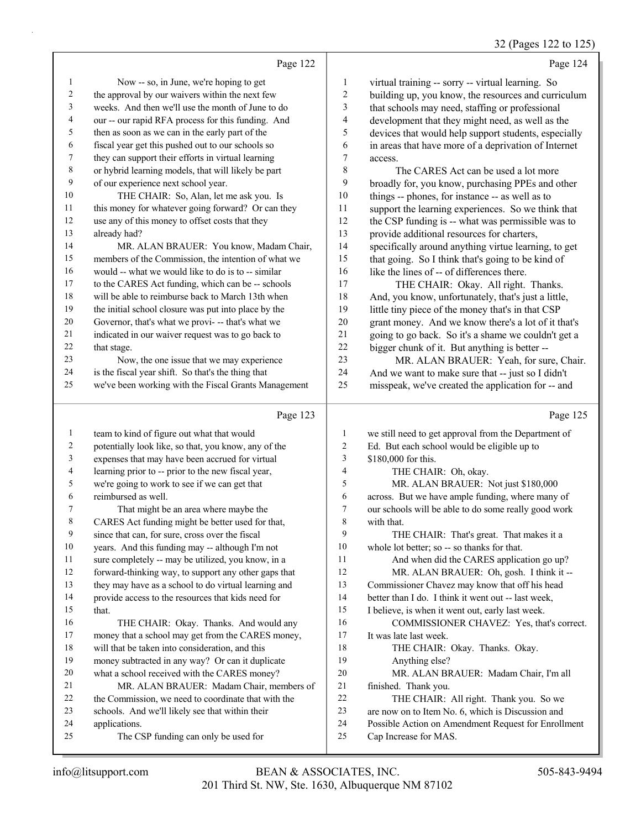### 32 (Pages 122 to 125)

|                         | Page 122                                                                                            |                                | Page 124                                                                                                 |
|-------------------------|-----------------------------------------------------------------------------------------------------|--------------------------------|----------------------------------------------------------------------------------------------------------|
| $\mathbf{1}$            | Now -- so, in June, we're hoping to get                                                             | $\mathbf{1}$                   | virtual training -- sorry -- virtual learning. So                                                        |
| $\sqrt{2}$              | the approval by our waivers within the next few                                                     | $\overline{c}$                 | building up, you know, the resources and curriculum                                                      |
| 3                       | weeks. And then we'll use the month of June to do                                                   | $\mathfrak{Z}$                 | that schools may need, staffing or professional                                                          |
| $\overline{\mathbf{4}}$ | our -- our rapid RFA process for this funding. And                                                  | $\overline{\mathcal{L}}$       | development that they might need, as well as the                                                         |
| 5                       | then as soon as we can in the early part of the                                                     | 5                              | devices that would help support students, especially                                                     |
| 6                       | fiscal year get this pushed out to our schools so                                                   | 6                              | in areas that have more of a deprivation of Internet                                                     |
| 7                       | they can support their efforts in virtual learning                                                  | 7                              | access.                                                                                                  |
| $\,$ $\,$               | or hybrid learning models, that will likely be part                                                 | 8                              | The CARES Act can be used a lot more                                                                     |
| 9                       | of our experience next school year.                                                                 | 9                              | broadly for, you know, purchasing PPEs and other                                                         |
| $10\,$                  | THE CHAIR: So, Alan, let me ask you. Is                                                             | 10                             | things -- phones, for instance -- as well as to                                                          |
| $11\,$                  | this money for whatever going forward? Or can they                                                  | 11                             | support the learning experiences. So we think that                                                       |
| 12                      | use any of this money to offset costs that they                                                     | 12                             | the CSP funding is -- what was permissible was to                                                        |
| 13                      | already had?                                                                                        | 13                             | provide additional resources for charters,                                                               |
| 14                      | MR. ALAN BRAUER: You know, Madam Chair,                                                             | 14                             | specifically around anything virtue learning, to get                                                     |
| 15                      | members of the Commission, the intention of what we                                                 | 15                             | that going. So I think that's going to be kind of                                                        |
| 16                      | would -- what we would like to do is to -- similar                                                  | 16                             | like the lines of -- of differences there.                                                               |
| 17                      | to the CARES Act funding, which can be -- schools                                                   | 17                             | THE CHAIR: Okay. All right. Thanks.                                                                      |
| $18\,$                  | will be able to reimburse back to March 13th when                                                   | 18                             | And, you know, unfortunately, that's just a little,                                                      |
| 19                      | the initial school closure was put into place by the                                                | 19                             | little tiny piece of the money that's in that CSP                                                        |
| 20                      | Governor, that's what we provi- -- that's what we                                                   | 20                             | grant money. And we know there's a lot of it that's                                                      |
| $21\,$                  | indicated in our waiver request was to go back to                                                   | 21                             | going to go back. So it's a shame we couldn't get a                                                      |
| 22                      | that stage.                                                                                         | 22                             | bigger chunk of it. But anything is better --                                                            |
| 23                      | Now, the one issue that we may experience                                                           | 23                             | MR. ALAN BRAUER: Yeah, for sure, Chair.                                                                  |
| 24                      | is the fiscal year shift. So that's the thing that                                                  | 24                             | And we want to make sure that -- just so I didn't                                                        |
| 25                      | we've been working with the Fiscal Grants Management                                                | 25                             | misspeak, we've created the application for -- and                                                       |
|                         |                                                                                                     |                                |                                                                                                          |
|                         | Page 123                                                                                            |                                | Page 125                                                                                                 |
|                         |                                                                                                     |                                |                                                                                                          |
| $\mathbf{1}$<br>2       | team to kind of figure out what that would                                                          | $\mathbf{1}$<br>$\overline{c}$ | we still need to get approval from the Department of                                                     |
| 3                       | potentially look like, so that, you know, any of the                                                | 3                              | Ed. But each school would be eligible up to<br>\$180,000 for this.                                       |
| 4                       | expenses that may have been accrued for virtual                                                     | $\overline{4}$                 |                                                                                                          |
| 5                       | learning prior to -- prior to the new fiscal year,                                                  | 5                              | THE CHAIR: Oh, okay.                                                                                     |
| 6                       | we're going to work to see if we can get that<br>reimbursed as well.                                | 6                              | MR. ALAN BRAUER: Not just \$180,000                                                                      |
| 7                       | That might be an area where maybe the                                                               | $\boldsymbol{7}$               | across. But we have ample funding, where many of<br>our schools will be able to do some really good work |
| $\,$ 8 $\,$             |                                                                                                     | 8                              | with that.                                                                                               |
| 9                       | CARES Act funding might be better used for that,<br>since that can, for sure, cross over the fiscal | 9                              | THE CHAIR: That's great. That makes it a                                                                 |
| $10\,$                  | years. And this funding may -- although I'm not                                                     | 10                             | whole lot better; so -- so thanks for that.                                                              |
| 11                      | sure completely -- may be utilized, you know, in a                                                  | 11                             | And when did the CARES application go up?                                                                |
| 12                      | forward-thinking way, to support any other gaps that                                                | 12                             | MR. ALAN BRAUER: Oh, gosh. I think it --                                                                 |
| 13                      | they may have as a school to do virtual learning and                                                | 13                             | Commissioner Chavez may know that off his head                                                           |
| 14                      | provide access to the resources that kids need for                                                  | 14                             | better than I do. I think it went out -- last week,                                                      |
| 15                      | that.                                                                                               | 15                             | I believe, is when it went out, early last week.                                                         |
| 16                      | THE CHAIR: Okay. Thanks. And would any                                                              | 16                             | COMMISSIONER CHAVEZ: Yes, that's correct.                                                                |
| $17\,$                  | money that a school may get from the CARES money,                                                   | 17                             | It was late last week.                                                                                   |
| $18\,$                  | will that be taken into consideration, and this                                                     | 18                             | THE CHAIR: Okay. Thanks. Okay.                                                                           |
| 19                      | money subtracted in any way? Or can it duplicate                                                    | 19                             | Anything else?                                                                                           |
| $20\,$                  | what a school received with the CARES money?                                                        | 20                             | MR. ALAN BRAUER: Madam Chair, I'm all                                                                    |
| 21                      | MR. ALAN BRAUER: Madam Chair, members of                                                            | 21                             | finished. Thank you.                                                                                     |
| $22\,$                  | the Commission, we need to coordinate that with the                                                 | 22                             | THE CHAIR: All right. Thank you. So we                                                                   |
| 23                      | schools. And we'll likely see that within their                                                     | 23                             | are now on to Item No. 6, which is Discussion and                                                        |
| 24                      | applications.                                                                                       | 24                             | Possible Action on Amendment Request for Enrollment                                                      |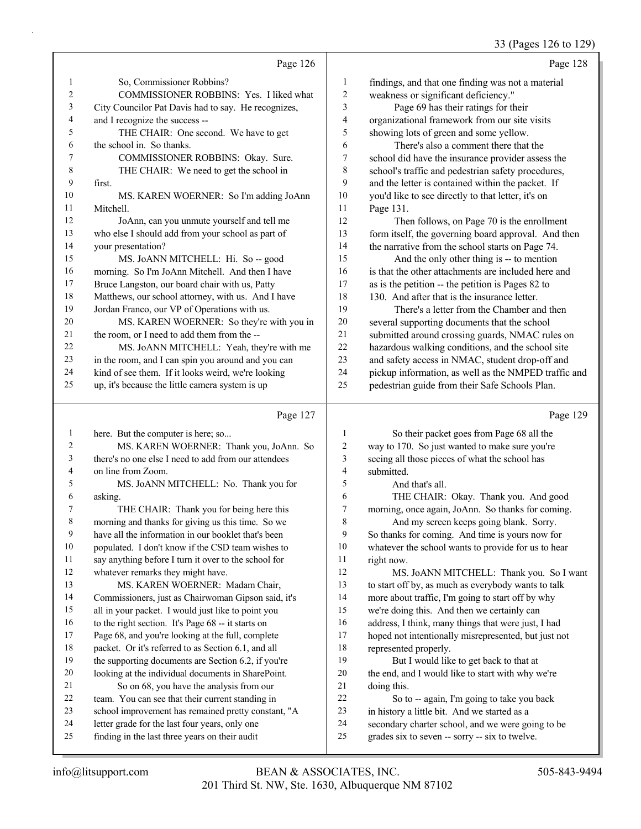33 (Pages 126 to 129)

|                |                                                      |                  | 33 (Pages 120 to 129)                                |
|----------------|------------------------------------------------------|------------------|------------------------------------------------------|
|                | Page 126                                             |                  | Page 128                                             |
| 1              | So, Commissioner Robbins?                            | $\mathbf{1}$     | findings, and that one finding was not a material    |
| $\overline{c}$ | COMMISSIONER ROBBINS: Yes. I liked what              | $\overline{c}$   | weakness or significant deficiency."                 |
| 3              | City Councilor Pat Davis had to say. He recognizes,  | 3                | Page 69 has their ratings for their                  |
| 4              | and I recognize the success --                       | 4                | organizational framework from our site visits        |
| 5              | THE CHAIR: One second. We have to get                | 5                | showing lots of green and some yellow.               |
| 6              | the school in. So thanks.                            | 6                | There's also a comment there that the                |
| 7              | COMMISSIONER ROBBINS: Okay. Sure.                    | $\boldsymbol{7}$ | school did have the insurance provider assess the    |
| 8              | THE CHAIR: We need to get the school in              | 8                | school's traffic and pedestrian safety procedures,   |
| 9              | first.                                               | 9                | and the letter is contained within the packet. If    |
| 10             | MS. KAREN WOERNER: So I'm adding JoAnn               | 10               | you'd like to see directly to that letter, it's on   |
| 11             | Mitchell.                                            | 11               | Page 131.                                            |
| 12             | JoAnn, can you unmute yourself and tell me           | 12               | Then follows, on Page 70 is the enrollment           |
| 13             | who else I should add from your school as part of    | 13               | form itself, the governing board approval. And then  |
| 14             | your presentation?                                   | 14               | the narrative from the school starts on Page 74.     |
| 15             | MS. JoANN MITCHELL: Hi. So -- good                   | 15               | And the only other thing is -- to mention            |
| 16             | morning. So I'm JoAnn Mitchell. And then I have      | 16               | is that the other attachments are included here and  |
| 17             | Bruce Langston, our board chair with us, Patty       | 17               | as is the petition -- the petition is Pages 82 to    |
| 18             | Matthews, our school attorney, with us. And I have   | 18               | 130. And after that is the insurance letter.         |
| 19             | Jordan Franco, our VP of Operations with us.         | 19               | There's a letter from the Chamber and then           |
| 20             | MS. KAREN WOERNER: So they're with you in            | 20               | several supporting documents that the school         |
| 21             | the room, or I need to add them from the --          | 21               | submitted around crossing guards, NMAC rules on      |
| 22             | MS. JoANN MITCHELL: Yeah, they're with me            | 22               | hazardous walking conditions, and the school site    |
| 23             | in the room, and I can spin you around and you can   | 23               | and safety access in NMAC, student drop-off and      |
| 24             | kind of see them. If it looks weird, we're looking   | 24               | pickup information, as well as the NMPED traffic and |
| 25             | up, it's because the little camera system is up      | 25               | pedestrian guide from their Safe Schools Plan.       |
|                | Page 127                                             |                  | Page 129                                             |
| $\mathbf{1}$   | here. But the computer is here; so                   | $\mathbf{1}$     | So their packet goes from Page 68 all the            |
| $\overline{c}$ | MS. KAREN WOERNER: Thank you, JoAnn. So              | $\overline{2}$   | way to 170. So just wanted to make sure you're       |
| 3              | there's no one else I need to add from our attendees | 3                | seeing all those pieces of what the school has       |
| 4              | on line from Zoom.                                   | $\overline{4}$   | submitted.                                           |
| 5              | MS. JoANN MITCHELL: No. Thank you for                | 5                | And that's all.                                      |
| 6              | asking.                                              | 6                | THE CHAIR: Okay. Thank you. And good                 |
| 7              | THE CHAIR: Thank you for being here this             | $\boldsymbol{7}$ | morning, once again, JoAnn. So thanks for coming.    |
| 8              | morning and thanks for giving us this time. So we    | 8                | And my screen keeps going blank. Sorry.              |
| 9              | have all the information in our booklet that's been  | 9                | So thanks for coming. And time is yours now for      |
| 10             | populated. I don't know if the CSD team wishes to    | 10               | whatever the school wants to provide for us to hear  |

say anything before I turn it over to the school for

 whatever remarks they might have. 13 MS. KAREN WOERNER: Madam Chair,

 Commissioners, just as Chairwoman Gipson said, it's all in your packet. I would just like to point you

to the right section. It's Page 68 -- it starts on

Page 68, and you're looking at the full, complete

- packet. Or it's referred to as Section 6.1, and all
- the supporting documents are Section 6.2, if you're
- looking at the individual documents in SharePoint.
- 21 So on 68, you have the analysis from our
- team. You can see that their current standing in
- school improvement has remained pretty constant, "A letter grade for the last four years, only one
- finding in the last three years on their audit

 right now. 12 MS. JoANN MITCHELL: Thank you. So I want to start off by, as much as everybody wants to talk more about traffic, I'm going to start off by why we're doing this. And then we certainly can

- address, I think, many things that were just, I had
- hoped not intentionally misrepresented, but just not represented properly.

19 But I would like to get back to that at the end, and I would like to start with why we're doing this.

22 So to -- again, I'm going to take you back

- in history a little bit. And we started as a
- secondary charter school, and we were going to be
- grades six to seven -- sorry -- six to twelve.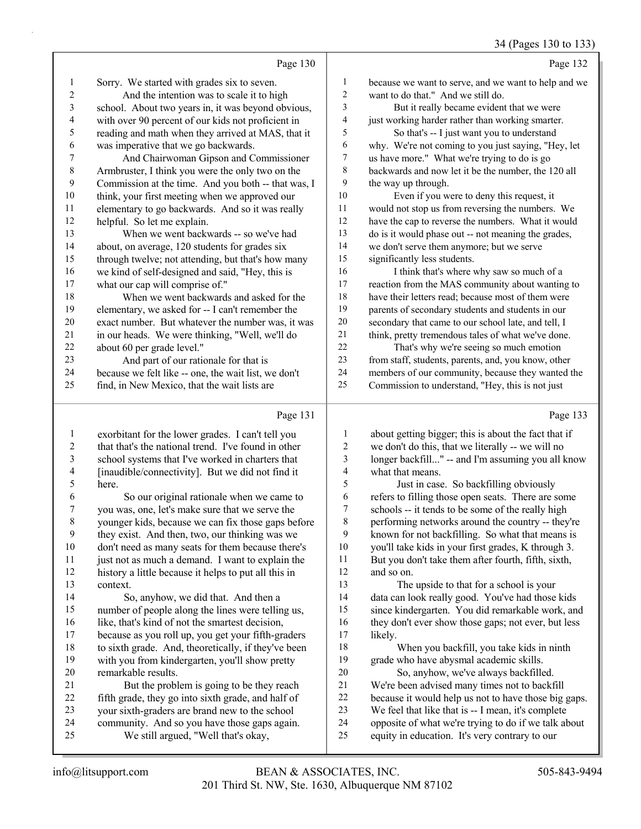34 (Pages 130 to 133)

|                | Page 130                                             |                | Page 132                                                                                                                                                                                                                                    |
|----------------|------------------------------------------------------|----------------|---------------------------------------------------------------------------------------------------------------------------------------------------------------------------------------------------------------------------------------------|
| $\mathbf{1}$   | Sorry. We started with grades six to seven.          | $\mathbf{1}$   | because we want to serve, and we want to help and we                                                                                                                                                                                        |
| $\sqrt{2}$     | And the intention was to scale it to high            | 2              | want to do that." And we still do.                                                                                                                                                                                                          |
| $\mathfrak{Z}$ | school. About two years in, it was beyond obvious,   | 3              | But it really became evident that we were                                                                                                                                                                                                   |
| $\overline{4}$ | with over 90 percent of our kids not proficient in   | 4              | just working harder rather than working smarter.                                                                                                                                                                                            |
| $\sqrt{5}$     | reading and math when they arrived at MAS, that it   | 5              | So that's -- I just want you to understand                                                                                                                                                                                                  |
| 6              | was imperative that we go backwards.                 | 6              | why. We're not coming to you just saying, "Hey, let                                                                                                                                                                                         |
| 7              | And Chairwoman Gipson and Commissioner               | $\overline{7}$ | us have more." What we're trying to do is go                                                                                                                                                                                                |
| $\,8\,$        | Armbruster, I think you were the only two on the     | 8              | backwards and now let it be the number, the 120 all                                                                                                                                                                                         |
| 9              | Commission at the time. And you both -- that was, I  | 9              | the way up through.                                                                                                                                                                                                                         |
| $10\,$         | think, your first meeting when we approved our       | 10             | Even if you were to deny this request, it                                                                                                                                                                                                   |
| 11             | elementary to go backwards. And so it was really     | 11             | would not stop us from reversing the numbers. We                                                                                                                                                                                            |
| 12             | helpful. So let me explain.                          | 12             | have the cap to reverse the numbers. What it would                                                                                                                                                                                          |
| 13             | When we went backwards -- so we've had               | 13             | do is it would phase out -- not meaning the grades,                                                                                                                                                                                         |
| 14             | about, on average, 120 students for grades six       | 14             | we don't serve them anymore; but we serve                                                                                                                                                                                                   |
| 15             | through twelve; not attending, but that's how many   | 15             | significantly less students.                                                                                                                                                                                                                |
| 16             | we kind of self-designed and said, "Hey, this is     | 16             | I think that's where why saw so much of a                                                                                                                                                                                                   |
| 17             | what our cap will comprise of."                      | $17\,$         | reaction from the MAS community about wanting to                                                                                                                                                                                            |
| 18             | When we went backwards and asked for the             | 18             | have their letters read; because most of them were                                                                                                                                                                                          |
| 19             | elementary, we asked for -- I can't remember the     | 19             | parents of secondary students and students in our                                                                                                                                                                                           |
| 20             | exact number. But whatever the number was, it was    | 20             | secondary that came to our school late, and tell, I                                                                                                                                                                                         |
| 21             | in our heads. We were thinking, "Well, we'll do      | $21\,$         | think, pretty tremendous tales of what we've done.                                                                                                                                                                                          |
| 22             | about 60 per grade level."                           | 22             | That's why we're seeing so much emotion                                                                                                                                                                                                     |
| 23             | And part of our rationale for that is                | 23             | from staff, students, parents, and, you know, other                                                                                                                                                                                         |
| 24             | because we felt like -- one, the wait list, we don't | 24             | members of our community, because they wanted the                                                                                                                                                                                           |
| 25             | find, in New Mexico, that the wait lists are         | 25             | Commission to understand, "Hey, this is not just                                                                                                                                                                                            |
|                | Page 131                                             |                | Page 133                                                                                                                                                                                                                                    |
| $\mathbf{1}$   | exorbitant for the lower grades. I can't tell you    | $\mathbf{1}$   | about getting bigger; this is about the fact that if                                                                                                                                                                                        |
| $\overline{c}$ | that that's the national trend. I've found in other  | $\mathfrak{2}$ | we don't do this, that we literally -- we will no                                                                                                                                                                                           |
| $\mathfrak{Z}$ | school systems that I've worked in charters that     | 3              | longer backfill" -- and I'm assuming you all know                                                                                                                                                                                           |
| 4              | [inaudible/connectivity]. But we did not find it     | $\overline{4}$ | what that means.                                                                                                                                                                                                                            |
| $\sqrt{5}$     | here.                                                | 5              | Just in case. So backfilling obviously                                                                                                                                                                                                      |
| 6              | So our original rationale when we came to            | 6              | refers to filling those open seats. There are some                                                                                                                                                                                          |
| 7              | you was, one, let's make sure that we serve the      | $\tau$         | schools -- it tends to be some of the really high                                                                                                                                                                                           |
| $\,8\,$        | younger kids, because we can fix those gaps before   | $\,$ $\,$      | performing networks around the country -- they're                                                                                                                                                                                           |
| 9              | they exist. And then, two, our thinking was we       | 9              | known for not backfilling. So what that means is                                                                                                                                                                                            |
| 10             | don't need as many seats for them because there's    | $10\,$         | you'll take kids in your first grades, K through 3.                                                                                                                                                                                         |
| 11             | just not as much a demand. I want to explain the     | 11             | But you don't take them after fourth, fifth, sixth,                                                                                                                                                                                         |
| 12             | history a little because it helps to put all this in | 12             | and so on.                                                                                                                                                                                                                                  |
| 13             | context.                                             | 13             | The upside to that for a school is your                                                                                                                                                                                                     |
| 1 <sub>A</sub> | $\Omega$ .                                           | 1 <sub>A</sub> | $\mathbf{1}_{\text{old}}$ and $\mathbf{1}_{\text{old}}$ and $\mathbf{1}_{\text{new}}$ and $\mathbf{1}_{\text{old}}$ and $\mathbf{1}_{\text{old}}$ and $\mathbf{1}_{\text{old}}$ and $\mathbf{1}_{\text{old}}$ and $\mathbf{1}_{\text{old}}$ |

14 So, anyhow, we did that. And then a number of people along the lines were telling us, 16 like, that's kind of not the smartest decision, because as you roll up, you get your fifth-graders to sixth grade. And, theoretically, if they've been with you from kindergarten, you'll show pretty 20 remarkable results.<br>21 But the probl

21 But the problem is going to be they reach<br>22 fifth grade, they go into sixth grade, and half of fifth grade, they go into sixth grade, and half of your sixth-graders are brand new to the school community. And so you have those gaps again.

25 We still argued, "Well that's okay,

 data can look really good. You've had those kids since kindergarten. You did remarkable work, and 16 they don't ever show those gaps; not ever, but less likely.

18 When you backfill, you take kids in ninth grade who have abysmal academic skills.

20 So, anyhow, we've always backfilled. 21 We're been advised many times not to backfill<br>22 because it would help us not to have those big because it would help us not to have those big gaps. We feel that like that is -- I mean, it's complete opposite of what we're trying to do if we talk about

equity in education. It's very contrary to our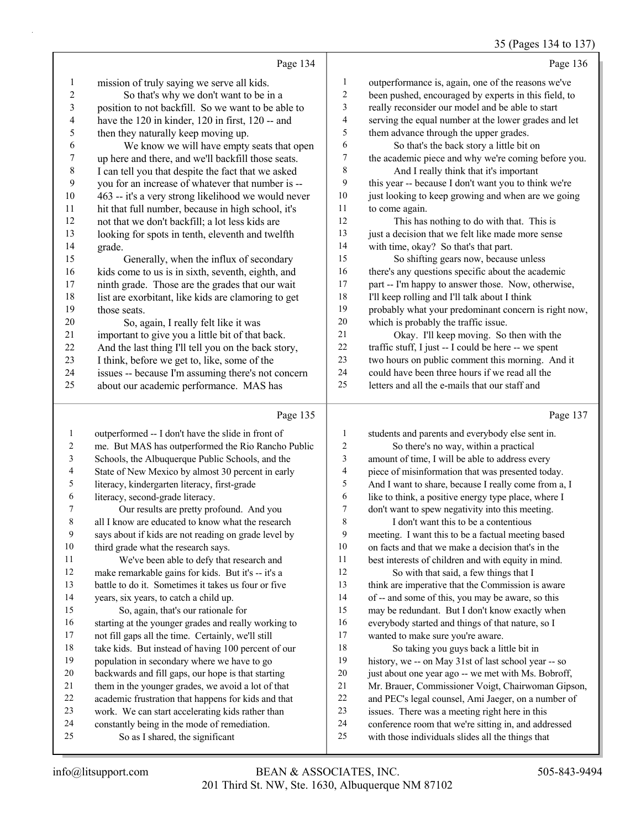35 (Pages 134 to 137)

|              | Page 134                                            |                | Page 136                                             |
|--------------|-----------------------------------------------------|----------------|------------------------------------------------------|
| $\mathbf{1}$ | mission of truly saying we serve all kids.          | 1              | outperformance is, again, one of the reasons we've   |
| 2            | So that's why we don't want to be in a              | $\overline{2}$ | been pushed, encouraged by experts in this field, to |
| 3            | position to not backfill. So we want to be able to  | 3              | really reconsider our model and be able to start     |
| 4            | have the 120 in kinder, 120 in first, 120 -- and    | $\overline{4}$ | serving the equal number at the lower grades and let |
| 5            | then they naturally keep moving up.                 | 5              | them advance through the upper grades.               |
| 6            | We know we will have empty seats that open          | 6              | So that's the back story a little bit on             |
| 7            | up here and there, and we'll backfill those seats.  | $\tau$         | the academic piece and why we're coming before you.  |
| $8\,$        | I can tell you that despite the fact that we asked  | 8              | And I really think that it's important               |
| 9            | you for an increase of whatever that number is --   | 9              | this year -- because I don't want you to think we're |
| 10           | 463 -- it's a very strong likelihood we would never | 10             | just looking to keep growing and when are we going   |
| 11           | hit that full number, because in high school, it's  | 11             | to come again.                                       |
| 12           | not that we don't backfill; a lot less kids are     | 12             | This has nothing to do with that. This is            |
| 13           | looking for spots in tenth, eleventh and twelfth    | 13             | just a decision that we felt like made more sense    |
| 14           | grade.                                              | 14             | with time, okay? So that's that part.                |
| 15           | Generally, when the influx of secondary             | 15             | So shifting gears now, because unless                |
| 16           | kids come to us is in sixth, seventh, eighth, and   | 16             | there's any questions specific about the academic    |
| 17           | ninth grade. Those are the grades that our wait     | 17             | part -- I'm happy to answer those. Now, otherwise,   |
| 18           | list are exorbitant, like kids are clamoring to get | 18             | I'll keep rolling and I'll talk about I think        |
| 19           | those seats.                                        | 19             | probably what your predominant concern is right now, |
| 20           | So, again, I really felt like it was                | 20             | which is probably the traffic issue.                 |
| 21           | important to give you a little bit of that back.    | 21             | Okay. I'll keep moving. So then with the             |
| 22           | And the last thing I'll tell you on the back story, | 22             | traffic stuff, I just -- I could be here -- we spent |
| 23           | I think, before we get to, like, some of the        | 23             | two hours on public comment this morning. And it     |
| 24           | issues -- because I'm assuming there's not concern  | 24             | could have been three hours if we read all the       |
| 25           | about our academic performance. MAS has             | 25             | letters and all the e-mails that our staff and       |
|              | Page 135                                            |                | Page 137                                             |

Τ

| (F<br>. |  |  |
|---------|--|--|
|         |  |  |

| $\mathbf{1}$ | outperformed -- I don't have the slide in front of   | 1  | students and parents and everybody else sent in.     |
|--------------|------------------------------------------------------|----|------------------------------------------------------|
| 2            | me. But MAS has outperformed the Rio Rancho Public   | 2  | So there's no way, within a practical                |
| 3            | Schools, the Albuquerque Public Schools, and the     | 3  | amount of time, I will be able to address every      |
| 4            | State of New Mexico by almost 30 percent in early    | 4  | piece of misinformation that was presented today.    |
| 5            | literacy, kindergarten literacy, first-grade         | 5  | And I want to share, because I really come from a, I |
| 6            | literacy, second-grade literacy.                     | 6  | like to think, a positive energy type place, where I |
| 7            | Our results are pretty profound. And you             | 7  | don't want to spew negativity into this meeting.     |
| $\,$ 8 $\,$  | all I know are educated to know what the research    | 8  | I don't want this to be a contentious                |
| 9            | says about if kids are not reading on grade level by | 9  | meeting. I want this to be a factual meeting based   |
| 10           | third grade what the research says.                  | 10 | on facts and that we make a decision that's in the   |
| 11           | We've been able to defy that research and            | 11 | best interests of children and with equity in mind.  |
| 12           | make remarkable gains for kids. But it's -- it's a   | 12 | So with that said, a few things that I               |
| 13           | battle to do it. Sometimes it takes us four or five  | 13 | think are imperative that the Commission is aware    |
| 14           | years, six years, to catch a child up.               | 14 | of -- and some of this, you may be aware, so this    |
| 15           | So, again, that's our rationale for                  | 15 | may be redundant. But I don't know exactly when      |
| 16           | starting at the younger grades and really working to | 16 | everybody started and things of that nature, so I    |
| 17           | not fill gaps all the time. Certainly, we'll still   | 17 | wanted to make sure you're aware.                    |
| 18           | take kids. But instead of having 100 percent of our  | 18 | So taking you guys back a little bit in              |
| 19           | population in secondary where we have to go          | 19 | history, we -- on May 31st of last school year -- so |
| 20           | backwards and fill gaps, our hope is that starting   | 20 | just about one year ago -- we met with Ms. Bobroff,  |
| 21           | them in the younger grades, we avoid a lot of that   | 21 | Mr. Brauer, Commissioner Voigt, Chairwoman Gipson,   |
| 22           | academic frustration that happens for kids and that  | 22 | and PEC's legal counsel, Ami Jaeger, on a number of  |
| 23           | work. We can start accelerating kids rather than     | 23 | issues. There was a meeting right here in this       |
| 24           | constantly being in the mode of remediation.         | 24 | conference room that we're sitting in, and addressed |
| 25           | So as I shared, the significant                      | 25 | with those individuals slides all the things that    |
|              |                                                      |    |                                                      |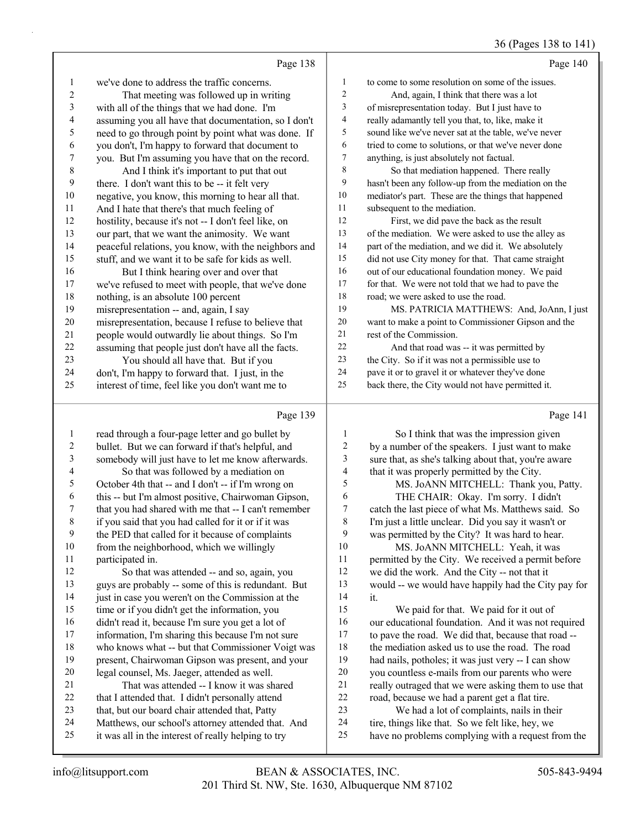### 36 (Pages 138 to 141)

|                 | Page 138                                             |    | Page 140                                             |
|-----------------|------------------------------------------------------|----|------------------------------------------------------|
| 1               | we've done to address the traffic concerns.          | 1  | to come to some resolution on some of the issues.    |
| $\overline{c}$  | That meeting was followed up in writing              | 2  | And, again, I think that there was a lot             |
| $\mathfrak{Z}$  | with all of the things that we had done. I'm         | 3  | of misrepresentation today. But I just have to       |
| $\overline{4}$  | assuming you all have that documentation, so I don't | 4  | really adamantly tell you that, to, like, make it    |
| 5               | need to go through point by point what was done. If  | 5  | sound like we've never sat at the table, we've never |
| 6               | you don't, I'm happy to forward that document to     | 6  | tried to come to solutions, or that we've never done |
| 7               | you. But I'm assuming you have that on the record.   | 7  | anything, is just absolutely not factual.            |
| $8\phantom{.0}$ | And I think it's important to put that out           | 8  | So that mediation happened. There really             |
| 9               | there. I don't want this to be -- it felt very       | 9  | hasn't been any follow-up from the mediation on the  |
| 10              | negative, you know, this morning to hear all that.   | 10 | mediator's part. These are the things that happened  |
| 11              | And I hate that there's that much feeling of         | 11 | subsequent to the mediation.                         |
| 12              | hostility, because it's not -- I don't feel like, on | 12 | First, we did pave the back as the result            |
| 13              | our part, that we want the animosity. We want        | 13 | of the mediation. We were asked to use the alley as  |
| 14              | peaceful relations, you know, with the neighbors and | 14 | part of the mediation, and we did it. We absolutely  |
| 15              | stuff, and we want it to be safe for kids as well.   | 15 | did not use City money for that. That came straight  |
| 16              | But I think hearing over and over that               | 16 | out of our educational foundation money. We paid     |
| 17              | we've refused to meet with people, that we've done   | 17 | for that. We were not told that we had to pave the   |
| 18              | nothing, is an absolute 100 percent                  | 18 | road; we were asked to use the road.                 |
| 19              | misrepresentation -- and, again, I say               | 19 | MS. PATRICIA MATTHEWS: And, JoAnn, I just            |
| 20              | misrepresentation, because I refuse to believe that  | 20 | want to make a point to Commissioner Gipson and the  |
| 21              | people would outwardly lie about things. So I'm      | 21 | rest of the Commission.                              |
| 22              | assuming that people just don't have all the facts.  | 22 | And that road was -- it was permitted by             |
| 23              | You should all have that. But if you                 | 23 | the City. So if it was not a permissible use to      |
| 24              | don't, I'm happy to forward that. I just, in the     | 24 | pave it or to gravel it or whatever they've done     |
| 25              | interest of time, feel like you don't want me to     | 25 | back there, the City would not have permitted it.    |
|                 | Page 139                                             |    | Page 141                                             |

#### Page 139  $\parallel$

|    | $1$ agu $1.97$                                       |    | $1 \text{ g}$ c $1 \text{ m}$                        |
|----|------------------------------------------------------|----|------------------------------------------------------|
| 1  | read through a four-page letter and go bullet by     |    | So I think that was the impression given             |
| 2  | bullet. But we can forward if that's helpful, and    | 2  | by a number of the speakers. I just want to make     |
| 3  | somebody will just have to let me know afterwards.   | 3  | sure that, as she's talking about that, you're aware |
| 4  | So that was followed by a mediation on               | 4  | that it was properly permitted by the City.          |
| 5  | October 4th that -- and I don't -- if I'm wrong on   | 5  | MS. JoANN MITCHELL: Thank you, Patty.                |
| 6  | this -- but I'm almost positive, Chairwoman Gipson,  | 6  | THE CHAIR: Okay. I'm sorry. I didn't                 |
| 7  | that you had shared with me that -- I can't remember | 7  | catch the last piece of what Ms. Matthews said. So   |
| 8  | if you said that you had called for it or if it was  | 8  | I'm just a little unclear. Did you say it wasn't or  |
| 9  | the PED that called for it because of complaints     | 9  | was permitted by the City? It was hard to hear.      |
| 10 | from the neighborhood, which we willingly            | 10 | MS. JoANN MITCHELL: Yeah, it was                     |
| 11 | participated in.                                     | 11 | permitted by the City. We received a permit before   |
| 12 | So that was attended -- and so, again, you           | 12 | we did the work. And the City -- not that it         |
| 13 | guys are probably -- some of this is redundant. But  | 13 | would -- we would have happily had the City pay for  |
| 14 | just in case you weren't on the Commission at the    | 14 | it.                                                  |
| 15 | time or if you didn't get the information, you       | 15 | We paid for that. We paid for it out of              |
| 16 | didn't read it, because I'm sure you get a lot of    | 16 | our educational foundation. And it was not required  |
| 17 | information, I'm sharing this because I'm not sure   | 17 | to pave the road. We did that, because that road --  |
| 18 | who knows what -- but that Commissioner Voigt was    | 18 | the mediation asked us to use the road. The road     |
| 19 | present, Chairwoman Gipson was present, and your     | 19 | had nails, potholes; it was just very -- I can show  |
| 20 | legal counsel, Ms. Jaeger, attended as well.         | 20 | you countless e-mails from our parents who were      |
| 21 | That was attended -- I know it was shared            | 21 | really outraged that we were asking them to use that |
| 22 | that I attended that. I didn't personally attend     | 22 | road, because we had a parent get a flat tire.       |
| 23 | that, but our board chair attended that, Patty       | 23 | We had a lot of complaints, nails in their           |
| 24 | Matthews, our school's attorney attended that. And   | 24 | tire, things like that. So we felt like, hey, we     |
| 25 | it was all in the interest of really helping to try  | 25 | have no problems complying with a request from the   |
|    |                                                      |    |                                                      |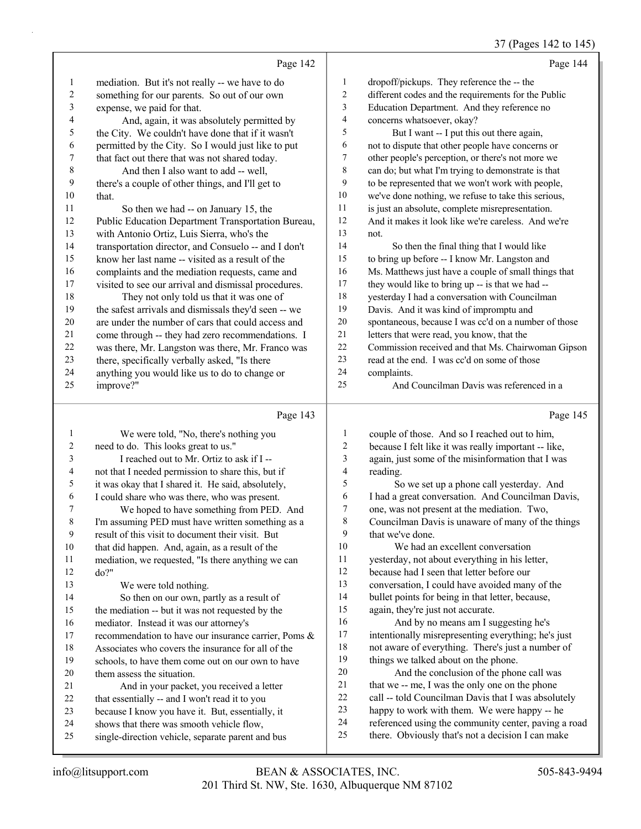37 (Pages 142 to 145)

|              |                                                      |                         | $57 \text{ (1450)}$ 1 12 to 1 13                     |
|--------------|------------------------------------------------------|-------------------------|------------------------------------------------------|
|              | Page 142                                             |                         | Page 144                                             |
| 1            | mediation. But it's not really -- we have to do      | $\mathbf{1}$            | dropoff/pickups. They reference the -- the           |
| 2            | something for our parents. So out of our own         | $\sqrt{2}$              | different codes and the requirements for the Public  |
| 3            | expense, we paid for that.                           | 3                       | Education Department. And they reference no          |
| 4            | And, again, it was absolutely permitted by           | $\overline{4}$          | concerns whatsoever, okay?                           |
| 5            | the City. We couldn't have done that if it wasn't    | 5                       | But I want -- I put this out there again,            |
| 6            | permitted by the City. So I would just like to put   | 6                       | not to dispute that other people have concerns or    |
| 7            | that fact out there that was not shared today.       | 7                       | other people's perception, or there's not more we    |
| $\,$ $\,$    | And then I also want to add -- well,                 | $\,8\,$                 | can do; but what I'm trying to demonstrate is that   |
| 9            | there's a couple of other things, and I'll get to    | 9                       | to be represented that we won't work with people,    |
| 10           | that.                                                | 10                      | we've done nothing, we refuse to take this serious,  |
| 11           | So then we had -- on January 15, the                 | $11\,$                  | is just an absolute, complete misrepresentation.     |
| 12           | Public Education Department Transportation Bureau,   | 12                      | And it makes it look like we're careless. And we're  |
| 13           | with Antonio Ortiz, Luis Sierra, who's the           | 13                      | not.                                                 |
| 14           | transportation director, and Consuelo -- and I don't | 14                      | So then the final thing that I would like            |
| 15           | know her last name -- visited as a result of the     | 15                      | to bring up before -- I know Mr. Langston and        |
| 16           | complaints and the mediation requests, came and      | 16                      | Ms. Matthews just have a couple of small things that |
| 17           | visited to see our arrival and dismissal procedures. | $17\,$                  | they would like to bring up -- is that we had --     |
| 18           | They not only told us that it was one of             | 18                      | yesterday I had a conversation with Councilman       |
| 19           | the safest arrivals and dismissals they'd seen -- we | 19                      | Davis. And it was kind of impromptu and              |
| $20\,$       | are under the number of cars that could access and   | 20                      | spontaneous, because I was cc'd on a number of those |
| 21           | come through -- they had zero recommendations. I     | 21                      | letters that were read, you know, that the           |
| 22           | was there, Mr. Langston was there, Mr. Franco was    | 22                      | Commission received and that Ms. Chairwoman Gipson   |
| 23           | there, specifically verbally asked, "Is there        | 23                      | read at the end. I was cc'd on some of those         |
| 24           | anything you would like us to do to change or        | 24                      | complaints.                                          |
| 25           | improve?"                                            | 25                      | And Councilman Davis was referenced in a             |
|              |                                                      |                         |                                                      |
|              |                                                      |                         |                                                      |
|              | Page 143                                             |                         | Page 145                                             |
| $\mathbf{1}$ | We were told, "No, there's nothing you               | $\mathbf{1}$            | couple of those. And so I reached out to him,        |
| 2            | need to do. This looks great to us."                 | $\overline{c}$          | because I felt like it was really important -- like, |
| 3            | I reached out to Mr. Ortiz to ask if I --            | 3                       | again, just some of the misinformation that I was    |
| 4            | not that I needed permission to share this, but if   | $\overline{\mathbf{4}}$ | reading.                                             |
| 5            | it was okay that I shared it. He said, absolutely,   | 5                       | So we set up a phone call yesterday. And             |
| 6            | I could share who was there, who was present.        | 6                       | I had a great conversation. And Councilman Davis,    |
| 7            | We hoped to have something from PED. And             | 7                       | one, was not present at the mediation. Two,          |
| 8            | I'm assuming PED must have written something as a    | $\,$ $\,$               | Councilman Davis is unaware of many of the things    |
| 9            | result of this visit to document their visit. But    | 9                       | that we've done.                                     |
| 10           | that did happen. And, again, as a result of the      | 10                      | We had an excellent conversation                     |
| 11           | mediation, we requested, "Is there anything we can   | 11                      | yesterday, not about everything in his letter,       |
| 12           | do?"                                                 | 12                      | because had I seen that letter before our            |
| 13           | We were told nothing.                                | 13                      | conversation, I could have avoided many of the       |
| 14           | So then on our own, partly as a result of            | 14                      | bullet points for being in that letter, because,     |
| 15           | the mediation -- but it was not requested by the     | 15                      | again, they're just not accurate.                    |
| 16           | mediator. Instead it was our attorney's              | 16                      | And by no means am I suggesting he's                 |
| 17           | recommendation to have our insurance carrier, Poms & | 17                      | intentionally misrepresenting everything; he's just  |
| $18\,$       | Associates who covers the insurance for all of the   | 18                      | not aware of everything. There's just a number of    |
| 19           | schools, to have them come out on our own to have    | 19                      | things we talked about on the phone.                 |
| 20           | them assess the situation.                           | $20\,$                  | And the conclusion of the phone call was             |
| 21           | And in your packet, you received a letter            | 21                      | that we -- me, I was the only one on the phone       |
| 22           | that essentially -- and I won't read it to you       | $22\,$                  | call -- told Councilman Davis that I was absolutely  |
| 23           | because I know you have it. But, essentially, it     | 23                      | happy to work with them. We were happy -- he         |
| 24           | shows that there was smooth vehicle flow,            | 24                      | referenced using the community center, paving a road |
| 25           | single-direction vehicle, separate parent and bus    | 25                      | there. Obviously that's not a decision I can make    |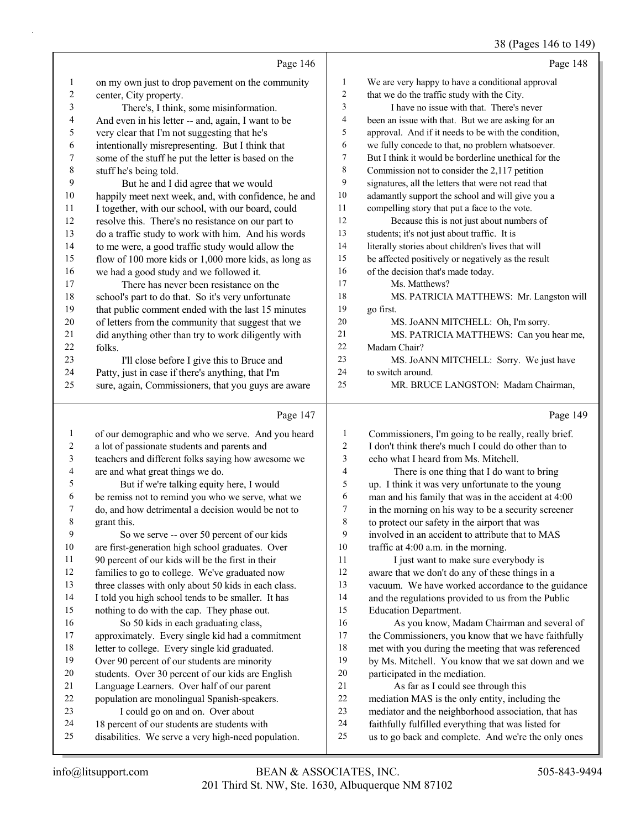## 38 (Pages 146 to 149)

|                          |                                                                                                     |                     | 30 (Fages 140 to 149                                                                                       |
|--------------------------|-----------------------------------------------------------------------------------------------------|---------------------|------------------------------------------------------------------------------------------------------------|
|                          | Page 146                                                                                            |                     | Page 148                                                                                                   |
| $\mathbf{1}$             | on my own just to drop pavement on the community                                                    | $\mathbf{1}$        | We are very happy to have a conditional approval                                                           |
| $\overline{c}$           | center, City property.                                                                              | 2                   | that we do the traffic study with the City.                                                                |
| 3                        | There's, I think, some misinformation.                                                              | 3                   | I have no issue with that. There's never                                                                   |
| $\overline{\mathcal{A}}$ | And even in his letter -- and, again, I want to be                                                  | 4                   | been an issue with that. But we are asking for an                                                          |
| 5                        | very clear that I'm not suggesting that he's                                                        | 5                   | approval. And if it needs to be with the condition,                                                        |
| 6                        | intentionally misrepresenting. But I think that                                                     | 6                   | we fully concede to that, no problem whatsoever.                                                           |
| $\boldsymbol{7}$         | some of the stuff he put the letter is based on the                                                 | 7                   | But I think it would be borderline unethical for the                                                       |
| $\,$ $\,$                | stuff he's being told.                                                                              | 8                   | Commission not to consider the 2,117 petition                                                              |
| 9                        | But he and I did agree that we would                                                                | 9                   | signatures, all the letters that were not read that                                                        |
| $10\,$                   | happily meet next week, and, with confidence, he and                                                | 10                  | adamantly support the school and will give you a                                                           |
| 11                       | I together, with our school, with our board, could                                                  | 11                  | compelling story that put a face to the vote.                                                              |
| 12                       | resolve this. There's no resistance on our part to                                                  | 12                  | Because this is not just about numbers of                                                                  |
| 13                       | do a traffic study to work with him. And his words                                                  | 13                  | students; it's not just about traffic. It is                                                               |
| 14                       | to me were, a good traffic study would allow the                                                    | 14                  | literally stories about children's lives that will                                                         |
| 15                       | flow of 100 more kids or 1,000 more kids, as long as                                                | 15                  | be affected positively or negatively as the result                                                         |
| 16                       | we had a good study and we followed it.                                                             | 16                  | of the decision that's made today.                                                                         |
| 17                       | There has never been resistance on the                                                              | 17                  | Ms. Matthews?                                                                                              |
| 18                       | school's part to do that. So it's very unfortunate                                                  | 18                  | MS. PATRICIA MATTHEWS: Mr. Langston will                                                                   |
| 19                       | that public comment ended with the last 15 minutes                                                  | 19                  | go first.                                                                                                  |
| 20                       | of letters from the community that suggest that we                                                  | $20\,$              | MS. JoANN MITCHELL: Oh, I'm sorry.                                                                         |
| 21                       | did anything other than try to work diligently with                                                 | 21                  | MS. PATRICIA MATTHEWS: Can you hear me,                                                                    |
| 22                       | folks.                                                                                              | 22                  | Madam Chair?                                                                                               |
| 23                       | I'll close before I give this to Bruce and                                                          | 23                  | MS. JoANN MITCHELL: Sorry. We just have                                                                    |
| 24                       | Patty, just in case if there's anything, that I'm                                                   | 24                  | to switch around.                                                                                          |
| 25                       | sure, again, Commissioners, that you guys are aware                                                 | 25                  | MR. BRUCE LANGSTON: Madam Chairman,                                                                        |
|                          |                                                                                                     |                     |                                                                                                            |
|                          | Page 147                                                                                            |                     | Page 149                                                                                                   |
|                          |                                                                                                     |                     |                                                                                                            |
| $\mathbf{1}$             | of our demographic and who we serve. And you heard                                                  | $\mathbf{1}$        | Commissioners, I'm going to be really, really brief.                                                       |
| $\sqrt{2}$               | a lot of passionate students and parents and                                                        | $\overline{c}$<br>3 | I don't think there's much I could do other than to                                                        |
| $\mathfrak{Z}$<br>4      | teachers and different folks saying how awesome we                                                  | $\overline{4}$      | echo what I heard from Ms. Mitchell.                                                                       |
| 5                        | are and what great things we do.                                                                    | 5                   | There is one thing that I do want to bring                                                                 |
| 6                        | But if we're talking equity here, I would                                                           | 6                   | up. I think it was very unfortunate to the young                                                           |
| 7                        | be remiss not to remind you who we serve, what we                                                   | 7                   | man and his family that was in the accident at 4:00                                                        |
| 8                        | do, and how detrimental a decision would be not to                                                  | $\,$ 8 $\,$         | in the morning on his way to be a security screener                                                        |
| 9                        | grant this.                                                                                         | 9                   | to protect our safety in the airport that was<br>involved in an accident to attribute that to MAS          |
| $10\,$                   | So we serve -- over 50 percent of our kids<br>are first-generation high school graduates. Over      | 10                  | traffic at 4:00 a.m. in the morning.                                                                       |
| 11                       | 90 percent of our kids will be the first in their                                                   | $11\,$              | I just want to make sure everybody is                                                                      |
| 12                       | families to go to college. We've graduated now                                                      | 12                  | aware that we don't do any of these things in a                                                            |
| 13                       | three classes with only about 50 kids in each class.                                                | 13                  | vacuum. We have worked accordance to the guidance                                                          |
| 14                       | I told you high school tends to be smaller. It has                                                  | 14                  | and the regulations provided to us from the Public                                                         |
| 15                       | nothing to do with the cap. They phase out.                                                         | 15                  | <b>Education Department.</b>                                                                               |
| 16                       | So 50 kids in each graduating class,                                                                | 16                  | As you know, Madam Chairman and several of                                                                 |
| 17                       | approximately. Every single kid had a commitment                                                    | 17                  | the Commissioners, you know that we have faithfully                                                        |
| 18                       | letter to college. Every single kid graduated.                                                      | 18                  | met with you during the meeting that was referenced                                                        |
| 19                       | Over 90 percent of our students are minority                                                        | 19                  | by Ms. Mitchell. You know that we sat down and we                                                          |
| $20\,$                   | students. Over 30 percent of our kids are English                                                   | $20\,$              | participated in the mediation.                                                                             |
| 21                       | Language Learners. Over half of our parent                                                          | 21                  | As far as I could see through this                                                                         |
| 22                       | population are monolingual Spanish-speakers.                                                        | $22\,$              | mediation MAS is the only entity, including the                                                            |
| 23                       | I could go on and on. Over about                                                                    | 23                  | mediator and the neighborhood association, that has                                                        |
| 24<br>25                 | 18 percent of our students are students with<br>disabilities. We serve a very high-need population. | 24<br>25            | faithfully fulfilled everything that was listed for<br>us to go back and complete. And we're the only ones |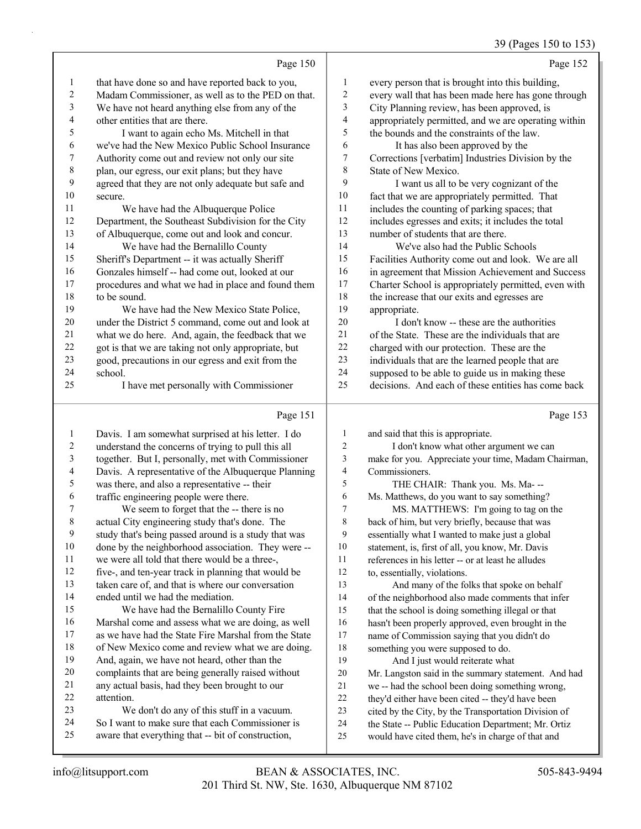# 39 (Pages 150 to 153)

|                  | Page 150                                                                                               |           | Page 152                                                                                                 |
|------------------|--------------------------------------------------------------------------------------------------------|-----------|----------------------------------------------------------------------------------------------------------|
| $\mathbf{1}$     | that have done so and have reported back to you,                                                       | 1         | every person that is brought into this building,                                                         |
| 2                | Madam Commissioner, as well as to the PED on that.                                                     | 2         | every wall that has been made here has gone through                                                      |
| 3                | We have not heard anything else from any of the                                                        | 3         | City Planning review, has been approved, is                                                              |
| 4                | other entities that are there.                                                                         | 4         | appropriately permitted, and we are operating within                                                     |
| 5                | I want to again echo Ms. Mitchell in that                                                              | 5         | the bounds and the constraints of the law.                                                               |
| 6                | we've had the New Mexico Public School Insurance                                                       | 6         | It has also been approved by the                                                                         |
| 7                | Authority come out and review not only our site                                                        | $\tau$    | Corrections [verbatim] Industries Division by the                                                        |
| $\,$ $\,$        | plan, our egress, our exit plans; but they have                                                        | $\,$ $\,$ | State of New Mexico.                                                                                     |
| 9                | agreed that they are not only adequate but safe and                                                    | 9         | I want us all to be very cognizant of the                                                                |
| 10               | secure.                                                                                                | $10\,$    | fact that we are appropriately permitted. That                                                           |
| 11               | We have had the Albuquerque Police                                                                     | 11        | includes the counting of parking spaces; that                                                            |
| 12               | Department, the Southeast Subdivision for the City                                                     | 12        | includes egresses and exits; it includes the total                                                       |
| 13               | of Albuquerque, come out and look and concur.                                                          | 13        | number of students that are there.                                                                       |
| 14               | We have had the Bernalillo County                                                                      | 14        | We've also had the Public Schools                                                                        |
| 15               | Sheriff's Department -- it was actually Sheriff                                                        | 15        | Facilities Authority come out and look. We are all                                                       |
| 16               | Gonzales himself -- had come out, looked at our                                                        | 16        | in agreement that Mission Achievement and Success                                                        |
| 17               | procedures and what we had in place and found them                                                     | 17        | Charter School is appropriately permitted, even with                                                     |
| 18               | to be sound.                                                                                           | 18        | the increase that our exits and egresses are                                                             |
| 19               | We have had the New Mexico State Police,                                                               | 19        | appropriate.                                                                                             |
| $20\,$           | under the District 5 command, come out and look at                                                     | 20        | I don't know -- these are the authorities                                                                |
| 21               | what we do here. And, again, the feedback that we                                                      | 21        | of the State. These are the individuals that are                                                         |
| 22               | got is that we are taking not only appropriate, but                                                    | 22        | charged with our protection. These are the                                                               |
| 23               | good, precautions in our egress and exit from the                                                      | 23        | individuals that are the learned people that are                                                         |
| 24               | school.                                                                                                | 24        | supposed to be able to guide us in making these                                                          |
| 25               | I have met personally with Commissioner                                                                | 25        | decisions. And each of these entities has come back                                                      |
|                  |                                                                                                        |           |                                                                                                          |
|                  |                                                                                                        |           |                                                                                                          |
|                  | Page 151                                                                                               |           | Page 153                                                                                                 |
| $\mathbf{1}$     | Davis. I am somewhat surprised at his letter. I do                                                     | 1         | and said that this is appropriate.                                                                       |
| $\boldsymbol{2}$ | understand the concerns of trying to pull this all                                                     | 2         | I don't know what other argument we can                                                                  |
| 3                | together. But I, personally, met with Commissioner                                                     | 3         | make for you. Appreciate your time, Madam Chairman,                                                      |
| 4                | Davis. A representative of the Albuquerque Planning                                                    | 4         | Commissioners.                                                                                           |
| 5                | was there, and also a representative -- their                                                          | 5         | THE CHAIR: Thank you. Ms. Ma---                                                                          |
| 6                | traffic engineering people were there.                                                                 | 6         | Ms. Matthews, do you want to say something?                                                              |
| 7                | We seem to forget that the -- there is no                                                              | 7         | MS. MATTHEWS: I'm going to tag on the                                                                    |
| 8                | actual City engineering study that's done. The                                                         | 8         | back of him, but very briefly, because that was                                                          |
| 9                | study that's being passed around is a study that was                                                   | 9         | essentially what I wanted to make just a global                                                          |
| 10               | done by the neighborhood association. They were --                                                     | 10        | statement, is, first of all, you know, Mr. Davis                                                         |
| 11               | we were all told that there would be a three-,                                                         | 11        | references in his letter -- or at least he alludes                                                       |
| 12               | five-, and ten-year track in planning that would be                                                    | 12        | to, essentially, violations.                                                                             |
| 13               | taken care of, and that is where our conversation                                                      | 13        | And many of the folks that spoke on behalf                                                               |
| 14               | ended until we had the mediation.                                                                      | 14        | of the neighborhood also made comments that infer                                                        |
| 15               | We have had the Bernalillo County Fire                                                                 | 15        | that the school is doing something illegal or that                                                       |
| 16               | Marshal come and assess what we are doing, as well                                                     | 16        | hasn't been properly approved, even brought in the                                                       |
| 17               | as we have had the State Fire Marshal from the State                                                   | 17        | name of Commission saying that you didn't do                                                             |
| 18               | of New Mexico come and review what we are doing.                                                       | 18        | something you were supposed to do.                                                                       |
| 19               | And, again, we have not heard, other than the                                                          | 19        | And I just would reiterate what                                                                          |
| 20               | complaints that are being generally raised without                                                     | 20        | Mr. Langston said in the summary statement. And had                                                      |
| 21               | any actual basis, had they been brought to our                                                         | 21        | we -- had the school been doing something wrong,                                                         |
| 22               | attention.                                                                                             | 22        | they'd either have been cited -- they'd have been                                                        |
| 23               | We don't do any of this stuff in a vacuum.                                                             | 23        | cited by the City, by the Transportation Division of                                                     |
| 24<br>25         | So I want to make sure that each Commissioner is<br>aware that everything that -- bit of construction, | 24<br>25  | the State -- Public Education Department; Mr. Ortiz<br>would have cited them, he's in charge of that and |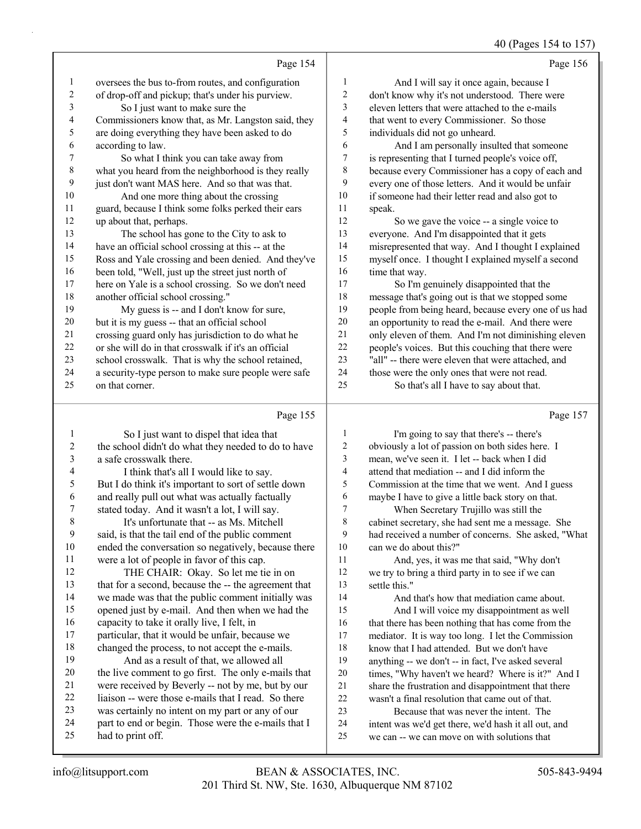## 40 (Pages 154 to 157)

|             |                                                      |                | -- -- - -- -- <i>-</i>                               |
|-------------|------------------------------------------------------|----------------|------------------------------------------------------|
|             | Page 154                                             |                | Page 156                                             |
| 1           | oversees the bus to-from routes, and configuration   | 1              | And I will say it once again, because I              |
| 2           | of drop-off and pickup; that's under his purview.    | $\overline{c}$ | don't know why it's not understood. There were       |
| 3           | So I just want to make sure the                      | 3              | eleven letters that were attached to the e-mails     |
| 4           | Commissioners know that, as Mr. Langston said, they  | 4              | that went to every Commissioner. So those            |
| 5           | are doing everything they have been asked to do      | 5              | individuals did not go unheard.                      |
| 6           | according to law.                                    | 6              | And I am personally insulted that someone            |
| 7           | So what I think you can take away from               | $\tau$         | is representing that I turned people's voice off,    |
| $\,$ 8 $\,$ | what you heard from the neighborhood is they really  | 8              | because every Commissioner has a copy of each and    |
| 9           | just don't want MAS here. And so that was that.      | 9              | every one of those letters. And it would be unfair   |
| 10          | And one more thing about the crossing                | 10             | if someone had their letter read and also got to     |
| 11          | guard, because I think some folks perked their ears  | 11             | speak.                                               |
| 12          | up about that, perhaps.                              | 12             | So we gave the voice -- a single voice to            |
| 13          | The school has gone to the City to ask to            | 13             | everyone. And I'm disappointed that it gets          |
| 14          | have an official school crossing at this -- at the   | 14             | misrepresented that way. And I thought I explained   |
| 15          | Ross and Yale crossing and been denied. And they've  | 15             | myself once. I thought I explained myself a second   |
| 16          | been told, "Well, just up the street just north of   | 16             | time that way.                                       |
| 17          | here on Yale is a school crossing. So we don't need  | 17             | So I'm genuinely disappointed that the               |
| 18          | another official school crossing."                   | 18             | message that's going out is that we stopped some     |
| 19          | My guess is -- and I don't know for sure,            | 19             | people from being heard, because every one of us had |
| 20          | but it is my guess -- that an official school        | 20             | an opportunity to read the e-mail. And there were    |
| 21          | crossing guard only has jurisdiction to do what he   | 21             | only eleven of them. And I'm not diminishing eleven  |
| 22          | or she will do in that crosswalk if it's an official | 22             | people's voices. But this couching that there were   |
| 23          | school crosswalk. That is why the school retained,   | 23             | "all" -- there were eleven that were attached, and   |
| 24          | a security-type person to make sure people were safe | 24             | those were the only ones that were not read.         |
| 25          | on that corner.                                      | 25             | So that's all I have to say about that.              |
|             | Page 155                                             |                | Page 157                                             |

|  | аο | ۰ |  |  |
|--|----|---|--|--|
|  |    |   |  |  |

| 1  |                                                      | 1      |                                                      |
|----|------------------------------------------------------|--------|------------------------------------------------------|
|    | So I just want to dispel that idea that              |        | I'm going to say that there's -- there's             |
| 2  | the school didn't do what they needed to do to have  | 2      | obviously a lot of passion on both sides here. I     |
| 3  | a safe crosswalk there.                              | 3      | mean, we've seen it. I let -- back when I did        |
| 4  | I think that's all I would like to say.              | 4      | attend that mediation -- and I did inform the        |
| 5  | But I do think it's important to sort of settle down | 5      | Commission at the time that we went. And I guess     |
| 6  | and really pull out what was actually factually      | 6      | maybe I have to give a little back story on that.    |
| 7  | stated today. And it wasn't a lot, I will say.       | $\tau$ | When Secretary Trujillo was still the                |
| 8  | It's unfortunate that -- as Ms. Mitchell             | 8      | cabinet secretary, she had sent me a message. She    |
| 9  | said, is that the tail end of the public comment     | 9      | had received a number of concerns. She asked, "What  |
| 10 | ended the conversation so negatively, because there  | 10     | can we do about this?"                               |
| 11 | were a lot of people in favor of this cap.           | 11     | And, yes, it was me that said, "Why don't            |
| 12 | THE CHAIR: Okay. So let me tie in on                 | 12     | we try to bring a third party in to see if we can    |
| 13 | that for a second, because the -- the agreement that | 13     | settle this."                                        |
| 14 | we made was that the public comment initially was    | 14     | And that's how that mediation came about.            |
| 15 | opened just by e-mail. And then when we had the      | 15     | And I will voice my disappointment as well           |
| 16 | capacity to take it orally live, I felt, in          | 16     | that there has been nothing that has come from the   |
| 17 | particular, that it would be unfair, because we      | 17     | mediator. It is way too long. I let the Commission   |
| 18 | changed the process, to not accept the e-mails.      | 18     | know that I had attended. But we don't have          |
| 19 | And as a result of that, we allowed all              | 19     | anything -- we don't -- in fact, I've asked several  |
| 20 | the live comment to go first. The only e-mails that  | 20     | times, "Why haven't we heard? Where is it?" And I    |
| 21 | were received by Beverly -- not by me, but by our    | 21     | share the frustration and disappointment that there  |
| 22 | liaison -- were those e-mails that I read. So there  | 22     | wasn't a final resolution that came out of that.     |
| 23 | was certainly no intent on my part or any of our     | 23     | Because that was never the intent. The               |
| 24 | part to end or begin. Those were the e-mails that I  | 24     |                                                      |
| 25 | had to print off.                                    | 25     | intent was we'd get there, we'd hash it all out, and |
|    |                                                      |        | we can -- we can move on with solutions that         |
|    |                                                      |        |                                                      |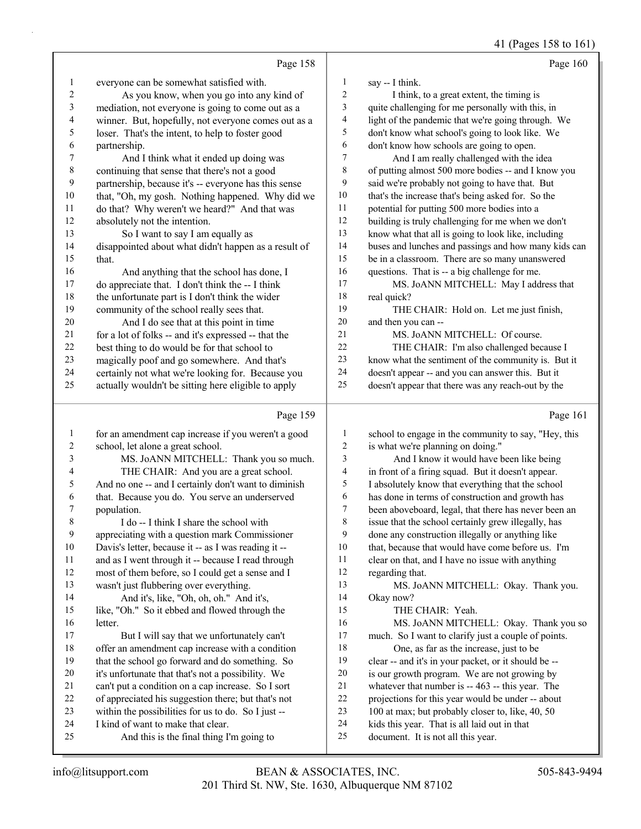41 (Pages 158 to 161)

|                | Page 158                                             |    | Page 160                                             |
|----------------|------------------------------------------------------|----|------------------------------------------------------|
| 1              | everyone can be somewhat satisfied with.             | 1  | say -- I think.                                      |
| $\overline{2}$ | As you know, when you go into any kind of            | 2  | I think, to a great extent, the timing is            |
| 3              | mediation, not everyone is going to come out as a    | 3  | quite challenging for me personally with this, in    |
| 4              | winner. But, hopefully, not everyone comes out as a  | 4  | light of the pandemic that we're going through. We   |
| 5              | loser. That's the intent, to help to foster good     | 5  | don't know what school's going to look like. We      |
| 6              | partnership.                                         | 6  | don't know how schools are going to open.            |
| 7              | And I think what it ended up doing was               | 7  | And I am really challenged with the idea             |
| 8              | continuing that sense that there's not a good        | 8  | of putting almost 500 more bodies -- and I know you  |
| 9              | partnership, because it's -- everyone has this sense | 9  | said we're probably not going to have that. But      |
| 10             | that, "Oh, my gosh. Nothing happened. Why did we     | 10 | that's the increase that's being asked for. So the   |
| 11             | do that? Why weren't we heard?" And that was         | 11 | potential for putting 500 more bodies into a         |
| 12             | absolutely not the intention.                        | 12 | building is truly challenging for me when we don't   |
| 13             | So I want to say I am equally as                     | 13 | know what that all is going to look like, including  |
| 14             | disappointed about what didn't happen as a result of | 14 | buses and lunches and passings and how many kids can |
| 15             | that.                                                | 15 | be in a classroom. There are so many unanswered      |
| 16             | And anything that the school has done, I             | 16 | questions. That is -- a big challenge for me.        |
| 17             | do appreciate that. I don't think the -- I think     | 17 | MS. JoANN MITCHELL: May I address that               |
| 18             | the unfortunate part is I don't think the wider      | 18 | real quick?                                          |
| 19             | community of the school really sees that.            | 19 | THE CHAIR: Hold on. Let me just finish,              |
| 20             | And I do see that at this point in time              | 20 | and then you can --                                  |
| 21             | for a lot of folks -- and it's expressed -- that the | 21 | MS. JoANN MITCHELL: Of course.                       |
| 22             | best thing to do would be for that school to         | 22 | THE CHAIR: I'm also challenged because I             |
| 23             | magically poof and go somewhere. And that's          | 23 | know what the sentiment of the community is. But it  |
| 24             | certainly not what we're looking for. Because you    | 24 | doesn't appear -- and you can answer this. But it    |
| 25             | actually wouldn't be sitting here eligible to apply  | 25 | doesn't appear that there was any reach-out by the   |
|                | Page 159                                             |    | Page 161                                             |

|                | Page 159                                             |    | Page 161                                             |
|----------------|------------------------------------------------------|----|------------------------------------------------------|
| $\mathbf{1}$   | for an amendment cap increase if you weren't a good  | 1  | school to engage in the community to say, "Hey, this |
| $\overline{c}$ | school, let alone a great school.                    | 2  | is what we're planning on doing."                    |
| 3              | MS. JoANN MITCHELL: Thank you so much.               | 3  | And I know it would have been like being             |
| $\overline{4}$ | THE CHAIR: And you are a great school.               | 4  | in front of a firing squad. But it doesn't appear.   |
| 5              | And no one -- and I certainly don't want to diminish | 5  | I absolutely know that everything that the school    |
| 6              | that. Because you do. You serve an underserved       | 6  | has done in terms of construction and growth has     |
| 7              | population.                                          | 7  | been aboveboard, legal, that there has never been an |
| 8              | I do -- I think I share the school with              | 8  | issue that the school certainly grew illegally, has  |
| 9              | appreciating with a question mark Commissioner       | 9  | done any construction illegally or anything like     |
| 10             | Davis's letter, because it -- as I was reading it -- | 10 | that, because that would have come before us. I'm    |
| 11             | and as I went through it -- because I read through   | 11 | clear on that, and I have no issue with anything     |
| 12             | most of them before, so I could get a sense and I    | 12 | regarding that.                                      |
| 13             | wasn't just flubbering over everything.              | 13 | MS. JoANN MITCHELL: Okay. Thank you.                 |
| 14             | And it's, like, "Oh, oh, oh." And it's,              | 14 | Okay now?                                            |
| 15             | like, "Oh." So it ebbed and flowed through the       | 15 | THE CHAIR: Yeah.                                     |
| 16             | letter.                                              | 16 | MS. JoANN MITCHELL: Okay. Thank you so               |
| 17             | But I will say that we unfortunately can't           | 17 | much. So I want to clarify just a couple of points.  |
| 18             | offer an amendment cap increase with a condition     | 18 | One, as far as the increase, just to be              |
| 19             | that the school go forward and do something. So      | 19 | clear -- and it's in your packet, or it should be -- |
| 20             | it's unfortunate that that's not a possibility. We   | 20 | is our growth program. We are not growing by         |
| 21             | can't put a condition on a cap increase. So I sort   | 21 | whatever that number is -- 463 -- this year. The     |
| 22             | of appreciated his suggestion there; but that's not  | 22 | projections for this year would be under -- about    |
| 23             | within the possibilities for us to do. So I just --  | 23 | 100 at max; but probably closer to, like, 40, 50     |
| 24             | I kind of want to make that clear.                   | 24 | kids this year. That is all laid out in that         |
| 25             | And this is the final thing I'm going to             | 25 | document. It is not all this year.                   |
|                |                                                      |    |                                                      |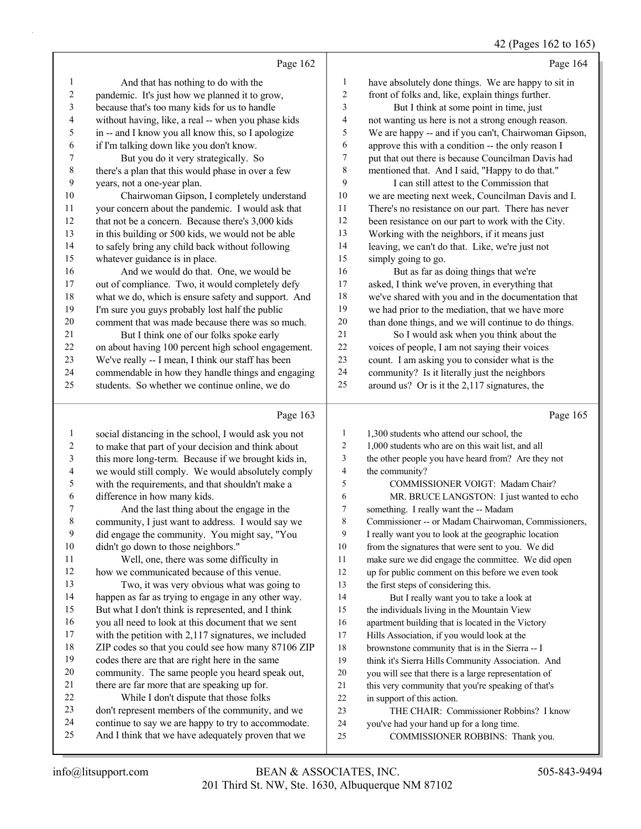## 42 (Pages 162 to 165)

|    | Page 162                                             |                | Page 164                                             |
|----|------------------------------------------------------|----------------|------------------------------------------------------|
| 1  | And that has nothing to do with the                  | 1              | have absolutely done things. We are happy to sit in  |
| 2  | pandemic. It's just how we planned it to grow,       | $\overline{2}$ | front of folks and, like, explain things further.    |
| 3  | because that's too many kids for us to handle        | 3              | But I think at some point in time, just              |
| 4  | without having, like, a real -- when you phase kids  | 4              | not wanting us here is not a strong enough reason.   |
| 5  | in -- and I know you all know this, so I apologize   | 5              | We are happy -- and if you can't, Chairwoman Gipson, |
| 6  | if I'm talking down like you don't know.             | 6              | approve this with a condition -- the only reason I   |
| 7  | But you do it very strategically. So                 | 7              | put that out there is because Councilman Davis had   |
| 8  | there's a plan that this would phase in over a few   | 8              | mentioned that. And I said, "Happy to do that."      |
| 9  | years, not a one-year plan.                          | 9              | I can still attest to the Commission that            |
| 10 | Chairwoman Gipson, I completely understand           | 10             | we are meeting next week, Councilman Davis and I.    |
| 11 | your concern about the pandemic. I would ask that    | 11             | There's no resistance on our part. There has never   |
| 12 | that not be a concern. Because there's 3,000 kids    | 12             | been resistance on our part to work with the City.   |
| 13 | in this building or 500 kids, we would not be able   | 13             | Working with the neighbors, if it means just         |
| 14 | to safely bring any child back without following     | 14             | leaving, we can't do that. Like, we're just not      |
| 15 | whatever guidance is in place.                       | 15             | simply going to go.                                  |
| 16 | And we would do that. One, we would be               | 16             | But as far as doing things that we're                |
| 17 | out of compliance. Two, it would completely defy     | 17             | asked, I think we've proven, in everything that      |
| 18 | what we do, which is ensure safety and support. And  | 18             | we've shared with you and in the documentation that  |
| 19 | I'm sure you guys probably lost half the public      | 19             | we had prior to the mediation, that we have more     |
| 20 | comment that was made because there was so much.     | 20             | than done things, and we will continue to do things. |
| 21 | But I think one of our folks spoke early             | 21             | So I would ask when you think about the              |
| 22 | on about having 100 percent high school engagement.  | 22             | voices of people, I am not saying their voices       |
| 23 | We've really -- I mean, I think our staff has been   | 23             | count. I am asking you to consider what is the       |
| 24 | commendable in how they handle things and engaging   | 24             | community? Is it literally just the neighbors        |
| 25 | students. So whether we continue online, we do       | 25             | around us? Or is it the 2,117 signatures, the        |
|    | Page 163                                             |                | Page 165                                             |
| 1  | social distancing in the school, I would ask you not | 1              | 1,300 students who attend our school, the            |
|    |                                                      |                |                                                      |

- to make that part of your decision and think about this more long-term. Because if we brought kids in,
- we would still comply. We would absolutely comply
- with the requirements, and that shouldn't make a
- difference in how many kids. 7 And the last thing about the engage in the
- community, I just want to address. I would say we did engage the community. You might say, "You didn't go down to those neighbors."
- 11 Well, one, there was some difficulty in how we communicated because of this venue.
- 13 Two, it was very obvious what was going to happen as far as trying to engage in any other way. But what I don't think is represented, and I think you all need to look at this document that we sent with the petition with 2,117 signatures, we included
- ZIP codes so that you could see how many 87106 ZIP codes there are that are right here in the same
- community. The same people you heard speak out,
- there are far more that are speaking up for.
- 22 While I don't dispute that those folks
- don't represent members of the community, and we
- continue to say we are happy to try to accommodate.
- And I think that we have adequately proven that we
- 2 1,000 students who are on this wait list, and all
- the other people you have heard from? Are they not
- the community?
- 5 COMMISSIONER VOIGT: Madam Chair?
- 6 MR. BRUCE LANGSTON: I just wanted to echo
- something. I really want the -- Madam
- Commissioner -- or Madam Chairwoman, Commissioners,
- I really want you to look at the geographic location
- from the signatures that were sent to you. We did
- make sure we did engage the committee. We did open
- up for public comment on this before we even took
- the first steps of considering this.
- 14 But I really want you to take a look at the individuals living in the Mountain View
- apartment building that is located in the Victory
- Hills Association, if you would look at the
- brownstone community that is in the Sierra -- I
- think it's Sierra Hills Community Association. And
- you will see that there is a large representation of
- this very community that you're speaking of that's
- in support of this action.
- 23 THE CHAIR: Commissioner Robbins? I know
- you've had your hand up for a long time.
- 25 COMMISSIONER ROBBINS: Thank you.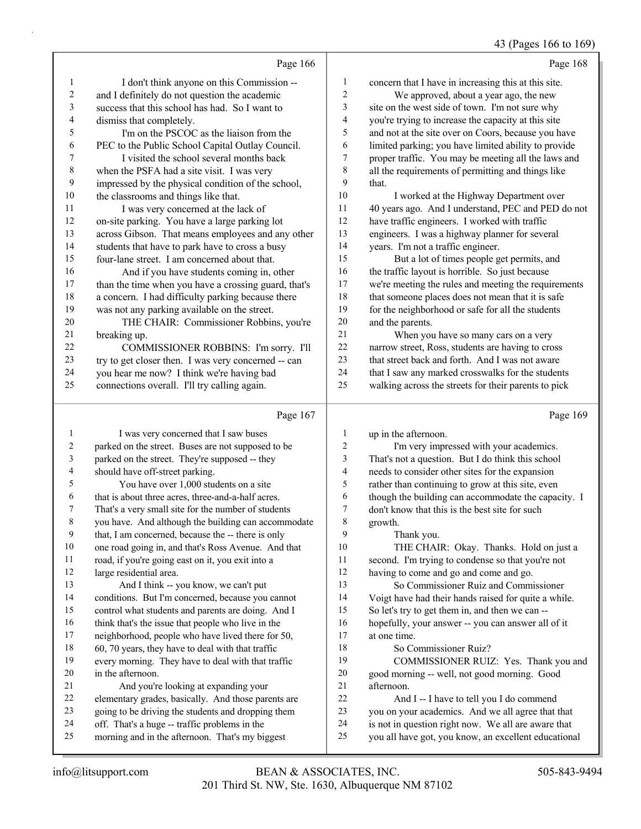43 (Pages 166 to 169)

|                  | Page 166                                                                                         |                                | Page 168                                                                                                    |
|------------------|--------------------------------------------------------------------------------------------------|--------------------------------|-------------------------------------------------------------------------------------------------------------|
| 1                | I don't think anyone on this Commission --                                                       | $\mathbf{1}$                   | concern that I have in increasing this at this site.                                                        |
| 2                | and I definitely do not question the academic                                                    | $\boldsymbol{2}$               | We approved, about a year ago, the new                                                                      |
| 3                | success that this school has had. So I want to                                                   | 3                              | site on the west side of town. I'm not sure why                                                             |
| 4                | dismiss that completely.                                                                         | 4                              | you're trying to increase the capacity at this site                                                         |
| 5                | I'm on the PSCOC as the liaison from the                                                         | 5                              | and not at the site over on Coors, because you have                                                         |
| 6                | PEC to the Public School Capital Outlay Council.                                                 | 6                              | limited parking; you have limited ability to provide                                                        |
| 7                | I visited the school several months back                                                         | 7                              | proper traffic. You may be meeting all the laws and                                                         |
| 8                | when the PSFA had a site visit. I was very                                                       | 8                              | all the requirements of permitting and things like                                                          |
| 9                | impressed by the physical condition of the school,                                               | 9                              | that.                                                                                                       |
| 10               | the classrooms and things like that.                                                             | 10                             | I worked at the Highway Department over                                                                     |
| 11               | I was very concerned at the lack of                                                              | 11                             | 40 years ago. And I understand, PEC and PED do not                                                          |
| 12               | on-site parking. You have a large parking lot                                                    | 12                             | have traffic engineers. I worked with traffic                                                               |
| 13               | across Gibson. That means employees and any other                                                | 13                             | engineers. I was a highway planner for several                                                              |
| 14               | students that have to park have to cross a busy                                                  | 14                             | years. I'm not a traffic engineer.                                                                          |
| 15               | four-lane street. I am concerned about that.                                                     | 15                             | But a lot of times people get permits, and                                                                  |
| 16               | And if you have students coming in, other                                                        | 16                             | the traffic layout is horrible. So just because                                                             |
| 17               | than the time when you have a crossing guard, that's                                             | 17                             | we're meeting the rules and meeting the requirements                                                        |
| 18               | a concern. I had difficulty parking because there                                                | 18                             | that someone places does not mean that it is safe                                                           |
| 19               | was not any parking available on the street.                                                     | 19                             | for the neighborhood or safe for all the students                                                           |
| 20               | THE CHAIR: Commissioner Robbins, you're                                                          | $20\,$                         | and the parents.                                                                                            |
| 21               | breaking up.                                                                                     | 21                             | When you have so many cars on a very                                                                        |
| 22               | COMMISSIONER ROBBINS: I'm sorry. I'll                                                            | 22                             | narrow street, Ross, students are having to cross                                                           |
| 23               | try to get closer then. I was very concerned -- can                                              | 23                             | that street back and forth. And I was not aware                                                             |
| 24               | you hear me now? I think we're having bad                                                        | 24                             | that I saw any marked crosswalks for the students                                                           |
| 25               | connections overall. I'll try calling again.                                                     | 25                             | walking across the streets for their parents to pick                                                        |
|                  |                                                                                                  |                                |                                                                                                             |
|                  | Page 167                                                                                         |                                | Page 169                                                                                                    |
| 1                |                                                                                                  |                                |                                                                                                             |
| 2                | I was very concerned that I saw buses                                                            | $\mathbf{1}$<br>$\overline{c}$ | up in the afternoon.                                                                                        |
| 3                | parked on the street. Buses are not supposed to be                                               | 3                              | I'm very impressed with your academics.                                                                     |
| 4                | parked on the street. They're supposed -- they                                                   | 4                              | That's not a question. But I do think this school                                                           |
| 5                | should have off-street parking.                                                                  | 5                              | needs to consider other sites for the expansion                                                             |
| 6                | You have over 1,000 students on a site<br>that is about three acres, three-and-a-half acres.     | 6                              | rather than continuing to grow at this site, even                                                           |
| 7                | That's a very small site for the number of students                                              | 7                              | though the building can accommodate the capacity. I<br>don't know that this is the best site for such       |
| 8                | you have. And although the building can accommodate                                              | $\,$ $\,$                      | growth.                                                                                                     |
| $\boldsymbol{9}$ | that, I am concerned, because the -- there is only                                               | 9                              | Thank you.                                                                                                  |
| 10               | one road going in, and that's Ross Avenue. And that                                              | 10                             | THE CHAIR: Okay. Thanks. Hold on just a                                                                     |
| 11               | road, if you're going east on it, you exit into a                                                | 11                             | second. I'm trying to condense so that you're not                                                           |
| 12               | large residential area.                                                                          | 12                             | having to come and go and come and go.                                                                      |
| 13               | And I think -- you know, we can't put                                                            | 13                             | So Commissioner Ruiz and Commissioner                                                                       |
| 14               | conditions. But I'm concerned, because you cannot                                                | 14                             | Voigt have had their hands raised for quite a while.                                                        |
| 15               | control what students and parents are doing. And I                                               | 15                             | So let's try to get them in, and then we can --                                                             |
| 16               | think that's the issue that people who live in the                                               | 16                             | hopefully, your answer -- you can answer all of it                                                          |
| 17               | neighborhood, people who have lived there for 50,                                                | $17\,$                         | at one time.                                                                                                |
| 18               | 60, 70 years, they have to deal with that traffic                                                | 18                             | So Commissioner Ruiz?                                                                                       |
| 19               | every morning. They have to deal with that traffic                                               | 19                             | COMMISSIONER RUIZ: Yes. Thank you and                                                                       |
| 20               | in the afternoon.                                                                                | 20                             | good morning -- well, not good morning. Good                                                                |
| 21               | And you're looking at expanding your                                                             | 21                             | afternoon.                                                                                                  |
| 22               | elementary grades, basically. And those parents are                                              | $22\,$                         | And I -- I have to tell you I do commend                                                                    |
| 23               | going to be driving the students and dropping them                                               | 23                             | you on your academics. And we all agree that that                                                           |
| 24<br>25         | off. That's a huge -- traffic problems in the<br>morning and in the afternoon. That's my biggest | 24<br>25                       | is not in question right now. We all are aware that<br>you all have got, you know, an excellent educational |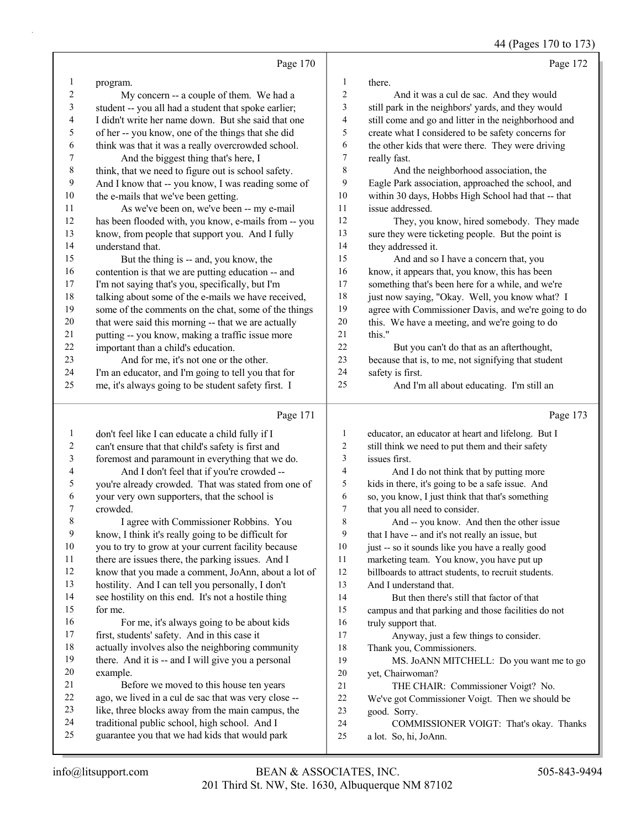44 (Pages 170 to 173)

|              | Page 170                                                                                        |                          | Page 172                                                         |
|--------------|-------------------------------------------------------------------------------------------------|--------------------------|------------------------------------------------------------------|
| 1            | program.                                                                                        | 1                        | there.                                                           |
| 2            | My concern -- a couple of them. We had a                                                        | 2                        | And it was a cul de sac. And they would                          |
| 3            | student -- you all had a student that spoke earlier;                                            | 3                        | still park in the neighbors' yards, and they would               |
| 4            | I didn't write her name down. But she said that one                                             | $\overline{\mathcal{A}}$ | still come and go and litter in the neighborhood and             |
| 5            | of her -- you know, one of the things that she did                                              | 5                        | create what I considered to be safety concerns for               |
| 6            | think was that it was a really overcrowded school.                                              | 6                        | the other kids that were there. They were driving                |
| 7            | And the biggest thing that's here, I                                                            | 7                        | really fast.                                                     |
| 8            | think, that we need to figure out is school safety.                                             | 8                        | And the neighborhood association, the                            |
| 9            | And I know that -- you know, I was reading some of                                              | 9                        | Eagle Park association, approached the school, and               |
| 10           | the e-mails that we've been getting.                                                            | 10                       | within 30 days, Hobbs High School had that -- that               |
| 11           | As we've been on, we've been -- my e-mail                                                       | 11                       | issue addressed.                                                 |
| 12           | has been flooded with, you know, e-mails from -- you                                            | 12                       | They, you know, hired somebody. They made                        |
| 13           | know, from people that support you. And I fully                                                 | 13                       | sure they were ticketing people. But the point is                |
| 14           | understand that.                                                                                | 14                       | they addressed it.                                               |
| 15           | But the thing is -- and, you know, the                                                          | 15                       | And and so I have a concern that, you                            |
| 16           | contention is that we are putting education -- and                                              | 16                       | know, it appears that, you know, this has been                   |
| 17           | I'm not saying that's you, specifically, but I'm                                                | 17                       | something that's been here for a while, and we're                |
| 18           | talking about some of the e-mails we have received,                                             | 18                       | just now saying, "Okay. Well, you know what? I                   |
| 19           | some of the comments on the chat, some of the things                                            | 19                       | agree with Commissioner Davis, and we're going to do             |
| 20           | that were said this morning -- that we are actually                                             | 20                       | this. We have a meeting, and we're going to do                   |
| 21           | putting -- you know, making a traffic issue more                                                | 21                       | this."                                                           |
| 22           | important than a child's education.                                                             | 22                       | But you can't do that as an afterthought,                        |
| 23           | And for me, it's not one or the other.                                                          | 23                       | because that is, to me, not signifying that student              |
| 24           | I'm an educator, and I'm going to tell you that for                                             | 24                       | safety is first.                                                 |
| 25           | me, it's always going to be student safety first. I                                             | 25                       | And I'm all about educating. I'm still an                        |
|              | Page 171                                                                                        |                          | Page 173                                                         |
| $\mathbf{1}$ | don't feel like I can educate a child fully if I                                                | 1                        | educator, an educator at heart and lifelong. But I               |
| 2            | can't ensure that that child's safety is first and                                              | $\overline{2}$           | still think we need to put them and their safety                 |
| 3            | foremost and paramount in everything that we do.                                                | 3                        | issues first.                                                    |
| 4            | And I don't feel that if you're crowded --                                                      | 4                        | And I do not think that by putting more                          |
| 5            | you're already crowded. That was stated from one of                                             | 5                        | kids in there, it's going to be a safe issue. And                |
| 6            | your very own supporters, that the school is                                                    | 6                        | so, you know, I just think that that's something                 |
| 7            | crowded.                                                                                        | $\tau$                   | that you all need to consider.                                   |
|              | I agree with Commissioner Robbins. You                                                          | 8                        | And -- you know. And then the other issue                        |
| 9            | know, I think it's really going to be difficult for                                             | 9                        | that I have -- and it's not really an issue, but                 |
| 10           | you to try to grow at your current facility because                                             | 10                       | just -- so it sounds like you have a really good                 |
| 11           | there are issues there, the parking issues. And I                                               | 11                       | marketing team. You know, you have put up                        |
| 12           | know that you made a comment, JoAnn, about a lot of                                             | 12                       | billboards to attract students, to recruit students.             |
| 13           | hostility. And I can tell you personally, I don't                                               | 13                       | And I understand that.                                           |
| 14           | see hostility on this end. It's not a hostile thing                                             | 14                       | But then there's still that factor of that                       |
| 15           |                                                                                                 |                          |                                                                  |
|              | for me.                                                                                         | 15                       | campus and that parking and those facilities do not              |
| 16           | For me, it's always going to be about kids                                                      | 16                       | truly support that.                                              |
| 17           | first, students' safety. And in this case it                                                    | 17                       | Anyway, just a few things to consider.                           |
| 18           | actually involves also the neighboring community                                                | 18                       | Thank you, Commissioners.                                        |
| 19           | there. And it is -- and I will give you a personal                                              | 19                       | MS. JoANN MITCHELL: Do you want me to go                         |
| 20           | example.                                                                                        | 20                       | yet, Chairwoman?                                                 |
| 21           | Before we moved to this house ten years                                                         | 21                       | THE CHAIR: Commissioner Voigt? No.                               |
| 22           | ago, we lived in a cul de sac that was very close --                                            | 22                       | We've got Commissioner Voigt. Then we should be                  |
| 23           | like, three blocks away from the main campus, the                                               | 23                       | good. Sorry.                                                     |
| 24<br>25     | traditional public school, high school. And I<br>guarantee you that we had kids that would park | 24<br>25                 | COMMISSIONER VOIGT: That's okay. Thanks<br>a lot. So, hi, JoAnn. |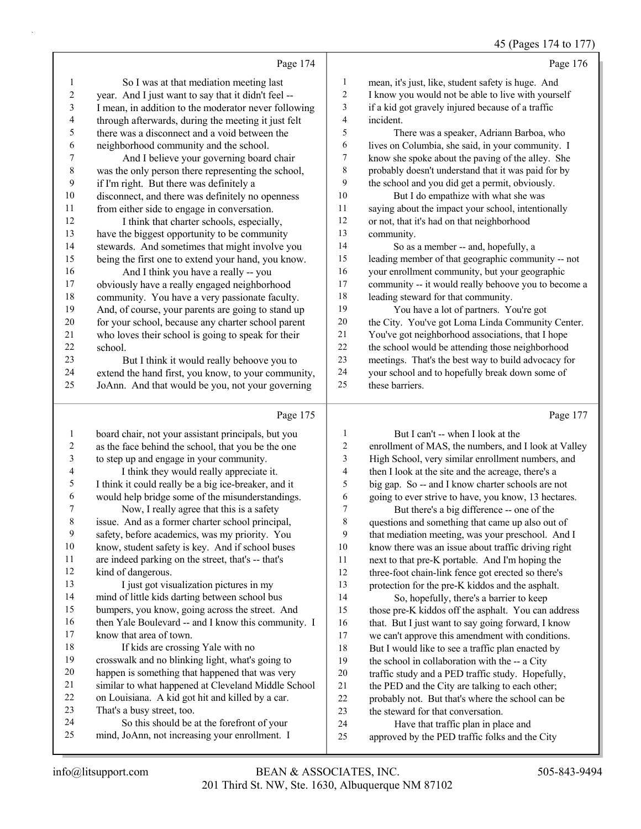|                  |                                                                                                         |                         | ີອ                                                                                                  |
|------------------|---------------------------------------------------------------------------------------------------------|-------------------------|-----------------------------------------------------------------------------------------------------|
|                  | Page 174                                                                                                |                         | Page 176                                                                                            |
| 1                | So I was at that mediation meeting last                                                                 | 1                       | mean, it's just, like, student safety is huge. And                                                  |
| $\overline{c}$   | year. And I just want to say that it didn't feel --                                                     | 2                       | I know you would not be able to live with yourself                                                  |
| 3                | I mean, in addition to the moderator never following                                                    | 3                       | if a kid got gravely injured because of a traffic                                                   |
| 4                | through afterwards, during the meeting it just felt                                                     | 4                       | incident.                                                                                           |
| 5                | there was a disconnect and a void between the                                                           | 5                       | There was a speaker, Adriann Barboa, who                                                            |
| 6                | neighborhood community and the school.                                                                  | 6                       | lives on Columbia, she said, in your community. I                                                   |
| $\boldsymbol{7}$ | And I believe your governing board chair                                                                | 7                       | know she spoke about the paving of the alley. She                                                   |
| 8                | was the only person there representing the school,                                                      | 8                       | probably doesn't understand that it was paid for by                                                 |
| 9                | if I'm right. But there was definitely a                                                                | 9                       | the school and you did get a permit, obviously.                                                     |
| 10               | disconnect, and there was definitely no openness                                                        | 10                      | But I do empathize with what she was                                                                |
| 11               | from either side to engage in conversation.                                                             | 11                      | saying about the impact your school, intentionally                                                  |
| 12               | I think that charter schools, especially,                                                               | 12                      | or not, that it's had on that neighborhood                                                          |
| 13               | have the biggest opportunity to be community                                                            | 13                      | community.                                                                                          |
| 14               | stewards. And sometimes that might involve you                                                          | 14                      | So as a member -- and, hopefully, a                                                                 |
| 15               | being the first one to extend your hand, you know.                                                      | 15                      | leading member of that geographic community -- not                                                  |
| 16               | And I think you have a really -- you                                                                    | 16                      | your enrollment community, but your geographic                                                      |
| $17$             | obviously have a really engaged neighborhood                                                            | 17                      | community -- it would really behoove you to become a                                                |
| 18               | community. You have a very passionate faculty.                                                          | 18                      | leading steward for that community.                                                                 |
| 19               | And, of course, your parents are going to stand up                                                      | 19                      | You have a lot of partners. You're got                                                              |
| 20               | for your school, because any charter school parent                                                      | 20                      | the City. You've got Loma Linda Community Center.                                                   |
| 21               | who loves their school is going to speak for their                                                      | $21\,$                  | You've got neighborhood associations, that I hope                                                   |
| 22               | school.                                                                                                 | 22                      | the school would be attending those neighborhood                                                    |
| 23               | But I think it would really behoove you to                                                              | 23                      | meetings. That's the best way to build advocacy for                                                 |
| 24               | extend the hand first, you know, to your community,                                                     | 24                      | your school and to hopefully break down some of                                                     |
| 25               | JoAnn. And that would be you, not your governing                                                        | 25                      | these barriers.                                                                                     |
|                  |                                                                                                         |                         |                                                                                                     |
|                  | Page 175                                                                                                |                         | Page 177                                                                                            |
| $\mathbf{1}$     | board chair, not your assistant principals, but you                                                     | 1                       | But I can't -- when I look at the                                                                   |
| 2                | as the face behind the school, that you be the one                                                      | $\overline{\mathbf{c}}$ | enrollment of MAS, the numbers, and I look at Valley                                                |
| 3                | to step up and engage in your community.                                                                | 3                       | High School, very similar enrollment numbers, and                                                   |
| 4                | I think they would really appreciate it.                                                                | 4                       | then I look at the site and the acreage, there's a                                                  |
| 5                | I think it could really be a big ice-breaker, and it                                                    | 5                       |                                                                                                     |
| 6                |                                                                                                         |                         |                                                                                                     |
|                  |                                                                                                         |                         | big gap. So -- and I know charter schools are not                                                   |
| 7                | would help bridge some of the misunderstandings.                                                        | 6<br>$\overline{7}$     | going to ever strive to have, you know, 13 hectares.                                                |
|                  | Now, I really agree that this is a safety                                                               |                         | But there's a big difference -- one of the                                                          |
| $\,$ 8 $\,$<br>9 | issue. And as a former charter school principal,                                                        | 8<br>9                  | questions and something that came up also out of                                                    |
| $10\,$           | safety, before academics, was my priority. You                                                          |                         | that mediation meeting, was your preschool. And I                                                   |
|                  | know, student safety is key. And if school buses                                                        | 10                      | know there was an issue about traffic driving right                                                 |
| 11<br>12         | are indeed parking on the street, that's -- that's                                                      | 11                      | next to that pre-K portable. And I'm hoping the                                                     |
| 13               | kind of dangerous.                                                                                      | 12                      | three-foot chain-link fence got erected so there's                                                  |
|                  | I just got visualization pictures in my                                                                 | 13                      | protection for the pre-K kiddos and the asphalt.                                                    |
| 14<br>15         | mind of little kids darting between school bus                                                          | 14                      | So, hopefully, there's a barrier to keep                                                            |
|                  | bumpers, you know, going across the street. And                                                         | 15                      | those pre-K kiddos off the asphalt. You can address                                                 |
| 16<br>17         | then Yale Boulevard -- and I know this community. I<br>know that area of town.                          | 16                      | that. But I just want to say going forward, I know                                                  |
| 18               |                                                                                                         | 17                      | we can't approve this amendment with conditions.                                                    |
| 19               | If kids are crossing Yale with no                                                                       | 18                      | But I would like to see a traffic plan enacted by                                                   |
| $20\,$           | crosswalk and no blinking light, what's going to                                                        | 19                      | the school in collaboration with the -- a City                                                      |
| 21               | happen is something that happened that was very                                                         | $20\,$<br>$21\,$        | traffic study and a PED traffic study. Hopefully,                                                   |
| $22\,$           | similar to what happened at Cleveland Middle School<br>on Louisiana. A kid got hit and killed by a car. | 22                      | the PED and the City are talking to each other;<br>probably not. But that's where the school can be |

- 24 So this should be at the forefront of your mind, JoAnn, not increasing your enrollment. I
- 24 Have that traffic plan in place and approved by the PED traffic folks and the City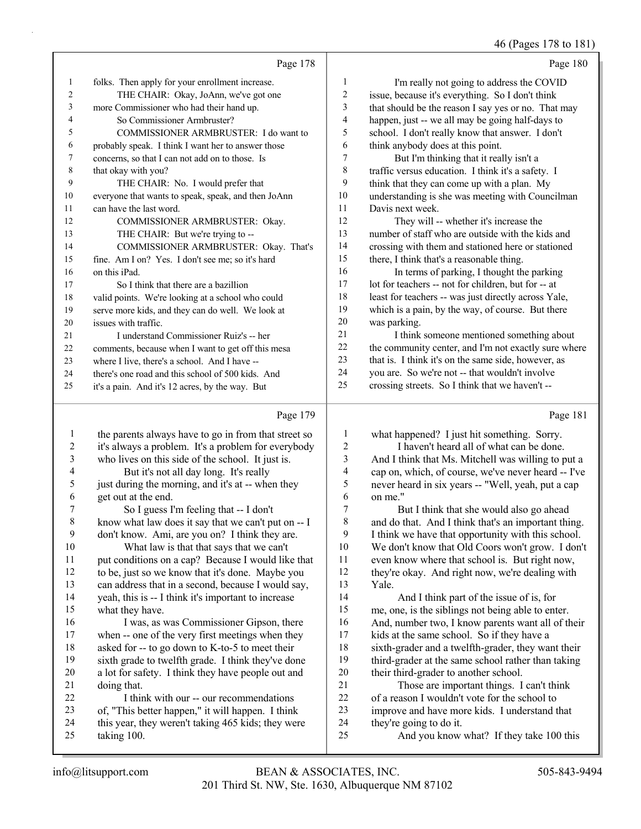46 (Pages 178 to 181)

|        | Page 178                                            |                | Page 180                                             |
|--------|-----------------------------------------------------|----------------|------------------------------------------------------|
| -1     | folks. Then apply for your enrollment increase.     | 1              | I'm really not going to address the COVID            |
| 2      | THE CHAIR: Okay, JoAnn, we've got one               | $\overline{c}$ | issue, because it's everything. So I don't think     |
| 3      | more Commissioner who had their hand up.            | 3              | that should be the reason I say yes or no. That may  |
| 4      | So Commissioner Armbruster?                         | $\overline{4}$ | happen, just -- we all may be going half-days to     |
| 5      | COMMISSIONER ARMBRUSTER: I do want to               | 5              | school. I don't really know that answer. I don't     |
| 6      | probably speak. I think I want her to answer those  | 6              | think anybody does at this point.                    |
| $\tau$ | concerns, so that I can not add on to those. Is     | 7              | But I'm thinking that it really isn't a              |
| 8      | that okay with you?                                 | 8              | traffic versus education. I think it's a safety. I   |
| 9      | THE CHAIR: No. I would prefer that                  | 9              | think that they can come up with a plan. My          |
| 10     | everyone that wants to speak, speak, and then JoAnn | 10             | understanding is she was meeting with Councilman     |
| 11     | can have the last word.                             | 11             | Davis next week.                                     |
| 12     | COMMISSIONER ARMBRUSTER: Okay.                      | 12             | They will -- whether it's increase the               |
| 13     | THE CHAIR: But we're trying to --                   | 13             | number of staff who are outside with the kids and    |
| 14     | COMMISSIONER ARMBRUSTER: Okay. That's               | 14             | crossing with them and stationed here or stationed   |
| 15     | fine. Am I on? Yes. I don't see me; so it's hard    | 15             | there, I think that's a reasonable thing.            |
| 16     | on this iPad.                                       | 16             | In terms of parking, I thought the parking           |
| 17     | So I think that there are a bazillion               | 17             | lot for teachers -- not for children, but for -- at  |
| 18     | valid points. We're looking at a school who could   | 18             | least for teachers -- was just directly across Yale, |
| 19     | serve more kids, and they can do well. We look at   | 19             | which is a pain, by the way, of course. But there    |
| 20     | issues with traffic.                                | 20             | was parking.                                         |
| 21     | I understand Commissioner Ruiz's -- her             | 21             | I think someone mentioned something about            |
| 22     | comments, because when I want to get off this mesa  | 22             | the community center, and I'm not exactly sure where |
| 23     | where I live, there's a school. And I have --       | 23             | that is. I think it's on the same side, however, as  |
| 24     | there's one road and this school of 500 kids. And   | 24             | you are. So we're not -- that wouldn't involve       |
| 25     | it's a pain. And it's 12 acres, by the way. But     | 25             | crossing streets. So I think that we haven't --      |
|        | $D_{\text{max}}$ 170                                |                | $D_{\text{max}}$ 101                                 |

## $p_{\text{0.09}} 170$

|                | Page 1/9                                             |    | Page 181                                            |
|----------------|------------------------------------------------------|----|-----------------------------------------------------|
| 1              | the parents always have to go in from that street so | 1  | what happened? I just hit something. Sorry.         |
| $\mathfrak{2}$ | it's always a problem. It's a problem for everybody  | 2  | I haven't heard all of what can be done.            |
| 3              | who lives on this side of the school. It just is.    | 3  | And I think that Ms. Mitchell was willing to put a  |
| 4              | But it's not all day long. It's really               | 4  | cap on, which, of course, we've never heard -- I've |
| 5              | just during the morning, and it's at -- when they    | 5  | never heard in six years -- "Well, yeah, put a cap  |
| 6              | get out at the end.                                  | 6  | on me."                                             |
| 7              | So I guess I'm feeling that -- I don't               | 7  | But I think that she would also go ahead            |
| $\,8\,$        | know what law does it say that we can't put on -- I  | 8  | and do that. And I think that's an important thing. |
| $\mathbf{9}$   | don't know. Ami, are you on? I think they are.       | 9  | I think we have that opportunity with this school.  |
| 10             | What law is that that says that we can't             | 10 | We don't know that Old Coors won't grow. I don't    |
| 11             | put conditions on a cap? Because I would like that   | 11 | even know where that school is. But right now,      |
| 12             | to be, just so we know that it's done. Maybe you     | 12 | they're okay. And right now, we're dealing with     |
| 13             | can address that in a second, because I would say,   | 13 | Yale.                                               |
| 14             | yeah, this is -- I think it's important to increase  | 14 | And I think part of the issue of is, for            |
| 15             | what they have.                                      | 15 | me, one, is the siblings not being able to enter.   |
| 16             | I was, as was Commissioner Gipson, there             | 16 | And, number two, I know parents want all of their   |
| 17             | when -- one of the very first meetings when they     | 17 | kids at the same school. So if they have a          |
| 18             | asked for -- to go down to K-to-5 to meet their      | 18 | sixth-grader and a twelfth-grader, they want their  |
| 19             | sixth grade to twelfth grade. I think they've done   | 19 | third-grader at the same school rather than taking  |
| 20             | a lot for safety. I think they have people out and   | 20 | their third-grader to another school.               |
| 21             | doing that.                                          | 21 | Those are important things. I can't think           |
| 22             | I think with our -- our recommendations              | 22 | of a reason I wouldn't vote for the school to       |
| 23             | of, "This better happen," it will happen. I think    | 23 | improve and have more kids. I understand that       |
| 24             | this year, they weren't taking 465 kids; they were   | 24 | they're going to do it.                             |
| 25             | taking 100.                                          | 25 | And you know what? If they take 100 this            |
|                |                                                      |    |                                                     |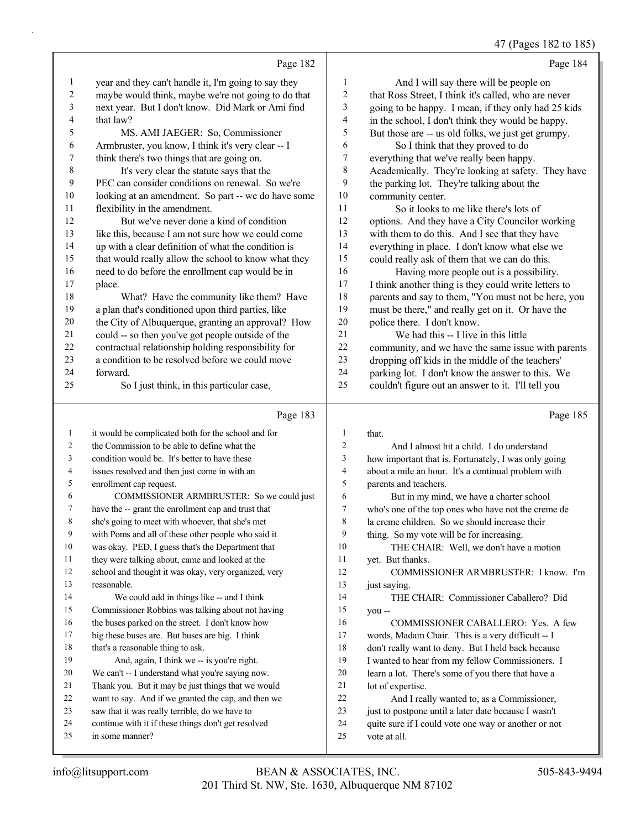47 (Pages 182 to 185)

Page 182 year and they can't handle it, I'm going to say they maybe would think, maybe we're not going to do that next year. But I don't know. Did Mark or Ami find that law? 5 MS. AMI JAEGER: So, Commissioner Armbruster, you know, I think it's very clear -- I think there's two things that are going on. 8 It's very clear the statute says that the PEC can consider conditions on renewal. So we're looking at an amendment. So part -- we do have some flexibility in the amendment. 12 But we've never done a kind of condition like this, because I am not sure how we could come up with a clear definition of what the condition is that would really allow the school to know what they need to do before the enrollment cap would be in place. 18 What? Have the community like them? Have a plan that's conditioned upon third parties, like the City of Albuquerque, granting an approval? How could -- so then you've got people outside of the contractual relationship holding responsibility for a condition to be resolved before we could move forward. 25 So I just think, in this particular case, Page 183 it would be complicated both for the school and for the Commission to be able to define what the condition would be. It's better to have these issues resolved and then just come in with an enrollment cap request. 6 COMMISSIONER ARMBRUSTER: So we could just have the -- grant the enrollment cap and trust that Page 184 1 And I will say there will be people on that Ross Street, I think it's called, who are never going to be happy. I mean, if they only had 25 kids in the school, I don't think they would be happy. But those are -- us old folks, we just get grumpy. 6 So I think that they proved to do everything that we've really been happy. Academically. They're looking at safety. They have the parking lot. They're talking about the community center. 11 So it looks to me like there's lots of options. And they have a City Councilor working with them to do this. And I see that they have everything in place. I don't know what else we could really ask of them that we can do this. 16 Having more people out is a possibility. I think another thing is they could write letters to parents and say to them, "You must not be here, you must be there," and really get on it. Or have the police there. I don't know. 21 We had this -- I live in this little community, and we have the same issue with parents dropping off kids in the middle of the teachers' parking lot. I don't know the answer to this. We couldn't figure out an answer to it. I'll tell you Page 185 that. 2 And I almost hit a child. I do understand how important that is. Fortunately, I was only going about a mile an hour. It's a continual problem with parents and teachers. 6 But in my mind, we have a charter school who's one of the top ones who have not the creme de

> la creme children. So we should increase their thing. So my vote will be for increasing.

yet. But thanks.

lot of expertise.

vote at all.

13 just saying.

you --

10 THE CHAIR: Well, we don't have a motion

14 THE CHAIR: Commissioner Caballero? Did

22 And I really wanted to, as a Commissioner, just to postpone until a later date because I wasn't quite sure if I could vote one way or another or not

16 COMMISSIONER CABALLERO: Yes. A few words, Madam Chair. This is a very difficult -- I don't really want to deny. But I held back because I wanted to hear from my fellow Commissioners. I learn a lot. There's some of you there that have a

12 COMMISSIONER ARMBRUSTER: I know. I'm

- she's going to meet with whoever, that she's met
- with Poms and all of these other people who said it
- was okay. PED, I guess that's the Department that
- they were talking about, came and looked at the
- school and thought it was okay, very organized, very reasonable.
- 14 We could add in things like -- and I think
- Commissioner Robbins was talking about not having
- the buses parked on the street. I don't know how
- big these buses are. But buses are big. I think 18 that's a reasonable thing to ask.
- 19 And, again, I think we -- is you're right.
- We can't -- I understand what you're saying now.
- Thank you. But it may be just things that we would
- want to say. And if we granted the cap, and then we
- saw that it was really terrible, do we have to
- continue with it if these things don't get resolved
- in some manner?
- 201 Third St. NW, Ste. 1630, Albuquerque NM 87102 info@litsupport.com BEAN & ASSOCIATES, INC. 505-843-9494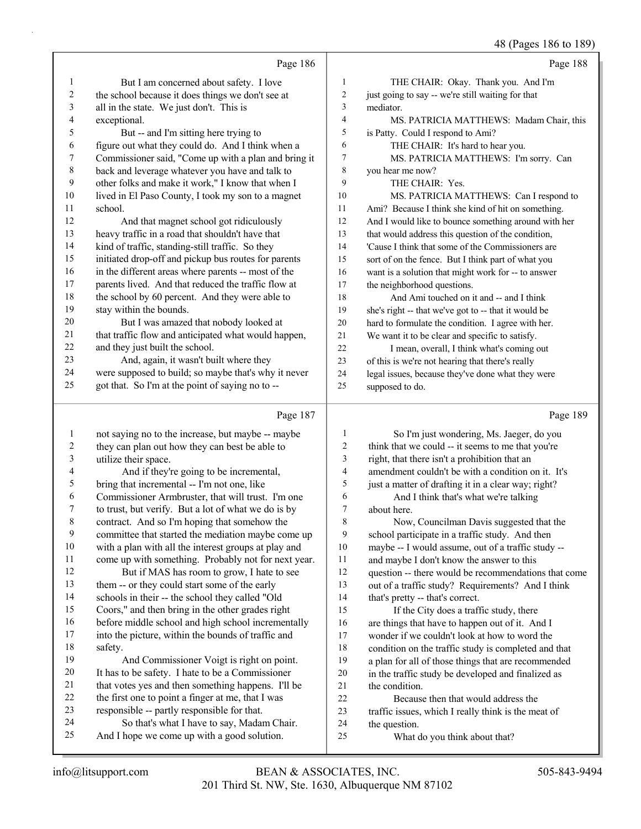48 (Pages 186 to 189)

|                              |                                                                                                          |                              | 48 (Pages 186 to 189                                 |
|------------------------------|----------------------------------------------------------------------------------------------------------|------------------------------|------------------------------------------------------|
|                              | Page 186                                                                                                 |                              | Page 188                                             |
| 1                            | But I am concerned about safety. I love                                                                  | $\mathbf{1}$                 | THE CHAIR: Okay. Thank you. And I'm                  |
| $\overline{c}$               | the school because it does things we don't see at                                                        | $\boldsymbol{2}$             | just going to say -- we're still waiting for that    |
| $\mathfrak{Z}$               | all in the state. We just don't. This is                                                                 | 3                            | mediator.                                            |
| 4                            | exceptional.                                                                                             | $\overline{\mathcal{L}}$     | MS. PATRICIA MATTHEWS: Madam Chair, this             |
| 5                            | But -- and I'm sitting here trying to                                                                    | 5                            | is Patty. Could I respond to Ami?                    |
| 6                            | figure out what they could do. And I think when a                                                        | 6                            | THE CHAIR: It's hard to hear you.                    |
| 7                            | Commissioner said, "Come up with a plan and bring it                                                     | $\tau$                       | MS. PATRICIA MATTHEWS: I'm sorry. Can                |
| 8                            | back and leverage whatever you have and talk to                                                          | 8                            | you hear me now?                                     |
| 9                            | other folks and make it work," I know that when I                                                        | 9                            | THE CHAIR: Yes.                                      |
| 10                           | lived in El Paso County, I took my son to a magnet                                                       | 10                           | MS. PATRICIA MATTHEWS: Can I respond to              |
| 11                           | school.                                                                                                  | 11                           | Ami? Because I think she kind of hit on something.   |
| 12                           | And that magnet school got ridiculously                                                                  | 12                           | And I would like to bounce something around with her |
| 13                           | heavy traffic in a road that shouldn't have that                                                         | 13                           | that would address this question of the condition,   |
| 14                           | kind of traffic, standing-still traffic. So they                                                         | 14                           | 'Cause I think that some of the Commissioners are    |
| 15                           | initiated drop-off and pickup bus routes for parents                                                     | 15                           | sort of on the fence. But I think part of what you   |
| 16                           | in the different areas where parents -- most of the                                                      | 16                           | want is a solution that might work for -- to answer  |
| 17                           | parents lived. And that reduced the traffic flow at                                                      | 17                           | the neighborhood questions.                          |
| 18                           | the school by 60 percent. And they were able to                                                          | 18                           | And Ami touched on it and -- and I think             |
| 19                           | stay within the bounds.                                                                                  | 19                           | she's right -- that we've got to -- that it would be |
| 20                           | But I was amazed that nobody looked at                                                                   | 20                           | hard to formulate the condition. I agree with her.   |
| 21                           | that traffic flow and anticipated what would happen,                                                     | 21                           | We want it to be clear and specific to satisfy.      |
| 22                           | and they just built the school.                                                                          | 22                           | I mean, overall, I think what's coming out           |
| 23                           | And, again, it wasn't built where they                                                                   | 23                           | of this is we're not hearing that there's really     |
| 24                           | were supposed to build; so maybe that's why it never                                                     | 24                           | legal issues, because they've done what they were    |
| 25                           | got that. So I'm at the point of saying no to --                                                         | 25                           | supposed to do.                                      |
|                              |                                                                                                          |                              |                                                      |
|                              | Page 187                                                                                                 |                              | Page 189                                             |
|                              |                                                                                                          |                              |                                                      |
| $\mathbf{1}$                 | not saying no to the increase, but maybe -- maybe                                                        | $\mathbf{1}$                 | So I'm just wondering, Ms. Jaeger, do you            |
| $\overline{c}$<br>$\sqrt{3}$ | they can plan out how they can best be able to                                                           | $\sqrt{2}$<br>$\mathfrak{Z}$ | think that we could -- it seems to me that you're    |
| $\overline{4}$               | utilize their space.                                                                                     | $\overline{4}$               | right, that there isn't a prohibition that an        |
| 5                            | And if they're going to be incremental,                                                                  | 5                            | amendment couldn't be with a condition on it. It's   |
| 6                            | bring that incremental -- I'm not one, like                                                              | 6                            | just a matter of drafting it in a clear way; right?  |
| 7                            | Commissioner Armbruster, that will trust. I'm one<br>to trust, but verify. But a lot of what we do is by | $\boldsymbol{7}$             | And I think that's what we're talking<br>about here. |
| 8                            |                                                                                                          | $\,8\,$                      | Now, Councilman Davis suggested that the             |
| 9                            | contract. And so I'm hoping that somehow the<br>committee that started the mediation maybe come up       | 9                            | school participate in a traffic study. And then      |
| 10                           | with a plan with all the interest groups at play and                                                     | 10                           | maybe -- I would assume, out of a traffic study --   |
| 11                           | come up with something. Probably not for next year.                                                      | 11                           | and maybe I don't know the answer to this            |
| 12                           | But if MAS has room to grow, I hate to see                                                               | 12                           | question -- there would be recommendations that come |
| 13                           | them -- or they could start some of the early                                                            | 13                           | out of a traffic study? Requirements? And I think    |
| 14                           | schools in their -- the school they called "Old                                                          | 14                           | that's pretty -- that's correct.                     |
| 15                           | Coors," and then bring in the other grades right                                                         | 15                           | If the City does a traffic study, there              |
| 16                           | before middle school and high school incrementally                                                       | 16                           | are things that have to happen out of it. And I      |
| 17                           | into the picture, within the bounds of traffic and                                                       | 17                           | wonder if we couldn't look at how to word the        |
| 18                           | safety.                                                                                                  | 18                           | condition on the traffic study is completed and that |
| 19                           | And Commissioner Voigt is right on point.                                                                | 19                           | a plan for all of those things that are recommended  |
| 20                           | It has to be safety. I hate to be a Commissioner                                                         | 20                           | in the traffic study be developed and finalized as   |
| 21                           | that votes yes and then something happens. I'll be                                                       | 21                           | the condition.                                       |
| 22                           | the first one to point a finger at me, that I was                                                        | 22                           | Because then that would address the                  |
| 23                           | responsible -- partly responsible for that.                                                              | 23                           | traffic issues, which I really think is the meat of  |
| 24<br>25                     | So that's what I have to say, Madam Chair.<br>And I hope we come up with a good solution.                | 24<br>25                     | the question.<br>What do you think about that?       |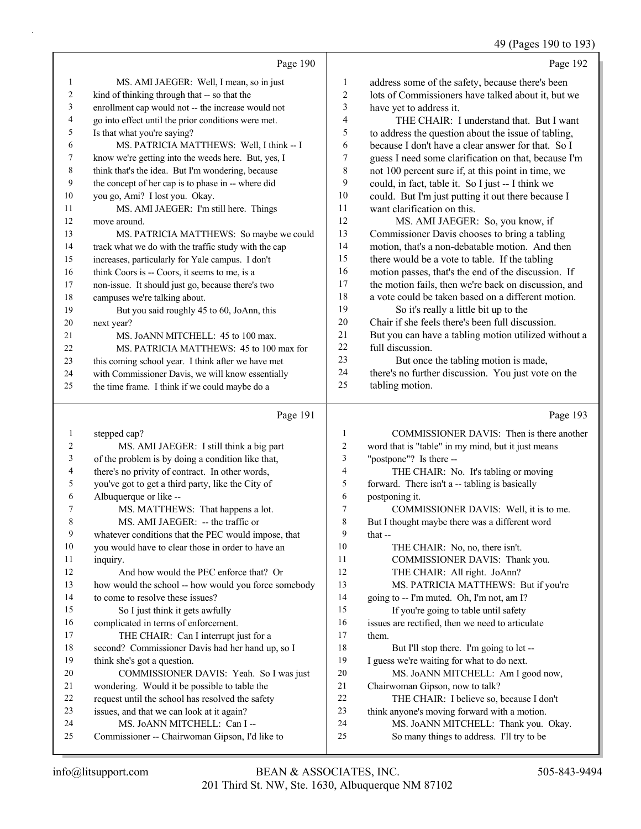# 49 (Pages 190 to 193)

|                | Page 190                                             |    | Page 192                                             |
|----------------|------------------------------------------------------|----|------------------------------------------------------|
| 1              | MS. AMI JAEGER: Well, I mean, so in just             | 1  | address some of the safety, because there's been     |
| $\overline{c}$ | kind of thinking through that -- so that the         | 2  | lots of Commissioners have talked about it, but we   |
| 3              | enrollment cap would not -- the increase would not   | 3  | have yet to address it.                              |
| $\overline{4}$ | go into effect until the prior conditions were met.  | 4  | THE CHAIR: I understand that. But I want             |
| 5              | Is that what you're saying?                          | 5  | to address the question about the issue of tabling,  |
| 6              | MS. PATRICIA MATTHEWS: Well, I think -- I            | 6  | because I don't have a clear answer for that. So I   |
| 7              | know we're getting into the weeds here. But, yes, I  | 7  | guess I need some clarification on that, because I'm |
| 8              | think that's the idea. But I'm wondering, because    | 8  | not 100 percent sure if, at this point in time, we   |
| 9              | the concept of her cap is to phase in -- where did   | 9  | could, in fact, table it. So I just -- I think we    |
| 10             | you go, Ami? I lost you. Okay.                       | 10 | could. But I'm just putting it out there because I   |
| 11             | MS. AMI JAEGER: I'm still here. Things               | 11 | want clarification on this.                          |
| 12             | move around.                                         | 12 | MS. AMI JAEGER: So, you know, if                     |
| 13             | MS. PATRICIA MATTHEWS: So maybe we could             | 13 | Commissioner Davis chooses to bring a tabling        |
| 14             | track what we do with the traffic study with the cap | 14 | motion, that's a non-debatable motion. And then      |
| 15             | increases, particularly for Yale campus. I don't     | 15 | there would be a vote to table. If the tabling       |
| 16             | think Coors is -- Coors, it seems to me, is a        | 16 | motion passes, that's the end of the discussion. If  |
| 17             | non-issue. It should just go, because there's two    | 17 | the motion fails, then we're back on discussion, and |
| 18             | campuses we're talking about.                        | 18 | a vote could be taken based on a different motion.   |
| 19             | But you said roughly 45 to 60, JoAnn, this           | 19 | So it's really a little bit up to the                |
| 20             | next year?                                           | 20 | Chair if she feels there's been full discussion.     |
| 21             | MS. JoANN MITCHELL: 45 to 100 max.                   | 21 | But you can have a tabling motion utilized without a |
| 22             | MS. PATRICIA MATTHEWS: 45 to 100 max for             | 22 | full discussion.                                     |
| 23             | this coming school year. I think after we have met   | 23 | But once the tabling motion is made,                 |
| 24             | with Commissioner Davis, we will know essentially    | 24 | there's no further discussion. You just vote on the  |
| 25             | the time frame. I think if we could maybe do a       | 25 | tabling motion.                                      |

# Page 191

Page 193

| 1              | stepped cap?                                         |                | COMMISSIONER DAVIS: Then is there another          |
|----------------|------------------------------------------------------|----------------|----------------------------------------------------|
| $\overline{2}$ | MS. AMI JAEGER: I still think a big part             | $\overline{c}$ | word that is "table" in my mind, but it just means |
| 3              | of the problem is by doing a condition like that,    | $\overline{3}$ | "postpone"? Is there --                            |
| $\overline{4}$ | there's no privity of contract. In other words,      | $\overline{4}$ | THE CHAIR: No. It's tabling or moving              |
| 5              | you've got to get a third party, like the City of    | 5              | forward. There isn't a -- tabling is basically     |
| 6              | Albuquerque or like --                               | 6              | postponing it.                                     |
| $\tau$         | MS. MATTHEWS: That happens a lot.                    | 7              | COMMISSIONER DAVIS: Well, it is to me.             |
| 8              | MS. AMI JAEGER: -- the traffic or                    | 8              | But I thought maybe there was a different word     |
| 9              | whatever conditions that the PEC would impose, that  | 9              | that $-$                                           |
| 10             | you would have to clear those in order to have an    | 10             | THE CHAIR: No, no, there isn't.                    |
| 11             | inquiry.                                             | 11             | COMMISSIONER DAVIS: Thank you.                     |
| 12             | And how would the PEC enforce that? Or               | 12             | THE CHAIR: All right. JoAnn?                       |
| 13             | how would the school -- how would you force somebody | 13             | MS. PATRICIA MATTHEWS: But if you're               |
| 14             | to come to resolve these issues?                     | 14             | going to -- I'm muted. Oh, I'm not, am I?          |
| 15             | So I just think it gets awfully                      | 15             | If you're going to table until safety              |
| 16             | complicated in terms of enforcement.                 | 16             | issues are rectified, then we need to articulate   |
| 17             | THE CHAIR: Can I interrupt just for a                | 17             | them.                                              |
| 18             | second? Commissioner Davis had her hand up, so I     | 18             | But I'll stop there. I'm going to let --           |
| 19             | think she's got a question.                          | 19             | I guess we're waiting for what to do next.         |
| 20             | COMMISSIONER DAVIS: Yeah. So I was just              | 20             | MS. JoANN MITCHELL: Am I good now,                 |
| 21             | wondering. Would it be possible to table the         | 21             | Chairwoman Gipson, now to talk?                    |
| 22             | request until the school has resolved the safety     | 22             | THE CHAIR: I believe so, because I don't           |
| 23             | issues, and that we can look at it again?            | 23             | think anyone's moving forward with a motion.       |
| 24             | MS. JoANN MITCHELL: Can I --                         | 24             | MS. JoANN MITCHELL: Thank you. Okay.               |
| 25             | Commissioner -- Chairwoman Gipson, I'd like to       | 25             | So many things to address. I'll try to be          |
|                |                                                      |                |                                                    |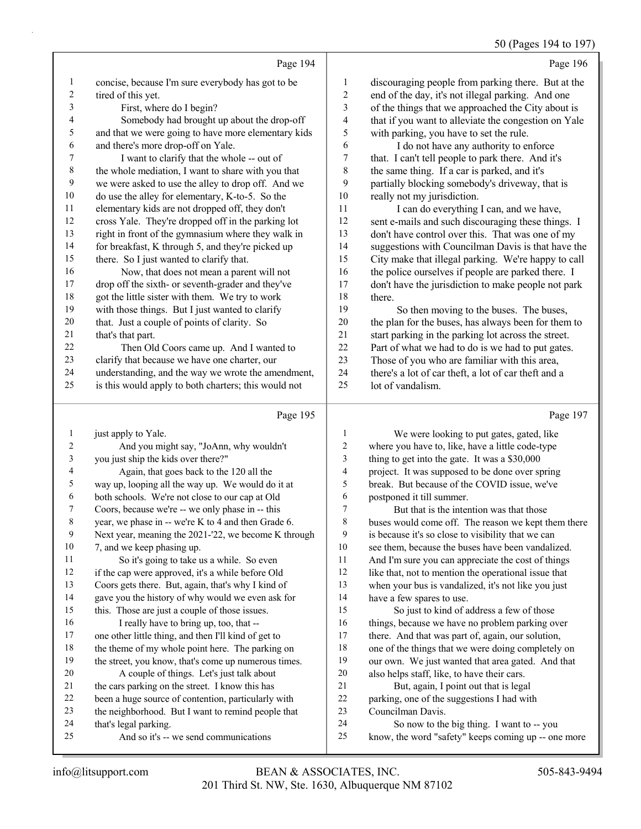50 (Pages 194 to 197)

|                |                                                      |                  | 50 (Pages 194 to 197                                 |
|----------------|------------------------------------------------------|------------------|------------------------------------------------------|
|                | Page 194                                             |                  | Page 196                                             |
| 1              | concise, because I'm sure everybody has got to be    | $\mathbf{1}$     | discouraging people from parking there. But at the   |
| $\overline{c}$ | tired of this yet.                                   | $\overline{c}$   | end of the day, it's not illegal parking. And one    |
| 3              | First, where do I begin?                             | 3                | of the things that we approached the City about is   |
| 4              | Somebody had brought up about the drop-off           | 4                | that if you want to alleviate the congestion on Yale |
| 5              | and that we were going to have more elementary kids  | 5                | with parking, you have to set the rule.              |
| 6              | and there's more drop-off on Yale.                   | 6                | I do not have any authority to enforce               |
| 7              | I want to clarify that the whole -- out of           | 7                | that. I can't tell people to park there. And it's    |
| $\,$ 8 $\,$    | the whole mediation, I want to share with you that   | 8                | the same thing. If a car is parked, and it's         |
| 9              | we were asked to use the alley to drop off. And we   | 9                | partially blocking somebody's driveway, that is      |
| 10             | do use the alley for elementary, K-to-5. So the      | 10               | really not my jurisdiction.                          |
| 11             | elementary kids are not dropped off, they don't      | 11               | I can do everything I can, and we have,              |
| 12             | cross Yale. They're dropped off in the parking lot   | 12               | sent e-mails and such discouraging these things. I   |
| 13             | right in front of the gymnasium where they walk in   | 13               | don't have control over this. That was one of my     |
| 14             | for breakfast, K through 5, and they're picked up    | 14               | suggestions with Councilman Davis is that have the   |
| 15             | there. So I just wanted to clarify that.             | 15               | City make that illegal parking. We're happy to call  |
| 16             | Now, that does not mean a parent will not            | 16               | the police ourselves if people are parked there. I   |
| 17             | drop off the sixth- or seventh-grader and they've    | 17               | don't have the jurisdiction to make people not park  |
| 18             | got the little sister with them. We try to work      | 18               | there.                                               |
| 19             | with those things. But I just wanted to clarify      | 19               | So then moving to the buses. The buses,              |
| 20             | that. Just a couple of points of clarity. So         | 20               | the plan for the buses, has always been for them to  |
| 21             | that's that part.                                    | 21               | start parking in the parking lot across the street.  |
| $22\,$         | Then Old Coors came up. And I wanted to              | 22               | Part of what we had to do is we had to put gates.    |
| 23             | clarify that because we have one charter, our        | 23               | Those of you who are familiar with this area,        |
| 24             | understanding, and the way we wrote the amendment,   | 24               | there's a lot of car theft, a lot of car theft and a |
| 25             | is this would apply to both charters; this would not | 25               | lot of vandalism.                                    |
|                |                                                      |                  |                                                      |
|                | Page 195                                             |                  | Page 197                                             |
| 1              | just apply to Yale.                                  | 1                | We were looking to put gates, gated, like            |
| 2              | And you might say, "JoAnn, why wouldn't              | $\boldsymbol{2}$ | where you have to, like, have a little code-type     |
| 3              | you just ship the kids over there?"                  | 3                | thing to get into the gate. It was a \$30,000        |
| 4              | Again, that goes back to the 120 all the             | 4                | project. It was supposed to be done over spring      |
| 5              | way up, looping all the way up. We would do it at    | 5                | break. But because of the COVID issue, we've         |
| 6              | both schools. We're not close to our cap at Old      | 6                | postponed it till summer.                            |
| 7              | Coors, because we're -- we only phase in -- this     | 7                | But that is the intention was that those             |
| 8              | year, we phase in -- we're K to 4 and then Grade 6.  | 8                | buses would come off. The reason we kept them there  |
| 9              | Next year, meaning the 2021-'22, we become K through | 9                | is because it's so close to visibility that we can   |
| 10             | 7, and we keep phasing up.                           | 10               | see them, because the buses have been vandalized.    |
| 11             | So it's going to take us a while. So even            | 11               | And I'm sure you can appreciate the cost of things   |
| 12             | if the cap were approved, it's a while before Old    | 12               | like that, not to mention the operational issue that |
| 13             | Coors gets there. But, again, that's why I kind of   | 13               | when your bus is vandalized, it's not like you just  |
| 14             | gave you the history of why would we even ask for    | 14               | have a few spares to use.                            |

 gave you the history of why would we even ask for this. Those are just a couple of those issues. 16 I really have to bring up, too, that -- one other little thing, and then I'll kind of get to 18 the theme of my whole point here. The parking on

## the street, you know, that's come up numerous times. 20 A couple of things. Let's just talk about the cars parking on the street. I know this has been a huge source of contention, particularly with

- the neighborhood. But I want to remind people that
- that's legal parking.
- 25 And so it's -- we send communications
- 21 But, again, I point out that is legal parking, one of the suggestions I had with Councilman Davis.

15 So just to kind of address a few of those 16 things, because we have no problem parking over there. And that was part of, again, our solution, one of the things that we were doing completely on our own. We just wanted that area gated. And that

also helps staff, like, to have their cars.

- 24 So now to the big thing. I want to -- you
- know, the word "safety" keeps coming up -- one more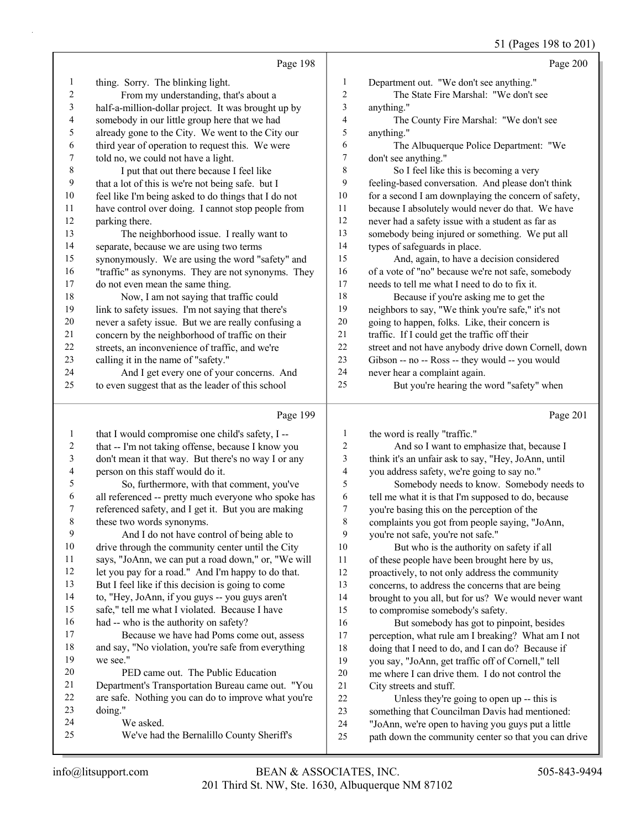#### 51 (Pages 198 to 201)

|             |                                                      |                | $5 - 10$                                             |
|-------------|------------------------------------------------------|----------------|------------------------------------------------------|
|             | Page 198                                             |                | Page 200                                             |
| 1           | thing. Sorry. The blinking light.                    | 1              | Department out. "We don't see anything."             |
| 2           | From my understanding, that's about a                | $\sqrt{2}$     | The State Fire Marshal: "We don't see                |
| 3           | half-a-million-dollar project. It was brought up by  | 3              | anything."                                           |
| 4           | somebody in our little group here that we had        | 4              | The County Fire Marshal: "We don't see               |
| 5           | already gone to the City. We went to the City our    | 5              | anything."                                           |
| 6           | third year of operation to request this. We were     | 6              | The Albuquerque Police Department: "We               |
| 7           | told no, we could not have a light.                  | 7              | don't see anything."                                 |
| $\,$ 8 $\,$ | I put that out there because I feel like             | $\,$ 8 $\,$    | So I feel like this is becoming a very               |
| 9           | that a lot of this is we're not being safe. but I    | 9              | feeling-based conversation. And please don't think   |
| $10\,$      | feel like I'm being asked to do things that I do not | 10             | for a second I am downplaying the concern of safety, |
| 11          | have control over doing. I cannot stop people from   | 11             | because I absolutely would never do that. We have    |
| 12          | parking there.                                       | 12             | never had a safety issue with a student as far as    |
| 13          | The neighborhood issue. I really want to             | 13             | somebody being injured or something. We put all      |
| 14          | separate, because we are using two terms             | 14             | types of safeguards in place.                        |
| 15          | synonymously. We are using the word "safety" and     | 15             | And, again, to have a decision considered            |
| 16          | "traffic" as synonyms. They are not synonyms. They   | 16             | of a vote of "no" because we're not safe, somebody   |
| 17          | do not even mean the same thing.                     | 17             | needs to tell me what I need to do to fix it.        |
| 18          | Now, I am not saying that traffic could              | 18             | Because if you're asking me to get the               |
| 19          | link to safety issues. I'm not saying that there's   | 19             | neighbors to say, "We think you're safe," it's not   |
| 20          | never a safety issue. But we are really confusing a  | 20             | going to happen, folks. Like, their concern is       |
| 21          | concern by the neighborhood of traffic on their      | 21             | traffic. If I could get the traffic off their        |
| $22\,$      | streets, an inconvenience of traffic, and we're      | 22             | street and not have anybody drive down Cornell, down |
| 23          | calling it in the name of "safety."                  | 23             | Gibson -- no -- Ross -- they would -- you would      |
| 24          | And I get every one of your concerns. And            | 24             | never hear a complaint again.                        |
| 25          | to even suggest that as the leader of this school    | 25             | But you're hearing the word "safety" when            |
|             |                                                      |                |                                                      |
|             | Page 199                                             |                | Page 201                                             |
| 1           | that I would compromise one child's safety, I --     | 1              | the word is really "traffic."                        |
| 2           | that -- I'm not taking offense, because I know you   | $\overline{c}$ | And so I want to emphasize that, because I           |
| 3           | don't mean it that way. But there's no way I or any  | 3              | think it's an unfair ask to say, "Hey, JoAnn, until  |
| 4           | person on this staff would do it.                    | 4              | you address safety, we're going to say no."          |

5 So, furthermore, with that comment, you've all referenced -- pretty much everyone who spoke has

- referenced safety, and I get it. But you are making these two words synonyms.
- 9 And I do not have control of being able to drive through the community center until the City says, "JoAnn, we can put a road down," or, "We will
- let you pay for a road." And I'm happy to do that.
- But I feel like if this decision is going to come
- to, "Hey, JoAnn, if you guys -- you guys aren't
- safe," tell me what I violated. Because I have had -- who is the authority on safety?
- 17 Because we have had Poms come out, assess and say, "No violation, you're safe from everything we see."
- 20 PED came out. The Public Education Department's Transportation Bureau came out. "You
- are safe. Nothing you can do to improve what you're doing."
- 24 We asked.
- 25 We've had the Bernalillo County Sheriff's
- 5 Somebody needs to know. Somebody needs to tell me what it is that I'm supposed to do, because
- you're basing this on the perception of the complaints you got from people saying, "JoAnn,
- you're not safe, you're not safe." 10 But who is the authority on safety if all of these people have been brought here by us, proactively, to not only address the community concerns, to address the concerns that are being
- brought to you all, but for us? We would never want to compromise somebody's safety.
- 16 But somebody has got to pinpoint, besides perception, what rule am I breaking? What am I not doing that I need to do, and I can do? Because if you say, "JoAnn, get traffic off of Cornell," tell me where I can drive them. I do not control the City streets and stuff.

22 Unless they're going to open up -- this is something that Councilman Davis had mentioned: "JoAnn, we're open to having you guys put a little

path down the community center so that you can drive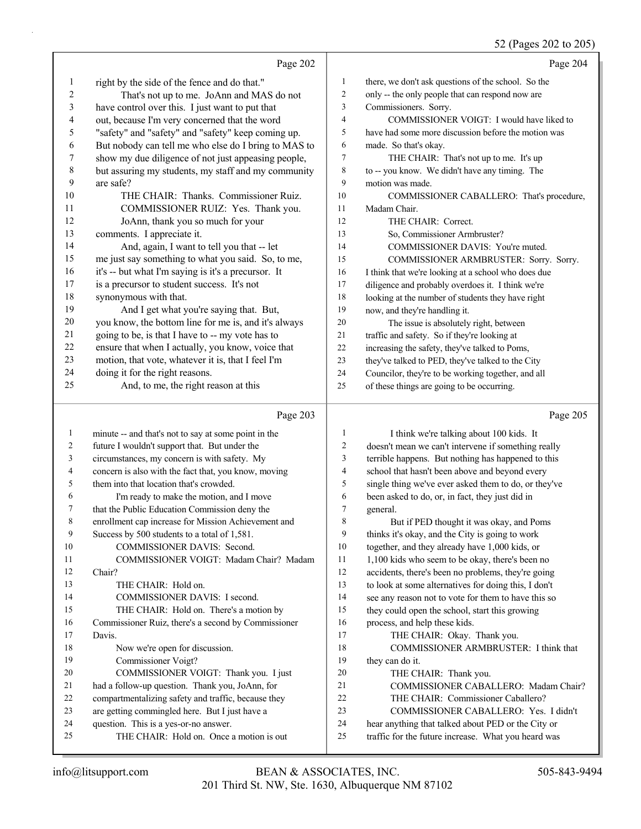## 52 (Pages 202 to 205)

|    |                                                      |                | $32$ (1 agos 202 to 203)                            |
|----|------------------------------------------------------|----------------|-----------------------------------------------------|
|    | Page 202                                             |                | Page 204                                            |
| 1  | right by the side of the fence and do that."         | 1              | there, we don't ask questions of the school. So the |
| 2  | That's not up to me. JoAnn and MAS do not            | 2              | only -- the only people that can respond now are    |
| 3  | have control over this. I just want to put that      | 3              | Commissioners. Sorry.                               |
| 4  | out, because I'm very concerned that the word        | $\overline{4}$ | COMMISSIONER VOIGT: I would have liked to           |
| 5  | "safety" and "safety" and "safety" keep coming up.   | 5              | have had some more discussion before the motion was |
| 6  | But nobody can tell me who else do I bring to MAS to | 6              | made. So that's okay.                               |
| 7  | show my due diligence of not just appeasing people,  | 7              | THE CHAIR: That's not up to me. It's up             |
| 8  | but assuring my students, my staff and my community  | 8              | to -- you know. We didn't have any timing. The      |
| 9  | are safe?                                            | 9              | motion was made.                                    |
| 10 | THE CHAIR: Thanks. Commissioner Ruiz.                | 10             | COMMISSIONER CABALLERO: That's procedure,           |
| 11 | COMMISSIONER RUIZ: Yes. Thank you.                   | 11             | Madam Chair.                                        |
| 12 | JoAnn, thank you so much for your                    | 12             | THE CHAIR: Correct.                                 |
| 13 | comments. I appreciate it.                           | 13             | So, Commissioner Armbruster?                        |
| 14 | And, again, I want to tell you that -- let           | 14             | COMMISSIONER DAVIS: You're muted.                   |
| 15 | me just say something to what you said. So, to me,   | 15             | COMMISSIONER ARMBRUSTER: Sorry. Sorry.              |
| 16 | it's -- but what I'm saying is it's a precursor. It  | 16             | I think that we're looking at a school who does due |
| 17 | is a precursor to student success. It's not          | 17             | diligence and probably overdoes it. I think we're   |
| 18 | synonymous with that.                                | 18             | looking at the number of students they have right   |
| 19 | And I get what you're saying that. But,              | 19             | now, and they're handling it.                       |
| 20 | you know, the bottom line for me is, and it's always | 20             | The issue is absolutely right, between              |
| 21 | going to be, is that I have to -- my vote has to     | 21             | traffic and safety. So if they're looking at        |
| 22 | ensure that when I actually, you know, voice that    | 22             | increasing the safety, they've talked to Poms,      |
| 23 | motion, that vote, whatever it is, that I feel I'm   | 23             | they've talked to PED, they've talked to the City   |
| 24 | doing it for the right reasons.                      | 24             | Councilor, they're to be working together, and all  |
| 25 | And, to me, the right reason at this                 | 25             | of these things are going to be occurring.          |
|    | Page 203                                             |                | Page 205                                            |

| 1  | minute -- and that's not to say at some point in the | 1  | I think we're talking about 100 kids. It             |
|----|------------------------------------------------------|----|------------------------------------------------------|
| 2  | future I wouldn't support that. But under the        | 2  | doesn't mean we can't intervene if something really  |
| 3  | circumstances, my concern is with safety. My         | 3  | terrible happens. But nothing has happened to this   |
| 4  | concern is also with the fact that, you know, moving | 4  | school that hasn't been above and beyond every       |
| 5  | them into that location that's crowded.              | 5  | single thing we've ever asked them to do, or they've |
| 6  | I'm ready to make the motion, and I move             | 6  | been asked to do, or, in fact, they just did in      |
| 7  | that the Public Education Commission deny the        | 7  | general.                                             |
| 8  | enrollment cap increase for Mission Achievement and  | 8  | But if PED thought it was okay, and Poms             |
| 9  | Success by 500 students to a total of 1,581.         | 9  | thinks it's okay, and the City is going to work      |
| 10 | <b>COMMISSIONER DAVIS: Second.</b>                   | 10 | together, and they already have 1,000 kids, or       |
| 11 | COMMISSIONER VOIGT: Madam Chair? Madam               | 11 | 1,100 kids who seem to be okay, there's been no      |
| 12 | Chair?                                               | 12 | accidents, there's been no problems, they're going   |
| 13 | THE CHAIR: Hold on.                                  | 13 | to look at some alternatives for doing this, I don't |
| 14 | <b>COMMISSIONER DAVIS: I second.</b>                 | 14 | see any reason not to vote for them to have this so  |
| 15 | THE CHAIR: Hold on. There's a motion by              | 15 | they could open the school, start this growing       |
| 16 | Commissioner Ruiz, there's a second by Commissioner  | 16 | process, and help these kids.                        |
| 17 | Davis.                                               | 17 | THE CHAIR: Okay. Thank you.                          |
| 18 | Now we're open for discussion.                       | 18 | COMMISSIONER ARMBRUSTER: I think that                |
| 19 | Commissioner Voigt?                                  | 19 | they can do it.                                      |
| 20 | COMMISSIONER VOIGT: Thank you. I just                | 20 | THE CHAIR: Thank you.                                |
| 21 | had a follow-up question. Thank you, JoAnn, for      | 21 | COMMISSIONER CABALLERO: Madam Chair?                 |
| 22 | compartmentalizing safety and traffic, because they  | 22 | THE CHAIR: Commissioner Caballero?                   |
| 23 | are getting commingled here. But I just have a       | 23 | COMMISSIONER CABALLERO: Yes. I didn't                |
| 24 | question. This is a yes-or-no answer.                | 24 | hear anything that talked about PED or the City or   |
| 25 | THE CHAIR: Hold on. Once a motion is out             | 25 | traffic for the future increase. What you heard was  |
|    |                                                      |    |                                                      |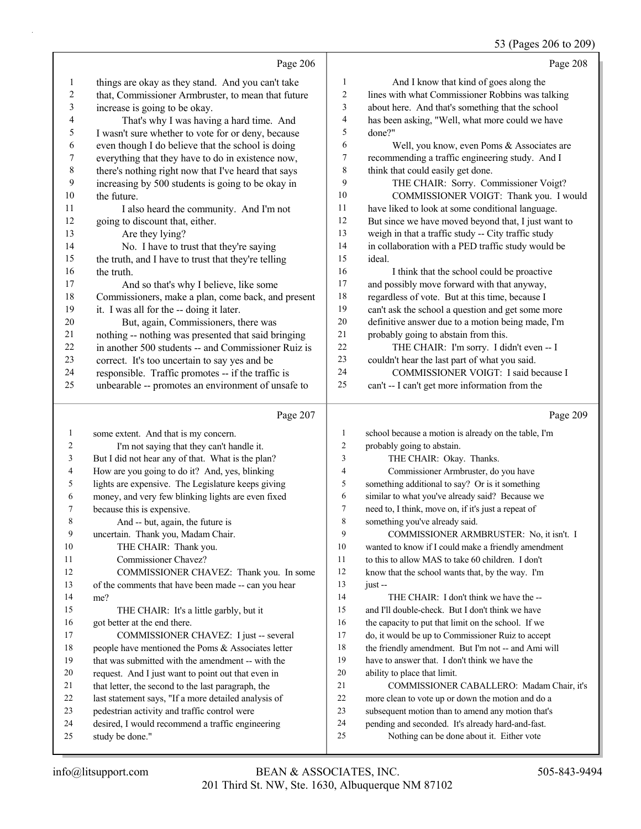## 53 (Pages 206 to 209)

|                          |                                                                                                          |                | $33$ (Fages 200 to 209)                                                                                  |
|--------------------------|----------------------------------------------------------------------------------------------------------|----------------|----------------------------------------------------------------------------------------------------------|
|                          | Page 206                                                                                                 |                | Page 208                                                                                                 |
| $\mathbf{1}$             | things are okay as they stand. And you can't take                                                        | 1              | And I know that kind of goes along the                                                                   |
| $\overline{c}$           | that, Commissioner Armbruster, to mean that future                                                       | 2              | lines with what Commissioner Robbins was talking                                                         |
| $\mathfrak{Z}$           | increase is going to be okay.                                                                            | 3              | about here. And that's something that the school                                                         |
| $\overline{\mathcal{L}}$ | That's why I was having a hard time. And                                                                 | 4              | has been asking, "Well, what more could we have                                                          |
| 5                        | I wasn't sure whether to vote for or deny, because                                                       | 5              | done?"                                                                                                   |
| 6                        | even though I do believe that the school is doing                                                        | 6              | Well, you know, even Poms & Associates are                                                               |
| $\boldsymbol{7}$         | everything that they have to do in existence now,                                                        | 7              | recommending a traffic engineering study. And I                                                          |
| $\,$ $\,$                | there's nothing right now that I've heard that says                                                      | $\,8\,$        | think that could easily get done.                                                                        |
| 9                        | increasing by 500 students is going to be okay in                                                        | 9              | THE CHAIR: Sorry. Commissioner Voigt?                                                                    |
| $10\,$                   | the future.                                                                                              | 10             | COMMISSIONER VOIGT: Thank you. I would                                                                   |
| 11                       | I also heard the community. And I'm not                                                                  | 11             | have liked to look at some conditional language.                                                         |
| 12                       | going to discount that, either.                                                                          | 12             | But since we have moved beyond that, I just want to                                                      |
| 13                       | Are they lying?                                                                                          | 13             | weigh in that a traffic study -- City traffic study                                                      |
| 14                       | No. I have to trust that they're saying                                                                  | 14             | in collaboration with a PED traffic study would be                                                       |
| 15                       | the truth, and I have to trust that they're telling                                                      | 15             | ideal.                                                                                                   |
| 16                       | the truth.                                                                                               | 16             | I think that the school could be proactive                                                               |
| 17                       | And so that's why I believe, like some                                                                   | 17             | and possibly move forward with that anyway,                                                              |
| 18                       | Commissioners, make a plan, come back, and present                                                       | 18             | regardless of vote. But at this time, because I                                                          |
| 19                       | it. I was all for the -- doing it later.                                                                 | 19             | can't ask the school a question and get some more                                                        |
| $20\,$                   | But, again, Commissioners, there was                                                                     | $20\,$         | definitive answer due to a motion being made, I'm                                                        |
| 21                       | nothing -- nothing was presented that said bringing                                                      | $21\,$         | probably going to abstain from this.                                                                     |
| 22                       | in another 500 students -- and Commissioner Ruiz is                                                      | 22             | THE CHAIR: I'm sorry. I didn't even -- I                                                                 |
| 23                       | correct. It's too uncertain to say yes and be                                                            | 23             | couldn't hear the last part of what you said.                                                            |
| 24                       | responsible. Traffic promotes -- if the traffic is                                                       | 24             | COMMISSIONER VOIGT: I said because I                                                                     |
| 25                       | unbearable -- promotes an environment of unsafe to                                                       | 25             | can't -- I can't get more information from the                                                           |
|                          |                                                                                                          |                |                                                                                                          |
|                          |                                                                                                          |                |                                                                                                          |
|                          | Page 207                                                                                                 |                | Page 209                                                                                                 |
| $\mathbf{1}$             | some extent. And that is my concern.                                                                     | $\mathbf{1}$   | school because a motion is already on the table, I'm                                                     |
| 2                        |                                                                                                          | $\overline{c}$ | probably going to abstain.                                                                               |
| 3                        | I'm not saying that they can't handle it.<br>But I did not hear any of that. What is the plan?           | $\mathfrak{Z}$ | THE CHAIR: Okay. Thanks.                                                                                 |
| 4                        |                                                                                                          | $\overline{4}$ | Commissioner Armbruster, do you have                                                                     |
| 5                        | How are you going to do it? And, yes, blinking                                                           | $\mathfrak s$  | something additional to say? Or is it something                                                          |
| 6                        | lights are expensive. The Legislature keeps giving<br>money, and very few blinking lights are even fixed | 6              | similar to what you've already said? Because we                                                          |
| 7                        | because this is expensive.                                                                               | $\overline{7}$ | need to, I think, move on, if it's just a repeat of                                                      |
| 8                        | And -- but, again, the future is                                                                         | 8              | something you've already said.                                                                           |
| 9                        | uncertain. Thank you, Madam Chair.                                                                       | 9              | COMMISSIONER ARMBRUSTER: No, it isn't. I                                                                 |
| 10                       | THE CHAIR: Thank you.                                                                                    | 10             | wanted to know if I could make a friendly amendment                                                      |
| 11                       | Commissioner Chavez?                                                                                     | 11             | to this to allow MAS to take 60 children. I don't                                                        |
| 12                       | COMMISSIONER CHAVEZ: Thank you. In some                                                                  | 12             | know that the school wants that, by the way. I'm                                                         |
| 13                       | of the comments that have been made -- can you hear                                                      | 13             | just --                                                                                                  |
| 14                       | me?                                                                                                      | 14             | THE CHAIR: I don't think we have the --                                                                  |
| 15                       | THE CHAIR: It's a little garbly, but it                                                                  | 15             | and I'll double-check. But I don't think we have                                                         |
| 16                       | got better at the end there.                                                                             | 16             | the capacity to put that limit on the school. If we                                                      |
| 17                       | COMMISSIONER CHAVEZ: I just -- several                                                                   | 17             |                                                                                                          |
| 18                       | people have mentioned the Poms & Associates letter                                                       | 18             | do, it would be up to Commissioner Ruiz to accept<br>the friendly amendment. But I'm not -- and Ami will |
| 19                       | that was submitted with the amendment -- with the                                                        | 19             | have to answer that. I don't think we have the                                                           |
| 20                       | request. And I just want to point out that even in                                                       | 20             | ability to place that limit.                                                                             |
| 21                       | that letter, the second to the last paragraph, the                                                       | 21             | COMMISSIONER CABALLERO: Madam Chair, it's                                                                |
| 22                       |                                                                                                          | $22\,$         |                                                                                                          |
| 23                       | last statement says, "If a more detailed analysis of<br>pedestrian activity and traffic control were     | 23             | more clean to vote up or down the motion and do a<br>subsequent motion than to amend any motion that's   |
| 24                       | desired, I would recommend a traffic engineering                                                         | 24             | pending and seconded. It's already hard-and-fast.                                                        |
| 25                       | study be done."                                                                                          | 25             | Nothing can be done about it. Either vote                                                                |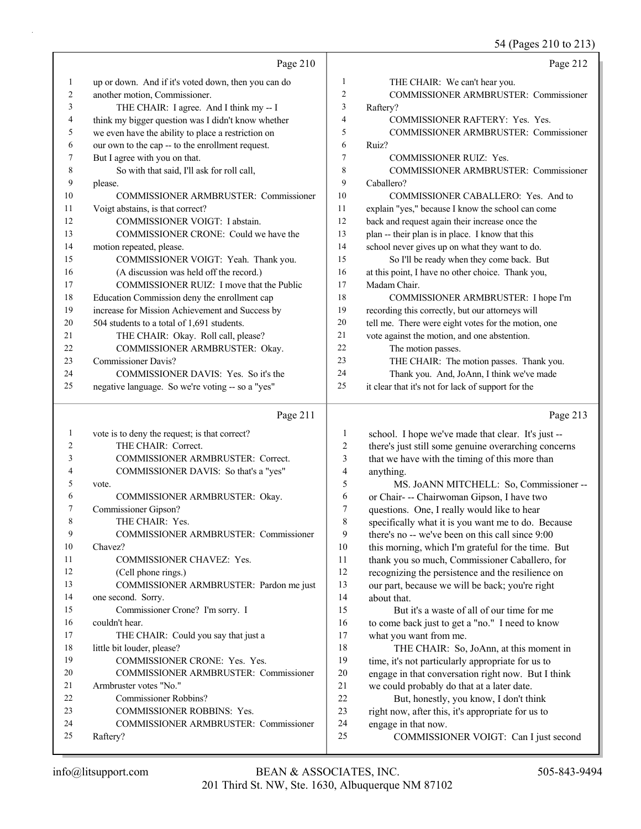54 (Pages 210 to 213)

| $\mathbf{1}$<br>up or down. And if it's voted down, then you can do<br>THE CHAIR: We can't hear you.<br>$\mathbf{1}$<br>COMMISSIONER ARMBRUSTER: Commissioner<br>another motion, Commissioner.<br>$\overline{c}$<br>2<br>$\mathfrak{Z}$<br>3<br>THE CHAIR: I agree. And I think my -- I<br>Raftery?<br>think my bigger question was I didn't know whether<br>$\overline{4}$<br>4<br>COMMISSIONER RAFTERY: Yes. Yes.<br>5<br>we even have the ability to place a restriction on<br>5<br>our own to the cap -- to the enrollment request.<br>6<br>6<br>Ruiz?<br>But I agree with you on that.<br>7<br>7<br><b>COMMISSIONER RUIZ: Yes.</b><br>8<br>So with that said, I'll ask for roll call,<br>8<br>9<br>9<br>Caballero?<br>please.<br>10<br>10<br><b>COMMISSIONER ARMBRUSTER: Commissioner</b><br>COMMISSIONER CABALLERO: Yes. And to<br>Voigt abstains, is that correct?<br>11<br>explain "yes," because I know the school can come<br>11<br>12<br>back and request again their increase once the<br>12<br>COMMISSIONER VOIGT: I abstain.<br>13<br>13<br>COMMISSIONER CRONE: Could we have the<br>plan -- their plan is in place. I know that this<br>14<br>school never gives up on what they want to do.<br>14<br>motion repeated, please.<br>15<br>So I'll be ready when they come back. But<br>15<br>COMMISSIONER VOIGT: Yeah. Thank you.<br>16<br>(A discussion was held off the record.)<br>at this point, I have no other choice. Thank you,<br>16<br>COMMISSIONER RUIZ: I move that the Public<br>17<br>Madam Chair.<br>17<br>18<br>Education Commission deny the enrollment cap<br>18<br>COMMISSIONER ARMBRUSTER: I hope I'm<br>19<br>increase for Mission Achievement and Success by<br>19<br>recording this correctly, but our attorneys will<br>tell me. There were eight votes for the motion, one<br>504 students to a total of 1,691 students.<br>20<br>20<br>21<br>vote against the motion, and one abstention.<br>21<br>THE CHAIR: Okay. Roll call, please?<br>22<br>22<br>COMMISSIONER ARMBRUSTER: Okay.<br>The motion passes.<br>23<br><b>Commissioner Davis?</b><br>THE CHAIR: The motion passes. Thank you.<br>23<br>COMMISSIONER DAVIS: Yes. So it's the<br>24<br>Thank you. And, JoAnn, I think we've made<br>24<br>25<br>25<br>it clear that it's not for lack of support for the<br>negative language. So we're voting -- so a "yes"<br>Page 211 |    | Page 210                                      |   | Page 212                                           |
|----------------------------------------------------------------------------------------------------------------------------------------------------------------------------------------------------------------------------------------------------------------------------------------------------------------------------------------------------------------------------------------------------------------------------------------------------------------------------------------------------------------------------------------------------------------------------------------------------------------------------------------------------------------------------------------------------------------------------------------------------------------------------------------------------------------------------------------------------------------------------------------------------------------------------------------------------------------------------------------------------------------------------------------------------------------------------------------------------------------------------------------------------------------------------------------------------------------------------------------------------------------------------------------------------------------------------------------------------------------------------------------------------------------------------------------------------------------------------------------------------------------------------------------------------------------------------------------------------------------------------------------------------------------------------------------------------------------------------------------------------------------------------------------------------------------------------------------------------------------------------------------------------------------------------------------------------------------------------------------------------------------------------------------------------------------------------------------------------------------------------------------------------------------------------------------------------------------------------------------------------------------------------------------------------------------------------------------------------------------------------|----|-----------------------------------------------|---|----------------------------------------------------|
|                                                                                                                                                                                                                                                                                                                                                                                                                                                                                                                                                                                                                                                                                                                                                                                                                                                                                                                                                                                                                                                                                                                                                                                                                                                                                                                                                                                                                                                                                                                                                                                                                                                                                                                                                                                                                                                                                                                                                                                                                                                                                                                                                                                                                                                                                                                                                                            |    |                                               |   |                                                    |
|                                                                                                                                                                                                                                                                                                                                                                                                                                                                                                                                                                                                                                                                                                                                                                                                                                                                                                                                                                                                                                                                                                                                                                                                                                                                                                                                                                                                                                                                                                                                                                                                                                                                                                                                                                                                                                                                                                                                                                                                                                                                                                                                                                                                                                                                                                                                                                            |    |                                               |   |                                                    |
|                                                                                                                                                                                                                                                                                                                                                                                                                                                                                                                                                                                                                                                                                                                                                                                                                                                                                                                                                                                                                                                                                                                                                                                                                                                                                                                                                                                                                                                                                                                                                                                                                                                                                                                                                                                                                                                                                                                                                                                                                                                                                                                                                                                                                                                                                                                                                                            |    |                                               |   |                                                    |
|                                                                                                                                                                                                                                                                                                                                                                                                                                                                                                                                                                                                                                                                                                                                                                                                                                                                                                                                                                                                                                                                                                                                                                                                                                                                                                                                                                                                                                                                                                                                                                                                                                                                                                                                                                                                                                                                                                                                                                                                                                                                                                                                                                                                                                                                                                                                                                            |    |                                               |   |                                                    |
|                                                                                                                                                                                                                                                                                                                                                                                                                                                                                                                                                                                                                                                                                                                                                                                                                                                                                                                                                                                                                                                                                                                                                                                                                                                                                                                                                                                                                                                                                                                                                                                                                                                                                                                                                                                                                                                                                                                                                                                                                                                                                                                                                                                                                                                                                                                                                                            |    |                                               |   | COMMISSIONER ARMBRUSTER: Commissioner              |
|                                                                                                                                                                                                                                                                                                                                                                                                                                                                                                                                                                                                                                                                                                                                                                                                                                                                                                                                                                                                                                                                                                                                                                                                                                                                                                                                                                                                                                                                                                                                                                                                                                                                                                                                                                                                                                                                                                                                                                                                                                                                                                                                                                                                                                                                                                                                                                            |    |                                               |   |                                                    |
|                                                                                                                                                                                                                                                                                                                                                                                                                                                                                                                                                                                                                                                                                                                                                                                                                                                                                                                                                                                                                                                                                                                                                                                                                                                                                                                                                                                                                                                                                                                                                                                                                                                                                                                                                                                                                                                                                                                                                                                                                                                                                                                                                                                                                                                                                                                                                                            |    |                                               |   |                                                    |
|                                                                                                                                                                                                                                                                                                                                                                                                                                                                                                                                                                                                                                                                                                                                                                                                                                                                                                                                                                                                                                                                                                                                                                                                                                                                                                                                                                                                                                                                                                                                                                                                                                                                                                                                                                                                                                                                                                                                                                                                                                                                                                                                                                                                                                                                                                                                                                            |    |                                               |   | COMMISSIONER ARMBRUSTER: Commissioner              |
|                                                                                                                                                                                                                                                                                                                                                                                                                                                                                                                                                                                                                                                                                                                                                                                                                                                                                                                                                                                                                                                                                                                                                                                                                                                                                                                                                                                                                                                                                                                                                                                                                                                                                                                                                                                                                                                                                                                                                                                                                                                                                                                                                                                                                                                                                                                                                                            |    |                                               |   |                                                    |
|                                                                                                                                                                                                                                                                                                                                                                                                                                                                                                                                                                                                                                                                                                                                                                                                                                                                                                                                                                                                                                                                                                                                                                                                                                                                                                                                                                                                                                                                                                                                                                                                                                                                                                                                                                                                                                                                                                                                                                                                                                                                                                                                                                                                                                                                                                                                                                            |    |                                               |   |                                                    |
|                                                                                                                                                                                                                                                                                                                                                                                                                                                                                                                                                                                                                                                                                                                                                                                                                                                                                                                                                                                                                                                                                                                                                                                                                                                                                                                                                                                                                                                                                                                                                                                                                                                                                                                                                                                                                                                                                                                                                                                                                                                                                                                                                                                                                                                                                                                                                                            |    |                                               |   |                                                    |
|                                                                                                                                                                                                                                                                                                                                                                                                                                                                                                                                                                                                                                                                                                                                                                                                                                                                                                                                                                                                                                                                                                                                                                                                                                                                                                                                                                                                                                                                                                                                                                                                                                                                                                                                                                                                                                                                                                                                                                                                                                                                                                                                                                                                                                                                                                                                                                            |    |                                               |   |                                                    |
|                                                                                                                                                                                                                                                                                                                                                                                                                                                                                                                                                                                                                                                                                                                                                                                                                                                                                                                                                                                                                                                                                                                                                                                                                                                                                                                                                                                                                                                                                                                                                                                                                                                                                                                                                                                                                                                                                                                                                                                                                                                                                                                                                                                                                                                                                                                                                                            |    |                                               |   |                                                    |
|                                                                                                                                                                                                                                                                                                                                                                                                                                                                                                                                                                                                                                                                                                                                                                                                                                                                                                                                                                                                                                                                                                                                                                                                                                                                                                                                                                                                                                                                                                                                                                                                                                                                                                                                                                                                                                                                                                                                                                                                                                                                                                                                                                                                                                                                                                                                                                            |    |                                               |   |                                                    |
|                                                                                                                                                                                                                                                                                                                                                                                                                                                                                                                                                                                                                                                                                                                                                                                                                                                                                                                                                                                                                                                                                                                                                                                                                                                                                                                                                                                                                                                                                                                                                                                                                                                                                                                                                                                                                                                                                                                                                                                                                                                                                                                                                                                                                                                                                                                                                                            |    |                                               |   |                                                    |
|                                                                                                                                                                                                                                                                                                                                                                                                                                                                                                                                                                                                                                                                                                                                                                                                                                                                                                                                                                                                                                                                                                                                                                                                                                                                                                                                                                                                                                                                                                                                                                                                                                                                                                                                                                                                                                                                                                                                                                                                                                                                                                                                                                                                                                                                                                                                                                            |    |                                               |   |                                                    |
|                                                                                                                                                                                                                                                                                                                                                                                                                                                                                                                                                                                                                                                                                                                                                                                                                                                                                                                                                                                                                                                                                                                                                                                                                                                                                                                                                                                                                                                                                                                                                                                                                                                                                                                                                                                                                                                                                                                                                                                                                                                                                                                                                                                                                                                                                                                                                                            |    |                                               |   |                                                    |
|                                                                                                                                                                                                                                                                                                                                                                                                                                                                                                                                                                                                                                                                                                                                                                                                                                                                                                                                                                                                                                                                                                                                                                                                                                                                                                                                                                                                                                                                                                                                                                                                                                                                                                                                                                                                                                                                                                                                                                                                                                                                                                                                                                                                                                                                                                                                                                            |    |                                               |   |                                                    |
|                                                                                                                                                                                                                                                                                                                                                                                                                                                                                                                                                                                                                                                                                                                                                                                                                                                                                                                                                                                                                                                                                                                                                                                                                                                                                                                                                                                                                                                                                                                                                                                                                                                                                                                                                                                                                                                                                                                                                                                                                                                                                                                                                                                                                                                                                                                                                                            |    |                                               |   |                                                    |
|                                                                                                                                                                                                                                                                                                                                                                                                                                                                                                                                                                                                                                                                                                                                                                                                                                                                                                                                                                                                                                                                                                                                                                                                                                                                                                                                                                                                                                                                                                                                                                                                                                                                                                                                                                                                                                                                                                                                                                                                                                                                                                                                                                                                                                                                                                                                                                            |    |                                               |   |                                                    |
|                                                                                                                                                                                                                                                                                                                                                                                                                                                                                                                                                                                                                                                                                                                                                                                                                                                                                                                                                                                                                                                                                                                                                                                                                                                                                                                                                                                                                                                                                                                                                                                                                                                                                                                                                                                                                                                                                                                                                                                                                                                                                                                                                                                                                                                                                                                                                                            |    |                                               |   |                                                    |
|                                                                                                                                                                                                                                                                                                                                                                                                                                                                                                                                                                                                                                                                                                                                                                                                                                                                                                                                                                                                                                                                                                                                                                                                                                                                                                                                                                                                                                                                                                                                                                                                                                                                                                                                                                                                                                                                                                                                                                                                                                                                                                                                                                                                                                                                                                                                                                            |    |                                               |   |                                                    |
|                                                                                                                                                                                                                                                                                                                                                                                                                                                                                                                                                                                                                                                                                                                                                                                                                                                                                                                                                                                                                                                                                                                                                                                                                                                                                                                                                                                                                                                                                                                                                                                                                                                                                                                                                                                                                                                                                                                                                                                                                                                                                                                                                                                                                                                                                                                                                                            |    |                                               |   |                                                    |
|                                                                                                                                                                                                                                                                                                                                                                                                                                                                                                                                                                                                                                                                                                                                                                                                                                                                                                                                                                                                                                                                                                                                                                                                                                                                                                                                                                                                                                                                                                                                                                                                                                                                                                                                                                                                                                                                                                                                                                                                                                                                                                                                                                                                                                                                                                                                                                            |    |                                               |   |                                                    |
|                                                                                                                                                                                                                                                                                                                                                                                                                                                                                                                                                                                                                                                                                                                                                                                                                                                                                                                                                                                                                                                                                                                                                                                                                                                                                                                                                                                                                                                                                                                                                                                                                                                                                                                                                                                                                                                                                                                                                                                                                                                                                                                                                                                                                                                                                                                                                                            |    |                                               |   |                                                    |
|                                                                                                                                                                                                                                                                                                                                                                                                                                                                                                                                                                                                                                                                                                                                                                                                                                                                                                                                                                                                                                                                                                                                                                                                                                                                                                                                                                                                                                                                                                                                                                                                                                                                                                                                                                                                                                                                                                                                                                                                                                                                                                                                                                                                                                                                                                                                                                            |    |                                               |   | Page 213                                           |
|                                                                                                                                                                                                                                                                                                                                                                                                                                                                                                                                                                                                                                                                                                                                                                                                                                                                                                                                                                                                                                                                                                                                                                                                                                                                                                                                                                                                                                                                                                                                                                                                                                                                                                                                                                                                                                                                                                                                                                                                                                                                                                                                                                                                                                                                                                                                                                            | 1  | vote is to deny the request; is that correct? | 1 | school. I hope we've made that clear. It's just -- |
| THE CHAIR: Correct.<br>$\overline{c}$<br>2<br>there's just still some genuine overarching concerns                                                                                                                                                                                                                                                                                                                                                                                                                                                                                                                                                                                                                                                                                                                                                                                                                                                                                                                                                                                                                                                                                                                                                                                                                                                                                                                                                                                                                                                                                                                                                                                                                                                                                                                                                                                                                                                                                                                                                                                                                                                                                                                                                                                                                                                                         |    |                                               |   |                                                    |
| 3<br>3<br>COMMISSIONER ARMBRUSTER: Correct.<br>that we have with the timing of this more than                                                                                                                                                                                                                                                                                                                                                                                                                                                                                                                                                                                                                                                                                                                                                                                                                                                                                                                                                                                                                                                                                                                                                                                                                                                                                                                                                                                                                                                                                                                                                                                                                                                                                                                                                                                                                                                                                                                                                                                                                                                                                                                                                                                                                                                                              |    |                                               |   |                                                    |
| $\overline{4}$<br>anything.<br>4<br>COMMISSIONER DAVIS: So that's a "yes"                                                                                                                                                                                                                                                                                                                                                                                                                                                                                                                                                                                                                                                                                                                                                                                                                                                                                                                                                                                                                                                                                                                                                                                                                                                                                                                                                                                                                                                                                                                                                                                                                                                                                                                                                                                                                                                                                                                                                                                                                                                                                                                                                                                                                                                                                                  |    |                                               |   |                                                    |
| 5<br>5<br>vote.                                                                                                                                                                                                                                                                                                                                                                                                                                                                                                                                                                                                                                                                                                                                                                                                                                                                                                                                                                                                                                                                                                                                                                                                                                                                                                                                                                                                                                                                                                                                                                                                                                                                                                                                                                                                                                                                                                                                                                                                                                                                                                                                                                                                                                                                                                                                                            |    |                                               |   | MS. JoANN MITCHELL: So, Commissioner --            |
| COMMISSIONER ARMBRUSTER: Okay.<br>6<br>or Chair- -- Chairwoman Gipson, I have two<br>6                                                                                                                                                                                                                                                                                                                                                                                                                                                                                                                                                                                                                                                                                                                                                                                                                                                                                                                                                                                                                                                                                                                                                                                                                                                                                                                                                                                                                                                                                                                                                                                                                                                                                                                                                                                                                                                                                                                                                                                                                                                                                                                                                                                                                                                                                     |    |                                               |   |                                                    |
| Commissioner Gipson?<br>7<br>questions. One, I really would like to hear<br>7                                                                                                                                                                                                                                                                                                                                                                                                                                                                                                                                                                                                                                                                                                                                                                                                                                                                                                                                                                                                                                                                                                                                                                                                                                                                                                                                                                                                                                                                                                                                                                                                                                                                                                                                                                                                                                                                                                                                                                                                                                                                                                                                                                                                                                                                                              |    |                                               |   |                                                    |
| THE CHAIR: Yes.<br>$\,$ 8 $\,$<br>specifically what it is you want me to do. Because<br>8                                                                                                                                                                                                                                                                                                                                                                                                                                                                                                                                                                                                                                                                                                                                                                                                                                                                                                                                                                                                                                                                                                                                                                                                                                                                                                                                                                                                                                                                                                                                                                                                                                                                                                                                                                                                                                                                                                                                                                                                                                                                                                                                                                                                                                                                                  |    |                                               |   |                                                    |
| 9<br>9<br>there's no -- we've been on this call since 9:00<br>COMMISSIONER ARMBRUSTER: Commissioner                                                                                                                                                                                                                                                                                                                                                                                                                                                                                                                                                                                                                                                                                                                                                                                                                                                                                                                                                                                                                                                                                                                                                                                                                                                                                                                                                                                                                                                                                                                                                                                                                                                                                                                                                                                                                                                                                                                                                                                                                                                                                                                                                                                                                                                                        |    |                                               |   |                                                    |
| $10\,$<br>10<br>this morning, which I'm grateful for the time. But<br>Chavez?                                                                                                                                                                                                                                                                                                                                                                                                                                                                                                                                                                                                                                                                                                                                                                                                                                                                                                                                                                                                                                                                                                                                                                                                                                                                                                                                                                                                                                                                                                                                                                                                                                                                                                                                                                                                                                                                                                                                                                                                                                                                                                                                                                                                                                                                                              |    |                                               |   |                                                    |
| 11<br>11<br>COMMISSIONER CHAVEZ: Yes.<br>thank you so much, Commissioner Caballero, for                                                                                                                                                                                                                                                                                                                                                                                                                                                                                                                                                                                                                                                                                                                                                                                                                                                                                                                                                                                                                                                                                                                                                                                                                                                                                                                                                                                                                                                                                                                                                                                                                                                                                                                                                                                                                                                                                                                                                                                                                                                                                                                                                                                                                                                                                    |    |                                               |   |                                                    |
| 12<br>12<br>(Cell phone rings.)<br>recognizing the persistence and the resilience on                                                                                                                                                                                                                                                                                                                                                                                                                                                                                                                                                                                                                                                                                                                                                                                                                                                                                                                                                                                                                                                                                                                                                                                                                                                                                                                                                                                                                                                                                                                                                                                                                                                                                                                                                                                                                                                                                                                                                                                                                                                                                                                                                                                                                                                                                       |    |                                               |   |                                                    |
| 13<br>13<br>COMMISSIONER ARMBRUSTER: Pardon me just<br>our part, because we will be back; you're right                                                                                                                                                                                                                                                                                                                                                                                                                                                                                                                                                                                                                                                                                                                                                                                                                                                                                                                                                                                                                                                                                                                                                                                                                                                                                                                                                                                                                                                                                                                                                                                                                                                                                                                                                                                                                                                                                                                                                                                                                                                                                                                                                                                                                                                                     |    |                                               |   |                                                    |
| 14<br>14<br>one second. Sorry.<br>about that.                                                                                                                                                                                                                                                                                                                                                                                                                                                                                                                                                                                                                                                                                                                                                                                                                                                                                                                                                                                                                                                                                                                                                                                                                                                                                                                                                                                                                                                                                                                                                                                                                                                                                                                                                                                                                                                                                                                                                                                                                                                                                                                                                                                                                                                                                                                              |    |                                               |   |                                                    |
| 15<br>15<br>Commissioner Crone? I'm sorry. I<br>But it's a waste of all of our time for me                                                                                                                                                                                                                                                                                                                                                                                                                                                                                                                                                                                                                                                                                                                                                                                                                                                                                                                                                                                                                                                                                                                                                                                                                                                                                                                                                                                                                                                                                                                                                                                                                                                                                                                                                                                                                                                                                                                                                                                                                                                                                                                                                                                                                                                                                 |    |                                               |   |                                                    |
| 16<br>16<br>couldn't hear.<br>to come back just to get a "no." I need to know                                                                                                                                                                                                                                                                                                                                                                                                                                                                                                                                                                                                                                                                                                                                                                                                                                                                                                                                                                                                                                                                                                                                                                                                                                                                                                                                                                                                                                                                                                                                                                                                                                                                                                                                                                                                                                                                                                                                                                                                                                                                                                                                                                                                                                                                                              |    |                                               |   |                                                    |
| 17<br>17<br>THE CHAIR: Could you say that just a<br>what you want from me.                                                                                                                                                                                                                                                                                                                                                                                                                                                                                                                                                                                                                                                                                                                                                                                                                                                                                                                                                                                                                                                                                                                                                                                                                                                                                                                                                                                                                                                                                                                                                                                                                                                                                                                                                                                                                                                                                                                                                                                                                                                                                                                                                                                                                                                                                                 |    |                                               |   |                                                    |
| 18<br>18<br>little bit louder, please?<br>THE CHAIR: So, JoAnn, at this moment in                                                                                                                                                                                                                                                                                                                                                                                                                                                                                                                                                                                                                                                                                                                                                                                                                                                                                                                                                                                                                                                                                                                                                                                                                                                                                                                                                                                                                                                                                                                                                                                                                                                                                                                                                                                                                                                                                                                                                                                                                                                                                                                                                                                                                                                                                          |    |                                               |   |                                                    |
| 19<br>COMMISSIONER CRONE: Yes. Yes.<br>19<br>time, it's not particularly appropriate for us to                                                                                                                                                                                                                                                                                                                                                                                                                                                                                                                                                                                                                                                                                                                                                                                                                                                                                                                                                                                                                                                                                                                                                                                                                                                                                                                                                                                                                                                                                                                                                                                                                                                                                                                                                                                                                                                                                                                                                                                                                                                                                                                                                                                                                                                                             |    |                                               |   |                                                    |
| $20\,$<br>20<br>COMMISSIONER ARMBRUSTER: Commissioner<br>engage in that conversation right now. But I think                                                                                                                                                                                                                                                                                                                                                                                                                                                                                                                                                                                                                                                                                                                                                                                                                                                                                                                                                                                                                                                                                                                                                                                                                                                                                                                                                                                                                                                                                                                                                                                                                                                                                                                                                                                                                                                                                                                                                                                                                                                                                                                                                                                                                                                                |    |                                               |   |                                                    |
| $21\,$<br>21<br>Armbruster votes "No."<br>we could probably do that at a later date.                                                                                                                                                                                                                                                                                                                                                                                                                                                                                                                                                                                                                                                                                                                                                                                                                                                                                                                                                                                                                                                                                                                                                                                                                                                                                                                                                                                                                                                                                                                                                                                                                                                                                                                                                                                                                                                                                                                                                                                                                                                                                                                                                                                                                                                                                       |    |                                               |   |                                                    |
| 22<br>22<br>Commissioner Robbins?<br>But, honestly, you know, I don't think<br>23<br>23                                                                                                                                                                                                                                                                                                                                                                                                                                                                                                                                                                                                                                                                                                                                                                                                                                                                                                                                                                                                                                                                                                                                                                                                                                                                                                                                                                                                                                                                                                                                                                                                                                                                                                                                                                                                                                                                                                                                                                                                                                                                                                                                                                                                                                                                                    |    |                                               |   |                                                    |
| COMMISSIONER ROBBINS: Yes.<br>right now, after this, it's appropriate for us to<br>24<br>24                                                                                                                                                                                                                                                                                                                                                                                                                                                                                                                                                                                                                                                                                                                                                                                                                                                                                                                                                                                                                                                                                                                                                                                                                                                                                                                                                                                                                                                                                                                                                                                                                                                                                                                                                                                                                                                                                                                                                                                                                                                                                                                                                                                                                                                                                |    |                                               |   |                                                    |
| COMMISSIONER ARMBRUSTER: Commissioner<br>engage in that now.<br>Raftery?<br>25                                                                                                                                                                                                                                                                                                                                                                                                                                                                                                                                                                                                                                                                                                                                                                                                                                                                                                                                                                                                                                                                                                                                                                                                                                                                                                                                                                                                                                                                                                                                                                                                                                                                                                                                                                                                                                                                                                                                                                                                                                                                                                                                                                                                                                                                                             |    |                                               |   |                                                    |
| COMMISSIONER VOIGT: Can I just second                                                                                                                                                                                                                                                                                                                                                                                                                                                                                                                                                                                                                                                                                                                                                                                                                                                                                                                                                                                                                                                                                                                                                                                                                                                                                                                                                                                                                                                                                                                                                                                                                                                                                                                                                                                                                                                                                                                                                                                                                                                                                                                                                                                                                                                                                                                                      | 25 |                                               |   |                                                    |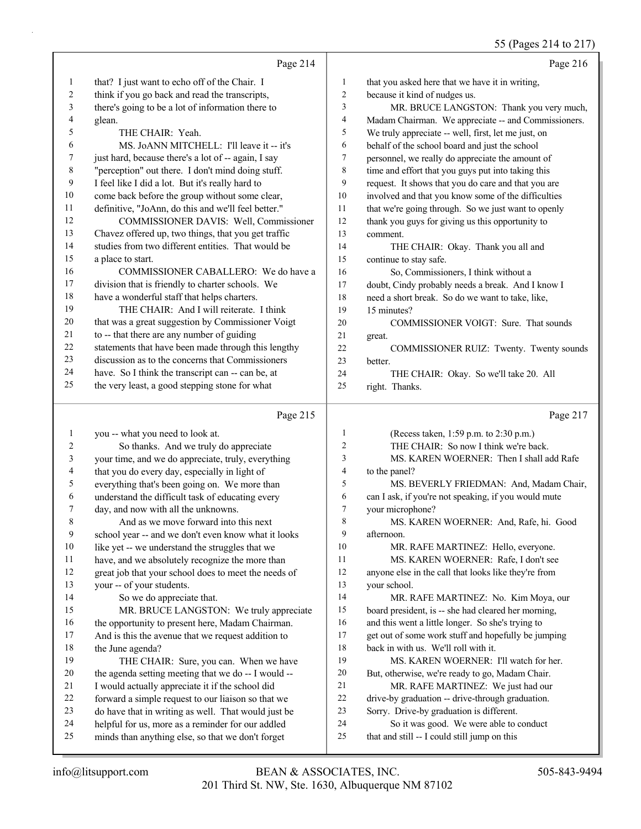## 55 (Pages 214 to 217)

|          |                                                                                                        |                | $33$ (1 agos 21 + 10 21 / )                                                             |
|----------|--------------------------------------------------------------------------------------------------------|----------------|-----------------------------------------------------------------------------------------|
|          | Page 214                                                                                               |                | Page 216                                                                                |
| 1        | that? I just want to echo off of the Chair. I                                                          | $\mathbf{1}$   | that you asked here that we have it in writing,                                         |
| 2        | think if you go back and read the transcripts,                                                         | $\overline{c}$ | because it kind of nudges us.                                                           |
| 3        | there's going to be a lot of information there to                                                      | 3              | MR. BRUCE LANGSTON: Thank you very much,                                                |
| 4        | glean.                                                                                                 | 4              | Madam Chairman. We appreciate -- and Commissioners.                                     |
| 5        | THE CHAIR: Yeah.                                                                                       | 5              | We truly appreciate -- well, first, let me just, on                                     |
| 6        | MS. JoANN MITCHELL: I'll leave it -- it's                                                              | 6              | behalf of the school board and just the school                                          |
| 7        | just hard, because there's a lot of -- again, I say                                                    | $\tau$         | personnel, we really do appreciate the amount of                                        |
| 8        | "perception" out there. I don't mind doing stuff.                                                      | 8              | time and effort that you guys put into taking this                                      |
| 9        | I feel like I did a lot. But it's really hard to                                                       | 9              | request. It shows that you do care and that you are                                     |
| 10       | come back before the group without some clear,                                                         | 10             | involved and that you know some of the difficulties                                     |
| 11       | definitive, "JoAnn, do this and we'll feel better."                                                    | 11             | that we're going through. So we just want to openly                                     |
| 12       | COMMISSIONER DAVIS: Well, Commissioner                                                                 | 12             | thank you guys for giving us this opportunity to                                        |
| 13       | Chavez offered up, two things, that you get traffic                                                    | 13             | comment.                                                                                |
| 14       | studies from two different entities. That would be                                                     | 14             | THE CHAIR: Okay. Thank you all and                                                      |
| 15       | a place to start.                                                                                      | 15             | continue to stay safe.                                                                  |
| 16       | COMMISSIONER CABALLERO: We do have a                                                                   | 16             | So, Commissioners, I think without a                                                    |
| 17       | division that is friendly to charter schools. We                                                       | 17             | doubt, Cindy probably needs a break. And I know I                                       |
| 18       | have a wonderful staff that helps charters.                                                            | 18             | need a short break. So do we want to take, like,                                        |
| 19       | THE CHAIR: And I will reiterate. I think                                                               | 19             | 15 minutes?                                                                             |
| 20       | that was a great suggestion by Commissioner Voigt                                                      | 20             | COMMISSIONER VOIGT: Sure. That sounds                                                   |
| 21       | to -- that there are any number of guiding                                                             | 21             |                                                                                         |
| 22       | statements that have been made through this lengthy                                                    | 22             | great.                                                                                  |
| 23       | discussion as to the concerns that Commissioners                                                       | 23             | COMMISSIONER RUIZ: Twenty. Twenty sounds                                                |
| 24       |                                                                                                        |                | better.                                                                                 |
| 25       | have. So I think the transcript can -- can be, at                                                      | 24             | THE CHAIR: Okay. So we'll take 20. All                                                  |
|          | the very least, a good stepping stone for what                                                         | 25             | right. Thanks.                                                                          |
|          |                                                                                                        |                |                                                                                         |
|          | Page 215                                                                                               |                | Page 217                                                                                |
| 1        |                                                                                                        | $\mathbf{1}$   |                                                                                         |
|          | you -- what you need to look at.                                                                       | 2              | (Recess taken, 1:59 p.m. to 2:30 p.m.)                                                  |
| 2        | So thanks. And we truly do appreciate                                                                  | 3              | THE CHAIR: So now I think we're back.                                                   |
| 3<br>4   | your time, and we do appreciate, truly, everything                                                     | 4              | MS. KAREN WOERNER: Then I shall add Rafe                                                |
|          | that you do every day, especially in light of                                                          | 5              | to the panel?                                                                           |
| 5        | everything that's been going on. We more than                                                          |                | MS. BEVERLY FRIEDMAN: And, Madam Chair,                                                 |
| 6<br>7   | understand the difficult task of educating every                                                       | 6              | can I ask, if you're not speaking, if you would mute                                    |
|          | day, and now with all the unknowns.                                                                    | 7              | your microphone?                                                                        |
| 8        | And as we move forward into this next                                                                  | 8              | MS. KAREN WOERNER: And, Rafe, hi. Good                                                  |
| 9        | school year -- and we don't even know what it looks                                                    | 9              | afternoon.                                                                              |
| 10       | like yet -- we understand the struggles that we                                                        | 10             | MR. RAFE MARTINEZ: Hello, everyone.                                                     |
| 11       | have, and we absolutely recognize the more than                                                        | 11             | MS. KAREN WOERNER: Rafe, I don't see                                                    |
| 12       | great job that your school does to meet the needs of                                                   | 12             | anyone else in the call that looks like they're from                                    |
| 13       | your -- of your students.                                                                              | 13             | your school.                                                                            |
| 14       | So we do appreciate that.                                                                              | 14             | MR. RAFE MARTINEZ: No. Kim Moya, our                                                    |
| 15       | MR. BRUCE LANGSTON: We truly appreciate                                                                | 15             | board president, is -- she had cleared her morning,                                     |
| 16       | the opportunity to present here, Madam Chairman.                                                       | 16             | and this went a little longer. So she's trying to                                       |
| 17       | And is this the avenue that we request addition to                                                     | 17             | get out of some work stuff and hopefully be jumping                                     |
| 18       | the June agenda?                                                                                       | 18             | back in with us. We'll roll with it.                                                    |
| 19       | THE CHAIR: Sure, you can. When we have                                                                 | 19             | MS. KAREN WOERNER: I'll watch for her.                                                  |
| 20       | the agenda setting meeting that we do -- I would --                                                    | 20             | But, otherwise, we're ready to go, Madam Chair.                                         |
| 21       | I would actually appreciate it if the school did                                                       | 21             | MR. RAFE MARTINEZ: We just had our                                                      |
| 22       | forward a simple request to our liaison so that we                                                     | $22\,$         | drive-by graduation -- drive-through graduation.                                        |
| 23       | do have that in writing as well. That would just be                                                    | $23\,$         | Sorry. Drive-by graduation is different.                                                |
| 24<br>25 | helpful for us, more as a reminder for our addled<br>minds than anything else, so that we don't forget | 24<br>25       | So it was good. We were able to conduct<br>that and still -- I could still jump on this |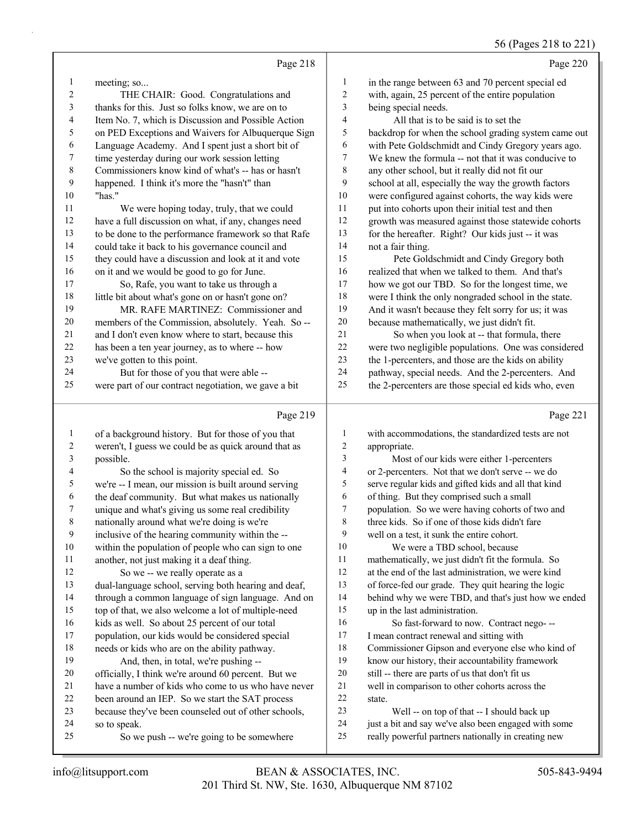# 56 (Pages 218 to 221)

|    | Page 218                                             |                | Page 220                                             |
|----|------------------------------------------------------|----------------|------------------------------------------------------|
| 1  | meeting; so                                          | 1              | in the range between 63 and 70 percent special ed    |
| 2  | THE CHAIR: Good. Congratulations and                 | $\overline{2}$ | with, again, 25 percent of the entire population     |
| 3  | thanks for this. Just so folks know, we are on to    | 3              | being special needs.                                 |
| 4  | Item No. 7, which is Discussion and Possible Action  | $\overline{4}$ | All that is to be said is to set the                 |
| 5  | on PED Exceptions and Waivers for Albuquerque Sign   | 5              | backdrop for when the school grading system came out |
| 6  | Language Academy. And I spent just a short bit of    | 6              | with Pete Goldschmidt and Cindy Gregory years ago.   |
| 7  | time yesterday during our work session letting       | 7              | We knew the formula -- not that it was conducive to  |
| 8  | Commissioners know kind of what's -- has or hasn't   | 8              | any other school, but it really did not fit our      |
| 9  | happened. I think it's more the "hasn't" than        | 9              | school at all, especially the way the growth factors |
| 10 | "has."                                               | 10             | were configured against cohorts, the way kids were   |
| 11 | We were hoping today, truly, that we could           | 11             | put into cohorts upon their initial test and then    |
| 12 | have a full discussion on what, if any, changes need | 12             | growth was measured against those statewide cohorts  |
| 13 | to be done to the performance framework so that Rafe | 13             | for the hereafter. Right? Our kids just -- it was    |
| 14 | could take it back to his governance council and     | 14             | not a fair thing.                                    |
| 15 | they could have a discussion and look at it and vote | 15             | Pete Goldschmidt and Cindy Gregory both              |
| 16 | on it and we would be good to go for June.           | 16             | realized that when we talked to them. And that's     |
| 17 | So, Rafe, you want to take us through a              | 17             | how we got our TBD. So for the longest time, we      |
| 18 | little bit about what's gone on or hasn't gone on?   | 18             | were I think the only nongraded school in the state. |
| 19 | MR. RAFE MARTINEZ: Commissioner and                  | 19             | And it wasn't because they felt sorry for us; it was |
| 20 | members of the Commission, absolutely. Yeah. So --   | 20             | because mathematically, we just didn't fit.          |
| 21 | and I don't even know where to start, because this   | 2.1            | So when you look at -- that formula, there           |
| 22 | has been a ten year journey, as to where -- how      | 22             | were two negligible populations. One was considered  |
| 23 | we've gotten to this point.                          | 23             | the 1-percenters, and those are the kids on ability  |
| 24 | But for those of you that were able --               | 24             | pathway, special needs. And the 2-percenters. And    |
| 25 | were part of our contract negotiation, we gave a bit | 25             | the 2-percenters are those special ed kids who, even |
|    | Page 219                                             |                | Page 221                                             |

| $\mathbf{1}$ | of a background history. But for those of you that   | 1  | with accommodations, the standardized tests are not  |
|--------------|------------------------------------------------------|----|------------------------------------------------------|
| 2            | weren't, I guess we could be as quick around that as | 2  | appropriate.                                         |
| 3            | possible.                                            | 3  | Most of our kids were either 1-percenters            |
| 4            | So the school is majority special ed. So             | 4  | or 2-percenters. Not that we don't serve -- we do    |
| 5            | we're -- I mean, our mission is built around serving | 5  | serve regular kids and gifted kids and all that kind |
| 6            | the deaf community. But what makes us nationally     | 6  | of thing. But they comprised such a small            |
| $\tau$       | unique and what's giving us some real credibility    | 7  | population. So we were having cohorts of two and     |
| $\,8\,$      | nationally around what we're doing is we're          | 8  | three kids. So if one of those kids didn't fare      |
| 9            | inclusive of the hearing community within the --     | 9  | well on a test, it sunk the entire cohort.           |
| 10           | within the population of people who can sign to one  | 10 | We were a TBD school, because                        |
| 11           | another, not just making it a deaf thing.            | 11 | mathematically, we just didn't fit the formula. So   |
| 12           | So we -- we really operate as a                      | 12 | at the end of the last administration, we were kind  |
| 13           | dual-language school, serving both hearing and deaf, | 13 | of force-fed our grade. They quit hearing the logic  |
| 14           | through a common language of sign language. And on   | 14 | behind why we were TBD, and that's just how we ended |
| 15           | top of that, we also welcome a lot of multiple-need  | 15 | up in the last administration.                       |
| 16           | kids as well. So about 25 percent of our total       | 16 | So fast-forward to now. Contract nego- --            |
| 17           | population, our kids would be considered special     | 17 | I mean contract renewal and sitting with             |
| 18           | needs or kids who are on the ability pathway.        | 18 | Commissioner Gipson and everyone else who kind of    |
| 19           | And, then, in total, we're pushing --                | 19 | know our history, their accountability framework     |
| 20           | officially, I think we're around 60 percent. But we  | 20 | still -- there are parts of us that don't fit us     |
| 21           | have a number of kids who come to us who have never  | 21 | well in comparison to other cohorts across the       |
| 22           | been around an IEP. So we start the SAT process      | 22 | state.                                               |
| 23           | because they've been counseled out of other schools, | 23 | Well -- on top of that -- I should back up           |
| 24           | so to speak.                                         | 24 | just a bit and say we've also been engaged with some |
| 25           | So we push -- we're going to be somewhere            | 25 | really powerful partners nationally in creating new  |
|              |                                                      |    |                                                      |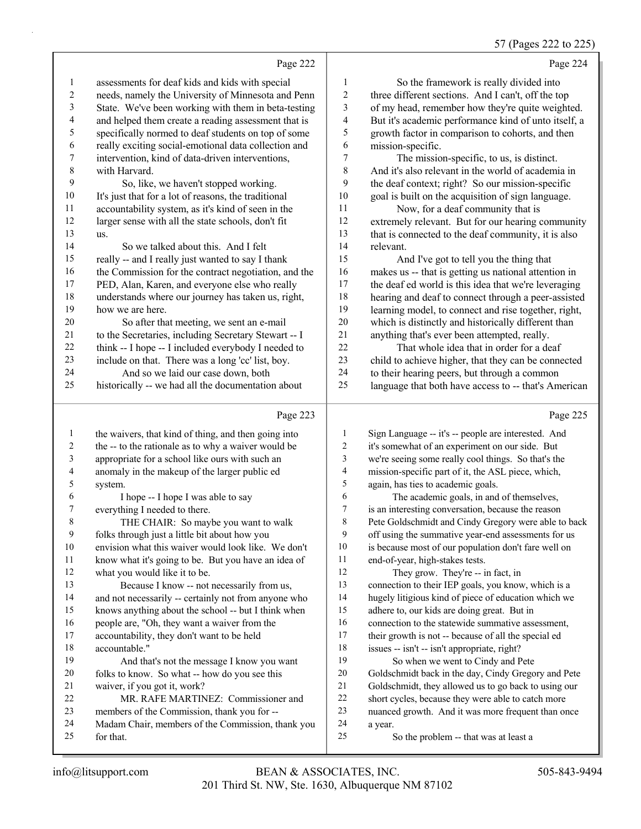# 57 (Pages 222 to 225)

|                 | Page 222                                             |                | Page 224                                             |
|-----------------|------------------------------------------------------|----------------|------------------------------------------------------|
| -1              | assessments for deaf kids and kids with special      | 1              | So the framework is really divided into              |
| 2               | needs, namely the University of Minnesota and Penn   | $\overline{c}$ | three different sections. And I can't, off the top   |
| 3               | State. We've been working with them in beta-testing  | 3              | of my head, remember how they're quite weighted.     |
| $\overline{4}$  | and helped them create a reading assessment that is  | 4              | But it's academic performance kind of unto itself, a |
| $\mathfrak{S}$  | specifically normed to deaf students on top of some  | 5              | growth factor in comparison to cohorts, and then     |
| 6               | really exciting social-emotional data collection and | 6              | mission-specific.                                    |
| $7\phantom{.0}$ | intervention, kind of data-driven interventions,     | 7              | The mission-specific, to us, is distinct.            |
| $\,8\,$         | with Harvard.                                        | 8              | And it's also relevant in the world of academia in   |
| 9               | So, like, we haven't stopped working.                | 9              | the deaf context; right? So our mission-specific     |
| 10              | It's just that for a lot of reasons, the traditional | 10             | goal is built on the acquisition of sign language.   |
| 11              | accountability system, as it's kind of seen in the   | 11             | Now, for a deaf community that is                    |
| 12              | larger sense with all the state schools, don't fit   | 12             | extremely relevant. But for our hearing community    |
| 13              | us.                                                  | 13             | that is connected to the deaf community, it is also  |
| 14              | So we talked about this. And I felt                  | 14             | relevant.                                            |
| 15              | really -- and I really just wanted to say I thank    | 15             | And I've got to tell you the thing that              |
| 16              | the Commission for the contract negotiation, and the | 16             | makes us -- that is getting us national attention in |
| 17              | PED, Alan, Karen, and everyone else who really       | 17             | the deaf ed world is this idea that we're leveraging |
| 18              | understands where our journey has taken us, right,   | 18             | hearing and deaf to connect through a peer-assisted  |
| 19              | how we are here.                                     | 19             | learning model, to connect and rise together, right, |
| 20              | So after that meeting, we sent an e-mail             | 20             | which is distinctly and historically different than  |
| 21              | to the Secretaries, including Secretary Stewart -- I | 21             | anything that's ever been attempted, really.         |
| 22              | think -- I hope -- I included everybody I needed to  | 22             | That whole idea that in order for a deaf             |
| 23              | include on that. There was a long 'cc' list, boy.    | 23             | child to achieve higher, that they can be connected  |
| 24              | And so we laid our case down, both                   | 24             | to their hearing peers, but through a common         |
| 25              | historically -- we had all the documentation about   | 25             | language that both have access to -- that's American |
|                 | Page 223                                             |                | Page 225                                             |
|                 |                                                      |                |                                                      |
| -1              | the waivers, that kind of thing, and then going into | 1              | Sign Language -- it's -- people are interested. And  |
| 2               | the -- to the rationale as to why a waiver would be  | 2              | it's somewhat of an experiment on our side. But      |

|                | the -- to the rationale as to wife a warver would be | ∠  | It's somewhat of all experiment on our side. But     |
|----------------|------------------------------------------------------|----|------------------------------------------------------|
| 3              | appropriate for a school like ours with such an      | 3  | we're seeing some really cool things. So that's the  |
| $\overline{4}$ | anomaly in the makeup of the larger public ed        | 4  | mission-specific part of it, the ASL piece, which,   |
| 5              | system.                                              | 5  | again, has ties to academic goals.                   |
| 6              | I hope -- I hope I was able to say                   | 6  | The academic goals, in and of themselves,            |
| 7              | everything I needed to there.                        | 7  | is an interesting conversation, because the reason   |
| 8              | THE CHAIR: So maybe you want to walk                 | 8  | Pete Goldschmidt and Cindy Gregory were able to back |
| 9              | folks through just a little bit about how you        | 9  | off using the summative year-end assessments for us  |
| 10             | envision what this waiver would look like. We don't  | 10 | is because most of our population don't fare well on |
| 11             | know what it's going to be. But you have an idea of  | 11 | end-of-year, high-stakes tests.                      |
| 12             | what you would like it to be.                        | 12 | They grow. They're -- in fact, in                    |
| 13             | Because I know -- not necessarily from us,           | 13 | connection to their IEP goals, you know, which is a  |
| 14             | and not necessarily -- certainly not from anyone who | 14 | hugely litigious kind of piece of education which we |
| 15             | knows anything about the school -- but I think when  | 15 | adhere to, our kids are doing great. But in          |
| 16             | people are, "Oh, they want a waiver from the         | 16 | connection to the statewide summative assessment,    |
| 17             | accountability, they don't want to be held           | 17 | their growth is not -- because of all the special ed |
| 18             | accountable."                                        | 18 | issues -- isn't -- isn't appropriate, right?         |
| 19             | And that's not the message I know you want           | 19 | So when we went to Cindy and Pete                    |
| 20             | folks to know. So what -- how do you see this        | 20 | Goldschmidt back in the day, Cindy Gregory and Pete  |
| 21             | waiver, if you got it, work?                         | 21 | Goldschmidt, they allowed us to go back to using our |
| 22             | MR. RAFE MARTINEZ: Commissioner and                  | 22 | short cycles, because they were able to catch more   |
| 23             | members of the Commission, thank you for --          | 23 | nuanced growth. And it was more frequent than once   |
| 24             | Madam Chair, members of the Commission, thank you    | 24 | a year.                                              |
| 25             | for that.                                            | 25 | So the problem -- that was at least a                |
|                |                                                      |    |                                                      |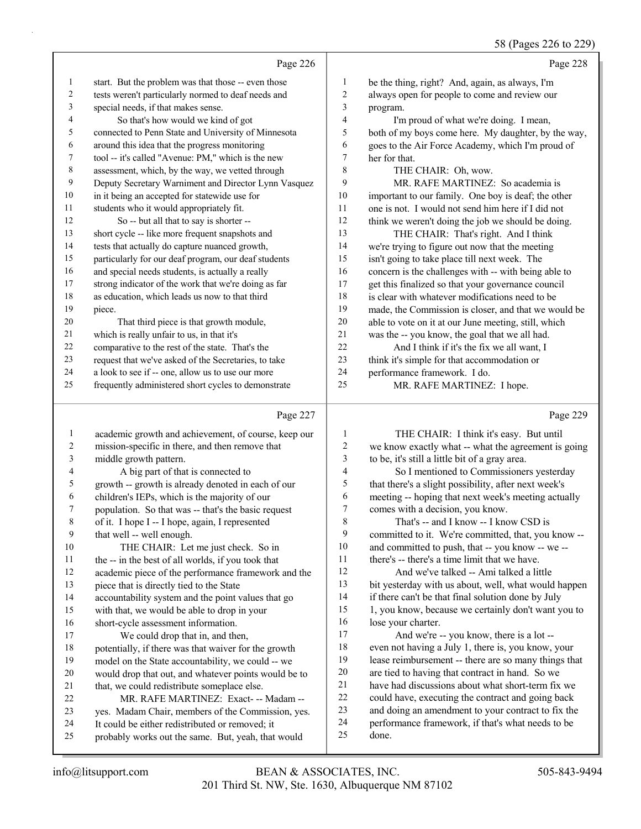58 (Pages 226 to 229)

|    | Page 226                                             |                | Page 228                                             |
|----|------------------------------------------------------|----------------|------------------------------------------------------|
| 1  | start. But the problem was that those -- even those  | 1              | be the thing, right? And, again, as always, I'm      |
| 2  | tests weren't particularly normed to deaf needs and  | 2              | always open for people to come and review our        |
| 3  | special needs, if that makes sense.                  | 3              | program.                                             |
| 4  | So that's how would we kind of got                   | $\overline{4}$ | I'm proud of what we're doing. I mean,               |
| 5  | connected to Penn State and University of Minnesota  | 5              | both of my boys come here. My daughter, by the way,  |
| 6  | around this idea that the progress monitoring        | 6              | goes to the Air Force Academy, which I'm proud of    |
| 7  | tool -- it's called "Avenue: PM," which is the new   | 7              | her for that.                                        |
| 8  | assessment, which, by the way, we vetted through     | 8              | THE CHAIR: Oh, wow.                                  |
| 9  | Deputy Secretary Warniment and Director Lynn Vasquez | 9              | MR. RAFE MARTINEZ: So academia is                    |
| 10 | in it being an accepted for statewide use for        | 10             | important to our family. One boy is deaf; the other  |
| 11 | students who it would appropriately fit.             | 11             | one is not. I would not send him here if I did not   |
| 12 | So -- but all that to say is shorter --              | 12             | think we weren't doing the job we should be doing.   |
| 13 | short cycle -- like more frequent snapshots and      | 13             | THE CHAIR: That's right. And I think                 |
| 14 | tests that actually do capture nuanced growth,       | 14             | we're trying to figure out now that the meeting      |
| 15 | particularly for our deaf program, our deaf students | 15             | isn't going to take place till next week. The        |
| 16 | and special needs students, is actually a really     | 16             | concern is the challenges with -- with being able to |
| 17 | strong indicator of the work that we're doing as far | 17             | get this finalized so that your governance council   |
| 18 | as education, which leads us now to that third       | 18             | is clear with whatever modifications need to be      |
| 19 | piece.                                               | 19             | made, the Commission is closer, and that we would be |
| 20 | That third piece is that growth module,              | 20             | able to vote on it at our June meeting, still, which |
| 21 | which is really unfair to us, in that it's           | 21             | was the -- you know, the goal that we all had.       |
| 22 | comparative to the rest of the state. That's the     | 22             | And I think if it's the fix we all want, I           |
| 23 | request that we've asked of the Secretaries, to take | 23             | think it's simple for that accommodation or          |
| 24 | a look to see if -- one, allow us to use our more    | 24             | performance framework. I do.                         |
| 25 | frequently administered short cycles to demonstrate  | 25             | MR. RAFE MARTINEZ: I hope.                           |
|    |                                                      |                |                                                      |

### Page 227

 academic growth and achievement, of course, keep our mission-specific in there, and then remove that middle growth pattern. 4 A big part of that is connected to growth -- growth is already denoted in each of our children's IEPs, which is the majority of our population. So that was -- that's the basic request of it. I hope I -- I hope, again, I represented that well -- well enough. 10 THE CHAIR: Let me just check. So in the -- in the best of all worlds, if you took that academic piece of the performance framework and the piece that is directly tied to the State accountability system and the point values that go with that, we would be able to drop in your short-cycle assessment information. 17 We could drop that in, and then, potentially, if there was that waiver for the growth model on the State accountability, we could -- we would drop that out, and whatever points would be to 21 that, we could redistribute someplace else. 22 MR. RAFE MARTINEZ: Exact- -- Madam -- yes. Madam Chair, members of the Commission, yes. It could be either redistributed or removed; it probably works out the same. But, yeah, that would Page 229 1 THE CHAIR: I think it's easy. But until we know exactly what -- what the agreement is going to be, it's still a little bit of a gray area. 4 So I mentioned to Commissioners yesterday that there's a slight possibility, after next week's meeting -- hoping that next week's meeting actually comes with a decision, you know. 8 That's -- and I know -- I know CSD is committed to it. We're committed, that, you know -- and committed to push, that -- you know -- we -- 11 there's -- there's a time limit that we have. 12 And we've talked -- Ami talked a little bit yesterday with us about, well, what would happen if there can't be that final solution done by July 1, you know, because we certainly don't want you to lose your charter. 17 And we're -- you know, there is a lot -- even not having a July 1, there is, you know, your lease reimbursement -- there are so many things that are tied to having that contract in hand. So we have had discussions about what short-term fix we could have, executing the contract and going back and doing an amendment to your contract to fix the performance framework, if that's what needs to be done.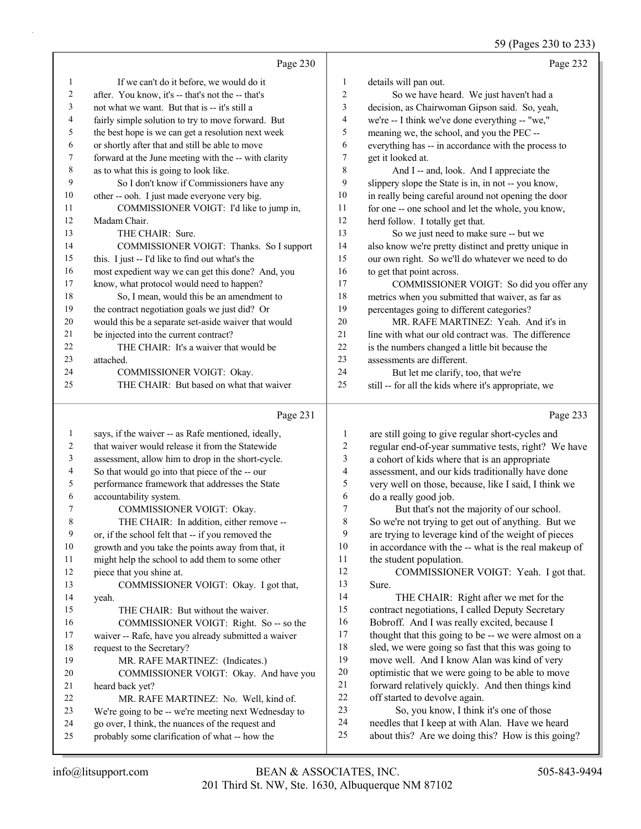59 (Pages 230 to 233)

|    | Page 230                                             |                | Page 232                                             |
|----|------------------------------------------------------|----------------|------------------------------------------------------|
|    | If we can't do it before, we would do it             | 1              | details will pan out.                                |
| 2  | after. You know, it's -- that's not the -- that's    | $\overline{2}$ | So we have heard. We just haven't had a              |
| 3  | not what we want. But that is -- it's still a        | 3              | decision, as Chairwoman Gipson said. So, yeah,       |
| 4  | fairly simple solution to try to move forward. But   | $\overline{4}$ | we're -- I think we've done everything -- "we,"      |
| 5  | the best hope is we can get a resolution next week   | 5              | meaning we, the school, and you the PEC --           |
| 6  | or shortly after that and still be able to move      | 6              | everything has -- in accordance with the process to  |
| 7  | forward at the June meeting with the -- with clarity | 7              | get it looked at.                                    |
| 8  | as to what this is going to look like.               | 8              | And I -- and, look. And I appreciate the             |
| 9  | So I don't know if Commissioners have any            | 9              | slippery slope the State is in, in not -- you know,  |
| 10 | other -- ooh. I just made everyone very big.         | 10             | in really being careful around not opening the door  |
| 11 | COMMISSIONER VOIGT: I'd like to jump in,             | 11             | for one -- one school and let the whole, you know,   |
| 12 | Madam Chair.                                         | 12             | herd follow. I totally get that.                     |
| 13 | THE CHAIR: Sure.                                     | 13             | So we just need to make sure -- but we               |
| 14 | COMMISSIONER VOIGT: Thanks. So I support             | 14             | also know we're pretty distinct and pretty unique in |
| 15 | this. I just -- I'd like to find out what's the      | 15             | our own right. So we'll do whatever we need to do    |
| 16 | most expedient way we can get this done? And, you    | 16             | to get that point across.                            |
| 17 | know, what protocol would need to happen?            | 17             | COMMISSIONER VOIGT: So did you offer any             |
| 18 | So, I mean, would this be an amendment to            | 18             | metrics when you submitted that waiver, as far as    |
| 19 | the contract negotiation goals we just did? Or       | 19             | percentages going to different categories?           |
| 20 | would this be a separate set-aside waiver that would | 20             | MR. RAFE MARTINEZ: Yeah. And it's in                 |
| 21 | be injected into the current contract?               | 21             | line with what our old contract was. The difference  |
| 22 | THE CHAIR: It's a waiver that would be               | 22             | is the numbers changed a little bit because the      |
| 23 | attached.                                            | 23             | assessments are different.                           |
| 24 | COMMISSIONER VOIGT: Okay.                            | 24             | But let me clarify, too, that we're                  |
| 25 | THE CHAIR: But based on what that waiver             | 25             | still -- for all the kids where it's appropriate, we |
|    | Page 231                                             |                | Page 233                                             |

#### info@litsupport.com BEAN & ASSOCIATES, INC. 505-843-9494 13 COMMISSIONER VOIGT: Okay. I got that, 16 COMMISSIONER VOIGT: Right. So -- so the waiver -- Rafe, have you already submitted a waiver 20 COMMISSIONER VOIGT: Okay. And have you 22 MR. RAFE MARTINEZ: No. Well, kind of. We're going to be -- we're meeting next Wednesday to are still going to give regular short-cycles and regular end-of-year summative tests, right? We have a cohort of kids where that is an appropriate assessment, and our kids traditionally have done very well on those, because, like I said, I think we do a really good job. 7 But that's not the majority of our school. So we're not trying to get out of anything. But we are trying to leverage kind of the weight of pieces in accordance with the -- what is the real makeup of the student population. 12 COMMISSIONER VOIGT: Yeah. I got that. Sure. 14 THE CHAIR: Right after we met for the contract negotiations, I called Deputy Secretary Bobroff. And I was really excited, because I 17 thought that this going to be -- we were almost on a sled, we were going so fast that this was going to move well. And I know Alan was kind of very optimistic that we were going to be able to move forward relatively quickly. And then things kind off started to devolve again. 23 So, you know, I think it's one of those needles that I keep at with Alan. Have we heard about this? Are we doing this? How is this going?

 says, if the waiver -- as Rafe mentioned, ideally, that waiver would release it from the Statewide assessment, allow him to drop in the short-cycle. So that would go into that piece of the -- our performance framework that addresses the State

7 COMMISSIONER VOIGT: Okay. 8 THE CHAIR: In addition, either remove -- or, if the school felt that -- if you removed the growth and you take the points away from that, it might help the school to add them to some other

15 THE CHAIR: But without the waiver.

19 MR. RAFE MARTINEZ: (Indicates.)

 go over, I think, the nuances of the request and probably some clarification of what -- how the

accountability system.

piece that you shine at.

request to the Secretary?

heard back yet?

yeah.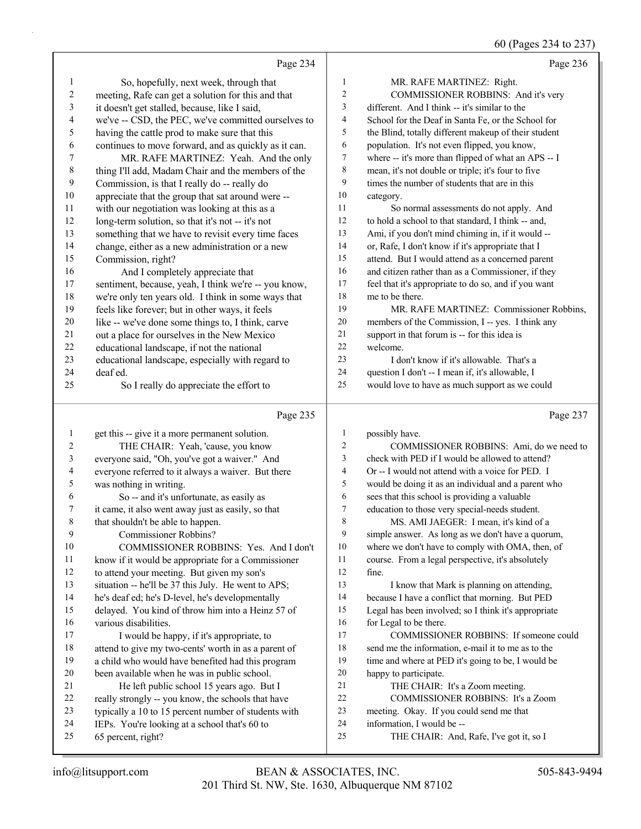60 (Pages 234 to 237)

|          |                                                                                     |              | $\frac{1}{2}$ $\frac{1}{2}$ $\frac{1}{2}$ $\frac{1}{2}$ $\frac{1}{2}$ $\frac{1}{2}$ $\frac{1}{2}$ $\frac{1}{2}$ |
|----------|-------------------------------------------------------------------------------------|--------------|-----------------------------------------------------------------------------------------------------------------|
|          | Page 234                                                                            |              | Page 236                                                                                                        |
| 1        | So, hopefully, next week, through that                                              | 1            | MR. RAFE MARTINEZ: Right.                                                                                       |
| 2        | meeting, Rafe can get a solution for this and that                                  | 2            | COMMISSIONER ROBBINS: And it's very                                                                             |
| 3        | it doesn't get stalled, because, like I said,                                       | 3            | different. And I think -- it's similar to the                                                                   |
| 4        | we've -- CSD, the PEC, we've committed ourselves to                                 | 4            | School for the Deaf in Santa Fe, or the School for                                                              |
| 5        | having the cattle prod to make sure that this                                       | 5            | the Blind, totally different makeup of their student                                                            |
| 6        | continues to move forward, and as quickly as it can.                                | 6            | population. It's not even flipped, you know,                                                                    |
| 7        | MR. RAFE MARTINEZ: Yeah. And the only                                               | 7            | where -- it's more than flipped of what an APS -- I                                                             |
| 8        | thing I'll add, Madam Chair and the members of the                                  | 8            | mean, it's not double or triple; it's four to five                                                              |
| 9        | Commission, is that I really do -- really do                                        | 9            | times the number of students that are in this                                                                   |
| 10       | appreciate that the group that sat around were --                                   | 10           | category.                                                                                                       |
| 11       | with our negotiation was looking at this as a                                       | 11           | So normal assessments do not apply. And                                                                         |
| 12       | long-term solution, so that it's not -- it's not                                    | 12           | to hold a school to that standard, I think -- and,                                                              |
| 13       | something that we have to revisit every time faces                                  | 13           | Ami, if you don't mind chiming in, if it would --                                                               |
| 14       | change, either as a new administration or a new                                     | 14           | or, Rafe, I don't know if it's appropriate that I                                                               |
| 15       | Commission, right?                                                                  | 15           | attend. But I would attend as a concerned parent                                                                |
| 16       | And I completely appreciate that                                                    | 16           | and citizen rather than as a Commissioner, if they                                                              |
| 17       | sentiment, because, yeah, I think we're -- you know,                                | 17           | feel that it's appropriate to do so, and if you want                                                            |
| 18       | we're only ten years old. I think in some ways that                                 | 18           | me to be there.                                                                                                 |
| 19       | feels like forever; but in other ways, it feels                                     | 19           | MR. RAFE MARTINEZ: Commissioner Robbins,                                                                        |
| 20       | like -- we've done some things to, I think, carve                                   | 20           | members of the Commission, I -- yes. I think any                                                                |
| 21       | out a place for ourselves in the New Mexico                                         | 21           | support in that forum is -- for this idea is                                                                    |
| 22       | educational landscape, if not the national                                          | 22           | welcome.                                                                                                        |
| 23       | educational landscape, especially with regard to                                    | 23           | I don't know if it's allowable. That's a                                                                        |
| 24       | deaf ed.                                                                            | 24           | question I don't -- I mean if, it's allowable, I                                                                |
| 25       | So I really do appreciate the effort to                                             | 25           | would love to have as much support as we could                                                                  |
|          |                                                                                     |              |                                                                                                                 |
|          | Page 235                                                                            |              | Page 237                                                                                                        |
| 1        |                                                                                     | $\mathbf{1}$ |                                                                                                                 |
| 2        | get this -- give it a more permanent solution.<br>THE CHAIR: Yeah, 'cause, you know | 2            | possibly have.<br>COMMISSIONER ROBBINS: Ami, do we need to                                                      |
| 3        | everyone said, "Oh, you've got a waiver." And                                       | 3            | check with PED if I would be allowed to attend?                                                                 |
| 4        | everyone referred to it always a waiver. But there                                  | 4            | Or -- I would not attend with a voice for PED. I                                                                |
| 5        | was nothing in writing.                                                             | 5            | would be doing it as an individual and a parent who                                                             |
| 6        | So -- and it's unfortunate, as easily as                                            | 6            | sees that this school is providing a valuable                                                                   |
| 7        | it came, it also went away just as easily, so that                                  | 7            | education to those very special-needs student.                                                                  |
| 8        | that shouldn't be able to happen.                                                   | 8            | MS. AMI JAEGER: I mean, it's kind of a                                                                          |
| 9        | Commissioner Robbins?                                                               | 9            | simple answer. As long as we don't have a quorum,                                                               |
| 10       | COMMISSIONER ROBBINS: Yes. And I don't                                              | 10           | where we don't have to comply with OMA, then, of                                                                |
| 11       | know if it would be appropriate for a Commissioner                                  | 11           | course. From a legal perspective, it's absolutely                                                               |
| 12       | to attend your meeting. But given my son's                                          | 12           | fine.                                                                                                           |
| 13       | situation -- he'll be 37 this July. He went to APS;                                 | 13           | I know that Mark is planning on attending,                                                                      |
| 14       | he's deaf ed; he's D-level, he's developmentally                                    | 14           | because I have a conflict that morning. But PED                                                                 |
| 15       | delayed. You kind of throw him into a Heinz 57 of                                   | 15           | Legal has been involved; so I think it's appropriate                                                            |
| 16       | various disabilities.                                                               | 16           | for Legal to be there.                                                                                          |
| 17       | I would be happy, if it's appropriate, to                                           | 17           | COMMISSIONER ROBBINS: If someone could                                                                          |
| 18       | attend to give my two-cents' worth in as a parent of                                | 18           | send me the information, e-mail it to me as to the                                                              |
| 19       | a child who would have benefited had this program                                   | 19           | time and where at PED it's going to be, I would be                                                              |
| 20       | been available when he was in public school.                                        | 20           | happy to participate.                                                                                           |
| 21       | He left public school 15 years ago. But I                                           | 21           | THE CHAIR: It's a Zoom meeting.                                                                                 |
| 22       | really strongly -- you know, the schools that have                                  | 22           | COMMISSIONER ROBBINS: It's a Zoom                                                                               |
| 23       | typically a 10 to 15 percent number of students with                                | 23           | meeting. Okay. If you could send me that                                                                        |
| 24<br>25 | IEPs. You're looking at a school that's 60 to<br>65 percent, right?                 | 24<br>25     | information, I would be --<br>THE CHAIR: And, Rafe, I've got it, so I                                           |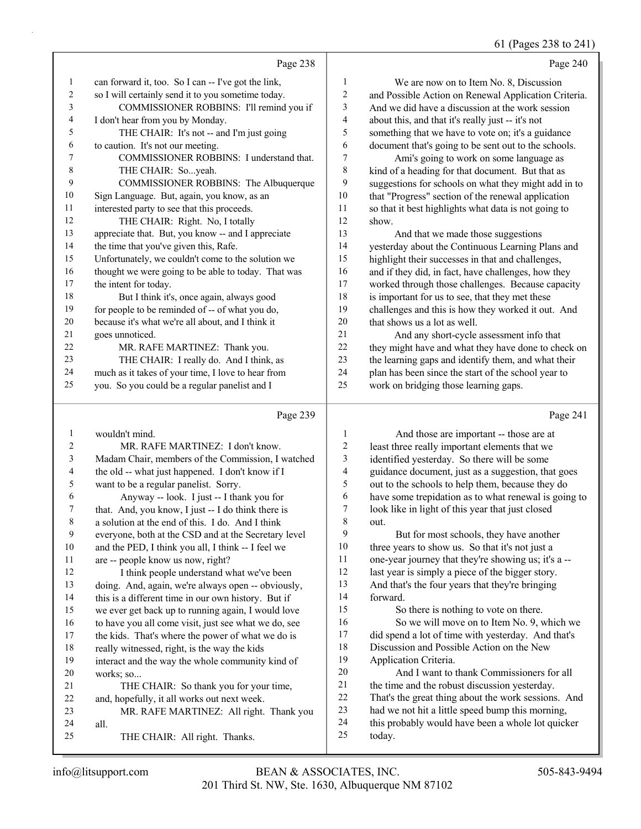|                |                                                      |                  | 61 (Pages 238 to 241)                                |
|----------------|------------------------------------------------------|------------------|------------------------------------------------------|
|                | Page 238                                             |                  | Page 240                                             |
| 1              | can forward it, too. So I can -- I've got the link,  | 1                | We are now on to Item No. 8, Discussion              |
| 2              | so I will certainly send it to you sometime today.   | $\overline{c}$   | and Possible Action on Renewal Application Criteria. |
| 3              | COMMISSIONER ROBBINS: I'll remind you if             | 3                | And we did have a discussion at the work session     |
| 4              | I don't hear from you by Monday.                     | 4                | about this, and that it's really just -- it's not    |
| 5              | THE CHAIR: It's not -- and I'm just going            | 5                | something that we have to vote on; it's a guidance   |
| 6              | to caution. It's not our meeting.                    | 6                | document that's going to be sent out to the schools. |
| 7              | COMMISSIONER ROBBINS: I understand that.             | $\boldsymbol{7}$ | Ami's going to work on some language as              |
| 8              | THE CHAIR: Soyeah.                                   | 8                | kind of a heading for that document. But that as     |
| 9              | COMMISSIONER ROBBINS: The Albuquerque                | $\boldsymbol{9}$ | suggestions for schools on what they might add in to |
| 10             | Sign Language. But, again, you know, as an           | 10               | that "Progress" section of the renewal application   |
| 11             | interested party to see that this proceeds.          | 11               | so that it best highlights what data is not going to |
| 12             | THE CHAIR: Right. No, I totally                      | 12               | show.                                                |
| 13             | appreciate that. But, you know -- and I appreciate   | 13               | And that we made those suggestions                   |
| 14             | the time that you've given this, Rafe.               | 14               | yesterday about the Continuous Learning Plans and    |
| 15             | Unfortunately, we couldn't come to the solution we   | 15               | highlight their successes in that and challenges,    |
| 16             | thought we were going to be able to today. That was  | 16               | and if they did, in fact, have challenges, how they  |
| 17             | the intent for today.                                | 17               | worked through those challenges. Because capacity    |
| 18             | But I think it's, once again, always good            | 18               | is important for us to see, that they met these      |
| 19             | for people to be reminded of -- of what you do,      | 19               | challenges and this is how they worked it out. And   |
| 20             | because it's what we're all about, and I think it    | 20               | that shows us a lot as well.                         |
| 21             | goes unnoticed.                                      | 21               | And any short-cycle assessment info that             |
| 22             | MR. RAFE MARTINEZ: Thank you.                        | 22               | they might have and what they have done to check on  |
| 23             | THE CHAIR: I really do. And I think, as              | 23               | the learning gaps and identify them, and what their  |
| 24             | much as it takes of your time, I love to hear from   | 24               | plan has been since the start of the school year to  |
| 25             | you. So you could be a regular panelist and I        | 25               | work on bridging those learning gaps.                |
|                | Page 239                                             |                  | Page 241                                             |
| $\mathbf{1}$   | wouldn't mind.                                       | 1                | And those are important -- those are at              |
| 2              | MR. RAFE MARTINEZ: I don't know.                     | $\overline{c}$   | least three really important elements that we        |
| 3              | Madam Chair, members of the Commission, I watched    | 3                | identified yesterday. So there will be some          |
| 4              | the old -- what just happened. I don't know if I     | 4                | guidance document, just as a suggestion, that goes   |
| 5              | want to be a regular panelist. Sorry.                | 5                | out to the schools to help them, because they do     |
| 6              | Anyway -- look. I just -- I thank you for            | 6                | have some trepidation as to what renewal is going to |
| 7              | that. And, you know, I just -- I do think there is   | 7                | look like in light of this year that just closed     |
| $\,8\,$        | a solution at the end of this. I do. And I think     | 8                | out.                                                 |
| $\overline{9}$ | everyone, both at the CSD and at the Secretary level | 9                | But for most schools, they have another              |
| $10\,$         | and the PED, I think you all, I think -- I feel we   | 10               | three years to show us. So that it's not just a      |
| 11             | are -- people know us now, right?                    | 11               | one-year journey that they're showing us; it's a --  |
| 12             | I think people understand what we've been            | 12               | last year is simply a piece of the bigger story.     |
| 13             | doing. And, again, we're always open -- obviously,   | 13               | And that's the four years that they're bringing      |
| 14             | this is a different time in our own history. But if  | 14               | forward.                                             |
| 15             | we ever get back up to running again, I would love   | 15               | So there is nothing to vote on there.                |
| 16             | to have you all come visit, just see what we do, see | 16               | So we will move on to Item No. 9, which we           |
| 17             | the kids. That's where the power of what we do is    | 17               | did spend a lot of time with yesterday. And that's   |
| $18\,$         | really witnessed, right, is the way the kids         | 18               | Discussion and Possible Action on the New            |
| 19             | interact and the way the whole community kind of     | 19               | Application Criteria.                                |
| $20\,$         | works; so                                            | $20\,$           | And I want to thank Commissioners for all            |
| 21             | THE CHAIR: So thank you for your time,               | 21               | the time and the robust discussion yesterday.        |
| 22             | and, hopefully, it all works out next week.          | $22\,$           | That's the great thing about the work sessions. And  |
| 23             | MR. RAFE MARTINEZ: All right. Thank you              | 23               | had we not hit a little speed bump this morning,     |

23 had we not hit a little speed bump this morning,<br>24 this probably would have been a whole lot quick 24 this probably would have been a whole lot quicker<br>25 today. today.

25 THE CHAIR: All right. Thanks.

all.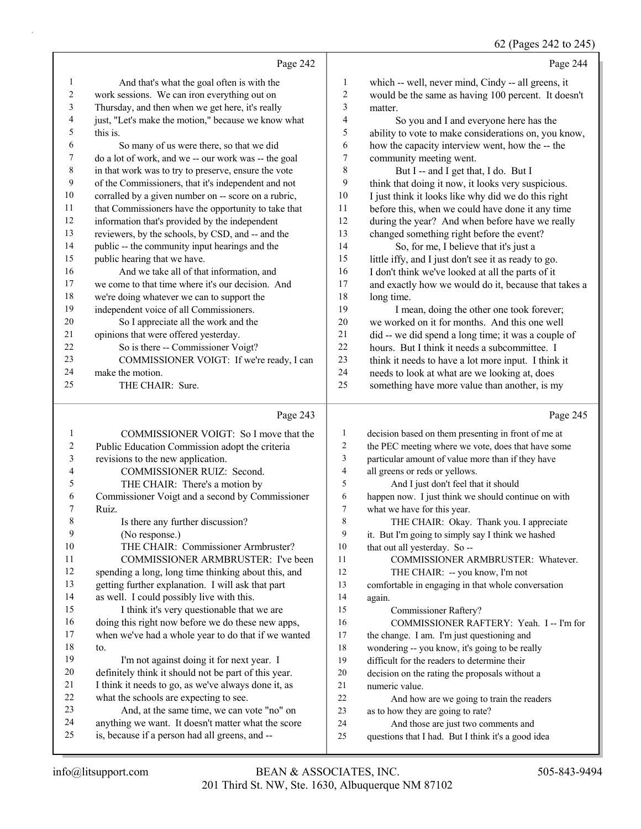# 62 (Pages 242 to 245)

|                | Page 242                                             |                | Page 244                                             |
|----------------|------------------------------------------------------|----------------|------------------------------------------------------|
| $\mathbf{1}$   | And that's what the goal often is with the           | 1              | which -- well, never mind, Cindy -- all greens, it   |
| 2              | work sessions. We can iron everything out on         | $\overline{c}$ | would be the same as having 100 percent. It doesn't  |
| 3              | Thursday, and then when we get here, it's really     | 3              | matter.                                              |
| $\overline{4}$ | just, "Let's make the motion," because we know what  | 4              | So you and I and everyone here has the               |
| 5              | this is.                                             | 5              | ability to vote to make considerations on, you know, |
| 6              | So many of us were there, so that we did             | 6              | how the capacity interview went, how the -- the      |
| $\tau$         | do a lot of work, and we -- our work was -- the goal | 7              | community meeting went.                              |
| 8              | in that work was to try to preserve, ensure the vote | 8              | But I -- and I get that, I do. But I                 |
| 9              | of the Commissioners, that it's independent and not  | 9              | think that doing it now, it looks very suspicious.   |
| 10             | corralled by a given number on -- score on a rubric, | 10             | I just think it looks like why did we do this right  |
| 11             | that Commissioners have the opportunity to take that | 11             | before this, when we could have done it any time     |
| 12             | information that's provided by the independent       | 12             | during the year? And when before have we really      |
| 13             | reviewers, by the schools, by CSD, and -- and the    | 13             | changed something right before the event?            |
| 14             | public -- the community input hearings and the       | 14             | So, for me, I believe that it's just a               |
| 15             | public hearing that we have.                         | 15             | little iffy, and I just don't see it as ready to go. |
| 16             | And we take all of that information, and             | 16             | I don't think we've looked at all the parts of it    |
| 17             | we come to that time where it's our decision. And    | 17             | and exactly how we would do it, because that takes a |
| 18             | we're doing whatever we can to support the           | 18             | long time.                                           |
| 19             | independent voice of all Commissioners.              | 19             | I mean, doing the other one took forever;            |
| 20             | So I appreciate all the work and the                 | 20             | we worked on it for months. And this one well        |
| 21             | opinions that were offered yesterday.                | 21             | did -- we did spend a long time; it was a couple of  |
| 22             | So is there -- Commissioner Voigt?                   | 22             | hours. But I think it needs a subcommittee. I        |
| 23             | COMMISSIONER VOIGT: If we're ready, I can            | 23             | think it needs to have a lot more input. I think it  |
| 24             | make the motion.                                     | 24             | needs to look at what are we looking at, does        |
| 25             | THE CHAIR: Sure.                                     | 25             | something have more value than another, is my        |
|                |                                                      |                |                                                      |

# Page 243

|    | Page 243                                             |    | Page 245                                            |
|----|------------------------------------------------------|----|-----------------------------------------------------|
| 1  | COMMISSIONER VOIGT: So I move that the               | 1  | decision based on them presenting in front of me at |
| 2  | Public Education Commission adopt the criteria       | 2  | the PEC meeting where we vote, does that have some  |
| 3  | revisions to the new application.                    | 3  | particular amount of value more than if they have   |
| 4  | <b>COMMISSIONER RUIZ: Second.</b>                    | 4  | all greens or reds or yellows.                      |
| 5  | THE CHAIR: There's a motion by                       | 5  | And I just don't feel that it should                |
| 6  | Commissioner Voigt and a second by Commissioner      | 6  | happen now. I just think we should continue on with |
| 7  | Ruiz.                                                | 7  | what we have for this year.                         |
| 8  | Is there any further discussion?                     | 8  | THE CHAIR: Okay. Thank you. I appreciate            |
| 9  | (No response.)                                       | 9  | it. But I'm going to simply say I think we hashed   |
| 10 | THE CHAIR: Commissioner Armbruster?                  | 10 | that out all yesterday. So --                       |
| 11 | <b>COMMISSIONER ARMBRUSTER: I've been</b>            | 11 | COMMISSIONER ARMBRUSTER: Whatever.                  |
| 12 | spending a long, long time thinking about this, and  | 12 | THE CHAIR: -- you know, I'm not                     |
| 13 | getting further explanation. I will ask that part    | 13 | comfortable in engaging in that whole conversation  |
| 14 | as well. I could possibly live with this.            | 14 | again.                                              |
| 15 | I think it's very questionable that we are           | 15 | Commissioner Raftery?                               |
| 16 | doing this right now before we do these new apps,    | 16 | COMMISSIONER RAFTERY: Yeah. I -- I'm for            |
| 17 | when we've had a whole year to do that if we wanted  | 17 | the change. I am. I'm just questioning and          |
| 18 | to.                                                  | 18 | wondering -- you know, it's going to be really      |
| 19 | I'm not against doing it for next year. I            | 19 | difficult for the readers to determine their        |
| 20 | definitely think it should not be part of this year. | 20 | decision on the rating the proposals without a      |
| 21 | I think it needs to go, as we've always done it, as  | 21 | numeric value.                                      |
| 22 | what the schools are expecting to see.               | 22 | And how are we going to train the readers           |
| 23 | And, at the same time, we can vote "no" on           | 23 | as to how they are going to rate?                   |
| 24 | anything we want. It doesn't matter what the score   | 24 | And those are just two comments and                 |
| 25 | is, because if a person had all greens, and --       | 25 | questions that I had. But I think it's a good idea  |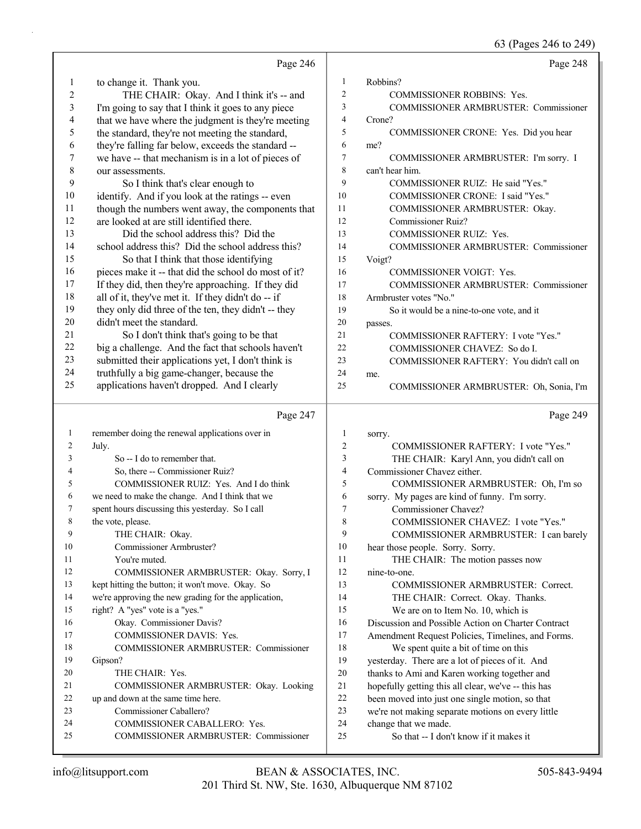|    |                                                      |                | 63 (Pages 246 to 249)                               |
|----|------------------------------------------------------|----------------|-----------------------------------------------------|
|    | Page 246                                             |                | Page 248                                            |
| 1  | to change it. Thank you.                             | 1              | Robbins?                                            |
| 2  | THE CHAIR: Okay. And I think it's -- and             | $\overline{2}$ | <b>COMMISSIONER ROBBINS: Yes.</b>                   |
| 3  | I'm going to say that I think it goes to any piece   | 3              | <b>COMMISSIONER ARMBRUSTER: Commissioner</b>        |
| 4  | that we have where the judgment is they're meeting   | $\overline{4}$ | Crone?                                              |
| 5  | the standard, they're not meeting the standard,      | 5              | COMMISSIONER CRONE: Yes. Did you hear               |
| 6  | they're falling far below, exceeds the standard --   | 6              | me?                                                 |
| 7  | we have -- that mechanism is in a lot of pieces of   | 7              | COMMISSIONER ARMBRUSTER: I'm sorry. I               |
| 8  | our assessments.                                     | 8              | can't hear him.                                     |
| 9  | So I think that's clear enough to                    | 9              | COMMISSIONER RUIZ: He said "Yes."                   |
| 10 | identify. And if you look at the ratings -- even     | 10             | COMMISSIONER CRONE: I said "Yes."                   |
| 11 | though the numbers went away, the components that    | 11             | COMMISSIONER ARMBRUSTER: Okay.                      |
| 12 | are looked at are still identified there.            | 12             | Commissioner Ruiz?                                  |
| 13 | Did the school address this? Did the                 | 13             | <b>COMMISSIONER RUIZ: Yes.</b>                      |
| 14 | school address this? Did the school address this?    | 14             | COMMISSIONER ARMBRUSTER: Commissioner               |
| 15 | So that I think that those identifying               | 15             | Voigt?                                              |
| 16 | pieces make it -- that did the school do most of it? | 16             | <b>COMMISSIONER VOIGT: Yes.</b>                     |
| 17 | If they did, then they're approaching. If they did   | 17             | COMMISSIONER ARMBRUSTER: Commissioner               |
| 18 | all of it, they've met it. If they didn't do -- if   | 18             | Armbruster votes "No."                              |
| 19 | they only did three of the ten, they didn't -- they  | 19             | So it would be a nine-to-one vote, and it           |
| 20 | didn't meet the standard.                            | 20             | passes.                                             |
| 21 | So I don't think that's going to be that             | 21             | COMMISSIONER RAFTERY: I vote "Yes."                 |
| 22 | big a challenge. And the fact that schools haven't   | 22             | COMMISSIONER CHAVEZ: So do I.                       |
| 23 | submitted their applications yet, I don't think is   | 23             | COMMISSIONER RAFTERY: You didn't call on            |
| 24 | truthfully a big game-changer, because the           | 24             | me.                                                 |
| 25 | applications haven't dropped. And I clearly          | 25             | COMMISSIONER ARMBRUSTER: Oh, Sonia, I'm             |
|    | Page 247                                             |                | Page 249                                            |
| 1  | remember doing the renewal applications over in      | 1              | sorry.                                              |
| 2  | July.                                                | $\overline{c}$ | <b>COMMISSIONER RAFTERY: I vote "Yes."</b>          |
| 3  | So -- I do to remember that.                         | 3              | THE CHAIR: Karyl Ann, you didn't call on            |
| 4  | So, there -- Commissioner Ruiz?                      | 4              | Commissioner Chavez either.                         |
| 5  | COMMISSIONER RUIZ: Yes. And I do think               | 5              | COMMISSIONER ARMBRUSTER: Oh, I'm so                 |
| 6  | we need to make the change. And I think that we      | 6              | sorry. My pages are kind of funny. I'm sorry.       |
| 7  | spent hours discussing this yesterday. So I call     | 7              | Commissioner Chavez?                                |
| 8  | the vote, please.                                    | 8              | COMMISSIONER CHAVEZ: I vote "Yes."                  |
| 9  | THE CHAIR: Okay.                                     | 9              | COMMISSIONER ARMBRUSTER: I can barely               |
| 10 | Commissioner Armbruster?                             | 10             | hear those people. Sorry. Sorry.                    |
| 11 | You're muted.                                        | 11             | THE CHAIR: The motion passes now                    |
| 12 | COMMISSIONER ARMBRUSTER: Okay. Sorry, I              | 12             | nine-to-one.                                        |
| 13 | kept hitting the button; it won't move. Okay. So     | 13             | COMMISSIONER ARMBRUSTER: Correct.                   |
| 14 | we're approving the new grading for the application, | 14             | THE CHAIR: Correct. Okay. Thanks.                   |
| 15 | right? A "yes" vote is a "yes."                      | 15             | We are on to Item No. 10, which is                  |
| 16 | Okay. Commissioner Davis?                            | 16             | Discussion and Possible Action on Charter Contract  |
| 17 | COMMISSIONER DAVIS: Yes.                             | 17             | Amendment Request Policies, Timelines, and Forms.   |
| 18 | COMMISSIONER ARMBRUSTER: Commissioner                | $18\,$         | We spent quite a bit of time on this                |
| 19 | Gipson?                                              | 19             | yesterday. There are a lot of pieces of it. And     |
| 20 | THE CHAIR: Yes.                                      | 20             | thanks to Ami and Karen working together and        |
| 21 | COMMISSIONER ARMBRUSTER: Okay. Looking               | 21             | hopefully getting this all clear, we've -- this has |
| 22 | up and down at the same time here.                   | $22\,$         | been moved into just one single motion, so that     |

23 Commissioner Caballero?

24 COMMISSIONER CABALLERO: Yes. 25 COMMISSIONER ARMBRUSTER: Commissioner 24 change that we made. 25 So that -- I don't know if it makes it

23 we're not making separate motions on every little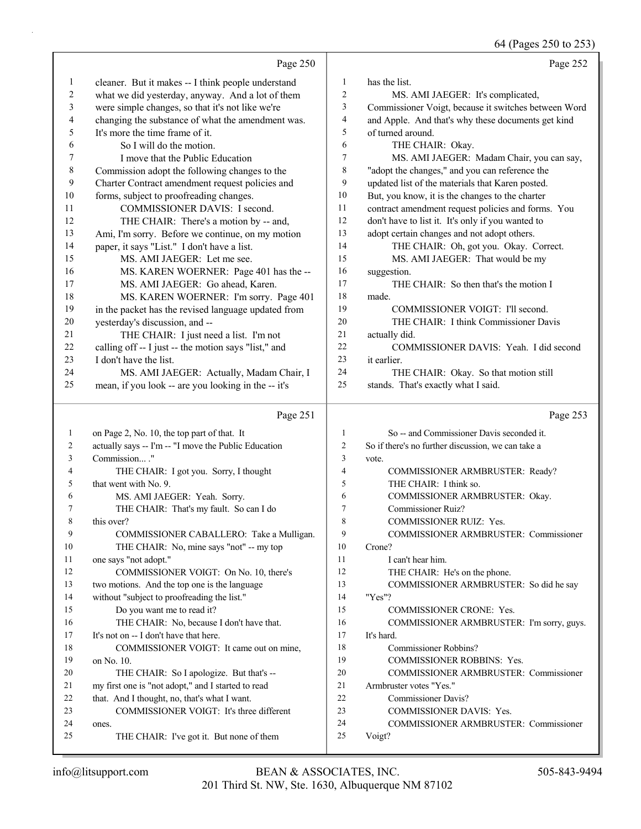64 (Pages 250 to 253)

|                          | Page 250                                             |                | Page 252                                                          |
|--------------------------|------------------------------------------------------|----------------|-------------------------------------------------------------------|
| $\mathbf{1}$             | cleaner. But it makes -- I think people understand   | $\mathbf{1}$   | has the list.                                                     |
| $\overline{c}$           | what we did yesterday, anyway. And a lot of them     | 2              | MS. AMI JAEGER: It's complicated,                                 |
| 3                        | were simple changes, so that it's not like we're     | 3              | Commissioner Voigt, because it switches between Word              |
| $\overline{\mathcal{A}}$ | changing the substance of what the amendment was.    | 4              | and Apple. And that's why these documents get kind                |
| 5                        | It's more the time frame of it.                      | 5              | of turned around.                                                 |
| 6                        | So I will do the motion.                             | 6              | THE CHAIR: Okay.                                                  |
| 7                        | I move that the Public Education                     | 7              | MS. AMI JAEGER: Madam Chair, you can say,                         |
| $\,$ 8 $\,$              | Commission adopt the following changes to the        | 8              | "adopt the changes," and you can reference the                    |
| $\mathbf{9}$             | Charter Contract amendment request policies and      | 9              | updated list of the materials that Karen posted.                  |
| $10\,$                   | forms, subject to proofreading changes.              | 10             | But, you know, it is the changes to the charter                   |
| 11                       | COMMISSIONER DAVIS: I second.                        | 11             | contract amendment request policies and forms. You                |
| 12                       | THE CHAIR: There's a motion by -- and,               | 12             | don't have to list it. It's only if you wanted to                 |
| 13                       | Ami, I'm sorry. Before we continue, on my motion     | 13             | adopt certain changes and not adopt others.                       |
| 14                       | paper, it says "List." I don't have a list.          | 14             | THE CHAIR: Oh, got you. Okay. Correct.                            |
| 15                       | MS. AMI JAEGER: Let me see.                          | 15             | MS. AMI JAEGER: That would be my                                  |
| 16                       | MS. KAREN WOERNER: Page 401 has the --               | 16             | suggestion.                                                       |
| 17                       | MS. AMI JAEGER: Go ahead, Karen.                     | 17             | THE CHAIR: So then that's the motion I                            |
| 18                       | MS. KAREN WOERNER: I'm sorry. Page 401               | 18             | made.                                                             |
| 19                       | in the packet has the revised language updated from  | 19             | COMMISSIONER VOIGT: I'll second.                                  |
| 20                       | yesterday's discussion, and --                       | 20             | THE CHAIR: I think Commissioner Davis                             |
| 21                       | THE CHAIR: I just need a list. I'm not               | 21             | actually did.                                                     |
| 22                       | calling off -- I just -- the motion says "list," and | 22             | COMMISSIONER DAVIS: Yeah. I did second                            |
| 23                       | I don't have the list.                               | 23             | it earlier.                                                       |
| 24                       | MS. AMI JAEGER: Actually, Madam Chair, I             | 24             | THE CHAIR: Okay. So that motion still                             |
| 25                       | mean, if you look -- are you looking in the -- it's  | 25             | stands. That's exactly what I said.                               |
|                          |                                                      |                |                                                                   |
|                          | Page 251                                             |                | Page 253                                                          |
| $\mathbf{1}$             | on Page 2, No. 10, the top part of that. It          | 1              | So -- and Commissioner Davis seconded it.                         |
| 2                        | actually says -- I'm -- "I move the Public Education | $\overline{2}$ | So if there's no further discussion, we can take a                |
| 3                        | Commission ."                                        | 3              | vote.                                                             |
| 4                        | THE CHAIR: I got you. Sorry, I thought               | $\overline{4}$ | COMMISSIONER ARMBRUSTER: Ready?                                   |
| 5                        | that went with No. 9.                                | 5              | THE CHAIR: I think so.                                            |
| 6                        | MS. AMI JAEGER: Yeah. Sorry.                         | 6              | COMMISSIONER ARMBRUSTER: Okay.                                    |
| 7                        | THE CHAIR: That's my fault. So can I do              | 7              | Commissioner Ruiz?                                                |
|                          | this over?                                           | $\mathbf{Q}$   | COMMISSIONER RUIZ: Yes.                                           |
| 9                        | COMMISSIONER CABALLERO: Take a Mulligan.             | 9              | <b>COMMISSIONER ARMBRUSTER: Commissioner</b>                      |
| 10                       | THE CHAIR: No, mine says "not" -- my top             | 10             | Crone?                                                            |
| 11                       | one says "not adopt."                                | 11             | I can't hear him.                                                 |
| 12                       | COMMISSIONER VOIGT: On No. 10, there's               | 12             | THE CHAIR: He's on the phone.                                     |
| 13                       | two motions. And the top one is the language         | 13             | COMMISSIONER ARMBRUSTER: So did he say                            |
| 14                       | without "subject to proofreading the list."          | 14             | "Yes"?                                                            |
| 15                       | Do you want me to read it?                           | 15             | <b>COMMISSIONER CRONE: Yes.</b>                                   |
| 16                       | THE CHAIR: No, because I don't have that.            | 16             | COMMISSIONER ARMBRUSTER: I'm sorry, guys.                         |
| 17                       | It's not on -- I don't have that here.               | 17             | It's hard.                                                        |
| 18                       | COMMISSIONER VOIGT: It came out on mine,             | 18             | Commissioner Robbins?                                             |
| 19                       | on No. 10.                                           | 19             | COMMISSIONER ROBBINS: Yes.                                        |
| 20                       | THE CHAIR: So I apologize. But that's --             | 20             | COMMISSIONER ARMBRUSTER: Commissioner                             |
| 21<br>22                 | my first one is "not adopt," and I started to read   | 21<br>22       | Armbruster votes "Yes."                                           |
| 23                       | that. And I thought, no, that's what I want.         | 23             | <b>Commissioner Davis?</b>                                        |
| 24                       | COMMISSIONER VOIGT: It's three different<br>ones.    | 24             | COMMISSIONER DAVIS: Yes.<br>COMMISSIONER ARMBRUSTER: Commissioner |
| 25                       | THE CHAIR: I've got it. But none of them             | 25             | Voigt?                                                            |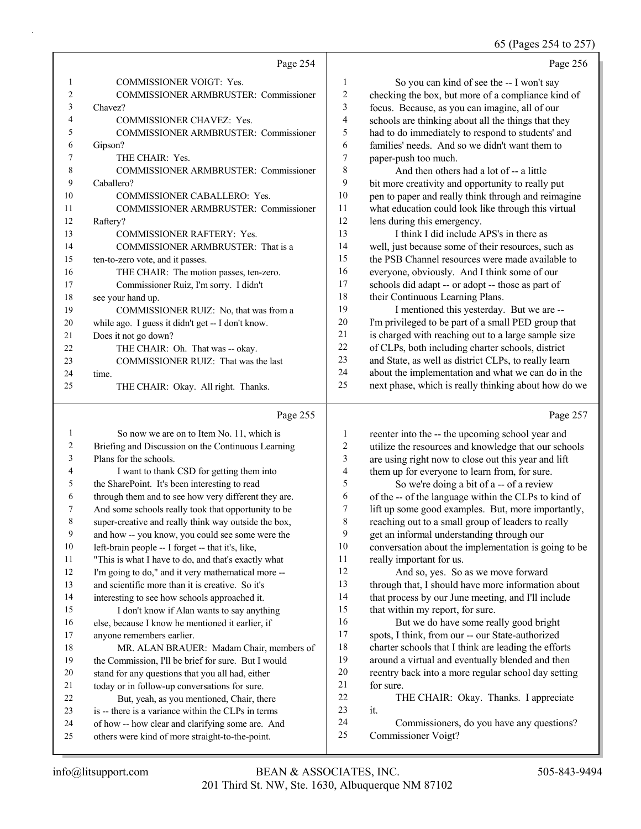65 (Pages 254 to 257)

|                | Page 254                                          |    | Page 256                                             |
|----------------|---------------------------------------------------|----|------------------------------------------------------|
| -1             | <b>COMMISSIONER VOIGT: Yes.</b>                   | 1  | So you can kind of see the -- I won't say            |
| $\overline{2}$ | <b>COMMISSIONER ARMBRUSTER: Commissioner</b>      | 2  | checking the box, but more of a compliance kind of   |
| 3              | Chavez?                                           | 3  | focus. Because, as you can imagine, all of our       |
| 4              | <b>COMMISSIONER CHAVEZ: Yes.</b>                  | 4  | schools are thinking about all the things that they  |
| 5              | COMMISSIONER ARMBRUSTER: Commissioner             | 5  | had to do immediately to respond to students' and    |
| 6              | Gipson?                                           | 6  | families' needs. And so we didn't want them to       |
| 7              | THE CHAIR: Yes.                                   | 7  | paper-push too much.                                 |
| 8              | <b>COMMISSIONER ARMBRUSTER: Commissioner</b>      | 8  | And then others had a lot of -- a little             |
| 9              | Caballero?                                        | 9  | bit more creativity and opportunity to really put    |
| 10             | <b>COMMISSIONER CABALLERO: Yes.</b>               | 10 | pen to paper and really think through and reimagine  |
| 11             | <b>COMMISSIONER ARMBRUSTER: Commissioner</b>      | 11 | what education could look like through this virtual  |
| 12             | Raftery?                                          | 12 | lens during this emergency.                          |
| 13             | <b>COMMISSIONER RAFTERY: Yes.</b>                 | 13 | I think I did include APS's in there as              |
| 14             | COMMISSIONER ARMBRUSTER: That is a                | 14 | well, just because some of their resources, such as  |
| 15             | ten-to-zero vote, and it passes.                  | 15 | the PSB Channel resources were made available to     |
| 16             | THE CHAIR: The motion passes, ten-zero.           | 16 | everyone, obviously. And I think some of our         |
| 17             | Commissioner Ruiz, I'm sorry. I didn't            | 17 | schools did adapt -- or adopt -- those as part of    |
| 18             | see your hand up.                                 | 18 | their Continuous Learning Plans.                     |
| 19             | COMMISSIONER RUIZ: No, that was from a            | 19 | I mentioned this yesterday. But we are --            |
| 20             | while ago. I guess it didn't get -- I don't know. | 20 | I'm privileged to be part of a small PED group that  |
| 21             | Does it not go down?                              | 21 | is charged with reaching out to a large sample size  |
| 22             | THE CHAIR: Oh. That was -- okay.                  | 22 | of CLPs, both including charter schools, district    |
| 23             | COMMISSIONER RUIZ: That was the last              | 23 | and State, as well as district CLPs, to really learn |
| 24             | time.                                             | 24 | about the implementation and what we can do in the   |
| 25             | THE CHAIR: Okay. All right. Thanks.               | 25 | next phase, which is really thinking about how do we |
|                | Page 255                                          |    | Page 257                                             |

| 1  | So now we are on to Item No. 11, which is            | 1              | reenter into the -- the upcoming    |
|----|------------------------------------------------------|----------------|-------------------------------------|
| 2  | Briefing and Discussion on the Continuous Learning   | $\mathfrak{2}$ | utilize the resources and knowle    |
| 3  | Plans for the schools.                               | 3              | are using right now to close out    |
| 4  | I want to thank CSD for getting them into            | 4              | them up for everyone to learn fr    |
| 5  | the SharePoint. It's been interesting to read        | 5              | So we're doing a bit of a -         |
| 6  | through them and to see how very different they are. | 6              | of the -- of the language within    |
| 7  | And some schools really took that opportunity to be  | 7              | lift up some good examples. Bu      |
| 8  | super-creative and really think way outside the box, | 8              | reaching out to a small group of    |
| 9  | and how -- you know, you could see some were the     | 9              | get an informal understanding tl    |
| 10 | left-brain people -- I forget -- that it's, like,    | 10             | conversation about the impleme      |
| 11 | "This is what I have to do, and that's exactly what  | 11             | really important for us.            |
| 12 | I'm going to do," and it very mathematical more --   | 12             | And so, yes. So as we mo            |
| 13 | and scientific more than it is creative. So it's     | 13             | through that, I should have more    |
| 14 | interesting to see how schools approached it.        | 14             | that process by our June meeting    |
| 15 | I don't know if Alan wants to say anything           | 15             | that within my report, for sure.    |
| 16 | else, because I know he mentioned it earlier, if     | 16             | But we do have some real            |
| 17 | anyone remembers earlier.                            | 17             | spots, I think, from our -- our St  |
| 18 | MR. ALAN BRAUER: Madam Chair, members of             | 18             | charter schools that I think are le |
| 19 | the Commission, I'll be brief for sure. But I would  | 19             | around a virtual and eventually     |
| 20 | stand for any questions that you all had, either     | 20             | reentry back into a more regular    |
| 21 | today or in follow-up conversations for sure.        | 21             | for sure.                           |
| 22 | But, yeah, as you mentioned, Chair, there            | 22             | THE CHAIR: Okay. Tha                |
| 23 | is -- there is a variance within the CLPs in terms   | 23             | it.                                 |
| 24 | of how -- how clear and clarifying some are. And     | 24             | Commissioners, do you h             |
| 25 | others were kind of more straight-to-the-point.      | 25             | Commissioner Voigt?                 |
|    |                                                      |                |                                     |

# $.57$

| 1              | reenter into the -- the upcoming school year and     |
|----------------|------------------------------------------------------|
| $\overline{2}$ | utilize the resources and knowledge that our schools |
| 3              | are using right now to close out this year and lift  |
| $\overline{4}$ | them up for everyone to learn from, for sure.        |
| 5              | So we're doing a bit of a -- of a review             |
| 6              | of the -- of the language within the CLPs to kind of |
| 7              | lift up some good examples. But, more importantly,   |
| 8              | reaching out to a small group of leaders to really   |
| 9              | get an informal understanding through our            |
| 10             | conversation about the implementation is going to be |
| 11             | really important for us.                             |
| 12             | And so, yes. So as we move forward                   |
| 13             | through that, I should have more information about   |
| 14             | that process by our June meeting, and I'll include   |
| 15             | that within my report, for sure.                     |
| 16             | But we do have some really good bright               |
| 17             | spots, I think, from our -- our State-authorized     |
| 18             | charter schools that I think are leading the efforts |
| 19             | around a virtual and eventually blended and then     |
| 20             | reentry back into a more regular school day setting  |
| 21             | for sure.                                            |
| 22             | THE CHAIR: Okay. Thanks. I appreciate                |
| 23             | it.                                                  |
| 24             | Commissioners, do you have any questions?            |
| つく             | Commionic                                            |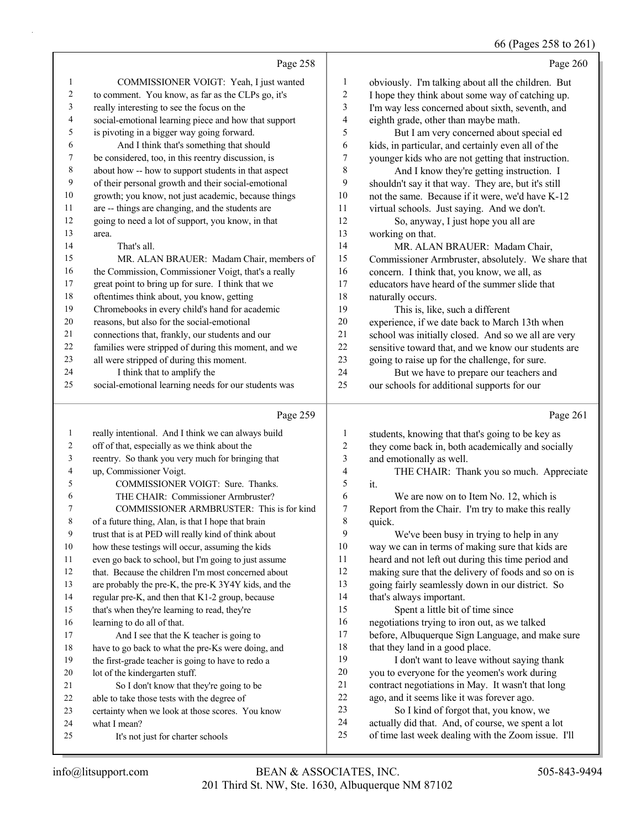#### 66 (Pages 258 to 261)

|                |                                                      |                  | $60$ (Pages 258 to 26                               |
|----------------|------------------------------------------------------|------------------|-----------------------------------------------------|
|                | Page 258                                             |                  | Page 260                                            |
| 1              | COMMISSIONER VOIGT: Yeah, I just wanted              | 1                | obviously. I'm talking about all the children. But  |
| $\overline{c}$ | to comment. You know, as far as the CLPs go, it's    | $\overline{c}$   | I hope they think about some way of catching up.    |
| 3              | really interesting to see the focus on the           | 3                | I'm way less concerned about sixth, seventh, and    |
| $\overline{4}$ | social-emotional learning piece and how that support | 4                | eighth grade, other than maybe math.                |
| 5              | is pivoting in a bigger way going forward.           | 5                | But I am very concerned about special ed            |
| 6              | And I think that's something that should             | 6                | kids, in particular, and certainly even all of the  |
| 7              | be considered, too, in this reentry discussion, is   | $\boldsymbol{7}$ | younger kids who are not getting that instruction.  |
| $\,$ 8 $\,$    | about how -- how to support students in that aspect  | 8                | And I know they're getting instruction. I           |
| 9              | of their personal growth and their social-emotional  | 9                | shouldn't say it that way. They are, but it's still |
| 10             | growth; you know, not just academic, because things  | 10               | not the same. Because if it were, we'd have K-12    |
| 11             | are -- things are changing, and the students are     | 11               | virtual schools. Just saying. And we don't.         |
| 12             | going to need a lot of support, you know, in that    | 12               | So, anyway, I just hope you all are                 |
| 13             | area.                                                | 13               | working on that.                                    |
| 14             | That's all.                                          | 14               | MR. ALAN BRAUER: Madam Chair,                       |
| 15             | MR. ALAN BRAUER: Madam Chair, members of             | 15               | Commissioner Armbruster, absolutely. We share that  |
| 16             | the Commission, Commissioner Voigt, that's a really  | 16               | concern. I think that, you know, we all, as         |
| 17             | great point to bring up for sure. I think that we    | 17               | educators have heard of the summer slide that       |
| 18             | oftentimes think about, you know, getting            | 18               | naturally occurs.                                   |
| 19             | Chromebooks in every child's hand for academic       | 19               | This is, like, such a different                     |
| 20             | reasons, but also for the social-emotional           | 20               | experience, if we date back to March 13th when      |
| 21             | connections that, frankly, our students and our      | 21               | school was initially closed. And so we all are very |
| 22             | families were stripped of during this moment, and we | 22               | sensitive toward that, and we know our students are |
| 23             | all were stripped of during this moment.             | 23               | going to raise up for the challenge, for sure.      |
| 24             | I think that to amplify the                          | 24               | But we have to prepare our teachers and             |
| 25             | social-emotional learning needs for our students was | 25               | our schools for additional supports for our         |
|                | Page 259                                             |                  | Page 261                                            |
| $\mathbf{1}$   | really intentional. And I think we can always build  | 1                | students, knowing that that's going to be key as    |
| $\overline{c}$ | off of that, especially as we think about the        | $\boldsymbol{2}$ | they come back in, both academically and socially   |
| 3              | reentry. So thank you very much for bringing that    | $\mathfrak{Z}$   | and emotionally as well.                            |
| 4              | up, Commissioner Voigt.                              | $\overline{4}$   | THE CHAIR: Thank you so much. Appreciate            |
| 5              | COMMISSIONER VOIGT: Sure. Thanks.                    | 5                | it.                                                 |
| 6              | THE CHAIR: Commissioner Armbruster?                  | 6                | We are now on to Item No. 12, which is              |
|                |                                                      |                  |                                                     |

6 We are now on to Item No. 12, which is Report from the Chair. I'm try to make this really quick.

9 We've been busy in trying to help in any way we can in terms of making sure that kids are heard and not left out during this time period and making sure that the delivery of foods and so on is going fairly seamlessly down in our district. So that's always important. 15 Spent a little bit of time since negotiations trying to iron out, as we talked before, Albuquerque Sign Language, and make sure 18 that they land in a good place. 19 I don't want to leave without saying thank you to everyone for the yeomen's work during contract negotiations in May. It wasn't that long

- ago, and it seems like it was forever ago.
- 23 So I kind of forgot that, you know, we
- actually did that. And, of course, we spent a lot
- of time last week dealing with the Zoom issue. I'll

what I mean?

learning to do all of that.

lot of the kindergarten stuff.

7 COMMISSIONER ARMBRUSTER: This is for kind

 of a future thing, Alan, is that I hope that brain trust that is at PED will really kind of think about how these testings will occur, assuming the kids even go back to school, but I'm going to just assume that. Because the children I'm most concerned about are probably the pre-K, the pre-K 3Y4Y kids, and the regular pre-K, and then that K1-2 group, because that's when they're learning to read, they're

17 And I see that the K teacher is going to have to go back to what the pre-Ks were doing, and the first-grade teacher is going to have to redo a

21 So I don't know that they're going to be able to take those tests with the degree of

25 It's not just for charter schools

certainty when we look at those scores. You know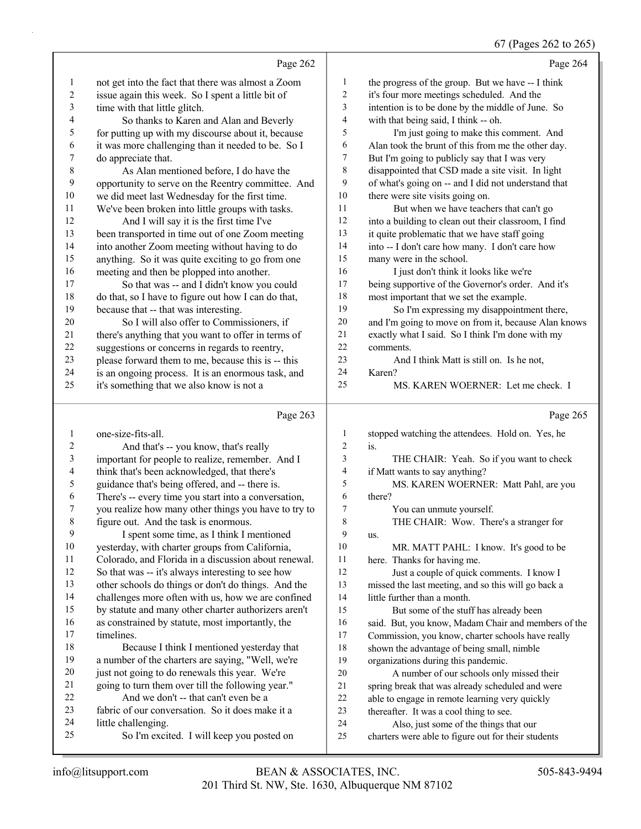67 (Pages 262 to 265)

|          |                                                                                                  |                  | 67 (Pages 262 to 265)                                                                         |
|----------|--------------------------------------------------------------------------------------------------|------------------|-----------------------------------------------------------------------------------------------|
|          | Page 262                                                                                         |                  | Page 264                                                                                      |
| 1        | not get into the fact that there was almost a Zoom                                               | $\mathbf{1}$     | the progress of the group. But we have -- I think                                             |
| 2        | issue again this week. So I spent a little bit of                                                | $\overline{c}$   | it's four more meetings scheduled. And the                                                    |
| 3        | time with that little glitch.                                                                    | 3                | intention is to be done by the middle of June. So                                             |
| 4        | So thanks to Karen and Alan and Beverly                                                          | 4                | with that being said, I think -- oh.                                                          |
| 5        | for putting up with my discourse about it, because                                               | 5                | I'm just going to make this comment. And                                                      |
| 6        | it was more challenging than it needed to be. So I                                               | 6                | Alan took the brunt of this from me the other day.                                            |
| 7        | do appreciate that.                                                                              | 7                | But I'm going to publicly say that I was very                                                 |
| 8        | As Alan mentioned before, I do have the                                                          | 8                | disappointed that CSD made a site visit. In light                                             |
| 9        | opportunity to serve on the Reentry committee. And                                               | 9                | of what's going on -- and I did not understand that                                           |
| 10       | we did meet last Wednesday for the first time.                                                   | 10               | there were site visits going on.                                                              |
| 11       | We've been broken into little groups with tasks.                                                 | 11               | But when we have teachers that can't go                                                       |
| 12       | And I will say it is the first time I've                                                         | 12               | into a building to clean out their classroom, I find                                          |
| 13       | been transported in time out of one Zoom meeting                                                 | 13               | it quite problematic that we have staff going                                                 |
| 14       | into another Zoom meeting without having to do                                                   | 14               | into -- I don't care how many. I don't care how                                               |
| 15       | anything. So it was quite exciting to go from one                                                | 15               | many were in the school.                                                                      |
| 16       | meeting and then be plopped into another.                                                        | 16               | I just don't think it looks like we're                                                        |
| 17       | So that was -- and I didn't know you could                                                       | 17               | being supportive of the Governor's order. And it's                                            |
| 18       | do that, so I have to figure out how I can do that,                                              | 18               | most important that we set the example.                                                       |
| 19       | because that -- that was interesting.                                                            | 19               | So I'm expressing my disappointment there,                                                    |
| 20       | So I will also offer to Commissioners, if                                                        | 20               | and I'm going to move on from it, because Alan knows                                          |
| 21       | there's anything that you want to offer in terms of                                              | 21               | exactly what I said. So I think I'm done with my                                              |
| $22\,$   | suggestions or concerns in regards to reentry,                                                   | 22               | comments.                                                                                     |
| 23       | please forward them to me, because this is -- this                                               | 23               | And I think Matt is still on. Is he not,                                                      |
| 24       | is an ongoing process. It is an enormous task, and                                               | 24               | Karen?                                                                                        |
| 25       | it's something that we also know is not a                                                        | 25               | MS. KAREN WOERNER: Let me check. I                                                            |
|          |                                                                                                  |                  |                                                                                               |
|          | Page 263                                                                                         |                  | Page 265                                                                                      |
| 1        | one-size-fits-all.                                                                               | $\mathbf{1}$     |                                                                                               |
| 2        | And that's -- you know, that's really                                                            | $\overline{2}$   | stopped watching the attendees. Hold on. Yes, he<br>is.                                       |
| 3        |                                                                                                  | 3                | THE CHAIR: Yeah. So if you want to check                                                      |
| 4        | important for people to realize, remember. And I<br>think that's been acknowledged, that there's | $\overline{4}$   | if Matt wants to say anything?                                                                |
| 5        | guidance that's being offered, and -- there is.                                                  | 5                | MS. KAREN WOERNER: Matt Pahl, are you                                                         |
| 6        | There's -- every time you start into a conversation,                                             | 6                | there?                                                                                        |
| 7        | you realize how many other things you have to try to                                             | $\boldsymbol{7}$ | You can unmute yourself.                                                                      |
| 8        | figure out. And the task is enormous.                                                            | 8                | THE CHAIR: Wow. There's a stranger for                                                        |
| 9        | I spent some time, as I think I mentioned                                                        | 9                | us.                                                                                           |
| 10       | yesterday, with charter groups from California,                                                  | 10               | MR. MATT PAHL: I know. It's good to be                                                        |
| 11       | Colorado, and Florida in a discussion about renewal.                                             | 11               | here. Thanks for having me.                                                                   |
| 12       | So that was -- it's always interesting to see how                                                | 12               | Just a couple of quick comments. I know I                                                     |
| 13       | other schools do things or don't do things. And the                                              | 13               | missed the last meeting, and so this will go back a                                           |
| 14       | challenges more often with us, how we are confined                                               | 14               | little further than a month.                                                                  |
| 15       | by statute and many other charter authorizers aren't                                             | 15               | But some of the stuff has already been                                                        |
| 16       | as constrained by statute, most importantly, the                                                 | 16               | said. But, you know, Madam Chair and members of the                                           |
| 17       | timelines.                                                                                       | 17               | Commission, you know, charter schools have really                                             |
| 18       | Because I think I mentioned yesterday that                                                       | $18\,$           | shown the advantage of being small, nimble                                                    |
| 19       | a number of the charters are saying, "Well, we're                                                | 19               | organizations during this pandemic.                                                           |
| 20       | just not going to do renewals this year. We're                                                   | 20               | A number of our schools only missed their                                                     |
| 21       | going to turn them over till the following year."                                                | 21               | spring break that was already scheduled and were                                              |
| 22       | And we don't -- that can't even be a                                                             | 22               | able to engage in remote learning very quickly                                                |
| 23       | fabric of our conversation. So it does make it a                                                 | 23               | thereafter. It was a cool thing to see.                                                       |
| 24<br>25 | little challenging.<br>So I'm excited. I will keep you posted on                                 | 24<br>25         | Also, just some of the things that our<br>charters were able to figure out for their students |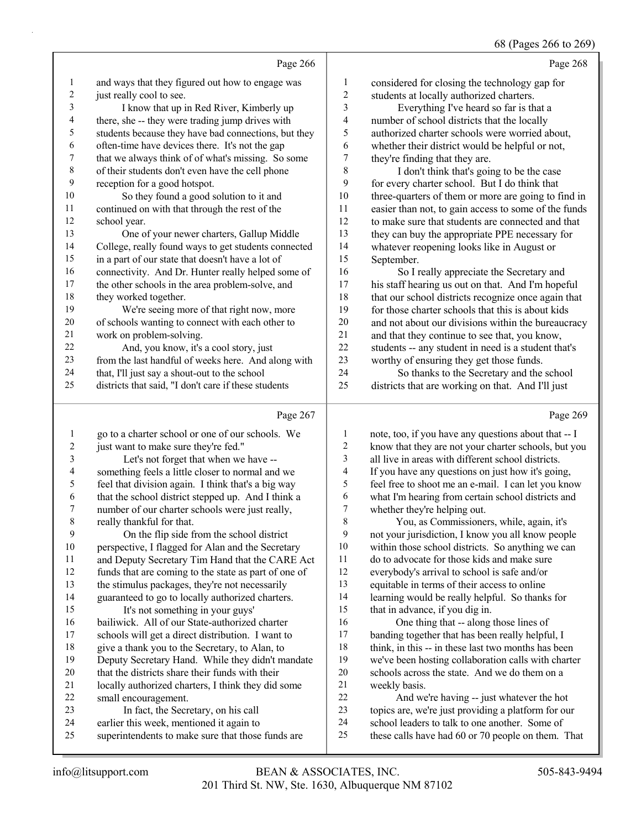#### 68 (Pages 266 to 269)

Page 268

Page 266 and ways that they figured out how to engage was 2 just really cool to see. 3 I know that up in Red River, Kimberly up there, she -- they were trading jump drives with students because they have bad connections, but they often-time have devices there. It's not the gap that we always think of of what's missing. So some of their students don't even have the cell phone reception for a good hotspot. 10 So they found a good solution to it and continued on with that through the rest of the 12 school year.<br>13 One of 13 One of your newer charters, Gallup Middle College, really found ways to get students connected in a part of our state that doesn't have a lot of connectivity. And Dr. Hunter really helped some of the other schools in the area problem-solve, and they worked together. 19 We're seeing more of that right now, more of schools wanting to connect with each other to work on problem-solving. 22 And, you know, it's a cool story, just from the last handful of weeks here. And along with that, I'll just say a shout-out to the school districts that said, "I don't care if these students Page 267 considered for closing the technology gap for students at locally authorized charters. 3 Everything I've heard so far is that a number of school districts that the locally authorized charter schools were worried about, whether their district would be helpful or not, they're finding that they are. 8 I don't think that's going to be the case for every charter school. But I do think that three-quarters of them or more are going to find in easier than not, to gain access to some of the funds to make sure that students are connected and that they can buy the appropriate PPE necessary for 14 whatever reopening looks like in August or<br>15 September. September. 16 So I really appreciate the Secretary and his staff hearing us out on that. And I'm hopeful 18 that our school districts recognize once again that<br>19 for those charter schools that this is about kids 19 for those charter schools that this is about kids<br>20 and not about our divisions within the bureauce and not about our divisions within the bureaucracy 21 and that they continue to see that, you know,<br>22 students -- any student in need is a student that students -- any student in need is a student that's worthy of ensuring they get those funds. 24 So thanks to the Secretary and the school districts that are working on that. And I'll just Page 269

## go to a charter school or one of our schools. We 2 just want to make sure they're fed." 3 Let's not forget that when we have -- something feels a little closer to normal and we feel that division again. I think that's a big way that the school district stepped up. And I think a number of our charter schools were just really, really thankful for that. 9 On the flip side from the school district perspective, I flagged for Alan and the Secretary and Deputy Secretary Tim Hand that the CARE Act funds that are coming to the state as part of one of the stimulus packages, they're not necessarily guaranteed to go to locally authorized charters. 15 It's not something in your guys' bailiwick. All of our State-authorized charter schools will get a direct distribution. I want to give a thank you to the Secretary, to Alan, to Deputy Secretary Hand. While they didn't mandate that the districts share their funds with their locally authorized charters, I think they did some small encouragement. 23 In fact, the Secretary, on his call earlier this week, mentioned it again to superintendents to make sure that those funds are weekly basis.

 note, too, if you have any questions about that -- I know that they are not your charter schools, but you all live in areas with different school districts. If you have any questions on just how it's going, feel free to shoot me an e-mail. I can let you know what I'm hearing from certain school districts and whether they're helping out. 8 You, as Commissioners, while, again, it's

 not your jurisdiction, I know you all know people within those school districts. So anything we can do to advocate for those kids and make sure everybody's arrival to school is safe and/or equitable in terms of their access to online learning would be really helpful. So thanks for that in advance, if you dig in.

16 One thing that -- along those lines of banding together that has been really helpful, I 18 think, in this -- in these last two months has been we've been hosting collaboration calls with charter schools across the state. And we do them on a

22 And we're having -- just whatever the hot topics are, we're just providing a platform for our school leaders to talk to one another. Some of these calls have had 60 or 70 people on them. That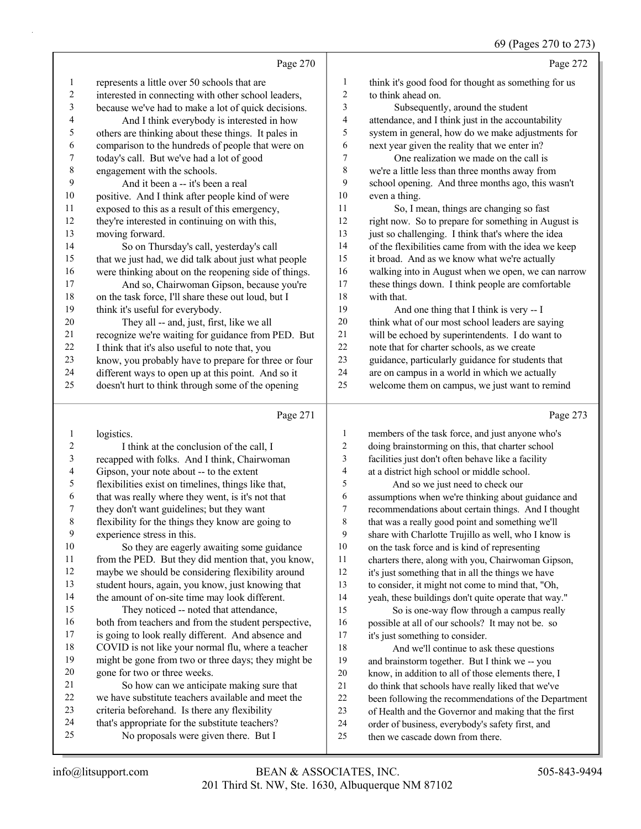|        | Page 270                                             |    | Page 272                                             |
|--------|------------------------------------------------------|----|------------------------------------------------------|
| 1      | represents a little over 50 schools that are         | 1  | think it's good food for thought as something for us |
| 2      | interested in connecting with other school leaders,  | 2  | to think ahead on.                                   |
| 3      | because we've had to make a lot of quick decisions.  | 3  | Subsequently, around the student                     |
| 4      | And I think everybody is interested in how           | 4  | attendance, and I think just in the accountability   |
| 5      | others are thinking about these things. It pales in  | 5  | system in general, how do we make adjustments for    |
| 6      | comparison to the hundreds of people that were on    | 6  | next year given the reality that we enter in?        |
| 7      | today's call. But we've had a lot of good            | 7  | One realization we made on the call is               |
| 8      | engagement with the schools.                         | 8  | we're a little less than three months away from      |
| 9      | And it been a -- it's been a real                    | 9  | school opening. And three months ago, this wasn't    |
| $10\,$ | positive. And I think after people kind of were      | 10 | even a thing.                                        |
| 11     | exposed to this as a result of this emergency,       | 11 | So, I mean, things are changing so fast              |
| 12     | they're interested in continuing on with this,       | 12 | right now. So to prepare for something in August is  |
| 13     | moving forward.                                      | 13 | just so challenging. I think that's where the idea   |
| 14     | So on Thursday's call, yesterday's call              | 14 | of the flexibilities came from with the idea we keep |
| 15     | that we just had, we did talk about just what people | 15 | it broad. And as we know what we're actually         |
| 16     | were thinking about on the reopening side of things. | 16 | walking into in August when we open, we can narrow   |
| 17     | And so, Chairwoman Gipson, because you're            | 17 | these things down. I think people are comfortable    |
| 18     | on the task force, I'll share these out loud, but I  | 18 | with that.                                           |
| 19     | think it's useful for everybody.                     | 19 | And one thing that I think is very -- I              |
| 20     | They all -- and, just, first, like we all            | 20 | think what of our most school leaders are saying     |
| 21     | recognize we're waiting for guidance from PED. But   | 21 | will be echoed by superintendents. I do want to      |
| 22     | I think that it's also useful to note that, you      | 22 | note that for charter schools, as we create          |
| 23     | know, you probably have to prepare for three or four | 23 | guidance, particularly guidance for students that    |
| 24     | different ways to open up at this point. And so it   | 24 | are on campus in a world in which we actually        |
| 25     | doesn't hurt to think through some of the opening    | 25 | welcome them on campus, we just want to remind       |
|        | Page 271                                             |    | Page 273                                             |
|        | logistics                                            |    | members of the task force, and just anyone who's     |

| $\mathbf{I}$   | TORISUES.                                            |                | members of the task force, and just anyone who's     |
|----------------|------------------------------------------------------|----------------|------------------------------------------------------|
| $\overline{2}$ | I think at the conclusion of the call, I             | 2              | doing brainstorming on this, that charter school     |
| $\mathfrak{Z}$ | recapped with folks. And I think, Chairwoman         | 3              | facilities just don't often behave like a facility   |
| $\overline{4}$ | Gipson, your note about -- to the extent             | $\overline{4}$ | at a district high school or middle school.          |
| 5              | flexibilities exist on timelines, things like that,  | 5              | And so we just need to check our                     |
| 6              | that was really where they went, is it's not that    | 6              | assumptions when we're thinking about guidance and   |
| 7              | they don't want guidelines; but they want            | 7              | recommendations about certain things. And I thought  |
| $\,8\,$        | flexibility for the things they know are going to    | 8              | that was a really good point and something we'll     |
| 9              | experience stress in this.                           | 9              | share with Charlotte Trujillo as well, who I know is |
| 10             | So they are eagerly awaiting some guidance           | 10             | on the task force and is kind of representing        |
| 11             | from the PED. But they did mention that, you know,   | 11             | charters there, along with you, Chairwoman Gipson,   |
| 12             | maybe we should be considering flexibility around    | 12             | it's just something that in all the things we have   |
| 13             | student hours, again, you know, just knowing that    | 13             | to consider, it might not come to mind that, "Oh,    |
| 14             | the amount of on-site time may look different.       | 14             | yeah, these buildings don't quite operate that way." |
| 15             | They noticed -- noted that attendance,               | 15             | So is one-way flow through a campus really           |
| 16             | both from teachers and from the student perspective, | 16             | possible at all of our schools? It may not be. so    |
| 17             | is going to look really different. And absence and   | 17             | it's just something to consider.                     |
| 18             | COVID is not like your normal flu, where a teacher   | 18             | And we'll continue to ask these questions            |
| 19             | might be gone from two or three days; they might be  | 19             | and brainstorm together. But I think we -- you       |
| 20             | gone for two or three weeks.                         | 20             | know, in addition to all of those elements there, I  |
| 21             | So how can we anticipate making sure that            | 21             | do think that schools have really liked that we've   |
| 22             | we have substitute teachers available and meet the   | 22             | been following the recommendations of the Department |
| 23             | criteria beforehand. Is there any flexibility        | 23             | of Health and the Governor and making that the first |
| 24             | that's appropriate for the substitute teachers?      | 24             | order of business, everybody's safety first, and     |
| 25             | No proposals were given there. But I                 | 25             | then we cascade down from there.                     |
|                |                                                      |                |                                                      |
|                |                                                      |                |                                                      |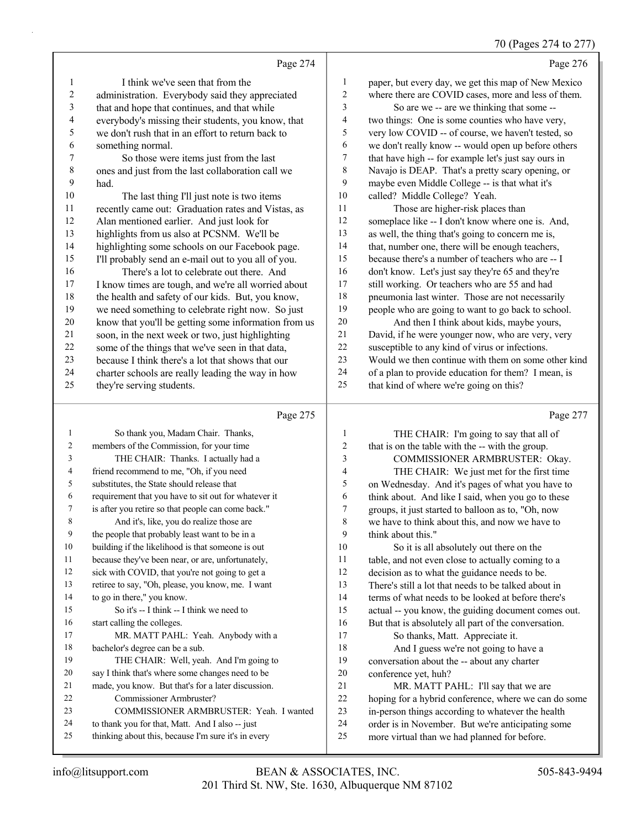# 70 (Pages 274 to 277)

|                | Page 274                                             |                | Page 276                                             |
|----------------|------------------------------------------------------|----------------|------------------------------------------------------|
| -1             | I think we've seen that from the                     | 1              | paper, but every day, we get this map of New Mexico  |
| $\sqrt{2}$     | administration. Everybody said they appreciated      | $\overline{2}$ | where there are COVID cases, more and less of them.  |
| 3              | that and hope that continues, and that while         | 3              | So are we -- are we thinking that some --            |
| 4              | everybody's missing their students, you know, that   | $\overline{4}$ | two things: One is some counties who have very,      |
| 5              | we don't rush that in an effort to return back to    | 5              | very low COVID -- of course, we haven't tested, so   |
| 6              | something normal.                                    | 6              | we don't really know -- would open up before others  |
| $\overline{7}$ | So those were items just from the last               | 7              | that have high -- for example let's just say ours in |
| 8              | ones and just from the last collaboration call we    | 8              | Navajo is DEAP. That's a pretty scary opening, or    |
| 9              | had.                                                 | 9              | maybe even Middle College -- is that what it's       |
| 10             | The last thing I'll just note is two items           | 10             | called? Middle College? Yeah.                        |
| 11             | recently came out: Graduation rates and Vistas, as   | 11             | Those are higher-risk places than                    |
| 12             | Alan mentioned earlier. And just look for            | 12             | someplace like -- I don't know where one is. And,    |
| 13             | highlights from us also at PCSNM. We'll be           | 13             | as well, the thing that's going to concern me is,    |
| 14             | highlighting some schools on our Facebook page.      | 14             | that, number one, there will be enough teachers,     |
| 15             | I'll probably send an e-mail out to you all of you.  | 15             | because there's a number of teachers who are -- I    |
| 16             | There's a lot to celebrate out there. And            | 16             | don't know. Let's just say they're 65 and they're    |
| 17             | I know times are tough, and we're all worried about  | 17             | still working. Or teachers who are 55 and had        |
| 18             | the health and safety of our kids. But, you know,    | 18             | pneumonia last winter. Those are not necessarily     |
| 19             | we need something to celebrate right now. So just    | 19             | people who are going to want to go back to school.   |
| 20             | know that you'll be getting some information from us | 20             | And then I think about kids, maybe yours,            |
| 21             | soon, in the next week or two, just highlighting     | 21             | David, if he were younger now, who are very, very    |
| 22             | some of the things that we've seen in that data,     | 22             | susceptible to any kind of virus or infections.      |
| 23             | because I think there's a lot that shows that our    | 23             | Would we then continue with them on some other kind  |
| 24             | charter schools are really leading the way in how    | 24             | of a plan to provide education for them? I mean, is  |
| 25             | they're serving students.                            | 25             | that kind of where we're going on this?              |
|                | Page 275                                             |                | Page 277                                             |

| -1 | So thank you, Madam Chair. Thanks,                   | 1                        | THE CHAIR: I'm going to say that all of              |
|----|------------------------------------------------------|--------------------------|------------------------------------------------------|
| 2  | members of the Commission, for your time             | $\overline{c}$           | that is on the table with the -- with the group.     |
| 3  | THE CHAIR: Thanks. I actually had a                  | 3                        | COMMISSIONER ARMBRUSTER: Okay.                       |
| 4  | friend recommend to me, "Oh, if you need             | $\overline{\mathcal{A}}$ | THE CHAIR: We just met for the first time            |
| 5  | substitutes, the State should release that           | 5                        | on Wednesday. And it's pages of what you have to     |
| 6  | requirement that you have to sit out for whatever it | 6                        | think about. And like I said, when you go to these   |
| 7  | is after you retire so that people can come back."   | 7                        | groups, it just started to balloon as to, "Oh, now   |
| 8  | And it's, like, you do realize those are             | 8                        | we have to think about this, and now we have to      |
| 9  | the people that probably least want to be in a       | 9                        | think about this."                                   |
| 10 | building if the likelihood is that someone is out    | 10                       | So it is all absolutely out there on the             |
| 11 | because they've been near, or are, unfortunately,    | 11                       | table, and not even close to actually coming to a    |
| 12 | sick with COVID, that you're not going to get a      | 12                       | decision as to what the guidance needs to be.        |
| 13 | retiree to say, "Oh, please, you know, me. I want    | 13                       | There's still a lot that needs to be talked about in |
| 14 | to go in there," you know.                           | 14                       | terms of what needs to be looked at before there's   |
| 15 | So it's $-$ I think $-$ I think we need to           | 15                       | actual -- you know, the guiding document comes out.  |
| 16 | start calling the colleges.                          | 16                       | But that is absolutely all part of the conversation. |
| 17 | MR. MATT PAHL: Yeah. Anybody with a                  | 17                       | So thanks, Matt. Appreciate it.                      |
| 18 | bachelor's degree can be a sub.                      | 18                       | And I guess we're not going to have a                |
| 19 | THE CHAIR: Well, yeah. And I'm going to              | 19                       | conversation about the -- about any charter          |
| 20 | say I think that's where some changes need to be     | 20                       | conference yet, huh?                                 |
| 21 | made, you know. But that's for a later discussion.   | 21                       | MR. MATT PAHL: I'll say that we are                  |
| 22 | Commissioner Armbruster?                             | 22                       | hoping for a hybrid conference, where we can do some |
| 23 | COMMISSIONER ARMBRUSTER: Yeah. I wanted              | 23                       | in-person things according to whatever the health    |
| 24 | to thank you for that, Matt. And I also -- just      | 24                       | order is in November. But we're anticipating some    |
| 25 | thinking about this, because I'm sure it's in every  | 25                       | more virtual than we had planned for before.         |
|    |                                                      |                          |                                                      |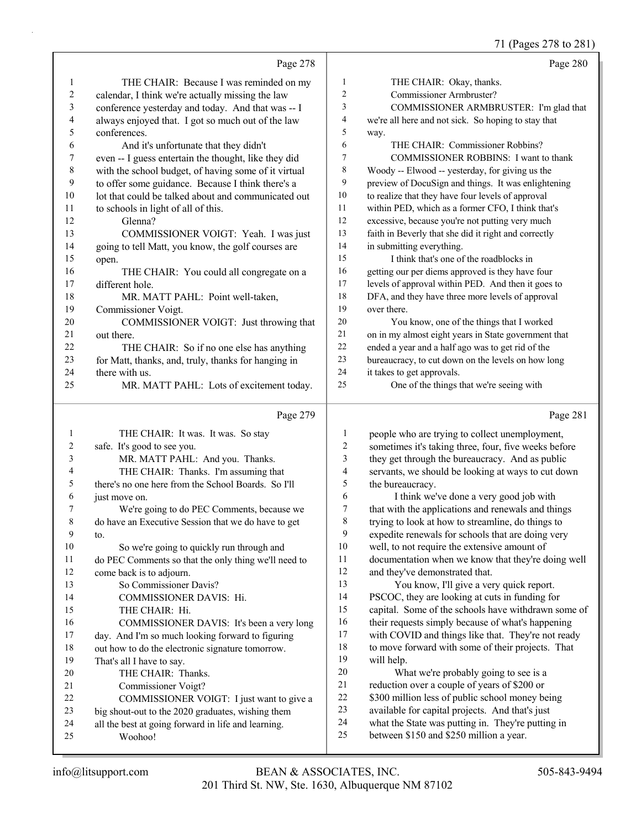## 71 (Pages 278 to 281)

|          |                                                                                                |              | 71 (Pages 278 to 281)                                                                                    |
|----------|------------------------------------------------------------------------------------------------|--------------|----------------------------------------------------------------------------------------------------------|
|          | Page 278                                                                                       |              | Page 280                                                                                                 |
| 1        | THE CHAIR: Because I was reminded on my                                                        | 1            | THE CHAIR: Okay, thanks.                                                                                 |
| 2        | calendar, I think we're actually missing the law                                               | 2            | Commissioner Armbruster?                                                                                 |
| 3        | conference yesterday and today. And that was -- I                                              | 3            | COMMISSIONER ARMBRUSTER: I'm glad that                                                                   |
| 4        | always enjoyed that. I got so much out of the law                                              | 4            | we're all here and not sick. So hoping to stay that                                                      |
| 5        | conferences.                                                                                   | 5            | way.                                                                                                     |
| 6        | And it's unfortunate that they didn't                                                          | 6            | THE CHAIR: Commissioner Robbins?                                                                         |
| 7        | even -- I guess entertain the thought, like they did                                           | 7            | <b>COMMISSIONER ROBBINS: I want to thank</b>                                                             |
| 8        | with the school budget, of having some of it virtual                                           | 8            | Woody -- Elwood -- yesterday, for giving us the                                                          |
| 9        | to offer some guidance. Because I think there's a                                              | 9            | preview of DocuSign and things. It was enlightening                                                      |
| 10       | lot that could be talked about and communicated out                                            | 10           | to realize that they have four levels of approval                                                        |
| 11       | to schools in light of all of this.                                                            | 11           | within PED, which as a former CFO, I think that's                                                        |
| 12       | Glenna?                                                                                        | $12\,$       | excessive, because you're not putting very much                                                          |
| 13       | COMMISSIONER VOIGT: Yeah. I was just                                                           | 13           | faith in Beverly that she did it right and correctly                                                     |
| 14       | going to tell Matt, you know, the golf courses are                                             | 14           | in submitting everything.                                                                                |
| 15       | open.                                                                                          | 15           | I think that's one of the roadblocks in                                                                  |
| 16       | THE CHAIR: You could all congregate on a                                                       | 16           | getting our per diems approved is they have four                                                         |
| 17       | different hole.                                                                                | 17           | levels of approval within PED. And then it goes to                                                       |
| 18       | MR. MATT PAHL: Point well-taken,                                                               | 18           | DFA, and they have three more levels of approval                                                         |
| 19       | Commissioner Voigt.                                                                            | 19           | over there.                                                                                              |
| 20       | COMMISSIONER VOIGT: Just throwing that                                                         | $20\,$       | You know, one of the things that I worked                                                                |
| 21       | out there.                                                                                     | 21           | on in my almost eight years in State government that                                                     |
| 22       | THE CHAIR: So if no one else has anything                                                      | $22\,$       | ended a year and a half ago was to get rid of the                                                        |
| 23       | for Matt, thanks, and, truly, thanks for hanging in                                            | 23<br>24     | bureaucracy, to cut down on the levels on how long                                                       |
| 24<br>25 | there with us.                                                                                 | 25           | it takes to get approvals.<br>One of the things that we're seeing with                                   |
|          | MR. MATT PAHL: Lots of excitement today.                                                       |              |                                                                                                          |
|          | Page 279                                                                                       |              | Page 281                                                                                                 |
| 1        | THE CHAIR: It was. It was. So stay                                                             | 1            | people who are trying to collect unemployment,                                                           |
| 2        | safe. It's good to see you.                                                                    | 2            | sometimes it's taking three, four, five weeks before                                                     |
| 3        | MR. MATT PAHL: And you. Thanks.                                                                | 3            | they get through the bureaucracy. And as public                                                          |
| 4        | THE CHAIR: Thanks. I'm assuming that                                                           | 4            | servants, we should be looking at ways to cut down                                                       |
| 5        | there's no one here from the School Boards. So I'll                                            | 5            | the bureaucracy.                                                                                         |
| 6        | just move on.                                                                                  | 6            | I think we've done a very good job with                                                                  |
| 7        | We're going to do PEC Comments, because we                                                     | 7            | that with the applications and renewals and things                                                       |
| 8        | do have an Executive Session that we do have to get                                            | 8            | trying to look at how to streamline, do things to                                                        |
| 9        | to.                                                                                            | 9            | expedite renewals for schools that are doing very                                                        |
| 10       | So we're going to quickly run through and                                                      | 10           | well, to not require the extensive amount of                                                             |
| 11       | do PEC Comments so that the only thing we'll need to                                           | 11           | documentation when we know that they're doing well                                                       |
| 12       | come back is to adjourn.                                                                       | 12           | and they've demonstrated that.                                                                           |
| 13       | So Commissioner Davis?                                                                         | 13           | You know, I'll give a very quick report.                                                                 |
| 14       | COMMISSIONER DAVIS: Hi.                                                                        | 14<br>15     | PSCOC, they are looking at cuts in funding for                                                           |
| 15       | THE CHAIR: Hi.                                                                                 | 16           | capital. Some of the schools have withdrawn some of<br>their requests simply because of what's happening |
|          | COMMISSIONER DAVIS: It's been a very long                                                      | 17           | with COVID and things like that. They're not ready                                                       |
| 16       |                                                                                                |              |                                                                                                          |
| 17       | day. And I'm so much looking forward to figuring                                               |              |                                                                                                          |
| 18       | out how to do the electronic signature tomorrow.                                               | 18           | to move forward with some of their projects. That                                                        |
| 19       | That's all I have to say.                                                                      | 19           | will help.                                                                                               |
| 20       | THE CHAIR: Thanks.                                                                             | 20           | What we're probably going to see is a                                                                    |
| 21       | Commissioner Voigt?                                                                            | 21           | reduction over a couple of years of \$200 or                                                             |
| 22<br>23 | COMMISSIONER VOIGT: I just want to give a<br>big shout-out to the 2020 graduates, wishing them | $22\,$<br>23 | \$300 million less of public school money being<br>available for capital projects. And that's just       |

between \$150 and \$250 million a year.

25 Woohoo!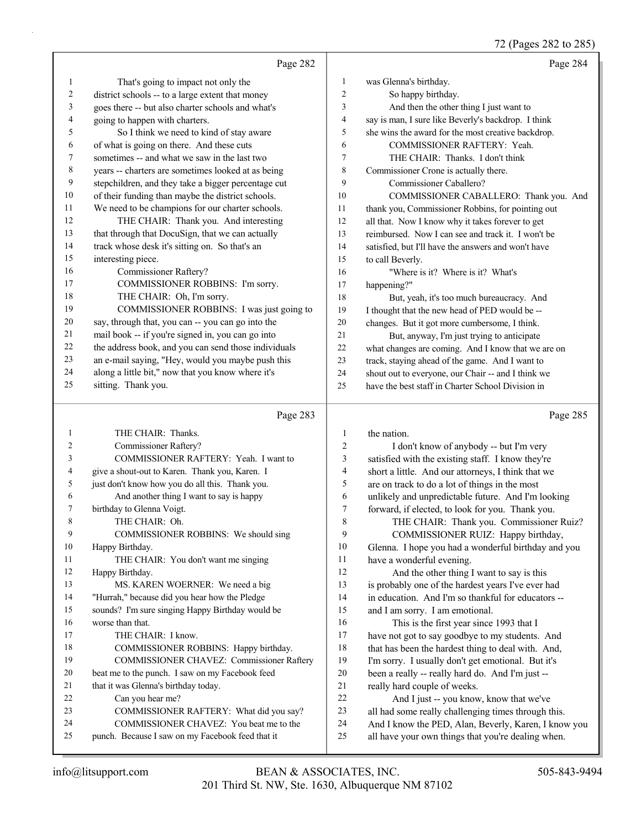72 (Pages 282 to 285)

|    |                                                      |                | 72 (Pages 282 to 285)                               |
|----|------------------------------------------------------|----------------|-----------------------------------------------------|
|    | Page 282                                             |                | Page 284                                            |
| 1  | That's going to impact not only the                  | $\mathbf{1}$   | was Glenna's birthday.                              |
| 2  | district schools -- to a large extent that money     | $\overline{c}$ | So happy birthday.                                  |
| 3  | goes there -- but also charter schools and what's    | 3              | And then the other thing I just want to             |
| 4  | going to happen with charters.                       | $\overline{4}$ | say is man, I sure like Beverly's backdrop. I think |
| 5  | So I think we need to kind of stay aware             | 5              | she wins the award for the most creative backdrop.  |
| 6  | of what is going on there. And these cuts            | 6              | COMMISSIONER RAFTERY: Yeah.                         |
| 7  | sometimes -- and what we saw in the last two         | $\tau$         | THE CHAIR: Thanks. I don't think                    |
| 8  | years -- charters are sometimes looked at as being   | $\,$ 8 $\,$    | Commissioner Crone is actually there.               |
| 9  | stepchildren, and they take a bigger percentage cut  | 9              | Commissioner Caballero?                             |
| 10 | of their funding than maybe the district schools.    | 10             | COMMISSIONER CABALLERO: Thank you. And              |
| 11 | We need to be champions for our charter schools.     | 11             | thank you, Commissioner Robbins, for pointing out   |
| 12 | THE CHAIR: Thank you. And interesting                | 12             | all that. Now I know why it takes forever to get    |
| 13 | that through that DocuSign, that we can actually     | 13             | reimbursed. Now I can see and track it. I won't be  |
| 14 | track whose desk it's sitting on. So that's an       | 14             | satisfied, but I'll have the answers and won't have |
| 15 | interesting piece.                                   | 15             | to call Beverly.                                    |
| 16 | Commissioner Raftery?                                | 16             | "Where is it? Where is it? What's                   |
| 17 | COMMISSIONER ROBBINS: I'm sorry.                     | 17             | happening?"                                         |
| 18 | THE CHAIR: Oh, I'm sorry.                            | $18\,$         | But, yeah, it's too much bureaucracy. And           |
| 19 | COMMISSIONER ROBBINS: I was just going to            | 19             | I thought that the new head of PED would be --      |
| 20 | say, through that, you can -- you can go into the    | 20             | changes. But it got more cumbersome, I think.       |
| 21 | mail book -- if you're signed in, you can go into    | 21             | But, anyway, I'm just trying to anticipate          |
| 22 | the address book, and you can send those individuals | 22             | what changes are coming. And I know that we are on  |
| 23 | an e-mail saying, "Hey, would you maybe push this    | 23             | track, staying ahead of the game. And I want to     |
| 24 | along a little bit," now that you know where it's    | 24             | shout out to everyone, our Chair -- and I think we  |
| 25 | sitting. Thank you.                                  | 25             | have the best staff in Charter School Division in   |
|    | Page 283                                             |                | Page 285                                            |
| 1  | THE CHAIR: Thanks.                                   | 1              | the nation.                                         |
| 2  | Commissioner Raftery?                                | $\overline{c}$ | I don't know of anybody -- but I'm very             |
| 3  | COMMISSIONER RAFTERY: Yeah. I want to                | 3              | satisfied with the existing staff. I know they're   |
| 4  | give a shout-out to Karen. Thank you, Karen. I       | 4              | short a little. And our attorneys, I think that we  |
| 5  | just don't know how you do all this. Thank you.      | 5              | are on track to do a lot of things in the most      |
| 6  | And another thing I want to say is happy             | 6              | unlikely and unpredictable future. And I'm looking  |
| 7  | birthday to Glenna Voigt.                            | 7              | forward, if elected, to look for you. Thank you.    |
| 8  | THE CHAIR: Oh.                                       | 8              | THE CHAIR: Thank you. Commissioner Ruiz?            |
| 9  | COMMISSIONER ROBBINS: We should sing                 | 9              | COMMISSIONER RUIZ: Happy birthday,                  |
| 10 | Happy Birthday.                                      | 10             | Glenna. I hope you had a wonderful birthday and you |
| 11 | THE CHAIR: You don't want me singing                 | 11             | have a wonderful evening.                           |

12 And the other thing I want to say is this 13 is probably one of the hardest years I've ever had 14 in education. And I'm so thankful for educators -- 15 and I am sorry. I am emotional. 16 This is the first year since 1993 that I

 have not got to say goodbye to my students. And 18 that has been the hardest thing to deal with. And, I'm sorry. I usually don't get emotional. But it's been a really -- really hard do. And I'm just -- really hard couple of weeks.

22 And I just -- you know, know that we've

23 all had some really challenging times through this.

- 24 And I know the PED, Alan, Beverly, Karen, I know you
- 25 all have your own things that you're dealing when.

12 Happy Birthday.

16 worse than that.

17 THE CHAIR: I know.

22 Can you hear me?

21 that it was Glenna's birthday today.

13 MS. KAREN WOERNER: We need a big 14 "Hurrah," because did you hear how the Pledge 15 sounds? I'm sure singing Happy Birthday would be

18 COMMISSIONER ROBBINS: Happy birthday. 19 COMMISSIONER CHAVEZ: Commissioner Raftery

23 COMMISSIONER RAFTERY: What did you say? 24 COMMISSIONER CHAVEZ: You beat me to the 25 punch. Because I saw on my Facebook feed that it

20 beat me to the punch. I saw on my Facebook feed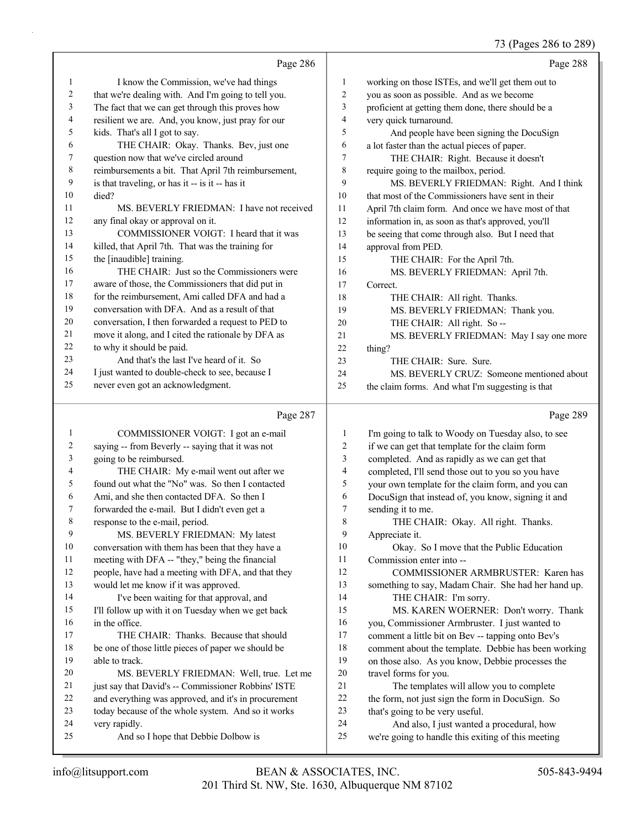## 73 (Pages 286 to 289)

|                          |                                                      |                | $13$ (Pages 200 to 209)                             |
|--------------------------|------------------------------------------------------|----------------|-----------------------------------------------------|
|                          | Page 286                                             |                | Page 288                                            |
| 1                        | I know the Commission, we've had things              | 1              | working on those ISTEs, and we'll get them out to   |
| $\overline{c}$           | that we're dealing with. And I'm going to tell you.  | $\overline{c}$ | you as soon as possible. And as we become           |
| 3                        | The fact that we can get through this proves how     | 3              | proficient at getting them done, there should be a  |
| $\overline{\mathcal{A}}$ | resilient we are. And, you know, just pray for our   | 4              | very quick turnaround.                              |
| 5                        | kids. That's all I got to say.                       | 5              | And people have been signing the DocuSign           |
| 6                        | THE CHAIR: Okay. Thanks. Bev, just one               | 6              | a lot faster than the actual pieces of paper.       |
| $\boldsymbol{7}$         | question now that we've circled around               | 7              | THE CHAIR: Right. Because it doesn't                |
| $\,$ 8 $\,$              | reimbursements a bit. That April 7th reimbursement,  | 8              | require going to the mailbox, period.               |
| 9                        | is that traveling, or has it -- is it -- has it      | 9              | MS. BEVERLY FRIEDMAN: Right. And I think            |
| 10                       | died?                                                | 10             | that most of the Commissioners have sent in their   |
| 11                       | MS. BEVERLY FRIEDMAN: I have not received            | 11             | April 7th claim form. And once we have most of that |
| 12                       | any final okay or approval on it.                    | 12             | information in, as soon as that's approved, you'll  |
| 13                       | COMMISSIONER VOIGT: I heard that it was              | 13             | be seeing that come through also. But I need that   |
| 14                       | killed, that April 7th. That was the training for    | 14             | approval from PED.                                  |
| 15                       | the [inaudible] training.                            | 15             | THE CHAIR: For the April 7th.                       |
| 16                       | THE CHAIR: Just so the Commissioners were            | 16             | MS. BEVERLY FRIEDMAN: April 7th.                    |
| 17                       | aware of those, the Commissioners that did put in    | 17             | Correct.                                            |
| 18                       | for the reimbursement, Ami called DFA and had a      | 18             | THE CHAIR: All right. Thanks.                       |
| 19                       | conversation with DFA. And as a result of that       | 19             | MS. BEVERLY FRIEDMAN: Thank you.                    |
| 20                       | conversation, I then forwarded a request to PED to   | 20             | THE CHAIR: All right. So --                         |
| 21                       | move it along, and I cited the rationale by DFA as   | 21             | MS. BEVERLY FRIEDMAN: May I say one more            |
| 22                       | to why it should be paid.                            | $22\,$         | thing?                                              |
| 23                       | And that's the last I've heard of it. So             | 23             | THE CHAIR: Sure. Sure.                              |
| 24                       | I just wanted to double-check to see, because I      | 24             | MS. BEVERLY CRUZ: Someone mentioned about           |
| 25                       | never even got an acknowledgment.                    | 25             | the claim forms. And what I'm suggesting is that    |
|                          | Page 287                                             |                | Page 289                                            |
| 1                        | COMMISSIONER VOIGT: I got an e-mail                  | $\mathbf{1}$   | I'm going to talk to Woody on Tuesday also, to see  |
| $\overline{c}$           | saying -- from Beverly -- saying that it was not     | $\overline{c}$ | if we can get that template for the claim form      |
| 3                        | going to be reimbursed.                              | 3              | completed. And as rapidly as we can get that        |
| 4                        | THE CHAIR: My e-mail went out after we               | 4              | completed, I'll send those out to you so you have   |
| 5                        | found out what the "No" was. So then I contacted     | 5              | your own template for the claim form, and you can   |
| 6                        | Ami, and she then contacted DFA. So then I           | 6              | DocuSign that instead of, you know, signing it and  |
| 7                        | forwarded the e-mail. But I didn't even get a        | 7              | sending it to me.                                   |
| 8                        | response to the e-mail, period.                      | 8              | THE CHAIR: Okay. All right. Thanks.                 |
| 9                        | MS. BEVERLY FRIEDMAN: My latest                      | 9              | Appreciate it.                                      |
| $10\,$                   | conversation with them has been that they have a     | 10             | Okay. So I move that the Public Education           |
| 11                       | meeting with DFA -- "they," being the financial      | 11             | Commission enter into --                            |
| 12                       | people, have had a meeting with DFA, and that they   | 12             | COMMISSIONER ARMBRUSTER: Karen has                  |
| 13                       | would let me know if it was approved.                | 13             | something to say, Madam Chair. She had her hand up. |
| 14                       | I've been waiting for that approval, and             | 14             | THE CHAIR: I'm sorry.                               |
| 15                       | I'll follow up with it on Tuesday when we get back   | 15             | MS. KAREN WOERNER: Don't worry. Thank               |
| 16                       | in the office.                                       | 16             | you, Commissioner Armbruster. I just wanted to      |
| 17                       | THE CHAIR: Thanks. Because that should               | 17             | comment a little bit on Bev -- tapping onto Bev's   |
| $18\,$                   | be one of those little pieces of paper we should be  | 18             | comment about the template. Debbie has been working |
| 19                       | able to track.                                       | 19             | on those also. As you know, Debbie processes the    |
| 20                       | MS. BEVERLY FRIEDMAN: Well, true. Let me             | $20\,$         | travel forms for you.                               |
| 21                       | just say that David's -- Commissioner Robbins' ISTE  | $21\,$         | The templates will allow you to complete            |
| 22                       | and everything was approved, and it's in procurement | 22             | the form, not just sign the form in DocuSign. So    |

that's going to be very useful.

24 And also, I just wanted a procedural, how

we're going to handle this exiting of this meeting

very rapidly.

today because of the whole system. And so it works

25 And so I hope that Debbie Dolbow is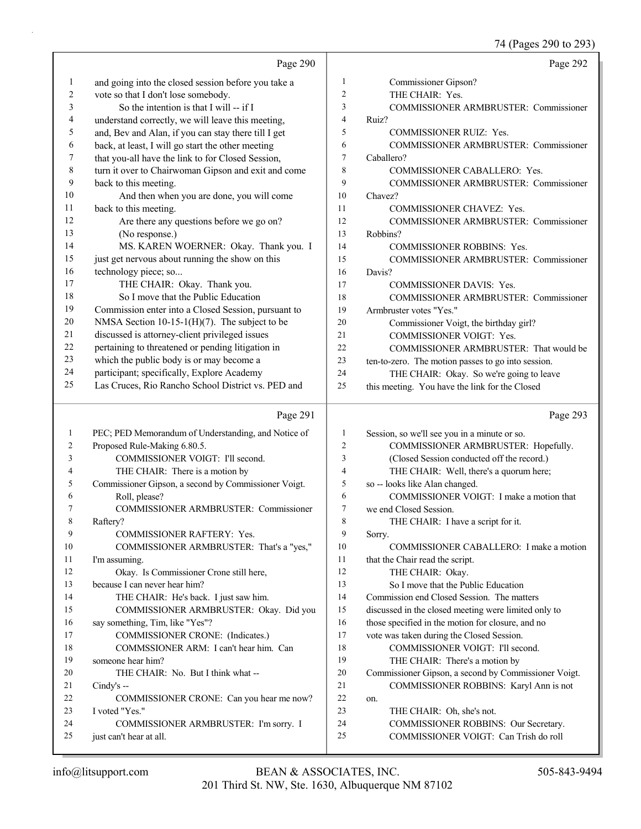74 (Pages 290 to 293)

|                | Page 290                                                         |                | Page 292                                                                      |
|----------------|------------------------------------------------------------------|----------------|-------------------------------------------------------------------------------|
| 1              | and going into the closed session before you take a              | $\mathbf{1}$   | Commissioner Gipson?                                                          |
| $\overline{c}$ | vote so that I don't lose somebody.                              | $\overline{2}$ | THE CHAIR: Yes.                                                               |
| 3              | So the intention is that I will -- if I                          | 3              | COMMISSIONER ARMBRUSTER: Commissioner                                         |
| 4              | understand correctly, we will leave this meeting,                | $\overline{4}$ | Ruiz?                                                                         |
| 5              | and, Bev and Alan, if you can stay there till I get              | 5              | COMMISSIONER RUIZ: Yes.                                                       |
| 6              | back, at least, I will go start the other meeting                | 6              | <b>COMMISSIONER ARMBRUSTER: Commissioner</b>                                  |
| 7              | that you-all have the link to for Closed Session,                | $\overline{7}$ | Caballero?                                                                    |
| 8              | turn it over to Chairwoman Gipson and exit and come              | 8              | COMMISSIONER CABALLERO: Yes.                                                  |
| 9              | back to this meeting.                                            | 9              | COMMISSIONER ARMBRUSTER: Commissioner                                         |
| 10             | And then when you are done, you will come                        | 10             | Chavez?                                                                       |
| 11             | back to this meeting.                                            | 11             | COMMISSIONER CHAVEZ: Yes.                                                     |
| 12             | Are there any questions before we go on?                         | 12             | COMMISSIONER ARMBRUSTER: Commissioner                                         |
| 13             | (No response.)                                                   | 13             | Robbins?                                                                      |
| 14             | MS. KAREN WOERNER: Okay. Thank you. I                            | 14             | <b>COMMISSIONER ROBBINS: Yes.</b>                                             |
| 15             | just get nervous about running the show on this                  | 15             | COMMISSIONER ARMBRUSTER: Commissioner                                         |
| 16             | technology piece; so                                             | 16             | Davis?                                                                        |
| 17             | THE CHAIR: Okay. Thank you.                                      | 17             | <b>COMMISSIONER DAVIS: Yes.</b>                                               |
| 18             | So I move that the Public Education                              | 18             | COMMISSIONER ARMBRUSTER: Commissioner                                         |
| 19             | Commission enter into a Closed Session, pursuant to              | 19             | Armbruster votes "Yes."                                                       |
| $20\,$         | NMSA Section $10-15-1(H)(7)$ . The subject to be                 | 20             | Commissioner Voigt, the birthday girl?                                        |
| $21\,$         | discussed is attorney-client privileged issues                   | 21             | COMMISSIONER VOIGT: Yes.                                                      |
| 22             | pertaining to threatened or pending litigation in                | 22             | COMMISSIONER ARMBRUSTER: That would be                                        |
| 23             | which the public body is or may become a                         | 23             | ten-to-zero. The motion passes to go into session.                            |
| 24             | participant; specifically, Explore Academy                       | 24             | THE CHAIR: Okay. So we're going to leave                                      |
| 25             | Las Cruces, Rio Rancho School District vs. PED and               | 25             | this meeting. You have the link for the Closed                                |
|                |                                                                  |                |                                                                               |
|                |                                                                  |                |                                                                               |
|                | Page 291                                                         |                | Page 293                                                                      |
| 1              | PEC; PED Memorandum of Understanding, and Notice of              | $\mathbf{1}$   | Session, so we'll see you in a minute or so.                                  |
| 2              | Proposed Rule-Making 6.80.5.                                     | $\overline{c}$ | COMMISSIONER ARMBRUSTER: Hopefully.                                           |
| 3              | COMMISSIONER VOIGT: I'll second.                                 | 3              | (Closed Session conducted off the record.)                                    |
| 4              | THE CHAIR: There is a motion by                                  | $\overline{4}$ | THE CHAIR: Well, there's a quorum here;                                       |
| 5              | Commissioner Gipson, a second by Commissioner Voigt.             | 5              | so -- looks like Alan changed.                                                |
| 6              | Roll, please?                                                    | 6              | COMMISSIONER VOIGT: I make a motion that                                      |
| 7              | COMMISSIONER ARMBRUSTER: Commissioner                            | $\overline{7}$ | we end Closed Session.                                                        |
| 8              | Raftery?                                                         | 8              | THE CHAIR: I have a script for it.                                            |
| 9              | COMMISSIONER RAFTERY: Yes.                                       | 9              | Sorry.                                                                        |
| 10             | COMMISSIONER ARMBRUSTER: That's a "yes,"                         | 10             | COMMISSIONER CABALLERO: I make a motion                                       |
| 11             | I'm assuming.                                                    | 11             | that the Chair read the script.                                               |
| 12             | Okay. Is Commissioner Crone still here,                          | 12             | THE CHAIR: Okay.                                                              |
| 13             | because I can never hear him?                                    | 13             | So I move that the Public Education                                           |
| 14             | THE CHAIR: He's back. I just saw him.                            | 14             | Commission end Closed Session. The matters                                    |
| 15             | COMMISSIONER ARMBRUSTER: Okay. Did you                           | 15             | discussed in the closed meeting were limited only to                          |
| 16             | say something, Tim, like "Yes"?                                  | 16             | those specified in the motion for closure, and no                             |
| 17             | COMMISSIONER CRONE: (Indicates.)                                 | 17             | vote was taken during the Closed Session.                                     |
| 18             | COMMSSIONER ARM: I can't hear him. Can                           | 18             | COMMISSIONER VOIGT: I'll second.                                              |
| 19             | someone hear him?                                                | 19             | THE CHAIR: There's a motion by                                                |
| 20             | THE CHAIR: No. But I think what --                               | 20             | Commissioner Gipson, a second by Commissioner Voigt.                          |
| 21             | Cindy's $-$                                                      | 21             | COMMISSIONER ROBBINS: Karyl Ann is not                                        |
| 22             | COMMISSIONER CRONE: Can you hear me now?                         | $22\,$         | on.                                                                           |
| 23             | I voted "Yes."                                                   | 23             | THE CHAIR: Oh, she's not.                                                     |
| 24<br>25       | COMMISSIONER ARMBRUSTER: I'm sorry. I<br>just can't hear at all. | 24<br>25       | COMMISSIONER ROBBINS: Our Secretary.<br>COMMISSIONER VOIGT: Can Trish do roll |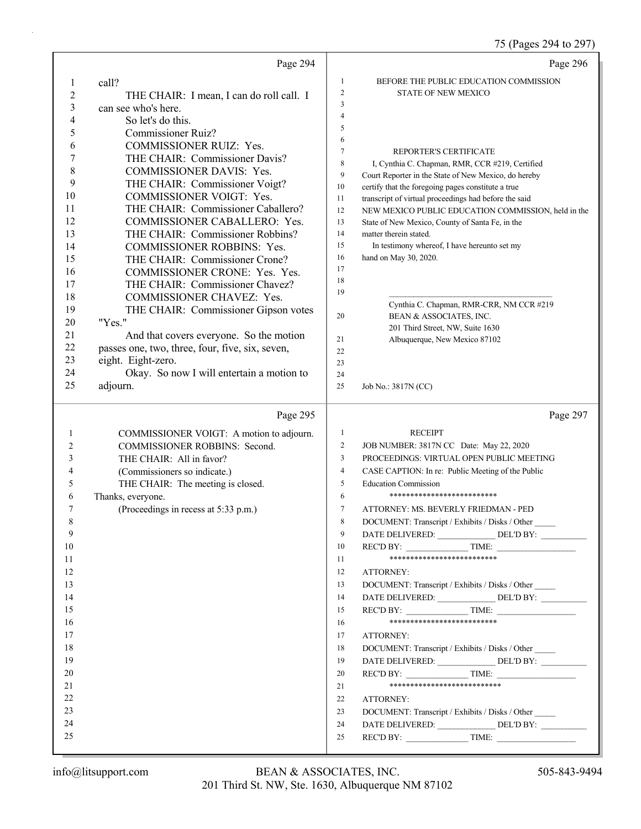75 (Pages 294 to 297)

|                | Page 294                                                                  |                | Page 296                                                                                               |
|----------------|---------------------------------------------------------------------------|----------------|--------------------------------------------------------------------------------------------------------|
| 1              | call?                                                                     | 1              | BEFORE THE PUBLIC EDUCATION COMMISSION                                                                 |
| $\overline{c}$ | THE CHAIR: I mean, I can do roll call. I                                  | $\mathfrak{2}$ | <b>STATE OF NEW MEXICO</b>                                                                             |
| 3              | can see who's here.                                                       | 3              |                                                                                                        |
| 4              | So let's do this.                                                         | $\overline{4}$ |                                                                                                        |
| 5              | <b>Commissioner Ruiz?</b>                                                 | 5              |                                                                                                        |
| 6              | <b>COMMISSIONER RUIZ: Yes.</b>                                            | 6              |                                                                                                        |
| 7              | THE CHAIR: Commissioner Davis?                                            | $\tau$         | REPORTER'S CERTIFICATE                                                                                 |
| 8              | COMMISSIONER DAVIS: Yes.                                                  | 8              | I, Cynthia C. Chapman, RMR, CCR #219, Certified                                                        |
| 9              | THE CHAIR: Commissioner Voigt?                                            | 9              | Court Reporter in the State of New Mexico, do hereby                                                   |
| 10             | COMMISSIONER VOIGT: Yes.                                                  | 10             | certify that the foregoing pages constitute a true                                                     |
| 11             | THE CHAIR: Commissioner Caballero?                                        | 11<br>12       | transcript of virtual proceedings had before the said                                                  |
| 12             | <b>COMMISSIONER CABALLERO: Yes.</b>                                       | 13             | NEW MEXICO PUBLIC EDUCATION COMMISSION, held in the<br>State of New Mexico, County of Santa Fe, in the |
| 13             | THE CHAIR: Commissioner Robbins?                                          | 14             | matter therein stated.                                                                                 |
| 14             | <b>COMMISSIONER ROBBINS: Yes.</b>                                         | 15             | In testimony whereof, I have hereunto set my                                                           |
| 15             | THE CHAIR: Commissioner Crone?                                            | 16             | hand on May 30, 2020.                                                                                  |
| 16             | COMMISSIONER CRONE: Yes. Yes.                                             | 17             |                                                                                                        |
| 17             | THE CHAIR: Commissioner Chavez?                                           | 18             |                                                                                                        |
| 18             | COMMISSIONER CHAVEZ: Yes.                                                 | 19             |                                                                                                        |
| 19             | THE CHAIR: Commissioner Gipson votes                                      |                | Cynthia C. Chapman, RMR-CRR, NM CCR #219                                                               |
| 20             | "Yes."                                                                    | 20             | BEAN & ASSOCIATES, INC.                                                                                |
| 21             | And that covers everyone. So the motion                                   |                | 201 Third Street, NW, Suite 1630                                                                       |
| 22             | passes one, two, three, four, five, six, seven,                           | 21             | Albuquerque, New Mexico 87102                                                                          |
| 23             | eight. Eight-zero.                                                        | 22             |                                                                                                        |
| 24             | Okay. So now I will entertain a motion to                                 | 23<br>24       |                                                                                                        |
| 25             | adjourn.                                                                  | 25             | Job No.: 3817N (CC)                                                                                    |
|                |                                                                           |                |                                                                                                        |
|                |                                                                           |                |                                                                                                        |
|                | Page 295                                                                  |                | Page 297                                                                                               |
| 1              |                                                                           | $\mathbf{1}$   | <b>RECEIPT</b>                                                                                         |
| 2              | COMMISSIONER VOIGT: A motion to adjourn.<br>COMMISSIONER ROBBINS: Second. | $\overline{c}$ | JOB NUMBER: 3817N CC Date: May 22, 2020                                                                |
| 3              | THE CHAIR: All in favor?                                                  | 3              | PROCEEDINGS: VIRTUAL OPEN PUBLIC MEETING                                                               |
| 4              | (Commissioners so indicate.)                                              | $\overline{4}$ | CASE CAPTION: In re: Public Meeting of the Public                                                      |
| 5              | THE CHAIR: The meeting is closed.                                         | 5              | <b>Education Commission</b>                                                                            |
| 6              | Thanks, everyone.                                                         | 6              | **************************                                                                             |
| 7              | (Proceedings in recess at 5:33 p.m.)                                      | 7              | ATTORNEY: MS. BEVERLY FRIEDMAN - PED                                                                   |
| Q              |                                                                           | 8              | DOCUMENT: Transcript / Exhibits / Disks / Other                                                        |
| 9              |                                                                           | 9              | DATE DELIVERED: DEL'D BY:                                                                              |
| 10             |                                                                           | 10             | REC'D BY: TIME:                                                                                        |
| 11             |                                                                           | 11             | **************************                                                                             |
| 12             |                                                                           | 12             | ATTORNEY:                                                                                              |
| 13             |                                                                           | 13             | DOCUMENT: Transcript / Exhibits / Disks / Other                                                        |
| 14             |                                                                           | 14             |                                                                                                        |
| 15             |                                                                           | 15             | REC'D BY: TIME:                                                                                        |
| 16             |                                                                           | 16             | **************************                                                                             |
| 17             |                                                                           | 17             | ATTORNEY:                                                                                              |
| 18             |                                                                           | 18             | DOCUMENT: Transcript / Exhibits / Disks / Other                                                        |
| 19             |                                                                           | 19             | DATE DELIVERED: _____________________DEL'D BY: __________________________________                      |
| 20             |                                                                           | 20             |                                                                                                        |
| 21             |                                                                           | 21             | ***************************                                                                            |
| 22             |                                                                           | 22             | ATTORNEY:                                                                                              |
| 23             |                                                                           | 23             | DOCUMENT: Transcript / Exhibits / Disks / Other                                                        |
| 24             |                                                                           | 24             | DATE DELIVERED: DEL'D BY:                                                                              |
| 25             |                                                                           | 25             |                                                                                                        |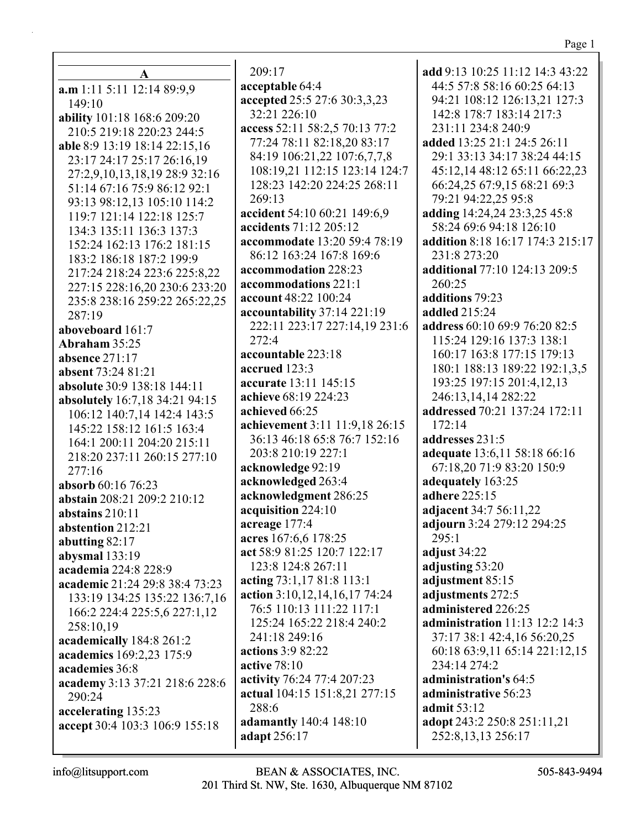$\mathbf{A}$  $a.m 1:11 5:11 12:14 89:9.9$ 149:10 ability 101:18 168:6 209:20 210:5 219:18 220:23 244:5 able 8:9 13:19 18:14 22:15.16 23:17 24:17 25:17 26:16,19 27:2,9,10,13,18,19 28:9 32:16 51:14 67:16 75:9 86:12 92:1 93:13 98:12,13 105:10 114:2 119:7 121:14 122:18 125:7 134:3 135:11 136:3 137:3 152:24 162:13 176:2 181:15 183:2 186:18 187:2 199:9 217:24 218:24 223:6 225:8.22 227:15 228:16,20 230:6 233:20 235:8 238:16 259:22 265:22,25  $287:19$ aboveboard 161:7 Abraham 35:25 absence 271:17 absent 73:24 81:21 absolute 30:9 138:18 144:11 absolutely 16:7,18 34:21 94:15 106:12 140:7,14 142:4 143:5 145:22 158:12 161:5 163:4 164:1 200:11 204:20 215:11 218:20 237:11 260:15 277:10  $277:16$ absorb 60:16 76:23 abstain 208:21 209:2 210:12 abstains  $210:11$ abstention 212:21 abutting  $82:17$ abysmal 133:19 academia 224:8 228:9 academic 21:24 29:8 38:4 73:23 133:19 134:25 135:22 136:7,16 166:2 224:4 225:5,6 227:1,12 258:10,19 academically 184:8 261:2 academics 169:2.23 175:9 academies 36:8 academy 3:13 37:21 218:6 228:6  $290:24$ accelerating 135:23 accept 30:4 103:3 106:9 155:18

 $209:17$ acceptable 64:4 accepted 25:5 27:6 30:3,3,23 32:21 226:10 access 52:11 58:2,5 70:13 77:2 77:24 78:11 82:18,20 83:17 84:19 106:21.22 107:6.7.7.8 108:19,21 112:15 123:14 124:7 128:23 142:20 224:25 268:11  $269:13$ accident 54:10 60:21 149:6,9 accidents 71:12 205:12 accommodate 13:20 59:4 78:19 86:12 163:24 167:8 169:6 accommodation 228:23 accommodations 221:1 **account** 48:22 100:24 accountability 37:14 221:19 222:11 223:17 227:14,19 231:6  $272:4$ accountable 223:18 accrued 123:3 accurate 13:11 145:15 achieve 68:19 224:23 achieved 66:25 achievement 3:11 11:9,18 26:15 36:13 46:18 65:8 76:7 152:16 203:8 210:19 227:1 acknowledge 92:19 acknowledged 263:4 acknowledgment 286:25 acquisition 224:10 acreage 177:4 acres 167:6,6 178:25 act 58:9 81:25 120:7 122:17 123:8 124:8 267:11 acting 73:1,17 81:8 113:1 action 3:10,12,14,16,17 74:24 76:5 110:13 111:22 117:1 125:24 165:22 218:4 240:2 241:18 249:16 actions 3:9 82:22 active  $78:10$ activity 76:24 77:4 207:23 actual 104:15 151:8,21 277:15 288:6 adamantly 140:4 148:10 adapt 256:17

add 9:13 10:25 11:12 14:3 43:22 44:5 57:8 58:16 60:25 64:13 94:21 108:12 126:13,21 127:3 142:8 178:7 183:14 217:3 231:11 234:8 240:9 added 13:25 21:1 24:5 26:11 29:1 33:13 34:17 38:24 44:15 45:12.14 48:12 65:11 66:22.23 66:24,25 67:9,15 68:21 69:3 79:21 94:22,25 95:8 adding 14:24,24 23:3,25 45:8 58:24 69:6 94:18 126:10 addition 8:18 16:17 174:3 215:17 231:8 273:20 additional 77:10 124:13 209:5  $260:25$ additions 79:23 **addled** 215:24 address 60:10 69:9 76:20 82:5 115:24 129:16 137:3 138:1 160:17 163:8 177:15 179:13 180:1 188:13 189:22 192:1,3,5 193:25 197:15 201:4,12,13 246:13,14,14 282:22 addressed 70:21 137:24 172:11 172:14 addresses 231:5 adequate 13:6,11 58:18 66:16 67:18,20 71:9 83:20 150:9 adequately 163:25 adhere 225:15 adjacent 34:7 56:11,22 adjourn 3:24 279:12 294:25  $295:1$ adjust 34:22 adjusting 53:20 adjustment 85:15 adjustments 272:5 administered 226:25 administration  $11:13$  12:2 14:3 37:17 38:1 42:4,16 56:20,25 60:18 63:9,11 65:14 221:12,15 234:14 274:2 administration's 64:5 administrative 56:23 **admit** 53:12 adopt 243:2 250:8 251:11,21 252:8, 13, 13 256: 17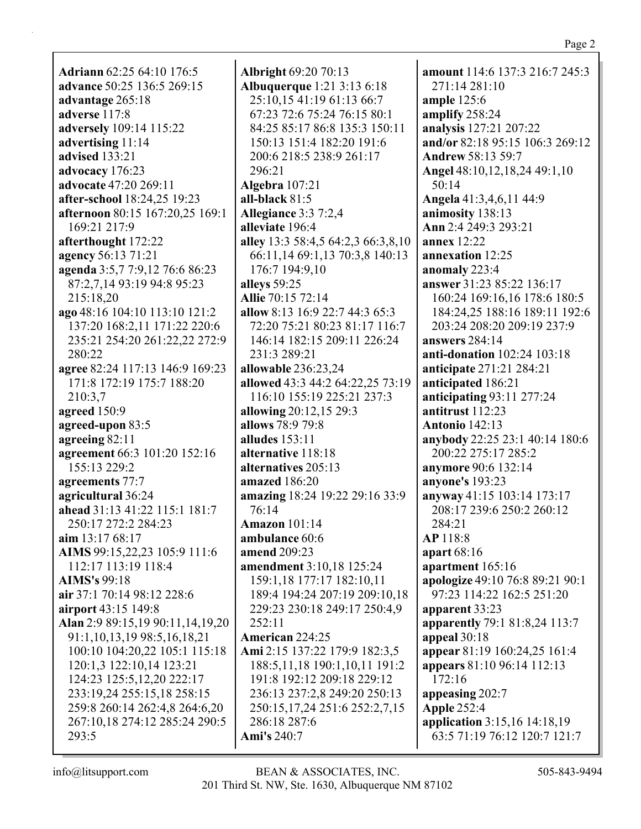**Adriann** 62:25 64:10 176:5 advance 50:25 136:5 269:15 advantage 265:18 adverse 117:8 adversely 109:14 115:22 advertising  $11:14$ advised 133:21 advocacy 176:23 advocate 47:20 269:11 **after-school** 18:24,25 19:23 **afternoon** 80:15 167:20,25 169:1 169:21 217:9 afterthought 172:22 agency 56:13 71:21 agenda 3:5,7 7:9,12 76:6 86:23 87:2,7,14 93:19 94:8 95:23 215:18.20 ago 48:16 104:10 113:10 121:2 137:20 168:2,11 171:22 220:6 235:21 254:20 261:22,22 272:9 280:22 agree 82:24 117:13 146:9 169:23 171:8 172:19 175:7 188:20 210:3.7 agreed 150:9 agreed-upon 83:5 agreeing 82:11 agreement 66:3 101:20 152:16 155:13 229:2 agreements 77:7 agricultural 36:24 ahead 31:13 41:22 115:1 181:7 250:17 272:2 284:23 aim  $13:1768:17$ AIMS 99:15,22,23 105:9 111:6 112:17 113:19 118:4 **AIMS's 99:18** air 37:1 70:14 98:12 228:6 airport 43:15 149:8 Alan 2:9 89:15,19 90:11,14,19,20 91:1, 10, 13, 19 98: 5, 16, 18, 21 100:10 104:20,22 105:1 115:18 120:1,3 122:10,14 123:21 124:23 125:5, 12, 20 222:17 233:19,24 255:15,18 258:15 259:8 260:14 262:4,8 264:6,20 267:10,18 274:12 285:24 290:5 293:5

**Albright 69:20 70:13 Albuquerque** 1:21 3:13 6:18 25:10,15 41:19 61:13 66:7 67:23 72:6 75:24 76:15 80:1 84:25 85:17 86:8 135:3 150:11 150:13 151:4 182:20 191:6 200:6 218:5 238:9 261:17 296:21 Algebra 107:21 all-black  $81:5$ **Allegiance 3:3 7:2,4** alleviate 196:4 alley 13:3 58:4,5 64:2,3 66:3,8,10 66:11,14 69:1,13 70:3,8 140:13 176:7 194:9,10 alleys 59:25 **Allie** 70:15 72:14 allow 8:13 16:9 22:7 44:3 65:3 72:20 75:21 80:23 81:17 116:7 146:14 182:15 209:11 226:24 231:3 289:21 allowable 236:23,24 allowed 43:3 44:2 64:22,25 73:19 116:10 155:19 225:21 237:3 allowing 20:12,15 29:3 allows 78:9 79:8 alludes  $153:11$ alternative 118:18 alternatives 205:13 amazed 186:20 amazing 18:24 19:22 29:16 33:9  $76:14$ **Amazon** 101:14 ambulance 60:6 amend 209:23 **amendment** 3:10,18 125:24 159:1,18 177:17 182:10,11 189:4 194:24 207:19 209:10,18 229:23 230:18 249:17 250:4,9  $252:11$ **American** 224:25 Ami 2:15 137:22 179:9 182:3,5 188:5,11,18 190:1,10,11 191:2 191:8 192:12 209:18 229:12 236:13 237:2,8 249:20 250:13 250:15,17,24 251:6 252:2,7,15 286:18 287:6 **Ami's 240:7** 

**amount** 114:6 137:3 216:7 245:3 271:14 281:10 ample  $125:6$ amplify 258:24 analysis 127:21 207:22 and/or 82:18 95:15 106:3 269:12 **Andrew 58:13 59:7** Angel 48:10,12,18,24 49:1,10  $50:14$ Angela 41:3,4,6,11 44:9 animosity 138:13 Ann 2:4 249:3 293:21 **annex** 12:22 annexation 12:25 anomaly 223:4 answer 31:23 85:22 136:17 160:24 169:16,16 178:6 180:5 184:24,25 188:16 189:11 192:6 203:24 208:20 209:19 237:9 answers 284:14 anti-donation 102:24 103:18 anticipate 271:21 284:21 anticipated 186:21 anticipating 93:11 277:24 antitrust 112:23 **Antonio 142:13** anybody 22:25 23:1 40:14 180:6 200:22 275:17 285:2 **anymore** 90:6 132:14 **anyone's** 193:23 anyway 41:15 103:14 173:17 208:17 239:6 250:2 260:12 284:21 **AP** 118:8 apart 68:16 apartment 165:16 apologize 49:10 76:8 89:21 90:1 97:23 114:22 162:5 251:20 apparent 33:23 apparently 79:1 81:8,24 113:7 appeal  $30:18$ appear 81:19 160:24,25 161:4 **appears** 81:10 96:14 112:13 172:16 appeasing 202:7 **Apple 252:4** application 3:15,16 14:18,19 63:5 71:19 76:12 120:7 121:7

 $info@$ litsupport.com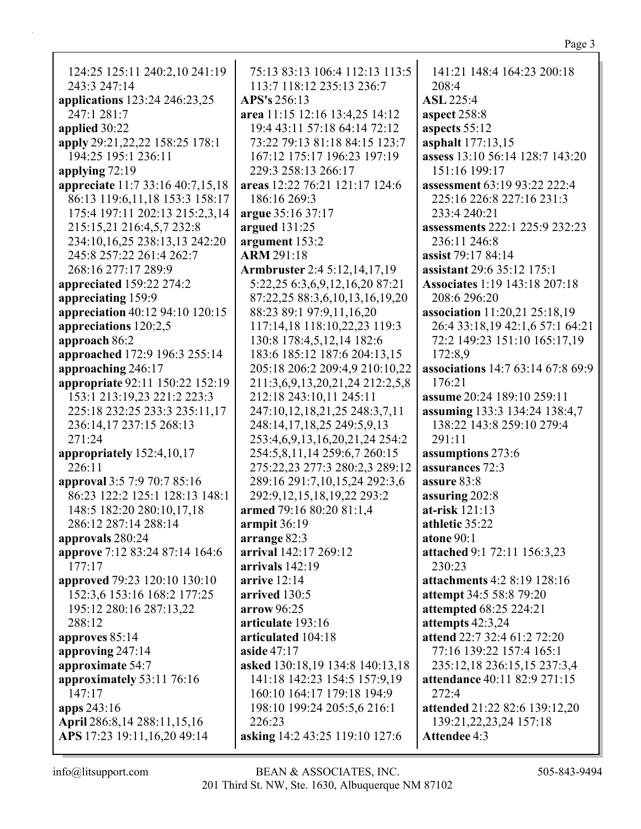| 124:25 125:11 240:2,10 241:19                  | 75:13 83:13 106:4 112:13 113:5  | 141:21 148:4 164:23 200:18                  |
|------------------------------------------------|---------------------------------|---------------------------------------------|
| 243:3 247:14                                   | 113:7 118:12 235:13 236:7       | 208:4                                       |
| applications 123:24 246:23,25                  | APS's 256:13                    | <b>ASL 225:4</b>                            |
| 247:1 281:7                                    | area 11:15 12:16 13:4,25 14:12  | aspect 258:8                                |
| applied 30:22                                  | 19:4 43:11 57:18 64:14 72:12    | aspects 55:12                               |
| apply 29:21, 22, 22 158: 25 178: 1             | 73:22 79:13 81:18 84:15 123:7   | asphalt 177:13,15                           |
| 194:25 195:1 236:11                            | 167:12 175:17 196:23 197:19     | assess 13:10 56:14 128:7 143:20             |
| applying 72:19                                 | 229:3 258:13 266:17             | 151:16 199:17                               |
| appreciate 11:7 33:16 40:7,15,18               | areas 12:22 76:21 121:17 124:6  | assessment 63:19 93:22 222:4                |
| 86:13 119:6,11,18 153:3 158:17                 | 186:16 269:3                    | 225:16 226:8 227:16 231:3                   |
| 175:4 197:11 202:13 215:2,3,14                 | argue 35:16 37:17               | 233:4 240:21                                |
| 215:15,21 216:4,5,7 232:8                      | argued 131:25                   | assessments 222:1 225:9 232:23              |
| 234:10,16,25 238:13,13 242:20                  | argument 153:2                  | 236:11 246:8                                |
| 245:8 257:22 261:4 262:7                       | <b>ARM 291:18</b>               | assist 79:17 84:14                          |
| 268:16 277:17 289:9                            | Armbruster 2:4 5:12,14,17,19    | assistant 29:6 35:12 175:1                  |
| appreciated 159:22 274:2                       | 5:22,25 6:3,6,9,12,16,20 87:21  | <b>Associates 1:19 143:18 207:18</b>        |
| appreciating 159:9                             | 87:22,25 88:3,6,10,13,16,19,20  | 208:6 296:20                                |
| appreciation 40:12 94:10 120:15                | 88:23 89:1 97:9,11,16,20        | association 11:20,21 25:18,19               |
| appreciations 120:2,5                          | 117:14,18 118:10,22,23 119:3    | 26:4 33:18,19 42:1,6 57:1 64:21             |
|                                                |                                 | 72:2 149:23 151:10 165:17,19                |
| approach 86:2<br>approached 172:9 196:3 255:14 | 130:8 178:4,5,12,14 182:6       |                                             |
|                                                | 183:6 185:12 187:6 204:13,15    | 172:8,9                                     |
| approaching 246:17                             | 205:18 206:2 209:4,9 210:10,22  | associations 14:7 63:14 67:8 69:9<br>176:21 |
| appropriate 92:11 150:22 152:19                | 211:3,6,9,13,20,21,24 212:2,5,8 |                                             |
| 153:1 213:19,23 221:2 223:3                    | 212:18 243:10,11 245:11         | assume 20:24 189:10 259:11                  |
| 225:18 232:25 233:3 235:11,17                  | 247:10,12,18,21,25 248:3,7,11   | assuming 133:3 134:24 138:4,7               |
| 236:14,17 237:15 268:13                        | 248:14,17,18,25 249:5,9,13      | 138:22 143:8 259:10 279:4                   |
| 271:24                                         | 253:4,6,9,13,16,20,21,24 254:2  | 291:11                                      |
| appropriately 152:4,10,17                      | 254:5,8,11,14 259:6,7 260:15    | assumptions 273:6                           |
| 226:11                                         | 275:22,23 277:3 280:2,3 289:12  | assurances 72:3                             |
| approval 3:5 7:9 70:7 85:16                    | 289:16 291:7,10,15,24 292:3,6   | assure 83:8                                 |
| 86:23 122:2 125:1 128:13 148:1                 | 292:9,12,15,18,19,22 293:2      | assuring 202:8                              |
| 148:5 182:20 280:10,17,18                      | armed 79:16 80:20 81:1,4        | at-risk $121:13$                            |
| 286:12 287:14 288:14                           | armpit $36:19$                  | athletic 35:22                              |
| approvals 280:24                               | arrange 82:3                    | atone 90:1                                  |
| approve 7:12 83:24 87:14 164:6                 | arrival 142:17 269:12           | attached 9:1 72:11 156:3,23                 |
| 177:17                                         | arrivals 142:19                 | 230:23                                      |
| <b>approved</b> 79:23 120:10 130:10            | arrive $12:14$                  | attachments 4:2 8:19 128:16                 |
| 152:3,6 153:16 168:2 177:25                    | arrived 130:5                   | attempt 34:5 58:8 79:20                     |
| 195:12 280:16 287:13,22                        | arrow 96:25                     | <b>attempted</b> 68:25 224:21               |
| 288:12                                         | articulate 193:16               | attempts 42:3,24                            |
| approves 85:14                                 | articulated 104:18              | attend 22:7 32:4 61:2 72:20                 |
| approving 247:14                               | aside 47:17                     | 77:16 139:22 157:4 165:1                    |
| approximate 54:7                               | asked 130:18,19 134:8 140:13,18 | 235:12,18 236:15,15 237:3,4                 |
| approximately 53:11 76:16                      | 141:18 142:23 154:5 157:9,19    | attendance 40:11 82:9 271:15                |
| 147:17                                         | 160:10 164:17 179:18 194:9      | 272:4                                       |
| apps 243:16                                    | 198:10 199:24 205:5,6 216:1     | attended 21:22 82:6 139:12,20               |
| April 286:8,14 288:11,15,16                    | 226:23                          | 139:21, 22, 23, 24 157:18                   |
| APS 17:23 19:11, 16, 20 49:14                  | asking 14:2 43:25 119:10 127:6  | Attendee 4:3                                |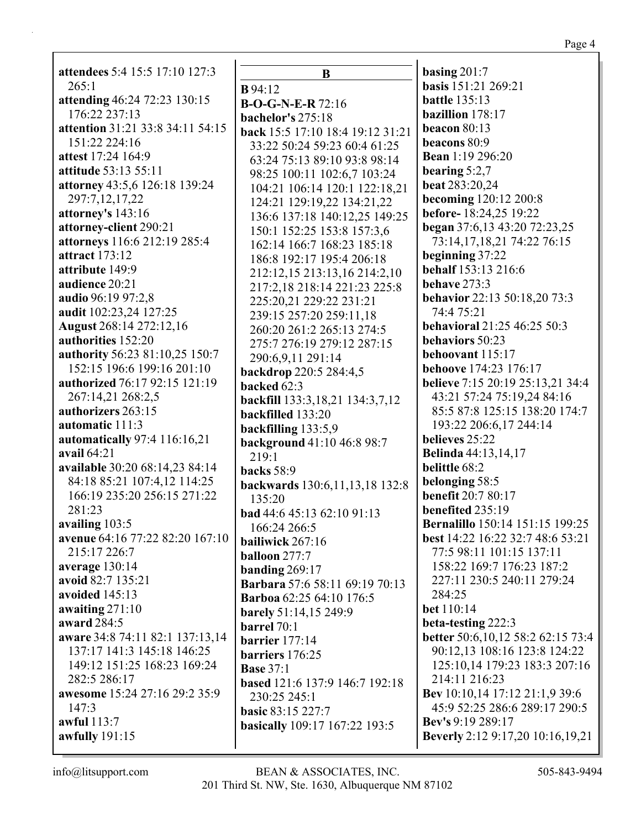**attendees** 5:4 15:5 17:10 127:3  $265:1$ **attending** 46:24 72:23 130:15 176:22 237:13 **attention** 31:21 33:8 34:11 54:15 151:22 224:16 **attest** 17:24 164:9 **attitude** 53:13 55:11 **attorney** 43:5,6 126:18 139:24 297:7,12,17,22 **attorney's** 143:16 **attorney-client** 290:21 **attorneys** 116:6 212:19 285:4 **attract** 173:12 **attribute** 149:9 **audience** 20:21 **audio** 96:19 97:2,8 **audit** 102:23,24 127:25 **August** 268:14 272:12,16 **authorities** 152:20 **authority** 56:23 81:10,25 150:7 152:15 196:6 199:16 201:10 **authorized** 76:17 92:15 121:19 267:14,21 268:2,5 **authorizers** 263:15 **automatic** 111:3 **automatically** 97:4 116:16,21 **avail** 64:21 **available** 30:20 68:14,23 84:14 84:18 85:21 107:4,12 114:25 166:19 235:20 256:15 271:22 281:23 **availing** 103:5 **avenue** 64:16 77:22 82:20 167:10 215:17 226:7 **average** 130:14 **avoid** 82:7 135:21 **avoided** 145:13 **awaiting** 271:10 **award** 284:5 **aware** 34:8 74:11 82:1 137:13,14 137:17 141:3 145:18 146:25 149:12 151:25 168:23 169:24 282:5 286:17 **awesome** 15:24 27:16 29:2 35:9 147:3 **awful** 113:7 **awfully** 191:15

**B B** 94:12 **B-O-G-N-E-R** 72:16 **bachelor's** 275:18 **back** 15:5 17:10 18:4 19:12 31:21 33:22 50:24 59:23 60:4 61:25 63:24 75:13 89:10 93:8 98:14 98:25 100:11 102:6,7 103:24 104:21 106:14 120:1 122:18,21 124:21 129:19,22 134:21,22 136:6 137:18 140:12,25 149:25 150:1 152:25 153:8 157:3,6 162:14 166:7 168:23 185:18 186:8 192:17 195:4 206:18 212:12,15 213:13,16 214:2,10 217:2,18 218:14 221:23 225:8 225:20,21 229:22 231:21 239:15 257:20 259:11,18 260:20 261:2 265:13 274:5 275:7 276:19 279:12 287:15 290:6,9,11 291:14 **backdrop** 220:5 284:4,5 **backed** 62:3 **backfill** 133:3,18,21 134:3,7,12 **backfilled** 133:20 **backfilling** 133:5,9 **background** 41:10 46:8 98:7 219:1 **backs** 58:9 **backwards** 130:6,11,13,18 132:8 135:20 **bad** 44:6 45:13 62:10 91:13 166:24 266:5 **bailiwick** 267:16 **balloon** 277:7 **banding** 269:17 **Barbara** 57:6 58:11 69:19 70:13 **Barboa** 62:25 64:10 176:5 **barely** 51:14,15 249:9 **barrel** 70:1 **barrier** 177:14 **barriers** 176:25 **Base** 37:1 **based** 121:6 137:9 146:7 192:18 230:25 245:1 **basic** 83:15 227:7 **basically** 109:17 167:22 193:5

**basing** 201:7 **basis** 151:21 269:21 **battle** 135:13 **bazillion** 178:17 **beacon** 80:13 **beacons** 80:9 **Bean** 1:19 296:20 **bearing** 5:2,7 **beat** 283:20,24 **becoming** 120:12 200:8 **before-** 18:24,25 19:22 **began** 37:6,13 43:20 72:23,25 73:14,17,18,21 74:22 76:15 **beginning** 37:22 **behalf** 153:13 216:6 **behave** 273:3 **behavior** 22:13 50:18,20 73:3 74:4 75:21 **behavioral** 21:25 46:25 50:3 **behaviors** 50:23 **behoovant** 115:17 **behoove** 174:23 176:17 **believe** 7:15 20:19 25:13,21 34:4 43:21 57:24 75:19,24 84:16 85:5 87:8 125:15 138:20 174:7 193:22 206:6,17 244:14 **believes** 25:22 **Belinda** 44:13,14,17 **belittle** 68:2 **belonging** 58:5 **benefit** 20:7 80:17 **benefited** 235:19 **Bernalillo** 150:14 151:15 199:25 **best** 14:22 16:22 32:7 48:6 53:21 77:5 98:11 101:15 137:11 158:22 169:7 176:23 187:2 227:11 230:5 240:11 279:24 284:25 **bet** 110:14 **beta-testing** 222:3 **better** 50:6,10,12 58:2 62:15 73:4 90:12,13 108:16 123:8 124:22 125:10,14 179:23 183:3 207:16 214:11 216:23 **Bev** 10:10,14 17:12 21:1,9 39:6 45:9 52:25 286:6 289:17 290:5 **Bev's** 9:19 289:17 **Beverly** 2:12 9:17,20 10:16,19,21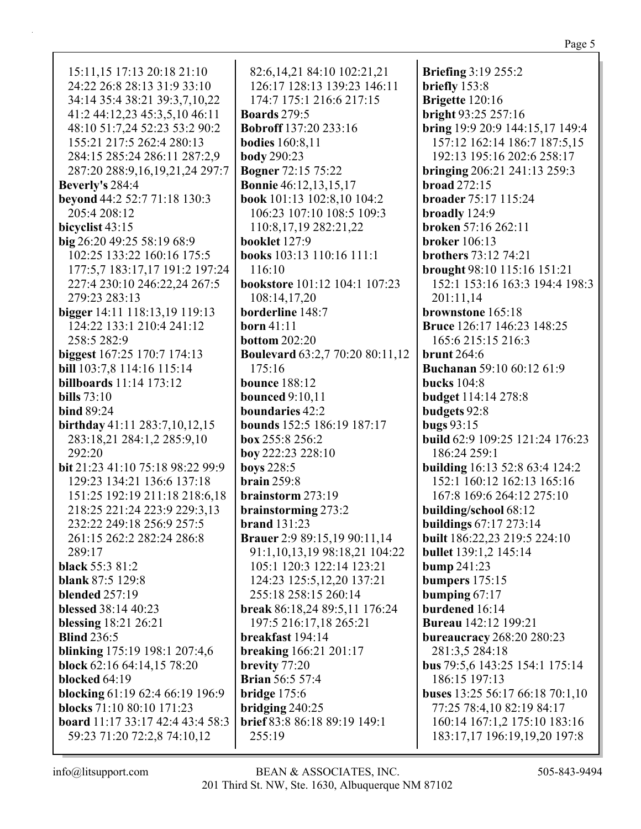15:11,15 17:13 20:18 21:10 24:22 26:8 28:13 31:9 33:10 34:14 35:4 38:21 39:3,7,10,22 41:2 44:12,23 45:3,5,10 46:11 48:10 51:7,24 52:23 53:2 90:2 155:21 217:5 262:4 280:13 284:15 285:24 286:11 287:2,9 287:20 288:9,16,19,21,24 297:7 **Beverly's** 284:4 **beyond** 44:2 52:7 71:18 130:3 205:4 208:12 **bicyclist** 43:15 **big** 26:20 49:25 58:19 68:9 102:25 133:22 160:16 175:5 177:5,7 183:17,17 191:2 197:24 227:4 230:10 246:22,24 267:5 279:23 283:13 **bigger** 14:11 118:13,19 119:13 124:22 133:1 210:4 241:12 258:5 282:9 **biggest** 167:25 170:7 174:13 **bill** 103:7,8 114:16 115:14 **billboards** 11:14 173:12 **bills** 73:10 **bind** 89:24 **birthday** 41:11 283:7,10,12,15 283:18,21 284:1,2 285:9,10 292:20 **bit** 21:23 41:10 75:18 98:22 99:9 129:23 134:21 136:6 137:18 151:25 192:19 211:18 218:6,18 218:25 221:24 223:9 229:3,13 232:22 249:18 256:9 257:5 261:15 262:2 282:24 286:8 289:17 **black** 55:3 81:2 **blank** 87:5 129:8 **blended** 257:19 **blessed** 38:14 40:23 **blessing** 18:21 26:21 **Blind** 236:5 **blinking** 175:19 198:1 207:4,6 **block** 62:16 64:14,15 78:20 **blocked** 64:19 **blocking** 61:19 62:4 66:19 196:9 **blocks** 71:10 80:10 171:23 **board** 11:17 33:17 42:4 43:4 58:3 59:23 71:20 72:2,8 74:10,12

82:6,14,21 84:10 102:21,21 126:17 128:13 139:23 146:11 174:7 175:1 216:6 217:15 **Boards** 279:5 **Bobroff** 137:20 233:16 **bodies** 160:8,11 **body** 290:23 **Bogner** 72:15 75:22 **Bonnie** 46:12,13,15,17 **book** 101:13 102:8,10 104:2 106:23 107:10 108:5 109:3 110:8,17,19 282:21,22 **booklet** 127:9 **books** 103:13 110:16 111:1 116:10 **bookstore** 101:12 104:1 107:23 108:14,17,20 **borderline** 148:7 **born** 41:11 **bottom** 202:20 **Boulevard** 63:2,7 70:20 80:11,12 175:16 **bounce** 188:12 **bounced** 9:10,11 **boundaries** 42:2 **bounds** 152:5 186:19 187:17 **box** 255:8 256:2 **boy** 222:23 228:10 **boys** 228:5 **brain** 259:8 **brainstorm** 273:19 **brainstorming** 273:2 **brand** 131:23 **Brauer** 2:9 89:15,19 90:11,14 91:1,10,13,19 98:18,21 104:22 105:1 120:3 122:14 123:21 124:23 125:5,12,20 137:21 255:18 258:15 260:14 **break** 86:18,24 89:5,11 176:24 197:5 216:17,18 265:21 **breakfast** 194:14 **breaking** 166:21 201:17 **brevity** 77:20 **Brian** 56:5 57:4 **bridge** 175:6 **bridging** 240:25 **brief** 83:8 86:18 89:19 149:1 255:19

**Briefing** 3:19 255:2 **briefly** 153:8 **Brigette** 120:16 **bright** 93:25 257:16 **bring** 19:9 20:9 144:15,17 149:4 157:12 162:14 186:7 187:5,15 192:13 195:16 202:6 258:17 **bringing** 206:21 241:13 259:3 **broad** 272:15 **broader** 75:17 115:24 **broadly** 124:9 **broken** 57:16 262:11 **broker** 106:13 **brothers** 73:12 74:21 **brought** 98:10 115:16 151:21 152:1 153:16 163:3 194:4 198:3 201:11,14 **brownstone** 165:18 **Bruce** 126:17 146:23 148:25 165:6 215:15 216:3 **brunt** 264:6 **Buchanan** 59:10 60:12 61:9 **bucks** 104:8 **budget** 114:14 278:8 **budgets** 92:8 **bugs** 93:15 **build** 62:9 109:25 121:24 176:23 186:24 259:1 **building** 16:13 52:8 63:4 124:2 152:1 160:12 162:13 165:16 167:8 169:6 264:12 275:10 **building/school** 68:12 **buildings** 67:17 273:14 **built** 186:22,23 219:5 224:10 **bullet** 139:1,2 145:14 **bump** 241:23 **bumpers** 175:15 **bumping** 67:17 **burdened** 16:14 **Bureau** 142:12 199:21 **bureaucracy** 268:20 280:23 281:3,5 284:18 **bus** 79:5,6 143:25 154:1 175:14 186:15 197:13 **buses** 13:25 56:17 66:18 70:1,10 77:25 78:4,10 82:19 84:17 160:14 167:1,2 175:10 183:16 183:17,17 196:19,19,20 197:8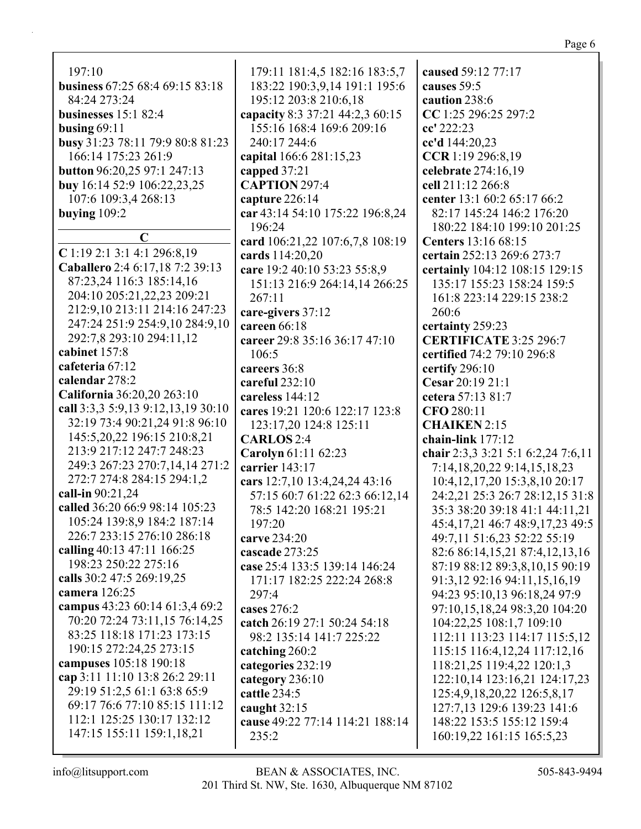| 197:10                                            | 179:11 181:4,5 182:16 183:5,7                     | caused 59:12 77:17                                       |
|---------------------------------------------------|---------------------------------------------------|----------------------------------------------------------|
| business 67:25 68:4 69:15 83:18                   | 183:22 190:3,9,14 191:1 195:6                     | causes 59:5                                              |
| 84:24 273:24                                      | 195:12 203:8 210:6,18                             | caution 238:6                                            |
| businesses $15:182:4$                             | capacity 8:3 37:21 44:2,3 60:15                   | CC 1:25 296:25 297:2                                     |
| busing $69:11$                                    | 155:16 168:4 169:6 209:16                         | cc' 222:23                                               |
| busy 31:23 78:11 79:9 80:8 81:23                  | 240:17 244:6                                      | cc'd 144:20,23                                           |
| 166:14 175:23 261:9                               | capital 166:6 281:15,23                           | CCR 1:19 296:8,19                                        |
| <b>button</b> 96:20,25 97:1 247:13                | capped 37:21                                      | celebrate 274:16,19                                      |
| <b>buy</b> 16:14 52:9 106:22,23,25                | <b>CAPTION 297:4</b>                              | cell 211:12 266:8                                        |
| 107:6 109:3,4 268:13                              | capture 226:14                                    | center 13:1 60:2 65:17 66:2                              |
| buying $109:2$                                    | car 43:14 54:10 175:22 196:8,24                   | 82:17 145:24 146:2 176:20                                |
|                                                   | 196:24                                            | 180:22 184:10 199:10 201:25                              |
| $\mathbf C$                                       | card 106:21,22 107:6,7,8 108:19                   | <b>Centers</b> 13:16 68:15                               |
| $C$ 1:19 2:1 3:1 4:1 296:8,19                     | cards 114:20,20                                   | certain 252:13 269:6 273:7                               |
| Caballero 2:4 6:17,18 7:2 39:13                   | care 19:2 40:10 53:23 55:8,9                      | certainly 104:12 108:15 129:15                           |
| 87:23,24 116:3 185:14,16                          | 151:13 216:9 264:14,14 266:25                     | 135:17 155:23 158:24 159:5                               |
| 204:10 205:21,22,23 209:21                        | 267:11                                            | 161:8 223:14 229:15 238:2                                |
| 212:9,10 213:11 214:16 247:23                     | care-givers 37:12                                 | 260:6                                                    |
| 247:24 251:9 254:9,10 284:9,10                    | careen 66:18                                      | certainty 259:23                                         |
| 292:7,8 293:10 294:11,12                          | career 29:8 35:16 36:17 47:10                     | <b>CERTIFICATE 3:25 296:7</b>                            |
| cabinet 157:8                                     | 106:5                                             | certified 74:2 79:10 296:8                               |
| cafeteria 67:12                                   | careers 36:8                                      | certify 296:10                                           |
| calendar 278:2                                    | careful 232:10                                    | Cesar 20:19 21:1                                         |
| California 36:20,20 263:10                        | careless 144:12                                   | cetera 57:13 81:7                                        |
| call 3:3,3 5:9,13 9:12,13,19 30:10                | cares 19:21 120:6 122:17 123:8                    | CFO 280:11                                               |
| 32:19 73:4 90:21,24 91:8 96:10                    | 123:17,20 124:8 125:11                            | <b>CHAIKEN 2:15</b>                                      |
| 145:5,20,22 196:15 210:8,21                       | <b>CARLOS</b> 2:4                                 | chain-link $177:12$                                      |
| 213:9 217:12 247:7 248:23                         | Carolyn 61:11 62:23                               | chair 2:3,3 3:21 5:1 6:2,24 7:6,11                       |
| 249:3 267:23 270:7,14,14 271:2                    | carrier 143:17                                    | 7:14,18,20,22 9:14,15,18,23                              |
| 272:7 274:8 284:15 294:1,2                        | cars 12:7,10 13:4,24,24 43:16                     | 10:4, 12, 17, 20 15:3, 8, 10 20:17                       |
| call-in 90:21,24                                  | 57:15 60:7 61:22 62:3 66:12,14                    | 24:2,21 25:3 26:7 28:12,15 31:8                          |
| called 36:20 66:9 98:14 105:23                    | 78:5 142:20 168:21 195:21                         | 35:3 38:20 39:18 41:1 44:11,21                           |
| 105:24 139:8,9 184:2 187:14                       | 197:20                                            | 45:4,17,21 46:7 48:9,17,23 49:5                          |
| 226:7 233:15 276:10 286:18                        | carve 234:20                                      | 49:7,11 51:6,23 52:22 55:19                              |
| calling 40:13 47:11 166:25                        | cascade 273:25                                    | 82:6 86:14,15,21 87:4,12,13,16                           |
| 198:23 250:22 275:16<br>calls 30:2 47:5 269:19,25 | case 25:4 133:5 139:14 146:24                     | 87:19 88:12 89:3,8,10,15 90:19                           |
| <b>camera</b> 126:25                              | 171:17 182:25 222:24 268:8                        | 91:3,12 92:16 94:11,15,16,19                             |
| campus 43:23 60:14 61:3,4 69:2                    | 297:4                                             | 94:23 95:10,13 96:18,24 97:9                             |
| 70:20 72:24 73:11,15 76:14,25                     | cases $276:2$                                     | 97:10,15,18,24 98:3,20 104:20                            |
| 83:25 118:18 171:23 173:15                        | catch 26:19 27:1 50:24 54:18                      | 104:22,25 108:1,7 109:10                                 |
| 190:15 272:24,25 273:15                           | 98:2 135:14 141:7 225:22                          | 112:11 113:23 114:17 115:5,12                            |
| campuses 105:18 190:18                            | catching 260:2                                    | 115:15 116:4, 12, 24 117:12, 16                          |
| cap 3:11 11:10 13:8 26:2 29:11                    | categories 232:19                                 | 118:21,25 119:4,22 120:1,3                               |
| 29:19 51:2,5 61:1 63:8 65:9                       | category 236:10<br>cattle 234:5                   | 122:10,14 123:16,21 124:17,23                            |
| 69:17 76:6 77:10 85:15 111:12                     |                                                   | 125:4,9,18,20,22 126:5,8,17                              |
| 112:1 125:25 130:17 132:12                        | caught $32:15$<br>cause 49:22 77:14 114:21 188:14 | 127:7,13 129:6 139:23 141:6<br>148:22 153:5 155:12 159:4 |
| 147:15 155:11 159:1,18,21                         | 235:2                                             | 160:19,22 161:15 165:5,23                                |
|                                                   |                                                   |                                                          |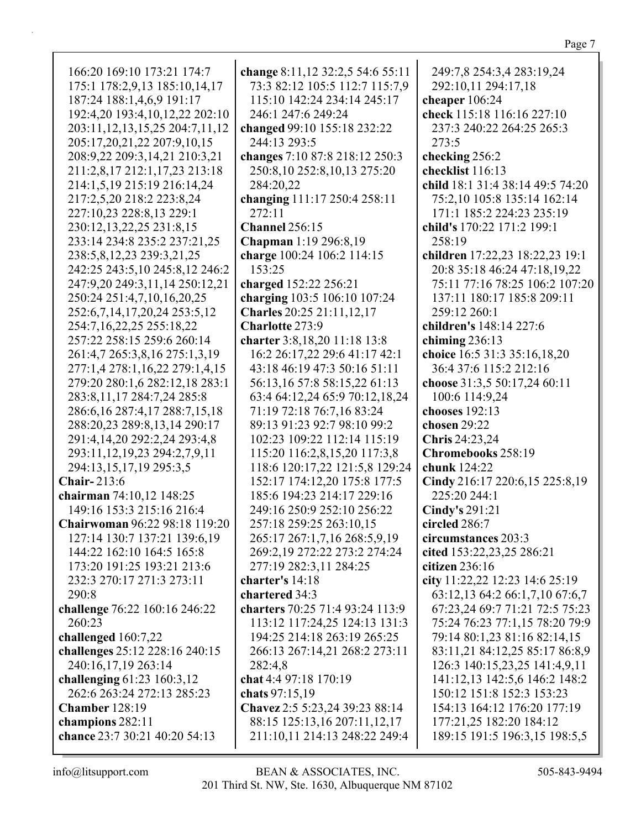| 166:20 169:10 173:21 174:7              | change 8:11,12 32:2,5 54:6 55:11 | 249:7,8 254:3,4 283:19,24        |
|-----------------------------------------|----------------------------------|----------------------------------|
|                                         |                                  |                                  |
| 175:1 178:2,9,13 185:10,14,17           | 73:3 82:12 105:5 112:7 115:7,9   | 292:10,11 294:17,18              |
| 187:24 188:1,4,6,9 191:17               | 115:10 142:24 234:14 245:17      | cheaper 106:24                   |
| 192:4,20 193:4,10,12,22 202:10          | 246:1 247:6 249:24               | check 115:18 116:16 227:10       |
| 203:11,12,13,15,25 204:7,11,12          | changed 99:10 155:18 232:22      | 237:3 240:22 264:25 265:3        |
| 205:17,20,21,22 207:9,10,15             | 244:13 293:5                     | 273:5                            |
| 208:9,22 209:3,14,21 210:3,21           | changes 7:10 87:8 218:12 250:3   | checking 256:2                   |
| 211:2,8,17 212:1,17,23 213:18           | 250:8,10 252:8,10,13 275:20      | checklist 116:13                 |
| 214:1,5,19 215:19 216:14,24             | 284:20,22                        | child 18:1 31:4 38:14 49:5 74:20 |
| 217:2,5,20 218:2 223:8,24               | changing 111:17 250:4 258:11     | 75:2,10 105:8 135:14 162:14      |
| 227:10,23 228:8,13 229:1                | 272:11                           | 171:1 185:2 224:23 235:19        |
| 230:12,13,22,25 231:8,15                | <b>Channel 256:15</b>            | child's 170:22 171:2 199:1       |
| 233:14 234:8 235:2 237:21,25            | Chapman 1:19 296:8,19            | 258:19                           |
| 238:5,8,12,23 239:3,21,25               | charge 100:24 106:2 114:15       | children 17:22,23 18:22,23 19:1  |
| 242:25 243:5,10 245:8,12 246:2          | 153:25                           | 20:8 35:18 46:24 47:18,19,22     |
| 247:9,20 249:3,11,14 250:12,21          |                                  | 75:11 77:16 78:25 106:2 107:20   |
|                                         | charged 152:22 256:21            |                                  |
| 250:24 251:4,7,10,16,20,25              | charging 103:5 106:10 107:24     | 137:11 180:17 185:8 209:11       |
| 252:6,7,14,17,20,24 253:5,12            | Charles 20:25 21:11,12,17        | 259:12 260:1                     |
| 254:7,16,22,25 255:18,22                | Charlotte 273:9                  | children's 148:14 227:6          |
| 257:22 258:15 259:6 260:14              | charter 3:8,18,20 11:18 13:8     | chiming $236:13$                 |
| 261:4,7 265:3,8,16 275:1,3,19           | 16:2 26:17,22 29:6 41:17 42:1    | choice 16:5 31:3 35:16,18,20     |
| 277:1,4 278:1,16,22 279:1,4,15          | 43:18 46:19 47:3 50:16 51:11     | 36:4 37:6 115:2 212:16           |
| 279:20 280:1,6 282:12,18 283:1          | 56:13,16 57:8 58:15,22 61:13     | choose 31:3,5 50:17,24 60:11     |
| 283:8, 11, 17 284: 7, 24 285: 8         | 63:4 64:12,24 65:9 70:12,18,24   | 100:6 114:9,24                   |
| 286:6, 16 287:4, 17 288:7, 15, 18       | 71:19 72:18 76:7,16 83:24        | chooses 192:13                   |
| 288:20,23 289:8,13,14 290:17            | 89:13 91:23 92:7 98:10 99:2      | chosen 29:22                     |
| 291:4,14,20 292:2,24 293:4,8            | 102:23 109:22 112:14 115:19      | Chris 24:23,24                   |
| 293:11, 12, 19, 23 294: 2, 7, 9, 11     | 115:20 116:2,8,15,20 117:3,8     | Chromebooks 258:19               |
| 294:13,15,17,19 295:3,5                 | 118:6 120:17,22 121:5,8 129:24   | chunk 124:22                     |
| Chair- $213:6$                          | 152:17 174:12,20 175:8 177:5     | Cindy 216:17 220:6,15 225:8,19   |
| chairman 74:10,12 148:25                | 185:6 194:23 214:17 229:16       | 225:20 244:1                     |
| 149:16 153:3 215:16 216:4               | 249:16 250:9 252:10 256:22       | Cindy's 291:21                   |
| Chairwoman 96:22 98:18 119:20           | 257:18 259:25 263:10,15          | circled 286:7                    |
| 127:14 130:7 137:21 139:6,19            | 265:17 267:1,7,16 268:5,9,19     | circumstances 203:3              |
| 144:22 162:10 164:5 165:8               | 269:2,19 272:22 273:2 274:24     | cited 153:22,23,25 286:21        |
| 173:20 191:25 193:21 213:6              | 277:19 282:3,11 284:25           | citizen $236:16$                 |
| 232:3 270:17 271:3 273:11               | charter's 14:18                  | city 11:22,22 12:23 14:6 25:19   |
| 290:8                                   | chartered 34:3                   | 63:12,13 64:2 66:1,7,10 67:6,7   |
|                                         | charters 70:25 71:4 93:24 113:9  | 67:23,24 69:7 71:21 72:5 75:23   |
| challenge 76:22 160:16 246:22<br>260:23 |                                  |                                  |
|                                         | 113:12 117:24,25 124:13 131:3    | 75:24 76:23 77:1,15 78:20 79:9   |
| challenged $160:7,22$                   | 194:25 214:18 263:19 265:25      | 79:14 80:1,23 81:16 82:14,15     |
| challenges 25:12 228:16 240:15          | 266:13 267:14,21 268:2 273:11    | 83:11,21 84:12,25 85:17 86:8,9   |
| 240:16,17,19 263:14                     | 282:4,8                          | 126:3 140:15,23,25 141:4,9,11    |
| challenging 61:23 160:3,12              | chat 4:4 97:18 170:19            | 141:12,13 142:5,6 146:2 148:2    |
| 262:6 263:24 272:13 285:23              | chats 97:15,19                   | 150:12 151:8 152:3 153:23        |
| <b>Chamber</b> 128:19                   | Chavez 2:5 5:23,24 39:23 88:14   | 154:13 164:12 176:20 177:19      |
| champions 282:11                        | 88:15 125:13,16 207:11,12,17     | 177:21,25 182:20 184:12          |
| chance 23:7 30:21 40:20 54:13           | 211:10,11 214:13 248:22 249:4    | 189:15 191:5 196:3,15 198:5,5    |
|                                         |                                  |                                  |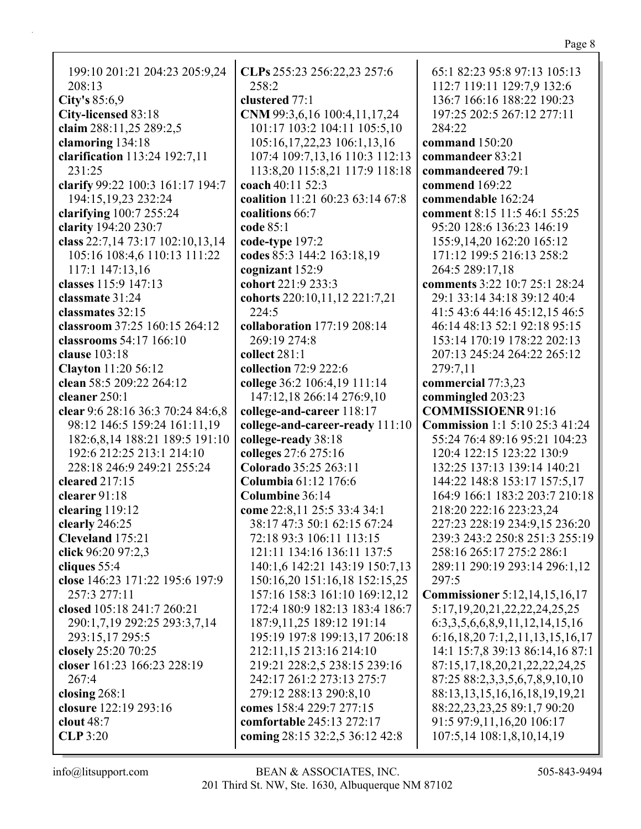| 199:10 201:21 204:23 205:9,24     | $CLPs$ 25    |
|-----------------------------------|--------------|
| 208:13                            | 258:2        |
| City's 85:6,9                     | clustere     |
| City-licensed 83:18               | <b>CNM99</b> |
| claim 288:11,25 289:2,5           | 101:17       |
| clamoring 134:18                  | 105:16       |
| clarification 113:24 192:7,11     | 107:4        |
| 231:25                            | 113:8,       |
| clarify 99:22 100:3 161:17 194:7  | coach 40     |
| 194:15, 19, 23 23 2:24            | coalition    |
| clarifying 100:7 255:24           | coalition    |
| clarity 194:20 230:7              | code 85:     |
| class 22:7,14 73:17 102:10,13,14  | code-typ     |
| 105:16 108:4,6 110:13 111:22      | codes 85     |
| 117:1 147:13,16                   | cogniza      |
| classes 115:9 147:13              | cohort 2     |
| classmate 31:24                   | cohorts      |
| classmates 32:15                  | 224:5        |
| classroom 37:25 160:15 264:12     | collabor     |
| classrooms 54:17 166:10           | 269:19       |
| <b>clause</b> 103:18              | collect 2    |
| <b>Clayton</b> 11:20 56:12        | collectio    |
| clean 58:5 209:22 264:12          | college 3    |
| cleaner 250:1                     | 147:12       |
| clear 9:6 28:16 36:3 70:24 84:6,8 | college-     |
| 98:12 146:5 159:24 161:11,19      | college-     |
| 182:6,8,14 188:21 189:5 191:10    | college-     |
| 192:6 212:25 213:1 214:10         | colleges     |
| 228:18 246:9 249:21 255:24        | Colorad      |
| cleared $217:15$                  | Columb       |
| clearer 91:18                     | Columb       |
| clearing 119:12                   | come 22      |
| clearly 246:25                    | 38:17        |
| Cleveland 175:21                  | 72:18        |
| click 96:20 97:2,3                | 121:11       |
| cliques 55:4                      | 140:1,       |
| close 146:23 171:22 195:6 197:9   | 150:16       |
| 257:3 277:11                      | 157:16       |
| closed 105:18 241:7 260:21        | 172:4        |
| 290:1,7,19 292:25 293:3,7,14      | 187:9,       |
| 293:15,17 295:5                   | 195:19       |
| closely 25:20 70:25               | 212:11       |
| closer 161:23 166:23 228:19       | 219:21       |
| 267:4                             | 242:17       |
| closing $268:1$                   | 279:12       |
| closure 122:19 293:16             | comes 1      |
| clout 48:7                        | comfort      |
| <b>CLP</b> 3:20                   | coming       |
|                                   |              |

**CLPs** 255:23 256:22,23 257:6 **cd** 77:1 **CNM** 99:3,6,16 100:4,11,17,24 101:17 103:2 104:11 105:5,10 105:16,17,22,23 106:1,13,16 107:4 109:7,13,16 110:3 112:13 113:8,20 115:8,21 117:9 118:18 **c** 11 52:3 **coalition** 11:21 60:23 63:14 67:8 **ns** 66:7 **code** 85:1 **pe** 197:2 **codes** 85:3 144:2 163:18,19 **nt** 152:9 **cohort** 221:9 233:3 **cohorts** 220:10,11,12 221:7,21 **collaboration** 177:19 208:14  $9274:8$ **collect** 281:1 **collection** 72:9 222:6 **college** 36:2 106:4,19 111:14 147:12,18 266:14 276:9,10 **college-and-career** 118:17 **college-and-career-ready** 111:10 **college-ready** 38:18 **colleges** 27:6 275:16 **Colorado** 35:25 263:11 **Columbia** 61:12 176:6 **ine** 36:14 **come** 22:8,11 25:5 33:4 34:1 38:17 47:3 50:1 62:15 67:24 93:3 106:11 113:15 121:11 134:16 136:11 137:5 140:1,6 142:21 143:19 150:7,13 150:16,20 151:16,18 152:15,25 157:16 158:3 161:10 169:12,12 172:4 180:9 182:13 183:4 186:7 187:9,11,25 189:12 191:14 195:19 197:8 199:13,17 206:18 212:11,15 213:16 214:10 228:2,5 238:15 239:16 242:17 261:2 273:13 275:7 279:12 288:13 290:8,10 **comes** 158:4 229:7 277:15 **comfortable** 245:13 272:17 **coming** 28:15 32:2,5 36:12 42:8

65:1 82:23 95:8 97:13 105:13 112:7 119:11 129:7,9 132:6 136:7 166:16 188:22 190:23 197:25 202:5 267:12 277:11 284:22 **command** 150:20 **commandeer** 83:21 **commandeered** 79:1 **commend** 169:22 **commendable** 162:24 **comment** 8:15 11:5 46:1 55:25 95:20 128:6 136:23 146:19 155:9,14,20 162:20 165:12 171:12 199:5 216:13 258:2 264:5 289:17,18 **comments** 3:22 10:7 25:1 28:24 29:1 33:14 34:18 39:12 40:4 41:5 43:6 44:16 45:12,15 46:5 46:14 48:13 52:1 92:18 95:15 153:14 170:19 178:22 202:13 207:13 245:24 264:22 265:12 279:7,11 **commercial** 77:3,23 **commingled** 203:23 **COMMISSIOENR** 91:16 **Commission** 1:1 5:10 25:3 41:24 55:24 76:4 89:16 95:21 104:23 120:4 122:15 123:22 130:9 132:25 137:13 139:14 140:21 144:22 148:8 153:17 157:5,17 164:9 166:1 183:2 203:7 210:18 218:20 222:16 223:23,24 227:23 228:19 234:9,15 236:20 239:3 243:2 250:8 251:3 255:19 258:16 265:17 275:2 286:1 289:11 290:19 293:14 296:1,12 297:5 **Commissioner** 5:12,14,15,16,17 5:17,19,20,21,22,22,24,25,25 6:3,3,5,6,6,8,9,11,12,14,15,16 6:16,18,20 7:1,2,11,13,15,16,17 14:1 15:7,8 39:13 86:14,16 87:1 87:15,17,18,20,21,22,22,24,25 87:25 88:2,3,3,5,6,7,8,9,10,10 88:13,13,15,16,16,18,19,19,21 88:22,23,23,25 89:1,7 90:20

> 91:5 97:9,11,16,20 106:17 107:5,14 108:1,8,10,14,19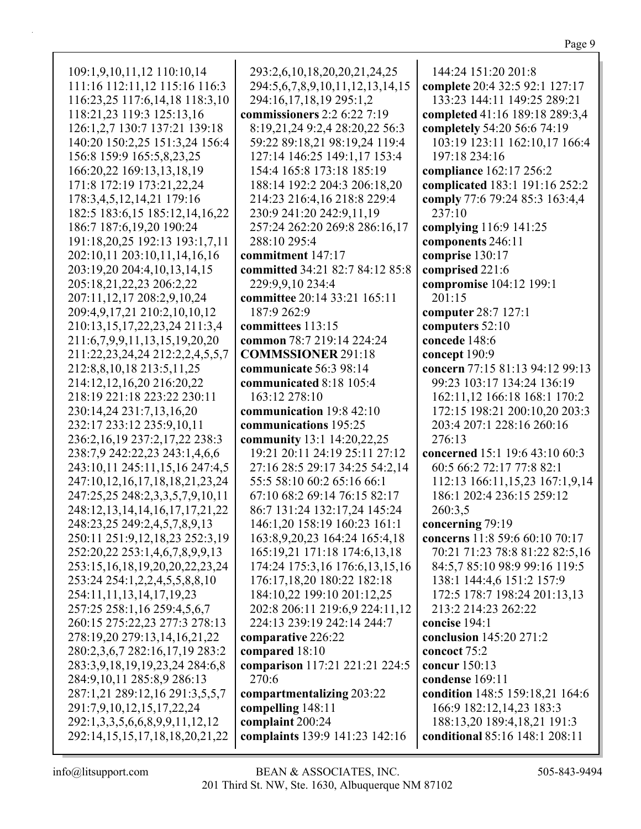109:1,9,10,11,12 110:10,14 111:16 112:11,12 115:16 116:3 116:23,25 117:6,14,18 118:3,10 118:21,23 119:3 125:13,16 126:1,2,7 130:7 137:21 139:18 140:20 150:2,25 151:3,24 156:4 156:8 159:9 165:5,8,23,25 166:20,22 169:13,13,18,19 171:8 172:19 173:21,22,24 178:3,4,5,12,14,21 179:16 182:5 183:6,15 185:12,14,16,22 186:7 187:6,19,20 190:24 191:18,20,25 192:13 193:1,7,11 202:10,11 203:10,11,14,16,16 203:19,20 204:4,10,13,14,15 205:18,21,22,23 206:2,22 207:11,12,17 208:2,9,10,24 209:4,9,17,21 210:2,10,10,12 210:13,15,17,22,23,24 211:3,4 211:6,7,9,9,11,13,15,19,20,20 211:22,23,24,24 212:2,2,4,5,5,7 212:8,8,10,18 213:5,11,25 214:12,12,16,20 216:20,22 218:19 221:18 223:22 230:11 230:14,24 231:7,13,16,20 232:17 233:12 235:9,10,11 236:2,16,19 237:2,17,22 238:3 238:7,9 242:22,23 243:1,4,6,6 243:10,11 245:11,15,16 247:4,5 247:10,12,16,17,18,18,21,23,24 247:25,25 248:2,3,3,5,7,9,10,11 248:12,13,14,14,16,17,17,21,22 248:23,25 249:2,4,5,7,8,9,13 250:11 251:9,12,18,23 252:3,19 252:20,22 253:1,4,6,7,8,9,9,13 253:15,16,18,19,20,20,22,23,24 253:24 254:1,2,2,4,5,5,8,8,10 254:11,11,13,14,17,19,23 257:25 258:1,16 259:4,5,6,7 260:15 275:22,23 277:3 278:13 278:19,20 279:13,14,16,21,22 280:2,3,6,7 282:16,17,19 283:2 283:3,9,18,19,19,23,24 284:6,8 284:9,10,11 285:8,9 286:13 287:1,21 289:12,16 291:3,5,5,7 291:7,9,10,12,15,17,22,24 292:1,3,3,5,6,6,8,9,9,11,12,12 292:14,15,15,17,18,18,20,21,22

293:2,6,10,18,20,20,21,24,25 294:5,6,7,8,9,10,11,12,13,14,15 294:16,17,18,19 295:1,2 **commissioners** 2:2 6:22 7:19 8:19,21,24 9:2,4 28:20,22 56:3 59:22 89:18,21 98:19,24 119:4 127:14 146:25 149:1,17 153:4 154:4 165:8 173:18 185:19 188:14 192:2 204:3 206:18,20 214:23 216:4,16 218:8 229:4 230:9 241:20 242:9,11,19 257:24 262:20 269:8 286:16,17 288:10 295:4 **commitment** 147:17 **committed** 34:21 82:7 84:12 85:8 229:9,9,10 234:4 **committee** 20:14 33:21 165:11 187:9 262:9 **committees** 113:15 **common** 78:7 219:14 224:24 **COMMSSIONER** 291:18 **communicate** 56:3 98:14 **communicated** 8:18 105:4 163:12 278:10 **communication** 19:8 42:10 **communications** 195:25 **community** 13:1 14:20,22,25 19:21 20:11 24:19 25:11 27:12 27:16 28:5 29:17 34:25 54:2,14 55:5 58:10 60:2 65:16 66:1 67:10 68:2 69:14 76:15 82:17 86:7 131:24 132:17,24 145:24 146:1,20 158:19 160:23 161:1 163:8,9,20,23 164:24 165:4,18 165:19,21 171:18 174:6,13,18 174:24 175:3,16 176:6,13,15,16 176:17,18,20 180:22 182:18 184:10,22 199:10 201:12,25 202:8 206:11 219:6,9 224:11,12 224:13 239:19 242:14 244:7 **comparative** 226:22 **compared** 18:10 **comparison** 117:21 221:21 224:5 270:6 **compartmentalizing** 203:22 **compelling** 148:11 **complaint** 200:24 **complaints** 139:9 141:23 142:16

144:24 151:20 201:8 **complete** 20:4 32:5 92:1 127:17 133:23 144:11 149:25 289:21 **completed** 41:16 189:18 289:3,4 **completely** 54:20 56:6 74:19 103:19 123:11 162:10,17 166:4 197:18 234:16 **compliance** 162:17 256:2 **complicated** 183:1 191:16 252:2 **comply** 77:6 79:24 85:3 163:4,4 237:10 **complying** 116:9 141:25 **components** 246:11 **comprise** 130:17 **comprised** 221:6 **compromise** 104:12 199:1 201:15 **computer** 28:7 127:1 **computers** 52:10 **concede** 148:6 **concept** 190:9 **concern** 77:15 81:13 94:12 99:13 99:23 103:17 134:24 136:19 162:11,12 166:18 168:1 170:2 172:15 198:21 200:10,20 203:3 203:4 207:1 228:16 260:16 276:13 **concerned** 15:1 19:6 43:10 60:3 60:5 66:2 72:17 77:8 82:1 112:13 166:11,15,23 167:1,9,14 186:1 202:4 236:15 259:12 260:3,5 **concerning** 79:19 **concerns** 11:8 59:6 60:10 70:17 70:21 71:23 78:8 81:22 82:5,16 84:5,7 85:10 98:9 99:16 119:5 138:1 144:4,6 151:2 157:9 172:5 178:7 198:24 201:13,13 213:2 214:23 262:22 **concise** 194:1 **conclusion** 145:20 271:2 **concoct** 75:2 **concur** 150:13 **condense** 169:11 **condition** 148:5 159:18,21 164:6 166:9 182:12,14,23 183:3 188:13,20 189:4,18,21 191:3 **conditional** 85:16 148:1 208:11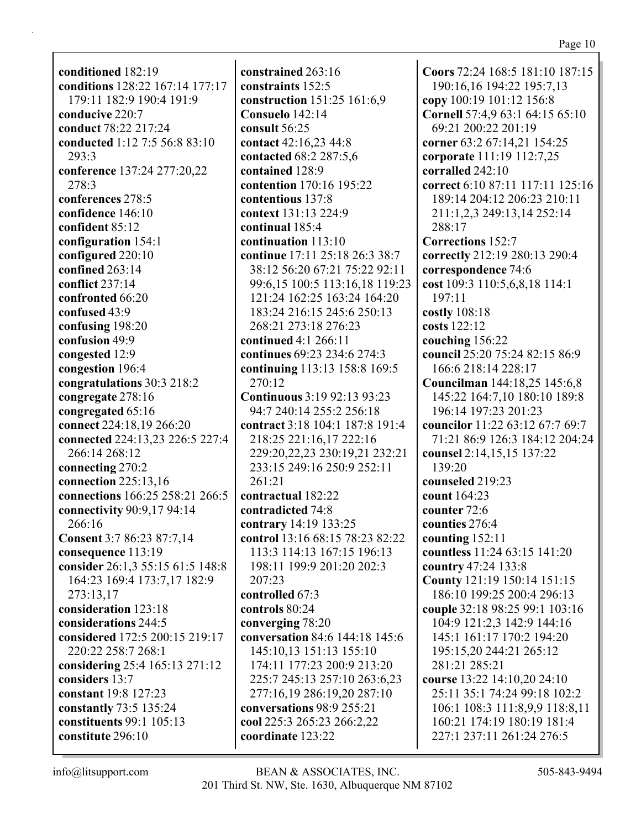**conditioned** 182:19 **conditions** 128:22 167:14 177:17 179:11 182:9 190:4 191:9 **conducive** 220:7 **conduct** 78:22 217:24 **conducted** 1:12 7:5 56:8 83:10 293:3 **conference** 137:24 277:20,22 278:3 **conferences** 278:5 **confidence** 146:10 **confident** 85:12 **configuration** 154:1 **configured** 220:10 **confined** 263:14 **conflict** 237:14 **confronted** 66:20 **confused** 43:9 **confusing** 198:20 **confusion** 49:9 **congested** 12:9 **congestion** 196:4 **congratulations** 30:3 218:2 **congregate** 278:16 **congregated** 65:16 **connect** 224:18,19 266:20 **connected** 224:13,23 226:5 227:4 266:14 268:12 **connecting** 270:2 **connection** 225:13,16 **connections** 166:25 258:21 266:5 **connectivity** 90:9,17 94:14 266:16 **Consent** 3:7 86:23 87:7,14 **consequence** 113:19 **consider** 26:1,3 55:15 61:5 148:8 164:23 169:4 173:7,17 182:9 273:13,17 **consideration** 123:18 **considerations** 244:5 **considered** 172:5 200:15 219:17 220:22 258:7 268:1 **considering** 25:4 165:13 271:12 **considers** 13:7 **constant** 19:8 127:23 **constantly** 73:5 135:24 **constituents** 99:1 105:13 **constitute** 296:10

**constrained** 263:16 **constraints** 152:5 **construction** 151:25 161:6,9 **Consuelo** 142:14 **consult** 56:25 **contact** 42:16,23 44:8 **contacted** 68:2 287:5,6 **contained** 128:9 **contention** 170:16 195:22 **contentious** 137:8 **context** 131:13 224:9 **continual** 185:4 **continuation** 113:10 **continue** 17:11 25:18 26:3 38:7 38:12 56:20 67:21 75:22 92:11 99:6,15 100:5 113:16,18 119:23 121:24 162:25 163:24 164:20 183:24 216:15 245:6 250:13 268:21 273:18 276:23 **continued** 4:1 266:11 **continues** 69:23 234:6 274:3 **continuing** 113:13 158:8 169:5 270:12 **Continuous** 3:19 92:13 93:23 94:7 240:14 255:2 256:18 **contract** 3:18 104:1 187:8 191:4 218:25 221:16,17 222:16 229:20,22,23 230:19,21 232:21 233:15 249:16 250:9 252:11 261:21 **contractual** 182:22 **contradicted** 74:8 **contrary** 14:19 133:25 **control** 13:16 68:15 78:23 82:22 113:3 114:13 167:15 196:13 198:11 199:9 201:20 202:3 207:23 **controlled** 67:3 **controls** 80:24 **converging** 78:20 **conversation** 84:6 144:18 145:6 145:10,13 151:13 155:10 174:11 177:23 200:9 213:20 225:7 245:13 257:10 263:6,23 277:16,19 286:19,20 287:10 **conversations** 98:9 255:21 **cool** 225:3 265:23 266:2,22 **coordinate** 123:22

**Coors** 72:24 168:5 181:10 187:15 190:16,16 194:22 195:7,13 **copy** 100:19 101:12 156:8 **Cornell** 57:4,9 63:1 64:15 65:10 69:21 200:22 201:19 **corner** 63:2 67:14,21 154:25 **corporate** 111:19 112:7,25 **corralled** 242:10 **correct** 6:10 87:11 117:11 125:16 189:14 204:12 206:23 210:11 211:1,2,3 249:13,14 252:14 288:17 **Corrections** 152:7 **correctly** 212:19 280:13 290:4 **correspondence** 74:6 **cost** 109:3 110:5,6,8,18 114:1 197:11 **costly** 108:18 **costs** 122:12 **couching** 156:22 **council** 25:20 75:24 82:15 86:9 166:6 218:14 228:17 **Councilman** 144:18,25 145:6,8 145:22 164:7,10 180:10 189:8 196:14 197:23 201:23 **councilor** 11:22 63:12 67:7 69:7 71:21 86:9 126:3 184:12 204:24 **counsel** 2:14,15,15 137:22 139:20 **counseled** 219:23 **count** 164:23 **counter** 72:6 **counties** 276:4 **counting** 152:11 **countless** 11:24 63:15 141:20 **country** 47:24 133:8 **County** 121:19 150:14 151:15 186:10 199:25 200:4 296:13 **couple** 32:18 98:25 99:1 103:16 104:9 121:2,3 142:9 144:16 145:1 161:17 170:2 194:20 195:15,20 244:21 265:12 281:21 285:21 **course** 13:22 14:10,20 24:10 25:11 35:1 74:24 99:18 102:2 106:1 108:3 111:8,9,9 118:8,11 160:21 174:19 180:19 181:4 227:1 237:11 261:24 276:5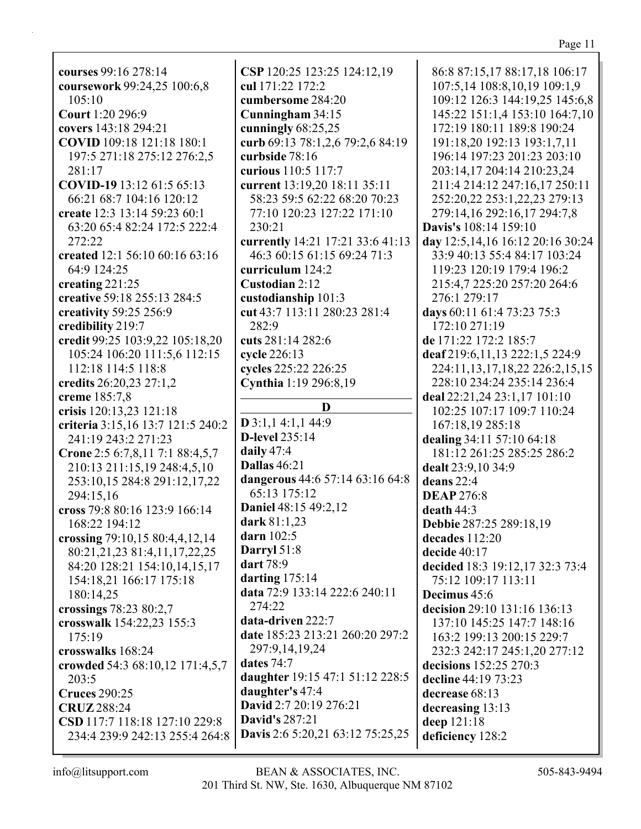**courses** 99:16 278:14 **coursework** 99:24,25 100:6,8 105:10 **Court** 1:20 296:9 **covers** 143:18 294:21 **COVID** 109:18 121:18 180:1 197:5 271:18 275:12 276:2,5 281:17 **COVID-19** 13:12 61:5 65:13 66:21 68:7 104:16 120:12 **create** 12:3 13:14 59:23 60:1 63:20 65:4 82:24 172:5 222:4 272:22 **created** 12:1 56:10 60:16 63:16 64:9 124:25 **creating** 221:25 **creative** 59:18 255:13 284:5 **creativity** 59:25 256:9 **credibility** 219:7 **credit** 99:25 103:9,22 105:18,20 105:24 106:20 111:5,6 112:15 112:18 114:5 118:8 **credits** 26:20,23 27:1,2 **creme** 185:7,8 **crisis** 120:13,23 121:18 **criteria** 3:15,16 13:7 121:5 240:2 241:19 243:2 271:23 **Crone** 2:5 6:7,8,11 7:1 88:4,5,7 210:13 211:15,19 248:4,5,10 253:10,15 284:8 291:12,17,22 294:15,16 **cross** 79:8 80:16 123:9 166:14 168:22 194:12 **crossing** 79:10,15 80:4,4,12,14 80:21,21,23 81:4,11,17,22,25 84:20 128:21 154:10,14,15,17 154:18,21 166:17 175:18 180:14,25 **crossings** 78:23 80:2,7 **crosswalk** 154:22,23 155:3 175:19 **crosswalks** 168:24 **crowded** 54:3 68:10,12 171:4,5,7 203:5 **Cruces** 290:25 **CRUZ** 288:24 **CSD** 117:7 118:18 127:10 229:8 234:4 239:9 242:13 255:4 264:8

**CSP** 120:25 123:25 124:12,19 **cul** 171:22 172:2 **cumbersome** 284:20 **Cunningham** 34:15 **cunningly** 68:25,25 **curb** 69:13 78:1,2,6 79:2,6 84:19 **curbside** 78:16 **curious** 110:5 117:7 **current** 13:19,20 18:11 35:11 58:23 59:5 62:22 68:20 70:23 77:10 120:23 127:22 171:10 230:21 **currently** 14:21 17:21 33:6 41:13 46:3 60:15 61:15 69:24 71:3 **curriculum** 124:2 **Custodian** 2:12 **custodianship** 101:3 **cut** 43:7 113:11 280:23 281:4 282:9 **cuts** 281:14 282:6 **cycle** 226:13 **cycles** 225:22 226:25 **Cynthia** 1:19 296:8,19 **D D** 3:1,1 4:1,1 44:9 **D-level** 235:14 **daily** 47:4 **Dallas** 46:21 **dangerous** 44:6 57:14 63:16 64:8 65:13 175:12 **Daniel** 48:15 49:2,12 **dark** 81:1,23 **darn** 102:5 **Darryl** 51:8 **dart** 78:9 **darting** 175:14 **data** 72:9 133:14 222:6 240:11 274:22 **data-driven** 222:7 **date** 185:23 213:21 260:20 297:2 297:9,14,19,24 **dates** 74:7 **daughter** 19:15 47:1 51:12 228:5 **daughter's** 47:4 **David** 2:7 20:19 276:21 **David's** 287:21 **Davis** 2:6 5:20,21 63:12 75:25,25

86:8 87:15,17 88:17,18 106:17 107:5,14 108:8,10,19 109:1,9 109:12 126:3 144:19,25 145:6,8 145:22 151:1,4 153:10 164:7,10 172:19 180:11 189:8 190:24 191:18,20 192:13 193:1,7,11 196:14 197:23 201:23 203:10 203:14,17 204:14 210:23,24 211:4 214:12 247:16,17 250:11 252:20,22 253:1,22,23 279:13 279:14,16 292:16,17 294:7,8 **Davis's** 108:14 159:10 **day** 12:5,14,16 16:12 20:16 30:24 33:9 40:13 55:4 84:17 103:24 119:23 120:19 179:4 196:2 215:4,7 225:20 257:20 264:6 276:1 279:17 **days** 60:11 61:4 73:23 75:3 172:10 271:19 **de** 171:22 172:2 185:7 **deaf** 219:6,11,13 222:1,5 224:9 224:11,13,17,18,22 226:2,15,15 228:10 234:24 235:14 236:4 **deal** 22:21,24 23:1,17 101:10 102:25 107:17 109:7 110:24 167:18,19 285:18 **dealing** 34:11 57:10 64:18 181:12 261:25 285:25 286:2 **dealt** 23:9,10 34:9 **deans** 22:4 **DEAP** 276:8 **death** 44:3 **Debbie** 287:25 289:18,19 **decades** 112:20 **decide** 40:17 **decided** 18:3 19:12,17 32:3 73:4 75:12 109:17 113:11 **Decimus** 45:6 **decision** 29:10 131:16 136:13 137:10 145:25 147:7 148:16 163:2 199:13 200:15 229:7 232:3 242:17 245:1,20 277:12 **decisions** 152:25 270:3 **decline** 44:19 73:23 **decrease** 68:13 **decreasing** 13:13 **deep** 121:18 **deficiency** 128:2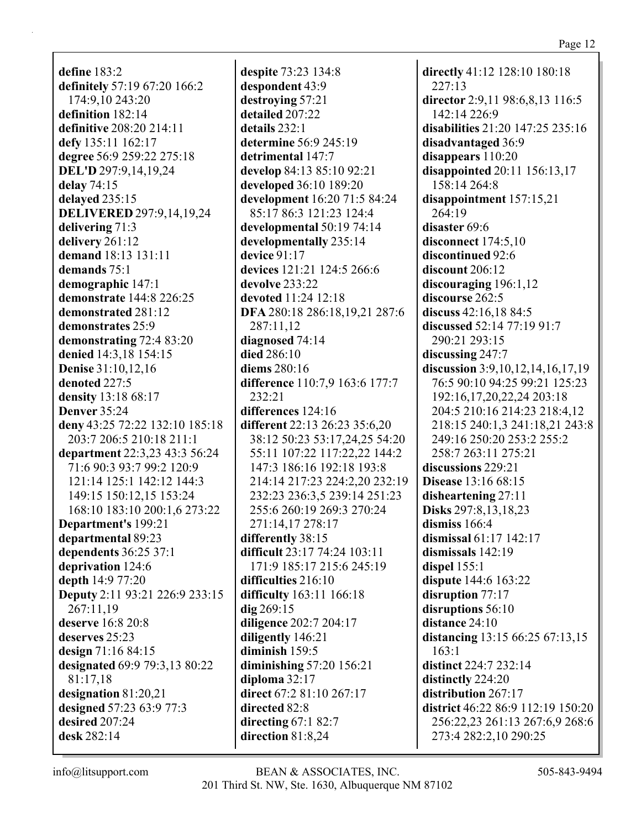**define** 183:2 **definitely** 57:19 67:20 166:2 174:9,10 243:20 **definition** 182:14 **definitive** 208:20 214:11 **defy** 135:11 162:17 **degree** 56:9 259:22 275:18 **DEL'D** 297:9,14,19,24 **delay** 74:15 **delayed** 235:15 **DELIVERED** 297:9,14,19,24 **delivering** 71:3 **delivery** 261:12 **demand** 18:13 131:11 **demands** 75:1 **demographic** 147:1 **demonstrate** 144:8 226:25 **demonstrated** 281:12 **demonstrates** 25:9 **demonstrating** 72:4 83:20 **denied** 14:3,18 154:15 **Denise** 31:10,12,16 **denoted** 227:5 **density** 13:18 68:17 **Denver** 35:24 **deny** 43:25 72:22 132:10 185:18 203:7 206:5 210:18 211:1 **department** 22:3,23 43:3 56:24 71:6 90:3 93:7 99:2 120:9 121:14 125:1 142:12 144:3 149:15 150:12,15 153:24 168:10 183:10 200:1,6 273:22 **Department's** 199:21 **departmental** 89:23 **dependents** 36:25 37:1 **deprivation** 124:6 **depth** 14:9 77:20 **Deputy** 2:11 93:21 226:9 233:15 267:11,19 **deserve** 16:8 20:8 **deserves** 25:23 **design** 71:16 84:15 **designated** 69:9 79:3,13 80:22 81:17,18 **designation** 81:20,21 **designed** 57:23 63:9 77:3 **desired** 207:24 **desk** 282:14

**despite** 73:23 134:8 **despondent** 43:9 **destroying** 57:21 **detailed** 207:22 **details** 232:1 **determine** 56:9 245:19 **detrimental** 147:7 **develop** 84:13 85:10 92:21 **developed** 36:10 189:20 **development** 16:20 71:5 84:24 85:17 86:3 121:23 124:4 **developmental** 50:19 74:14 **developmentally** 235:14 **device** 91:17 **devices** 121:21 124:5 266:6 **devolve** 233:22 **devoted** 11:24 12:18 **DFA** 280:18 286:18,19,21 287:6 287:11,12 **diagnosed** 74:14 **died** 286:10 **diems** 280:16 **difference** 110:7,9 163:6 177:7 232:21 **differences** 124:16 **different** 22:13 26:23 35:6,20 38:12 50:23 53:17,24,25 54:20 55:11 107:22 117:22,22 144:2 147:3 186:16 192:18 193:8 214:14 217:23 224:2,20 232:19 232:23 236:3,5 239:14 251:23 255:6 260:19 269:3 270:24 271:14,17 278:17 **differently** 38:15 **difficult** 23:17 74:24 103:11 171:9 185:17 215:6 245:19 **difficulties** 216:10 **difficulty** 163:11 166:18 **dig** 269:15 **diligence** 202:7 204:17 **diligently** 146:21 **diminish** 159:5 **diminishing** 57:20 156:21 **diploma** 32:17 **direct** 67:2 81:10 267:17 **directed** 82:8 **directing** 67:1 82:7 **direction** 81:8,24

**directly** 41:12 128:10 180:18 227:13 **director** 2:9,11 98:6,8,13 116:5 142:14 226:9 **disabilities** 21:20 147:25 235:16 **disadvantaged** 36:9 **disappears** 110:20 **disappointed** 20:11 156:13,17 158:14 264:8 **disappointment** 157:15,21 264:19 **disaster** 69:6 **disconnect** 174:5,10 **discontinued** 92:6 **discount** 206:12 **discouraging** 196:1,12 **discourse** 262:5 **discuss** 42:16,18 84:5 **discussed** 52:14 77:19 91:7 290:21 293:15 **discussing** 247:7 **discussion** 3:9,10,12,14,16,17,19 76:5 90:10 94:25 99:21 125:23 192:16,17,20,22,24 203:18 204:5 210:16 214:23 218:4,12 218:15 240:1,3 241:18,21 243:8 249:16 250:20 253:2 255:2 258:7 263:11 275:21 **discussions** 229:21 **Disease** 13:16 68:15 **disheartening** 27:11 **Disks** 297:8,13,18,23 **dismiss** 166:4 **dismissal** 61:17 142:17 **dismissals** 142:19 **dispel** 155:1 **dispute** 144:6 163:22 **disruption** 77:17 **disruptions** 56:10 **distance** 24:10 **distancing** 13:15 66:25 67:13,15 163:1 **distinct** 224:7 232:14 **distinctly** 224:20 **distribution** 267:17 **district** 46:22 86:9 112:19 150:20 256:22,23 261:13 267:6,9 268:6 273:4 282:2,10 290:25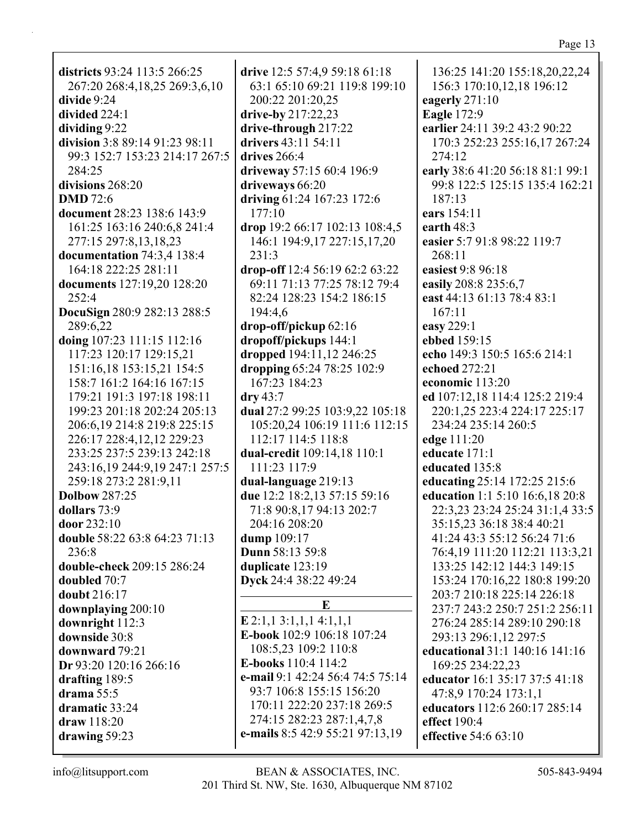| districts 93:24 113:5 266:25   | drive 12:5 57:4,9 59:18 61:18    | 136:25 141:20 155:18,20,22,24                                |
|--------------------------------|----------------------------------|--------------------------------------------------------------|
| 267:20 268:4,18,25 269:3,6,10  | 63:1 65:10 69:21 119:8 199:10    | 156:3 170:10,12,18 196:12                                    |
| divide 9:24                    | 200:22 201:20,25                 | eagerly 271:10                                               |
| divided 224:1                  | drive-by 217:22,23               | <b>Eagle 172:9</b>                                           |
| dividing 9:22                  | drive-through 217:22             | earlier 24:11 39:2 43:2 90:22                                |
| division 3:8 89:14 91:23 98:11 | drivers 43:11 54:11              | 170:3 252:23 255:16,17 267:24                                |
| 99:3 152:7 153:23 214:17 267:5 | drives 266:4                     | 274:12                                                       |
| 284:25                         | driveway 57:15 60:4 196:9        | early 38:6 41:20 56:18 81:1 99:1                             |
| divisions 268:20               | driveways 66:20                  | 99:8 122:5 125:15 135:4 162:21                               |
| <b>DMD</b> 72:6                | driving 61:24 167:23 172:6       | 187:13                                                       |
| document 28:23 138:6 143:9     | 177:10                           | ears 154:11                                                  |
| 161:25 163:16 240:6,8 241:4    | drop 19:2 66:17 102:13 108:4,5   | earth 48:3                                                   |
| 277:15 297:8,13,18,23          | 146:1 194:9,17 227:15,17,20      | easier 5:7 91:8 98:22 119:7                                  |
| documentation 74:3,4 138:4     | 231:3                            | 268:11                                                       |
| 164:18 222:25 281:11           | drop-off 12:4 56:19 62:2 63:22   | easiest 9:8 96:18                                            |
| documents 127:19,20 128:20     | 69:11 71:13 77:25 78:12 79:4     | easily 208:8 235:6,7                                         |
| 252:4                          | 82:24 128:23 154:2 186:15        | east 44:13 61:13 78:4 83:1                                   |
| DocuSign 280:9 282:13 288:5    | 194:4,6                          | 167:11                                                       |
| 289:6,22                       | drop-off/pickup 62:16            | easy 229:1                                                   |
| doing 107:23 111:15 112:16     | dropoff/pickups 144:1            | ebbed 159:15                                                 |
| 117:23 120:17 129:15,21        | dropped 194:11,12 246:25         | echo 149:3 150:5 165:6 214:1                                 |
| 151:16,18 153:15,21 154:5      | dropping 65:24 78:25 102:9       | echoed 272:21                                                |
| 158:7 161:2 164:16 167:15      | 167:23 184:23                    | economic 113:20                                              |
| 179:21 191:3 197:18 198:11     | $\mathbf{dry}\,43:7$             | ed 107:12,18 114:4 125:2 219:4                               |
| 199:23 201:18 202:24 205:13    | dual 27:2 99:25 103:9,22 105:18  | 220:1,25 223:4 224:17 225:17                                 |
| 206:6, 19 214:8 219:8 225:15   | 105:20,24 106:19 111:6 112:15    | 234:24 235:14 260:5                                          |
| 226:17 228:4,12,12 229:23      | 112:17 114:5 118:8               | edge 111:20                                                  |
| 233:25 237:5 239:13 242:18     | dual-credit 109:14,18 110:1      | educate 171:1                                                |
| 243:16,19 244:9,19 247:1 257:5 | 111:23 117:9                     | educated 135:8                                               |
| 259:18 273:2 281:9,11          | dual-language 219:13             | educating 25:14 172:25 215:6                                 |
| <b>Dolbow 287:25</b>           | due 12:2 18:2,13 57:15 59:16     | education 1:1 5:10 16:6,18 20:8                              |
| dollars 73:9                   | 71:8 90:8,17 94:13 202:7         | 22:3,23 23:24 25:24 31:1,4 33:5                              |
| door 232:10                    | 204:16 208:20                    | 35:15,23 36:18 38:4 40:21                                    |
| double 58:22 63:8 64:23 71:13  | dump 109:17                      | 41:24 43:3 55:12 56:24 71:6                                  |
| 236:8                          | Dunn 58:13 59:8                  | 76:4,19 111:20 112:21 113:3,21                               |
| double-check 209:15 286:24     | duplicate 123:19                 | 133:25 142:12 144:3 149:15                                   |
| doubled 70:7                   |                                  | 153:24 170:16,22 180:8 199:20                                |
| doubt 216:17                   | Dyck 24:4 38:22 49:24            |                                                              |
|                                | E                                | 203:7 210:18 225:14 226:18<br>237:7 243:2 250:7 251:2 256:11 |
| downplaying 200:10             | $E$ 2:1,1 3:1,1,1 4:1,1,1        | 276:24 285:14 289:10 290:18                                  |
| downright 112:3                | E-book 102:9 106:18 107:24       |                                                              |
| downside 30:8                  | 108:5,23 109:2 110:8             | 293:13 296:1,12 297:5<br>educational 31:1 140:16 141:16      |
| downward 79:21                 | E-books 110:4 114:2              |                                                              |
| Dr 93:20 120:16 266:16         | e-mail 9:1 42:24 56:4 74:5 75:14 | 169:25 234:22,23                                             |
| drafting 189:5                 | 93:7 106:8 155:15 156:20         | educator 16:1 35:17 37:5 41:18                               |
| drama $55:5$                   | 170:11 222:20 237:18 269:5       | 47:8,9 170:24 173:1,1                                        |
| dramatic 33:24                 | 274:15 282:23 287:1,4,7,8        | educators 112:6 260:17 285:14                                |
| draw 118:20                    | e-mails 8:5 42:9 55:21 97:13,19  | effect 190:4                                                 |
| drawing 59:23                  |                                  | effective 54:6 63:10                                         |
|                                |                                  |                                                              |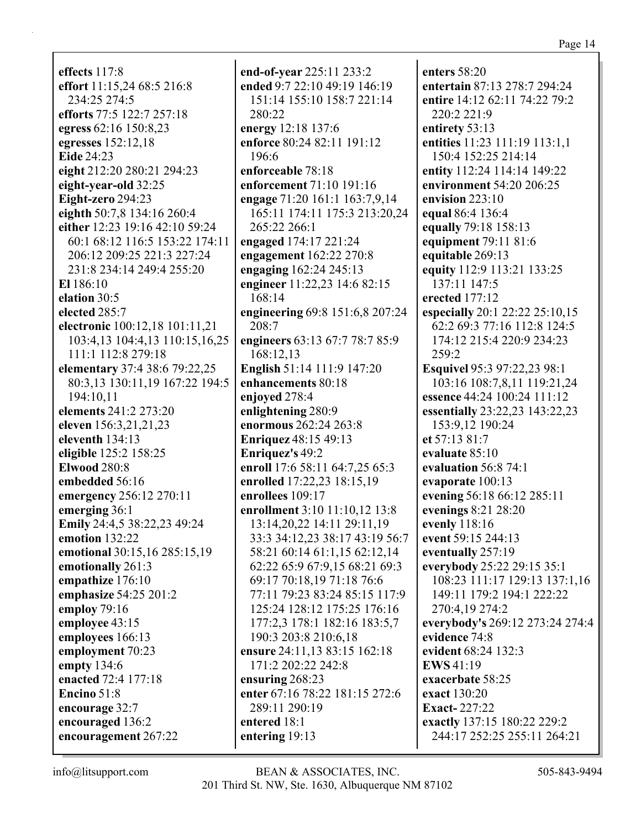effects  $117:8$ effort 11:15,24 68:5 216:8 234:25 274:5 efforts 77:5 122:7 257:18 egress 62:16 150:8,23 egresses  $152:12.18$ **Eide** 24:23 eight 212:20 280:21 294:23 eight-year-old 32:25 Eight-zero 294:23 eighth 50:7,8 134:16 260:4 either 12:23 19:16 42:10 59:24 60:1 68:12 116:5 153:22 174:11 206:12 209:25 221:3 227:24 231:8 234:14 249:4 255:20 El  $186:10$ elation 30:5 elected 285:7 electronic 100:12,18 101:11,21 103:4,13 104:4,13 110:15,16,25 111:1 112:8 279:18 elementary 37:4 38:6 79:22,25 80:3,13 130:11,19 167:22 194:5 194:10,11 elements 241:2 273:20 eleven 156:3,21,21,23 eleventh  $134:13$ eligible 125:2 158:25 **Elwood 280:8** embedded 56:16 emergency 256:12 270:11 emerging 36:1 Emily 24:4,5 38:22,23 49:24 emotion  $132:22$ emotional 30:15,16 285:15,19 emotionally 261:3 empathize 176:10 emphasize 54:25 201:2 employ  $79:16$ employee 43:15 employees 166:13 employment 70:23 empty  $134:6$ enacted 72:4 177:18 Encino  $51:8$ encourage 32:7 encouraged 136:2 encouragement 267:22

end-of-year 225:11 233:2 ended 9:7 22:10 49:19 146:19 151:14 155:10 158:7 221:14 280:22 energy 12:18 137:6 enforce 80:24 82:11 191:12 196:6 enforceable 78:18 enforcement 71:10 191:16 engage 71:20 161:1 163:7,9,14 165:11 174:11 175:3 213:20,24 265:22 266:1 engaged 174:17 221:24 engagement 162:22 270:8 engaging 162:24 245:13 engineer 11:22,23 14:6 82:15 168:14 engineering 69:8 151:6,8 207:24 208:7 engineers 63:13 67:7 78:7 85:9 168:12,13 English 51:14 111:9 147:20 enhancements 80:18 enjoyed 278:4 enlightening 280:9 enormous 262:24 263:8 **Enriquez** 48:15 49:13 **Enriquez's 49:2** enroll 17:6 58:11 64:7.25 65:3 enrolled 17:22,23 18:15,19 enrollees 109:17 enrollment 3:10 11:10,12 13:8 13:14,20,22 14:11 29:11,19 33:3 34:12,23 38:17 43:19 56:7 58:21 60:14 61:1,15 62:12,14 62:22 65:9 67:9,15 68:21 69:3 69:17 70:18,19 71:18 76:6 77:11 79:23 83:24 85:15 117:9 125:24 128:12 175:25 176:16 177:2,3 178:1 182:16 183:5,7 190:3 203:8 210:6,18 ensure 24:11,13 83:15 162:18 171:2 202:22 242:8 ensuring  $268:23$ enter 67:16 78:22 181:15 272:6 289:11 290:19 entered 18:1 entering 19:13

enters  $58:20$ entertain 87:13 278:7 294:24 entire 14:12 62:11 74:22 79:2 220:2 221:9 entirety 53:13 entities 11:23 111:19 113:1,1 150:4 152:25 214:14 entity 112:24 114:14 149:22 environment 54:20 206:25 envision  $223:10$ equal 86:4 136:4 equally 79:18 158:13 equipment 79:11 81:6 equitable 269:13 equity 112:9 113:21 133:25 137:11 147:5 erected 177:12 especially 20:1 22:22 25:10,15 62:2 69:3 77:16 112:8 124:5 174:12 215:4 220:9 234:23  $259:2$ **Esquivel 95:3 97:22,23 98:1** 103:16 108:7,8,11 119:21,24 essence 44:24 100:24 111:12 essentially 23:22,23 143:22,23 153:9,12 190:24 et  $57:13.81:7$ evaluate 85:10 evaluation  $56:8$  74:1 evaporate 100:13 evening 56:18 66:12 285:11 evenings  $8:21$  28:20 evenly 118:16 event 59:15 244:13 eventually 257:19 everybody 25:22 29:15 35:1 108:23 111:17 129:13 137:1,16 149:11 179:2 194:1 222:22 270:4,19 274:2 everybody's 269:12 273:24 274:4 evidence 74:8 evident 68:24 132:3 **EWS** 41:19 exacerbate 58:25 exact 130:20 **Exact-227:22** exactly 137:15 180:22 229:2 244:17 252:25 255:11 264:21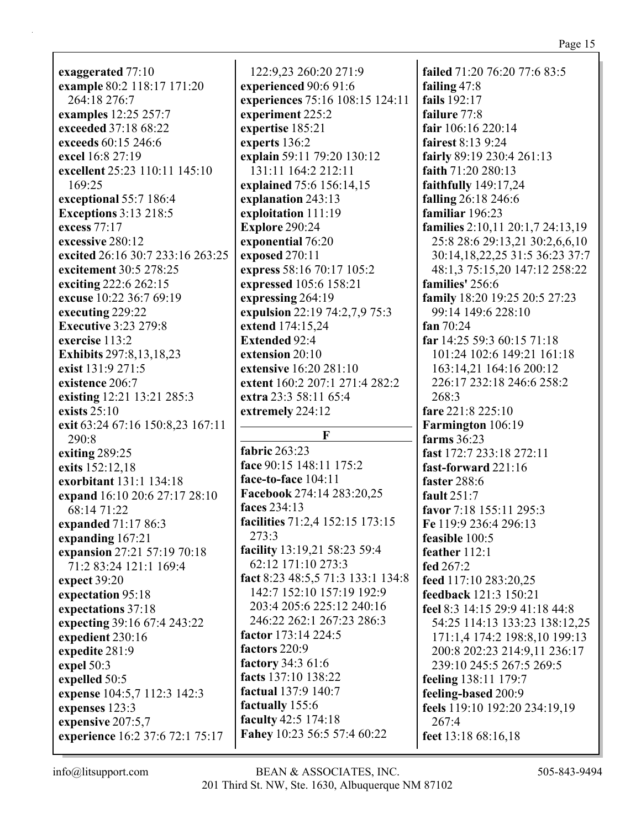**exaggerated** 77:10 **example** 80:2 118:17 171:20 264:18 276:7 **examples** 12:25 257:7 **exceeded** 37:18 68:22 **exceeds** 60:15 246:6 **excel** 16:8 27:19 **excellent** 25:23 110:11 145:10 169:25 **exceptional** 55:7 186:4 **Exceptions** 3:13 218:5 **excess** 77:17 **excessive** 280:12 **excited** 26:16 30:7 233:16 263:25 **excitement** 30:5 278:25 **exciting** 222:6 262:15 **excuse** 10:22 36:7 69:19 **executing** 229:22 **Executive** 3:23 279:8 **exercise** 113:2 **Exhibits** 297:8,13,18,23 **exist** 131:9 271:5 **existence** 206:7 **existing** 12:21 13:21 285:3 **exists** 25:10 **exit** 63:24 67:16 150:8,23 167:11 290:8 **exiting** 289:25 **exits** 152:12,18 **exorbitant** 131:1 134:18 **expand** 16:10 20:6 27:17 28:10 68:14 71:22 **expanded** 71:17 86:3 **expanding** 167:21 **expansion** 27:21 57:19 70:18 71:2 83:24 121:1 169:4 **expect** 39:20 **expectation** 95:18 **expectations** 37:18 **expecting** 39:16 67:4 243:22 **expedient** 230:16 **expedite** 281:9 **expel** 50:3 **expelled** 50:5 **expense** 104:5,7 112:3 142:3 **expenses** 123:3 **expensive** 207:5,7 **experience** 16:2 37:6 72:1 75:17

122:9,23 260:20 271:9 **experienced** 90:6 91:6 **experiences** 75:16 108:15 124:11 **experiment** 225:2 **expertise** 185:21 **experts** 136:2 **explain** 59:11 79:20 130:12 131:11 164:2 212:11 **explained** 75:6 156:14,15 **explanation** 243:13 **exploitation** 111:19 **Explore** 290:24 **exponential** 76:20 **exposed** 270:11 **express** 58:16 70:17 105:2 **expressed** 105:6 158:21 **expressing** 264:19 **expulsion** 22:19 74:2,7,9 75:3 **extend** 174:15,24 **Extended** 92:4 **extension** 20:10 **extensive** 16:20 281:10 **extent** 160:2 207:1 271:4 282:2 **extra** 23:3 58:11 65:4 **extremely** 224:12 **F fabric** 263:23 **face** 90:15 148:11 175:2 **face-to-face** 104:11 **Facebook** 274:14 283:20,25 **faces** 234:13 **facilities** 71:2,4 152:15 173:15 273:3 **facility** 13:19,21 58:23 59:4 62:12 171:10 273:3 **fact** 8:23 48:5,5 71:3 133:1 134:8 142:7 152:10 157:19 192:9 203:4 205:6 225:12 240:16 246:22 262:1 267:23 286:3 **factor** 173:14 224:5 **factors** 220:9 **factory** 34:3 61:6

**failed** 71:20 76:20 77:6 83:5 **failing** 47:8 **fails** 192:17 **failure** 77:8 **fair** 106:16 220:14 **fairest** 8:13 9:24 **fairly** 89:19 230:4 261:13 **faith** 71:20 280:13 **faithfully** 149:17,24 **falling** 26:18 246:6 **familiar** 196:23 **families** 2:10,11 20:1,7 24:13,19 25:8 28:6 29:13,21 30:2,6,6,10 30:14,18,22,25 31:5 36:23 37:7 48:1,3 75:15,20 147:12 258:22 **families'** 256:6 **family** 18:20 19:25 20:5 27:23 99:14 149:6 228:10 **fan** 70:24 **far** 14:25 59:3 60:15 71:18 101:24 102:6 149:21 161:18 163:14,21 164:16 200:12 226:17 232:18 246:6 258:2 268:3 **fare** 221:8 225:10 **Farmington** 106:19 **farms** 36:23 **fast** 172:7 233:18 272:11 **fast-forward** 221:16 **faster** 288:6 **fault** 251:7 **favor** 7:18 155:11 295:3 **Fe** 119:9 236:4 296:13 **feasible** 100:5 **feather** 112:1 **fed** 267:2 **feed** 117:10 283:20,25 **feedback** 121:3 150:21 **feel** 8:3 14:15 29:9 41:18 44:8 54:25 114:13 133:23 138:12,25 171:1,4 174:2 198:8,10 199:13 200:8 202:23 214:9,11 236:17 239:10 245:5 267:5 269:5 **feeling** 138:11 179:7 **feeling-based** 200:9 **feels** 119:10 192:20 234:19,19 267:4 **feet** 13:18 68:16,18

**Fahey** 10:23 56:5 57:4 60:22

**facts** 137:10 138:22 **factual** 137:9 140:7 **factually** 155:6 **faculty** 42:5 174:18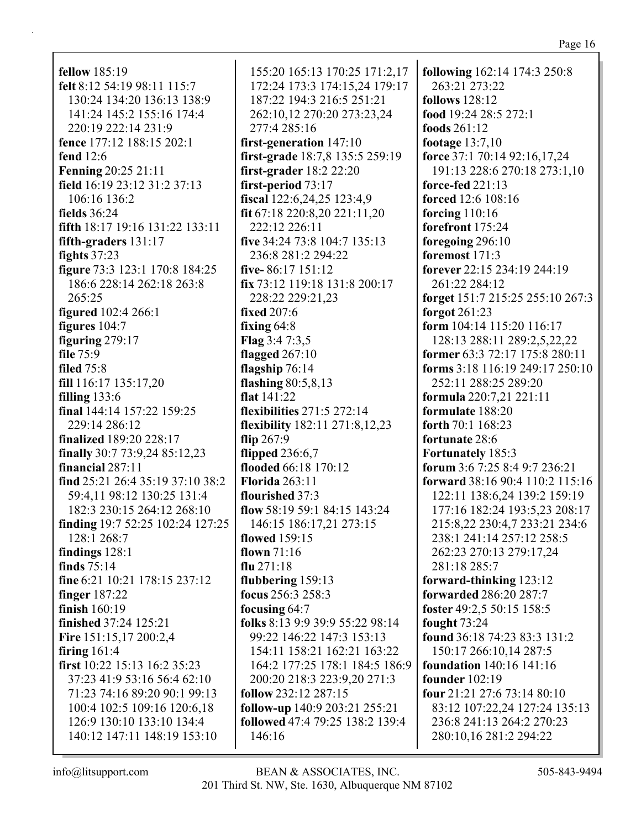fellow  $185:19$ felt 8:12 54:19 98:11 115:7 130:24 134:20 136:13 138:9 141:24 145:2 155:16 174:4 220:19 222:14 231:9 fence 177:12 188:15 202:1 fend  $12:6$ **Fenning 20:25 21:11** field 16:19 23:12 31:2 37:13 106:16 136:2 fields  $36:24$ **fifth** 18:17 19:16 131:22 133:11 fifth-graders 131:17 fights  $37:23$ figure 73:3 123:1 170:8 184:25 186:6 228:14 262:18 263:8  $265:25$ **figured** 102:4 266:1 figures  $104:7$ figuring  $279:17$ file  $75:9$ **filed** 75:8 fill 116:17 135:17,20 filling  $133:6$ final 144:14 157:22 159:25 229:14 286:12 finalized 189:20 228:17 finally 30:7 73:9,24 85:12,23 financial  $287:11$ find 25:21 26:4 35:19 37:10 38:2 59:4,11 98:12 130:25 131:4 182:3 230:15 264:12 268:10 finding 19:7 52:25 102:24 127:25 128:1 268:7 findings  $128:1$ finds  $75:14$ fine 6:21 10:21 178:15 237:12 finger  $187:22$ finish  $160:19$ **finished** 37:24 125:21 Fire 151:15,17 200:2,4 firing  $161:4$ first  $10:22$  15:13 16:2 35:23 37:23 41:9 53:16 56:4 62:10 71:23 74:16 89:20 90:1 99:13 100:4 102:5 109:16 120:6,18 126:9 130:10 133:10 134:4 140:12 147:11 148:19 153:10

155:20 165:13 170:25 171:2,17 172:24 173:3 174:15,24 179:17 187:22 194:3 216:5 251:21 262:10,12 270:20 273:23,24 277:4 285:16 first-generation  $147:10$ first-grade 18:7,8 135:5 259:19  $first\text{-}grader 18:2 22:20$ first-period  $73:17$ fiscal 122:6,24,25 123:4,9 fit 67:18 220:8,20 221:11,20 222:12 226:11 five 34:24 73:8 104:7 135:13 236:8 281:2 294:22 five-86:17 151:12 fix 73:12 119:18 131:8 200:17 228:22 229:21,23 **fixed 207:6** fixing  $64:8$ Flag  $3:47:3,5$ flagged  $267:10$ flagship  $76:14$ flashing  $80:5,8,13$ flat  $141:22$ flexibilities  $271:5272:14$ flexibility 182:11 271:8,12,23 flip  $267:9$ flipped  $236:6,7$ flooded 66:18 170:12 **Florida 263:11** flourished 37:3 flow 58:19 59:1 84:15 143:24 146:15 186:17,21 273:15 flowed 159:15 flown  $71:16$ flu  $271:18$ flubbering  $159:13$ focus  $256:3 258:3$ focusing  $64:7$ folks 8:13 9:9 39:9 55:22 98:14 99:22 146:22 147:3 153:13 154:11 158:21 162:21 163:22 164:2 177:25 178:1 184:5 186:9 200:20 218:3 223:9,20 271:3 follow 232:12 287:15 follow-up 140:9 203:21 255:21 **followed** 47:4 79:25 138:2 139:4  $146:16$ 

**following** 162:14 174:3 250:8 263:21 273:22 follows  $128:12$ food 19:24 28:5 272:1 foods  $261:12$ footage  $13:7,10$ force 37:1 70:14 92:16,17,24 191:13 228:6 270:18 273:1,10 force-fed  $221:13$ forced 12:6 108:16 forcing  $110:16$ forefront 175:24 foregoing 296:10 foremost  $171:3$ forever 22:15 234:19 244:19 261:22 284:12 forget 151:7 215:25 255:10 267:3 forgot  $261:23$ form  $104:14$  115:20 116:17 128:13 288:11 289:2,5,22,22 former 63:3 72:17 175:8 280:11 forms 3:18 116:19 249:17 250:10 252:11 288:25 289:20 formula 220:7,21 221:11 formulate 188:20 forth  $70:1168:23$ fortunate 28:6 **Fortunately 185:3** forum 3:6 7:25 8:4 9:7 236:21 forward 38:16 90:4 110:2 115:16 122:11 138:6,24 139:2 159:19 177:16 182:24 193:5,23 208:17 215:8,22 230:4,7 233:21 234:6 238:1 241:14 257:12 258:5 262:23 270:13 279:17,24 281:18 285:7 forward-thinking 123:12 **forwarded 286:20 287:7** foster 49:2,5 50:15 158:5 fought 73:24 found 36:18 74:23 83:3 131:2 150:17 266:10,14 287:5 **foundation**  $140:16$   $141:16$ **founder** 102:19 four  $21:21$  27:6 73:14 80:10 83:12 107:22,24 127:24 135:13 236:8 241:13 264:2 270:23 280:10,16 281:2 294:22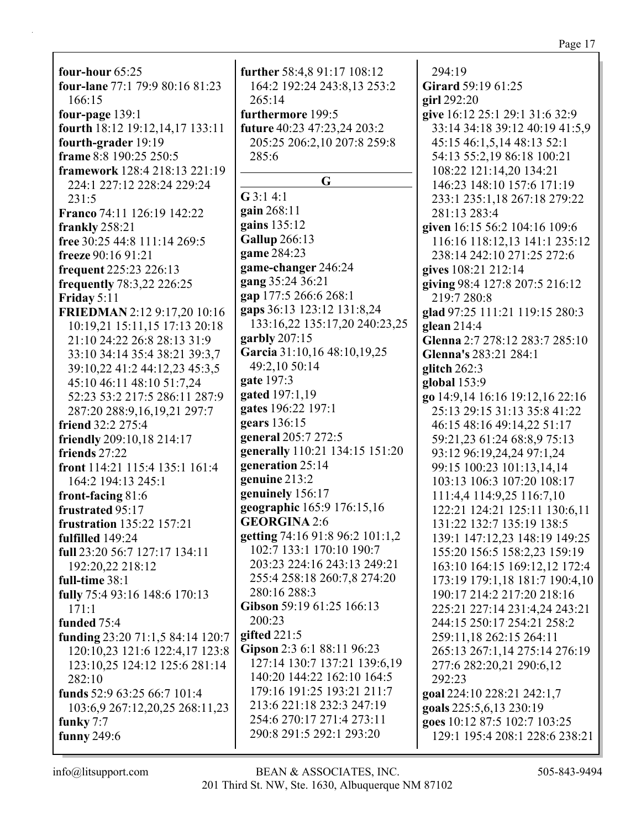**four-hour** 65:25 **four-lane** 77:1 79:9 80:16 81:23 166:15 **four-page** 139:1 **fourth** 18:12 19:12,14,17 133:11 **fourth-grader** 19:19 **frame** 8:8 190:25 250:5 **framework** 128:4 218:13 221:19 224:1 227:12 228:24 229:24 231:5 **Franco** 74:11 126:19 142:22 **frankly** 258:21 **free** 30:25 44:8 111:14 269:5 **freeze** 90:16 91:21 **frequent** 225:23 226:13 **frequently** 78:3,22 226:25 **Friday** 5:11 **FRIEDMAN** 2:12 9:17,20 10:16 10:19,21 15:11,15 17:13 20:18 21:10 24:22 26:8 28:13 31:9 33:10 34:14 35:4 38:21 39:3,7 39:10,22 41:2 44:12,23 45:3,5 45:10 46:11 48:10 51:7,24 52:23 53:2 217:5 286:11 287:9 287:20 288:9,16,19,21 297:7 **friend** 32:2 275:4 **friendly** 209:10,18 214:17 **friends** 27:22 **front** 114:21 115:4 135:1 161:4 164:2 194:13 245:1 **front-facing** 81:6 **frustrated** 95:17 **frustration** 135:22 157:21 **fulfilled** 149:24 **full** 23:20 56:7 127:17 134:11 192:20,22 218:12 **full-time** 38:1 **fully** 75:4 93:16 148:6 170:13 171:1 **funded** 75:4 **funding** 23:20 71:1,5 84:14 120:7 120:10,23 121:6 122:4,17 123:8 123:10,25 124:12 125:6 281:14 282:10 **funds** 52:9 63:25 66:7 101:4 103:6,9 267:12,20,25 268:11,23

**further** 58:4,8 91:17 108:12 164:2 192:24 243:8,13 253:2 265:14 **furthermore** 199:5 **future** 40:23 47:23,24 203:2 205:25 206:2,10 207:8 259:8 285:6 **G G** 3:1 4:1 **gain** 268:11 **gains** 135:12 **Gallup** 266:13 **game** 284:23 **game-changer** 246:24 **gang** 35:24 36:21 **gap** 177:5 266:6 268:1 **gaps** 36:13 123:12 131:8,24 133:16,22 135:17,20 240:23,25 **garbly** 207:15 **Garcia** 31:10,16 48:10,19,25 49:2,10 50:14 **gate** 197:3 **gated** 197:1,19 **gates** 196:22 197:1 **gears** 136:15 **general** 205:7 272:5 **generally** 110:21 134:15 151:20 **generation** 25:14 **genuine** 213:2 **genuinely** 156:17 **geographic** 165:9 176:15,16 **GEORGINA** 2:6 **getting** 74:16 91:8 96:2 101:1,2 102:7 133:1 170:10 190:7 203:23 224:16 243:13 249:21 255:4 258:18 260:7,8 274:20 280:16 288:3 **Gibson** 59:19 61:25 166:13 200:23 **gifted** 221:5 **Gipson** 2:3 6:1 88:11 96:23 127:14 130:7 137:21 139:6,19 140:20 144:22 162:10 164:5 179:16 191:25 193:21 211:7 213:6 221:18 232:3 247:19 254:6 270:17 271:4 273:11 290:8 291:5 292:1 293:20

294:19 **Girard** 59:19 61:25 **girl** 292:20 **give** 16:12 25:1 29:1 31:6 32:9 33:14 34:18 39:12 40:19 41:5,9 45:15 46:1,5,14 48:13 52:1 54:13 55:2,19 86:18 100:21 108:22 121:14,20 134:21 146:23 148:10 157:6 171:19 233:1 235:1,18 267:18 279:22 281:13 283:4 **given** 16:15 56:2 104:16 109:6 116:16 118:12,13 141:1 235:12 238:14 242:10 271:25 272:6 **gives** 108:21 212:14 **giving** 98:4 127:8 207:5 216:12 219:7 280:8 **glad** 97:25 111:21 119:15 280:3 **glean** 214:4 **Glenna** 2:7 278:12 283:7 285:10 **Glenna's** 283:21 284:1 **glitch** 262:3 **global** 153:9 **go** 14:9,14 16:16 19:12,16 22:16 25:13 29:15 31:13 35:8 41:22 46:15 48:16 49:14,22 51:17 59:21,23 61:24 68:8,9 75:13 93:12 96:19,24,24 97:1,24 99:15 100:23 101:13,14,14 103:13 106:3 107:20 108:17 111:4,4 114:9,25 116:7,10 122:21 124:21 125:11 130:6,11 131:22 132:7 135:19 138:5 139:1 147:12,23 148:19 149:25 155:20 156:5 158:2,23 159:19 163:10 164:15 169:12,12 172:4 173:19 179:1,18 181:7 190:4,10 190:17 214:2 217:20 218:16 225:21 227:14 231:4,24 243:21 244:15 250:17 254:21 258:2 259:11,18 262:15 264:11 265:13 267:1,14 275:14 276:19 277:6 282:20,21 290:6,12 292:23 **goal** 224:10 228:21 242:1,7 **goals** 225:5,6,13 230:19 **goes** 10:12 87:5 102:7 103:25 129:1 195:4 208:1 228:6 238:21

**funky** 7:7 **funny** 249:6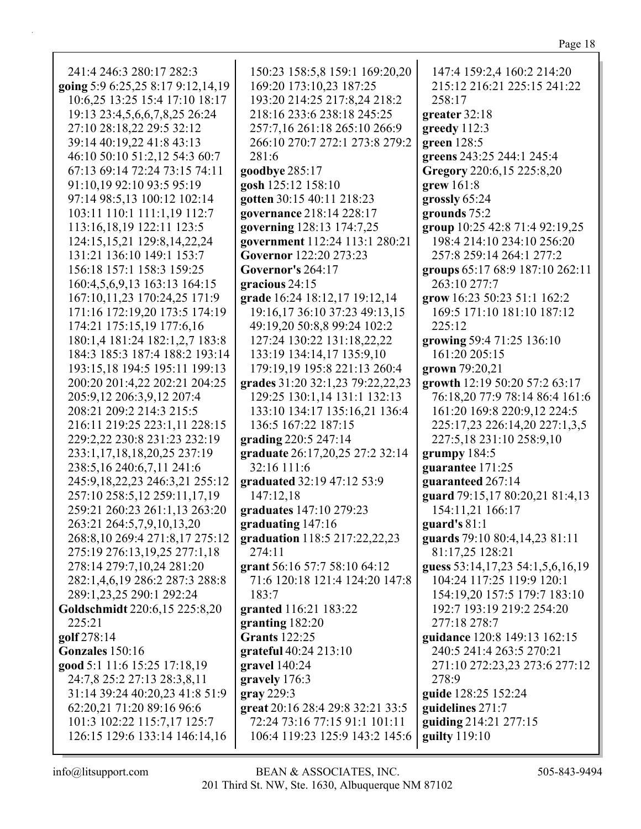| u. |  |
|----|--|
|    |  |

| 241:4 246:3 280:17 282:3          | 150:23 158:5,8 159:1 169:20,20   | 147:4 159:2,4 160:2 214:20       |
|-----------------------------------|----------------------------------|----------------------------------|
| going 5:9 6:25,25 8:17 9:12,14,19 | 169:20 173:10,23 187:25          | 215:12 216:21 225:15 241:22      |
| 10:6,25 13:25 15:4 17:10 18:17    | 193:20 214:25 217:8,24 218:2     | 258:17                           |
| 19:13 23:4,5,6,6,7,8,25 26:24     | 218:16 233:6 238:18 245:25       | greater 32:18                    |
| 27:10 28:18,22 29:5 32:12         | 257:7,16 261:18 265:10 266:9     | greedy 112:3                     |
| 39:14 40:19,22 41:8 43:13         | 266:10 270:7 272:1 273:8 279:2   | green $128:5$                    |
| 46:10 50:10 51:2,12 54:3 60:7     | 281:6                            |                                  |
|                                   |                                  | greens 243:25 244:1 245:4        |
| 67:13 69:14 72:24 73:15 74:11     | goodbye 285:17                   | Gregory 220:6,15 225:8,20        |
| 91:10,19 92:10 93:5 95:19         | gosh 125:12 158:10               | $grew 161:8$                     |
| 97:14 98:5,13 100:12 102:14       | gotten 30:15 40:11 218:23        | grossly 65:24                    |
| 103:11 110:1 111:1,19 112:7       | governance 218:14 228:17         | grounds 75:2                     |
| 113:16,18,19 122:11 123:5         | governing 128:13 174:7,25        | group 10:25 42:8 71:4 92:19,25   |
| 124:15,15,21 129:8,14,22,24       | government 112:24 113:1 280:21   | 198:4 214:10 234:10 256:20       |
| 131:21 136:10 149:1 153:7         | Governor 122:20 273:23           | 257:8 259:14 264:1 277:2         |
| 156:18 157:1 158:3 159:25         | <b>Governor's 264:17</b>         | groups 65:17 68:9 187:10 262:11  |
| 160:4,5,6,9,13 163:13 164:15      | gracious 24:15                   | 263:10 277:7                     |
| 167:10,11,23 170:24,25 171:9      | grade 16:24 18:12,17 19:12,14    | grow 16:23 50:23 51:1 162:2      |
| 171:16 172:19,20 173:5 174:19     | 19:16,17 36:10 37:23 49:13,15    | 169:5 171:10 181:10 187:12       |
| 174:21 175:15,19 177:6,16         | 49:19,20 50:8,8 99:24 102:2      | 225:12                           |
| 180:1,4 181:24 182:1,2,7 183:8    | 127:24 130:22 131:18,22,22       | growing 59:4 71:25 136:10        |
| 184:3 185:3 187:4 188:2 193:14    | 133:19 134:14,17 135:9,10        | 161:20 205:15                    |
| 193:15,18 194:5 195:11 199:13     | 179:19,19 195:8 221:13 260:4     | grown 79:20,21                   |
| 200:20 201:4,22 202:21 204:25     | grades 31:20 32:1,23 79:22,22,23 | growth 12:19 50:20 57:2 63:17    |
| 205:9,12 206:3,9,12 207:4         | 129:25 130:1,14 131:1 132:13     | 76:18,20 77:9 78:14 86:4 161:6   |
| 208:21 209:2 214:3 215:5          | 133:10 134:17 135:16,21 136:4    | 161:20 169:8 220:9,12 224:5      |
| 216:11 219:25 223:1,11 228:15     | 136:5 167:22 187:15              | 225:17,23 226:14,20 227:1,3,5    |
| 229:2,22 230:8 231:23 232:19      | grading 220:5 247:14             | 227:5,18 231:10 258:9,10         |
| 233:1,17,18,18,20,25 237:19       | graduate 26:17,20,25 27:2 32:14  | grumpy 184:5                     |
| 238:5, 16 240:6, 7, 11 241:6      | 32:16 111:6                      | guarantee 171:25                 |
| 245:9,18,22,23 246:3,21 255:12    | graduated 32:19 47:12 53:9       | guaranteed 267:14                |
| 257:10 258:5,12 259:11,17,19      | 147:12,18                        | guard 79:15,17 80:20,21 81:4,13  |
| 259:21 260:23 261:1,13 263:20     | graduates 147:10 279:23          | 154:11,21 166:17                 |
| 263:21 264:5,7,9,10,13,20         | graduating 147:16                | guard's $81:1$                   |
| 268:8,10 269:4 271:8,17 275:12    | graduation 118:5 217:22,22,23    | guards 79:10 80:4,14,23 81:11    |
| 275:19 276:13,19,25 277:1,18      | 274:11                           | 81:17,25 128:21                  |
| 278:14 279:7,10,24 281:20         | grant 56:16 57:7 58:10 64:12     | guess 53:14,17,23 54:1,5,6,16,19 |
| 282:1,4,6,19 286:2 287:3 288:8    | 71:6 120:18 121:4 124:20 147:8   | 104:24 117:25 119:9 120:1        |
| 289:1,23,25 290:1 292:24          | 183:7                            | 154:19,20 157:5 179:7 183:10     |
| Goldschmidt 220:6,15 225:8,20     | granted 116:21 183:22            | 192:7 193:19 219:2 254:20        |
| 225:21                            | granting 182:20                  | 277:18 278:7                     |
| golf 278:14                       | <b>Grants</b> 122:25             | guidance 120:8 149:13 162:15     |
| Gonzales 150:16                   | grateful $40:24$ $213:10$        | 240:5 241:4 263:5 270:21         |
| good 5:1 11:6 15:25 17:18,19      | gravel 140:24                    | 271:10 272:23,23 273:6 277:12    |
| 24:7,8 25:2 27:13 28:3,8,11       | gravely 176:3                    | 278:9                            |
| 31:14 39:24 40:20,23 41:8 51:9    | gray 229:3                       | guide 128:25 152:24              |
| 62:20,21 71:20 89:16 96:6         | great 20:16 28:4 29:8 32:21 33:5 | guidelines 271:7                 |
| 101:3 102:22 115:7,17 125:7       | 72:24 73:16 77:15 91:1 101:11    | guiding 214:21 277:15            |
| 126:15 129:6 133:14 146:14,16     | 106:4 119:23 125:9 143:2 145:6   | guilty $119:10$                  |
|                                   |                                  |                                  |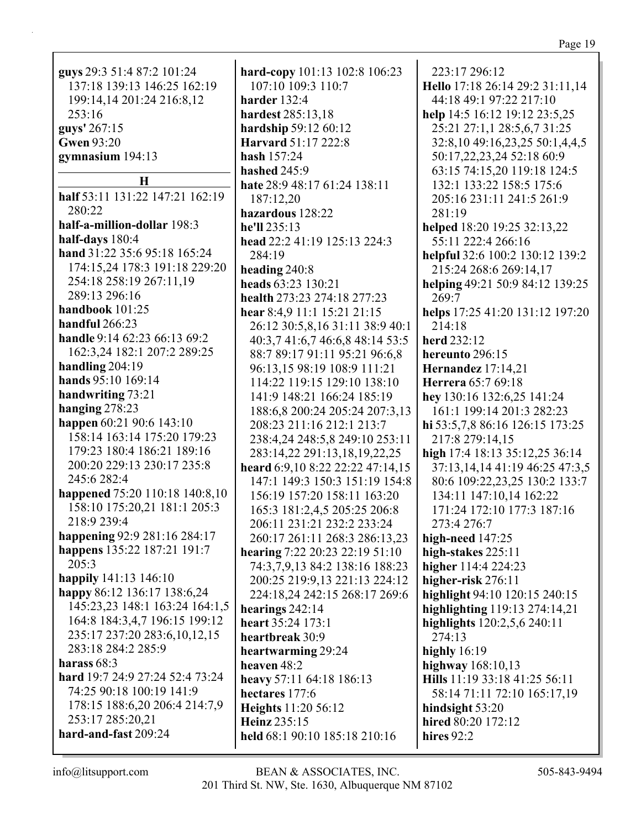| guys 29:3 51:4 87:2 101:24<br>137:18 139:13 146:25 162:19<br>199:14,14 201:24 216:8,12<br>253:16<br>guys' 267:15 | ł<br>ł<br>l<br>ł |
|------------------------------------------------------------------------------------------------------------------|------------------|
| <b>Gwen 93:20</b>                                                                                                |                  |
| gymnasium 194:13                                                                                                 | ł                |
|                                                                                                                  | ł                |
| Н                                                                                                                | ł                |
| half 53:11 131:22 147:21 162:19                                                                                  |                  |
| 280:22<br>half-a-million-dollar 198:3                                                                            | l                |
| half-days 180:4                                                                                                  | l                |
| hand 31:22 35:6 95:18 165:24                                                                                     | ł                |
| 174:15,24 178:3 191:18 229:20                                                                                    |                  |
| 254:18 258:19 267:11,19                                                                                          | ł<br>l           |
| 289:13 296:16                                                                                                    | ł                |
| handbook 101:25                                                                                                  | ł                |
| handful 266:23                                                                                                   |                  |
| handle 9:14 62:23 66:13 69:2                                                                                     |                  |
| 162:3,24 182:1 207:2 289:25                                                                                      |                  |
| handling 204:19                                                                                                  |                  |
| hands 95:10 169:14                                                                                               |                  |
| handwriting 73:21                                                                                                |                  |
| hanging 278:23                                                                                                   |                  |
| happen 60:21 90:6 143:10                                                                                         |                  |
| 158:14 163:14 175:20 179:23                                                                                      |                  |
| 179:23 180:4 186:21 189:16                                                                                       |                  |
| 200:20 229:13 230:17 235:8                                                                                       | ł                |
| 245:6 282:4                                                                                                      |                  |
| happened 75:20 110:18 140:8,10                                                                                   |                  |
| 158:10 175:20,21 181:1 205:3                                                                                     |                  |
| 218:9 239:4                                                                                                      |                  |
| happening 92:9 281:16 284:17<br>happens 135:22 187:21 191:7                                                      |                  |
| 205:3                                                                                                            | l                |
| happily 141:13 146:10                                                                                            |                  |
| happy 86:12 136:17 138:6,24                                                                                      |                  |
| 145:23,23 148:1 163:24 164:1,5                                                                                   | l                |
| 164:8 184:3,4,7 196:15 199:12                                                                                    | ł                |
| 235:17 237:20 283:6,10,12,15                                                                                     | ł                |
| 283:18 284:2 285:9                                                                                               | l                |
| harass 68:3                                                                                                      | ł                |
| hard 19:7 24:9 27:24 52:4 73:24                                                                                  | l                |
| 74:25 90:18 100:19 141:9                                                                                         | I                |
| 178:15 188:6,20 206:4 214:7,9                                                                                    | Ī                |
| 253:17 285:20,21                                                                                                 |                  |
| hard-and-fast 209:24                                                                                             |                  |

hard-copy 101:13 102:8 106:23 107:10 109:3 110:7 harder 132:4 hardest 285:13,18 hardship  $59:1260:12$ Harvard 51:17 222:8  $hash 157:24$ hashed  $245:9$ hate 28:9 48:17 61:24 138:11 187:12.20 hazardous 128:22 he'll 235:13 head 22:2 41:19 125:13 224:3 284:19 heading  $240:8$ heads  $63:23$   $130:21$ health 273:23 274:18 277:23 hear 8:4.9 11:1 15:21 21:15 26:12 30:5,8,16 31:11 38:9 40:1 40:3,7 41:6,7 46:6,8 48:14 53:5 88:7 89:17 91:11 95:21 96:6,8 96:13,15 98:19 108:9 111:21 114:22 119:15 129:10 138:10 141:9 148:21 166:24 185:19 188:6.8 200:24 205:24 207:3.13 208:23 211:16 212:1 213:7 238:4,24 248:5,8 249:10 253:11 283:14,22 291:13,18,19,22,25 heard 6:9,10 8:22 22:22 47:14,15 147:1 149:3 150:3 151:19 154:8 156:19 157:20 158:11 163:20 165:3 181:2,4,5 205:25 206:8 206:11 231:21 232:2 233:24 260:17 261:11 268:3 286:13,23 hearing 7:22 20:23 22:19 51:10 74:3.7.9.13 84:2 138:16 188:23 200:25 219:9,13 221:13 224:12 224:18,24 242:15 268:17 269:6 hearings  $242:14$ heart  $35:24$   $173:1$ heartbreak 30:9 heartwarming 29:24 heaven 48:2 heavy 57:11 64:18 186:13 hectares  $177:6$ Heights 11:20 56:12 Heinz 235:15 held 68:1 90:10 185:18 210:16

223:17 296:12 Hello 17:18 26:14 29:2 31:11,14 44:18 49:1 97:22 217:10 help 14:5 16:12 19:12 23:5,25 25:21 27:1,1 28:5,6,7 31:25 32:8,10 49:16,23,25 50:1,4,4,5 50:17.22.23.24 52:18 60:9 63:15 74:15,20 119:18 124:5 132:1 133:22 158:5 175:6 205:16 231:11 241:5 261:9 281:19 helped 18:20 19:25 32:13,22 55:11 222:4 266:16 helpful 32:6 100:2 130:12 139:2 215:24 268:6 269:14,17 helping 49:21 50:9 84:12 139:25 269:7 helps  $17:25$  41:20 131:12 197:20  $214:18$ herd 232:12 hereunto 296:15 **Hernandez** 17:14,21 **Herrera** 65:7 69:18 hey 130:16 132:6,25 141:24 161:1 199:14 201:3 282:23 hi 53:5,7,8 86:16 126:15 173:25 217:8 279:14.15 high  $17:4$  18:13 35:12,25 36:14 37:13,14,14 41:19 46:25 47:3,5 80:6 109:22,23,25 130:2 133:7 134:11 147:10,14 162:22 171:24 172:10 177:3 187:16 273:4 276:7 high-need  $147:25$ high-stakes  $225:11$ higher  $114:4224:23$ higher-risk 276:11 highlight 94:10 120:15 240:15 highlighting  $119:13274:14,21$ highlights 120:2,5,6 240:11 274:13 highly  $16:19$ highway  $168:10,13$ Hills 11:19 33:18 41:25 56:11 58:14 71:11 72:10 165:17,19 hindsight 53:20 hired 80:20 172:12 hires  $92:2$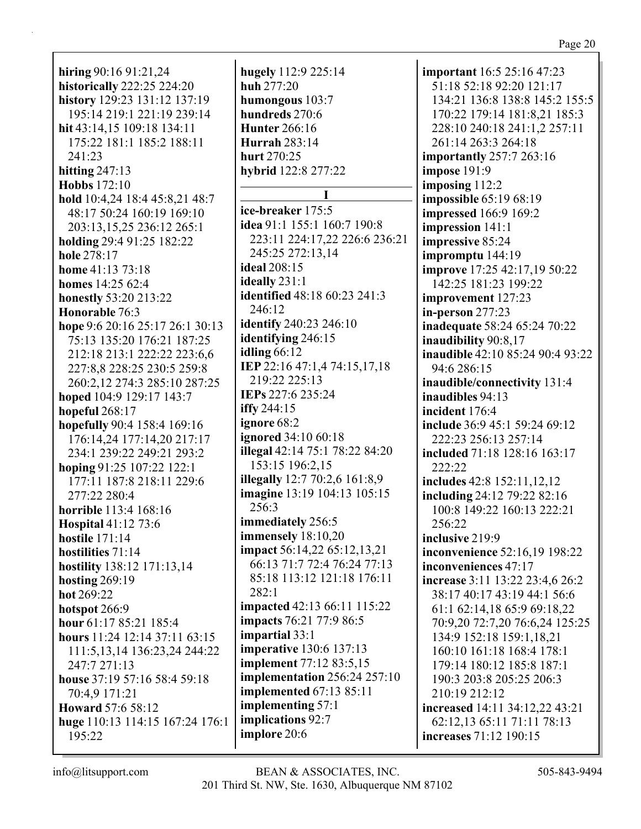**hiring** 90:16 91:21,24 **historically** 222:25 224:20 **history** 129:23 131:12 137:19 195:14 219:1 221:19 239:14 **hit** 43:14,15 109:18 134:11 175:22 181:1 185:2 188:11 241:23 **hitting** 247:13 **Hobbs** 172:10 **hold** 10:4,24 18:4 45:8,21 48:7 48:17 50:24 160:19 169:10 203:13,15,25 236:12 265:1 **holding** 29:4 91:25 182:22 **hole** 278:17 **home** 41:13 73:18 **homes** 14:25 62:4 **honestly** 53:20 213:22 **Honorable** 76:3 **hope** 9:6 20:16 25:17 26:1 30:13 75:13 135:20 176:21 187:25 212:18 213:1 222:22 223:6,6 227:8,8 228:25 230:5 259:8 260:2,12 274:3 285:10 287:25 **hoped** 104:9 129:17 143:7 **hopeful** 268:17 **hopefully** 90:4 158:4 169:16 176:14,24 177:14,20 217:17 234:1 239:22 249:21 293:2 **hoping** 91:25 107:22 122:1 177:11 187:8 218:11 229:6 277:22 280:4 **horrible** 113:4 168:16 **Hospital** 41:12 73:6 **hostile** 171:14 **hostilities** 71:14 **hostility** 138:12 171:13,14 **hosting** 269:19 **hot** 269:22 **hotspot** 266:9 **hour** 61:17 85:21 185:4 **hours** 11:24 12:14 37:11 63:15 111:5,13,14 136:23,24 244:22 247:7 271:13 **house** 37:19 57:16 58:4 59:18 70:4,9 171:21 **Howard** 57:6 58:12 **huge** 110:13 114:15 167:24 176:1 195:22

**hugely** 112:9 225:14 **huh** 277:20 **humongous** 103:7 **hundreds** 270:6 **Hunter** 266:16 **Hurrah** 283:14 **hurt** 270:25 **hybrid** 122:8 277:22 **I ice-breaker** 175:5 **idea** 91:1 155:1 160:7 190:8 223:11 224:17,22 226:6 236:21 245:25 272:13,14 **ideal** 208:15 **ideally** 231:1 **identified** 48:18 60:23 241:3 246:12 **identify** 240:23 246:10 **identifying** 246:15 **idling** 66:12 **IEP** 22:16 47:1,4 74:15,17,18 219:22 225:13 **IEPs** 227:6 235:24 **iffy** 244:15 **ignore** 68:2 **ignored** 34:10 60:18 **illegal** 42:14 75:1 78:22 84:20 153:15 196:2,15 **illegally** 12:7 70:2,6 161:8,9 **imagine** 13:19 104:13 105:15 256:3 **immediately** 256:5 **immensely** 18:10,20 **impact** 56:14,22 65:12,13,21 66:13 71:7 72:4 76:24 77:13 85:18 113:12 121:18 176:11 282:1 **impacted** 42:13 66:11 115:22 **impacts** 76:21 77:9 86:5 **impartial** 33:1 **imperative** 130:6 137:13 **implement** 77:12 83:5,15 **implementation** 256:24 257:10 **implemented** 67:13 85:11 **implementing** 57:1 **implications** 92:7 **implore** 20:6

**important** 16:5 25:16 47:23 51:18 52:18 92:20 121:17 134:21 136:8 138:8 145:2 155:5 170:22 179:14 181:8,21 185:3 228:10 240:18 241:1,2 257:11 261:14 263:3 264:18 **importantly** 257:7 263:16 **impose** 191:9 **imposing** 112:2 **impossible** 65:19 68:19 **impressed** 166:9 169:2 **impression** 141:1 **impressive** 85:24 **impromptu** 144:19 **improve** 17:25 42:17,19 50:22 142:25 181:23 199:22 **improvement** 127:23 **in-person** 277:23 **inadequate** 58:24 65:24 70:22 **inaudibility** 90:8,17 **inaudible** 42:10 85:24 90:4 93:22 94:6 286:15 **inaudible/connectivity** 131:4 **inaudibles** 94:13 **incident** 176:4 **include** 36:9 45:1 59:24 69:12 222:23 256:13 257:14 **included** 71:18 128:16 163:17 222:22 **includes** 42:8 152:11,12,12 **including** 24:12 79:22 82:16 100:8 149:22 160:13 222:21 256:22 **inclusive** 219:9 **inconvenience** 52:16,19 198:22 **inconveniences** 47:17 **increase** 3:11 13:22 23:4,6 26:2 38:17 40:17 43:19 44:1 56:6 61:1 62:14,18 65:9 69:18,22 70:9,20 72:7,20 76:6,24 125:25 134:9 152:18 159:1,18,21 160:10 161:18 168:4 178:1 179:14 180:12 185:8 187:1 190:3 203:8 205:25 206:3 210:19 212:12 **increased** 14:11 34:12,22 43:21 62:12,13 65:11 71:11 78:13 **increases** 71:12 190:15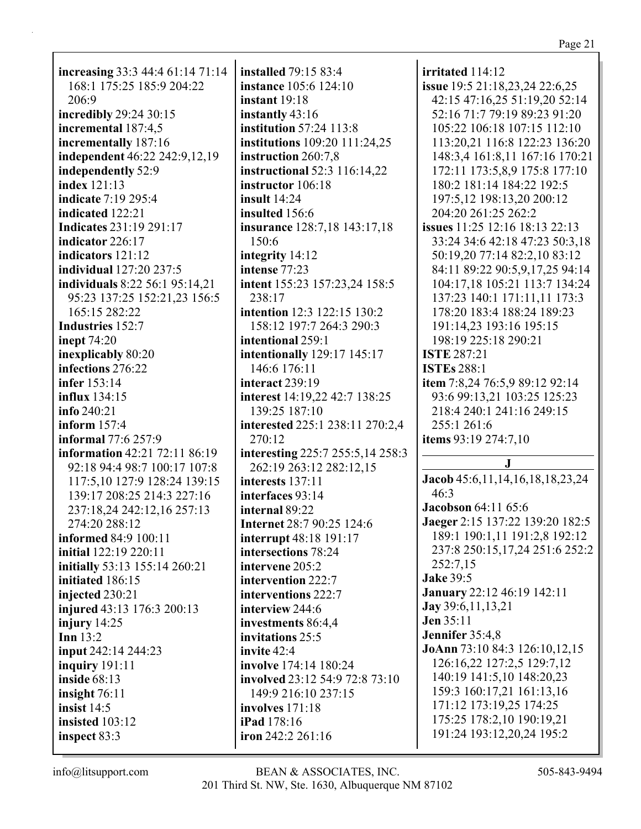**increasing** 33:3 44:4 61:14 71:14 168:1 175:25 185:9 204:22 206:9 **incredibly** 29:24 30:15 **incremental** 187:4,5 **incrementally** 187:16 **independent** 46:22 242:9,12,19 **independently** 52:9 **index** 121:13 **indicate** 7:19 295:4 **indicated** 122:21 **Indicates** 231:19 291:17 **indicator** 226:17 **indicators** 121:12 **individual** 127:20 237:5 **individuals** 8:22 56:1 95:14,21 95:23 137:25 152:21,23 156:5 165:15 282:22 **Industries** 152:7 **inept** 74:20 **inexplicably** 80:20 **infections** 276:22 **infer** 153:14 **influx** 134:15 **info** 240:21 **inform** 157:4 **informal** 77:6 257:9 **information** 42:21 72:11 86:19 92:18 94:4 98:7 100:17 107:8 117:5,10 127:9 128:24 139:15 139:17 208:25 214:3 227:16 237:18,24 242:12,16 257:13 274:20 288:12 **informed** 84:9 100:11 **initial** 122:19 220:11 **initially** 53:13 155:14 260:21 **initiated** 186:15 **injected** 230:21 **injured** 43:13 176:3 200:13 **injury** 14:25 **Inn** 13:2 **input** 242:14 244:23 **inquiry** 191:11 **inside** 68:13 **insight** 76:11 **insist** 14:5 **insisted** 103:12 **inspect** 83:3

**installed** 79:15 83:4 **instance** 105:6 124:10 **instant** 19:18 **instantly** 43:16 **institution** 57:24 113:8 **institutions** 109:20 111:24,25 **instruction** 260:7,8 **instructional** 52:3 116:14,22 **instructor** 106:18 **insult** 14:24 **insulted** 156:6 **insurance** 128:7,18 143:17,18 150:6 **integrity** 14:12 **intense** 77:23 **intent** 155:23 157:23,24 158:5 238:17 **intention** 12:3 122:15 130:2 158:12 197:7 264:3 290:3 **intentional** 259:1 **intentionally** 129:17 145:17 146:6 176:11 **interact** 239:19 **interest** 14:19,22 42:7 138:25 139:25 187:10 **interested** 225:1 238:11 270:2,4 270:12 **interesting** 225:7 255:5,14 258:3 262:19 263:12 282:12,15 **interests** 137:11 **interfaces** 93:14 **internal** 89:22 **Internet** 28:7 90:25 124:6 **interrupt** 48:18 191:17 **intersections** 78:24 **intervene** 205:2 **intervention** 222:7 **interventions** 222:7 **interview** 244:6 **investments** 86:4,4 **invitations** 25:5 **invite** 42:4 **involve** 174:14 180:24 **involved** 23:12 54:9 72:8 73:10 149:9 216:10 237:15 **involves** 171:18 **iPad** 178:16 **iron** 242:2 261:16

**irritated** 114:12 **issue** 19:5 21:18,23,24 22:6,25 42:15 47:16,25 51:19,20 52:14 52:16 71:7 79:19 89:23 91:20 105:22 106:18 107:15 112:10 113:20,21 116:8 122:23 136:20 148:3,4 161:8,11 167:16 170:21 172:11 173:5,8,9 175:8 177:10 180:2 181:14 184:22 192:5 197:5,12 198:13,20 200:12 204:20 261:25 262:2 **issues** 11:25 12:16 18:13 22:13 33:24 34:6 42:18 47:23 50:3,18 50:19,20 77:14 82:2,10 83:12 84:11 89:22 90:5,9,17,25 94:14 104:17,18 105:21 113:7 134:24 137:23 140:1 171:11,11 173:3 178:20 183:4 188:24 189:23 191:14,23 193:16 195:15 198:19 225:18 290:21 **ISTE** 287:21 **ISTEs** 288:1 **item** 7:8,24 76:5,9 89:12 92:14 93:6 99:13,21 103:25 125:23 218:4 240:1 241:16 249:15 255:1 261:6 **items** 93:19 274:7,10 **J Jacob** 45:6,11,14,16,18,18,23,24 46:3 **Jacobson** 64:11 65:6 **Jaeger** 2:15 137:22 139:20 182:5 189:1 190:1,11 191:2,8 192:12 237:8 250:15,17,24 251:6 252:2 252:7,15 **Jake** 39:5 **January** 22:12 46:19 142:11 **Jay** 39:6,11,13,21 **Jen** 35:11 **Jennifer** 35:4,8 **JoAnn** 73:10 84:3 126:10,12,15 126:16,22 127:2,5 129:7,12 140:19 141:5,10 148:20,23 159:3 160:17,21 161:13,16 171:12 173:19,25 174:25 175:25 178:2,10 190:19,21 191:24 193:12,20,24 195:2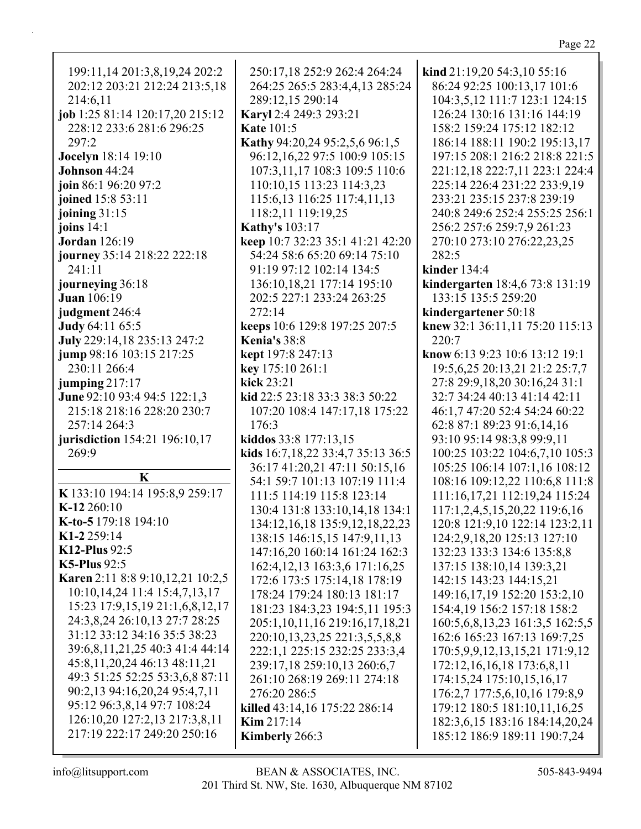| 199:11,14 201:3,8,19,24 202:2    | 250:17,18 252:9 262:4 264:24      | kind 21:19,20 54:3,10 55:16             |
|----------------------------------|-----------------------------------|-----------------------------------------|
| 202:12 203:21 212:24 213:5,18    | 264:25 265:5 283:4,4,13 285:24    | 86:24 92:25 100:13,17 101:6             |
| 214:6,11                         | 289:12,15 290:14                  | 104:3,5,12 111:7 123:1 124:15           |
| job 1:25 81:14 120:17,20 215:12  | Karyl 2:4 249:3 293:21            | 126:24 130:16 131:16 144:19             |
| 228:12 233:6 281:6 296:25        | <b>Kate 101:5</b>                 | 158:2 159:24 175:12 182:12              |
| 297:2                            | Kathy 94:20,24 95:2,5,6 96:1,5    | 186:14 188:11 190:2 195:13,17           |
| <b>Jocelyn</b> 18:14 19:10       | 96:12,16,22 97:5 100:9 105:15     | 197:15 208:1 216:2 218:8 221:5          |
| Johnson 44:24                    | 107:3,11,17 108:3 109:5 110:6     | 221:12,18 222:7,11 223:1 224:4          |
| join 86:1 96:20 97:2             | 110:10,15 113:23 114:3,23         | 225:14 226:4 231:22 233:9,19            |
| joined 15:8 53:11                | 115:6, 13 116:25 117:4, 11, 13    | 233:21 235:15 237:8 239:19              |
| joining $31:15$                  | 118:2,11 119:19,25                | 240:8 249:6 252:4 255:25 256:1          |
| joins $14:1$                     | <b>Kathy's 103:17</b>             | 256:2 257:6 259:7,9 261:23              |
| <b>Jordan</b> 126:19             | keep 10:7 32:23 35:1 41:21 42:20  | 270:10 273:10 276:22,23,25              |
| journey 35:14 218:22 222:18      | 54:24 58:6 65:20 69:14 75:10      | 282:5                                   |
| 241:11                           | 91:19 97:12 102:14 134:5          | kinder $134:4$                          |
| journeying 36:18                 | 136:10,18,21 177:14 195:10        | kindergarten 18:4,6 73:8 131:19         |
| <b>Juan</b> 106:19               | 202:5 227:1 233:24 263:25         | 133:15 135:5 259:20                     |
| judgment 246:4                   | 272:14                            | kindergartener 50:18                    |
| Judy 64:11 65:5                  | keeps 10:6 129:8 197:25 207:5     | knew 32:1 36:11,11 75:20 115:13         |
| July 229:14,18 235:13 247:2      | <b>Kenia's 38:8</b>               | 220:7                                   |
| jump 98:16 103:15 217:25         | kept 197:8 247:13                 | know 6:13 9:23 10:6 13:12 19:1          |
| 230:11 266:4                     | key 175:10 261:1                  | 19:5,6,25 20:13,21 21:2 25:7,7          |
| jumping 217:17                   | kick 23:21                        | 27:8 29:9,18,20 30:16,24 31:1           |
| June 92:10 93:4 94:5 122:1,3     | kid 22:5 23:18 33:3 38:3 50:22    | 32:7 34:24 40:13 41:14 42:11            |
| 215:18 218:16 228:20 230:7       | 107:20 108:4 147:17,18 175:22     | 46:1,7 47:20 52:4 54:24 60:22           |
| 257:14 264:3                     | 176:3                             | 62:8 87:1 89:23 91:6,14,16              |
| jurisdiction 154:21 196:10,17    | kiddos 33:8 177:13,15             | 93:10 95:14 98:3,8 99:9,11              |
| 269:9                            | kids 16:7,18,22 33:4,7 35:13 36:5 | 100:25 103:22 104:6,7,10 105:3          |
|                                  | 36:17 41:20,21 47:11 50:15,16     | 105:25 106:14 107:1,16 108:12           |
| K                                | 54:1 59:7 101:13 107:19 111:4     | 108:16 109:12,22 110:6,8 111:8          |
| K 133:10 194:14 195:8,9 259:17   | 111:5 114:19 115:8 123:14         | 111:16,17,21 112:19,24 115:24           |
| K-12 260:10                      | 130:4 131:8 133:10,14,18 134:1    | 117:1,2,4,5,15,20,22 119:6,16           |
| K-to-5 179:18 194:10             | 134:12,16,18 135:9,12,18,22,23    | 120:8 121:9,10 122:14 123:2,11          |
| K1-2 259:14                      | 138:15 146:15,15 147:9,11,13      | 124:2,9,18,20 125:13 127:10             |
| $K12$ -Plus $92:5$               | 147:16,20 160:14 161:24 162:3     | 132:23 133:3 134:6 135:8,8              |
| <b>K5-Plus</b> 92:5              | 162:4, 12, 13 163:3, 6 171:16, 25 | 137:15 138:10,14 139:3,21               |
| Karen 2:11 8:8 9:10,12,21 10:2,5 | 172:6 173:5 175:14,18 178:19      | 142:15 143:23 144:15,21                 |
| 10:10,14,24 11:4 15:4,7,13,17    | 178:24 179:24 180:13 181:17       | 149:16,17,19 152:20 153:2,10            |
| 15:23 17:9,15,19 21:1,6,8,12,17  | 181:23 184:3,23 194:5,11 195:3    | 154:4, 19 156:2 157: 18 158: 2          |
| 24:3,8,24 26:10,13 27:7 28:25    | 205:1,10,11,16 219:16,17,18,21    | 160:5, 6, 8, 13, 23 161: 3, 5 162: 5, 5 |
| 31:12 33:12 34:16 35:5 38:23     | 220:10,13,23,25 221:3,5,5,8,8     | 162:6 165:23 167:13 169:7,25            |
| 39:6,8,11,21,25 40:3 41:4 44:14  | 222:1,1 225:15 232:25 233:3,4     | 170:5,9,9,12,13,15,21 171:9,12          |
| 45:8, 11, 20, 24 46:13 48:11, 21 | 239:17,18 259:10,13 260:6,7       | 172:12, 16, 16, 18 173:6, 8, 11         |
| 49:3 51:25 52:25 53:3,6,8 87:11  | 261:10 268:19 269:11 274:18       | 174:15,24 175:10,15,16,17               |
| 90:2,13 94:16,20,24 95:4,7,11    | 276:20 286:5                      | 176:2,7 177:5,6,10,16 179:8,9           |
| 95:12 96:3,8,14 97:7 108:24      | killed 43:14,16 175:22 286:14     | 179:12 180:5 181:10,11,16,25            |
| 126:10,20 127:2,13 217:3,8,11    | Kim 217:14                        | 182:3,6,15 183:16 184:14,20,24          |
| 217:19 222:17 249:20 250:16      | Kimberly 266:3                    | 185:12 186:9 189:11 190:7,24            |
|                                  |                                   |                                         |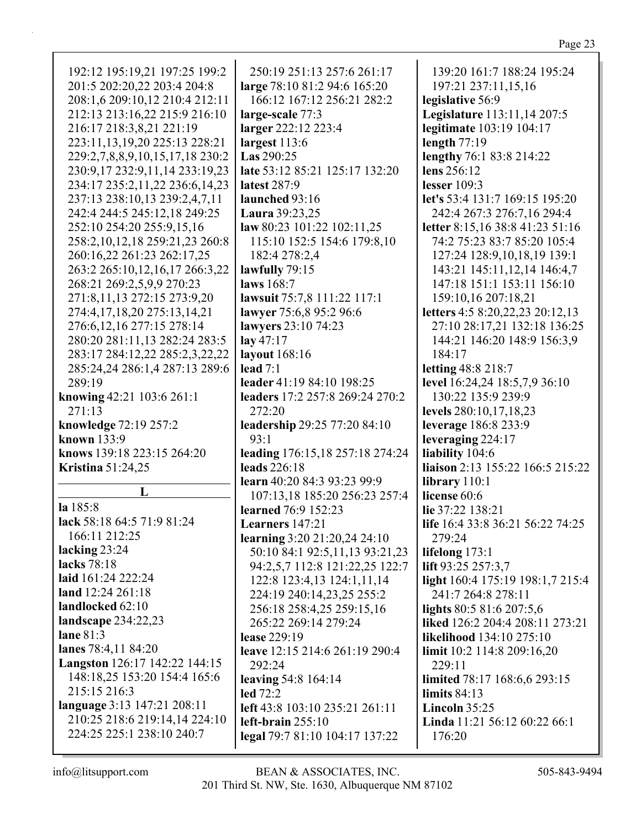| 192:12 195:19,21 197:25 199:2<br>250:19 251:13 257:6 261:17<br>139:20 161:7 188:24 195:24<br>201:5 202:20,22 203:4 204:8<br>large 78:10 81:2 94:6 165:20<br>197:21 237:11,15,16<br>208:1,6 209:10,12 210:4 212:11<br>166:12 167:12 256:21 282:2<br>legislative 56:9<br>212:13 213:16,22 215:9 216:10<br>Legislature 113:11,14 207:5<br>large-scale 77:3<br>216:17 218:3,8,21 221:19<br>larger 222:12 223:4<br>legitimate 103:19 104:17<br>223:11,13,19,20 225:13 228:21<br>largest 113:6<br>length $77:19$<br>Las 290:25<br>lengthy 76:1 83:8 214:22<br>229:2,7,8,8,9,10,15,17,18 230:2<br>late 53:12 85:21 125:17 132:20<br>lens 256:12<br>230:9,17 232:9,11,14 233:19,23<br>234:17 235:2,11,22 236:6,14,23<br>latest 287:9<br>lesser 109:3<br>237:13 238:10,13 239:2,4,7,11<br>launched 93:16<br>let's 53:4 131:7 169:15 195:20<br>242:4 244:5 245:12,18 249:25<br>Laura 39:23,25<br>242:4 267:3 276:7,16 294:4<br>252:10 254:20 255:9,15,16<br>letter 8:15,16 38:8 41:23 51:16<br>law 80:23 101:22 102:11,25<br>74:2 75:23 83:7 85:20 105:4<br>258:2,10,12,18 259:21,23 260:8<br>115:10 152:5 154:6 179:8,10<br>260:16,22 261:23 262:17,25<br>182:4 278:2,4<br>127:24 128:9,10,18,19 139:1<br>263:2 265:10,12,16,17 266:3,22<br>lawfully 79:15<br>143:21 145:11,12,14 146:4,7<br>268:21 269:2,5,9,9 270:23<br>laws 168:7<br>147:18 151:1 153:11 156:10<br>lawsuit 75:7,8 111:22 117:1<br>271:8,11,13 272:15 273:9,20<br>159:10,16 207:18,21<br>letters 4:5 8:20,22,23 20:12,13<br>274:4,17,18,20 275:13,14,21<br>lawyer 75:6,8 95:2 96:6<br>lawyers 23:10 74:23<br>27:10 28:17,21 132:18 136:25<br>276:6, 12, 16 277: 15 278: 14<br>280:20 281:11,13 282:24 283:5<br>lay $47:17$<br>144:21 146:20 148:9 156:3,9<br>283:17 284:12,22 285:2,3,22,22<br>layout 168:16<br>184:17<br>letting 48:8 218:7<br>285:24,24 286:1,4 287:13 289:6<br>lead $7:1$<br>289:19<br>leader 41:19 84:10 198:25<br>level 16:24,24 18:5,7,9 36:10<br>leaders 17:2 257:8 269:24 270:2<br>130:22 135:9 239:9<br>knowing 42:21 103:6 261:1<br>271:13<br>272:20<br>levels 280:10,17,18,23<br>knowledge 72:19 257:2<br>leadership 29:25 77:20 84:10<br>leverage 186:8 233:9<br>known 133:9<br>93:1<br>leveraging 224:17<br>leading 176:15,18 257:18 274:24<br>liability 104:6<br>knows 139:18 223:15 264:20<br>leads 226:18<br>liaison 2:13 155:22 166:5 215:22<br><b>Kristina</b> 51:24,25<br>learn 40:20 84:3 93:23 99:9<br>library $110:1$<br>L<br>license 60:6<br>107:13,18 185:20 256:23 257:4<br>la 185:8<br>learned 76:9 152:23<br>lie 37:22 138:21<br>lack 58:18 64:5 71:9 81:24<br>life 16:4 33:8 36:21 56:22 74:25<br>Learners 147:21<br>166:11 212:25<br>learning 3:20 21:20,24 24:10<br>279:24<br>lacking $23:24$<br>50:10 84:1 92:5,11,13 93:21,23<br>lifelong $173:1$<br>lacks 78:18<br>94:2,5,7 112:8 121:22,25 122:7<br>lift 93:25 257:3,7<br>laid 161:24 222:24<br>122:8 123:4,13 124:1,11,14<br>light 160:4 175:19 198:1,7 215:4<br>land 12:24 261:18<br>224:19 240:14,23,25 255:2<br>241:7 264:8 278:11<br>landlocked 62:10<br>256:18 258:4,25 259:15,16<br>lights 80:5 81:6 207:5,6<br>landscape $234:22,23$<br>265:22 269:14 279:24<br>liked 126:2 204:4 208:11 273:21<br>lane $81:3$<br>lease 229:19<br>likelihood 134:10 275:10<br>lanes 78:4,11 84:20<br>leave 12:15 214:6 261:19 290:4<br>limit 10:2 114:8 209:16,20<br>Langston 126:17 142:22 144:15<br>292:24<br>229:11<br>148:18,25 153:20 154:4 165:6<br>leaving $54:8$ 164:14<br>limited 78:17 168:6,6 293:15<br>215:15 216:3<br><b>led</b> 72:2<br>limits $84:13$<br>language 3:13 147:21 208:11<br>left 43:8 103:10 235:21 261:11<br>Lincoln 35:25<br>210:25 218:6 219:14,14 224:10<br>left-brain 255:10<br>Linda 11:21 56:12 60:22 66:1 |                           |  |
|-------------------------------------------------------------------------------------------------------------------------------------------------------------------------------------------------------------------------------------------------------------------------------------------------------------------------------------------------------------------------------------------------------------------------------------------------------------------------------------------------------------------------------------------------------------------------------------------------------------------------------------------------------------------------------------------------------------------------------------------------------------------------------------------------------------------------------------------------------------------------------------------------------------------------------------------------------------------------------------------------------------------------------------------------------------------------------------------------------------------------------------------------------------------------------------------------------------------------------------------------------------------------------------------------------------------------------------------------------------------------------------------------------------------------------------------------------------------------------------------------------------------------------------------------------------------------------------------------------------------------------------------------------------------------------------------------------------------------------------------------------------------------------------------------------------------------------------------------------------------------------------------------------------------------------------------------------------------------------------------------------------------------------------------------------------------------------------------------------------------------------------------------------------------------------------------------------------------------------------------------------------------------------------------------------------------------------------------------------------------------------------------------------------------------------------------------------------------------------------------------------------------------------------------------------------------------------------------------------------------------------------------------------------------------------------------------------------------------------------------------------------------------------------------------------------------------------------------------------------------------------------------------------------------------------------------------------------------------------------------------------------------------------------------------------------------------------------------------------------------------------------------------------------------------------------------------------------------------------------------------------------------------------------------------------------------------------------------------------------------------------------------------------------------------------------------------------------------------------------------------------------------------------------------------------------------------------------------------------------------------------------------------------------------------------------------------|---------------------------|--|
|                                                                                                                                                                                                                                                                                                                                                                                                                                                                                                                                                                                                                                                                                                                                                                                                                                                                                                                                                                                                                                                                                                                                                                                                                                                                                                                                                                                                                                                                                                                                                                                                                                                                                                                                                                                                                                                                                                                                                                                                                                                                                                                                                                                                                                                                                                                                                                                                                                                                                                                                                                                                                                                                                                                                                                                                                                                                                                                                                                                                                                                                                                                                                                                                                                                                                                                                                                                                                                                                                                                                                                                                                                                                                                 |                           |  |
|                                                                                                                                                                                                                                                                                                                                                                                                                                                                                                                                                                                                                                                                                                                                                                                                                                                                                                                                                                                                                                                                                                                                                                                                                                                                                                                                                                                                                                                                                                                                                                                                                                                                                                                                                                                                                                                                                                                                                                                                                                                                                                                                                                                                                                                                                                                                                                                                                                                                                                                                                                                                                                                                                                                                                                                                                                                                                                                                                                                                                                                                                                                                                                                                                                                                                                                                                                                                                                                                                                                                                                                                                                                                                                 |                           |  |
|                                                                                                                                                                                                                                                                                                                                                                                                                                                                                                                                                                                                                                                                                                                                                                                                                                                                                                                                                                                                                                                                                                                                                                                                                                                                                                                                                                                                                                                                                                                                                                                                                                                                                                                                                                                                                                                                                                                                                                                                                                                                                                                                                                                                                                                                                                                                                                                                                                                                                                                                                                                                                                                                                                                                                                                                                                                                                                                                                                                                                                                                                                                                                                                                                                                                                                                                                                                                                                                                                                                                                                                                                                                                                                 |                           |  |
|                                                                                                                                                                                                                                                                                                                                                                                                                                                                                                                                                                                                                                                                                                                                                                                                                                                                                                                                                                                                                                                                                                                                                                                                                                                                                                                                                                                                                                                                                                                                                                                                                                                                                                                                                                                                                                                                                                                                                                                                                                                                                                                                                                                                                                                                                                                                                                                                                                                                                                                                                                                                                                                                                                                                                                                                                                                                                                                                                                                                                                                                                                                                                                                                                                                                                                                                                                                                                                                                                                                                                                                                                                                                                                 |                           |  |
|                                                                                                                                                                                                                                                                                                                                                                                                                                                                                                                                                                                                                                                                                                                                                                                                                                                                                                                                                                                                                                                                                                                                                                                                                                                                                                                                                                                                                                                                                                                                                                                                                                                                                                                                                                                                                                                                                                                                                                                                                                                                                                                                                                                                                                                                                                                                                                                                                                                                                                                                                                                                                                                                                                                                                                                                                                                                                                                                                                                                                                                                                                                                                                                                                                                                                                                                                                                                                                                                                                                                                                                                                                                                                                 |                           |  |
|                                                                                                                                                                                                                                                                                                                                                                                                                                                                                                                                                                                                                                                                                                                                                                                                                                                                                                                                                                                                                                                                                                                                                                                                                                                                                                                                                                                                                                                                                                                                                                                                                                                                                                                                                                                                                                                                                                                                                                                                                                                                                                                                                                                                                                                                                                                                                                                                                                                                                                                                                                                                                                                                                                                                                                                                                                                                                                                                                                                                                                                                                                                                                                                                                                                                                                                                                                                                                                                                                                                                                                                                                                                                                                 |                           |  |
|                                                                                                                                                                                                                                                                                                                                                                                                                                                                                                                                                                                                                                                                                                                                                                                                                                                                                                                                                                                                                                                                                                                                                                                                                                                                                                                                                                                                                                                                                                                                                                                                                                                                                                                                                                                                                                                                                                                                                                                                                                                                                                                                                                                                                                                                                                                                                                                                                                                                                                                                                                                                                                                                                                                                                                                                                                                                                                                                                                                                                                                                                                                                                                                                                                                                                                                                                                                                                                                                                                                                                                                                                                                                                                 |                           |  |
|                                                                                                                                                                                                                                                                                                                                                                                                                                                                                                                                                                                                                                                                                                                                                                                                                                                                                                                                                                                                                                                                                                                                                                                                                                                                                                                                                                                                                                                                                                                                                                                                                                                                                                                                                                                                                                                                                                                                                                                                                                                                                                                                                                                                                                                                                                                                                                                                                                                                                                                                                                                                                                                                                                                                                                                                                                                                                                                                                                                                                                                                                                                                                                                                                                                                                                                                                                                                                                                                                                                                                                                                                                                                                                 |                           |  |
|                                                                                                                                                                                                                                                                                                                                                                                                                                                                                                                                                                                                                                                                                                                                                                                                                                                                                                                                                                                                                                                                                                                                                                                                                                                                                                                                                                                                                                                                                                                                                                                                                                                                                                                                                                                                                                                                                                                                                                                                                                                                                                                                                                                                                                                                                                                                                                                                                                                                                                                                                                                                                                                                                                                                                                                                                                                                                                                                                                                                                                                                                                                                                                                                                                                                                                                                                                                                                                                                                                                                                                                                                                                                                                 |                           |  |
|                                                                                                                                                                                                                                                                                                                                                                                                                                                                                                                                                                                                                                                                                                                                                                                                                                                                                                                                                                                                                                                                                                                                                                                                                                                                                                                                                                                                                                                                                                                                                                                                                                                                                                                                                                                                                                                                                                                                                                                                                                                                                                                                                                                                                                                                                                                                                                                                                                                                                                                                                                                                                                                                                                                                                                                                                                                                                                                                                                                                                                                                                                                                                                                                                                                                                                                                                                                                                                                                                                                                                                                                                                                                                                 |                           |  |
|                                                                                                                                                                                                                                                                                                                                                                                                                                                                                                                                                                                                                                                                                                                                                                                                                                                                                                                                                                                                                                                                                                                                                                                                                                                                                                                                                                                                                                                                                                                                                                                                                                                                                                                                                                                                                                                                                                                                                                                                                                                                                                                                                                                                                                                                                                                                                                                                                                                                                                                                                                                                                                                                                                                                                                                                                                                                                                                                                                                                                                                                                                                                                                                                                                                                                                                                                                                                                                                                                                                                                                                                                                                                                                 |                           |  |
|                                                                                                                                                                                                                                                                                                                                                                                                                                                                                                                                                                                                                                                                                                                                                                                                                                                                                                                                                                                                                                                                                                                                                                                                                                                                                                                                                                                                                                                                                                                                                                                                                                                                                                                                                                                                                                                                                                                                                                                                                                                                                                                                                                                                                                                                                                                                                                                                                                                                                                                                                                                                                                                                                                                                                                                                                                                                                                                                                                                                                                                                                                                                                                                                                                                                                                                                                                                                                                                                                                                                                                                                                                                                                                 |                           |  |
|                                                                                                                                                                                                                                                                                                                                                                                                                                                                                                                                                                                                                                                                                                                                                                                                                                                                                                                                                                                                                                                                                                                                                                                                                                                                                                                                                                                                                                                                                                                                                                                                                                                                                                                                                                                                                                                                                                                                                                                                                                                                                                                                                                                                                                                                                                                                                                                                                                                                                                                                                                                                                                                                                                                                                                                                                                                                                                                                                                                                                                                                                                                                                                                                                                                                                                                                                                                                                                                                                                                                                                                                                                                                                                 |                           |  |
|                                                                                                                                                                                                                                                                                                                                                                                                                                                                                                                                                                                                                                                                                                                                                                                                                                                                                                                                                                                                                                                                                                                                                                                                                                                                                                                                                                                                                                                                                                                                                                                                                                                                                                                                                                                                                                                                                                                                                                                                                                                                                                                                                                                                                                                                                                                                                                                                                                                                                                                                                                                                                                                                                                                                                                                                                                                                                                                                                                                                                                                                                                                                                                                                                                                                                                                                                                                                                                                                                                                                                                                                                                                                                                 |                           |  |
|                                                                                                                                                                                                                                                                                                                                                                                                                                                                                                                                                                                                                                                                                                                                                                                                                                                                                                                                                                                                                                                                                                                                                                                                                                                                                                                                                                                                                                                                                                                                                                                                                                                                                                                                                                                                                                                                                                                                                                                                                                                                                                                                                                                                                                                                                                                                                                                                                                                                                                                                                                                                                                                                                                                                                                                                                                                                                                                                                                                                                                                                                                                                                                                                                                                                                                                                                                                                                                                                                                                                                                                                                                                                                                 |                           |  |
|                                                                                                                                                                                                                                                                                                                                                                                                                                                                                                                                                                                                                                                                                                                                                                                                                                                                                                                                                                                                                                                                                                                                                                                                                                                                                                                                                                                                                                                                                                                                                                                                                                                                                                                                                                                                                                                                                                                                                                                                                                                                                                                                                                                                                                                                                                                                                                                                                                                                                                                                                                                                                                                                                                                                                                                                                                                                                                                                                                                                                                                                                                                                                                                                                                                                                                                                                                                                                                                                                                                                                                                                                                                                                                 |                           |  |
|                                                                                                                                                                                                                                                                                                                                                                                                                                                                                                                                                                                                                                                                                                                                                                                                                                                                                                                                                                                                                                                                                                                                                                                                                                                                                                                                                                                                                                                                                                                                                                                                                                                                                                                                                                                                                                                                                                                                                                                                                                                                                                                                                                                                                                                                                                                                                                                                                                                                                                                                                                                                                                                                                                                                                                                                                                                                                                                                                                                                                                                                                                                                                                                                                                                                                                                                                                                                                                                                                                                                                                                                                                                                                                 |                           |  |
|                                                                                                                                                                                                                                                                                                                                                                                                                                                                                                                                                                                                                                                                                                                                                                                                                                                                                                                                                                                                                                                                                                                                                                                                                                                                                                                                                                                                                                                                                                                                                                                                                                                                                                                                                                                                                                                                                                                                                                                                                                                                                                                                                                                                                                                                                                                                                                                                                                                                                                                                                                                                                                                                                                                                                                                                                                                                                                                                                                                                                                                                                                                                                                                                                                                                                                                                                                                                                                                                                                                                                                                                                                                                                                 |                           |  |
|                                                                                                                                                                                                                                                                                                                                                                                                                                                                                                                                                                                                                                                                                                                                                                                                                                                                                                                                                                                                                                                                                                                                                                                                                                                                                                                                                                                                                                                                                                                                                                                                                                                                                                                                                                                                                                                                                                                                                                                                                                                                                                                                                                                                                                                                                                                                                                                                                                                                                                                                                                                                                                                                                                                                                                                                                                                                                                                                                                                                                                                                                                                                                                                                                                                                                                                                                                                                                                                                                                                                                                                                                                                                                                 |                           |  |
|                                                                                                                                                                                                                                                                                                                                                                                                                                                                                                                                                                                                                                                                                                                                                                                                                                                                                                                                                                                                                                                                                                                                                                                                                                                                                                                                                                                                                                                                                                                                                                                                                                                                                                                                                                                                                                                                                                                                                                                                                                                                                                                                                                                                                                                                                                                                                                                                                                                                                                                                                                                                                                                                                                                                                                                                                                                                                                                                                                                                                                                                                                                                                                                                                                                                                                                                                                                                                                                                                                                                                                                                                                                                                                 |                           |  |
|                                                                                                                                                                                                                                                                                                                                                                                                                                                                                                                                                                                                                                                                                                                                                                                                                                                                                                                                                                                                                                                                                                                                                                                                                                                                                                                                                                                                                                                                                                                                                                                                                                                                                                                                                                                                                                                                                                                                                                                                                                                                                                                                                                                                                                                                                                                                                                                                                                                                                                                                                                                                                                                                                                                                                                                                                                                                                                                                                                                                                                                                                                                                                                                                                                                                                                                                                                                                                                                                                                                                                                                                                                                                                                 |                           |  |
|                                                                                                                                                                                                                                                                                                                                                                                                                                                                                                                                                                                                                                                                                                                                                                                                                                                                                                                                                                                                                                                                                                                                                                                                                                                                                                                                                                                                                                                                                                                                                                                                                                                                                                                                                                                                                                                                                                                                                                                                                                                                                                                                                                                                                                                                                                                                                                                                                                                                                                                                                                                                                                                                                                                                                                                                                                                                                                                                                                                                                                                                                                                                                                                                                                                                                                                                                                                                                                                                                                                                                                                                                                                                                                 |                           |  |
|                                                                                                                                                                                                                                                                                                                                                                                                                                                                                                                                                                                                                                                                                                                                                                                                                                                                                                                                                                                                                                                                                                                                                                                                                                                                                                                                                                                                                                                                                                                                                                                                                                                                                                                                                                                                                                                                                                                                                                                                                                                                                                                                                                                                                                                                                                                                                                                                                                                                                                                                                                                                                                                                                                                                                                                                                                                                                                                                                                                                                                                                                                                                                                                                                                                                                                                                                                                                                                                                                                                                                                                                                                                                                                 |                           |  |
|                                                                                                                                                                                                                                                                                                                                                                                                                                                                                                                                                                                                                                                                                                                                                                                                                                                                                                                                                                                                                                                                                                                                                                                                                                                                                                                                                                                                                                                                                                                                                                                                                                                                                                                                                                                                                                                                                                                                                                                                                                                                                                                                                                                                                                                                                                                                                                                                                                                                                                                                                                                                                                                                                                                                                                                                                                                                                                                                                                                                                                                                                                                                                                                                                                                                                                                                                                                                                                                                                                                                                                                                                                                                                                 |                           |  |
|                                                                                                                                                                                                                                                                                                                                                                                                                                                                                                                                                                                                                                                                                                                                                                                                                                                                                                                                                                                                                                                                                                                                                                                                                                                                                                                                                                                                                                                                                                                                                                                                                                                                                                                                                                                                                                                                                                                                                                                                                                                                                                                                                                                                                                                                                                                                                                                                                                                                                                                                                                                                                                                                                                                                                                                                                                                                                                                                                                                                                                                                                                                                                                                                                                                                                                                                                                                                                                                                                                                                                                                                                                                                                                 |                           |  |
|                                                                                                                                                                                                                                                                                                                                                                                                                                                                                                                                                                                                                                                                                                                                                                                                                                                                                                                                                                                                                                                                                                                                                                                                                                                                                                                                                                                                                                                                                                                                                                                                                                                                                                                                                                                                                                                                                                                                                                                                                                                                                                                                                                                                                                                                                                                                                                                                                                                                                                                                                                                                                                                                                                                                                                                                                                                                                                                                                                                                                                                                                                                                                                                                                                                                                                                                                                                                                                                                                                                                                                                                                                                                                                 |                           |  |
|                                                                                                                                                                                                                                                                                                                                                                                                                                                                                                                                                                                                                                                                                                                                                                                                                                                                                                                                                                                                                                                                                                                                                                                                                                                                                                                                                                                                                                                                                                                                                                                                                                                                                                                                                                                                                                                                                                                                                                                                                                                                                                                                                                                                                                                                                                                                                                                                                                                                                                                                                                                                                                                                                                                                                                                                                                                                                                                                                                                                                                                                                                                                                                                                                                                                                                                                                                                                                                                                                                                                                                                                                                                                                                 |                           |  |
|                                                                                                                                                                                                                                                                                                                                                                                                                                                                                                                                                                                                                                                                                                                                                                                                                                                                                                                                                                                                                                                                                                                                                                                                                                                                                                                                                                                                                                                                                                                                                                                                                                                                                                                                                                                                                                                                                                                                                                                                                                                                                                                                                                                                                                                                                                                                                                                                                                                                                                                                                                                                                                                                                                                                                                                                                                                                                                                                                                                                                                                                                                                                                                                                                                                                                                                                                                                                                                                                                                                                                                                                                                                                                                 |                           |  |
|                                                                                                                                                                                                                                                                                                                                                                                                                                                                                                                                                                                                                                                                                                                                                                                                                                                                                                                                                                                                                                                                                                                                                                                                                                                                                                                                                                                                                                                                                                                                                                                                                                                                                                                                                                                                                                                                                                                                                                                                                                                                                                                                                                                                                                                                                                                                                                                                                                                                                                                                                                                                                                                                                                                                                                                                                                                                                                                                                                                                                                                                                                                                                                                                                                                                                                                                                                                                                                                                                                                                                                                                                                                                                                 |                           |  |
|                                                                                                                                                                                                                                                                                                                                                                                                                                                                                                                                                                                                                                                                                                                                                                                                                                                                                                                                                                                                                                                                                                                                                                                                                                                                                                                                                                                                                                                                                                                                                                                                                                                                                                                                                                                                                                                                                                                                                                                                                                                                                                                                                                                                                                                                                                                                                                                                                                                                                                                                                                                                                                                                                                                                                                                                                                                                                                                                                                                                                                                                                                                                                                                                                                                                                                                                                                                                                                                                                                                                                                                                                                                                                                 |                           |  |
|                                                                                                                                                                                                                                                                                                                                                                                                                                                                                                                                                                                                                                                                                                                                                                                                                                                                                                                                                                                                                                                                                                                                                                                                                                                                                                                                                                                                                                                                                                                                                                                                                                                                                                                                                                                                                                                                                                                                                                                                                                                                                                                                                                                                                                                                                                                                                                                                                                                                                                                                                                                                                                                                                                                                                                                                                                                                                                                                                                                                                                                                                                                                                                                                                                                                                                                                                                                                                                                                                                                                                                                                                                                                                                 |                           |  |
|                                                                                                                                                                                                                                                                                                                                                                                                                                                                                                                                                                                                                                                                                                                                                                                                                                                                                                                                                                                                                                                                                                                                                                                                                                                                                                                                                                                                                                                                                                                                                                                                                                                                                                                                                                                                                                                                                                                                                                                                                                                                                                                                                                                                                                                                                                                                                                                                                                                                                                                                                                                                                                                                                                                                                                                                                                                                                                                                                                                                                                                                                                                                                                                                                                                                                                                                                                                                                                                                                                                                                                                                                                                                                                 |                           |  |
|                                                                                                                                                                                                                                                                                                                                                                                                                                                                                                                                                                                                                                                                                                                                                                                                                                                                                                                                                                                                                                                                                                                                                                                                                                                                                                                                                                                                                                                                                                                                                                                                                                                                                                                                                                                                                                                                                                                                                                                                                                                                                                                                                                                                                                                                                                                                                                                                                                                                                                                                                                                                                                                                                                                                                                                                                                                                                                                                                                                                                                                                                                                                                                                                                                                                                                                                                                                                                                                                                                                                                                                                                                                                                                 |                           |  |
|                                                                                                                                                                                                                                                                                                                                                                                                                                                                                                                                                                                                                                                                                                                                                                                                                                                                                                                                                                                                                                                                                                                                                                                                                                                                                                                                                                                                                                                                                                                                                                                                                                                                                                                                                                                                                                                                                                                                                                                                                                                                                                                                                                                                                                                                                                                                                                                                                                                                                                                                                                                                                                                                                                                                                                                                                                                                                                                                                                                                                                                                                                                                                                                                                                                                                                                                                                                                                                                                                                                                                                                                                                                                                                 |                           |  |
|                                                                                                                                                                                                                                                                                                                                                                                                                                                                                                                                                                                                                                                                                                                                                                                                                                                                                                                                                                                                                                                                                                                                                                                                                                                                                                                                                                                                                                                                                                                                                                                                                                                                                                                                                                                                                                                                                                                                                                                                                                                                                                                                                                                                                                                                                                                                                                                                                                                                                                                                                                                                                                                                                                                                                                                                                                                                                                                                                                                                                                                                                                                                                                                                                                                                                                                                                                                                                                                                                                                                                                                                                                                                                                 |                           |  |
|                                                                                                                                                                                                                                                                                                                                                                                                                                                                                                                                                                                                                                                                                                                                                                                                                                                                                                                                                                                                                                                                                                                                                                                                                                                                                                                                                                                                                                                                                                                                                                                                                                                                                                                                                                                                                                                                                                                                                                                                                                                                                                                                                                                                                                                                                                                                                                                                                                                                                                                                                                                                                                                                                                                                                                                                                                                                                                                                                                                                                                                                                                                                                                                                                                                                                                                                                                                                                                                                                                                                                                                                                                                                                                 |                           |  |
|                                                                                                                                                                                                                                                                                                                                                                                                                                                                                                                                                                                                                                                                                                                                                                                                                                                                                                                                                                                                                                                                                                                                                                                                                                                                                                                                                                                                                                                                                                                                                                                                                                                                                                                                                                                                                                                                                                                                                                                                                                                                                                                                                                                                                                                                                                                                                                                                                                                                                                                                                                                                                                                                                                                                                                                                                                                                                                                                                                                                                                                                                                                                                                                                                                                                                                                                                                                                                                                                                                                                                                                                                                                                                                 |                           |  |
|                                                                                                                                                                                                                                                                                                                                                                                                                                                                                                                                                                                                                                                                                                                                                                                                                                                                                                                                                                                                                                                                                                                                                                                                                                                                                                                                                                                                                                                                                                                                                                                                                                                                                                                                                                                                                                                                                                                                                                                                                                                                                                                                                                                                                                                                                                                                                                                                                                                                                                                                                                                                                                                                                                                                                                                                                                                                                                                                                                                                                                                                                                                                                                                                                                                                                                                                                                                                                                                                                                                                                                                                                                                                                                 |                           |  |
|                                                                                                                                                                                                                                                                                                                                                                                                                                                                                                                                                                                                                                                                                                                                                                                                                                                                                                                                                                                                                                                                                                                                                                                                                                                                                                                                                                                                                                                                                                                                                                                                                                                                                                                                                                                                                                                                                                                                                                                                                                                                                                                                                                                                                                                                                                                                                                                                                                                                                                                                                                                                                                                                                                                                                                                                                                                                                                                                                                                                                                                                                                                                                                                                                                                                                                                                                                                                                                                                                                                                                                                                                                                                                                 |                           |  |
|                                                                                                                                                                                                                                                                                                                                                                                                                                                                                                                                                                                                                                                                                                                                                                                                                                                                                                                                                                                                                                                                                                                                                                                                                                                                                                                                                                                                                                                                                                                                                                                                                                                                                                                                                                                                                                                                                                                                                                                                                                                                                                                                                                                                                                                                                                                                                                                                                                                                                                                                                                                                                                                                                                                                                                                                                                                                                                                                                                                                                                                                                                                                                                                                                                                                                                                                                                                                                                                                                                                                                                                                                                                                                                 |                           |  |
|                                                                                                                                                                                                                                                                                                                                                                                                                                                                                                                                                                                                                                                                                                                                                                                                                                                                                                                                                                                                                                                                                                                                                                                                                                                                                                                                                                                                                                                                                                                                                                                                                                                                                                                                                                                                                                                                                                                                                                                                                                                                                                                                                                                                                                                                                                                                                                                                                                                                                                                                                                                                                                                                                                                                                                                                                                                                                                                                                                                                                                                                                                                                                                                                                                                                                                                                                                                                                                                                                                                                                                                                                                                                                                 |                           |  |
|                                                                                                                                                                                                                                                                                                                                                                                                                                                                                                                                                                                                                                                                                                                                                                                                                                                                                                                                                                                                                                                                                                                                                                                                                                                                                                                                                                                                                                                                                                                                                                                                                                                                                                                                                                                                                                                                                                                                                                                                                                                                                                                                                                                                                                                                                                                                                                                                                                                                                                                                                                                                                                                                                                                                                                                                                                                                                                                                                                                                                                                                                                                                                                                                                                                                                                                                                                                                                                                                                                                                                                                                                                                                                                 |                           |  |
|                                                                                                                                                                                                                                                                                                                                                                                                                                                                                                                                                                                                                                                                                                                                                                                                                                                                                                                                                                                                                                                                                                                                                                                                                                                                                                                                                                                                                                                                                                                                                                                                                                                                                                                                                                                                                                                                                                                                                                                                                                                                                                                                                                                                                                                                                                                                                                                                                                                                                                                                                                                                                                                                                                                                                                                                                                                                                                                                                                                                                                                                                                                                                                                                                                                                                                                                                                                                                                                                                                                                                                                                                                                                                                 |                           |  |
|                                                                                                                                                                                                                                                                                                                                                                                                                                                                                                                                                                                                                                                                                                                                                                                                                                                                                                                                                                                                                                                                                                                                                                                                                                                                                                                                                                                                                                                                                                                                                                                                                                                                                                                                                                                                                                                                                                                                                                                                                                                                                                                                                                                                                                                                                                                                                                                                                                                                                                                                                                                                                                                                                                                                                                                                                                                                                                                                                                                                                                                                                                                                                                                                                                                                                                                                                                                                                                                                                                                                                                                                                                                                                                 |                           |  |
|                                                                                                                                                                                                                                                                                                                                                                                                                                                                                                                                                                                                                                                                                                                                                                                                                                                                                                                                                                                                                                                                                                                                                                                                                                                                                                                                                                                                                                                                                                                                                                                                                                                                                                                                                                                                                                                                                                                                                                                                                                                                                                                                                                                                                                                                                                                                                                                                                                                                                                                                                                                                                                                                                                                                                                                                                                                                                                                                                                                                                                                                                                                                                                                                                                                                                                                                                                                                                                                                                                                                                                                                                                                                                                 |                           |  |
|                                                                                                                                                                                                                                                                                                                                                                                                                                                                                                                                                                                                                                                                                                                                                                                                                                                                                                                                                                                                                                                                                                                                                                                                                                                                                                                                                                                                                                                                                                                                                                                                                                                                                                                                                                                                                                                                                                                                                                                                                                                                                                                                                                                                                                                                                                                                                                                                                                                                                                                                                                                                                                                                                                                                                                                                                                                                                                                                                                                                                                                                                                                                                                                                                                                                                                                                                                                                                                                                                                                                                                                                                                                                                                 |                           |  |
|                                                                                                                                                                                                                                                                                                                                                                                                                                                                                                                                                                                                                                                                                                                                                                                                                                                                                                                                                                                                                                                                                                                                                                                                                                                                                                                                                                                                                                                                                                                                                                                                                                                                                                                                                                                                                                                                                                                                                                                                                                                                                                                                                                                                                                                                                                                                                                                                                                                                                                                                                                                                                                                                                                                                                                                                                                                                                                                                                                                                                                                                                                                                                                                                                                                                                                                                                                                                                                                                                                                                                                                                                                                                                                 |                           |  |
|                                                                                                                                                                                                                                                                                                                                                                                                                                                                                                                                                                                                                                                                                                                                                                                                                                                                                                                                                                                                                                                                                                                                                                                                                                                                                                                                                                                                                                                                                                                                                                                                                                                                                                                                                                                                                                                                                                                                                                                                                                                                                                                                                                                                                                                                                                                                                                                                                                                                                                                                                                                                                                                                                                                                                                                                                                                                                                                                                                                                                                                                                                                                                                                                                                                                                                                                                                                                                                                                                                                                                                                                                                                                                                 | 224:25 225:1 238:10 240:7 |  |
| legal 79:7 81:10 104:17 137:22<br>176:20                                                                                                                                                                                                                                                                                                                                                                                                                                                                                                                                                                                                                                                                                                                                                                                                                                                                                                                                                                                                                                                                                                                                                                                                                                                                                                                                                                                                                                                                                                                                                                                                                                                                                                                                                                                                                                                                                                                                                                                                                                                                                                                                                                                                                                                                                                                                                                                                                                                                                                                                                                                                                                                                                                                                                                                                                                                                                                                                                                                                                                                                                                                                                                                                                                                                                                                                                                                                                                                                                                                                                                                                                                                        |                           |  |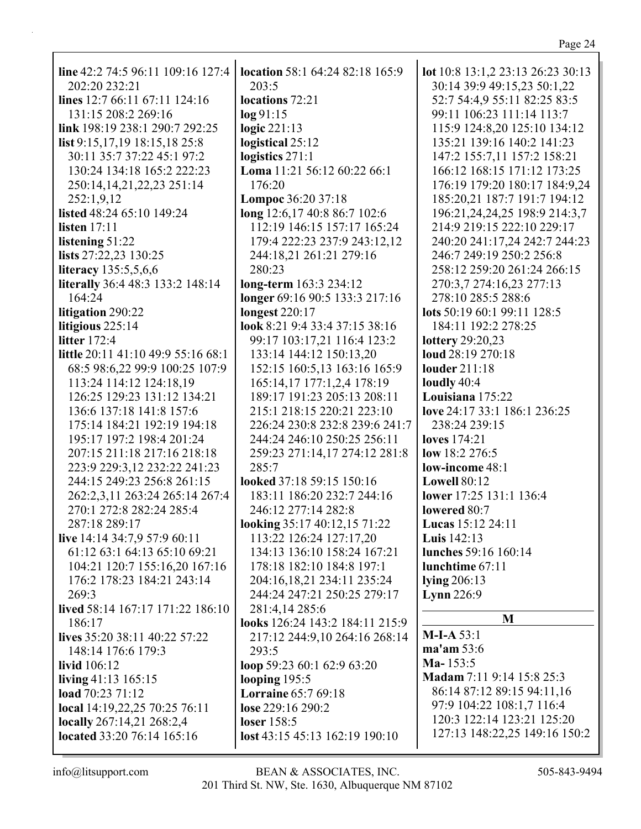| line 42:2 74:5 96:11 109:16 127:4                                                                                                        | location 58:1 64:24 82:18 165:9                                                                                                         | lot 10:8 13:1,2 23:13 26:23 30:13                                                |
|------------------------------------------------------------------------------------------------------------------------------------------|-----------------------------------------------------------------------------------------------------------------------------------------|----------------------------------------------------------------------------------|
| 202:20 232:21                                                                                                                            | 203:5                                                                                                                                   | 30:14 39:9 49:15,23 50:1,22                                                      |
| lines 12:7 66:11 67:11 124:16                                                                                                            | locations 72:21                                                                                                                         | 52:7 54:4,9 55:11 82:25 83:5                                                     |
| 131:15 208:2 269:16                                                                                                                      | log 91:15                                                                                                                               | 99:11 106:23 111:14 113:7                                                        |
| link 198:19 238:1 290:7 292:25                                                                                                           | logic $221:13$                                                                                                                          | 115:9 124:8,20 125:10 134:12                                                     |
| list 9:15,17,19 18:15,18 25:8                                                                                                            | logistical 25:12                                                                                                                        | 135:21 139:16 140:2 141:23                                                       |
| 30:11 35:7 37:22 45:1 97:2                                                                                                               | logistics $271:1$                                                                                                                       | 147:2 155:7,11 157:2 158:21                                                      |
| 130:24 134:18 165:2 222:23                                                                                                               | Loma 11:21 56:12 60:22 66:1                                                                                                             | 166:12 168:15 171:12 173:25                                                      |
| 250:14, 14, 21, 22, 23 251:14                                                                                                            | 176:20                                                                                                                                  | 176:19 179:20 180:17 184:9,24                                                    |
| 252:1,9,12                                                                                                                               | Lompoc 36:20 37:18                                                                                                                      | 185:20,21 187:7 191:7 194:12                                                     |
| listed 48:24 65:10 149:24                                                                                                                | long 12:6,17 40:8 86:7 102:6                                                                                                            | 196:21,24,24,25 198:9 214:3,7                                                    |
| listen $17:11$                                                                                                                           | 112:19 146:15 157:17 165:24                                                                                                             | 214:9 219:15 222:10 229:17                                                       |
| listening 51:22                                                                                                                          | 179:4 222:23 237:9 243:12,12                                                                                                            | 240:20 241:17,24 242:7 244:23                                                    |
| lists 27:22,23 130:25                                                                                                                    | 244:18,21 261:21 279:16                                                                                                                 | 246:7 249:19 250:2 256:8                                                         |
| <b>literacy</b> 135:5,5,6,6                                                                                                              | 280:23                                                                                                                                  | 258:12 259:20 261:24 266:15                                                      |
| literally 36:4 48:3 133:2 148:14                                                                                                         | long-term 163:3 234:12                                                                                                                  | 270:3,7 274:16,23 277:13                                                         |
| 164:24                                                                                                                                   | longer 69:16 90:5 133:3 217:16                                                                                                          | 278:10 285:5 288:6                                                               |
| litigation 290:22                                                                                                                        | <b>longest</b> 220:17                                                                                                                   | lots 50:19 60:1 99:11 128:5                                                      |
| litigious 225:14                                                                                                                         | look 8:21 9:4 33:4 37:15 38:16                                                                                                          | 184:11 192:2 278:25                                                              |
| <b>litter</b> 172:4                                                                                                                      | 99:17 103:17,21 116:4 123:2                                                                                                             | lottery 29:20,23                                                                 |
| little 20:11 41:10 49:9 55:16 68:1                                                                                                       | 133:14 144:12 150:13,20                                                                                                                 | loud 28:19 270:18                                                                |
| 68:5 98:6,22 99:9 100:25 107:9                                                                                                           | 152:15 160:5,13 163:16 165:9                                                                                                            | louder 211:18                                                                    |
| 113:24 114:12 124:18,19                                                                                                                  | 165:14,17 177:1,2,4 178:19                                                                                                              | loudly 40:4                                                                      |
| 126:25 129:23 131:12 134:21                                                                                                              | 189:17 191:23 205:13 208:11                                                                                                             | Louisiana 175:22                                                                 |
| 136:6 137:18 141:8 157:6                                                                                                                 | 215:1 218:15 220:21 223:10                                                                                                              | love 24:17 33:1 186:1 236:25                                                     |
| 175:14 184:21 192:19 194:18                                                                                                              | 226:24 230:8 232:8 239:6 241:7                                                                                                          | 238:24 239:15                                                                    |
| 195:17 197:2 198:4 201:24                                                                                                                | 244:24 246:10 250:25 256:11                                                                                                             | <b>loves</b> 174:21                                                              |
| 207:15 211:18 217:16 218:18                                                                                                              | 259:23 271:14,17 274:12 281:8                                                                                                           | low $18:2 276:5$                                                                 |
| 223:9 229:3,12 232:22 241:23                                                                                                             | 285:7                                                                                                                                   | low-income 48:1                                                                  |
| 244:15 249:23 256:8 261:15                                                                                                               | looked 37:18 59:15 150:16                                                                                                               | <b>Lowell 80:12</b>                                                              |
| 262:2,3,11 263:24 265:14 267:4                                                                                                           | 183:11 186:20 232:7 244:16                                                                                                              | lower 17:25 131:1 136:4                                                          |
| 270:1 272:8 282:24 285:4                                                                                                                 | 246:12 277:14 282:8                                                                                                                     | lowered 80:7                                                                     |
| 287:18 289:17                                                                                                                            | looking 35:17 40:12,15 71:22                                                                                                            | <b>Lucas</b> 15:12 24:11                                                         |
| live 14:14 34:7,9 57:9 60:11                                                                                                             | 113:22 126:24 127:17,20                                                                                                                 | Luis 142:13                                                                      |
| 61:12 63:1 64:13 65:10 69:21<br>104:21 120:7 155:16,20 167:16<br>176:2 178:23 184:21 243:14<br>269:3<br>lived 58:14 167:17 171:22 186:10 | 134:13 136:10 158:24 167:21<br>178:18 182:10 184:8 197:1<br>204:16,18,21 234:11 235:24<br>244:24 247:21 250:25 279:17<br>281:4,14 285:6 | <b>lunches</b> 59:16 160:14<br>lunchtime 67:11<br>lying $206:13$<br>Lynn $226:9$ |
| 186:17                                                                                                                                   | looks 126:24 143:2 184:11 215:9                                                                                                         | M                                                                                |
| lives 35:20 38:11 40:22 57:22                                                                                                            | 217:12 244:9,10 264:16 268:14                                                                                                           | $M-I-A 53:1$                                                                     |
| 148:14 176:6 179:3                                                                                                                       | 293:5                                                                                                                                   | ma'am 53:6                                                                       |
| livid 106:12                                                                                                                             | loop 59:23 60:1 62:9 63:20                                                                                                              | Ma- $153:5$                                                                      |
| living $41:13$ 165:15                                                                                                                    | looping $195:5$                                                                                                                         | Madam 7:11 9:14 15:8 25:3                                                        |
| load $70:2371:12$                                                                                                                        | <b>Lorraine 65:7 69:18</b>                                                                                                              | 86:14 87:12 89:15 94:11,16                                                       |
| local 14:19,22,25 70:25 76:11                                                                                                            | lose 229:16 290:2                                                                                                                       | 97:9 104:22 108:1,7 116:4                                                        |
| locally 267:14,21 268:2,4                                                                                                                | loser $158:5$                                                                                                                           | 120:3 122:14 123:21 125:20                                                       |
| located 33:20 76:14 165:16                                                                                                               | lost 43:15 45:13 162:19 190:10                                                                                                          | 127:13 148:22,25 149:16 150:2                                                    |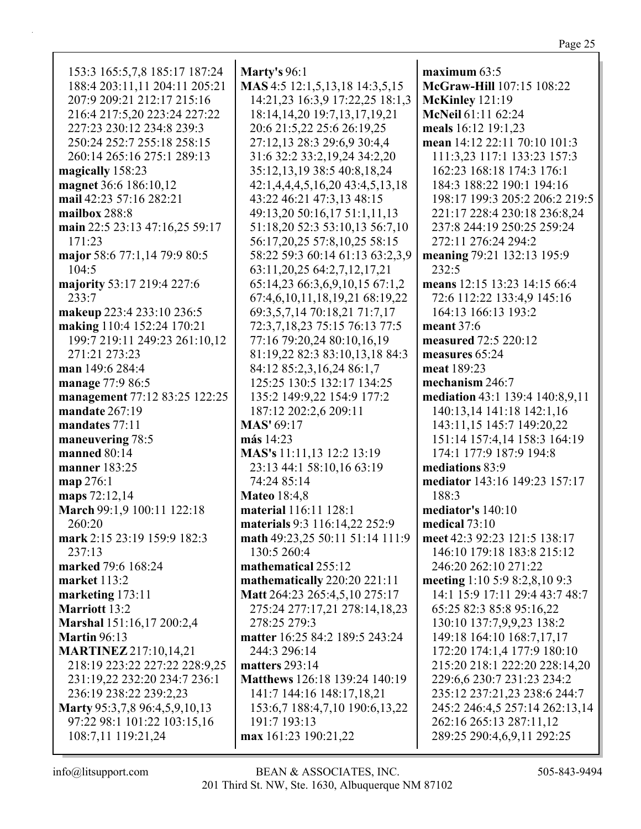| 153:3 165:5,7,8 185:17 187:24  | Marty's 96:1                                                    | maximum 63:5                        |
|--------------------------------|-----------------------------------------------------------------|-------------------------------------|
| 188:4 203:11,11 204:11 205:21  | MAS 4:5 12:1,5,13,18 14:3,5,15                                  | McGraw-Hill 107:15 108:22           |
| 207:9 209:21 212:17 215:16     | 14:21,23 16:3,9 17:22,25 18:1,3                                 | McKinley 121:19                     |
| 216:4 217:5,20 223:24 227:22   | 18:14, 14, 20 19:7, 13, 17, 19, 21                              | McNeil 61:11 62:24                  |
| 227:23 230:12 234:8 239:3      | 20:6 21:5,22 25:6 26:19,25                                      | meals 16:12 19:1,23                 |
| 250:24 252:7 255:18 258:15     | 27:12,13 28:3 29:6,9 30:4,4                                     | mean 14:12 22:11 70:10 101:3        |
| 260:14 265:16 275:1 289:13     | 31:6 32:2 33:2, 19, 24 34:2, 20                                 | 111:3,23 117:1 133:23 157:3         |
| magically 158:23               | 35:12,13,19 38:5 40:8,18,24                                     | 162:23 168:18 174:3 176:1           |
| magnet 36:6 186:10,12          | 42:1,4,4,4,5,16,20 43:4,5,13,18                                 | 184:3 188:22 190:1 194:16           |
| mail 42:23 57:16 282:21        | 43:22 46:21 47:3,13 48:15                                       | 198:17 199:3 205:2 206:2 219:5      |
| mailbox 288:8                  | 49:13,20 50:16,17 51:1,11,13                                    | 221:17 228:4 230:18 236:8,24        |
| main 22:5 23:13 47:16,25 59:17 | 51:18,20 52:3 53:10,13 56:7,10                                  | 237:8 244:19 250:25 259:24          |
| 171:23                         |                                                                 | 272:11 276:24 294:2                 |
|                                | 56:17,20,25 57:8,10,25 58:15<br>58:22 59:3 60:14 61:13 63:2,3,9 |                                     |
| major 58:6 77:1,14 79:9 80:5   |                                                                 | meaning 79:21 132:13 195:9<br>232:5 |
| 104:5                          | 63:11, 20, 25 64: 2, 7, 12, 17, 21                              |                                     |
| majority 53:17 219:4 227:6     | 65:14,23 66:3,6,9,10,15 67:1,2                                  | means 12:15 13:23 14:15 66:4        |
| 233:7                          | 67:4,6,10,11,18,19,21 68:19,22                                  | 72:6 112:22 133:4,9 145:16          |
| makeup 223:4 233:10 236:5      | 69:3,5,7,14 70:18,21 71:7,17                                    | 164:13 166:13 193:2                 |
| making 110:4 152:24 170:21     | 72:3,7,18,23 75:15 76:13 77:5                                   | meant $37:6$                        |
| 199:7 219:11 249:23 261:10,12  | 77:16 79:20,24 80:10,16,19                                      | measured 72:5 220:12                |
| 271:21 273:23                  | 81:19,22 82:3 83:10,13,18 84:3                                  | measures 65:24                      |
| man 149:6 284:4                | 84:12 85:2,3,16,24 86:1,7                                       | meat 189:23                         |
| manage 77:9 86:5               | 125:25 130:5 132:17 134:25                                      | mechanism 246:7                     |
| management 77:12 83:25 122:25  | 135:2 149:9,22 154:9 177:2                                      | mediation 43:1 139:4 140:8,9,11     |
| mandate 267:19                 | 187:12 202:2,6 209:11                                           | 140:13,14 141:18 142:1,16           |
| mandates 77:11                 | <b>MAS' 69:17</b>                                               | 143:11,15 145:7 149:20,22           |
| maneuvering 78:5               | más 14:23                                                       | 151:14 157:4,14 158:3 164:19        |
| manned 80:14                   | MAS's 11:11,13 12:2 13:19                                       | 174:1 177:9 187:9 194:8             |
| manner 183:25                  | 23:13 44:1 58:10,16 63:19                                       | mediations 83:9                     |
| map 276:1                      | 74:24 85:14                                                     | mediator 143:16 149:23 157:17       |
| maps 72:12,14                  | <b>Mateo</b> 18:4,8                                             | 188:3                               |
| March 99:1,9 100:11 122:18     | material 116:11 128:1                                           | mediator's 140:10                   |
| 260:20                         | materials 9:3 116:14,22 252:9                                   | medical $73:10$                     |
| mark 2:15 23:19 159:9 182:3    | math 49:23,25 50:11 51:14 111:9                                 | meet 42:3 92:23 121:5 138:17        |
| 237:13                         | 130:5 260:4                                                     | 146:10 179:18 183:8 215:12          |
| marked 79:6 168:24             | mathematical 255:12                                             | 246:20 262:10 271:22                |
| market 113:2                   | mathematically 220:20 221:11                                    | meeting 1:10 5:9 8:2,8,10 9:3       |
| marketing $173:11$             | Matt 264:23 265:4,5,10 275:17                                   | 14:1 15:9 17:11 29:4 43:7 48:7      |
| <b>Marriott 13:2</b>           | 275:24 277:17,21 278:14,18,23                                   | 65:25 82:3 85:8 95:16,22            |
| Marshal 151:16,17 200:2,4      | 278:25 279:3                                                    | 130:10 137:7,9,9,23 138:2           |
| <b>Martin</b> 96:13            | matter 16:25 84:2 189:5 243:24                                  | 149:18 164:10 168:7,17,17           |
| <b>MARTINEZ</b> 217:10,14,21   | 244:3 296:14                                                    | 172:20 174:1,4 177:9 180:10         |
| 218:19 223:22 227:22 228:9,25  | matters $293:14$                                                | 215:20 218:1 222:20 228:14,20       |
| 231:19,22 232:20 234:7 236:1   | Matthews 126:18 139:24 140:19                                   | 229:6,6 230:7 231:23 234:2          |
| 236:19 238:22 239:2,23         | 141:7 144:16 148:17,18,21                                       | 235:12 237:21,23 238:6 244:7        |
| Marty 95:3,7,8 96:4,5,9,10,13  | 153:6,7 188:4,7,10 190:6,13,22                                  | 245:2 246:4,5 257:14 262:13,14      |
| 97:22 98:1 101:22 103:15,16    | 191:7 193:13                                                    | 262:16 265:13 287:11,12             |
| 108:7,11 119:21,24             | max 161:23 190:21,22                                            | 289:25 290:4,6,9,11 292:25          |
|                                |                                                                 |                                     |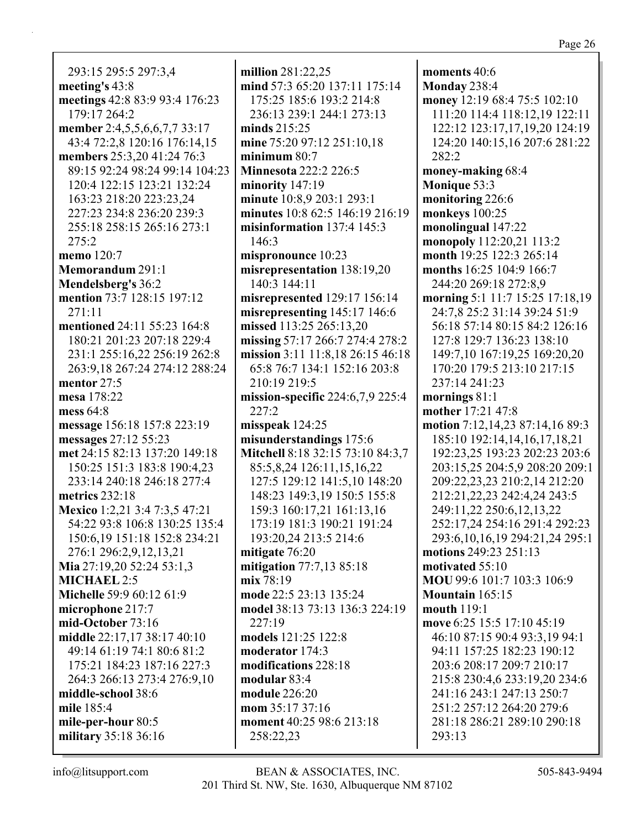293:15 295:5 297:3,4 **meeting's** 43:8 **meetings** 42:8 83:9 93:4 176:23 179:17 264:2 **member** 2:4,5,5,6,6,7,7 33:17 43:4 72:2,8 120:16 176:14,15 **members** 25:3,20 41:24 76:3 89:15 92:24 98:24 99:14 104:23 120:4 122:15 123:21 132:24 163:23 218:20 223:23,24 227:23 234:8 236:20 239:3 255:18 258:15 265:16 273:1 275:2 **memo** 120:7 **Memorandum** 291:1 **Mendelsberg's** 36:2 **mention** 73:7 128:15 197:12 271:11 **mentioned** 24:11 55:23 164:8 180:21 201:23 207:18 229:4 231:1 255:16,22 256:19 262:8 263:9,18 267:24 274:12 288:24 **mentor** 27:5 **mesa** 178:22 **mess** 64:8 **message** 156:18 157:8 223:19 **messages** 27:12 55:23 **met** 24:15 82:13 137:20 149:18 150:25 151:3 183:8 190:4,23 233:14 240:18 246:18 277:4 **metrics** 232:18 **Mexico** 1:2,21 3:4 7:3,5 47:21 54:22 93:8 106:8 130:25 135:4 150:6,19 151:18 152:8 234:21 276:1 296:2,9,12,13,21 **Mia** 27:19,20 52:24 53:1,3 **MICHAEL** 2:5 **Michelle** 59:9 60:12 61:9 **microphone** 217:7 **mid-October** 73:16 **middle** 22:17,17 38:17 40:10 49:14 61:19 74:1 80:6 81:2 175:21 184:23 187:16 227:3 264:3 266:13 273:4 276:9,10 **middle-school** 38:6 **mile** 185:4 **mile-per-hour** 80:5 **military** 35:18 36:16

**million** 281:22,25 **mind** 57:3 65:20 137:11 175:14 175:25 185:6 193:2 214:8 236:13 239:1 244:1 273:13 **minds** 215:25 **mine** 75:20 97:12 251:10,18 **minimum** 80:7 **Minnesota** 222:2 226:5 **minority** 147:19 **minute** 10:8,9 203:1 293:1 **minutes** 10:8 62:5 146:19 216:19 **misinformation** 137:4 145:3 146:3 **mispronounce** 10:23 **misrepresentation** 138:19,20 140:3 144:11 **misrepresented** 129:17 156:14 **misrepresenting** 145:17 146:6 **missed** 113:25 265:13,20 **missing** 57:17 266:7 274:4 278:2 **mission** 3:11 11:8,18 26:15 46:18 65:8 76:7 134:1 152:16 203:8 210:19 219:5 **mission-specific** 224:6,7,9 225:4 227:2 **misspeak** 124:25 **misunderstandings** 175:6 **Mitchell** 8:18 32:15 73:10 84:3,7 85:5,8,24 126:11,15,16,22 127:5 129:12 141:5,10 148:20 148:23 149:3,19 150:5 155:8 159:3 160:17,21 161:13,16 173:19 181:3 190:21 191:24 193:20,24 213:5 214:6 **mitigate** 76:20 **mitigation** 77:7,13 85:18 **mix** 78:19 **mode** 22:5 23:13 135:24 **model** 38:13 73:13 136:3 224:19 227:19 **models** 121:25 122:8 **moderator** 174:3 **modifications** 228:18 **modular** 83:4 **module** 226:20 **mom** 35:17 37:16 **moment** 40:25 98:6 213:18 258:22,23

**moments** 40:6 **Monday** 238:4 **money** 12:19 68:4 75:5 102:10 111:20 114:4 118:12,19 122:11 122:12 123:17,17,19,20 124:19 124:20 140:15,16 207:6 281:22 282:2 **money-making** 68:4 **Monique** 53:3 **monitoring** 226:6 **monkeys** 100:25 **monolingual** 147:22 **monopoly** 112:20,21 113:2 **month** 19:25 122:3 265:14 **months** 16:25 104:9 166:7 244:20 269:18 272:8,9 **morning** 5:1 11:7 15:25 17:18,19 24:7,8 25:2 31:14 39:24 51:9 56:18 57:14 80:15 84:2 126:16 127:8 129:7 136:23 138:10 149:7,10 167:19,25 169:20,20 170:20 179:5 213:10 217:15 237:14 241:23 **mornings** 81:1 **mother** 17:21 47:8 **motion** 7:12,14,23 87:14,16 89:3 185:10 192:14,14,16,17,18,21 192:23,25 193:23 202:23 203:6 203:15,25 204:5,9 208:20 209:1 209:22,23,23 210:2,14 212:20 212:21,22,23 242:4,24 243:5 249:11,22 250:6,12,13,22 252:17,24 254:16 291:4 292:23 293:6,10,16,19 294:21,24 295:1 **motions** 249:23 251:13 **motivated** 55:10 **MOU** 99:6 101:7 103:3 106:9 **Mountain** 165:15 **mouth** 119:1 **move** 6:25 15:5 17:10 45:19 46:10 87:15 90:4 93:3,19 94:1 94:11 157:25 182:23 190:12 203:6 208:17 209:7 210:17 215:8 230:4,6 233:19,20 234:6 241:16 243:1 247:13 250:7 251:2 257:12 264:20 279:6 281:18 286:21 289:10 290:18 293:13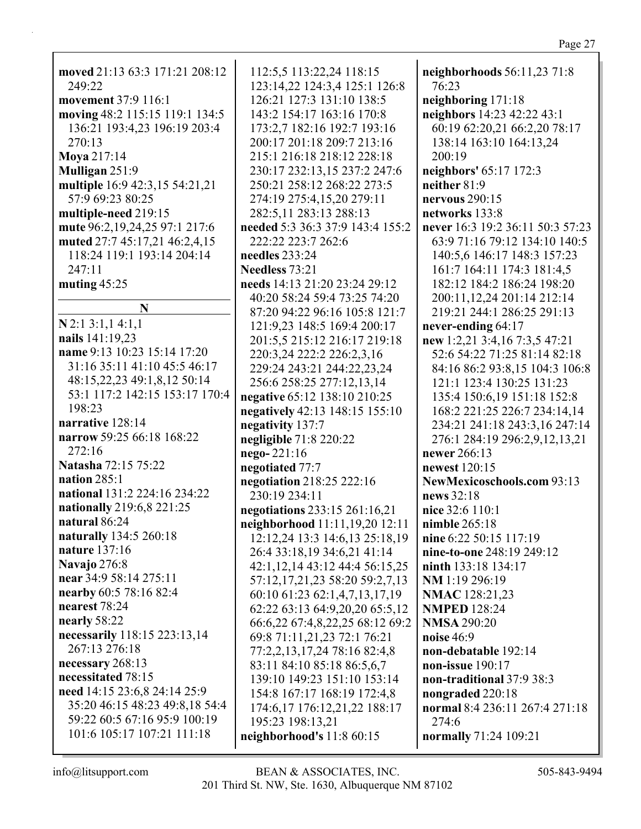moved 21:13 63:3 171:21 208:12 249:22 movement 37:9 116:1 moving 48:2 115:15 119:1 134:5 136:21 193:4,23 196:19 203:4 270:13 Mova 217:14 **Mulligan** 251:9 multiple 16:9 42:3,15 54:21,21 57:9 69:23 80:25 multiple-need 219:15 mute 96:2,19,24,25 97:1 217:6 muted 27:7 45:17,21 46:2,4,15 118:24 119:1 193:14 204:14 247:11 muting  $45:25$  $\mathbf N$  $N$  2:1 3:1,1 4:1,1 nails 141:19,23 name 9:13 10:23 15:14 17:20 31:16 35:11 41:10 45:5 46:17 48:15,22,23 49:1,8,12 50:14 53:1 117:2 142:15 153:17 170:4 198:23 narrative 128:14 narrow 59:25 66:18 168:22  $272:16$ Natasha 72:15 75:22 nation  $285:1$ national 131:2 224:16 234:22 nationally 219:6,8 221:25 natural 86:24 naturally 134:5 260:18 nature  $137:16$ **Navajo** 276:8 near 34:9 58:14 275:11 nearby 60:5 78:16 82:4 nearest 78:24 nearly 58:22 necessarily 118:15 223:13,14 267:13 276:18 necessary 268:13 necessitated 78:15 need 14:15 23:6,8 24:14 25:9 35:20 46:15 48:23 49:8,18 54:4 59:22 60:5 67:16 95:9 100:19 101:6 105:17 107:21 111:18

112:5,5 113:22,24 118:15 123:14,22 124:3,4 125:1 126:8 126:21 127:3 131:10 138:5 143:2 154:17 163:16 170:8 173:2.7 182:16 192:7 193:16 200:17 201:18 209:7 213:16 215:1 216:18 218:12 228:18 230:17 232:13.15 237:2 247:6 250:21 258:12 268:22 273:5 274:19 275:4,15,20 279:11 282:5,11 283:13 288:13 needed 5:3 36:3 37:9 143:4 155:2 222:22 223:7 262:6 needles  $233:24$ **Needless** 73:21 needs 14:13 21:20 23:24 29:12 40:20 58:24 59:4 73:25 74:20 87:20 94:22 96:16 105:8 121:7 121:9.23 148:5 169:4 200:17 201:5,5 215:12 216:17 219:18 220:3,24 222:2 226:2,3,16 229:24 243:21 244:22,23,24 256:6 258:25 277:12,13,14 negative 65:12 138:10 210:25 negatively 42:13 148:15 155:10 negativity 137:7 negligible 71:8 220:22  $nego-221:16$ negotiated 77:7 negotiation 218:25 222:16 230:19 234:11 negotiations 233:15 261:16,21 neighborhood 11:11,19,20 12:11 12:12,24 13:3 14:6,13 25:18,19 26:4 33:18,19 34:6,21 41:14 42:1,12,14 43:12 44:4 56:15,25 57:12,17,21,23 58:20 59:2,7,13 60:10 61:23 62:1,4,7,13,17,19 62:22 63:13 64:9,20,20 65:5,12 66:6,22 67:4,8,22,25 68:12 69:2 69:8 71:11,21,23 72:1 76:21 77:2,2,13,17,24 78:16 82:4,8 83:11 84:10 85:18 86:5,6,7 139:10 149:23 151:10 153:14 154:8 167:17 168:19 172:4,8 174:6, 17 176: 12, 21, 22 188: 17 195:23 198:13,21 neighborhood's 11:8 60:15

neighborhoods  $56:11,2371:8$ 76:23 neighboring  $171:18$ neighbors 14:23 42:22 43:1 60:19 62:20,21 66:2,20 78:17 138:14 163:10 164:13,24 200:19 neighbors' 65:17 172:3 neither  $81:9$ nervous  $290:15$ networks 133:8 never 16:3 19:2 36:11 50:3 57:23 63:9 71:16 79:12 134:10 140:5 140:5,6 146:17 148:3 157:23 161:7 164:11 174:3 181:4,5 182:12 184:2 186:24 198:20 200:11,12,24 201:14 212:14 219:21 244:1 286:25 291:13 never-ending 64:17 new 1:2,21 3:4,16 7:3,5 47:21 52:6 54:22 71:25 81:14 82:18 84:16 86:2 93:8,15 104:3 106:8 121:1 123:4 130:25 131:23 135:4 150:6,19 151:18 152:8 168:2 221:25 226:7 234:14.14 234:21 241:18 243:3,16 247:14 276:1 284:19 296:2,9,12,13,21 **newer** 266:13 newest 120:15 NewMexicoschools.com 93:13 news 32:18 nice 32:6 110:1 nimble  $265:18$ nine 6:22 50:15 117:19 nine-to-one 248:19 249:12 **ninth** 133:18 134:17 NM 1:19 296:19 **NMAC** 128:21,23 **NMPED** 128:24 **NMSA 290:20** noise  $46:9$ non-debatable 192:14 non-issue  $190:17$ non-traditional 37:9 38:3 nongraded 220:18 normal 8:4 236:11 267:4 271:18  $274:6$ normally 71:24 109:21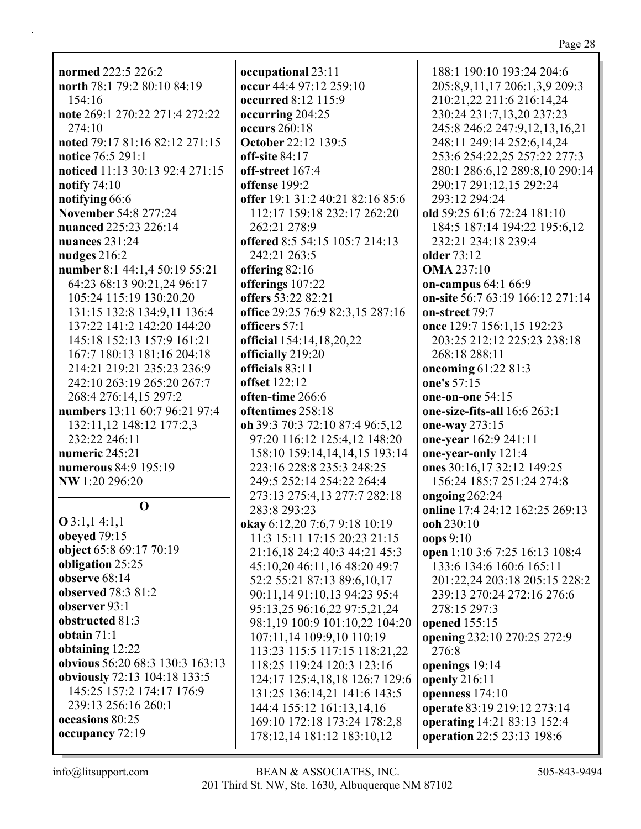**normed** 222:5 226:2 north 78:1 79:2 80:10 84:19  $154:16$ note 269:1 270:22 271:4 272:22  $274:10$ noted 79:17 81:16 82:12 271:15 notice 76:5 291:1 noticed 11:13 30:13 92:4 271:15 notify  $74:10$ notifying 66:6 November 54:8 277:24 nuanced 225:23 226:14 nuances  $231:24$ nudges  $216:2$ number 8:1 44:1,4 50:19 55:21 64:23 68:13 90:21.24 96:17 105:24 115:19 130:20,20 131:15 132:8 134:9.11 136:4 137:22 141:2 142:20 144:20 145:18 152:13 157:9 161:21 167:7 180:13 181:16 204:18 214:21 219:21 235:23 236:9 242:10 263:19 265:20 267:7 268:4 276:14,15 297:2 numbers 13:11 60:7 96:21 97:4 132:11,12 148:12 177:2,3 232:22 246:11 numeric 245:21 numerous 84:9 195:19 NW 1:20 296:20  $\Omega$  $Q$  3:1,1 4:1,1 **obeved** 79:15 object 65:8 69:17 70:19 obligation 25:25 observe  $68:14$ observed 78:3 81:2 observer  $93:1$ obstructed 81:3 obtain  $71:1$ obtaining 12:22 obvious 56:20 68:3 130:3 163:13 **obviously** 72:13 104:18 133:5 145:25 157:2 174:17 176:9 239:13 256:16 260:1

occupational 23:11 occur 44:4 97:12 259:10 occurred 8:12 115:9 occurring 204:25 occurs  $260:18$ **October 22:12 139:5** off-site  $84:17$ off-street 167:4 offense 199:2 offer 19:1 31:2 40:21 82:16 85:6 112:17 159:18 232:17 262:20 262:21 278:9 offered 8:5 54:15 105:7 214:13 242:21 263:5 offering 82:16 offerings 107:22 offers 53:22 82:21 office 29:25 76:9 82:3.15 287:16 officers  $57:1$ official 154:14,18,20,22 officially 219:20 officials 83:11 **offset** 122:12 often-time 266:6 oftentimes 258:18 oh 39:3 70:3 72:10 87:4 96:5,12 97:20 116:12 125:4.12 148:20 158:10 159:14,14,14,15 193:14 223:16 228:8 235:3 248:25 249:5 252:14 254:22 264:4 273:13 275:4.13 277:7 282:18 283:8 293:23 okay 6:12,20 7:6,7 9:18 10:19 11:3 15:11 17:15 20:23 21:15 21:16,18 24:2 40:3 44:21 45:3 45:10,20 46:11,16 48:20 49:7 52:2 55:21 87:13 89:6,10,17 90:11,14 91:10,13 94:23 95:4 95:13,25 96:16,22 97:5,21,24 98:1,19 100:9 101:10,22 104:20 107:11,14 109:9,10 110:19 113:23 115:5 117:15 118:21,22 118:25 119:24 120:3 123:16 124:17 125:4,18,18 126:7 129:6 131:25 136:14,21 141:6 143:5 144:4 155:12 161:13,14,16 169:10 172:18 173:24 178:2,8 178:12,14 181:12 183:10,12

188:1 190:10 193:24 204:6 205:8,9,11,17 206:1,3,9 209:3 210:21,22 211:6 216:14,24 230:24 231:7,13,20 237:23 245:8 246:2 247:9,12,13,16,21 248:11 249:14 252:6,14,24 253:6 254:22.25 257:22 277:3 280:1 286:6,12 289:8,10 290:14 290:17 291:12,15 292:24 293:12 294:24 old 59:25 61:6 72:24 181:10 184:5 187:14 194:22 195:6,12 232:21 234:18 239:4 **older** 73:12 **OMA** 237:10 on-campus  $64:166:9$ on-site 56:7 63:19 166:12 271:14 on-street 79:7 once 129:7 156:1,15 192:23 203:25 212:12 225:23 238:18 268:18 288:11 oncoming  $61:2281:3$ one's 57:15 one-on-one 54:15 one-size-fits-all  $16:6263:1$ one-way 273:15 one-year 162:9 241:11 one-year-only 121:4 ones 30:16,17 32:12 149:25 156:24 185:7 251:24 274:8 ongoing  $262:24$ online 17:4 24:12 162:25 269:13 ooh 230:10  $\cos 9:10$ open 1:10 3:6 7:25 16:13 108:4 133:6 134:6 160:6 165:11 201:22,24 203:18 205:15 228:2 239:13 270:24 272:16 276:6 278:15 297:3 **opened** 155:15 opening 232:10 270:25 272:9 276:8 openings 19:14 openly  $216:11$ openness  $174:10$ operate 83:19 219:12 273:14 operating 14:21 83:13 152:4 operation 22:5 23:13 198:6

 $info@$ litsupport.com

occasions 80:25

occupancy 72:19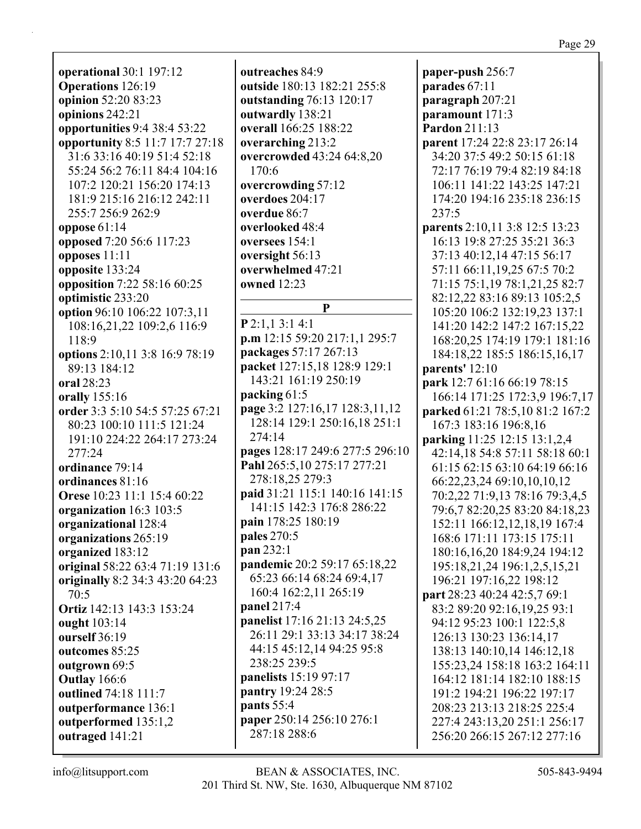**operational** 30:1 197:12 **Operations** 126:19 **opinion** 52:20 83:23 **opinions** 242:21 **opportunities** 9:4 38:4 53:22 **opportunity** 8:5 11:7 17:7 27:18 31:6 33:16 40:19 51:4 52:18 55:24 56:2 76:11 84:4 104:16 107:2 120:21 156:20 174:13 181:9 215:16 216:12 242:11 255:7 256:9 262:9 **oppose** 61:14 **opposed** 7:20 56:6 117:23 **opposes** 11:11 **opposite** 133:24 **opposition** 7:22 58:16 60:25 **optimistic** 233:20 **option** 96:10 106:22 107:3,11 108:16,21,22 109:2,6 116:9 118:9 **options** 2:10,11 3:8 16:9 78:19 89:13 184:12 **oral** 28:23 **orally** 155:16 **order** 3:3 5:10 54:5 57:25 67:21 80:23 100:10 111:5 121:24 191:10 224:22 264:17 273:24 277:24 **ordinance** 79:14 **ordinances** 81:16 **Orese** 10:23 11:1 15:4 60:22 **organization** 16:3 103:5 **organizational** 128:4 **organizations** 265:19 **organized** 183:12 **original** 58:22 63:4 71:19 131:6 **originally** 8:2 34:3 43:20 64:23 70:5 **Ortiz** 142:13 143:3 153:24 **ought** 103:14 **ourself** 36:19 **outcomes** 85:25 **outgrown** 69:5 **Outlay** 166:6 **outlined** 74:18 111:7 **outperformance** 136:1 **outperformed** 135:1,2 **outraged** 141:21

**outreaches** 84:9 **outside** 180:13 182:21 255:8 **outstanding** 76:13 120:17 **outwardly** 138:21 **overall** 166:25 188:22 **overarching** 213:2 **overcrowded** 43:24 64:8,20 170:6 **overcrowding** 57:12 **overdoes** 204:17 **overdue** 86:7 **overlooked** 48:4 **oversees** 154:1 **oversight** 56:13 **overwhelmed** 47:21 **owned** 12:23 **P P** 2:1,1 3:1 4:1 **p.m** 12:15 59:20 217:1,1 295:7 **packages** 57:17 267:13 **packet** 127:15,18 128:9 129:1 143:21 161:19 250:19 **packing** 61:5 **page** 3:2 127:16,17 128:3,11,12 128:14 129:1 250:16,18 251:1 274:14 **pages** 128:17 249:6 277:5 296:10 **Pahl** 265:5,10 275:17 277:21 278:18,25 279:3 **paid** 31:21 115:1 140:16 141:15 141:15 142:3 176:8 286:22 **pain** 178:25 180:19 **pales** 270:5 **pan** 232:1 **pandemic** 20:2 59:17 65:18,22 65:23 66:14 68:24 69:4,17 160:4 162:2,11 265:19 **panel** 217:4 **panelist** 17:16 21:13 24:5,25 26:11 29:1 33:13 34:17 38:24 44:15 45:12,14 94:25 95:8 238:25 239:5 **panelists** 15:19 97:17 **pantry** 19:24 28:5 **pants** 55:4 **paper** 250:14 256:10 276:1 287:18 288:6

**paper-push** 256:7 **parades** 67:11 **paragraph** 207:21 **paramount** 171:3 **Pardon** 211:13 **parent** 17:24 22:8 23:17 26:14 34:20 37:5 49:2 50:15 61:18 72:17 76:19 79:4 82:19 84:18 106:11 141:22 143:25 147:21 174:20 194:16 235:18 236:15 237:5 **parents** 2:10,11 3:8 12:5 13:23 16:13 19:8 27:25 35:21 36:3 37:13 40:12,14 47:15 56:17 57:11 66:11,19,25 67:5 70:2 71:15 75:1,19 78:1,21,25 82:7 82:12,22 83:16 89:13 105:2,5 105:20 106:2 132:19,23 137:1 141:20 142:2 147:2 167:15,22 168:20,25 174:19 179:1 181:16 184:18,22 185:5 186:15,16,17 **parents'** 12:10 **park** 12:7 61:16 66:19 78:15 166:14 171:25 172:3,9 196:7,17 **parked** 61:21 78:5,10 81:2 167:2 167:3 183:16 196:8,16 **parking** 11:25 12:15 13:1,2,4 42:14,18 54:8 57:11 58:18 60:1 61:15 62:15 63:10 64:19 66:16 66:22,23,24 69:10,10,10,12 70:2,22 71:9,13 78:16 79:3,4,5 79:6,7 82:20,25 83:20 84:18,23 152:11 166:12,12,18,19 167:4 168:6 171:11 173:15 175:11 180:16,16,20 184:9,24 194:12 195:18,21,24 196:1,2,5,15,21 196:21 197:16,22 198:12 **part** 28:23 40:24 42:5,7 69:1 83:2 89:20 92:16,19,25 93:1 94:12 95:23 100:1 122:5,8 126:13 130:23 136:14,17 138:13 140:10,14 146:12,18 155:23,24 158:18 163:2 164:11 164:12 181:14 182:10 188:15 191:2 194:21 196:22 197:17 208:23 213:13 218:25 225:4 227:4 243:13,20 251:1 256:17 256:20 266:15 267:12 277:16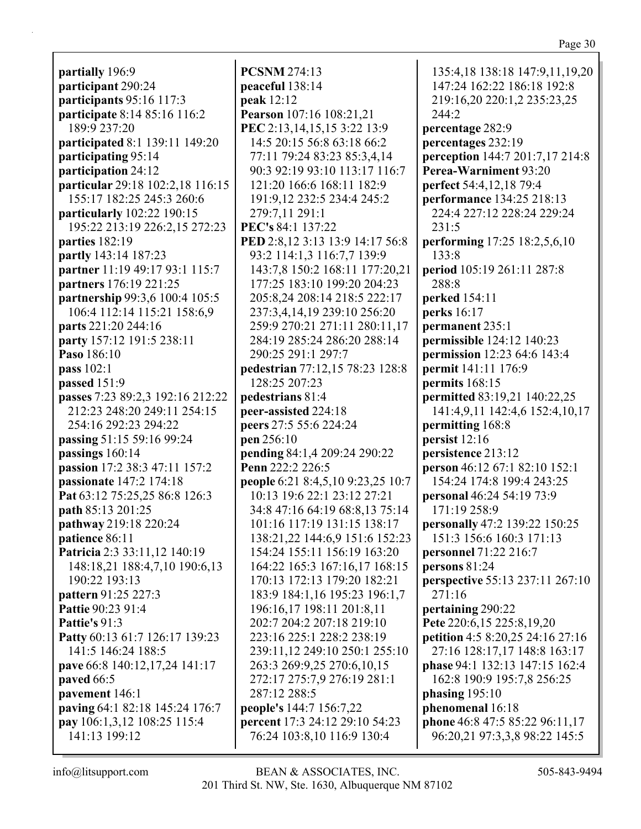**partially** 196:9 **participant** 290:24 **participants** 95:16 117:3 **participate** 8:14 85:16 116:2 189:9 237:20 **participated** 8:1 139:11 149:20 **participating** 95:14 **participation** 24:12 **particular** 29:18 102:2,18 116:15 155:17 182:25 245:3 260:6 **particularly** 102:22 190:15 195:22 213:19 226:2,15 272:23 **parties** 182:19 **partly** 143:14 187:23 **partner** 11:19 49:17 93:1 115:7 **partners** 176:19 221:25 **partnership** 99:3,6 100:4 105:5 106:4 112:14 115:21 158:6,9 **parts** 221:20 244:16 **party** 157:12 191:5 238:11 **Paso** 186:10 **pass** 102:1 **passed** 151:9 **passes** 7:23 89:2,3 192:16 212:22 212:23 248:20 249:11 254:15 254:16 292:23 294:22 **passing** 51:15 59:16 99:24 **passings** 160:14 **passion** 17:2 38:3 47:11 157:2 **passionate** 147:2 174:18 **Pat** 63:12 75:25,25 86:8 126:3 **path** 85:13 201:25 **pathway** 219:18 220:24 **patience** 86:11 **Patricia** 2:3 33:11,12 140:19 148:18,21 188:4,7,10 190:6,13 190:22 193:13 **pattern** 91:25 227:3 **Pattie** 90:23 91:4 **Pattie's** 91:3 **Patty** 60:13 61:7 126:17 139:23 141:5 146:24 188:5 **pave** 66:8 140:12,17,24 141:17 **paved** 66:5 **pavement** 146:1 **paving** 64:1 82:18 145:24 176:7 **pay** 106:1,3,12 108:25 115:4 141:13 199:12

**PCSNM** 274:13 **peaceful** 138:14 **peak** 12:12 **Pearson** 107:16 108:21,21 **PEC** 2:13,14,15,15 3:22 13:9 14:5 20:15 56:8 63:18 66:2 77:11 79:24 83:23 85:3,4,14 90:3 92:19 93:10 113:17 116:7 121:20 166:6 168:11 182:9 191:9,12 232:5 234:4 245:2 279:7,11 291:1 **PEC's** 84:1 137:22 **PED** 2:8,12 3:13 13:9 14:17 56:8 93:2 114:1,3 116:7,7 139:9 143:7,8 150:2 168:11 177:20,21 177:25 183:10 199:20 204:23 205:8,24 208:14 218:5 222:17 237:3,4,14,19 239:10 256:20 259:9 270:21 271:11 280:11,17 284:19 285:24 286:20 288:14 290:25 291:1 297:7 **pedestrian** 77:12,15 78:23 128:8 128:25 207:23 **pedestrians** 81:4 **peer-assisted** 224:18 **peers** 27:5 55:6 224:24 **pen** 256:10 **pending** 84:1,4 209:24 290:22 **Penn** 222:2 226:5 **people** 6:21 8:4,5,10 9:23,25 10:7 10:13 19:6 22:1 23:12 27:21 34:8 47:16 64:19 68:8,13 75:14 101:16 117:19 131:15 138:17 138:21,22 144:6,9 151:6 152:23 154:24 155:11 156:19 163:20 164:22 165:3 167:16,17 168:15 170:13 172:13 179:20 182:21 183:9 184:1,16 195:23 196:1,7 196:16,17 198:11 201:8,11 202:7 204:2 207:18 219:10 223:16 225:1 228:2 238:19 239:11,12 249:10 250:1 255:10 263:3 269:9,25 270:6,10,15 272:17 275:7,9 276:19 281:1 287:12 288:5 **people's** 144:7 156:7,22 **percent** 17:3 24:12 29:10 54:23 76:24 103:8,10 116:9 130:4

135:4,18 138:18 147:9,11,19,20 147:24 162:22 186:18 192:8 219:16,20 220:1,2 235:23,25 244:2 **percentage** 282:9 **percentages** 232:19 **perception** 144:7 201:7,17 214:8 **Perea-Warniment** 93:20 **perfect** 54:4,12,18 79:4 **performance** 134:25 218:13 224:4 227:12 228:24 229:24 231:5 **performing** 17:25 18:2,5,6,10 133:8 **period** 105:19 261:11 287:8 288:8 **perked** 154:11 **perks** 16:17 **permanent** 235:1 **permissible** 124:12 140:23 **permission** 12:23 64:6 143:4 **permit** 141:11 176:9 **permits** 168:15 **permitted** 83:19,21 140:22,25 141:4,9,11 142:4,6 152:4,10,17 **permitting** 168:8 **persist** 12:16 **persistence** 213:12 **person** 46:12 67:1 82:10 152:1 154:24 174:8 199:4 243:25 **personal** 46:24 54:19 73:9 171:19 258:9 **personally** 47:2 139:22 150:25 151:3 156:6 160:3 171:13 **personnel** 71:22 216:7 **persons** 81:24 **perspective** 55:13 237:11 267:10 271:16 **pertaining** 290:22 **Pete** 220:6,15 225:8,19,20 **petition** 4:5 8:20,25 24:16 27:16 27:16 128:17,17 148:8 163:17 **phase** 94:1 132:13 147:15 162:4 162:8 190:9 195:7,8 256:25 **phasing** 195:10 **phenomenal** 16:18 **phone** 46:8 47:5 85:22 96:11,17 96:20,21 97:3,3,8 98:22 145:5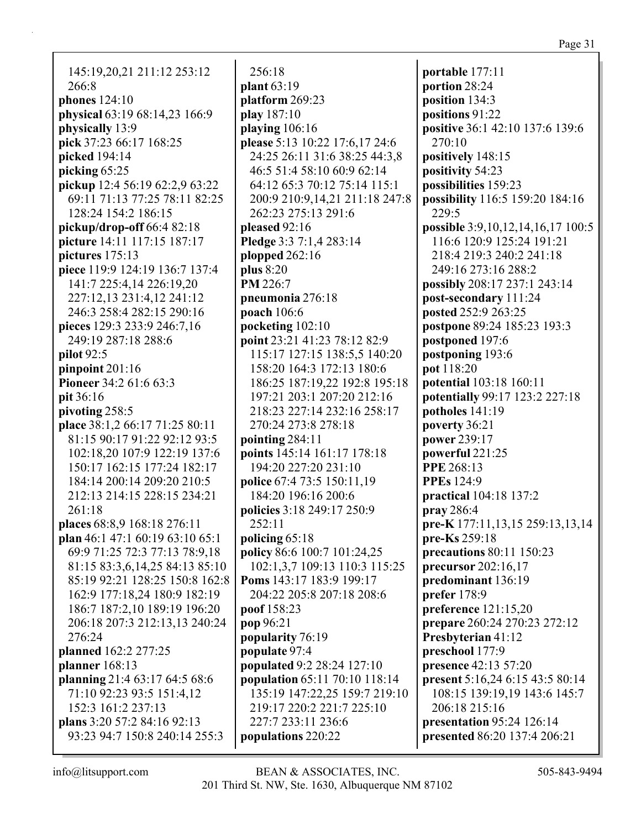| 145:19,20,21 211:12 253:12              |  |
|-----------------------------------------|--|
| 266:8                                   |  |
| phones $124:10$                         |  |
| physical 63:19 68:14,23 166:9           |  |
| physically 13:9                         |  |
| pick 37:23 66:17 168:25                 |  |
| picked 194:14                           |  |
| picking 65:25                           |  |
| pickup 12:4 56:19 62:2,9 63:22          |  |
| 69:11 71:13 77:25 78:11 82:25           |  |
| 128:24 154:2 186:15                     |  |
| pickup/drop-off $66:482:18$             |  |
| picture 14:11 117:15 187:17             |  |
| pictures 175:13                         |  |
| piece 119:9 124:19 136:7 137:4          |  |
| 141:7 225:4,14 226:19,20                |  |
| 227:12,13 231:4,12 241:12               |  |
| 246:3 258:4 282:15 290:16               |  |
| pieces 129:3 233:9 246:7,16             |  |
| 249:19 287:18 288:6                     |  |
| pilot 92:5                              |  |
| pinpoint $201:16$                       |  |
| Pioneer 34:2 61:6 63:3                  |  |
| pit 36:16                               |  |
| pivoting 258:5                          |  |
| place 38:1,2 66:17 71:25 80:11          |  |
| 81:15 90:17 91:22 92:12 93:5            |  |
| 102:18,20 107:9 122:19 137:6            |  |
| 150:17 162:15 177:24 182:17             |  |
| 184:14 200:14 209:20 210:5              |  |
| 212:13 214:15 228:15 234:21             |  |
| 261:18                                  |  |
| places 68:8,9 168:18 276:11             |  |
| plan 46:1 47:1 60:19 63:10 65:1         |  |
| 69:9 71:25 72:3 77:13 78:9,18           |  |
| 81:15 83:3,6,14,25 84:13 85:10          |  |
| 85:19 92:21 128:25 150:8 162:8          |  |
| 162:9 177:18,24 180:9 182:19            |  |
| 186:7 187:2,10 189:19 196:20            |  |
|                                         |  |
| 206:18 207:3 212:13,13 240:24<br>276:24 |  |
|                                         |  |
| planned 162:2 277:25                    |  |
| planner $168:13$                        |  |
| planning 21:4 63:17 64:5 68:6           |  |
| 71:10 92:23 93:5 151:4,12               |  |
| 152:3 161:2 237:13                      |  |
| plans 3:20 57:2 84:16 92:13             |  |
| 93:23 94:7 150:8 240:14 255:3           |  |

256:18 **plant** 63:19 **platform** 269:23 **play** 187:10 **playing** 106:16 **please** 5:13 10:22 17:6,17 24:6 24:25 26:11 31:6 38:25 44:3,8 46:5 51:4 58:10 60:9 62:14 64:12 65:3 70:12 75:14 115:1 200:9 210:9,14,21 211:18 247:8 262:23 275:13 291:6 **pleased** 92:16 **Pledge** 3:3 7:1,4 283:14 **plopped** 262:16 **plus** 8:20 **PM** 226:7 **pneumonia** 276:18 **poach** 106:6 **pocketing** 102:10 **point** 23:21 41:23 78:12 82:9 115:17 127:15 138:5,5 140:20 158:20 164:3 172:13 180:6 186:25 187:19,22 192:8 195:18 197:21 203:1 207:20 212:16 218:23 227:14 232:16 258:17 270:24 273:8 278:18 **pointing** 284:11 **points** 145:14 161:17 178:18 194:20 227:20 231:10 **police** 67:4 73:5 150:11,19 184:20 196:16 200:6 **policies** 3:18 249:17 250:9 252:11 **policing** 65:18 **policy** 86:6 100:7 101:24,25 102:1,3,7 109:13 110:3 115:25 **Poms** 143:17 183:9 199:17 204:22 205:8 207:18 208:6 **poof** 158:23 **pop** 96:21 **popularity** 76:19 **populate** 97:4 **populated** 9:2 28:24 127:10 **population** 65:11 70:10 118:14 135:19 147:22,25 159:7 219:10 219:17 220:2 221:7 225:10 227:7 233:11 236:6 **populations** 220:22

**portable** 177:11 **portion** 28:24 **position** 134:3 **positions** 91:22 **positive** 36:1 42:10 137:6 139:6 270:10 **positively** 148:15 **positivity** 54:23 **possibilities** 159:23 **possibility** 116:5 159:20 184:16 229:5 **possible** 3:9,10,12,14,16,17 100:5 116:6 120:9 125:24 191:21 218:4 219:3 240:2 241:18 249:16 273:16 288:2 **possibly** 208:17 237:1 243:14 **post-secondary** 111:24 **posted** 252:9 263:25 **postpone** 89:24 185:23 193:3 **postponed** 197:6 **postponing** 193:6 **pot** 118:20 **potential** 103:18 160:11 **potentially** 99:17 123:2 227:18 **potholes** 141:19 **poverty** 36:21 **power** 239:17 **powerful** 221:25 **PPE** 268:13 **PPEs** 124:9 **practical** 104:18 137:2 **pray** 286:4 **pre-K** 177:11,13,15 259:13,13,14 **pre-Ks** 259:18 **precautions** 80:11 150:23 **precursor** 202:16,17 **predominant** 136:19 **prefer** 178:9 **preference** 121:15,20 **prepare** 260:24 270:23 272:12 **Presbyterian** 41:12 **preschool** 177:9 **presence** 42:13 57:20 **present** 5:16,24 6:15 43:5 80:14 108:15 139:19,19 143:6 145:7 206:18 215:16 **presentation** 95:24 126:14 **presented** 86:20 137:4 206:21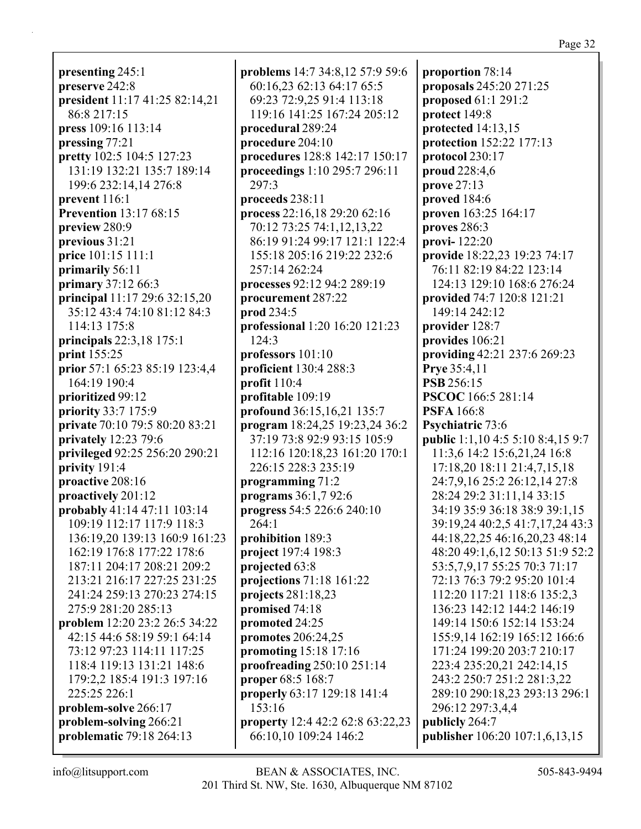**presenting** 245:1 **preserve** 242:8 **president** 11:17 41:25 82:14,21 86:8 217:15 **press** 109:16 113:14 **pressing** 77:21 **pretty** 102:5 104:5 127:23 131:19 132:21 135:7 189:14 199:6 232:14,14 276:8 **prevent** 116:1 **Prevention** 13:17 68:15 **preview** 280:9 **previous** 31:21 **price** 101:15 111:1 **primarily** 56:11 **primary** 37:12 66:3 **principal** 11:17 29:6 32:15,20 35:12 43:4 74:10 81:12 84:3 114:13 175:8 **principals** 22:3,18 175:1 **print** 155:25 **prior** 57:1 65:23 85:19 123:4,4 164:19 190:4 **prioritized** 99:12 **priority** 33:7 175:9 **private** 70:10 79:5 80:20 83:21 **privately** 12:23 79:6 **privileged** 92:25 256:20 290:21 **privity** 191:4 **proactive** 208:16 **proactively** 201:12 **probably** 41:14 47:11 103:14 109:19 112:17 117:9 118:3 136:19,20 139:13 160:9 161:23 162:19 176:8 177:22 178:6 187:11 204:17 208:21 209:2 213:21 216:17 227:25 231:25 241:24 259:13 270:23 274:15 275:9 281:20 285:13 **problem** 12:20 23:2 26:5 34:22 42:15 44:6 58:19 59:1 64:14 73:12 97:23 114:11 117:25 118:4 119:13 131:21 148:6 179:2,2 185:4 191:3 197:16 225:25 226:1 **problem-solve** 266:17 **problem-solving** 266:21 **problematic** 79:18 264:13

**problems** 14:7 34:8,12 57:9 59:6 60:16,23 62:13 64:17 65:5 69:23 72:9,25 91:4 113:18 119:16 141:25 167:24 205:12 **procedural** 289:24 **procedure** 204:10 **procedures** 128:8 142:17 150:17 **proceedings** 1:10 295:7 296:11 297:3 **proceeds** 238:11 **process** 22:16,18 29:20 62:16 70:12 73:25 74:1,12,13,22 86:19 91:24 99:17 121:1 122:4 155:18 205:16 219:22 232:6 257:14 262:24 **processes** 92:12 94:2 289:19 **procurement** 287:22 **prod** 234:5 **professional** 1:20 16:20 121:23 124:3 **professors** 101:10 **proficient** 130:4 288:3 **profit** 110:4 **profitable** 109:19 **profound** 36:15,16,21 135:7 **program** 18:24,25 19:23,24 36:2 37:19 73:8 92:9 93:15 105:9 112:16 120:18,23 161:20 170:1 226:15 228:3 235:19 **programming** 71:2 **programs** 36:1,7 92:6 **progress** 54:5 226:6 240:10 264:1 **prohibition** 189:3 **project** 197:4 198:3 **projected** 63:8 **projections** 71:18 161:22 **projects** 281:18,23 **promised** 74:18 **promoted** 24:25 **promotes** 206:24,25 **promoting** 15:18 17:16 **proofreading** 250:10 251:14 **proper** 68:5 168:7 **properly** 63:17 129:18 141:4 153:16 **property** 12:4 42:2 62:8 63:22,23 66:10,10 109:24 146:2

**proportion** 78:14 **proposals** 245:20 271:25 **proposed** 61:1 291:2 **protect** 149:8 **protected** 14:13,15 **protection** 152:22 177:13 **protocol** 230:17 **proud** 228:4,6 **prove** 27:13 **proved** 184:6 **proven** 163:25 164:17 **proves** 286:3 **provi-** 122:20 **provide** 18:22,23 19:23 74:17 76:11 82:19 84:22 123:14 124:13 129:10 168:6 276:24 **provided** 74:7 120:8 121:21 149:14 242:12 **provider** 128:7 **provides** 106:21 **providing** 42:21 237:6 269:23 **Prye** 35:4,11 **PSB** 256:15 **PSCOC** 166:5 281:14 **PSFA** 166:8 **Psychiatric** 73:6 **public** 1:1,10 4:5 5:10 8:4,15 9:7 11:3,6 14:2 15:6,21,24 16:8 17:18,20 18:11 21:4,7,15,18 24:7,9,16 25:2 26:12,14 27:8 28:24 29:2 31:11,14 33:15 34:19 35:9 36:18 38:9 39:1,15 39:19,24 40:2,5 41:7,17,24 43:3 44:18,22,25 46:16,20,23 48:14 48:20 49:1,6,12 50:13 51:9 52:2 53:5,7,9,17 55:25 70:3 71:17 72:13 76:3 79:2 95:20 101:4 112:20 117:21 118:6 135:2,3 136:23 142:12 144:2 146:19 149:14 150:6 152:14 153:24 155:9,14 162:19 165:12 166:6 171:24 199:20 203:7 210:17 223:4 235:20,21 242:14,15 243:2 250:7 251:2 281:3,22 289:10 290:18,23 293:13 296:1 296:12 297:3,4,4 **publicly** 264:7 **publisher** 106:20 107:1,6,13,15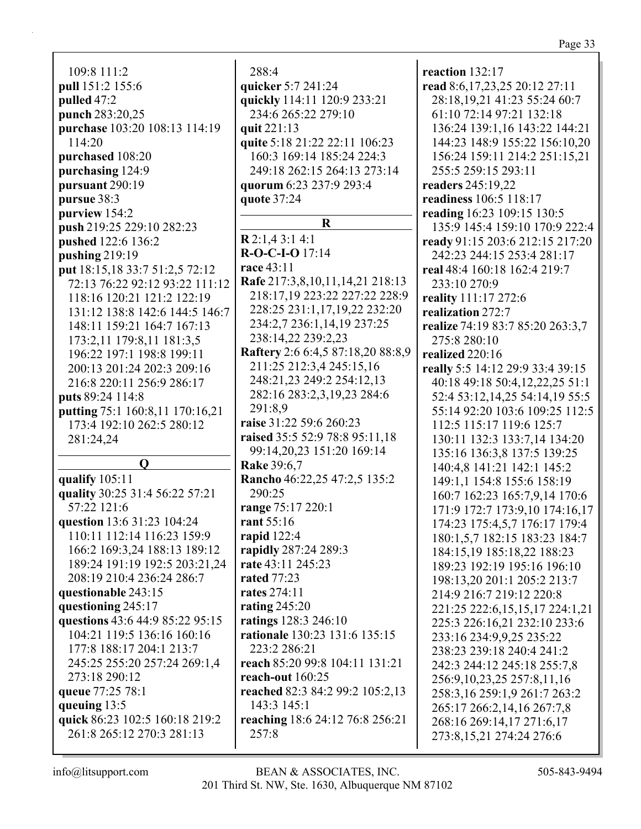109:8 111:2 **pull** 151:2 155:6 **pulled** 47:2 **punch** 283:20,25 **purchase** 103:20 108:13 114:19 114:20 **purchased** 108:20 **purchasing** 124:9 **pursuant** 290:19 **pursue** 38:3 **purview** 154:2 **push** 219:25 229:10 282:23 **pushed** 122:6 136:2 **pushing** 219:19 **put** 18:15,18 33:7 51:2,5 72:12 72:13 76:22 92:12 93:22 111:12 118:16 120:21 121:2 122:19 131:12 138:8 142:6 144:5 146:7 148:11 159:21 164:7 167:13 173:2,11 179:8,11 181:3,5 196:22 197:1 198:8 199:11 200:13 201:24 202:3 209:16 216:8 220:11 256:9 286:17 **puts** 89:24 114:8 **putting** 75:1 160:8,11 170:16,21 173:4 192:10 262:5 280:12 281:24,24 **Q qualify** 105:11 **quality** 30:25 31:4 56:22 57:21 57:22 121:6 **question** 13:6 31:23 104:24 110:11 112:14 116:23 159:9 166:2 169:3,24 188:13 189:12 189:24 191:19 192:5 203:21,24 208:19 210:4 236:24 286:7 **questionable** 243:15 **questioning** 245:17 **questions** 43:6 44:9 85:22 95:15 104:21 119:5 136:16 160:16 177:8 188:17 204:1 213:7 245:25 255:20 257:24 269:1,4 273:18 290:12 **queue** 77:25 78:1 **queuing** 13:5 **quick** 86:23 102:5 160:18 219:2 261:8 265:12 270:3 281:13

288:4 **quicker** 5:7 241:24 **quickly** 114:11 120:9 233:21 234:6 265:22 279:10 **quit** 221:13 **quite** 5:18 21:22 22:11 106:23 160:3 169:14 185:24 224:3 249:18 262:15 264:13 273:14 **quorum** 6:23 237:9 293:4 **quote** 37:24 **R R** 2:1,4 3:1 4:1 **R-O-C-I-O** 17:14 **race** 43:11 **Rafe** 217:3,8,10,11,14,21 218:13 218:17,19 223:22 227:22 228:9 228:25 231:1,17,19,22 232:20 234:2,7 236:1,14,19 237:25 238:14,22 239:2,23 **Raftery** 2:6 6:4,5 87:18,20 88:8,9 211:25 212:3,4 245:15,16 248:21,23 249:2 254:12,13 282:16 283:2,3,19,23 284:6 291:8,9 **raise** 31:22 59:6 260:23 **raised** 35:5 52:9 78:8 95:11,18 99:14,20,23 151:20 169:14 **Rake** 39:6,7 **Rancho** 46:22,25 47:2,5 135:2 290:25 **range** 75:17 220:1 **rant** 55:16 **rapid** 122:4 **rapidly** 287:24 289:3 **rate** 43:11 245:23 **rated** 77:23 **rates** 274:11 **rating** 245:20 **ratings** 128:3 246:10 **rationale** 130:23 131:6 135:15 223:2 286:21 **reach** 85:20 99:8 104:11 131:21 **reach-out** 160:25 **reached** 82:3 84:2 99:2 105:2,13 143:3 145:1 **reaching** 18:6 24:12 76:8 256:21 257:8

**reaction** 132:17 **read** 8:6,17,23,25 20:12 27:11 28:18,19,21 41:23 55:24 60:7 61:10 72:14 97:21 132:18 136:24 139:1,16 143:22 144:21 144:23 148:9 155:22 156:10,20 156:24 159:11 214:2 251:15,21 255:5 259:15 293:11 **readers** 245:19,22 **readiness** 106:5 118:17 **reading** 16:23 109:15 130:5 135:9 145:4 159:10 170:9 222:4 **ready** 91:15 203:6 212:15 217:20 242:23 244:15 253:4 281:17 **real** 48:4 160:18 162:4 219:7 233:10 270:9 **reality** 111:17 272:6 **realization** 272:7 **realize** 74:19 83:7 85:20 263:3,7 275:8 280:10 **realized** 220:16 **really** 5:5 14:12 29:9 33:4 39:15 40:18 49:18 50:4,12,22,25 51:1 52:4 53:12,14,25 54:14,19 55:5 55:14 92:20 103:6 109:25 112:5 112:5 115:17 119:6 125:7 130:11 132:3 133:7,14 134:20 135:16 136:3,8 137:5 139:25 140:4,8 141:21 142:1 145:2 149:1,1 154:8 155:6 158:19 160:7 162:23 165:7,9,14 170:6 171:9 172:7 173:9,10 174:16,17 174:23 175:4,5,7 176:17 179:4 180:1,5,7 182:15 183:23 184:7 184:15,19 185:18,22 188:23 189:23 192:19 195:16 196:10 198:13,20 201:1 205:2 213:7 214:9 216:7 219:12 220:8 221:25 222:6,15,15,17 224:1,21 225:3 226:16,21 232:10 233:6 233:16 234:9,9,25 235:22 238:23 239:18 240:4 241:2 242:3 244:12 245:18 255:7,8 256:9,10,23,25 257:8,11,16 258:3,16 259:1,9 261:7 263:2 265:17 266:2,14,16 267:7,8 268:16 269:14,17 271:6,17 273:8,15,21 274:24 276:6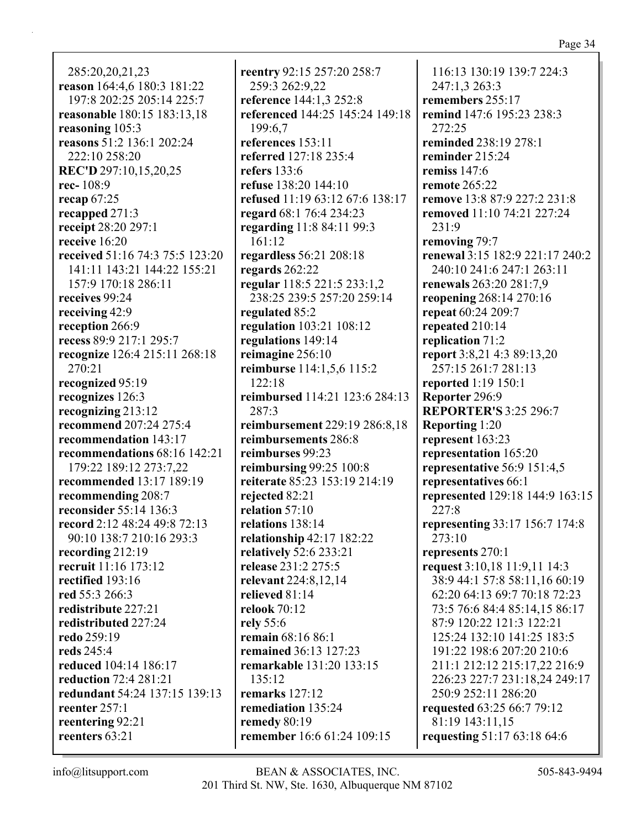285:20,20,21,23 **reason** 164:4,6 180:3 181:22 197:8 202:25 205:14 225:7 **reasonable** 180:15 183:13,18 **reasoning** 105:3 **reasons** 51:2 136:1 202:24 222:10 258:20 **REC'D** 297:10,15,20,25 **rec-** 108:9 **recap** 67:25 **recapped** 271:3 **receipt** 28:20 297:1 **receive** 16:20 **received** 51:16 74:3 75:5 123:20 141:11 143:21 144:22 155:21 157:9 170:18 286:11 **receives** 99:24 **receiving** 42:9 **reception** 266:9 **recess** 89:9 217:1 295:7 **recognize** 126:4 215:11 268:18 270:21 **recognized** 95:19 **recognizes** 126:3 **recognizing** 213:12 **recommend** 207:24 275:4 **recommendation** 143:17 **recommendations** 68:16 142:21 179:22 189:12 273:7,22 **recommended** 13:17 189:19 **recommending** 208:7 **reconsider** 55:14 136:3 **record** 2:12 48:24 49:8 72:13 90:10 138:7 210:16 293:3 **recording** 212:19 **recruit** 11:16 173:12 **rectified** 193:16 **red** 55:3 266:3 **redistribute** 227:21 **redistributed** 227:24 **redo** 259:19 **reds** 245:4 **reduced** 104:14 186:17 **reduction** 72:4 281:21 **redundant** 54:24 137:15 139:13 **reenter** 257:1 **reentering** 92:21 **reenters** 63:21

**reentry** 92:15 257:20 258:7 259:3 262:9,22 **reference** 144:1,3 252:8 **referenced** 144:25 145:24 149:18 199:6,7 **references** 153:11 **referred** 127:18 235:4 **refers** 133:6 **refuse** 138:20 144:10 **refused** 11:19 63:12 67:6 138:17 **regard** 68:1 76:4 234:23 **regarding** 11:8 84:11 99:3 161:12 **regardless** 56:21 208:18 **regards** 262:22 **regular** 118:5 221:5 233:1,2 238:25 239:5 257:20 259:14 **regulated** 85:2 **regulation** 103:21 108:12 **regulations** 149:14 **reimagine** 256:10 **reimburse** 114:1,5,6 115:2 122:18 **reimbursed** 114:21 123:6 284:13 287:3 **reimbursement** 229:19 286:8,18 **reimbursements** 286:8 **reimburses** 99:23 **reimbursing** 99:25 100:8 **reiterate** 85:23 153:19 214:19 **rejected** 82:21 **relation** 57:10 **relations** 138:14 **relationship** 42:17 182:22 **relatively** 52:6 233:21 **release** 231:2 275:5 **relevant** 224:8,12,14 **relieved** 81:14 **relook** 70:12 **rely** 55:6 **remain** 68:16 86:1 **remained** 36:13 127:23 **remarkable** 131:20 133:15 135:12 **remarks** 127:12 **remediation** 135:24 **remedy** 80:19 **remember** 16:6 61:24 109:15

116:13 130:19 139:7 224:3 247:1,3 263:3 **remembers** 255:17 **remind** 147:6 195:23 238:3 272:25 **reminded** 238:19 278:1 **reminder** 215:24 **remiss** 147:6 **remote** 265:22 **remove** 13:8 87:9 227:2 231:8 **removed** 11:10 74:21 227:24 231:9 **removing** 79:7 **renewal** 3:15 182:9 221:17 240:2 240:10 241:6 247:1 263:11 **renewals** 263:20 281:7,9 **reopening** 268:14 270:16 **repeat** 60:24 209:7 **repeated** 210:14 **replication** 71:2 **report** 3:8,21 4:3 89:13,20 257:15 261:7 281:13 **reported** 1:19 150:1 **Reporter** 296:9 **REPORTER'S** 3:25 296:7 **Reporting** 1:20 **represent** 163:23 **representation** 165:20 **representative** 56:9 151:4,5 **representatives** 66:1 **represented** 129:18 144:9 163:15 227:8 **representing** 33:17 156:7 174:8 273:10 **represents** 270:1 **request** 3:10,18 11:9,11 14:3 38:9 44:1 57:8 58:11,16 60:19 62:20 64:13 69:7 70:18 72:23 73:5 76:6 84:4 85:14,15 86:17 87:9 120:22 121:3 122:21 125:24 132:10 141:25 183:5 191:22 198:6 207:20 210:6 211:1 212:12 215:17,22 216:9 226:23 227:7 231:18,24 249:17 250:9 252:11 286:20 **requested** 63:25 66:7 79:12 81:19 143:11,15 **requesting** 51:17 63:18 64:6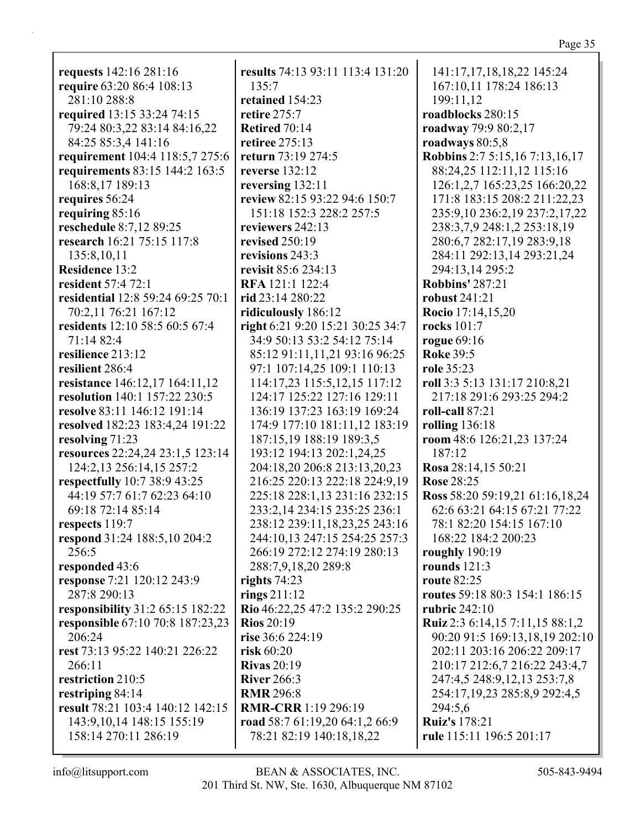| requests 142:16 281:16                  | results 74:13 93:11 113:4 131:20 | 141:17,17,18,18,22 145:24             |
|-----------------------------------------|----------------------------------|---------------------------------------|
| require 63:20 86:4 108:13               | 135:7                            | 167:10,11 178:24 186:13               |
| 281:10 288:8                            | retained 154:23                  | 199:11,12                             |
| required 13:15 33:24 74:15              | retire 275:7                     | roadblocks 280:15                     |
| 79:24 80:3,22 83:14 84:16,22            | <b>Retired 70:14</b>             | roadway 79:9 80:2,17                  |
| 84:25 85:3,4 141:16                     | retiree 275:13                   | roadways 80:5,8                       |
| requirement 104:4 118:5,7 275:6         | return 73:19 274:5               | <b>Robbins</b> 2:7 5:15,16 7:13,16,17 |
| requirements 83:15 144:2 163:5          | reverse 132:12                   | 88:24,25 112:11,12 115:16             |
| 168:8,17 189:13                         | reversing $132:11$               | 126:1,2,7 165:23,25 166:20,22         |
| requires 56:24                          | review 82:15 93:22 94:6 150:7    | 171:8 183:15 208:2 211:22,23          |
| requiring $85:16$                       | 151:18 152:3 228:2 257:5         | 235:9,10 236:2,19 237:2,17,22         |
| reschedule 8:7,12 89:25                 | reviewers 242:13                 | 238:3,7,9 248:1,2 253:18,19           |
| research 16:21 75:15 117:8              | revised $250:19$                 | 280:6,7 282:17,19 283:9,18            |
| 135:8,10,11                             | revisions 243:3                  | 284:11 292:13,14 293:21,24            |
| <b>Residence 13:2</b>                   | revisit 85:6 234:13              | 294:13,14 295:2                       |
| resident 57:4 72:1                      | <b>RFA</b> 121:1 122:4           | <b>Robbins' 287:21</b>                |
| residential 12:8 59:24 69:25 70:1       | rid 23:14 280:22                 | robust 241:21                         |
| 70:2,11 76:21 167:12                    | ridiculously 186:12              | <b>Rocio</b> 17:14,15,20              |
| residents 12:10 58:5 60:5 67:4          | right 6:21 9:20 15:21 30:25 34:7 | rocks 101:7                           |
| 71:14 82:4                              | 34:9 50:13 53:2 54:12 75:14      | rogue 69:16                           |
| resilience 213:12                       | 85:12 91:11,11,21 93:16 96:25    | <b>Roke 39:5</b>                      |
| resilient 286:4                         | 97:1 107:14,25 109:1 110:13      | role 35:23                            |
| resistance 146:12,17 164:11,12          | 114:17,23 115:5,12,15 117:12     | roll 3:3 5:13 131:17 210:8,21         |
| resolution 140:1 157:22 230:5           | 124:17 125:22 127:16 129:11      | 217:18 291:6 293:25 294:2             |
| resolve 83:11 146:12 191:14             | 136:19 137:23 163:19 169:24      | roll-call 87:21                       |
| resolved 182:23 183:4,24 191:22         | 174:9 177:10 181:11,12 183:19    | rolling $136:18$                      |
| resolving 71:23                         | 187:15,19 188:19 189:3,5         | room 48:6 126:21,23 137:24            |
| resources 22:24,24 23:1,5 123:14        | 193:12 194:13 202:1,24,25        | 187:12                                |
| 124:2,13 256:14,15 257:2                | 204:18,20 206:8 213:13,20,23     | Rosa 28:14,15 50:21                   |
| respectfully 10:7 38:9 43:25            | 216:25 220:13 222:18 224:9,19    | <b>Rose 28:25</b>                     |
| 44:19 57:7 61:7 62:23 64:10             | 225:18 228:1,13 231:16 232:15    | Ross 58:20 59:19,21 61:16,18,24       |
| 69:18 72:14 85:14                       | 233:2,14 234:15 235:25 236:1     | 62:6 63:21 64:15 67:21 77:22          |
| respects 119:7                          | 238:12 239:11,18,23,25 243:16    | 78:1 82:20 154:15 167:10              |
| respond 31:24 188:5,10 204:2            | 244:10,13 247:15 254:25 257:3    | 168:22 184:2 200:23                   |
| 256:5                                   | 266:19 272:12 274:19 280:13      | roughly $190:19$                      |
| responded 43:6                          | 288:7,9,18,20 289:8              | rounds $121:3$                        |
| response 7:21 120:12 243:9              | rights 74:23                     | <b>route 82:25</b>                    |
| 287:8 290:13                            | rings $211:12$                   | routes 59:18 80:3 154:1 186:15        |
| <b>responsibility</b> 31:2 65:15 182:22 | Rio 46:22,25 47:2 135:2 290:25   | rubric $242:10$                       |
| responsible 67:10 70:8 187:23,23        | <b>Rios</b> 20:19                | Ruiz 2:3 6:14,15 7:11,15 88:1,2       |
| 206:24                                  | rise 36:6 224:19                 | 90:20 91:5 169:13,18,19 202:10        |
| rest 73:13 95:22 140:21 226:22          | risk $60:20$                     | 202:11 203:16 206:22 209:17           |
| 266:11                                  | <b>Rivas</b> 20:19               | 210:17 212:6,7 216:22 243:4,7         |
| restriction 210:5                       | <b>River</b> 266:3               | 247:4,5 248:9,12,13 253:7,8           |
| restriping 84:14                        | <b>RMR 296:8</b>                 | 254:17,19,23 285:8,9 292:4,5          |
| result 78:21 103:4 140:12 142:15        | <b>RMR-CRR</b> 1:19 296:19       | 294:5,6                               |
| 143:9, 10, 14 148: 15 155: 19           | road 58:7 61:19,20 64:1,2 66:9   | <b>Ruiz's</b> 178:21                  |
| 158:14 270:11 286:19                    | 78:21 82:19 140:18,18,22         | rule 115:11 196:5 201:17              |
|                                         |                                  |                                       |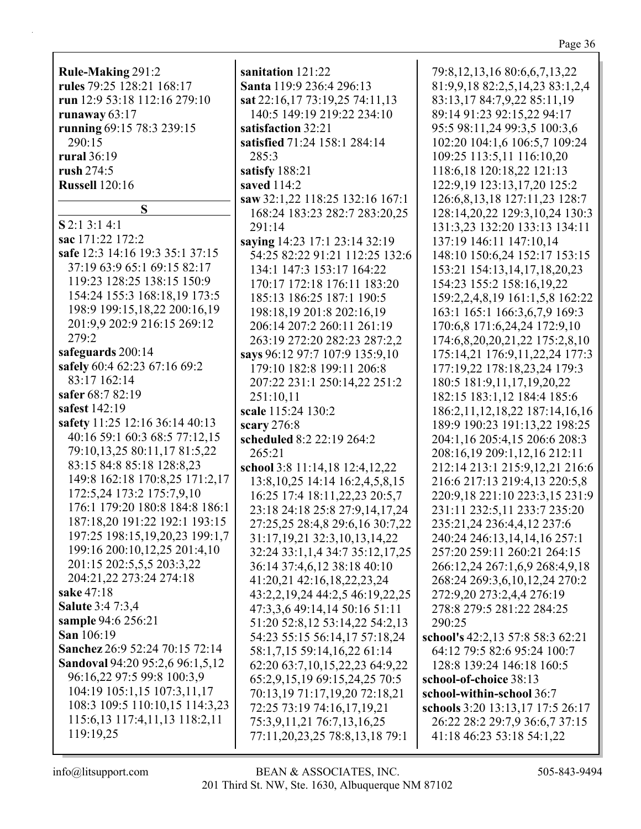**Rule-Making** 291:2 **rules** 79:25 128:21 168:17 **run** 12:9 53:18 112:16 279:10 **runaway** 63:17 **running** 69:15 78:3 239:15 290:15 **rural** 36:19 **rush** 274:5 **Russell** 120:16 **S S** 2:1 3:1 4:1 **sac** 171:22 172:2 **safe** 12:3 14:16 19:3 35:1 37:15 37:19 63:9 65:1 69:15 82:17 119:23 128:25 138:15 150:9 154:24 155:3 168:18,19 173:5 198:9 199:15,18,22 200:16,19 201:9,9 202:9 216:15 269:12 279:2 **safeguards** 200:14 **safely** 60:4 62:23 67:16 69:2 83:17 162:14 **safer** 68:7 82:19 **safest** 142:19 **safety** 11:25 12:16 36:14 40:13 40:16 59:1 60:3 68:5 77:12,15 79:10,13,25 80:11,17 81:5,22 83:15 84:8 85:18 128:8,23 149:8 162:18 170:8,25 171:2,17 172:5,24 173:2 175:7,9,10 176:1 179:20 180:8 184:8 186:1 187:18,20 191:22 192:1 193:15 197:25 198:15,19,20,23 199:1,7 199:16 200:10,12,25 201:4,10 201:15 202:5,5,5 203:3,22 204:21,22 273:24 274:18 **sake** 47:18 **Salute** 3:4 7:3,4 **sample** 94:6 256:21 **San** 106:19 **Sanchez** 26:9 52:24 70:15 72:14 **Sandoval** 94:20 95:2,6 96:1,5,12 96:16,22 97:5 99:8 100:3,9 104:19 105:1,15 107:3,11,17

**sanitation** 121:22 **Santa** 119:9 236:4 296:13 **sat** 22:16,17 73:19,25 74:11,13 140:5 149:19 219:22 234:10 **satisfaction** 32:21 **satisfied** 71:24 158:1 284:14 285:3 **satisfy** 188:21 **saved** 114:2 **saw** 32:1,22 118:25 132:16 167:1 168:24 183:23 282:7 283:20,25 291:14 **saying** 14:23 17:1 23:14 32:19 54:25 82:22 91:21 112:25 132:6 134:1 147:3 153:17 164:22 170:17 172:18 176:11 183:20 185:13 186:25 187:1 190:5 198:18,19 201:8 202:16,19 206:14 207:2 260:11 261:19 263:19 272:20 282:23 287:2,2 **says** 96:12 97:7 107:9 135:9,10 179:10 182:8 199:11 206:8 207:22 231:1 250:14,22 251:2 251:10,11 **scale** 115:24 130:2 **scary** 276:8 **scheduled** 8:2 22:19 264:2 265:21 **school** 3:8 11:14,18 12:4,12,22 13:8,10,25 14:14 16:2,4,5,8,15 16:25 17:4 18:11,22,23 20:5,7 23:18 24:18 25:8 27:9,14,17,24 27:25,25 28:4,8 29:6,16 30:7,22 31:17,19,21 32:3,10,13,14,22 32:24 33:1,1,4 34:7 35:12,17,25 36:14 37:4,6,12 38:18 40:10 41:20,21 42:16,18,22,23,24 43:2,2,19,24 44:2,5 46:19,22,25 47:3,3,6 49:14,14 50:16 51:11 51:20 52:8,12 53:14,22 54:2,13 54:23 55:15 56:14,17 57:18,24 58:1,7,15 59:14,16,22 61:14 62:20 63:7,10,15,22,23 64:9,22 65:2,9,15,19 69:15,24,25 70:5 70:13,19 71:17,19,20 72:18,21 72:25 73:19 74:16,17,19,21 75:3,9,11,21 76:7,13,16,25 77:11,20,23,25 78:8,13,18 79:1

79:8,12,13,16 80:6,6,7,13,22 81:9,9,18 82:2,5,14,23 83:1,2,4 83:13,17 84:7,9,22 85:11,19 89:14 91:23 92:15,22 94:17 95:5 98:11,24 99:3,5 100:3,6 102:20 104:1,6 106:5,7 109:24 109:25 113:5,11 116:10,20 118:6,18 120:18,22 121:13 122:9,19 123:13,17,20 125:2 126:6,8,13,18 127:11,23 128:7 128:14,20,22 129:3,10,24 130:3 131:3,23 132:20 133:13 134:11 137:19 146:11 147:10,14 148:10 150:6,24 152:17 153:15 153:21 154:13,14,17,18,20,23 154:23 155:2 158:16,19,22 159:2,2,4,8,19 161:1,5,8 162:22 163:1 165:1 166:3,6,7,9 169:3 170:6,8 171:6,24,24 172:9,10 174:6,8,20,20,21,22 175:2,8,10 175:14,21 176:9,11,22,24 177:3 177:19,22 178:18,23,24 179:3 180:5 181:9,11,17,19,20,22 182:15 183:1,12 184:4 185:6 186:2,11,12,18,22 187:14,16,16 189:9 190:23 191:13,22 198:25 204:1,16 205:4,15 206:6 208:3 208:16,19 209:1,12,16 212:11 212:14 213:1 215:9,12,21 216:6 216:6 217:13 219:4,13 220:5,8 220:9,18 221:10 223:3,15 231:9 231:11 232:5,11 233:7 235:20 235:21,24 236:4,4,12 237:6 240:24 246:13,14,14,16 257:1 257:20 259:11 260:21 264:15 266:12,24 267:1,6,9 268:4,9,18 268:24 269:3,6,10,12,24 270:2 272:9,20 273:2,4,4 276:19 278:8 279:5 281:22 284:25 290:25 **school's** 42:2,13 57:8 58:3 62:21 64:12 79:5 82:6 95:24 100:7 128:8 139:24 146:18 160:5

**school-of-choice** 38:13 **school-within-school** 36:7 **schools** 3:20 13:13,17 17:5 26:17 26:22 28:2 29:7,9 36:6,7 37:15 41:18 46:23 53:18 54:1,22

119:19,25

108:3 109:5 110:10,15 114:3,23 115:6,13 117:4,11,13 118:2,11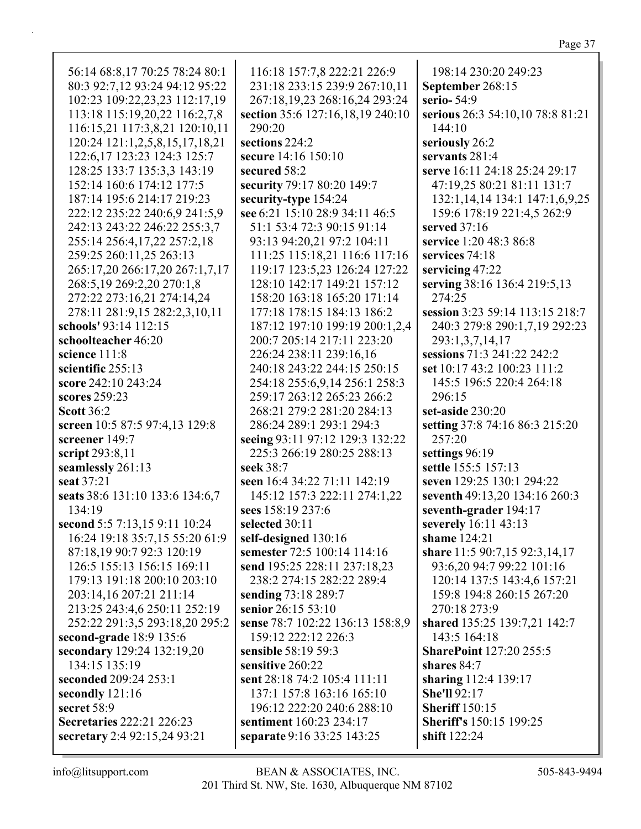| 56:14 68:8,17 70:25 78:24 80:1   | 116:18 157:7,8 222:21 226:9      | 198:14 230:20 249:23                |
|----------------------------------|----------------------------------|-------------------------------------|
| 80:3 92:7,12 93:24 94:12 95:22   | 231:18 233:15 239:9 267:10,11    | September 268:15                    |
| 102:23 109:22,23,23 112:17,19    | 267:18,19,23 268:16,24 293:24    | serio-54:9                          |
| 113:18 115:19,20,22 116:2,7,8    | section 35:6 127:16,18,19 240:10 | serious 26:3 54:10,10 78:8 81:21    |
| 116:15,21 117:3,8,21 120:10,11   | 290:20                           | 144:10                              |
| 120:24 121:1,2,5,8,15,17,18,21   | sections 224:2                   | seriously 26:2                      |
| 122:6, 17 123:23 124:3 125:7     | secure 14:16 150:10              | servants 281:4                      |
| 128:25 133:7 135:3,3 143:19      | secured 58:2                     | serve 16:11 24:18 25:24 29:17       |
| 152:14 160:6 174:12 177:5        | security 79:17 80:20 149:7       | 47:19,25 80:21 81:11 131:7          |
| 187:14 195:6 214:17 219:23       | security-type 154:24             | 132:1, 14, 14 134:1 147:1, 6, 9, 25 |
| 222:12 235:22 240:6,9 241:5,9    | see 6:21 15:10 28:9 34:11 46:5   | 159:6 178:19 221:4,5 262:9          |
| 242:13 243:22 246:22 255:3,7     | 51:1 53:4 72:3 90:15 91:14       | served 37:16                        |
| 255:14 256:4,17,22 257:2,18      | 93:13 94:20,21 97:2 104:11       | service 1:20 48:3 86:8              |
| 259:25 260:11,25 263:13          | 111:25 115:18,21 116:6 117:16    | services 74:18                      |
| 265:17,20 266:17,20 267:1,7,17   | 119:17 123:5,23 126:24 127:22    | servicing 47:22                     |
| 268:5,19 269:2,20 270:1,8        | 128:10 142:17 149:21 157:12      | serving 38:16 136:4 219:5,13        |
| 272:22 273:16,21 274:14,24       | 158:20 163:18 165:20 171:14      | 274:25                              |
| 278:11 281:9,15 282:2,3,10,11    | 177:18 178:15 184:13 186:2       | session 3:23 59:14 113:15 218:7     |
| schools' 93:14 112:15            | 187:12 197:10 199:19 200:1,2,4   | 240:3 279:8 290:1,7,19 292:23       |
| schoolteacher 46:20              | 200:7 205:14 217:11 223:20       | 293:1,3,7,14,17                     |
| science 111:8                    | 226:24 238:11 239:16,16          | sessions 71:3 241:22 242:2          |
| scientific 255:13                | 240:18 243:22 244:15 250:15      | set 10:17 43:2 100:23 111:2         |
| score 242:10 243:24              | 254:18 255:6,9,14 256:1 258:3    | 145:5 196:5 220:4 264:18            |
| scores 259:23                    | 259:17 263:12 265:23 266:2       | 296:15                              |
| <b>Scott 36:2</b>                | 268:21 279:2 281:20 284:13       | set-aside 230:20                    |
| screen 10:5 87:5 97:4,13 129:8   | 286:24 289:1 293:1 294:3         | setting 37:8 74:16 86:3 215:20      |
| screener 149:7                   | seeing 93:11 97:12 129:3 132:22  | 257:20                              |
| script 293:8,11                  | 225:3 266:19 280:25 288:13       | settings 96:19                      |
| seamlessly 261:13                | seek 38:7                        | settle 155:5 157:13                 |
| seat 37:21                       | seen 16:4 34:22 71:11 142:19     | seven 129:25 130:1 294:22           |
| seats 38:6 131:10 133:6 134:6,7  | 145:12 157:3 222:11 274:1,22     | seventh 49:13,20 134:16 260:3       |
| 134:19                           | sees 158:19 237:6                | seventh-grader 194:17               |
| second 5:5 7:13,15 9:11 10:24    | selected 30:11                   | severely 16:11 43:13                |
| 16:24 19:18 35:7,15 55:20 61:9   | self-designed 130:16             | shame 124:21                        |
| 87:18,19 90:7 92:3 120:19        | semester 72:5 100:14 114:16      | share 11:5 90:7,15 92:3,14,17       |
| 126:5 155:13 156:15 169:11       | send 195:25 228:11 237:18,23     | 93:6,20 94:7 99:22 101:16           |
| 179:13 191:18 200:10 203:10      | 238:2 274:15 282:22 289:4        | 120:14 137:5 143:4,6 157:21         |
| 203:14,16 207:21 211:14          | sending 73:18 289:7              | 159:8 194:8 260:15 267:20           |
| 213:25 243:4,6 250:11 252:19     | senior 26:15 53:10               | 270:18 273:9                        |
| 252:22 291:3,5 293:18,20 295:2   | sense 78:7 102:22 136:13 158:8,9 | shared 135:25 139:7,21 142:7        |
| second-grade 18:9 135:6          | 159:12 222:12 226:3              | 143:5 164:18                        |
| secondary 129:24 132:19,20       | sensible 58:19 59:3              | <b>SharePoint 127:20 255:5</b>      |
| 134:15 135:19                    | sensitive 260:22                 | shares 84:7                         |
| seconded 209:24 253:1            | sent 28:18 74:2 105:4 111:11     | sharing 112:4 139:17                |
| secondly 121:16                  | 137:1 157:8 163:16 165:10        | <b>She'll 92:17</b>                 |
| secret 58:9                      | 196:12 222:20 240:6 288:10       | <b>Sheriff</b> 150:15               |
| <b>Secretaries 222:21 226:23</b> | sentiment 160:23 234:17          | <b>Sheriff's</b> 150:15 199:25      |
| secretary 2:4 92:15,24 93:21     | separate 9:16 33:25 143:25       | shift 122:24                        |
|                                  |                                  |                                     |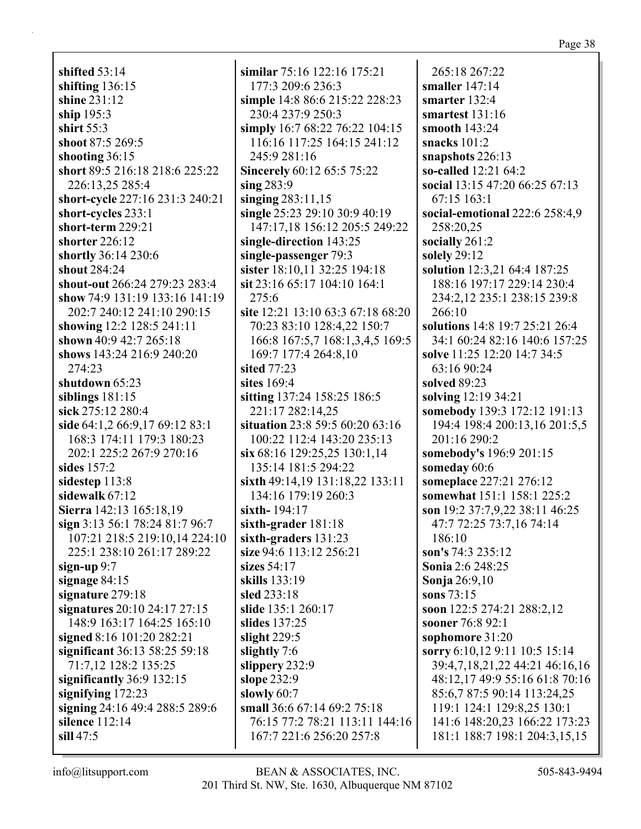**shifted** 53:14 **shifting** 136:15 **shine** 231:12 **ship** 195:3 **shirt** 55:3 **shoot** 87:5 269:5 **shooting** 36:15 **short** 89:5 216:18 218:6 225:22 226:13,25 285:4 **short-cycle** 227:16 231:3 240:21 **short-cycles** 233:1 **short-term** 229:21 **shorter** 226:12 **shortly** 36:14 230:6 **shout** 284:24 **shout-out** 266:24 279:23 283:4 **show** 74:9 131:19 133:16 141:19 202:7 240:12 241:10 290:15 **showing** 12:2 128:5 241:11 **shown** 40:9 42:7 265:18 **shows** 143:24 216:9 240:20 274:23 **shutdown** 65:23 **siblings** 181:15 **sick** 275:12 280:4 **side** 64:1,2 66:9,17 69:12 83:1 168:3 174:11 179:3 180:23 202:1 225:2 267:9 270:16 **sides** 157:2 **sidestep** 113:8 **sidewalk** 67:12 **Sierra** 142:13 165:18,19 **sign** 3:13 56:1 78:24 81:7 96:7 107:21 218:5 219:10,14 224:10 225:1 238:10 261:17 289:22 **sign-up** 9:7 **signage** 84:15 **signature** 279:18 **signatures** 20:10 24:17 27:15 148:9 163:17 164:25 165:10 **signed** 8:16 101:20 282:21 **significant** 36:13 58:25 59:18 71:7,12 128:2 135:25 **significantly** 36:9 132:15 **signifying** 172:23 **signing** 24:16 49:4 288:5 289:6 **silence** 112:14 **sill** 47:5

**similar** 75:16 122:16 175:21 177:3 209:6 236:3 **simple** 14:8 86:6 215:22 228:23 230:4 237:9 250:3 **simply** 16:7 68:22 76:22 104:15 116:16 117:25 164:15 241:12 245:9 281:16 **Sincerely** 60:12 65:5 75:22 **sing** 283:9 **singing** 283:11,15 **single** 25:23 29:10 30:9 40:19 147:17,18 156:12 205:5 249:22 **single-direction** 143:25 **single-passenger** 79:3 **sister** 18:10,11 32:25 194:18 **sit** 23:16 65:17 104:10 164:1 275:6 **site** 12:21 13:10 63:3 67:18 68:20 70:23 83:10 128:4,22 150:7 166:8 167:5,7 168:1,3,4,5 169:5 169:7 177:4 264:8,10 **sited** 77:23 **sites** 169:4 **sitting** 137:24 158:25 186:5 221:17 282:14,25 **situation** 23:8 59:5 60:20 63:16 100:22 112:4 143:20 235:13 **six** 68:16 129:25,25 130:1,14 135:14 181:5 294:22 **sixth** 49:14,19 131:18,22 133:11 134:16 179:19 260:3 **sixth-** 194:17 **sixth-grader** 181:18 **sixth-graders** 131:23 **size** 94:6 113:12 256:21 **sizes** 54:17 **skills** 133:19 **sled** 233:18 **slide** 135:1 260:17 **slides** 137:25 **slight** 229:5 **slightly** 7:6 **slippery** 232:9 **slope** 232:9 **slowly** 60:7 **small** 36:6 67:14 69:2 75:18 76:15 77:2 78:21 113:11 144:16 167:7 221:6 256:20 257:8

265:18 267:22 **smaller** 147:14 **smarter** 132:4 **smartest** 131:16 **smooth** 143:24 **snacks** 101:2 **snapshots** 226:13 **so-called** 12:21 64:2 **social** 13:15 47:20 66:25 67:13 67:15 163:1 **social-emotional** 222:6 258:4,9 258:20,25 **socially** 261:2 **solely** 29:12 **solution** 12:3,21 64:4 187:25 188:16 197:17 229:14 230:4 234:2,12 235:1 238:15 239:8 266:10 **solutions** 14:8 19:7 25:21 26:4 34:1 60:24 82:16 140:6 157:25 **solve** 11:25 12:20 14:7 34:5 63:16 90:24 **solved** 89:23 **solving** 12:19 34:21 **somebody** 139:3 172:12 191:13 194:4 198:4 200:13,16 201:5,5 201:16 290:2 **somebody's** 196:9 201:15 **someday** 60:6 **someplace** 227:21 276:12 **somewhat** 151:1 158:1 225:2 **son** 19:2 37:7,9,22 38:11 46:25 47:7 72:25 73:7,16 74:14 186:10 **son's** 74:3 235:12 **Sonia** 2:6 248:25 **Sonja** 26:9,10 **sons** 73:15 **soon** 122:5 274:21 288:2,12 **sooner** 76:8 92:1 **sophomore** 31:20 **sorry** 6:10,12 9:11 10:5 15:14 39:4,7,18,21,22 44:21 46:16,16 48:12,17 49:9 55:16 61:8 70:16 85:6,7 87:5 90:14 113:24,25 119:1 124:1 129:8,25 130:1 141:6 148:20,23 166:22 173:23 181:1 188:7 198:1 204:3,15,15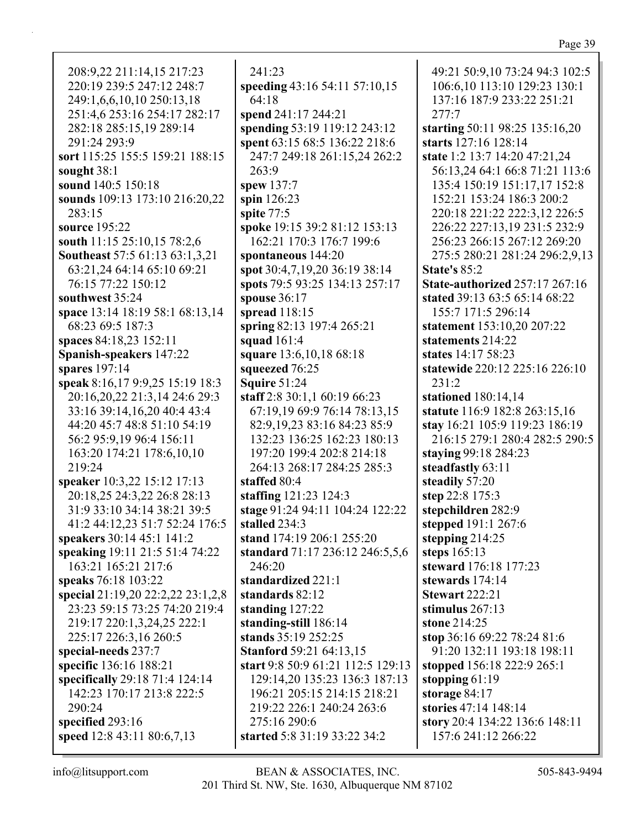208:9,22 211:14,15 217:23 220:19 239:5 247:12 248:7 249:1,6,6,10,10 250:13,18 251:4,6 253:16 254:17 282:17 282:18 285:15,19 289:14 291:24 293:9 **sort** 115:25 155:5 159:21 188:15 **sought** 38:1 **sound** 140:5 150:18 **sounds** 109:13 173:10 216:20,22 283:15 **source** 195:22 **south** 11:15 25:10,15 78:2,6 **Southeast** 57:5 61:13 63:1,3,21 63:21,24 64:14 65:10 69:21 76:15 77:22 150:12 **southwest** 35:24 **space** 13:14 18:19 58:1 68:13,14 68:23 69:5 187:3 **spaces** 84:18,23 152:11 **Spanish-speakers** 147:22 **spares** 197:14 **speak** 8:16,17 9:9,25 15:19 18:3 20:16,20,22 21:3,14 24:6 29:3 33:16 39:14,16,20 40:4 43:4 44:20 45:7 48:8 51:10 54:19 56:2 95:9,19 96:4 156:11 163:20 174:21 178:6,10,10 219:24 **speaker** 10:3,22 15:12 17:13 20:18,25 24:3,22 26:8 28:13 31:9 33:10 34:14 38:21 39:5 41:2 44:12,23 51:7 52:24 176:5 **speakers** 30:14 45:1 141:2 **speaking** 19:11 21:5 51:4 74:22 163:21 165:21 217:6 **speaks** 76:18 103:22 **special** 21:19,20 22:2,22 23:1,2,8 23:23 59:15 73:25 74:20 219:4 219:17 220:1,3,24,25 222:1 225:17 226:3,16 260:5 **special-needs** 237:7 **specific** 136:16 188:21 **specifically** 29:18 71:4 124:14 142:23 170:17 213:8 222:5 290:24 **specified** 293:16 **speed** 12:8 43:11 80:6,7,13

241:23 **speeding** 43:16 54:11 57:10,15 64:18 **spend** 241:17 244:21 **spending** 53:19 119:12 243:12 **spent** 63:15 68:5 136:22 218:6 247:7 249:18 261:15,24 262:2 263:9 **spew** 137:7 **spin** 126:23 **spite** 77:5 **spoke** 19:15 39:2 81:12 153:13 162:21 170:3 176:7 199:6 **spontaneous** 144:20 **spot** 30:4,7,19,20 36:19 38:14 **spots** 79:5 93:25 134:13 257:17 **spouse** 36:17 **spread** 118:15 **spring** 82:13 197:4 265:21 **squad** 161:4 **square** 13:6,10,18 68:18 **squeezed** 76:25 **Squire** 51:24 **staff** 2:8 30:1,1 60:19 66:23 67:19,19 69:9 76:14 78:13,15 82:9,19,23 83:16 84:23 85:9 132:23 136:25 162:23 180:13 197:20 199:4 202:8 214:18 264:13 268:17 284:25 285:3 **staffed** 80:4 **staffing** 121:23 124:3 **stage** 91:24 94:11 104:24 122:22 **stalled** 234:3 **stand** 174:19 206:1 255:20 **standard** 71:17 236:12 246:5,5,6 246:20 **standardized** 221:1 **standards** 82:12 **standing** 127:22 **standing-still** 186:14 **stands** 35:19 252:25 **Stanford** 59:21 64:13,15 **start** 9:8 50:9 61:21 112:5 129:13 129:14,20 135:23 136:3 187:13 196:21 205:15 214:15 218:21 219:22 226:1 240:24 263:6 275:16 290:6 **started** 5:8 31:19 33:22 34:2

49:21 50:9,10 73:24 94:3 102:5 106:6,10 113:10 129:23 130:1 137:16 187:9 233:22 251:21 277:7 **starting** 50:11 98:25 135:16,20 **starts** 127:16 128:14 **state** 1:2 13:7 14:20 47:21,24 56:13,24 64:1 66:8 71:21 113:6 135:4 150:19 151:17,17 152:8 152:21 153:24 186:3 200:2 220:18 221:22 222:3,12 226:5 226:22 227:13,19 231:5 232:9 256:23 266:15 267:12 269:20 275:5 280:21 281:24 296:2,9,13 **State's** 85:2 **State-authorized** 257:17 267:16 **stated** 39:13 63:5 65:14 68:22 155:7 171:5 296:14 **statement** 153:10,20 207:22 **statements** 214:22 **states** 14:17 58:23 **statewide** 220:12 225:16 226:10 231:2 **stationed** 180:14,14 **statute** 116:9 182:8 263:15,16 **stay** 16:21 105:9 119:23 186:19 216:15 279:1 280:4 282:5 290:5 **staying** 99:18 284:23 **steadfastly** 63:11 **steadily** 57:20 **step** 22:8 175:3 **stepchildren** 282:9 **stepped** 191:1 267:6 **stepping** 214:25 **steps** 165:13 **steward** 176:18 177:23 **stewards** 174:14 **Stewart** 222:21 **stimulus** 267:13 **stone** 214:25 **stop** 36:16 69:22 78:24 81:6 91:20 132:11 193:18 198:11 **stopped** 156:18 222:9 265:1 **stopping** 61:19 **storage** 84:17 **stories** 47:14 148:14 **story** 20:4 134:22 136:6 148:11 157:6 241:12 266:22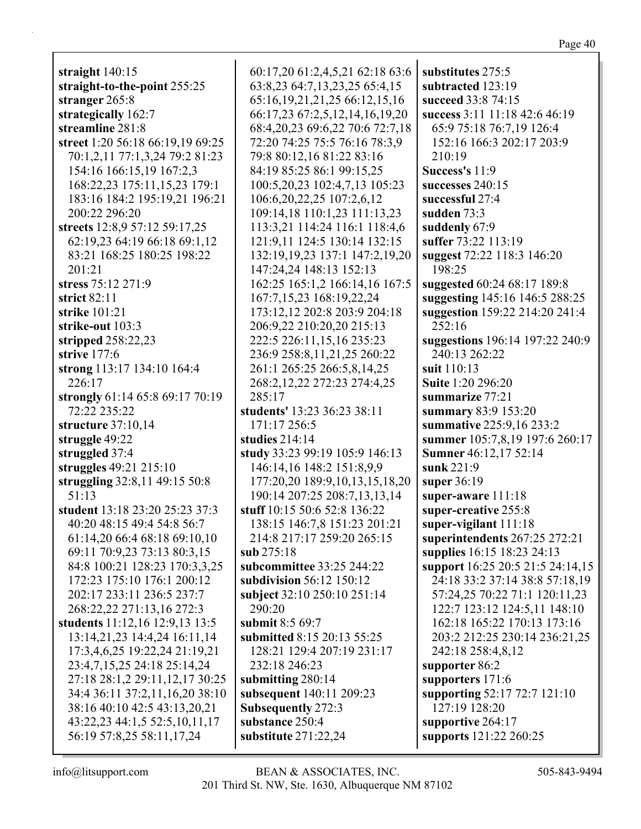| יי<br>)<br>41.<br>71 O<br>ıρ |
|------------------------------|
|------------------------------|

|                                                   |                                                                  | substitutes 275:5                   |
|---------------------------------------------------|------------------------------------------------------------------|-------------------------------------|
| straight $140:15$<br>straight-to-the-point 255:25 | 60:17,20 61:2,4,5,21 62:18 63:6<br>63:8,23 64:7,13,23,25 65:4,15 | subtracted 123:19                   |
| stranger 265:8                                    | 65:16, 19, 21, 21, 25 66:12, 15, 16                              | succeed 33:8 74:15                  |
| strategically 162:7                               | 66:17,23 67:2,5,12,14,16,19,20                                   | success 3:11 11:18 42:6 46:19       |
| streamline 281:8                                  | 68:4, 20, 23 69: 6, 22 70: 6 72: 7, 18                           | 65:9 75:18 76:7,19 126:4            |
|                                                   |                                                                  | 152:16 166:3 202:17 203:9           |
| street 1:20 56:18 66:19,19 69:25                  | 72:20 74:25 75:5 76:16 78:3,9                                    |                                     |
| 70:1,2,11 77:1,3,24 79:2 81:23                    | 79:8 80:12,16 81:22 83:16                                        | 210:19                              |
| 154:16 166:15,19 167:2,3                          | 84:19 85:25 86:1 99:15,25                                        | Success's 11:9                      |
| 168:22,23 175:11,15,23 179:1                      | 100:5,20,23 102:4,7,13 105:23                                    | successes 240:15<br>successful 27:4 |
| 183:16 184:2 195:19,21 196:21                     | 106:6, 20, 22, 25 107:2, 6, 12                                   |                                     |
| 200:22 296:20                                     | 109:14,18 110:1,23 111:13,23                                     | sudden 73:3                         |
| streets 12:8,9 57:12 59:17,25                     | 113:3,21 114:24 116:1 118:4,6                                    | suddenly 67:9                       |
| 62:19,23 64:19 66:18 69:1,12                      | 121:9,11 124:5 130:14 132:15                                     | suffer 73:22 113:19                 |
| 83:21 168:25 180:25 198:22                        | 132:19,19,23 137:1 147:2,19,20                                   | suggest 72:22 118:3 146:20          |
| 201:21                                            | 147:24,24 148:13 152:13                                          | 198:25                              |
| stress 75:12 271:9                                | 162:25 165:1,2 166:14,16 167:5                                   | suggested 60:24 68:17 189:8         |
| strict $82:11$                                    | 167:7,15,23 168:19,22,24                                         | suggesting 145:16 146:5 288:25      |
| strike 101:21                                     | 173:12,12 202:8 203:9 204:18                                     | suggestion 159:22 214:20 241:4      |
| strike-out 103:3                                  | 206:9,22 210:20,20 215:13                                        | 252:16                              |
| stripped $258:22,23$                              | 222:5 226:11,15,16 235:23                                        | suggestions 196:14 197:22 240:9     |
| strive 177:6                                      | 236:9 258:8,11,21,25 260:22                                      | 240:13 262:22                       |
| strong 113:17 134:10 164:4                        | 261:1 265:25 266:5,8,14,25                                       | suit 110:13                         |
| 226:17                                            | 268:2, 12, 22 272: 23 274: 4, 25                                 | <b>Suite 1:20 296:20</b>            |
| strongly 61:14 65:8 69:17 70:19                   | 285:17                                                           | summarize 77:21                     |
| 72:22 235:22                                      | students' 13:23 36:23 38:11                                      | summary 83:9 153:20                 |
| structure 37:10,14                                | 171:17 256:5                                                     | summative 225:9,16 233:2            |
| struggle 49:22                                    | studies $214:14$                                                 | summer 105:7,8,19 197:6 260:17      |
| struggled 37:4                                    | study 33:23 99:19 105:9 146:13                                   | Sumner 46:12,17 52:14               |
| struggles 49:21 215:10                            | 146:14,16 148:2 151:8,9,9                                        | sunk 221:9                          |
| struggling 32:8,11 49:15 50:8                     | 177:20,20 189:9,10,13,15,18,20                                   | super 36:19                         |
| 51:13                                             | 190:14 207:25 208:7,13,13,14                                     | super-aware 111:18                  |
| student 13:18 23:20 25:23 37:3                    | stuff 10:15 50:6 52:8 136:22                                     | super-creative 255:8                |
| 40:20 48:15 49:4 54:8 56:7                        | 138:15 146:7,8 151:23 201:21                                     | super-vigilant $111:18$             |
| 61:14,20 66:4 68:18 69:10,10                      | 214:8 217:17 259:20 265:15                                       | superintendents 267:25 272:21       |
| 69:11 70:9,23 73:13 80:3,15                       | sub 275:18                                                       | supplies 16:15 18:23 24:13          |
| 84:8 100:21 128:23 170:3,3,25                     | subcommittee 33:25 244:22                                        | support 16:25 20:5 21:5 24:14,15    |
| 172:23 175:10 176:1 200:12                        | subdivision 56:12 150:12                                         | 24:18 33:2 37:14 38:8 57:18,19      |
| 202:17 233:11 236:5 237:7                         | subject 32:10 250:10 251:14                                      | 57:24,25 70:22 71:1 120:11,23       |
| 268:22,22 271:13,16 272:3                         | 290:20                                                           | 122:7 123:12 124:5,11 148:10        |
| students 11:12,16 12:9,13 13:5                    | submit 8:5 69:7                                                  | 162:18 165:22 170:13 173:16         |
| 13:14,21,23 14:4,24 16:11,14                      | submitted 8:15 20:13 55:25                                       | 203:2 212:25 230:14 236:21,25       |
| 17:3,4,6,25 19:22,24 21:19,21                     | 128:21 129:4 207:19 231:17                                       | 242:18 258:4,8,12                   |
| 23:4,7,15,25 24:18 25:14,24                       | 232:18 246:23                                                    | supporter 86:2                      |
| 27:18 28:1,2 29:11,12,17 30:25                    | submitting 280:14                                                | supporters 171:6                    |
| 34:4 36:11 37:2,11,16,20 38:10                    | subsequent 140:11 209:23                                         | supporting 52:17 72:7 121:10        |
| 38:16 40:10 42:5 43:13,20,21                      | <b>Subsequently 272:3</b>                                        | 127:19 128:20                       |
| 43:22,23 44:1,5 52:5,10,11,17                     | substance 250:4                                                  | supportive 264:17                   |
| 56:19 57:8,25 58:11,17,24                         | substitute $271:22,24$                                           | supports 121:22 260:25              |
|                                                   |                                                                  |                                     |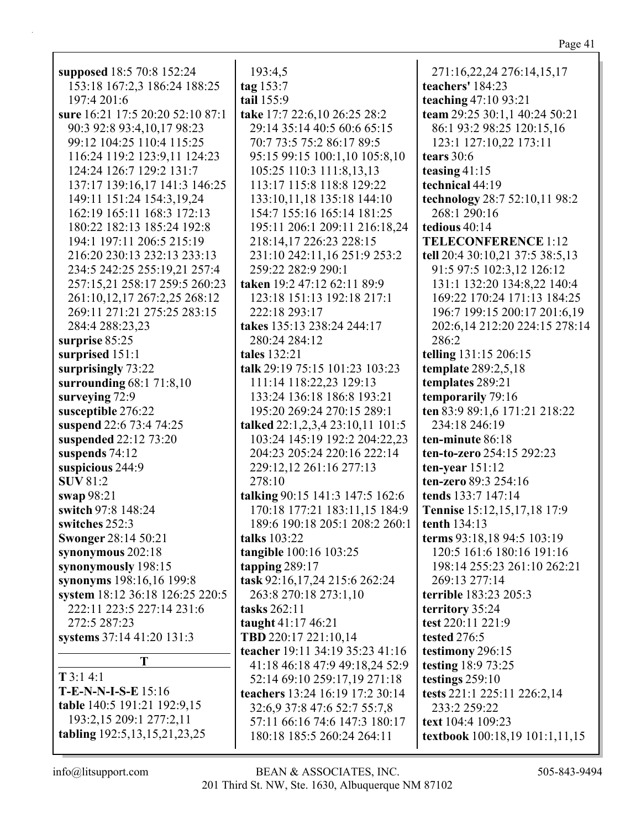| supposed 18:5 70:8 152:24         | 193:4,5                          | 271:16,22,24 276:14,15,17<br>teachers' 184:23 |
|-----------------------------------|----------------------------------|-----------------------------------------------|
| 153:18 167:2,3 186:24 188:25      | tag $153:7$<br>tail 155:9        |                                               |
| 197:4 201:6                       |                                  | teaching 47:10 93:21                          |
| sure 16:21 17:5 20:20 52:10 87:1  | take 17:7 22:6,10 26:25 28:2     | team 29:25 30:1,1 40:24 50:21                 |
| 90:3 92:8 93:4,10,17 98:23        | 29:14 35:14 40:5 60:6 65:15      | 86:1 93:2 98:25 120:15,16                     |
| 99:12 104:25 110:4 115:25         | 70:7 73:5 75:2 86:17 89:5        | 123:1 127:10,22 173:11                        |
| 116:24 119:2 123:9,11 124:23      | 95:15 99:15 100:1,10 105:8,10    | tears $30:6$                                  |
| 124:24 126:7 129:2 131:7          | 105:25 110:3 111:8,13,13         | teasing $41:15$                               |
| 137:17 139:16,17 141:3 146:25     | 113:17 115:8 118:8 129:22        | technical 44:19                               |
| 149:11 151:24 154:3,19,24         | 133:10,11,18 135:18 144:10       | technology 28:7 52:10,11 98:2                 |
| 162:19 165:11 168:3 172:13        | 154:7 155:16 165:14 181:25       | 268:1 290:16                                  |
| 180:22 182:13 185:24 192:8        | 195:11 206:1 209:11 216:18,24    | tedious 40:14                                 |
| 194:1 197:11 206:5 215:19         | 218:14,17 226:23 228:15          | <b>TELECONFERENCE 1:12</b>                    |
| 216:20 230:13 232:13 233:13       | 231:10 242:11,16 251:9 253:2     | tell 20:4 30:10,21 37:5 38:5,13               |
| 234:5 242:25 255:19,21 257:4      | 259:22 282:9 290:1               | 91:5 97:5 102:3,12 126:12                     |
| 257:15,21 258:17 259:5 260:23     | taken 19:2 47:12 62:11 89:9      | 131:1 132:20 134:8,22 140:4                   |
| 261:10,12,17 267:2,25 268:12      | 123:18 151:13 192:18 217:1       | 169:22 170:24 171:13 184:25                   |
| 269:11 271:21 275:25 283:15       | 222:18 293:17                    | 196:7 199:15 200:17 201:6,19                  |
| 284:4 288:23,23                   | takes 135:13 238:24 244:17       | 202:6,14 212:20 224:15 278:14                 |
| surprise 85:25                    | 280:24 284:12                    | 286:2                                         |
| surprised 151:1                   | tales 132:21                     | telling 131:15 206:15                         |
| surprisingly 73:22                | talk 29:19 75:15 101:23 103:23   | template 289:2,5,18                           |
| surrounding $68:171:8,10$         | 111:14 118:22,23 129:13          | templates 289:21                              |
| surveying 72:9                    | 133:24 136:18 186:8 193:21       | temporarily 79:16                             |
| susceptible 276:22                | 195:20 269:24 270:15 289:1       | ten 83:9 89:1,6 171:21 218:22                 |
| suspend 22:6 73:4 74:25           | talked 22:1,2,3,4 23:10,11 101:5 | 234:18 246:19                                 |
| suspended 22:12 73:20             | 103:24 145:19 192:2 204:22,23    | ten-minute 86:18                              |
| suspends 74:12                    | 204:23 205:24 220:16 222:14      | ten-to-zero 254:15 292:23                     |
| suspicious 244:9                  | 229:12,12 261:16 277:13          | ten-year $151:12$                             |
| <b>SUV 81:2</b>                   | 278:10                           | ten-zero 89:3 254:16                          |
| swap 98:21                        | talking 90:15 141:3 147:5 162:6  | tends 133:7 147:14                            |
| switch 97:8 148:24                | 170:18 177:21 183:11,15 184:9    | Tennise 15:12,15,17,18 17:9                   |
| switches 252:3                    | 189:6 190:18 205:1 208:2 260:1   | tenth $134:13$                                |
| <b>Swonger 28:14 50:21</b>        | talks 103:22                     | terms 93:18,18 94:5 103:19                    |
| synonymous 202:18                 | tangible 100:16 103:25           | 120:5 161:6 180:16 191:16                     |
| synonymously 198:15               | tapping $289:17$                 | 198:14 255:23 261:10 262:21                   |
| synonyms 198:16,16 199:8          | task 92:16,17,24 215:6 262:24    | 269:13 277:14                                 |
| system 18:12 36:18 126:25 220:5   | 263:8 270:18 273:1,10            | terrible 183:23 205:3                         |
| 222:11 223:5 227:14 231:6         | tasks 262:11                     | territory 35:24                               |
| 272:5 287:23                      | taught 41:17 46:21               | test 220:11 221:9                             |
| systems 37:14 41:20 131:3         | TBD 220:17 221:10,14             | tested 276:5                                  |
|                                   | teacher 19:11 34:19 35:23 41:16  | testimony 296:15                              |
| T                                 | 41:18 46:18 47:9 49:18,24 52:9   | testing 18:9 73:25                            |
| $T$ 3:1 4:1                       | 52:14 69:10 259:17,19 271:18     | testings $259:10$                             |
| $T-E-N-N-I-S-E$ 15:16             | teachers 13:24 16:19 17:2 30:14  | tests 221:1 225:11 226:2,14                   |
| table 140:5 191:21 192:9,15       | 32:6,9 37:8 47:6 52:7 55:7,8     | 233:2 259:22                                  |
| 193:2,15 209:1 277:2,11           | 57:11 66:16 74:6 147:3 180:17    | text 104:4 109:23                             |
| tabling 192:5, 13, 15, 21, 23, 25 | 180:18 185:5 260:24 264:11       | textbook 100:18,19 101:1,11,15                |
|                                   |                                  |                                               |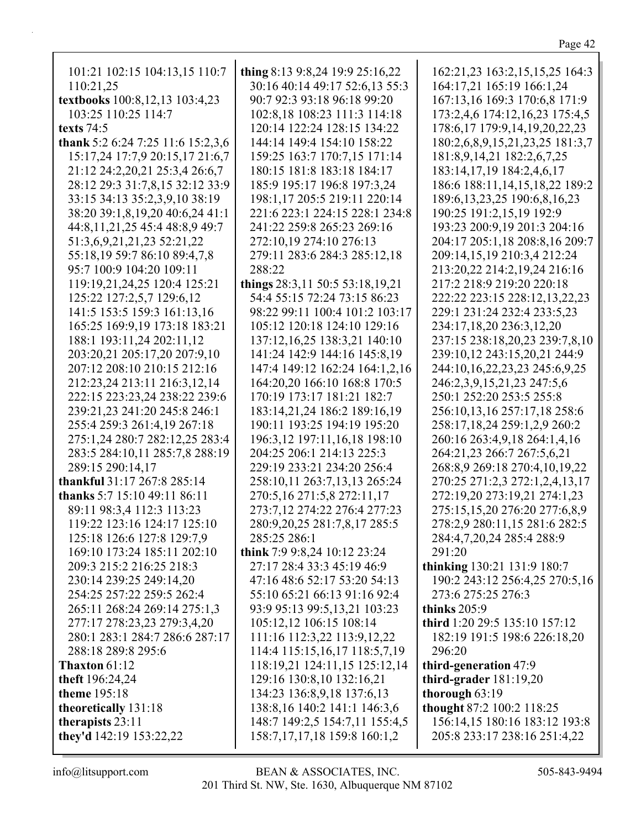| 101:21 102:15 104:13,15 110:7     | thing 8:13 9:8,24 19:9 25:16,22   | 162:21,23 163:2,15,15,25 164:3      |
|-----------------------------------|-----------------------------------|-------------------------------------|
| 110:21,25                         | 30:16 40:14 49:17 52:6,13 55:3    | 164:17,21 165:19 166:1,24           |
| textbooks 100:8,12,13 103:4,23    | 90:7 92:3 93:18 96:18 99:20       | 167:13,16 169:3 170:6,8 171:9       |
| 103:25 110:25 114:7               | 102:8,18 108:23 111:3 114:18      | 173:2,4,6 174:12,16,23 175:4,5      |
| texts $74:5$                      | 120:14 122:24 128:15 134:22       | 178:6, 17 179:9, 14, 19, 20, 22, 23 |
| thank 5:2 6:24 7:25 11:6 15:2,3,6 | 144:14 149:4 154:10 158:22        | 180:2,6,8,9,15,21,23,25 181:3,7     |
| 15:17,24 17:7,9 20:15,17 21:6,7   | 159:25 163:7 170:7,15 171:14      | 181:8,9,14,21 182:2,6,7,25          |
| 21:12 24:2,20,21 25:3,4 26:6,7    | 180:15 181:8 183:18 184:17        | 183:14,17,19 184:2,4,6,17           |
| 28:12 29:3 31:7,8,15 32:12 33:9   | 185:9 195:17 196:8 197:3,24       | 186:6 188:11,14,15,18,22 189:2      |
| 33:15 34:13 35:2,3,9,10 38:19     | 198:1,17 205:5 219:11 220:14      | 189:6, 13, 23, 25 190: 6, 8, 16, 23 |
| 38:20 39:1,8,19,20 40:6,24 41:1   | 221:6 223:1 224:15 228:1 234:8    | 190:25 191:2,15,19 192:9            |
| 44:8,11,21,25 45:4 48:8,9 49:7    | 241:22 259:8 265:23 269:16        | 193:23 200:9,19 201:3 204:16        |
| 51:3,6,9,21,21,23 52:21,22        | 272:10,19 274:10 276:13           | 204:17 205:1,18 208:8,16 209:7      |
| 55:18,19 59:7 86:10 89:4,7,8      | 279:11 283:6 284:3 285:12,18      | 209:14,15,19 210:3,4 212:24         |
| 95:7 100:9 104:20 109:11          | 288:22                            | 213:20,22 214:2,19,24 216:16        |
| 119:19,21,24,25 120:4 125:21      | things 28:3,11 50:5 53:18,19,21   | 217:2 218:9 219:20 220:18           |
| 125:22 127:2,5,7 129:6,12         | 54:4 55:15 72:24 73:15 86:23      | 222:22 223:15 228:12,13,22,23       |
| 141:5 153:5 159:3 161:13,16       | 98:22 99:11 100:4 101:2 103:17    | 229:1 231:24 232:4 233:5,23         |
| 165:25 169:9,19 173:18 183:21     | 105:12 120:18 124:10 129:16       | 234:17,18,20 236:3,12,20            |
| 188:1 193:11,24 202:11,12         | 137:12,16,25 138:3,21 140:10      | 237:15 238:18,20,23 239:7,8,10      |
| 203:20,21 205:17,20 207:9,10      | 141:24 142:9 144:16 145:8,19      | 239:10,12 243:15,20,21 244:9        |
| 207:12 208:10 210:15 212:16       |                                   |                                     |
|                                   | 147:4 149:12 162:24 164:1,2,16    | 244:10,16,22,23,23 245:6,9,25       |
| 212:23,24 213:11 216:3,12,14      | 164:20,20 166:10 168:8 170:5      | 246:2,3,9,15,21,23 247:5,6          |
| 222:15 223:23,24 238:22 239:6     | 170:19 173:17 181:21 182:7        | 250:1 252:20 253:5 255:8            |
| 239:21,23 241:20 245:8 246:1      | 183:14,21,24 186:2 189:16,19      | 256:10,13,16 257:17,18 258:6        |
| 255:4 259:3 261:4,19 267:18       | 190:11 193:25 194:19 195:20       | 258:17,18,24 259:1,2,9 260:2        |
| 275:1,24 280:7 282:12,25 283:4    | 196:3,12 197:11,16,18 198:10      | 260:16 263:4,9,18 264:1,4,16        |
| 283:5 284:10,11 285:7,8 288:19    | 204:25 206:1 214:13 225:3         | 264:21,23 266:7 267:5,6,21          |
| 289:15 290:14,17                  | 229:19 233:21 234:20 256:4        | 268:8,9 269:18 270:4,10,19,22       |
| thankful 31:17 267:8 285:14       | 258:10,11 263:7,13,13 265:24      | 270:25 271:2,3 272:1,2,4,13,17      |
| thanks 5:7 15:10 49:11 86:11      | 270:5,16 271:5,8 272:11,17        | 272:19,20 273:19,21 274:1,23        |
| 89:11 98:3,4 112:3 113:23         | 273:7,12 274:22 276:4 277:23      | 275:15,15,20 276:20 277:6,8,9       |
| 119:22 123:16 124:17 125:10       | 280:9,20,25 281:7,8,17 285:5      | 278:2,9 280:11,15 281:6 282:5       |
| 125:18 126:6 127:8 129:7,9        | 285:25 286:1                      | 284:4,7,20,24 285:4 288:9           |
| 169:10 173:24 185:11 202:10       | think 7:9 9:8,24 10:12 23:24      | 291:20                              |
| 209:3 215:2 216:25 218:3          | 27:17 28:4 33:3 45:19 46:9        | thinking 130:21 131:9 180:7         |
| 230:14 239:25 249:14,20           | 47:16 48:6 52:17 53:20 54:13      | 190:2 243:12 256:4,25 270:5,16      |
| 254:25 257:22 259:5 262:4         | 55:10 65:21 66:13 91:16 92:4      | 273:6 275:25 276:3                  |
| 265:11 268:24 269:14 275:1,3      | 93:9 95:13 99:5,13,21 103:23      | thinks $205:9$                      |
| 277:17 278:23,23 279:3,4,20       | 105:12,12 106:15 108:14           | third 1:20 29:5 135:10 157:12       |
| 280:1 283:1 284:7 286:6 287:17    | 111:16 112:3,22 113:9,12,22       | 182:19 191:5 198:6 226:18,20        |
| 288:18 289:8 295:6                | 114:4 115:15, 16, 17 118:5, 7, 19 | 296:20                              |
| Thaxton 61:12                     | 118:19,21 124:11,15 125:12,14     | third-generation 47:9               |
| theft 196:24,24                   | 129:16 130:8,10 132:16,21         | third-grader $181:19,20$            |
| theme 195:18                      | 134:23 136:8,9,18 137:6,13        | thorough 63:19                      |
| theoretically 131:18              | 138:8, 16 140:2 141:1 146:3, 6    | thought 87:2 100:2 118:25           |
| therapists 23:11                  | 148:7 149:2,5 154:7,11 155:4,5    | 156:14,15 180:16 183:12 193:8       |
| they'd 142:19 153:22,22           | 158:7, 17, 17, 18 159:8 160:1, 2  | 205:8 233:17 238:16 251:4,22        |
|                                   |                                   |                                     |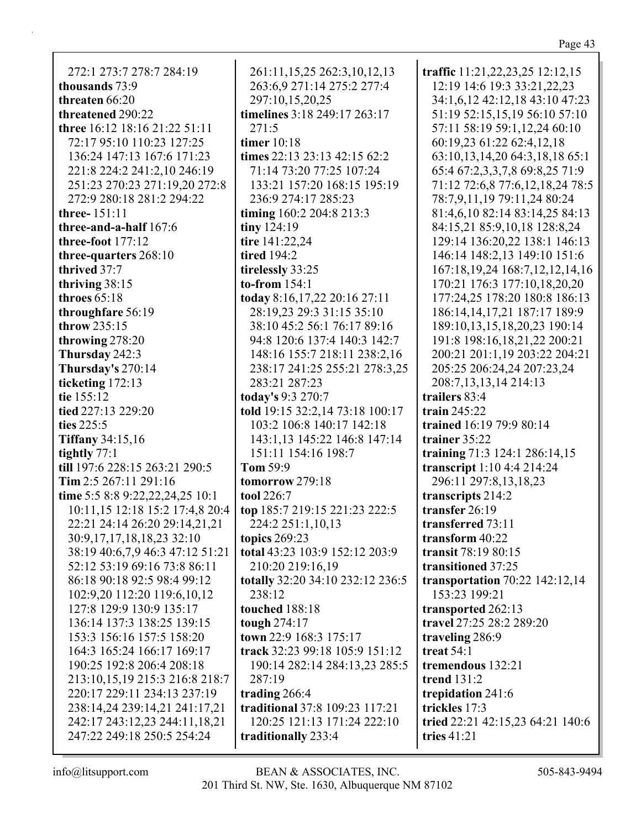| traffic 11:21,22,23,25 12:12,15       |
|---------------------------------------|
| 12:19 14:6 19:3 33:21, 22, 23         |
| 34:1,6,12 42:12,18 43:10 47:23        |
| 51:19 52:15,15,19 56:10 57:10         |
| 57:11 58:19 59:1,12,24 60:10          |
| 60:19,23 61:22 62:4,12,18             |
| 63:10,13,14,20 64:3,18,18 65:1        |
|                                       |
| 65:4 67:2,3,3,7,8 69:8,25 71:9        |
| 71:12 72:6,8 77:6,12,18,24 78:5       |
| 78:7,9,11,19 79:11,24 80:24           |
| 81:4,6,10 82:14 83:14,25 84:13        |
| 84:15,21 85:9,10,18 128:8,24          |
| 129:14 136:20,22 138:1 146:13         |
| 146:14 148:2,13 149:10 151:6          |
| 167:18, 19, 24 168: 7, 12, 12, 14, 16 |
| 170:21 176:3 177:10,18,20,20          |
| 177:24,25 178:20 180:8 186:13         |
| 186:14, 14, 17, 21 187: 17 189: 9     |
| 189:10,13,15,18,20,23 190:14          |
| 191:8 198:16,18,21,22 200:21          |
| 200:21 201:1,19 203:22 204:21         |
| 205:25 206:24,24 207:23,24            |
| 208:7,13,13,14 214:13                 |
| trailars 83.4                         |

129:14 1  $146:141$  $167:18,1$ 170:21 1 177:24,2 186:14.1 189:10,1 191:8 198 200:21 20 205:25 2 208:7.13 **trailers** 83:4 **train** 245:22 **trained** 16:19 79:9 80:14 **trainer** 35:22 **training** 71:3 124:1 286:14,15 **transcript** 1:10 4:4 214:24 296:11 297:8,13,18,23 **transcripts** 214:2 **transfer** 26:19 **transferred** 73:11 **transform** 40:22 **transit** 78:19 80:15 **transitioned** 37:25 **transportation** 70:22 142:12,14 153:23 199:21 **transported** 262:13 **travel** 27:25 28:2 289:20 **traveling** 286:9 **treat** 54:1 **tremendous** 132:21 **trend** 131:2 **trepidation** 241:6 **trickles** 17:3 **tried** 22:21 42:15,23 64:21 140:6 **tries** 41:21

272:1 273:7 278:7 284:19 **thousands** 73:9 **threaten** 66:20 **threatened** 290:22 **three** 16:12 18:16 21:22 51:11 72:17 95:10 110:23 127:25 136:24 147:13 167:6 171:23 221:8 224:2 241:2,10 246:19 251:23 270:23 271:19,20 272:8 272:9 280:18 281:2 294:22 **three-** 151:11 **three-and-a-half** 167:6 **three-foot** 177:12 **three-quarters** 268:10 **thrived** 37:7 **thriving** 38:15 **throes** 65:18 **throughfare** 56:19 **throw** 235:15 **throwing** 278:20 **Thursday** 242:3 **Thursday's** 270:14 **ticketing** 172:13 **tie** 155:12 **tied** 227:13 229:20 **ties** 225:5 **Tiffany** 34:15,16 **tightly** 77:1 **till** 197:6 228:15 263:21 290:5 **Tim** 2:5 267:11 291:16 **time** 5:5 8:8 9:22,22,24,25 10:1 10:11,15 12:18 15:2 17:4,8 20:4 22:21 24:14 26:20 29:14,21,21 30:9,17,17,18,18,23 32:10 38:19 40:6,7,9 46:3 47:12 51:21 52:12 53:19 69:16 73:8 86:11 86:18 90:18 92:5 98:4 99:12 102:9,20 112:20 119:6,10,12 127:8 129:9 130:9 135:17 136:14 137:3 138:25 139:15 153:3 156:16 157:5 158:20 164:3 165:24 166:17 169:17 190:25 192:8 206:4 208:18 213:10,15,19 215:3 216:8 218:7 220:17 229:11 234:13 237:19 238:14,24 239:14,21 241:17,21 242:17 243:12,23 244:11,18,21 247:22 249:18 250:5 254:24

263:6,9 271:14 275:2 277:4 297:10,15,20,25 **timelines** 3:18 249:17 263:17 271:5 **timer** 10:18 **times** 22:13 23:13 42:15 62:2 71:14 73:20 77:25 107:24 133:21 157:20 168:15 195:19 236:9 274:17 285:23 **timing** 160:2 204:8 213:3 **tiny** 124:19 **tire** 141:22,24 **tired** 194:2 **tirelessly** 33:25 **to-from** 154:1 **today** 8:16,17,22 20:16 27:11 28:19,23 29:3 31:15 35:10 38:10 45:2 56:1 76:17 89:16 94:8 120:6 137:4 140:3 142:7 148:16 155:7 218:11 238:2,16 238:17 241:25 255:21 278:3,25 283:21 287:23 **today's** 9:3 270:7 **told** 19:15 32:2,14 73:18 100:17 103:2 106:8 140:17 142:18 143:1,13 145:22 146:8 147:14 151:11 154:16 198:7 **Tom** 59:9 **tomorrow** 279:18 **tool** 226:7 **top** 185:7 219:15 221:23 222:5 224:2 251:1,10,13 **topics** 269:23 **total** 43:23 103:9 152:12 203:9 210:20 219:16,19 **totally** 32:20 34:10 232:12 236:5 238:12 **touched** 188:18 **tough** 274:17 **town** 22:9 168:3 175:17 **track** 32:23 99:18 105:9 151:12 190:14 282:14 284:13,23 285:5 287:19 **trading** 266:4 **traditional** 37:8 109:23 117:21 120:25 121:13 171:24 222:10 **traditionally** 233:4

261:11,15,25 262:3,10,12,13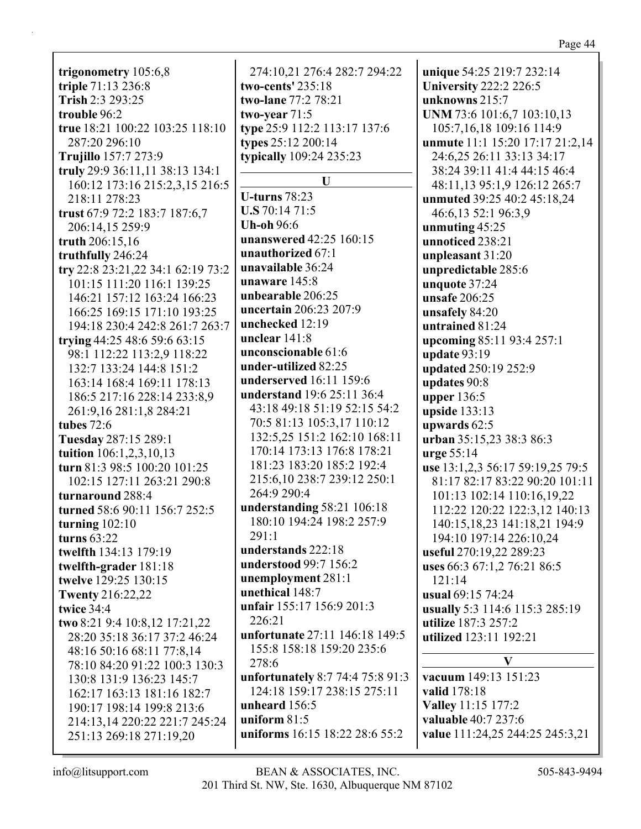trigonometry  $105:6,8$ triple 71:13 236:8 Trish 2:3 293:25 trouble 96:2 true 18:21 100:22 103:25 118:10 287:20 296:10 **Trujillo** 157:7 273:9 truly 29:9 36:11,11 38:13 134:1 160:12 173:16 215:2.3.15 216:5 218:11 278:23 trust 67:9 72:2 183:7 187:6,7 206:14.15 259:9 truth  $206:15,16$ truthfully 246:24 try 22:8 23:21,22 34:1 62:19 73:2 101:15 111:20 116:1 139:25 146:21 157:12 163:24 166:23 166:25 169:15 171:10 193:25 194:18 230:4 242:8 261:7 263:7 trying  $44:25$  48:6 59:6 63:15 98:1 112:22 113:2,9 118:22 132:7 133:24 144:8 151:2 163:14 168:4 169:11 178:13 186:5 217:16 228:14 233:8,9 261:9,16 281:1,8 284:21 tubes  $72:6$ Tuesday 287:15 289:1 tuition  $106:1,2,3,10,13$ turn 81:3 98:5 100:20 101:25 102:15 127:11 263:21 290:8 turnaround 288:4 turned 58:6 90:11 156:7 252:5 turning  $102:10$ turns  $63:22$ twelfth 134:13 179:19 twelfth-grader 181:18 twelve 129:25 130:15 **Twenty 216:22,22** twice 34:4 two 8:21 9:4 10:8,12 17:21,22 28:20 35:18 36:17 37:2 46:24 48:16 50:16 68:11 77:8,14 78:10 84:20 91:22 100:3 130:3 130:8 131:9 136:23 145:7 162:17 163:13 181:16 182:7 190:17 198:14 199:8 213:6 214:13,14 220:22 221:7 245:24 251:13 269:18 271:19,20

274:10.21 276:4 282:7 294:22 two-cents'  $235:18$ two-lane 77:2 78:21 two-year  $71:5$ type 25:9 112:2 113:17 137:6 types 25:12 200:14 typically 109:24 235:23 U U-turns  $78:23$  $U.S. 70:14.71:5$ **Uh-oh 96:6 unanswered** 42:25 160:15 unauthorized 67:1 unavailable 36:24 unaware 145:8 unbearable 206:25 **uncertain** 206:23 207:9 unchecked 12:19 unclear  $141:8$ unconscionable 61:6 under-utilized 82:25 underserved 16:11 159:6 **understand** 19:6 25:11 36:4 43:18 49:18 51:19 52:15 54:2 70:5 81:13 105:3.17 110:12 132:5,25 151:2 162:10 168:11 170:14 173:13 176:8 178:21 181:23 183:20 185:2 192:4 215:6.10 238:7 239:12 250:1 264:9 290:4 understanding  $58:21$   $106:18$ 180:10 194:24 198:2 257:9  $291:1$ understands 222:18 understood 99:7 156:2 unemployment 281:1 unethical 148:7 unfair 155:17 156:9 201:3 226:21 unfortunate 27:11 146:18 149:5 155:8 158:18 159:20 235:6 278:6 unfortunately 8:7 74:4 75:8 91:3 124:18 159:17 238:15 275:11 unheard  $156:5$ uniform  $81:5$ uniforms 16:15 18:22 28:6 55:2

unique 54:25 219:7 232:14 **University 222:2 226:5** unknowns  $215:7$ UNM 73:6 101:6,7 103:10,13 105:7,16,18 109:16 114:9 **unmute** 11:1 15:20 17:17 21:2,14 24:6.25 26:11 33:13 34:17 38:24 39:11 41:4 44:15 46:4 48:11,13 95:1,9 126:12 265:7 **unmuted** 39:25 40:2 45:18,24 46:6,13 52:1 96:3,9 unmuting  $45:25$ unnoticed 238:21 unpleasant 31:20 unpredictable 285:6 unquote 37:24 unsafe  $206:25$ unsafely 84:20 untrained 81:24 upcoming 85:11 93:4 257:1 update  $93:19$ updated 250:19 252:9 updates 90:8 upper  $136:5$ upside 133:13 upwards  $62:5$ urban 35:15,23 38:3 86:3 urge  $55:14$ use 13:1,2,3 56:17 59:19,25 79:5 81:17 82:17 83:22 90:20 101:11 101:13 102:14 110:16,19,22 112:22 120:22 122:3,12 140:13 140:15,18,23 141:18,21 194:9 194:10 197:14 226:10.24 useful 270:19,22 289:23 uses 66:3 67:1.2 76:21 86:5  $121:14$ usual 69:15 74:24 usually 5:3 114:6 115:3 285:19 utilize 187:3 257:2 utilized 123:11 192:21  $\mathbf{V}$ 

vacuum 149:13 151:23 valid 178:18 Valley 11:15 177:2 valuable 40:7 237:6 value 111:24,25 244:25 245:3,21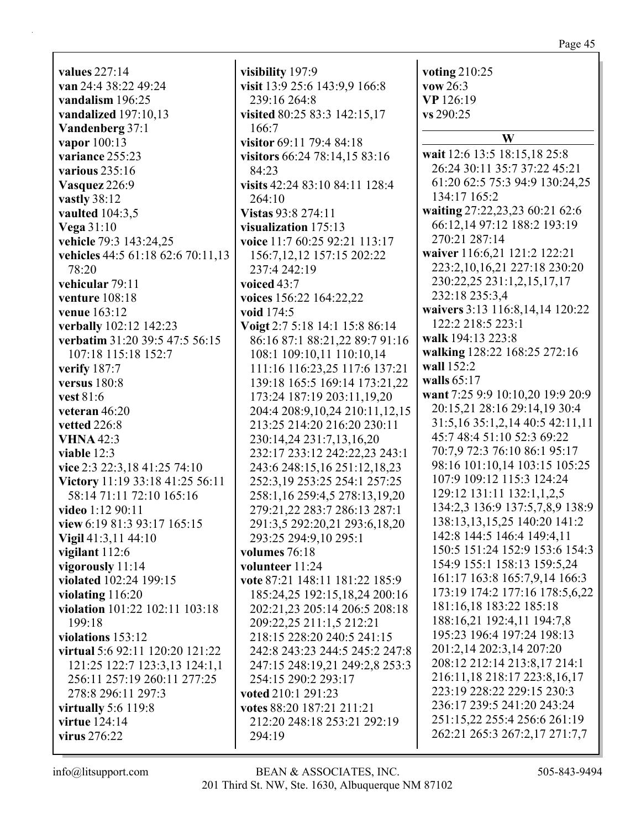**values** 227:14 **van** 24:4 38:22 49:24 **vandalism** 196:25 **vandalized** 197:10,13 **Vandenberg** 37:1 **vapor** 100:13 **variance** 255:23 **various** 235:16 **Vasquez** 226:9 **vastly** 38:12 **vaulted** 104:3,5 **Vega** 31:10 **vehicle** 79:3 143:24,25 **vehicles** 44:5 61:18 62:6 70:11,13 78:20 **vehicular** 79:11 **venture** 108:18 **venue** 163:12 **verbally** 102:12 142:23 **verbatim** 31:20 39:5 47:5 56:15 107:18 115:18 152:7 **verify** 187:7 **versus** 180:8 **vest** 81:6 **veteran** 46:20 **vetted** 226:8 **VHNA** 42:3 **viable** 12:3 **vice** 2:3 22:3,18 41:25 74:10 **Victory** 11:19 33:18 41:25 56:11 58:14 71:11 72:10 165:16 **video** 1:12 90:11 **view** 6:19 81:3 93:17 165:15 **Vigil** 41:3,11 44:10 **vigilant** 112:6 **vigorously** 11:14 **violated** 102:24 199:15 **violating** 116:20 **violation** 101:22 102:11 103:18 199:18 **violations** 153:12 **virtual** 5:6 92:11 120:20 121:22 121:25 122:7 123:3,13 124:1,1 256:11 257:19 260:11 277:25 278:8 296:11 297:3 **virtually** 5:6 119:8 **virtue** 124:14 **virus** 276:22

**visibility** 197:9 **visit** 13:9 25:6 143:9,9 166:8 239:16 264:8 **visited** 80:25 83:3 142:15,17 166:7 **visitor** 69:11 79:4 84:18 **visitors** 66:24 78:14,15 83:16 84:23 **visits** 42:24 83:10 84:11 128:4 264:10 **Vistas** 93:8 274:11 **visualization** 175:13 **voice** 11:7 60:25 92:21 113:17 156:7,12,12 157:15 202:22 237:4 242:19 **voiced** 43:7 **voices** 156:22 164:22,22 **void** 174:5 **Voigt** 2:7 5:18 14:1 15:8 86:14 86:16 87:1 88:21,22 89:7 91:16 108:1 109:10,11 110:10,14 111:16 116:23,25 117:6 137:21 139:18 165:5 169:14 173:21,22 173:24 187:19 203:11,19,20 204:4 208:9,10,24 210:11,12,15 213:25 214:20 216:20 230:11 230:14,24 231:7,13,16,20 232:17 233:12 242:22,23 243:1 243:6 248:15,16 251:12,18,23 252:3,19 253:25 254:1 257:25 258:1,16 259:4,5 278:13,19,20 279:21,22 283:7 286:13 287:1 291:3,5 292:20,21 293:6,18,20 293:25 294:9,10 295:1 **volumes** 76:18 **volunteer** 11:24 **vote** 87:21 148:11 181:22 185:9 185:24,25 192:15,18,24 200:16 202:21,23 205:14 206:5 208:18 209:22,25 211:1,5 212:21 218:15 228:20 240:5 241:15 242:8 243:23 244:5 245:2 247:8 247:15 248:19,21 249:2,8 253:3 254:15 290:2 293:17 **voted** 210:1 291:23 **votes** 88:20 187:21 211:21 212:20 248:18 253:21 292:19 294:19

**voting** 210:25 **vow** 26:3 **VP** 126:19 **vs** 290:25 **W wait** 12:6 13:5 18:15,18 25:8 26:24 30:11 35:7 37:22 45:21 61:20 62:5 75:3 94:9 130:24,25 134:17 165:2 **waiting** 27:22,23,23 60:21 62:6 66:12,14 97:12 188:2 193:19 270:21 287:14 **waiver** 116:6,21 121:2 122:21 223:2,10,16,21 227:18 230:20 230:22,25 231:1,2,15,17,17 232:18 235:3,4 **waivers** 3:13 116:8,14,14 120:22 122:2 218:5 223:1 **walk** 194:13 223:8 **walking** 128:22 168:25 272:16 **wall** 152:2 **walls** 65:17 **want** 7:25 9:9 10:10,20 19:9 20:9 20:15,21 28:16 29:14,19 30:4 31:5,16 35:1,2,14 40:5 42:11,11 45:7 48:4 51:10 52:3 69:22 70:7,9 72:3 76:10 86:1 95:17 98:16 101:10,14 103:15 105:25 107:9 109:12 115:3 124:24 129:12 131:11 132:1,1,2,5 134:2,3 136:9 137:5,7,8,9 138:9 138:13,13,15,25 140:20 141:2 142:8 144:5 146:4 149:4,11 150:5 151:24 152:9 153:6 154:3 154:9 155:1 158:13 159:5,24 161:17 163:8 165:7,9,14 166:3 173:19 174:2 177:16 178:5,6,22 181:16,18 183:22 185:18 188:16,21 192:4,11 194:7,8 195:23 196:4 197:24 198:13 201:2,14 202:3,14 207:20 208:12 212:14 213:8,17 214:1 216:11,18 218:17 223:8,16,17 223:19 228:22 229:15 230:3 236:17 239:5 241:20 243:24 251:15,22 255:4 256:6 261:19 262:21 265:3 267:2,17 271:7,7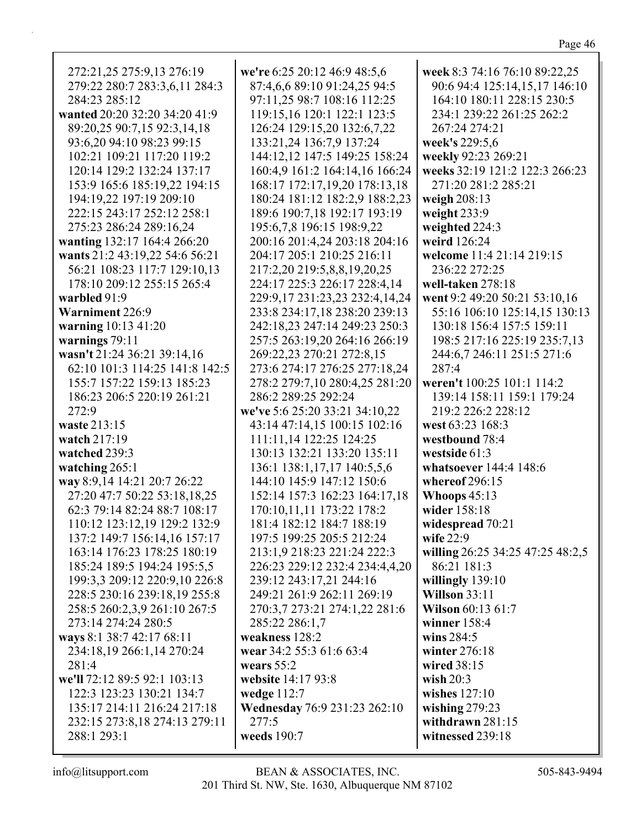| 272:21,25 275:9,13 276:19<br>279:22 280:7 283:3,6,11 284:3<br>284:23 285:12<br>wanted 20:20 32:20 34:20 41:9<br>89:20,25 90:7,15 92:3,14,18<br>93:6,20 94:10 98:23 99:15<br>102:21 109:21 117:20 119:2<br>120:14 129:2 132:24 137:17<br>153:9 165:6 185:19,22 194:15<br>194:19,22 197:19 209:10<br>222:15 243:17 252:12 258:1<br>275:23 286:24 289:16,24 | we're 6:25 20:12 46:9 48:5,6<br>87:4,6,6 89:10 91:24,25 94:5<br>97:11,25 98:7 108:16 112:25<br>119:15,16 120:1 122:1 123:5<br>126:24 129:15,20 132:6,7,22<br>133:21,24 136:7,9 137:24<br>144:12,12 147:5 149:25 158:24<br>160:4,9 161:2 164:14,16 166:24<br>168:17 172:17,19,20 178:13,18<br>180:24 181:12 182:2,9 188:2,23<br>189:6 190:7,18 192:17 193:19<br>195:6,7,8 196:15 198:9,22 | week 8:3 74:16 76:10 89:22,25<br>90:6 94:4 125:14,15,17 146:10<br>164:10 180:11 228:15 230:5<br>234:1 239:22 261:25 262:2<br>267:24 274:21<br>week's 229:5,6<br>weekly 92:23 269:21<br>weeks 32:19 121:2 122:3 266:23<br>271:20 281:2 285:21<br>weigh 208:13<br>weight $233:9$<br>weighted 224:3 |
|----------------------------------------------------------------------------------------------------------------------------------------------------------------------------------------------------------------------------------------------------------------------------------------------------------------------------------------------------------|------------------------------------------------------------------------------------------------------------------------------------------------------------------------------------------------------------------------------------------------------------------------------------------------------------------------------------------------------------------------------------------|--------------------------------------------------------------------------------------------------------------------------------------------------------------------------------------------------------------------------------------------------------------------------------------------------|
| wanting 132:17 164:4 266:20                                                                                                                                                                                                                                                                                                                              | 200:16 201:4,24 203:18 204:16<br>204:17 205:1 210:25 216:11                                                                                                                                                                                                                                                                                                                              | weird 126:24<br>welcome 11:4 21:14 219:15                                                                                                                                                                                                                                                        |
| wants 21:2 43:19,22 54:6 56:21<br>56:21 108:23 117:7 129:10,13                                                                                                                                                                                                                                                                                           | 217:2,20 219:5,8,8,19,20,25                                                                                                                                                                                                                                                                                                                                                              | 236:22 272:25                                                                                                                                                                                                                                                                                    |
| 178:10 209:12 255:15 265:4                                                                                                                                                                                                                                                                                                                               | 224:17 225:3 226:17 228:4,14                                                                                                                                                                                                                                                                                                                                                             | well-taken 278:18                                                                                                                                                                                                                                                                                |
| warbled 91:9                                                                                                                                                                                                                                                                                                                                             | 229:9,17 231:23,23 232:4,14,24                                                                                                                                                                                                                                                                                                                                                           | went 9:2 49:20 50:21 53:10,16                                                                                                                                                                                                                                                                    |
| Warniment 226:9                                                                                                                                                                                                                                                                                                                                          | 233:8 234:17,18 238:20 239:13                                                                                                                                                                                                                                                                                                                                                            | 55:16 106:10 125:14,15 130:13                                                                                                                                                                                                                                                                    |
| warning 10:13 41:20                                                                                                                                                                                                                                                                                                                                      | 242:18,23 247:14 249:23 250:3                                                                                                                                                                                                                                                                                                                                                            | 130:18 156:4 157:5 159:11                                                                                                                                                                                                                                                                        |
| warnings $79:11$                                                                                                                                                                                                                                                                                                                                         | 257:5 263:19,20 264:16 266:19                                                                                                                                                                                                                                                                                                                                                            | 198:5 217:16 225:19 235:7,13                                                                                                                                                                                                                                                                     |
| wasn't 21:24 36:21 39:14,16                                                                                                                                                                                                                                                                                                                              | 269:22,23 270:21 272:8,15                                                                                                                                                                                                                                                                                                                                                                | 244:6,7 246:11 251:5 271:6                                                                                                                                                                                                                                                                       |
| 62:10 101:3 114:25 141:8 142:5                                                                                                                                                                                                                                                                                                                           | 273:6 274:17 276:25 277:18,24                                                                                                                                                                                                                                                                                                                                                            | 287:4                                                                                                                                                                                                                                                                                            |
| 155:7 157:22 159:13 185:23                                                                                                                                                                                                                                                                                                                               | 278:2 279:7,10 280:4,25 281:20                                                                                                                                                                                                                                                                                                                                                           | weren't 100:25 101:1 114:2                                                                                                                                                                                                                                                                       |
| 186:23 206:5 220:19 261:21                                                                                                                                                                                                                                                                                                                               | 286:2 289:25 292:24                                                                                                                                                                                                                                                                                                                                                                      | 139:14 158:11 159:1 179:24                                                                                                                                                                                                                                                                       |
| 272:9                                                                                                                                                                                                                                                                                                                                                    | we've 5:6 25:20 33:21 34:10,22                                                                                                                                                                                                                                                                                                                                                           | 219:2 226:2 228:12                                                                                                                                                                                                                                                                               |
| waste 213:15<br>watch 217:19                                                                                                                                                                                                                                                                                                                             | 43:14 47:14,15 100:15 102:16<br>111:11,14 122:25 124:25                                                                                                                                                                                                                                                                                                                                  | west 63:23 168:3<br>westbound 78:4                                                                                                                                                                                                                                                               |
| watched 239:3                                                                                                                                                                                                                                                                                                                                            | 130:13 132:21 133:20 135:11                                                                                                                                                                                                                                                                                                                                                              | westside 61:3                                                                                                                                                                                                                                                                                    |
| watching 265:1                                                                                                                                                                                                                                                                                                                                           | 136:1 138:1, 17, 17 140:5, 5, 6                                                                                                                                                                                                                                                                                                                                                          | whatsoever 144:4 148:6                                                                                                                                                                                                                                                                           |
| way 8:9,14 14:21 20:7 26:22                                                                                                                                                                                                                                                                                                                              | 144:10 145:9 147:12 150:6                                                                                                                                                                                                                                                                                                                                                                | whereof 296:15                                                                                                                                                                                                                                                                                   |
| 27:20 47:7 50:22 53:18,18,25                                                                                                                                                                                                                                                                                                                             | 152:14 157:3 162:23 164:17,18                                                                                                                                                                                                                                                                                                                                                            | Whoops $45:13$                                                                                                                                                                                                                                                                                   |
| 62:3 79:14 82:24 88:7 108:17                                                                                                                                                                                                                                                                                                                             | 170:10,11,11 173:22 178:2                                                                                                                                                                                                                                                                                                                                                                | wider 158:18                                                                                                                                                                                                                                                                                     |
| 110:12 123:12,19 129:2 132:9                                                                                                                                                                                                                                                                                                                             | 181:4 182:12 184:7 188:19                                                                                                                                                                                                                                                                                                                                                                | widespread 70:21                                                                                                                                                                                                                                                                                 |
| 137:2 149:7 156:14,16 157:17                                                                                                                                                                                                                                                                                                                             | 197:5 199:25 205:5 212:24                                                                                                                                                                                                                                                                                                                                                                | wife $22:9$                                                                                                                                                                                                                                                                                      |
| 163:14 176:23 178:25 180:19                                                                                                                                                                                                                                                                                                                              | 213:1,9 218:23 221:24 222:3                                                                                                                                                                                                                                                                                                                                                              | willing 26:25 34:25 47:25 48:2,5                                                                                                                                                                                                                                                                 |
| 185:24 189:5 194:24 195:5,5                                                                                                                                                                                                                                                                                                                              | 226:23 229:12 232:4 234:4,4,20                                                                                                                                                                                                                                                                                                                                                           | 86:21 181:3                                                                                                                                                                                                                                                                                      |
| 199:3,3 209:12 220:9,10 226:8                                                                                                                                                                                                                                                                                                                            | 239:12 243:17,21 244:16                                                                                                                                                                                                                                                                                                                                                                  | willingly $139:10$                                                                                                                                                                                                                                                                               |
| 228:5 230:16 239:18,19 255:8                                                                                                                                                                                                                                                                                                                             | 249:21 261:9 262:11 269:19                                                                                                                                                                                                                                                                                                                                                               | <b>Willson 33:11</b>                                                                                                                                                                                                                                                                             |
| 258:5 260:2,3,9 261:10 267:5                                                                                                                                                                                                                                                                                                                             | 270:3,7 273:21 274:1,22 281:6                                                                                                                                                                                                                                                                                                                                                            | <b>Wilson</b> 60:13 61:7                                                                                                                                                                                                                                                                         |
| 273:14 274:24 280:5                                                                                                                                                                                                                                                                                                                                      | 285:22 286:1,7                                                                                                                                                                                                                                                                                                                                                                           | winner $158:4$                                                                                                                                                                                                                                                                                   |
| ways 8:1 38:7 42:17 68:11                                                                                                                                                                                                                                                                                                                                | weakness 128:2                                                                                                                                                                                                                                                                                                                                                                           | wins $284:5$                                                                                                                                                                                                                                                                                     |
| 234:18,19 266:1,14 270:24                                                                                                                                                                                                                                                                                                                                | wear 34:2 55:3 61:6 63:4                                                                                                                                                                                                                                                                                                                                                                 | winter 276:18                                                                                                                                                                                                                                                                                    |
| 281:4                                                                                                                                                                                                                                                                                                                                                    | wears $55:2$                                                                                                                                                                                                                                                                                                                                                                             | wired 38:15                                                                                                                                                                                                                                                                                      |
| we'll 72:12 89:5 92:1 103:13                                                                                                                                                                                                                                                                                                                             | website 14:17 93:8                                                                                                                                                                                                                                                                                                                                                                       | wish $20:3$                                                                                                                                                                                                                                                                                      |
| 122:3 123:23 130:21 134:7                                                                                                                                                                                                                                                                                                                                | wedge $112:7$                                                                                                                                                                                                                                                                                                                                                                            | wishes $127:10$                                                                                                                                                                                                                                                                                  |
| 135:17 214:11 216:24 217:18                                                                                                                                                                                                                                                                                                                              | <b>Wednesday</b> 76:9 231:23 262:10<br>277:5                                                                                                                                                                                                                                                                                                                                             | wishing $279:23$                                                                                                                                                                                                                                                                                 |
| 232:15 273:8,18 274:13 279:11<br>288:1 293:1                                                                                                                                                                                                                                                                                                             | weeds 190:7                                                                                                                                                                                                                                                                                                                                                                              | withdrawn $281:15$<br>witnessed 239:18                                                                                                                                                                                                                                                           |
|                                                                                                                                                                                                                                                                                                                                                          |                                                                                                                                                                                                                                                                                                                                                                                          |                                                                                                                                                                                                                                                                                                  |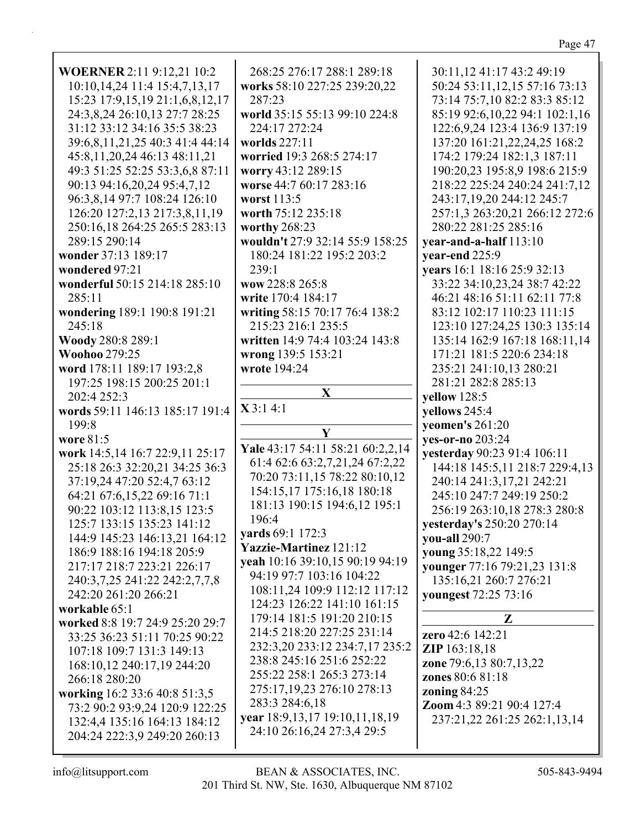| <b>WOERNER 2:11 9:12,21 10:2</b>   | 268:25 276:17 288:1 289:18          | 30:11,12 41:17 43:2 49:19          |
|------------------------------------|-------------------------------------|------------------------------------|
| 10:10, 14, 24 11:4 15:4, 7, 13, 17 | works 58:10 227:25 239:20,22        | 50:24 53:11,12,15 57:16 73:13      |
| 15:23 17:9,15,19 21:1,6,8,12,17    | 287:23                              | 73:14 75:7,10 82:2 83:3 85:12      |
|                                    |                                     |                                    |
| 24:3,8,24 26:10,13 27:7 28:25      | world 35:15 55:13 99:10 224:8       | 85:19 92:6,10,22 94:1 102:1,16     |
| 31:12 33:12 34:16 35:5 38:23       | 224:17 272:24                       | 122:6, 9, 24 123: 4 136: 9 137: 19 |
| 39:6,8,11,21,25 40:3 41:4 44:14    | worlds 227:11                       | 137:20 161:21,22,24,25 168:2       |
| 45:8,11,20,24 46:13 48:11,21       | worried 19:3 268:5 274:17           | 174:2 179:24 182:1,3 187:11        |
| 49:3 51:25 52:25 53:3,6,8 87:11    | worry 43:12 289:15                  | 190:20,23 195:8,9 198:6 215:9      |
| 90:13 94:16,20,24 95:4,7,12        | worse 44:7 60:17 283:16             | 218:22 225:24 240:24 241:7,12      |
| 96:3,8,14 97:7 108:24 126:10       | worst 113:5                         | 243:17,19,20 244:12 245:7          |
| 126:20 127:2,13 217:3,8,11,19      | worth 75:12 235:18                  | 257:1,3 263:20,21 266:12 272:6     |
| 250:16,18 264:25 265:5 283:13      | worthy 268:23                       | 280:22 281:25 285:16               |
| 289:15 290:14                      | wouldn't 27:9 32:14 55:9 158:25     | year-and-a-half 113:10             |
|                                    |                                     |                                    |
| wonder 37:13 189:17                | 180:24 181:22 195:2 203:2           | year-end 225:9                     |
| wondered 97:21                     | 239:1                               | years 16:1 18:16 25:9 32:13        |
| wonderful 50:15 214:18 285:10      | wow 228:8 265:8                     | 33:22 34:10,23,24 38:7 42:22       |
| 285:11                             | write 170:4 184:17                  | 46:21 48:16 51:11 62:11 77:8       |
| wondering 189:1 190:8 191:21       | writing 58:15 70:17 76:4 138:2      | 83:12 102:17 110:23 111:15         |
| 245:18                             | 215:23 216:1 235:5                  | 123:10 127:24,25 130:3 135:14      |
| Woody 280:8 289:1                  | written 14:9 74:4 103:24 143:8      | 135:14 162:9 167:18 168:11,14      |
| <b>Woohoo 279:25</b>               | wrong 139:5 153:21                  | 171:21 181:5 220:6 234:18          |
| word 178:11 189:17 193:2,8         | wrote 194:24                        | 235:21 241:10,13 280:21            |
| 197:25 198:15 200:25 201:1         |                                     | 281:21 282:8 285:13                |
| 202:4 252:3                        | $\mathbf{X}$                        | yellow 128:5                       |
| words 59:11 146:13 185:17 191:4    | X3:14:1                             | yellows 245:4                      |
| 199:8                              |                                     | yeomen's 261:20                    |
| wore 81:5                          | Y                                   | yes-or-no 203:24                   |
|                                    | Yale 43:17 54:11 58:21 60:2,2,14    |                                    |
| work 14:5,14 16:7 22:9,11 25:17    | 61:4 62:6 63:2,7,21,24 67:2,22      | yesterday 90:23 91:4 106:11        |
| 25:18 26:3 32:20,21 34:25 36:3     | 70:20 73:11,15 78:22 80:10,12       | 144:18 145:5,11 218:7 229:4,13     |
| 37:19,24 47:20 52:4,7 63:12        | 154:15,17 175:16,18 180:18          | 240:14 241:3,17,21 242:21          |
| 64:21 67:6,15,22 69:16 71:1        |                                     | 245:10 247:7 249:19 250:2          |
| 90:22 103:12 113:8,15 123:5        | 181:13 190:15 194:6,12 195:1        | 256:19 263:10,18 278:3 280:8       |
| 125:7 133:15 135:23 141:12         | 196:4                               | yesterday's 250:20 270:14          |
| 144:9 145:23 146:13,21 164:12      | vards 69:1 172:3                    | you-all 290:7                      |
| 186:9 188:16 194:18 205:9          | <b>Yazzie-Martinez</b> 121:12       | young 35:18,22 149:5               |
| 217:17 218:7 223:21 226:17         | yeah 10:16 39:10,15 90:19 94:19     | younger 77:16 79:21,23 131:8       |
| 240:3,7,25 241:22 242:2,7,7,8      | 94:19 97:7 103:16 104:22            | 135:16,21 260:7 276:21             |
| 242:20 261:20 266:21               | 108:11,24 109:9 112:12 117:12       | youngest 72:25 73:16               |
| workable 65:1                      | 124:23 126:22 141:10 161:15         |                                    |
| worked 8:8 19:7 24:9 25:20 29:7    | 179:14 181:5 191:20 210:15          | Z                                  |
| 33:25 36:23 51:11 70:25 90:22      | 214:5 218:20 227:25 231:14          | zero 42:6 142:21                   |
|                                    | 232:3,20 233:12 234:7,17 235:2      | <b>ZIP</b> 163:18,18               |
| 107:18 109:7 131:3 149:13          | 238:8 245:16 251:6 252:22           |                                    |
| 168:10,12 240:17,19 244:20         | 255:22 258:1 265:3 273:14           | zone 79:6,13 80:7,13,22            |
| 266:18 280:20                      |                                     | zones 80:6 81:18                   |
| working 16:2 33:6 40:8 51:3,5      | 275:17,19,23 276:10 278:13          | zoning $84:25$                     |
| 73:2 90:2 93:9,24 120:9 122:25     | 283:3 284:6,18                      | Zoom 4:3 89:21 90:4 127:4          |
| 132:4,4 135:16 164:13 184:12       | year 18:9, 13, 17 19:10, 11, 18, 19 | 237:21,22 261:25 262:1,13,14       |
| 204:24 222:3,9 249:20 260:13       | 24:10 26:16,24 27:3,4 29:5          |                                    |
|                                    |                                     |                                    |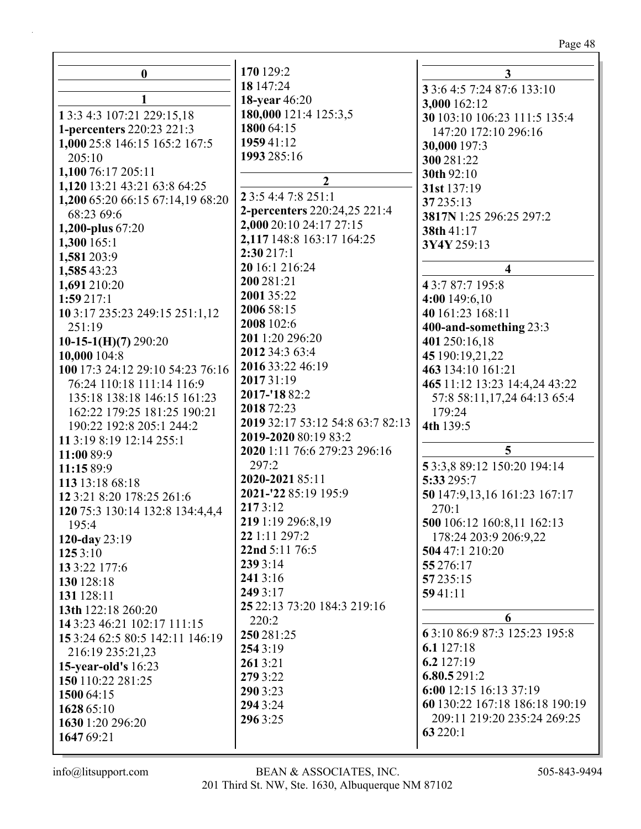| $\boldsymbol{0}$                                | 170 129:2                        | 3                              |
|-------------------------------------------------|----------------------------------|--------------------------------|
|                                                 | 18 147:24                        | 3 3:6 4:5 7:24 87:6 133:10     |
|                                                 | <b>18-year</b> 46:20             | 3,000 162:12                   |
| 1 3:3 4:3 107:21 229:15,18                      | 180,000 121:4 125:3,5            | 30 103:10 106:23 111:5 135:4   |
| 1-percenters 220:23 221:3                       | 1800 64:15                       | 147:20 172:10 296:16           |
| 1,000 25:8 146:15 165:2 167:5                   | 1959 41:12                       | 30,000 197:3                   |
| 205:10                                          | 1993 285:16                      | 300 281:22                     |
| 1,100 76:17 205:11                              |                                  | 30th 92:10                     |
| 1,120 13:21 43:21 63:8 64:25                    | $\overline{2}$                   | 31st 137:19                    |
| 1,200 65:20 66:15 67:14,19 68:20                | 2 3:5 4:4 7:8 251:1              | 37 235:13                      |
| 68:23 69:6                                      | 2-percenters 220:24,25 221:4     | 3817N 1:25 296:25 297:2        |
| 1,200-plus 67:20                                | 2,000 20:10 24:17 27:15          | 38th 41:17                     |
| 1,300165:1                                      | 2,117 148:8 163:17 164:25        | 3Y4Y 259:13                    |
| 1,581 203:9                                     | 2:30217:1                        |                                |
| 1,585 43:23                                     | 20 16:1 216:24                   | $\overline{\mathbf{4}}$        |
| 1,691 210:20                                    | 200 281:21                       | 43:787:7195:8                  |
| 1:59217:1                                       | 2001 35:22                       | 4:00 149:6,10                  |
|                                                 | 2006 58:15                       | 40 161:23 168:11               |
| 10 3:17 235:23 249:15 251:1,12                  | 2008 102:6                       |                                |
| 251:19                                          | 201 1:20 296:20                  | 400-and-something 23:3         |
| $10-15-1(H)(7)$ 290:20                          | 2012 34:3 63:4                   | 401 250:16,18                  |
| 10,000 104:8                                    | 2016 33:22 46:19                 | 45 190:19,21,22                |
| 100 17:3 24:12 29:10 54:23 76:16                | 201731:19                        | 463 134:10 161:21              |
| 76:24 110:18 111:14 116:9                       | 2017-'18 82:2                    | 465 11:12 13:23 14:4,24 43:22  |
| 135:18 138:18 146:15 161:23                     | 2018 72:23                       | 57:8 58:11,17,24 64:13 65:4    |
| 162:22 179:25 181:25 190:21                     |                                  | 179:24                         |
| 190:22 192:8 205:1 244:2                        | 2019 32:17 53:12 54:8 63:7 82:13 | 4th 139:5                      |
| 11 3:19 8:19 12:14 255:1                        | 2019-2020 80:19 83:2             |                                |
| 11:00 89:9                                      | 2020 1:11 76:6 279:23 296:16     | 5                              |
| 11:15 89:9                                      | 297:2                            | 53:3,889:12 150:20 194:14      |
| 113 13:18 68:18                                 | 2020-2021 85:11                  | 5:33 295:7                     |
| 12 3:21 8:20 178:25 261:6                       | 2021-'22 85:19 195:9             | 50 147:9,13,16 161:23 167:17   |
| 120 75:3 130:14 132:8 134:4,4,4                 | 2173:12                          | 270:1                          |
| 195:4                                           | 219 1:19 296:8,19                | 500 106:12 160:8,11 162:13     |
| 120-day $23:19$                                 | 22 1:11 297:2                    | 178:24 203:9 206:9,22          |
| 1253:10                                         | 22nd 5:11 76:5                   | 504 47:1 210:20                |
| 13 3:22 177:6                                   | 239 3:14                         | 55 276:17                      |
| 130 128:18                                      | 2413:16                          | 57 235:15                      |
| 131 128:11                                      | 249 3:17                         | 5941:11                        |
| 13th 122:18 260:20                              | 25 22:13 73:20 184:3 219:16      |                                |
| 14 3:23 46:21 102:17 111:15                     | 220:2                            | 6                              |
| 15 3:24 62:5 80:5 142:11 146:19                 | 250 281:25                       | 63:10 86:9 87:3 125:23 195:8   |
| 216:19 235:21,23                                | 254 3:19                         | 6.1 $127:18$                   |
|                                                 | 2613:21                          | 6.2 $127:19$                   |
| <b>15-year-old's</b> 16:23<br>150 110:22 281:25 | 279 3:22                         | 6.80.5291:2                    |
|                                                 | 290 3:23                         | 6:00 12:15 16:13 37:19         |
| 1500 64:15                                      | 294 3:24                         | 60 130:22 167:18 186:18 190:19 |
| 1628 65:10                                      | 2963:25                          | 209:11 219:20 235:24 269:25    |
| 1630 1:20 296:20                                |                                  | 63 220:1                       |
| 1647 69:21                                      |                                  |                                |

 $\mathop{\mathsf{info}}\nolimits @\mathop{\mathsf{litsupport.com}}$